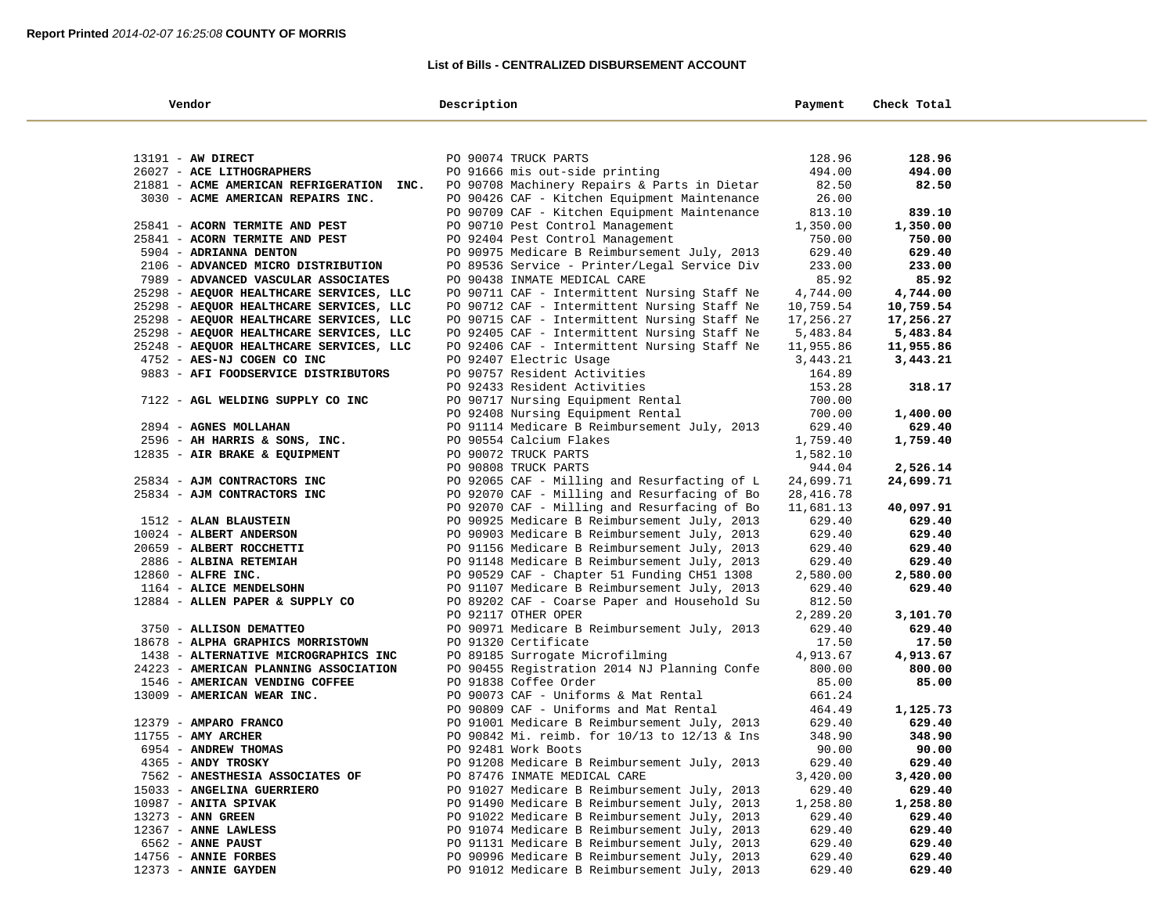### **List of Bills - CENTRALIZED DISBURSEMENT ACCOUNT**

| Vendor                                              | Description                                                                                  | Payment          | Check Total      |  |
|-----------------------------------------------------|----------------------------------------------------------------------------------------------|------------------|------------------|--|
|                                                     |                                                                                              |                  |                  |  |
| 13191 - AW DIRECT                                   |                                                                                              | 128.96           | 128.96           |  |
| 26027 - ACE LITHOGRAPHERS                           | PO 90074 TRUCK PARTS<br>PO 91666 mis out-side printing                                       | 494.00           | 494.00           |  |
| 21881 - ACME AMERICAN REFRIGERATION INC.            | PO 90708 Machinery Repairs & Parts in Dietar                                                 | 82.50            | 82.50            |  |
| 3030 - ACME AMERICAN REPAIRS INC.                   | PO 90426 CAF - Kitchen Equipment Maintenance                                                 | 26.00            |                  |  |
|                                                     | PO 90709 CAF - Kitchen Equipment Maintenance                                                 | 813.10           | 839.10           |  |
| 25841 - ACORN TERMITE AND PEST                      | PO 90710 Pest Control Management                                                             | 1,350.00         | 1,350.00         |  |
| 25841 - ACORN TERMITE AND PEST                      | PO 92404 Pest Control Management                                                             | 750.00           | 750.00           |  |
| 5904 - ADRIANNA DENTON                              | PO 90975 Medicare B Reimbursement July, 2013                                                 | 629.40           | 629.40           |  |
| 2106 - ADVANCED MICRO DISTRIBUTION                  | PO 89536 Service - Printer/Legal Service Div                                                 | 233.00           | 233.00           |  |
| 7989 - ADVANCED VASCULAR ASSOCIATES                 | PO 90438 INMATE MEDICAL CARE                                                                 | 85.92            | 85.92            |  |
| 25298 - AEQUOR HEALTHCARE SERVICES, LLC             | PO 90711 CAF - Intermittent Nursing Staff Ne                                                 | 4,744.00         | 4,744.00         |  |
| 25298 - AEQUOR HEALTHCARE SERVICES, LLC             | PO 90712 CAF - Intermittent Nursing Staff Ne                                                 | 10,759.54        | 10,759.54        |  |
| 25298 - AEQUOR HEALTHCARE SERVICES, LLC             | PO 90715 CAF - Intermittent Nursing Staff Ne                                                 | 17,256.27        | 17,256.27        |  |
| 25298 - AEQUOR HEALTHCARE SERVICES, LLC             | PO 92405 CAF - Intermittent Nursing Staff Ne                                                 | 5,483.84         | 5,483.84         |  |
| 25248 - AEQUOR HEALTHCARE SERVICES, LLC             | PO 92406 CAF - Intermittent Nursing Staff Ne                                                 | 11,955.86        | 11,955.86        |  |
| 4752 - AES-NJ COGEN CO INC                          | PO 92407 Electric Usage                                                                      | 3,443.21         | 3,443.21         |  |
| 9883 - AFI FOODSERVICE DISTRIBUTORS                 | PO 90757 Resident Activities                                                                 | 164.89           |                  |  |
|                                                     | PO 92433 Resident Activities                                                                 | 153.28           | 318.17           |  |
| 7122 - AGL WELDING SUPPLY CO INC                    | PO 90717 Nursing Equipment Rental                                                            | 700.00           |                  |  |
|                                                     | PO 92408 Nursing Equipment Rental                                                            | 700.00           | 1,400.00         |  |
| 2894 - AGNES MOLLAHAN                               | PO 91114 Medicare B Reimbursement July, 2013                                                 | 629.40           | 629.40           |  |
| 2596 - AH HARRIS & SONS, INC.                       | PO 90554 Calcium Flakes                                                                      | 1,759.40         | 1,759.40         |  |
| 12835 - AIR BRAKE & EQUIPMENT                       | PO 90072 TRUCK PARTS                                                                         | 1,582.10         |                  |  |
|                                                     | PO 90808 TRUCK PARTS                                                                         | 944.04           | 2,526.14         |  |
| 25834 - AJM CONTRACTORS INC                         | PO 92065 CAF - Milling and Resurfacting of L                                                 | 24,699.71        | 24,699.71        |  |
| 25834 - AJM CONTRACTORS INC                         | PO 92070 CAF - Milling and Resurfacing of Bo                                                 | 28, 416.78       |                  |  |
|                                                     | PO 92070 CAF - Milling and Resurfacing of Bo                                                 | 11,681.13        | 40,097.91        |  |
| 1512 - ALAN BLAUSTEIN                               | PO 90925 Medicare B Reimbursement July, 2013                                                 | 629.40           | 629.40           |  |
| 10024 - ALBERT ANDERSON<br>20659 - ALBERT ROCCHETTI | PO 90903 Medicare B Reimbursement July, 2013<br>PO 91156 Medicare B Reimbursement July, 2013 | 629.40<br>629.40 | 629.40<br>629.40 |  |
| 2886 - ALBINA RETEMIAH                              | PO 91148 Medicare B Reimbursement July, 2013                                                 | 629.40           | 629.40           |  |
| 12860 - ALFRE INC.                                  | PO 90529 CAF - Chapter 51 Funding CH51 1308                                                  | 2,580.00         | 2,580.00         |  |
| 1164 - ALICE MENDELSOHN                             | PO 91107 Medicare B Reimbursement July, 2013                                                 | 629.40           | 629.40           |  |
| 12884 - ALLEN PAPER & SUPPLY CO                     | PO 89202 CAF - Coarse Paper and Household Su                                                 | 812.50           |                  |  |
|                                                     | PO 92117 OTHER OPER                                                                          | 2,289.20         | 3,101.70         |  |
| 3750 - ALLISON DEMATTEO                             | PO 90971 Medicare B Reimbursement July, 2013                                                 | 629.40           | 629.40           |  |
| 18678 - ALPHA GRAPHICS MORRISTOWN                   | PO 91320 Certificate                                                                         | 17.50            | 17.50            |  |
| 1438 - ALTERNATIVE MICROGRAPHICS INC                | PO 89185 Surrogate Microfilming                                                              | 4,913.67         | 4,913.67         |  |
| 24223 - AMERICAN PLANNING ASSOCIATION               | PO 90455 Registration 2014 NJ Planning Confe                                                 | 800.00           | 800.00           |  |
| 1546 - AMERICAN VENDING COFFEE                      | PO 91838 Coffee Order                                                                        | 85.00            | 85.00            |  |
| 13009 - AMERICAN WEAR INC.                          | PO 90073 CAF - Uniforms & Mat Rental                                                         | 661.24           |                  |  |
|                                                     | PO 90809 CAF - Uniforms and Mat Rental                                                       | 464.49           | 1,125.73         |  |
| 12379 - AMPARO FRANCO                               | PO 91001 Medicare B Reimbursement July, 2013                                                 | 629.40           | 629.40           |  |
| $11755$ - AMY ARCHER                                | PO 90842 Mi. reimb. for 10/13 to 12/13 & Ins                                                 | 348.90           | 348.90           |  |
| 6954 - ANDREW THOMAS                                | PO 92481 Work Boots                                                                          | 90.00            | 90.00            |  |
| 4365 - ANDY TROSKY                                  | PO 91208 Medicare B Reimbursement July, 2013                                                 | 629.40           | 629.40           |  |
| 7562 - ANESTHESIA ASSOCIATES OF                     | PO 87476 INMATE MEDICAL CARE                                                                 | 3,420.00         | 3,420.00         |  |
| 15033 - ANGELINA GUERRIERO                          | PO 91027 Medicare B Reimbursement July, 2013                                                 | 629.40           | 629.40           |  |
| $10987$ - ANITA SPIVAK                              | PO 91490 Medicare B Reimbursement July, 2013                                                 | 1,258.80         | 1,258.80         |  |
| 13273 - ANN GREEN                                   | PO 91022 Medicare B Reimbursement July, 2013                                                 | 629.40           | 629.40           |  |
| 12367 - ANNE LAWLESS                                | PO 91074 Medicare B Reimbursement July, 2013                                                 | 629.40           | 629.40           |  |
| 6562 - ANNE PAUST                                   | PO 91131 Medicare B Reimbursement July, 2013                                                 | 629.40           | 629.40           |  |
| 14756 - ANNIE FORBES                                | PO 90996 Medicare B Reimbursement July, 2013<br>PO 91012 Medicare B Reimbursement July, 2013 | 629.40           | 629.40           |  |
| 12373 - ANNIE GAYDEN                                |                                                                                              | 629.40           | 629.40           |  |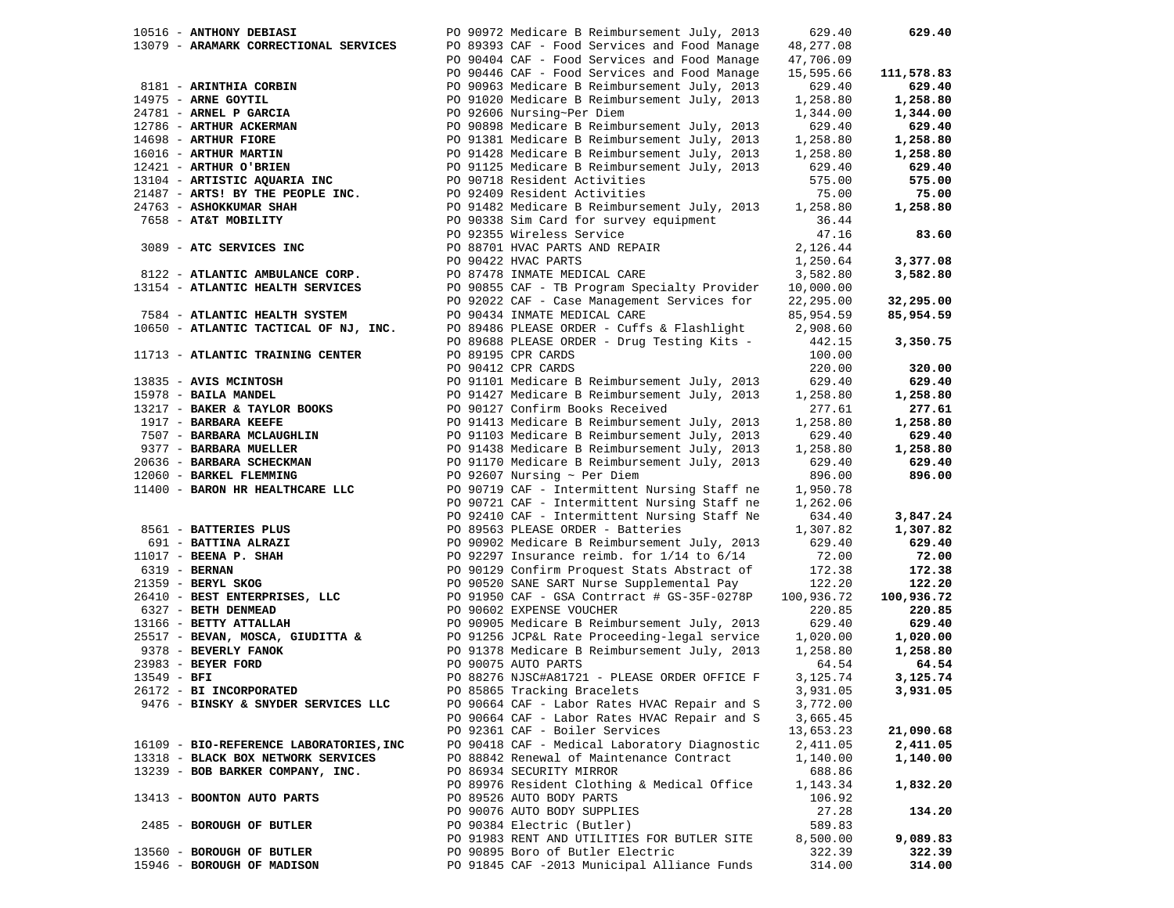|               | 10516 - ANTHONY DEBIASI                         | PO 90972 Medicare B Reimbursement July, 2013                                  | 629.40           | 629.40     |
|---------------|-------------------------------------------------|-------------------------------------------------------------------------------|------------------|------------|
|               | 13079 - ARAMARK CORRECTIONAL SERVICES           | PO 89393 CAF - Food Services and Food Manage                                  | 48,277.08        |            |
|               |                                                 | PO 90404 CAF - Food Services and Food Manage                                  | 47,706.09        |            |
|               |                                                 | PO 90446 CAF - Food Services and Food Manage                                  | 15,595.66        | 111,578.83 |
|               | 8181 - ARINTHIA CORBIN                          | PO 90963 Medicare B Reimbursement July, 2013                                  | 629.40           | 629.40     |
|               | 14975 - ARNE GOYTIL                             | PO 91020 Medicare B Reimbursement July, 2013                                  | 1,258.80         | 1,258.80   |
|               | 24781 - ARNEL P GARCIA                          | PO 92606 Nursing~Per Diem                                                     | 1,344.00         | 1,344.00   |
|               | 12786 - ARTHUR ACKERMAN                         | PO 90898 Medicare B Reimbursement July, 2013                                  | 629.40           | 629.40     |
|               | 14698 - ARTHUR FIORE                            | PO 91381 Medicare B Reimbursement July, 2013                                  | 1,258.80         | 1,258.80   |
|               |                                                 | PO 91428 Medicare B Reimbursement July, 2013                                  | 1,258.80         | 1,258.80   |
|               | 16016 - ARTHUR MARTIN<br>12421 - ARTHUR O'BRIEN | PO 91125 Medicare B Reimbursement July, 2013                                  | 629.40           | 629.40     |
|               | 13104 - ARTISTIC AQUARIA INC                    | PO 90718 Resident Activities                                                  | 575.00           | 575.00     |
|               | 21487 - ARTS! BY THE PEOPLE INC.                | PO 92409 Resident Activities                                                  | 75.00            | 75.00      |
|               | 24763 - ASHOKKUMAR SHAH                         | PO 91482 Medicare B Reimbursement July, 2013                                  | 1,258.80         | 1,258.80   |
|               | 7658 - AT&T MOBILITY                            | PO 90338 Sim Card for survey equipment                                        | 36.44            |            |
|               |                                                 | PO 92355 Wireless Service                                                     | 47.16            | 83.60      |
|               | 3089 - ATC SERVICES INC                         | PO 88701 HVAC PARTS AND REPAIR                                                | 2,126.44         |            |
|               |                                                 | PO 90422 HVAC PARTS                                                           | 1,250.64         | 3,377.08   |
|               | 8122 - ATLANTIC AMBULANCE CORP.                 | PO 87478 INMATE MEDICAL CARE                                                  | 3,582.80         | 3,582.80   |
|               | 13154 - ATLANTIC HEALTH SERVICES                | PO 90855 CAF - TB Program Specialty Provider                                  | 10,000.00        |            |
|               |                                                 | PO 92022 CAF - Case Management Services for                                   | 22,295.00        | 32,295.00  |
|               | 7584 - ATLANTIC HEALTH SYSTEM                   | PO 90434 INMATE MEDICAL CARE                                                  | 85,954.59        | 85,954.59  |
|               | 10650 - ATLANTIC TACTICAL OF NJ, INC.           | PO 89486 PLEASE ORDER - Cuffs & Flashlight                                    | 2,908.60         |            |
|               |                                                 | PO 89688 PLEASE ORDER - Drug Testing Kits -                                   | 442.15           | 3,350.75   |
|               | 11713 - ATLANTIC TRAINING CENTER                | PO 89195 CPR CARDS                                                            | 100.00           |            |
|               |                                                 | PO 90412 CPR CARDS                                                            | 220.00           | 320.00     |
|               | 13835 - AVIS MCINTOSH                           | PO 91101 Medicare B Reimbursement July, 2013                                  | 629.40           | 629.40     |
|               | 15978 - BAILA MANDEL                            | PO 91427 Medicare B Reimbursement July, 2013                                  | 1,258.80         | 1,258.80   |
|               | 13217 - BAKER & TAYLOR BOOKS                    | PO 90127 Confirm Books Received                                               | 277.61           | 277.61     |
|               | 1917 - BARBARA KEEFE                            | PO 91413 Medicare B Reimbursement July, 2013                                  | 1,258.80         | 1,258.80   |
|               | 7507 - BARBARA MCLAUGHLIN                       | PO 91103 Medicare B Reimbursement July, 2013                                  | 629.40           | 629.40     |
|               | 9377 - BARBARA MUELLER                          | PO 91438 Medicare B Reimbursement July, 2013                                  | 1,258.80         | 1,258.80   |
|               | 20636 - BARBARA SCHECKMAN                       | PO 91170 Medicare B Reimbursement July, 2013                                  | 629.40           | 629.40     |
|               | 12060 - BARKEL FLEMMING                         | PO 92607 Nursing $\sim$ Per Diem                                              | 896.00           | 896.00     |
|               | 11400 - BARON HR HEALTHCARE LLC                 | PO 90719 CAF - Intermittent Nursing Staff ne                                  | 1,950.78         |            |
|               |                                                 | PO 90721 CAF - Intermittent Nursing Staff ne                                  | 1,262.06         |            |
|               |                                                 | PO 92410 CAF - Intermittent Nursing Staff Ne                                  | 634.40           | 3,847.24   |
|               | 8561 - BATTERIES PLUS                           | PO 89563 PLEASE ORDER - Batteries                                             | 1,307.82         | 1,307.82   |
|               | 691 - <b>BATTINA ALRAZI</b>                     | PO 90902 Medicare B Reimbursement July, 2013                                  | 629.40           | 629.40     |
|               | $11017$ - BEENA P. SHAH                         | PO 92297 Insurance reimb. for 1/14 to 6/14                                    | 72.00            | 72.00      |
|               | 6319 - <b>BERNAN</b>                            | PO 90129 Confirm Proquest Stats Abstract of                                   |                  | 172.38     |
|               | 21359 - BERYL SKOG                              | PO 90520 SANE SART Nurse Supplemental Pay                                     | 172.38<br>122.20 | 122.20     |
|               |                                                 |                                                                               |                  |            |
|               | 26410 - BEST ENTERPRISES, LLC                   | PO 91950 CAF - GSA Contrract # GS-35F-0278P                                   | 100,936.72       | 100,936.72 |
|               | 6327 - BETH DENMEAD                             | PO 90602 EXPENSE VOUCHER                                                      | 220.85           | 220.85     |
|               | 13166 - BETTY ATTALLAH                          | PO 90905 Medicare B Reimbursement July, 2013                                  | 629.40           | 629.40     |
|               |                                                 | 25517 - BEVAN, MOSCA, GIUDITTA & PO 91256 JCP&L Rate Proceeding-legal service | 1,020.00         | 1,020.00   |
|               | 9378 - BEVERLY FANOK                            | PO 91378 Medicare B Reimbursement July, 2013                                  | 1,258.80         | 1,258.80   |
|               | 23983 - BEYER FORD                              | PO 90075 AUTO PARTS                                                           | 64.54            | 64.54      |
| $13549 - BFI$ |                                                 | PO 88276 NJSC#A81721 - PLEASE ORDER OFFICE F                                  | 3,125.74         | 3,125.74   |
|               | 26172 - BI INCORPORATED                         | PO 85865 Tracking Bracelets                                                   | 3,931.05         | 3,931.05   |
|               | 9476 - BINSKY & SNYDER SERVICES LLC             | PO 90664 CAF - Labor Rates HVAC Repair and S                                  | 3,772.00         |            |
|               |                                                 | PO 90664 CAF - Labor Rates HVAC Repair and S                                  | 3,665.45         |            |
|               |                                                 | PO 92361 CAF - Boiler Services                                                | 13,653.23        | 21,090.68  |
|               | 16109 - BIO-REFERENCE LABORATORIES, INC         | PO 90418 CAF - Medical Laboratory Diagnostic                                  | 2,411.05         | 2,411.05   |
|               | 13318 - BLACK BOX NETWORK SERVICES              | PO 88842 Renewal of Maintenance Contract                                      | 1,140.00         | 1,140.00   |
|               | 13239 - BOB BARKER COMPANY, INC.                | PO 86934 SECURITY MIRROR                                                      | 688.86           |            |
|               |                                                 | PO 89976 Resident Clothing & Medical Office                                   | 1,143.34         | 1,832.20   |
|               | 13413 - BOONTON AUTO PARTS                      | PO 89526 AUTO BODY PARTS                                                      | 106.92           |            |
|               |                                                 | PO 90076 AUTO BODY SUPPLIES                                                   | 27.28            | 134.20     |
|               | 2485 - BOROUGH OF BUTLER                        | PO 90384 Electric (Butler)                                                    | 589.83           |            |
|               |                                                 | PO 91983 RENT AND UTILITIES FOR BUTLER SITE                                   | 8,500.00         | 9,089.83   |
|               | 13560 - BOROUGH OF BUTLER                       | PO 90895 Boro of Butler Electric                                              | 322.39           | 322.39     |
|               | 15946 - BOROUGH OF MADISON                      | PO 91845 CAF -2013 Municipal Alliance Funds                                   | 314.00           | 314.00     |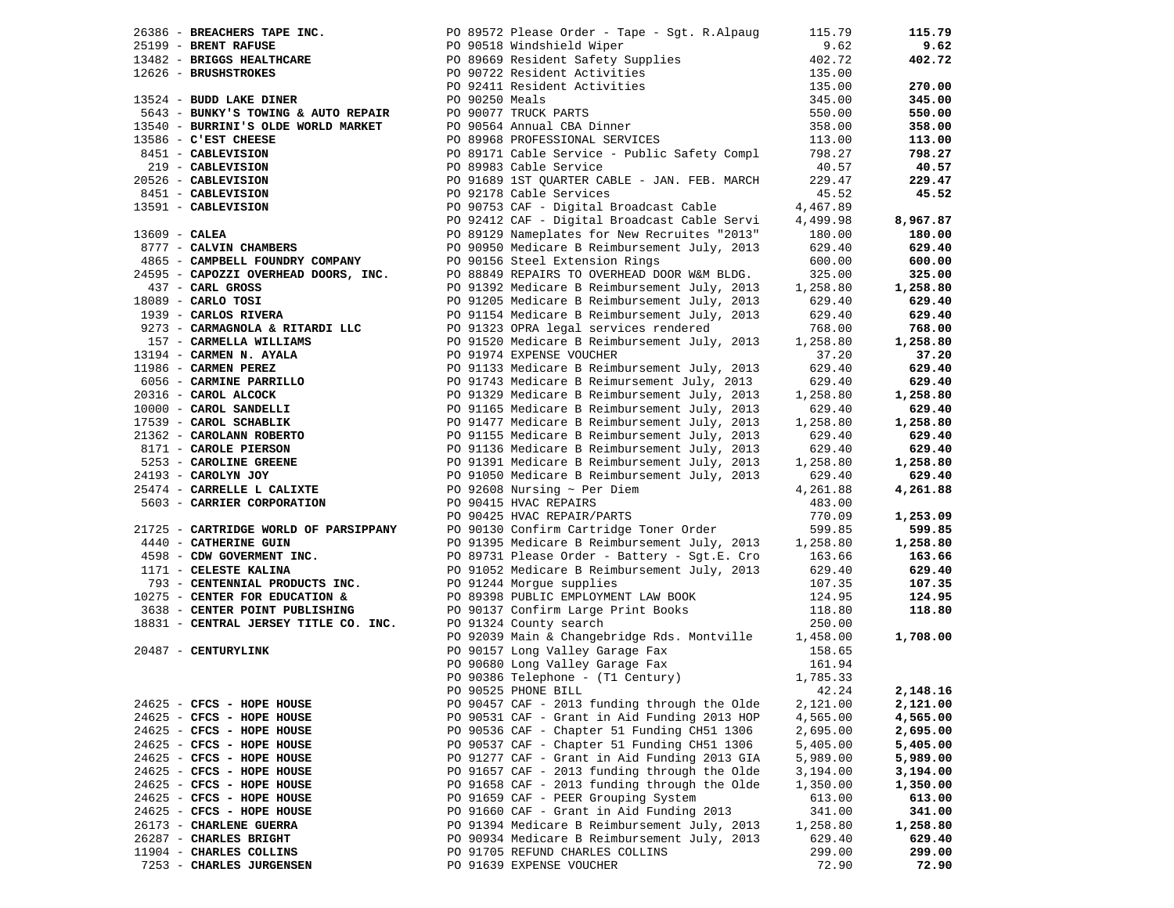|                                                                                                                                                                                                                               |                                                                                                                                                                                                                                         | 115.79          | 115.79   |
|-------------------------------------------------------------------------------------------------------------------------------------------------------------------------------------------------------------------------------|-----------------------------------------------------------------------------------------------------------------------------------------------------------------------------------------------------------------------------------------|-----------------|----------|
|                                                                                                                                                                                                                               | 26386 - BREACHERS TAPE INC.<br>25199 - BRENT RAFUSE 13482 - BRENT RAFUSE 13482 - BRIGGS HEALTHCARE 13482 - BRIGGS HEALTHCARE 15088 - PO 89669 Resident Safety Supplies                                                                  | 9.62            | 9.62     |
|                                                                                                                                                                                                                               |                                                                                                                                                                                                                                         | 402.72          | 402.72   |
| 12626 - BRUSHSTROKES                                                                                                                                                                                                          |                                                                                                                                                                                                                                         | 135.00          |          |
|                                                                                                                                                                                                                               | PO 90722 Resident Activities<br>PO 92411 Resident Activities                                                                                                                                                                            | 135.00          | 270.00   |
| 12626 - BRUSHSTROKES<br>13524 - BUDD LAKE DINER                                                                                                                                                                               |                                                                                                                                                                                                                                         | 345.00          | 345.00   |
|                                                                                                                                                                                                                               | 9043 - BUNKY'S TOWING & AUTO REPAIR<br>13540 - BURRINI'S OLDE WORLD MARKET<br>13586 - C'EST CHEESE<br>13586 - C'EST CHEESE<br>13586 - C'EST CHEESE<br>13586 - CABLEVISION<br>219 - CABLEVISION<br>219 - CABLEVISION                     | 550.00          | 550.00   |
|                                                                                                                                                                                                                               |                                                                                                                                                                                                                                         | 358.00          | 358.00   |
|                                                                                                                                                                                                                               |                                                                                                                                                                                                                                         | 113.00          | 113.00   |
|                                                                                                                                                                                                                               |                                                                                                                                                                                                                                         |                 |          |
|                                                                                                                                                                                                                               | PO 89171 Cable Service - Public Safety Compl<br>PO 89983 Cable Service                                                                                                                                                                  | 798.27<br>40.57 | 798.27   |
|                                                                                                                                                                                                                               |                                                                                                                                                                                                                                         |                 | 40.57    |
|                                                                                                                                                                                                                               | PO 91689 1ST QUARTER CABLE - JAN. FEB. MARCH                                                                                                                                                                                            | 229.47          | 229.47   |
|                                                                                                                                                                                                                               | PO 92178 Cable Services                                                                                                                                                                                                                 | 45.52           | 45.52    |
|                                                                                                                                                                                                                               | PO 90753 CAF - Digital Broadcast Cable                                                                                                                                                                                                  | 4,467.89        |          |
|                                                                                                                                                                                                                               | PO 92412 CAF - Digital Broadcast Cable Servi                                                                                                                                                                                            | 4,499.98        | 8,967.87 |
|                                                                                                                                                                                                                               | PO 89129 Nameplates for New Recruites "2013"                                                                                                                                                                                            | 180.00          | 180.00   |
| 13586 - C'EST CHEESE<br>8451 - CABLEVISION<br>219 - CABLEVISION<br>20526 - CABLEVISION<br>8451 - CABLEVISION<br>8451 - CABLEVISION<br>13591 - CABLEVISION<br>13609 - CALEA<br>877 - CALVIN CHAMBERS<br>1967 - CALVIN CHAMBERS | PO 90950 Medicare B Reimbursement July, 2013                                                                                                                                                                                            | 629.40          | 629.40   |
| 4865 - CAMPBELL FOUNDRY COMPANY PO 90156 Steel Extension Rings                                                                                                                                                                |                                                                                                                                                                                                                                         | 600.00          | 600.00   |
| 24595 - CAPOZZI OVERHEAD DOORS, INC.                                                                                                                                                                                          | PO 88849 REPAIRS TO OVERHEAD DOOR W&M BLDG.                                                                                                                                                                                             | 325.00          | 325.00   |
| 437 - CARL GROSS<br>1977 - CARLO TOSI<br>18089 - CARLO TOSI<br>1939 - CARLOS RIVERA                                                                                                                                           | PO 91392 Medicare B Reimbursement July, 2013                                                                                                                                                                                            | 1,258.80        | 1,258.80 |
| $18089$ - CARLO TOSI                                                                                                                                                                                                          | PO 91205 Medicare B Reimbursement July, 2013                                                                                                                                                                                            | 629.40          | 629.40   |
|                                                                                                                                                                                                                               | PO 91154 Medicare B Reimbursement July, 2013                                                                                                                                                                                            | 629.40          | 629.40   |
| 9273 - CARMAGNOLA & RITARDI LLC                                                                                                                                                                                               | PO 91323 OPRA legal services rendered                                                                                                                                                                                                   | 768.00          | 768.00   |
| 157 - CARMELLA WILLIAMS                                                                                                                                                                                                       | PO 91520 Medicare B Reimbursement July, 2013                                                                                                                                                                                            | 1,258.80        | 1,258.80 |
|                                                                                                                                                                                                                               |                                                                                                                                                                                                                                         | 37.20           | 37.20    |
|                                                                                                                                                                                                                               |                                                                                                                                                                                                                                         | 629.40          | 629.40   |
|                                                                                                                                                                                                                               |                                                                                                                                                                                                                                         | 629.40          | 629.40   |
|                                                                                                                                                                                                                               |                                                                                                                                                                                                                                         | 1,258.80        | 1,258.80 |
|                                                                                                                                                                                                                               |                                                                                                                                                                                                                                         | 629.40          | 629.40   |
|                                                                                                                                                                                                                               | And Property Mathematical CARMERY (S13)<br>1986 - CARMEN PEREZ PO 91974 EXPENSE VOUCHER<br>1986 - CARMEN PEREZ PO 91133 Nedicare B Reimbursement July, 2013<br>1986 - CARMINE PARRILLO PO 91133 Nedicare B Reimbursement July, 2013<br> | 1,258.80        | 1,258.80 |
|                                                                                                                                                                                                                               |                                                                                                                                                                                                                                         | 629.40          | 629.40   |
|                                                                                                                                                                                                                               |                                                                                                                                                                                                                                         | 629.40          | 629.40   |
|                                                                                                                                                                                                                               |                                                                                                                                                                                                                                         | 1,258.80        | 1,258.80 |
|                                                                                                                                                                                                                               |                                                                                                                                                                                                                                         | 629.40          | 629.40   |
|                                                                                                                                                                                                                               |                                                                                                                                                                                                                                         | 4,261.88        | 4,261.88 |
| 5603 - CARRIER CORPORATION                                                                                                                                                                                                    | PO 90415 HVAC REPAIRS                                                                                                                                                                                                                   | 483.00          |          |
|                                                                                                                                                                                                                               | PO 90425 HVAC REPAIR/PARTS                                                                                                                                                                                                              | 770.09          | 1,253.09 |
| 21725 - CARTRIDGE WORLD OF PARSIPPANY                                                                                                                                                                                         | PO 90130 Confirm Cartridge Toner Order                                                                                                                                                                                                  | 599.85          | 599.85   |
| 4440 - CATHERINE GUIN                                                                                                                                                                                                         | PO 91395 Medicare B Reimbursement July, 2013 1,258.80                                                                                                                                                                                   |                 | 1,258.80 |
| 4598 - CDW GOVERMENT INC.                                                                                                                                                                                                     | PO 89731 Please Order - Battery - Sgt.E. Cro                                                                                                                                                                                            | 163.66          | 163.66   |
| 1171 - CELESTE KALINA                                                                                                                                                                                                         | PO 91052 Medicare B Reimbursement July, 2013                                                                                                                                                                                            | 629.40          | 629.40   |
| 793 - CENTENNIAL PRODUCTS INC.                                                                                                                                                                                                | PO 91244 Morgue supplies                                                                                                                                                                                                                | 107.35          | 107.35   |
| 10275 - CENTER FOR EDUCATION &                                                                                                                                                                                                | PO 89398 PUBLIC EMPLOYMENT LAW BOOK<br>PO 90137 Confirm Large Print Books                                                                                                                                                               | 124.95          | 124.95   |
| 3638 - CENTER POINT PUBLISHING                                                                                                                                                                                                |                                                                                                                                                                                                                                         | 118.80          | 118.80   |
| 18831 - CENTRAL JERSEY TITLE CO. INC.                                                                                                                                                                                         | PO 91324 County search                                                                                                                                                                                                                  | 250.00          |          |
|                                                                                                                                                                                                                               | PO 92039 Main & Changebridge Rds. Montville 1,458.00                                                                                                                                                                                    |                 | 1,708.00 |
| 20487 - CENTURYLINK                                                                                                                                                                                                           | PO 90157 Long Valley Garage Fax<br>PO 90680 Long Valley Garage Fax                                                                                                                                                                      | 158.65          |          |
|                                                                                                                                                                                                                               |                                                                                                                                                                                                                                         | 161.94          |          |
|                                                                                                                                                                                                                               | PO 90386 Telephone - (T1 Century)                                                                                                                                                                                                       | 1,785.33        |          |
|                                                                                                                                                                                                                               | PO 90525 PHONE BILL                                                                                                                                                                                                                     | 42.24           | 2,148.16 |
| 24625 - CFCS - HOPE HOUSE                                                                                                                                                                                                     | PO 90457 CAF - 2013 funding through the Olde                                                                                                                                                                                            | 2,121.00        | 2,121.00 |
| 24625 - CFCS - HOPE HOUSE                                                                                                                                                                                                     | PO 90531 CAF - Grant in Aid Funding 2013 HOP                                                                                                                                                                                            | 4,565.00        | 4,565.00 |
| 24625 - CFCS - HOPE HOUSE                                                                                                                                                                                                     | PO 90536 CAF - Chapter 51 Funding CH51 1306                                                                                                                                                                                             | 2,695.00        | 2,695.00 |
| 24625 - CFCS - HOPE HOUSE                                                                                                                                                                                                     | PO 90537 CAF - Chapter 51 Funding CH51 1306                                                                                                                                                                                             | 5,405.00        | 5,405.00 |
| 24625 - CFCS - HOPE HOUSE                                                                                                                                                                                                     | PO 91277 CAF - Grant in Aid Funding 2013 GIA                                                                                                                                                                                            | 5,989.00        | 5,989.00 |
| 24625 - CFCS - HOPE HOUSE                                                                                                                                                                                                     | PO 91657 CAF - 2013 funding through the Olde                                                                                                                                                                                            | 3,194.00        | 3,194.00 |
| 24625 - CFCS - HOPE HOUSE                                                                                                                                                                                                     | PO 91658 CAF - 2013 funding through the Olde                                                                                                                                                                                            | 1,350.00        | 1,350.00 |
| 24625 - CFCS - HOPE HOUSE                                                                                                                                                                                                     | PO 91659 CAF - PEER Grouping System                                                                                                                                                                                                     | 613.00          | 613.00   |
| 24625 - CFCS - HOPE HOUSE                                                                                                                                                                                                     | PO 91660 CAF - Grant in Aid Funding 2013                                                                                                                                                                                                | 341.00          | 341.00   |
| 26173 - CHARLENE GUERRA                                                                                                                                                                                                       | PO 91394 Medicare B Reimbursement July, 2013                                                                                                                                                                                            | 1,258.80        | 1,258.80 |
| 26287 - CHARLES BRIGHT                                                                                                                                                                                                        | PO 90934 Medicare B Reimbursement July, 2013                                                                                                                                                                                            | 629.40          | 629.40   |
| 11904 - CHARLES COLLINS                                                                                                                                                                                                       | PO 91705 REFUND CHARLES COLLINS                                                                                                                                                                                                         | 299.00          | 299.00   |
| 7253 - CHARLES JURGENSEN                                                                                                                                                                                                      | PO 91639 EXPENSE VOUCHER                                                                                                                                                                                                                | 72.90           | 72.90    |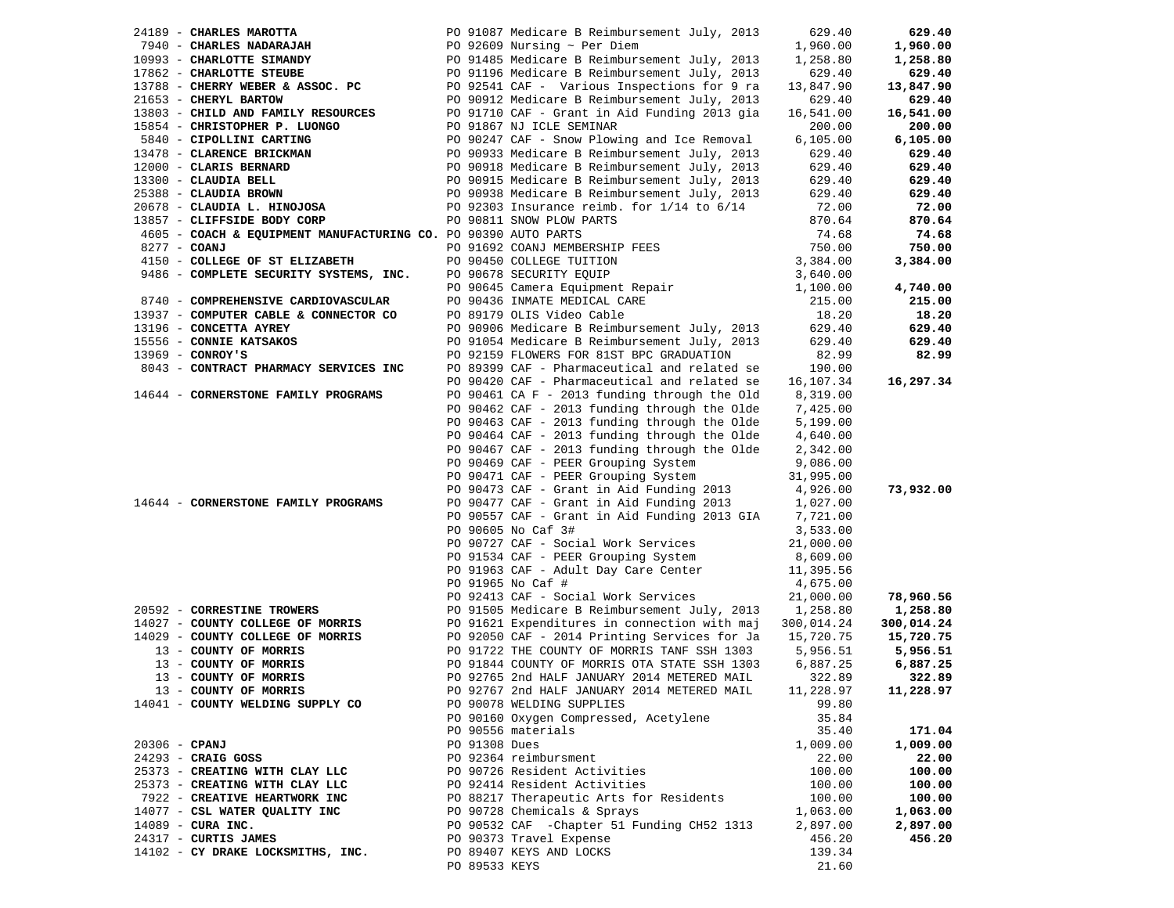|                 | 24189 - CHARLES MAROTTA                                                                                                                                        |               | PO 91087 Medicare B Reimbursement July, 2013                                                                                                                               | 629.40     | 629.40     |
|-----------------|----------------------------------------------------------------------------------------------------------------------------------------------------------------|---------------|----------------------------------------------------------------------------------------------------------------------------------------------------------------------------|------------|------------|
|                 | 7940 - CHARLES NADARAJAH                                                                                                                                       |               |                                                                                                                                                                            | 1,960.00   | 1,960.00   |
|                 | 10993 - CHARLOTTE SIMANDY                                                                                                                                      |               |                                                                                                                                                                            | 1,258.80   | 1,258.80   |
|                 | 17862 - CHARLOTTE STEUBE                                                                                                                                       |               |                                                                                                                                                                            | 629.40     | 629.40     |
|                 |                                                                                                                                                                |               | PO 92609 Nursing ~ Per Diem<br>PO 91485 Medicare B Reimbursement July, 2013<br>PO 91196 Medicare B Reimbursement July, 2013<br>PO 92541 CAF - Various Inspections for 9 ra |            |            |
|                 | 13788 - CHERRY WEBER & ASSOC. PC                                                                                                                               |               |                                                                                                                                                                            | 13,847.90  | 13,847.90  |
|                 | 21653 - CHERYL BARTOW                                                                                                                                          |               | PO 90912 Medicare B Reimbursement July, 2013                                                                                                                               | 629.40     | 629.40     |
|                 | 13803 - CHILD AND FAMILY RESOURCES                                                                                                                             |               | PO 91710 CAF - Grant in Aid Funding 2013 gia                                                                                                                               | 16,541.00  | 16,541.00  |
|                 | 15854 - CHRISTOPHER P. LUONGO                                                                                                                                  |               | PO 91867 NJ ICLE SEMINAR                                                                                                                                                   | 200.00     | 200.00     |
|                 | 5840 - CIPOLLINI CARTING                                                                                                                                       |               | PO 90247 CAF - Snow Plowing and Ice Removal                                                                                                                                | 6,105.00   | 6,105.00   |
|                 | 13478 - CLARENCE BRICKMAN                                                                                                                                      |               | PO 90933 Medicare B Reimbursement July, 2013                                                                                                                               | 629.40     | 629.40     |
|                 | 12000 - CLARIS BERNARD                                                                                                                                         |               | PO 90918 Medicare B Reimbursement July, 2013                                                                                                                               | 629.40     | 629.40     |
|                 |                                                                                                                                                                |               |                                                                                                                                                                            | 629.40     | 629.40     |
|                 | 13300 - CLAUDIA BELL <b>EXECUTE:</b> PO 90915 Medicare B Reimbursement July, 2013<br>25388 - CLAUDIA BROWN <b>PO 90938</b> Medicare B Reimbursement July, 2013 |               |                                                                                                                                                                            | 629.40     | 629.40     |
|                 | 20678 - CLAUDIA L. HINOJOSA                                                                                                                                    |               | PO 92303 Insurance reimb. for 1/14 to 6/14                                                                                                                                 | 72.00      | 72.00      |
|                 | 13857 - CLIFFSIDE BODY CORP                                                                                                                                    |               | PO 90811 SNOW PLOW PARTS                                                                                                                                                   | 870.64     | 870.64     |
|                 | 4605 - COACH & EQUIPMENT MANUFACTURING CO. PO 90390 AUTO PARTS                                                                                                 |               |                                                                                                                                                                            | 74.68      | 74.68      |
| 8277 - COANJ    |                                                                                                                                                                |               | PO 91692 COANJ MEMBERSHIP FEES                                                                                                                                             | 750.00     | 750.00     |
|                 | 4150 - COLLEGE OF ST ELIZABETH                                                                                                                                 |               | PO 90450 COLLEGE TUITION                                                                                                                                                   | 3,384.00   | 3,384.00   |
|                 |                                                                                                                                                                |               |                                                                                                                                                                            |            |            |
|                 | 9486 - COMPLETE SECURITY SYSTEMS, INC.                                                                                                                         |               |                                                                                                                                                                            | 3,640.00   |            |
|                 |                                                                                                                                                                |               | PO 90678 SECURITY EQUIP<br>PO 90678 SECURITY EQUIP<br>PO 90645 Camera Equipment Repair                                                                                     | 1,100.00   | 4,740.00   |
|                 | 8740 - COMPREHENSIVE CARDIOVASCULAR                                                                                                                            |               | PO 90436 INMATE MEDICAL CARE                                                                                                                                               | 215.00     | 215.00     |
|                 | 13937 - COMPUTER CABLE & CONNECTOR CO                                                                                                                          |               | PO 89179 OLIS Video Cable                                                                                                                                                  | 18.20      | 18.20      |
|                 | 13196 - CONCETTA AYREY                                                                                                                                         |               | PO 90906 Medicare B Reimbursement July, 2013                                                                                                                               | 629.40     | 629.40     |
|                 | 15556 - CONNIE KATSAKOS                                                                                                                                        |               | PO 91054 Medicare B Reimbursement July, 2013                                                                                                                               | 629.40     | 629.40     |
|                 | $13969$ - CONROY'S                                                                                                                                             |               | PO 92159 FLOWERS FOR 81ST BPC GRADUATION                                                                                                                                   | 82.99      | 82.99      |
|                 | 8043 - CONTRACT PHARMACY SERVICES INC                                                                                                                          |               | PO 89399 CAF - Pharmaceutical and related se                                                                                                                               | 190.00     |            |
|                 |                                                                                                                                                                |               | PO 90420 CAF - Pharmaceutical and related se                                                                                                                               | 16,107.34  | 16,297.34  |
|                 | 14644 - CORNERSTONE FAMILY PROGRAMS                                                                                                                            |               | PO 90461 CA F - 2013 funding through the Old                                                                                                                               | 8,319.00   |            |
|                 |                                                                                                                                                                |               | PO 90462 CAF - 2013 funding through the Olde                                                                                                                               | 7,425.00   |            |
|                 |                                                                                                                                                                |               | PO 90463 CAF - 2013 funding through the Olde                                                                                                                               | 5,199.00   |            |
|                 |                                                                                                                                                                |               | PO 90464 CAF - 2013 funding through the Olde                                                                                                                               | 4,640.00   |            |
|                 |                                                                                                                                                                |               | PO 90467 CAF - 2013 funding through the Olde                                                                                                                               | 2,342.00   |            |
|                 |                                                                                                                                                                |               | PO 90469 CAF - PEER Grouping System                                                                                                                                        | 9,086.00   |            |
|                 |                                                                                                                                                                |               | PO 90471 CAF - PEER Grouping System                                                                                                                                        | 31,995.00  |            |
|                 |                                                                                                                                                                |               | PO 90473 CAF - Grant in Aid Funding 2013                                                                                                                                   | 4,926.00   | 73,932.00  |
|                 |                                                                                                                                                                |               | PO 90477 CAF - Grant in Aid Funding 2013                                                                                                                                   |            |            |
|                 | 14644 - CORNERSTONE FAMILY PROGRAMS                                                                                                                            |               |                                                                                                                                                                            | 1,027.00   |            |
|                 |                                                                                                                                                                |               | PO 90557 CAF - Grant in Aid Funding 2013 GIA                                                                                                                               | 7,721.00   |            |
|                 |                                                                                                                                                                |               | PO 90605 No Caf 3#                                                                                                                                                         | 3,533.00   |            |
|                 |                                                                                                                                                                |               | PO 90727 CAF - Social Work Services                                                                                                                                        | 21,000.00  |            |
|                 |                                                                                                                                                                |               | PO 91534 CAF - PEER Grouping System                                                                                                                                        | 8,609.00   |            |
|                 |                                                                                                                                                                |               | PO 91963 CAF - Adult Day Care Center                                                                                                                                       | 11,395.56  |            |
|                 |                                                                                                                                                                |               | PO 91965 No Caf #                                                                                                                                                          | 4,675.00   |            |
|                 |                                                                                                                                                                |               | PO 92413 CAF - Social Work Services                                                                                                                                        | 21,000.00  | 78,960.56  |
|                 | 20592 - CORRESTINE TROWERS                                                                                                                                     |               | PO 91505 Medicare B Reimbursement July, 2013 1,258.80                                                                                                                      |            | 1,258.80   |
|                 | 14027 - COUNTY COLLEGE OF MORRIS                                                                                                                               |               | PO 91621 Expenditures in connection with maj                                                                                                                               | 300,014.24 | 300,014.24 |
|                 | 14029 - COUNTY COLLEGE OF MORRIS                                                                                                                               |               | PO 92050 CAF - 2014 Printing Services for Ja                                                                                                                               | 15,720.75  | 15,720.75  |
|                 | 13 - COUNTY OF MORRIS                                                                                                                                          |               | PO 91722 THE COUNTY OF MORRIS TANF SSH 1303                                                                                                                                | 5,956.51   | 5,956.51   |
|                 | 13 - COUNTY OF MORRIS                                                                                                                                          |               | PO 91844 COUNTY OF MORRIS OTA STATE SSH 1303                                                                                                                               | 6,887.25   | 6,887.25   |
|                 | 13 - COUNTY OF MORRIS                                                                                                                                          |               | PO 92765 2nd HALF JANUARY 2014 METERED MAIL                                                                                                                                | 322.89     | 322.89     |
|                 | 13 - COUNTY OF MORRIS                                                                                                                                          |               | PO 92767 2nd HALF JANUARY 2014 METERED MAIL                                                                                                                                | 11,228.97  | 11,228.97  |
|                 | 14041 - COUNTY WELDING SUPPLY CO                                                                                                                               |               | PO 90078 WELDING SUPPLIES                                                                                                                                                  | 99.80      |            |
|                 |                                                                                                                                                                |               | PO 90160 Oxygen Compressed, Acetylene                                                                                                                                      | 35.84      |            |
|                 |                                                                                                                                                                |               | PO 90556 materials                                                                                                                                                         | 35.40      | 171.04     |
| $20306$ - CPANJ |                                                                                                                                                                | PO 91308 Dues |                                                                                                                                                                            | 1,009.00   | 1,009.00   |
|                 | 24293 - CRAIG GOSS                                                                                                                                             |               | PO 92364 reimbursment                                                                                                                                                      | 22.00      | 22.00      |
|                 |                                                                                                                                                                |               |                                                                                                                                                                            |            |            |
|                 | 25373 - CREATING WITH CLAY LLC                                                                                                                                 |               | PO 90726 Resident Activities                                                                                                                                               | 100.00     | 100.00     |
|                 | 25373 - CREATING WITH CLAY LLC                                                                                                                                 |               | PO 92414 Resident Activities                                                                                                                                               | 100.00     | 100.00     |
|                 | 7922 - CREATIVE HEARTWORK INC                                                                                                                                  |               | PO 88217 Therapeutic Arts for Residents                                                                                                                                    | 100.00     | 100.00     |
|                 | 14077 - CSL WATER QUALITY INC                                                                                                                                  |               | PO 90728 Chemicals & Sprays                                                                                                                                                | 1,063.00   | 1,063.00   |
|                 | $14089$ - CURA INC.                                                                                                                                            |               | PO 90532 CAF - Chapter 51 Funding CH52 1313                                                                                                                                | 2,897.00   | 2,897.00   |
|                 | 24317 - CURTIS JAMES                                                                                                                                           |               | PO 90373 Travel Expense                                                                                                                                                    | 456.20     | 456.20     |
|                 | 14102 - CY DRAKE LOCKSMITHS, INC.                                                                                                                              |               | PO 89407 KEYS AND LOCKS                                                                                                                                                    | 139.34     |            |
|                 |                                                                                                                                                                | PO 89533 KEYS |                                                                                                                                                                            | 21.60      |            |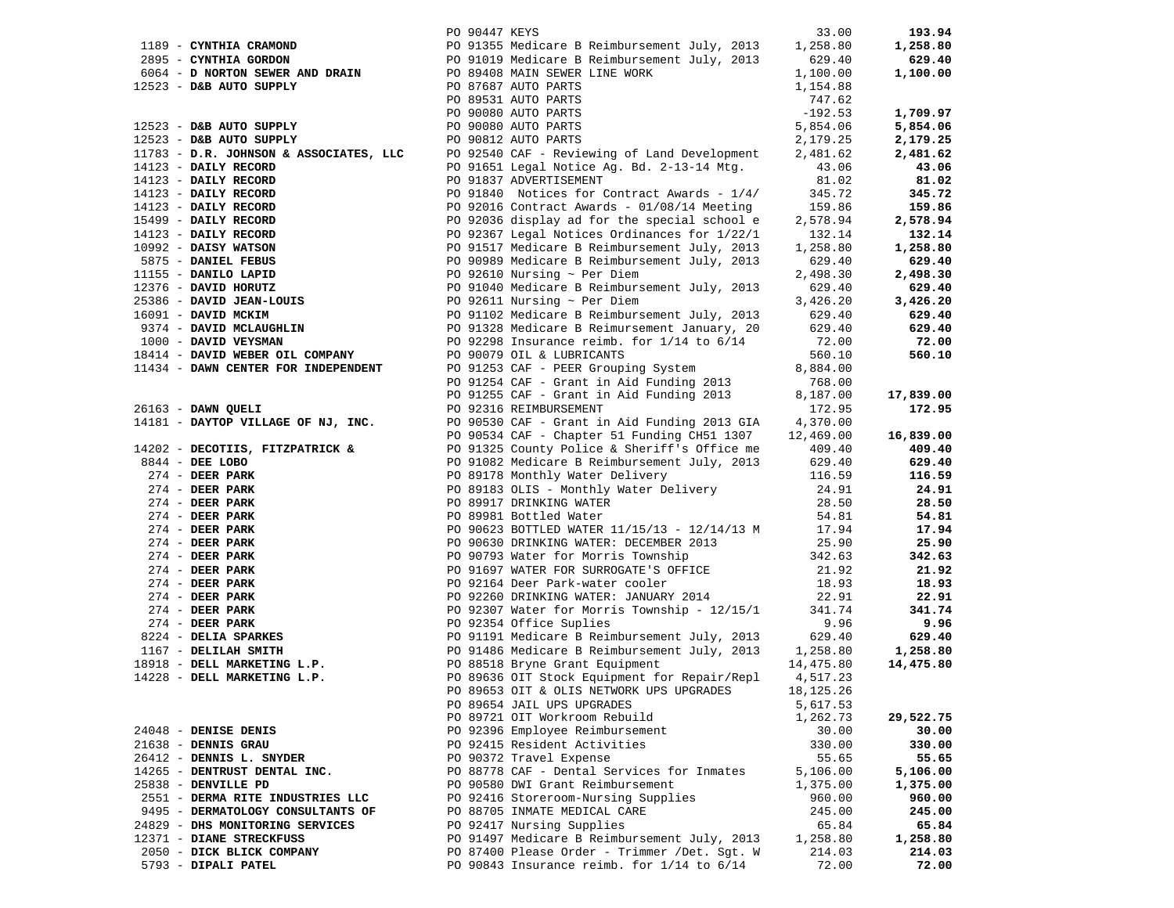|                                                                          | PO 90447 KEYS |                                                                                                                               | 33.00          | 193.94         |
|--------------------------------------------------------------------------|---------------|-------------------------------------------------------------------------------------------------------------------------------|----------------|----------------|
| 1189 - CYNTHIA CRAMOND                                                   |               | PO 91355 Medicare B Reimbursement July, 2013<br>PO 91355 Medicare B Reimbursement July, 2013<br>PO 89408 MAIN SEWER LINE WORK | 1,258.80       | 1,258.80       |
| 2895 - CYNTHIA GORDON                                                    |               |                                                                                                                               | 629.40         | 629.40         |
| 6064 - D NORTON SEWER AND DRAIN                                          |               |                                                                                                                               | 1,100.00       | 1,100.00       |
| 12523 - D&B AUTO SUPPLY                                                  |               | PO 87687 AUTO PARTS                                                                                                           | 1,154.88       |                |
|                                                                          |               | PO 89531 AUTO PARTS                                                                                                           | 747.62         |                |
|                                                                          |               | PO 90080 AUTO PARTS                                                                                                           | $-192.53$      | 1,709.97       |
| 12523 - D&B AUTO SUPPLY                                                  |               | PO 90080 AUTO PARTS                                                                                                           | 5,854.06       | 5,854.06       |
| 12523 - D&B AUTO SUPPLY                                                  |               | PO 90812 AUTO PARTS                                                                                                           | 2,179.25       | 2,179.25       |
| 11783 - D.R. JOHNSON & ASSOCIATES, LLC                                   |               | PO 92540 CAF - Reviewing of Land Development                                                                                  | 2,481.62       | 2,481.62       |
| 14123 - DAILY RECORD                                                     |               | PO 91651 Legal Notice Ag. Bd. 2-13-14 Mtg.                                                                                    | 43.06          | 43.06          |
| 14123 - DAILY RECORD                                                     |               | PO 91837 ADVERTISEMENT                                                                                                        | 81.02          | 81.02          |
| 14123 - DAILY RECORD                                                     |               | PO 91840 Notices for Contract Awards - 1/4/                                                                                   | 345.72         | 345.72         |
| 14123 - DAILY RECORD                                                     |               | PO 92016 Contract Awards - 01/08/14 Meeting                                                                                   | 159.86         | 159.86         |
| 15499 - DAILY RECORD                                                     |               | PO 92036 display ad for the special school e                                                                                  | 2,578.94       | 2,578.94       |
| $14123$ - DAILY RECORD                                                   |               | PO 92367 Legal Notices Ordinances for 1/22/1                                                                                  | 132.14         | 132.14         |
| 10992 - DAISY WATSON                                                     |               | PO 91517 Medicare B Reimbursement July, 2013                                                                                  | 1,258.80       | 1,258.80       |
| 5875 - DANIEL FEBUS                                                      |               | PO 90989 Medicare B Reimbursement July, 2013                                                                                  | 629.40         | 629.40         |
| 11155 - DANILO LAPID<br>12376 - DANILO LAPID<br>25386 - DAVID JEAN-LOUIS |               | PO 92610 Nursing $\sim$ Per Diem                                                                                              | 2,498.30       | 2,498.30       |
|                                                                          |               | PO 91040 Medicare B Reimbursement July, 2013                                                                                  | 629.40         | 629.40         |
|                                                                          |               | PO 92611 Nursing $\sim$ Per Diem                                                                                              | 3,426.20       | 3,426.20       |
| 16091 - DAVID MCKIM                                                      |               | PO 91102 Medicare B Reimbursement July, 2013                                                                                  | 629.40         | 629.40         |
| 9374 - DAVID MCLAUGHLIN                                                  |               | PO 91328 Medicare B Reimursement January, 20                                                                                  | 629.40         | 629.40         |
| 1000 - DAVID VEYSMAN                                                     |               | PO 92298 Insurance reimb. for $1/14$ to $6/14$                                                                                | 72.00          | 72.00          |
| 18414 - DAVID WEBER OIL COMPANY                                          |               | PO 90079 OIL & LUBRICANTS                                                                                                     | 560.10         | 560.10         |
| 11434 - DAWN CENTER FOR INDEPENDENT                                      |               | PO 91253 CAF - PEER Grouping System                                                                                           | 8,884.00       |                |
|                                                                          |               | PO 91254 CAF - Grant in Aid Funding 2013                                                                                      | 768.00         |                |
|                                                                          |               | PO 91255 CAF - Grant in Aid Funding 2013                                                                                      | 8,187.00       | 17,839.00      |
| 26163 - DAWN QUELI                                                       |               | PO 92316 REIMBURSEMENT                                                                                                        | 172.95         | 172.95         |
| 14181 - DAYTOP VILLAGE OF NJ, INC.                                       |               | PO 90530 CAF - Grant in Aid Funding 2013 GIA                                                                                  | 4,370.00       |                |
|                                                                          |               | PO 90534 CAF - Chapter 51 Funding CH51 1307                                                                                   | 12,469.00      | 16,839.00      |
| 14202 - DECOTIIS, FITZPATRICK &                                          |               | PO 91325 County Police & Sheriff's Office me                                                                                  | 409.40         | 409.40         |
| 8844 - DEE LOBO                                                          |               | PO 91082 Medicare B Reimbursement July, 2013                                                                                  | 629.40         | 629.40         |
| $274$ - DEER PARK                                                        |               | PO 89178 Monthly Water Delivery                                                                                               | 116.59         | 116.59         |
| $274$ - DEER PARK                                                        |               | PO 89183 OLIS - Monthly Water Delivery                                                                                        | 24.91          | 24.91          |
| $274$ - DEER PARK                                                        |               | PO 89917 DRINKING WATER                                                                                                       | 28.50          | 28.50          |
| $274$ - DEER PARK<br>$274$ - DEER PARK                                   |               | PO 89981 Bottled Water                                                                                                        | 54.81          | 54.81          |
| $274$ - DEER PARK                                                        |               | PO 90623 BOTTLED WATER 11/15/13 - 12/14/13 M<br>PO 90630 DRINKING WATER: DECEMBER 2013                                        | 17.94<br>25.90 | 17.94<br>25.90 |
| $274$ - DEER PARK                                                        |               | PO 90793 Water for Morris Township                                                                                            | 342.63         | 342.63         |
| $274$ - DEER PARK                                                        |               | PO 91697 WATER FOR SURROGATE'S OFFICE                                                                                         | 21.92          | 21.92          |
| $274$ - DEER PARK                                                        |               | PO 92164 Deer Park-water cooler                                                                                               | 18.93          | 18.93          |
| $274$ - DEER PARK                                                        |               | PO 92260 DRINKING WATER: JANUARY 2014                                                                                         | 22.91          | 22.91          |
| $274$ - DEER PARK                                                        |               | PO 92307 Water for Morris Township - 12/15/1                                                                                  | 341.74         | 341.74         |
| $274$ - DEER PARK                                                        |               | PO 92354 Office Suplies                                                                                                       | 9.96           | 9.96           |
| 8224 - DELIA SPARKES                                                     |               | PO 91191 Medicare B Reimbursement July, 2013                                                                                  | 629.40         | 629.40         |
| 1167 - DELILAH SMITH                                                     |               | PO 91486 Medicare B Reimbursement July, 2013                                                                                  | 1,258.80       | 1,258.80       |
| 18918 - DELL MARKETING L.P.                                              |               | PO 88518 Bryne Grant Equipment                                                                                                | 14,475.80      | 14,475.80      |
| 14228 - DELL MARKETING L.P.                                              |               | PO 89636 OIT Stock Equipment for Repair/Repl                                                                                  | 4,517.23       |                |
|                                                                          |               | PO 89653 OIT & OLIS NETWORK UPS UPGRADES                                                                                      | 18,125.26      |                |
|                                                                          |               | PO 89654 JAIL UPS UPGRADES                                                                                                    | 5,617.53       |                |
|                                                                          |               | PO 89721 OIT Workroom Rebuild                                                                                                 | 1,262.73       | 29,522.75      |
| 24048 - DENISE DENIS                                                     |               | PO 92396 Employee Reimbursement                                                                                               | 30.00          | 30.00          |
| 21638 - DENNIS GRAU                                                      |               | PO 92415 Resident Activities                                                                                                  | 330.00         | 330.00         |
| 26412 - DENNIS L. SNYDER                                                 |               | PO 90372 Travel Expense                                                                                                       | 55.65          | 55.65          |
| 14265 - DENTRUST DENTAL INC.                                             |               | PO 88778 CAF - Dental Services for Inmates                                                                                    | 5,106.00       | 5,106.00       |
| 25838 - DENVILLE PD                                                      |               | PO 90580 DWI Grant Reimbursement                                                                                              | 1,375.00       | 1,375.00       |
| 2551 - DERMA RITE INDUSTRIES LLC                                         |               | PO 92416 Storeroom-Nursing Supplies                                                                                           | 960.00         | 960.00         |
| 9495 - DERMATOLOGY CONSULTANTS OF                                        |               | PO 88705 INMATE MEDICAL CARE                                                                                                  | 245.00         | 245.00         |
| 24829 - DHS MONITORING SERVICES                                          |               | PO 92417 Nursing Supplies                                                                                                     | 65.84          | 65.84          |
| 12371 - DIANE STRECKFUSS                                                 |               | PO 91497 Medicare B Reimbursement July, 2013                                                                                  | 1,258.80       | 1,258.80       |
| 2050 - DICK BLICK COMPANY                                                |               | PO 87400 Please Order - Trimmer /Det. Sgt. W                                                                                  | 214.03         | 214.03         |
| 5793 - DIPALI PATEL                                                      |               | PO 90843 Insurance reimb. for 1/14 to 6/14                                                                                    | 72.00          | 72.00          |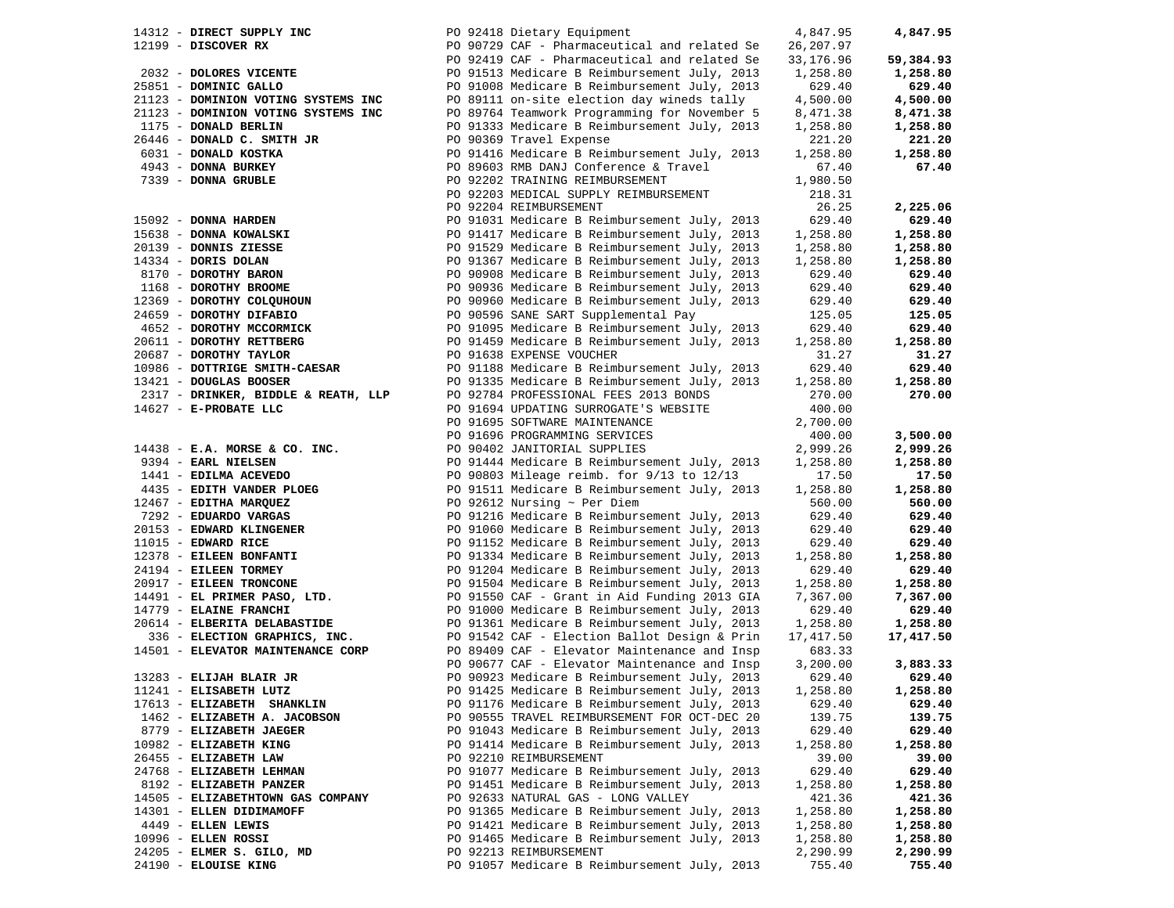| 14312 - DIRECT SUPPLY INC           | PO 92418 Dietary Equipment                   | 4,847.95  | 4,847.95  |
|-------------------------------------|----------------------------------------------|-----------|-----------|
| $12199$ - DISCOVER RX               | PO 90729 CAF - Pharmaceutical and related Se | 26,207.97 |           |
|                                     | PO 92419 CAF - Pharmaceutical and related Se | 33,176.96 | 59,384.93 |
| 2032 - DOLORES VICENTE              | PO 91513 Medicare B Reimbursement July, 2013 | 1,258.80  | 1,258.80  |
| 25851 - DOMINIC GALLO               | PO 91008 Medicare B Reimbursement July, 2013 | 629.40    | 629.40    |
| 21123 - DOMINION VOTING SYSTEMS INC | PO 89111 on-site election day wineds tally   | 4,500.00  | 4,500.00  |
| 21123 - DOMINION VOTING SYSTEMS INC | PO 89764 Teamwork Programming for November 5 | 8,471.38  | 8,471.38  |
| 1175 - DONALD BERLIN                | PO 91333 Medicare B Reimbursement July, 2013 | 1,258.80  | 1,258.80  |
| 26446 - DONALD C. SMITH JR          | PO 90369 Travel Expense                      | 221.20    | 221.20    |
| 6031 - DONALD KOSTKA                | PO 91416 Medicare B Reimbursement July, 2013 | 1,258.80  | 1,258.80  |
|                                     |                                              |           |           |
| 4943 - DONNA BURKEY                 | PO 89603 RMB DANJ Conference & Travel        | 67.40     | 67.40     |
| 7339 - DONNA GRUBLE                 | PO 92202 TRAINING REIMBURSEMENT              | 1,980.50  |           |
|                                     | PO 92203 MEDICAL SUPPLY REIMBURSEMENT        | 218.31    |           |
|                                     | PO 92204 REIMBURSEMENT                       | 26.25     | 2,225.06  |
| 15092 - DONNA HARDEN                | PO 91031 Medicare B Reimbursement July, 2013 | 629.40    | 629.40    |
| 15638 - DONNA KOWALSKI              | PO 91417 Medicare B Reimbursement July, 2013 | 1,258.80  | 1,258.80  |
| 20139 - DONNIS ZIESSE               | PO 91529 Medicare B Reimbursement July, 2013 | 1,258.80  | 1,258.80  |
| 14334 - DORIS DOLAN                 | PO 91367 Medicare B Reimbursement July, 2013 | 1,258.80  | 1,258.80  |
| 8170 - DOROTHY BARON                | PO 90908 Medicare B Reimbursement July, 2013 | 629.40    | 629.40    |
| 1168 - DOROTHY BROOME               | PO 90936 Medicare B Reimbursement July, 2013 | 629.40    | 629.40    |
| 12369 - DOROTHY COLQUHOUN           | PO 90960 Medicare B Reimbursement July, 2013 | 629.40    | 629.40    |
| 24659 - DOROTHY DIFABIO             | PO 90596 SANE SART Supplemental Pay          | 125.05    | 125.05    |
| 4652 - DOROTHY MCCORMICK            |                                              |           |           |
|                                     | PO 91095 Medicare B Reimbursement July, 2013 | 629.40    | 629.40    |
| 20611 - DOROTHY RETTBERG            | PO 91459 Medicare B Reimbursement July, 2013 | 1,258.80  | 1,258.80  |
| 20687 - DOROTHY TAYLOR              | PO 91638 EXPENSE VOUCHER                     | 31.27     | 31.27     |
| 10986 - DOTTRIGE SMITH-CAESAR       | PO 91188 Medicare B Reimbursement July, 2013 | 629.40    | 629.40    |
| 13421 - DOUGLAS BOOSER              | PO 91335 Medicare B Reimbursement July, 2013 | 1,258.80  | 1,258.80  |
| 2317 - DRINKER, BIDDLE & REATH, LLP | PO 92784 PROFESSIONAL FEES 2013 BONDS        | 270.00    | 270.00    |
| 14627 - E-PROBATE LLC               | PO 91694 UPDATING SURROGATE'S WEBSITE        | 400.00    |           |
|                                     | PO 91695 SOFTWARE MAINTENANCE                | 2,700.00  |           |
|                                     | PO 91696 PROGRAMMING SERVICES                | 400.00    | 3,500.00  |
| $14438$ - E.A. MORSE & CO. INC.     | PO 90402 JANITORIAL SUPPLIES                 | 2,999.26  | 2,999.26  |
| 9394 - EARL NIELSEN                 | PO 91444 Medicare B Reimbursement July, 2013 | 1,258.80  | 1,258.80  |
| 1441 - EDILMA ACEVEDO               | PO 90803 Mileage reimb. for 9/13 to 12/13    | 17.50     | 17.50     |
| 4435 - EDITH VANDER PLOEG           | PO 91511 Medicare B Reimbursement July, 2013 | 1,258.80  | 1,258.80  |
| 12467 - EDITHA MARQUEZ              | PO 92612 Nursing $\sim$ Per Diem             | 560.00    | 560.00    |
| 7292 - EDUARDO VARGAS               | PO 91216 Medicare B Reimbursement July, 2013 | 629.40    | 629.40    |
| 20153 - EDWARD KLINGENER            | PO 91060 Medicare B Reimbursement July, 2013 | 629.40    | 629.40    |
| 11015 - EDWARD RICE                 | PO 91152 Medicare B Reimbursement July, 2013 | 629.40    | 629.40    |
| 12378 - EILEEN BONFANTI             |                                              |           |           |
|                                     | PO 91334 Medicare B Reimbursement July, 2013 | 1,258.80  | 1,258.80  |
| 24194 - EILEEN TORMEY               | PO 91204 Medicare B Reimbursement July, 2013 | 629.40    | 629.40    |
| 20917 - EILEEN TRONCONE             | PO 91504 Medicare B Reimbursement July, 2013 | 1,258.80  | 1,258.80  |
| 14491 - EL PRIMER PASO, LTD.        | PO 91550 CAF - Grant in Aid Funding 2013 GIA | 7,367.00  | 7,367.00  |
| 14779 - ELAINE FRANCHI              | PO 91000 Medicare B Reimbursement July, 2013 | 629.40    | 629.40    |
| 20614 - ELBERITA DELABASTIDE        | PO 91361 Medicare B Reimbursement July, 2013 | 1,258.80  | 1,258.80  |
| 336 - ELECTION GRAPHICS, INC.       | PO 91542 CAF - Election Ballot Design & Prin | 17,417.50 | 17,417.50 |
| 14501 - ELEVATOR MAINTENANCE CORP   | PO 89409 CAF - Elevator Maintenance and Insp | 683.33    |           |
|                                     | PO 90677 CAF - Elevator Maintenance and Insp | 3,200.00  | 3,883.33  |
| 13283 - ELIJAH BLAIR JR             | PO 90923 Medicare B Reimbursement July, 2013 | 629.40    | 629.40    |
| 11241 - ELISABETH LUTZ              | PO 91425 Medicare B Reimbursement July, 2013 | 1,258.80  | 1,258.80  |
| 17613 - ELIZABETH SHANKLIN          | PO 91176 Medicare B Reimbursement July, 2013 | 629.40    | 629.40    |
| 1462 - ELIZABETH A. JACOBSON        | PO 90555 TRAVEL REIMBURSEMENT FOR OCT-DEC 20 | 139.75    | 139.75    |
| 8779 - ELIZABETH JAEGER             | PO 91043 Medicare B Reimbursement July, 2013 | 629.40    | 629.40    |
| 10982 - ELIZABETH KING              | PO 91414 Medicare B Reimbursement July, 2013 | 1,258.80  | 1,258.80  |
| 26455 - ELIZABETH LAW               | PO 92210 REIMBURSEMENT                       | 39.00     | 39.00     |
| 24768 - ELIZABETH LEHMAN            | PO 91077 Medicare B Reimbursement July, 2013 | 629.40    | 629.40    |
|                                     |                                              |           |           |
| 8192 - ELIZABETH PANZER             | PO 91451 Medicare B Reimbursement July, 2013 | 1,258.80  | 1,258.80  |
| 14505 - ELIZABETHTOWN GAS COMPANY   | PO 92633 NATURAL GAS - LONG VALLEY           | 421.36    | 421.36    |
| 14301 - ELLEN DIDIMAMOFF            | PO 91365 Medicare B Reimbursement July, 2013 | 1,258.80  | 1,258.80  |
| 4449 - ELLEN LEWIS                  | PO 91421 Medicare B Reimbursement July, 2013 | 1,258.80  | 1,258.80  |
| $10996$ - ELLEN ROSSI               | PO 91465 Medicare B Reimbursement July, 2013 | 1,258.80  | 1,258.80  |
| 24205 - ELMER S. GILO, MD           | PO 92213 REIMBURSEMENT                       | 2,290.99  | 2,290.99  |
| 24190 - ELOUISE KING                | PO 91057 Medicare B Reimbursement July, 2013 | 755.40    | 755.40    |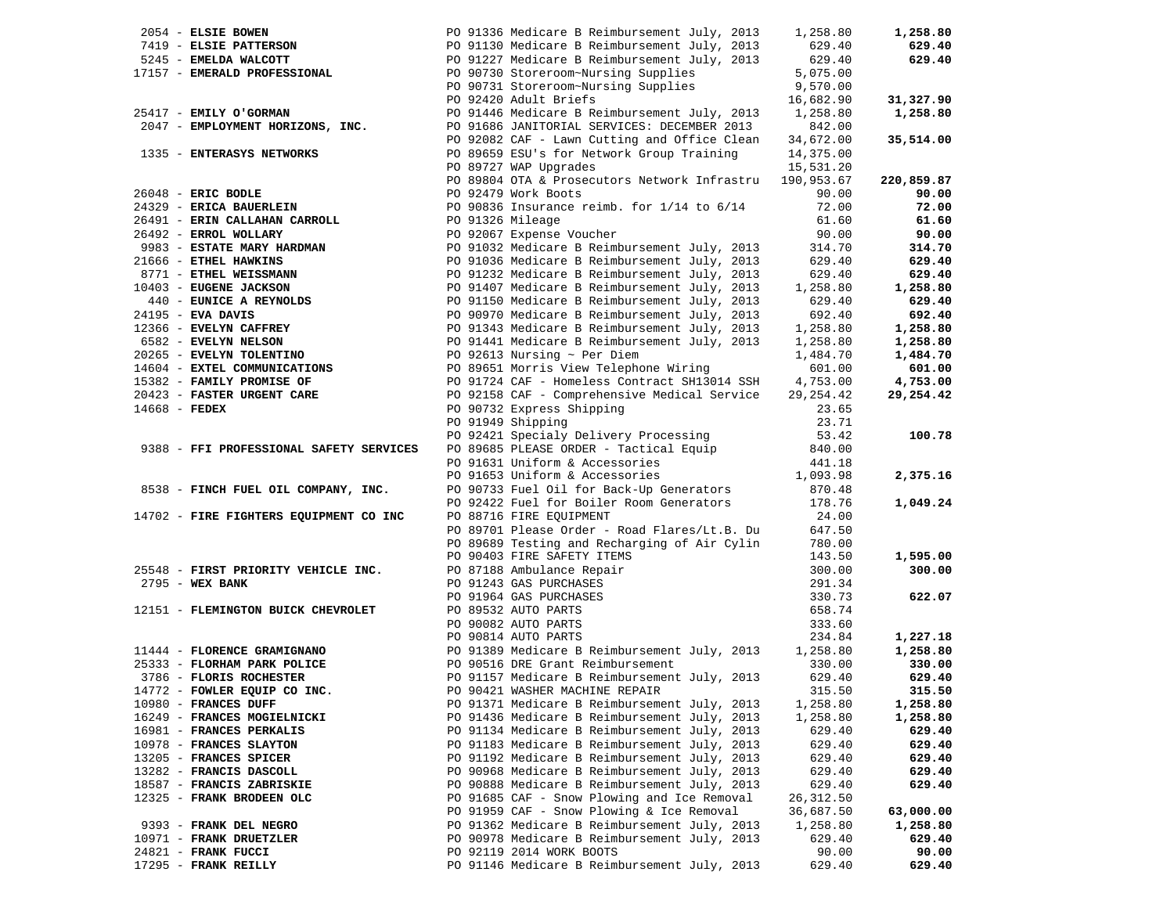|               | 2054 - ELSIE BOWEN                              |                  | PO 91336 Medicare B Reimbursement July, 2013                                                 | 1,258.80   | 1,258.80   |
|---------------|-------------------------------------------------|------------------|----------------------------------------------------------------------------------------------|------------|------------|
|               | 7419 - ELSIE PATTERSON<br>5245 - EMELDA WALCOTT |                  | PO 91130 Medicare B Reimbursement July, 2013<br>PO 91227 Medicare B Reimbursement July, 2013 | 629.40     | 629.40     |
|               |                                                 |                  |                                                                                              | 629.40     | 629.40     |
|               | 17157 - EMERALD PROFESSIONAL                    |                  | PO 90730 Storeroom~Nursing Supplies                                                          | 5,075.00   |            |
|               |                                                 |                  | PO 90731 Storeroom~Nursing Supplies                                                          | 9,570.00   |            |
|               |                                                 |                  | PO 92420 Adult Briefs                                                                        | 16,682.90  | 31,327.90  |
|               | 25417 - EMILY O'GORMAN                          |                  | PO 91446 Medicare B Reimbursement July, 2013                                                 | 1,258.80   | 1,258.80   |
|               | 2047 - EMPLOYMENT HORIZONS, INC.                |                  | PO 91686 JANITORIAL SERVICES: DECEMBER 2013                                                  | 842.00     |            |
|               |                                                 |                  | PO 92082 CAF - Lawn Cutting and Office Clean                                                 | 34,672.00  | 35,514.00  |
|               | 1335 - ENTERASYS NETWORKS                       |                  | PO 89659 ESU's for Network Group Training                                                    | 14,375.00  |            |
|               |                                                 |                  | PO 89727 WAP Upgrades                                                                        | 15,531.20  |            |
|               |                                                 |                  | PO 89804 OTA & Prosecutors Network Infrastru                                                 | 190,953.67 | 220,859.87 |
|               | $26048$ - ERIC BODLE                            |                  | PO 92479 Work Boots                                                                          | 90.00      | 90.00      |
|               | 24329 - ERICA BAUERLEIN                         |                  | PO 90836 Insurance reimb. for $1/14$ to $6/14$                                               | 72.00      | 72.00      |
|               | 26491 - ERIN CALLAHAN CARROLL                   | PO 91326 Mileage |                                                                                              | 61.60      | 61.60      |
|               | 26492 - ERROL WOLLARY                           |                  | PO 92067 Expense Voucher                                                                     | 90.00      | 90.00      |
|               | 9983 - ESTATE MARY HARDMAN                      |                  | PO 91032 Medicare B Reimbursement July, 2013                                                 | 314.70     | 314.70     |
|               | 21666 - ETHEL HAWKINS                           |                  | PO 91036 Medicare B Reimbursement July, 2013                                                 | 629.40     | 629.40     |
|               | 8771 - ETHEL WEISSMANN                          |                  | PO 91232 Medicare B Reimbursement July, 2013                                                 | 629.40     | 629.40     |
|               | 10403 - EUGENE JACKSON                          |                  | PO 91407 Medicare B Reimbursement July, 2013                                                 | 1,258.80   | 1,258.80   |
|               | 440 - EUNICE A REYNOLDS                         |                  | PO 91150 Medicare B Reimbursement July, 2013                                                 | 629.40     | 629.40     |
|               | 24195 - EVA DAVIS                               |                  | PO 90970 Medicare B Reimbursement July, 2013                                                 | 692.40     | 692.40     |
|               | 12366 - EVELYN CAFFREY                          |                  | PO 91343 Medicare B Reimbursement July, 2013                                                 | 1,258.80   | 1,258.80   |
|               | 6582 - EVELYN NELSON                            |                  | PO 91441 Medicare B Reimbursement July, 2013                                                 | 1,258.80   | 1,258.80   |
|               | 20265 - EVELYN TOLENTINO                        |                  | PO 92613 Nursing $\sim$ Per Diem                                                             | 1,484.70   | 1,484.70   |
|               | 14604 - EXTEL COMMUNICATIONS                    |                  | PO 89651 Morris View Telephone Wiring                                                        | 601.00     | 601.00     |
|               | 15382 - FAMILY PROMISE OF                       |                  | PO 91724 CAF - Homeless Contract SH13014 SSH                                                 | 4,753.00   | 4,753.00   |
|               | 20423 - FASTER URGENT CARE                      |                  | PO 92158 CAF - Comprehensive Medical Service                                                 | 29, 254.42 | 29,254.42  |
| 14668 - FEDEX |                                                 |                  | PO 90732 Express Shipping                                                                    | 23.65      |            |
|               |                                                 |                  | PO 91949 Shipping                                                                            | 23.71      |            |
|               |                                                 |                  | PO 92421 Specialy Delivery Processing                                                        | 53.42      | 100.78     |
|               | 9388 - FFI PROFESSIONAL SAFETY SERVICES         |                  | PO 89685 PLEASE ORDER - Tactical Equip                                                       | 840.00     |            |
|               |                                                 |                  |                                                                                              | 441.18     |            |
|               |                                                 |                  | PU 91631 Unitorm & Accessories<br>PO 91653 Uniform & Accessories                             | 1,093.98   | 2,375.16   |
|               | 8538 - FINCH FUEL OIL COMPANY, INC.             |                  | PO 90733 Fuel Oil for Back-Up Generators                                                     | 870.48     |            |
|               |                                                 |                  | PO 92422 Fuel for Boiler Room Generators                                                     | 178.76     | 1,049.24   |
|               | 14702 - FIRE FIGHTERS EQUIPMENT CO INC          |                  | PO 88716 FIRE EQUIPMENT                                                                      | 24.00      |            |
|               |                                                 |                  | PO 89701 Please Order - Road Flares/Lt.B. Du                                                 | 647.50     |            |
|               |                                                 |                  | PO 89689 Testing and Recharging of Air Cylin                                                 | 780.00     |            |
|               |                                                 |                  | PO 90403 FIRE SAFETY ITEMS                                                                   | 143.50     | 1,595.00   |
|               | 25548 - FIRST PRIORITY VEHICLE INC.             |                  | PO 87188 Ambulance Repair                                                                    | 300.00     | 300.00     |
|               | $2795 - WEX$ BANK                               |                  | PO 91243 GAS PURCHASES                                                                       | 291.34     |            |
|               |                                                 |                  | PO 91964 GAS PURCHASES                                                                       | 330.73     | 622.07     |
|               | 12151 - FLEMINGTON BUICK CHEVROLET              |                  | PO 89532 AUTO PARTS                                                                          | 658.74     |            |
|               |                                                 |                  | PO 90082 AUTO PARTS                                                                          | 333.60     |            |
|               |                                                 |                  | PO 90814 AUTO PARTS                                                                          | 234.84     | 1,227.18   |
|               | 11444 - FLORENCE GRAMIGNANO                     |                  | PO 91389 Medicare B Reimbursement July, 2013                                                 | 1,258.80   | 1,258.80   |
|               | 25333 - FLORHAM PARK POLICE                     |                  | PO 90516 DRE Grant Reimbursement                                                             | 330.00     | 330.00     |
|               | 3786 - FLORIS ROCHESTER                         |                  | PO 91157 Medicare B Reimbursement July, 2013                                                 | 629.40     | 629.40     |
|               | 14772 - FOWLER EQUIP CO INC.                    |                  | PO 90421 WASHER MACHINE REPAIR                                                               | 315.50     | 315.50     |
|               | 10980 - FRANCES DUFF                            |                  | PO 91371 Medicare B Reimbursement July, 2013                                                 | 1,258.80   | 1,258.80   |
|               | 16249 - FRANCES MOGIELNICKI                     |                  | PO 91436 Medicare B Reimbursement July, 2013                                                 | 1,258.80   | 1,258.80   |
|               | 16981 - FRANCES PERKALIS                        |                  | PO 91134 Medicare B Reimbursement July, 2013                                                 | 629.40     | 629.40     |
|               | 10978 - FRANCES SLAYTON                         |                  | PO 91183 Medicare B Reimbursement July, 2013                                                 | 629.40     | 629.40     |
|               | 13205 - FRANCES SPICER                          |                  | PO 91192 Medicare B Reimbursement July, 2013                                                 | 629.40     | 629.40     |
|               | 13282 - FRANCIS DASCOLL                         |                  | PO 90968 Medicare B Reimbursement July, 2013                                                 | 629.40     | 629.40     |
|               | 18587 - FRANCIS ZABRISKIE                       |                  | PO 90888 Medicare B Reimbursement July, 2013                                                 | 629.40     | 629.40     |
|               | 12325 - FRANK BRODEEN OLC                       |                  | PO 91685 CAF - Snow Plowing and Ice Removal                                                  | 26, 312.50 |            |
|               |                                                 |                  | PO 91959 CAF - Snow Plowing & Ice Removal                                                    | 36,687.50  | 63,000.00  |
|               | 9393 - FRANK DEL NEGRO                          |                  | PO 91362 Medicare B Reimbursement July, 2013                                                 | 1,258.80   | 1,258.80   |
|               | 10971 - FRANK DRUETZLER                         |                  | PO 90978 Medicare B Reimbursement July, 2013                                                 | 629.40     | 629.40     |
|               | 24821 - FRANK FUCCI                             |                  | PO 92119 2014 WORK BOOTS                                                                     | 90.00      | 90.00      |
|               | 17295 - FRANK REILLY                            |                  | PO 91146 Medicare B Reimbursement July, 2013                                                 | 629.40     | 629.40     |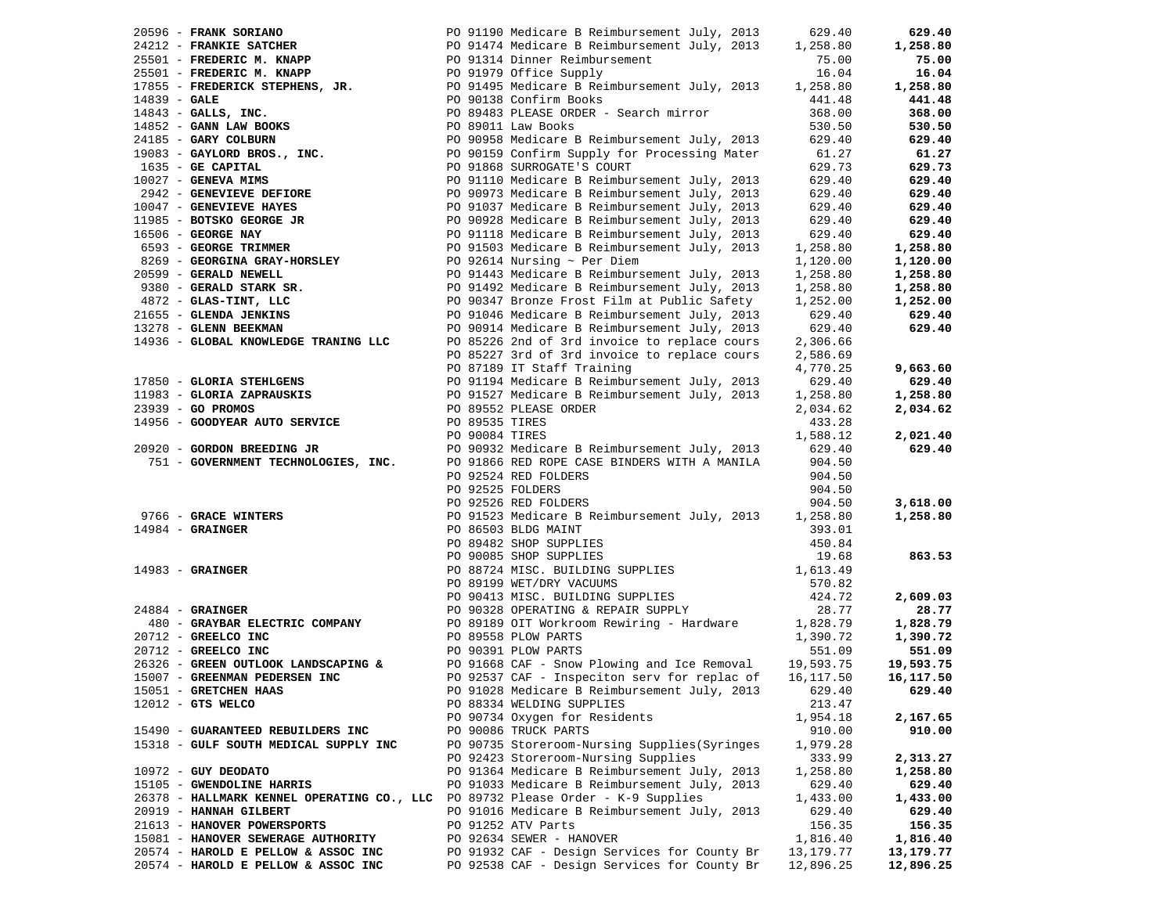| 20596 - FRANK SORIANO  |                                                           | PO 91190 Medicare B Reimbursement July, 2013                                                                                                                                                 | 629.40      | 629.40    |
|------------------------|-----------------------------------------------------------|----------------------------------------------------------------------------------------------------------------------------------------------------------------------------------------------|-------------|-----------|
|                        |                                                           |                                                                                                                                                                                              | 1,258.80    | 1,258.80  |
|                        |                                                           | 24212 - FRANKIE SATCHER<br>25501 - FREDERIC M. KNAPP (2013) PO 91474 Medicare B Reimbursement July, 2013<br>25501 - FREDERIC M. KNAPP (2019) PO 91979 Office Supply                          | 75.00       | 75.00     |
|                        |                                                           |                                                                                                                                                                                              | 16.04       | 16.04     |
|                        |                                                           | 17855 - <b>FREDERICK STEPHENS, JR.</b> PO 91495 Medicare B Reimbursement July, 2013                                                                                                          | 1,258.80    | 1,258.80  |
| $14839 - GALE$         |                                                           | PO 90138 Confirm Books                                                                                                                                                                       | 441.48      | 441.48    |
|                        | $14843$ - GALLS, INC.                                     | PO 89483 PLEASE ORDER - Search mirror                                                                                                                                                        | 368.00      | 368.00    |
|                        | 14852 - GANN LAW BOOKS                                    |                                                                                                                                                                                              | 530.50      | 530.50    |
|                        | 24185 - GARY COLBURN                                      | PO 89011 Law Books<br>PO 90958 Medicare B Reimbursement July, 2013                                                                                                                           | 629.40      | 629.40    |
|                        | 19083 - GAYLORD BROS., INC.                               | PO 90159 Confirm Supply for Processing Mater                                                                                                                                                 | 61.27       | 61.27     |
| 1635 - GE CAPITAL      |                                                           | PO 91868 SURROGATE'S COURT                                                                                                                                                                   | 629.73      | 629.73    |
| $10027$ - GENEVA MIMS  |                                                           |                                                                                                                                                                                              | 629.40      | 629.40    |
|                        | 2942 - GENEVIEVE DEFIORE                                  | PO 91110 Medicare B Reimbursement July, 2013<br>PO 90973 Medicare B Reimbursement July, 2013<br>PO 91037 Medicare B Reimbursement July, 2013<br>PO 90928 Medicare B Reimbursement July, 2013 | 629.40      | 629.40    |
|                        | 10047 - GENEVIEVE HAYES                                   |                                                                                                                                                                                              |             | 629.40    |
|                        |                                                           |                                                                                                                                                                                              | 629.40      |           |
|                        | 11985 - BOTSKO GEORGE JR                                  |                                                                                                                                                                                              | 629.40      | 629.40    |
| 16506 - GEORGE NAY     | 16506 - <b>GEORGE NAY</b><br>6593 - <b>GEORGE TRIMMER</b> | PO 91118 Medicare B Reimbursement July, 2013<br>PO 91503 Medicare B Reimbursement July, 2013                                                                                                 | 629.40      | 629.40    |
|                        |                                                           |                                                                                                                                                                                              | 1,258.80    | 1,258.80  |
|                        | $8269$ - GEORGINA GRAY-HORSLEY                            | PO 92614 Nursing $\sim$ Per Diem                                                                                                                                                             | 1,120.00    | 1,120.00  |
| 20599 - GERALD NEWELL  |                                                           | PO 91443 Medicare B Reimbursement July, 2013                                                                                                                                                 | 1,258.80    | 1,258.80  |
|                        | 9380 - GERALD STARK SR.                                   | PO 91492 Medicare B Reimbursement July, 2013                                                                                                                                                 | 1,258.80    | 1,258.80  |
|                        | $4872$ - GLAS-TINT, LLC                                   | PO 90347 Bronze Frost Film at Public Safety                                                                                                                                                  | 1,252.00    | 1,252.00  |
| 21655 - GLENDA JENKINS |                                                           | PO 91046 Medicare B Reimbursement July, 2013                                                                                                                                                 | 629.40      | 629.40    |
| 13278 - GLENN BEEKMAN  |                                                           | PO 90914 Medicare B Reimbursement July, 2013                                                                                                                                                 | 629.40      | 629.40    |
|                        | 14936 - GLOBAL KNOWLEDGE TRANING LLC                      | PO 85226 2nd of 3rd invoice to replace cours                                                                                                                                                 | 2,306.66    |           |
|                        |                                                           | PO 85227 3rd of 3rd invoice to replace cours                                                                                                                                                 | 2,586.69    |           |
|                        |                                                           | PO 87189 IT Staff Training                                                                                                                                                                   | 4,770.25    | 9,663.60  |
|                        | 17850 - GLORIA STEHLGENS                                  | PO 91194 Medicare B Reimbursement July, 2013                                                                                                                                                 | 629.40      | 629.40    |
|                        |                                                           |                                                                                                                                                                                              | 1,258.80    | 1,258.80  |
| $23939 - GO$ PROMOS    | 11983 - GLORIA ZAPRAUSKIS<br>23939 - GO PROMOS            | PO 91527 Medicare B Reimbursement July, 2013<br>PO 89552 PLEASE ORDER                                                                                                                        | 2,034.62    | 2,034.62  |
|                        | 14956 - GOODYEAR AUTO SERVICE                             | PO 89535 TIRES                                                                                                                                                                               | 433.28      |           |
|                        |                                                           |                                                                                                                                                                                              | 1,588.12    | 2,021.40  |
|                        | 20920 - GORDON BREEDING JR                                |                                                                                                                                                                                              | 629.40      | 629.40    |
|                        |                                                           |                                                                                                                                                                                              | 904.50      |           |
|                        |                                                           | PO 92524 RED FOLDERS                                                                                                                                                                         | 904.50      |           |
|                        |                                                           | PO 92525 FOLDERS                                                                                                                                                                             | 904.50      |           |
|                        |                                                           |                                                                                                                                                                                              | 904.50      | 3,618.00  |
|                        | 9766 - GRACE WINTERS                                      | PO 92526 RED FOLDERS                                                                                                                                                                         |             |           |
|                        |                                                           | PO 91523 Medicare B Reimbursement July, 2013 1,258.80                                                                                                                                        |             | 1,258.80  |
| $14984$ - GRAINGER     |                                                           | PO 86503 BLDG MAINT                                                                                                                                                                          | 393.01      |           |
|                        | 14983 - GRAINGER                                          | PO 89482 SHOP SUPPLIES                                                                                                                                                                       | 450.84      |           |
|                        |                                                           | PO 90085 SHOP SUPPLIES                                                                                                                                                                       | 19.68       | 863.53    |
|                        |                                                           | PO 88724 MISC. BUILDING SUPPLIES                                                                                                                                                             | 1,613.49    |           |
|                        |                                                           | PO 89199 WET/DRY VACUUMS                                                                                                                                                                     | 570.82      |           |
|                        |                                                           | PO 90413 MISC. BUILDING SUPPLIES                                                                                                                                                             | 424.72      | 2,609.03  |
| $24884$ - GRAINGER     |                                                           | PO 90328 OPERATING & REPAIR SUPPLY                                                                                                                                                           | 28.77       | 28.77     |
|                        | 480 - GRAYBAR ELECTRIC COMPANY                            | PO 89189 OIT Workroom Rewiring - Hardware<br>PO 89558 PLOW PARTS                                                                                                                             | 1,828.79    | 1,828.79  |
| 20712 - GREELCO INC    |                                                           |                                                                                                                                                                                              | 1,390.72    | 1,390.72  |
| 20712 - GREELCO INC    |                                                           | PO 90391 PLOW PARTS                                                                                                                                                                          | 551.09      | 551.09    |
|                        |                                                           | 26326 - GREEN OUTLOOK LANDSCAPING & PO 91668 CAF - Snow Plowing and Ice Removal                                                                                                              | 19,593.75   | 19,593.75 |
|                        | 15007 - GREENMAN PEDERSEN INC                             | PO 92537 CAF - Inspeciton serv for replac of                                                                                                                                                 | 16,117.50   | 16,117.50 |
| 15051 - GRETCHEN HAAS  |                                                           | PO 91028 Medicare B Reimbursement July, 2013                                                                                                                                                 | 629.40      | 629.40    |
| $12012$ - GTS WELCO    |                                                           | PO 88334 WELDING SUPPLIES                                                                                                                                                                    | 213.47      |           |
|                        |                                                           | PO 90734 Oxygen for Residents                                                                                                                                                                | 1,954.18    | 2,167.65  |
|                        | 15490 - GUARANTEED REBUILDERS INC                         | PO 90086 TRUCK PARTS                                                                                                                                                                         | 910.00      | 910.00    |
|                        | 15318 - GULF SOUTH MEDICAL SUPPLY INC                     | PO 90735 Storeroom-Nursing Supplies (Syringes                                                                                                                                                | 1,979.28    |           |
|                        |                                                           | PO 92423 Storeroom-Nursing Supplies                                                                                                                                                          | 333.99      | 2,313.27  |
| $10972$ - GUY DEODATO  |                                                           | PO 91364 Medicare B Reimbursement July, 2013                                                                                                                                                 | 1,258.80    | 1,258.80  |
|                        | 15105 - GWENDOLINE HARRIS                                 | PO 91033 Medicare B Reimbursement July, 2013                                                                                                                                                 | 629.40      | 629.40    |
|                        | 26378 - HALLMARK KENNEL OPERATING CO., LLC                | PO 89732 Please Order - K-9 Supplies                                                                                                                                                         | 1,433.00    | 1,433.00  |
| 20919 - HANNAH GILBERT |                                                           | PO 91016 Medicare B Reimbursement July, 2013                                                                                                                                                 | 629.40      | 629.40    |
|                        | 21613 - HANOVER POWERSPORTS                               | PO 91252 ATV Parts                                                                                                                                                                           | 156.35      | 156.35    |
|                        | 15081 - HANOVER SEWERAGE AUTHORITY                        | PO 92634 SEWER - HANOVER                                                                                                                                                                     | 1,816.40    | 1,816.40  |
|                        | 20574 - HAROLD E PELLOW & ASSOC INC                       | PO 91932 CAF - Design Services for County Br                                                                                                                                                 | 13, 179. 77 | 13,179.77 |
|                        | 20574 - HAROLD E PELLOW & ASSOC INC                       | PO 92538 CAF - Design Services for County Br                                                                                                                                                 | 12,896.25   | 12,896.25 |
|                        |                                                           |                                                                                                                                                                                              |             |           |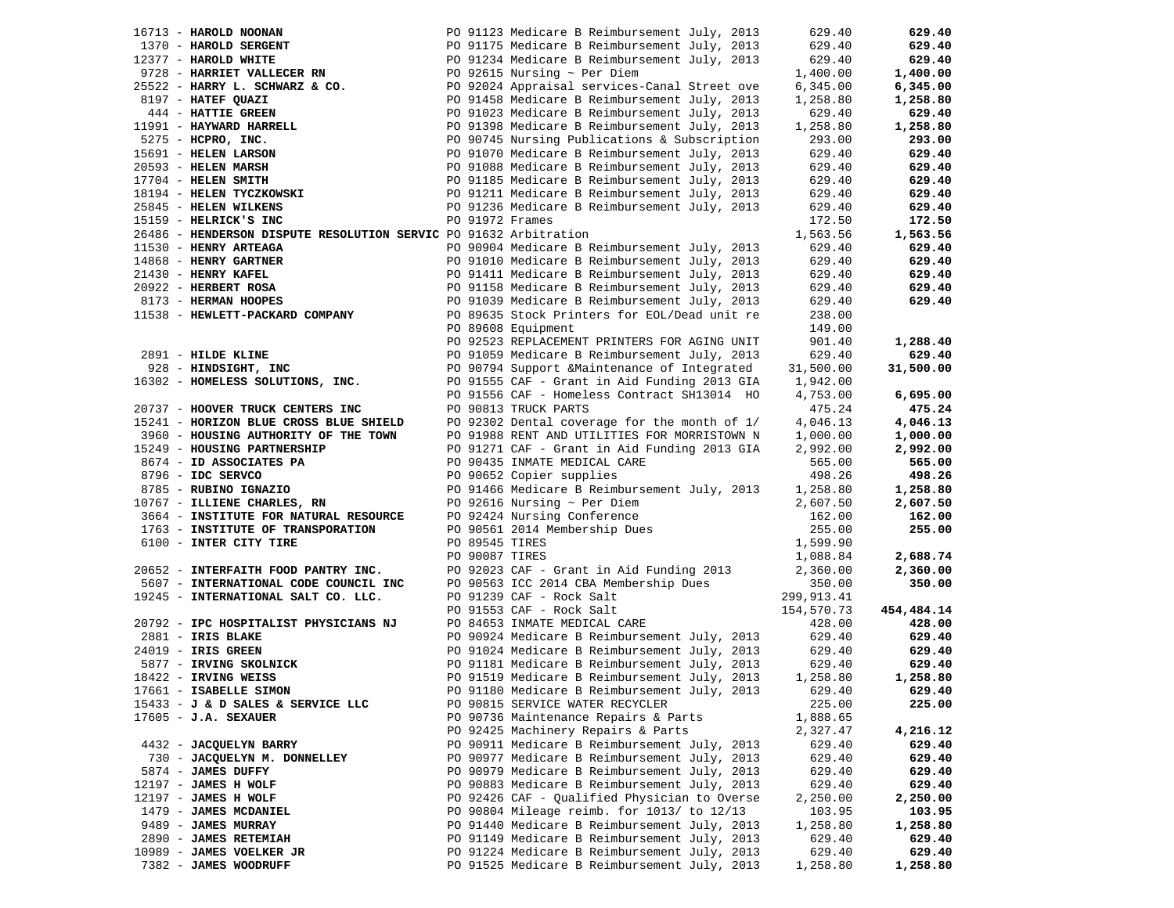| 16713 - HAROLD NOONAN                                                                                               |  | PO 91123 Medicare B Reimbursement July, 2013                                         | 629.40     | 629.40     |
|---------------------------------------------------------------------------------------------------------------------|--|--------------------------------------------------------------------------------------|------------|------------|
| 1370 - HAROLD SERGENT                                                                                               |  | PO 91175 Medicare B Reimbursement July, 2013                                         | 629.40     | 629.40     |
| 12377 - HAROLD WHITE                                                                                                |  | -- --<br>PO 91234 Medicare B Reimbursement July, 2013<br>PO 92615 Nursing ~ Per Diem | 629.40     | 629.40     |
|                                                                                                                     |  |                                                                                      | 1,400.00   | 1,400.00   |
| 9728 - HARRIET VALLECER RN<br>25522 - HARRY L. SCHWARZ & CO.                                                        |  | PO 92024 Appraisal services-Canal Street ove                                         | 6,345.00   | 6,345.00   |
| 8197 - HATEF QUAZI                                                                                                  |  | PO 91458 Medicare B Reimbursement July, 2013                                         | 1,258.80   | 1,258.80   |
| 444 - HATTIE GREEN                                                                                                  |  | PO 91023 Medicare B Reimbursement July, 2013                                         | 629.40     | 629.40     |
|                                                                                                                     |  | PO 91398 Medicare B Reimbursement July, 2013                                         | 1,258.80   | 1,258.80   |
| 11991 - HAYWARD HARRELL<br>5275 - HCPRO, INC.<br>15691 - HELEN LARSON<br>20593 - HELEN MARSH<br>17704 - HELEN SMITH |  | PO 90745 Nursing Publications & Subscription                                         | 293.00     | 293.00     |
|                                                                                                                     |  | PO 91070 Medicare B Reimbursement July, 2013                                         | 629.40     | 629.40     |
|                                                                                                                     |  |                                                                                      |            |            |
|                                                                                                                     |  | PO 91088 Medicare B Reimbursement July, 2013                                         | 629.40     | 629.40     |
|                                                                                                                     |  | PO 91185 Medicare B Reimbursement July, 2013                                         | 629.40     | 629.40     |
| 18194 - HELEN TYCZKOWSKI                                                                                            |  | PO 91211 Medicare B Reimbursement July, 2013                                         | 629.40     | 629.40     |
| 25845 - HELEN WILKENS                                                                                               |  | PO 91236 Medicare B Reimbursement July, 2013                                         | 629.40     | 629.40     |
| 15159 - HELRICK'S INC                                                                                               |  | PO 91972 Frames                                                                      | 172.50     | 172.50     |
| 26486 - HENDERSON DISPUTE RESOLUTION SERVIC PO 91632 Arbitration                                                    |  |                                                                                      | 1,563.56   | 1,563.56   |
| 11530 - HENRY ARTEAGA                                                                                               |  | PO 90904 Medicare B Reimbursement July, 2013                                         | 629.40     | 629.40     |
| 14868 - HENRY GARTNER                                                                                               |  | PO 91010 Medicare B Reimbursement July, 2013                                         | 629.40     | 629.40     |
| 21430 - HENRY KAFEL                                                                                                 |  | PO 91411 Medicare B Reimbursement July, 2013                                         | 629.40     | 629.40     |
| 20922 - HERBERT ROSA                                                                                                |  | PO 91158 Medicare B Reimbursement July, 2013                                         | 629.40     | 629.40     |
| 8173 - HERMAN HOOPES                                                                                                |  | PO 91039 Medicare B Reimbursement July, 2013                                         | 629.40     | 629.40     |
| 11538 - HEWLETT-PACKARD COMPANY                                                                                     |  | PO 89635 Stock Printers for EOL/Dead unit re                                         | 238.00     |            |
|                                                                                                                     |  | PO 89608 Equipment                                                                   | 149.00     |            |
|                                                                                                                     |  | PO 92523 REPLACEMENT PRINTERS FOR AGING UNIT                                         | 901.40     | 1,288.40   |
| 2891 - HILDE KLINE                                                                                                  |  | PO 91059 Medicare B Reimbursement July, 2013                                         | 629.40     | 629.40     |
|                                                                                                                     |  |                                                                                      |            |            |
| 928 - HINDSIGHT, INC                                                                                                |  | PO 90794 Support & Maintenance of Integrated                                         | 31,500.00  | 31,500.00  |
| 16302 - HOMELESS SOLUTIONS, INC.                                                                                    |  | PO 91555 CAF - Grant in Aid Funding 2013 GIA                                         | 1,942.00   |            |
|                                                                                                                     |  | PO 91556 CAF - Homeless Contract SH13014 HO                                          | 4,753.00   | 6,695.00   |
| 20737 - HOOVER TRUCK CENTERS INC                                                                                    |  | PO 90813 TRUCK PARTS                                                                 | 475.24     | 475.24     |
| 15241 - HORIZON BLUE CROSS BLUE SHIELD                                                                              |  | PO 92302 Dental coverage for the month of 1/                                         | 4,046.13   | 4,046.13   |
| 3960 - HOUSING AUTHORITY OF THE TOWN                                                                                |  | PO 91988 RENT AND UTILITIES FOR MORRISTOWN N                                         | 1,000.00   | 1,000.00   |
| 15249 - HOUSING PARTNERSHIP                                                                                         |  | PO 91271 CAF - Grant in Aid Funding 2013 GIA                                         | 2,992.00   | 2,992.00   |
| 8674 - ID ASSOCIATES PA                                                                                             |  | PO 90435 INMATE MEDICAL CARE                                                         | 565.00     | 565.00     |
| 8796 - IDC SERVCO                                                                                                   |  | PO 90652 Copier supplies                                                             | 498.26     | 498.26     |
| 8785 - RUBINO IGNAZIO                                                                                               |  | PO 91466 Medicare B Reimbursement July, 2013                                         | 1,258.80   | 1,258.80   |
| 10767 - ILLIENE CHARLES, RN                                                                                         |  | PO 92616 Nursing $\sim$ Per Diem                                                     | 2,607.50   | 2,607.50   |
| 3664 - INSTITUTE FOR NATURAL RESOURCE                                                                               |  | PO 92424 Nursing Conference                                                          | 162.00     | 162.00     |
| 1763 - INSTITUTE OF TRANSPORATION                                                                                   |  | PO 90561 2014 Membership Dues                                                        | 255.00     | 255.00     |
| 6100 - INTER CITY TIRE                                                                                              |  | PO 89545 TIRES                                                                       | 1,599.90   |            |
|                                                                                                                     |  | PO 90087 TIRES                                                                       | 1,088.84   | 2,688.74   |
| 20652 - INTERFAITH FOOD PANTRY INC.                                                                                 |  | PO 92023 CAF - Grant in Aid Funding 2013                                             | 2,360.00   | 2,360.00   |
| 5607 - INTERNATIONAL CODE COUNCIL INC                                                                               |  | PO 90563 ICC 2014 CBA Membership Dues                                                | 350.00     | 350.00     |
|                                                                                                                     |  |                                                                                      |            |            |
| 19245 - INTERNATIONAL SALT CO. LLC.                                                                                 |  | PO 91239 CAF - Rock Salt<br>PO 91553 CAF - Rock Salt                                 | 299,913.41 |            |
|                                                                                                                     |  |                                                                                      | 154,570.73 | 454,484.14 |
| 20792 - IPC HOSPITALIST PHYSICIANS NJ                                                                               |  | PO 84653 INMATE MEDICAL CARE                                                         | 428.00     | 428.00     |
| 2881 - IRIS BLAKE                                                                                                   |  | PO 90924 Medicare B Reimbursement July, 2013                                         | 629.40     | 629.40     |
| 24019 - IRIS GREEN                                                                                                  |  | PO 91024 Medicare B Reimbursement July, 2013                                         | 629.40     | 629.40     |
| 5877 - IRVING SKOLNICK                                                                                              |  | PO 91181 Medicare B Reimbursement July, 2013                                         | 629.40     | 629.40     |
| 18422 - IRVING WEISS                                                                                                |  | PO 91519 Medicare B Reimbursement July, 2013                                         | 1,258.80   | 1,258.80   |
| 17661 - ISABELLE SIMON                                                                                              |  | PO 91180 Medicare B Reimbursement July, 2013                                         | 629.40     | 629.40     |
| 15433 - J & D SALES & SERVICE LLC                                                                                   |  | PO 90815 SERVICE WATER RECYCLER                                                      | 225.00     | 225.00     |
| $17605 - J.A.$ SEXAUER                                                                                              |  | PO 90736 Maintenance Repairs & Parts                                                 | 1,888.65   |            |
|                                                                                                                     |  | PO 92425 Machinery Repairs & Parts                                                   | 2,327.47   | 4,216.12   |
| 4432 - JACQUELYN BARRY                                                                                              |  | PO 90911 Medicare B Reimbursement July, 2013                                         | 629.40     | 629.40     |
| 730 - JACQUELYN M. DONNELLEY                                                                                        |  | PO 90977 Medicare B Reimbursement July, 2013                                         | 629.40     | 629.40     |
| 5874 - JAMES DUFFY                                                                                                  |  | PO 90979 Medicare B Reimbursement July, 2013                                         | 629.40     | 629.40     |
| 12197 - JAMES H WOLF                                                                                                |  | PO 90883 Medicare B Reimbursement July, 2013                                         | 629.40     | 629.40     |
| 12197 - JAMES H WOLF                                                                                                |  | PO 92426 CAF - Qualified Physician to Overse                                         | 2,250.00   | 2,250.00   |
| 1479 - JAMES MCDANIEL                                                                                               |  | PO 90804 Mileage reimb. for 1013/ to 12/13                                           | 103.95     | 103.95     |
| 9489 - JAMES MURRAY                                                                                                 |  | PO 91440 Medicare B Reimbursement July, 2013                                         | 1,258.80   | 1,258.80   |
| 2890 - JAMES RETEMIAH                                                                                               |  | PO 91149 Medicare B Reimbursement July, 2013                                         | 629.40     | 629.40     |
| 10989 - JAMES VOELKER JR                                                                                            |  | PO 91224 Medicare B Reimbursement July, 2013                                         | 629.40     | 629.40     |
| 7382 - JAMES WOODRUFF                                                                                               |  | PO 91525 Medicare B Reimbursement July, 2013                                         | 1,258.80   | 1,258.80   |
|                                                                                                                     |  |                                                                                      |            |            |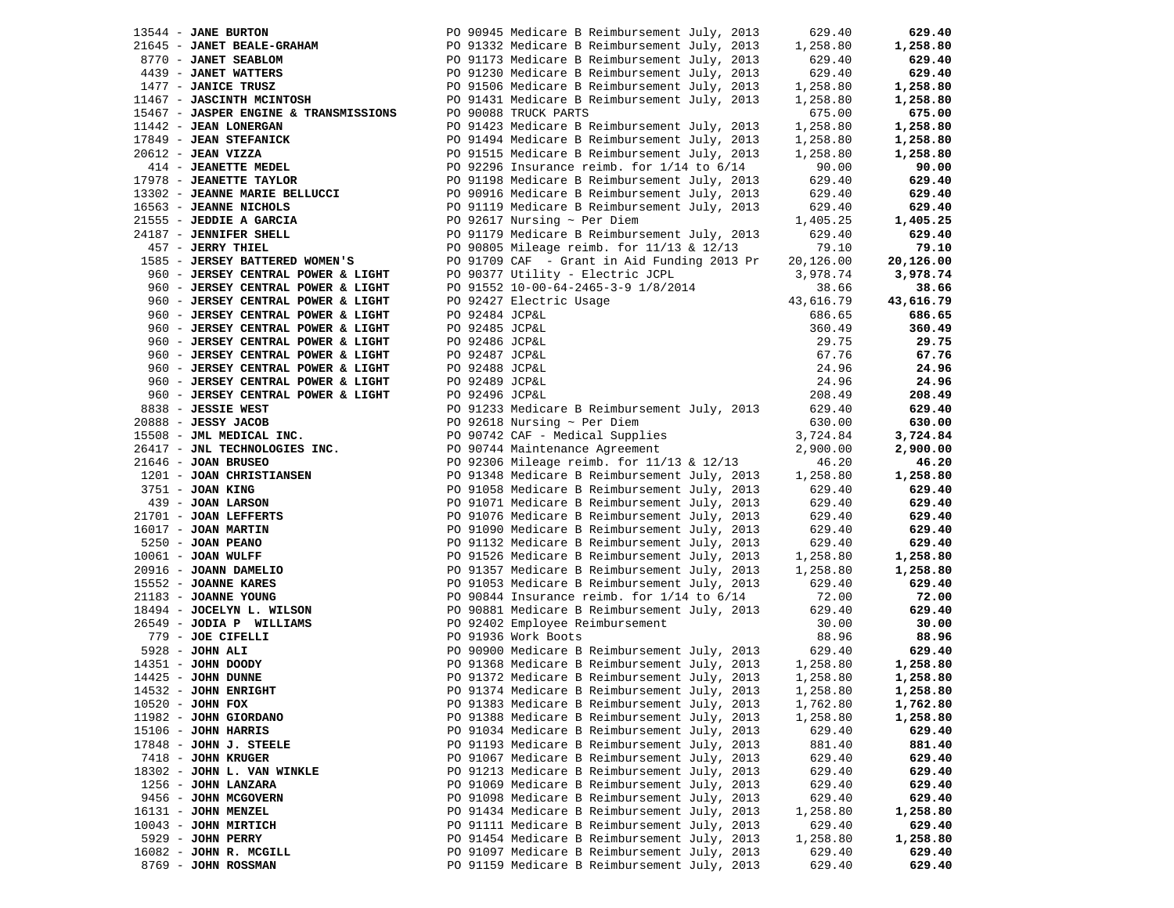| 13544 - JANE BURTON                                      |                | PO 90945 Medicare B Reimbursement July, 2013                                                 | 629.40             | 629.40               |
|----------------------------------------------------------|----------------|----------------------------------------------------------------------------------------------|--------------------|----------------------|
| 21645 - JANET BEALE-GRAHAM                               |                | PO 91332 Medicare B Reimbursement July, 2013                                                 | 1,258.80           | 1,258.80             |
| 8770 - JANET SEABLOM                                     |                | PO 91173 Medicare B Reimbursement July, 2013                                                 | 629.40             | 629.40               |
| 4439 - JANET WATTERS                                     |                | PO 91230 Medicare B Reimbursement July, 2013                                                 | 629.40             | 629.40               |
| 1477 - JANICE TRUSZ                                      |                | PO 91506 Medicare B Reimbursement July, 2013                                                 | 1,258.80           | 1,258.80             |
| 11467 - JASCINTH MCINTOSH                                |                | PO 91431 Medicare B Reimbursement July, 2013                                                 | 1,258.80           | 1,258.80             |
| 15467 - JASPER ENGINE & TRANSMISSIONS                    |                | PO 90088 TRUCK PARTS                                                                         | 675.00             | 675.00               |
| 11442 - JEAN LONERGAN                                    |                | PO 91423 Medicare B Reimbursement July, 2013                                                 | 1,258.80           | 1,258.80             |
| 17849 - JEAN STEFANICK                                   |                | PO 91494 Medicare B Reimbursement July, 2013                                                 | 1,258.80           | 1,258.80             |
| $20612$ - JEAN VIZZA                                     |                | PO 91515 Medicare B Reimbursement July, 2013                                                 | 1,258.80           | 1,258.80             |
| 414 - JEANETTE MEDEL                                     |                | PO 92296 Insurance reimb. for $1/14$ to $6/14$                                               | 90.00              | 90.00                |
| 17978 - JEANETTE TAYLOR                                  |                | PO 91198 Medicare B Reimbursement July, 2013                                                 |                    | 629.40               |
|                                                          |                |                                                                                              | 629.40             |                      |
| 13302 - JEANNE MARIE BELLUCCI                            |                | PO 90916 Medicare B Reimbursement July, 2013                                                 | 629.40             | 629.40               |
| 16563 - JEANNE NICHOLS                                   |                | PO 91119 Medicare B Reimbursement July, 2013                                                 | 629.40             | 629.40               |
| 21555 - JEDDIE A GARCIA                                  |                | PO 92617 Nursing $\sim$ Per Diem                                                             | 1,405.25           | 1,405.25             |
| 24187 - JENNIFER SHELL                                   |                | PO 91179 Medicare B Reimbursement July, 2013                                                 | 629.40             | 629.40               |
| 457 - JERRY THIEL                                        |                | PO 90805 Mileage reimb. for 11/13 & 12/13                                                    | 79.10              | 79.10                |
| 1585 - JERSEY BATTERED WOMEN'S                           |                | PO 91709 CAF - Grant in Aid Funding 2013 Pr                                                  | 20,126.00          | 20,126.00            |
| 960 - JERSEY CENTRAL POWER & LIGHT                       |                | PO 90377 Utility - Electric JCPL                                                             | 3,978.74           | 3,978.74             |
| 960 - JERSEY CENTRAL POWER & LIGHT                       |                | PO 91552 10-00-64-2465-3-9 1/8/2014                                                          | 38.66              | 38.66                |
| 960 - JERSEY CENTRAL POWER & LIGHT                       |                | PO 92427 Electric Usage                                                                      | 43,616.79          | 43,616.79            |
| 960 - JERSEY CENTRAL POWER & LIGHT                       | PO 92484 JCP&L |                                                                                              | 686.65             | 686.65               |
| 960 - JERSEY CENTRAL POWER & LIGHT                       | PO 92485 JCP&L |                                                                                              | 360.49             | 360.49               |
| 960 - JERSEY CENTRAL POWER & LIGHT                       | PO 92486 JCP&L |                                                                                              | 29.75              | 29.75                |
| 960 - JERSEY CENTRAL POWER & LIGHT                       | PO 92487 JCP&L |                                                                                              | 67.76              | 67.76                |
| 960 - JERSEY CENTRAL POWER & LIGHT                       | PO 92488 JCP&L |                                                                                              | 24.96              | 24.96                |
| 960 - JERSEY CENTRAL POWER & LIGHT                       | PO 92489 JCP&L |                                                                                              | 24.96              | 24.96                |
| 960 - JERSEY CENTRAL POWER & LIGHT                       | PO 92496 JCP&L |                                                                                              | 208.49             | 208.49               |
| 8838 - JESSIE WEST                                       |                | PO 91233 Medicare B Reimbursement July, 2013                                                 | 629.40             | 629.40               |
| $20888 - JESSY JACOB$                                    |                | PO 92618 Nursing $\sim$ Per Diem                                                             | 630.00             | 630.00               |
| 15508 - JML MEDICAL INC.                                 |                | PO 90742 CAF - Medical Supplies                                                              | 3,724.84           | 3,724.84             |
| 26417 - JNL TECHNOLOGIES INC.                            |                | PO 90744 Maintenance Agreement                                                               | 2,900.00           | 2,900.00             |
| 21646 - JOAN BRUSEO                                      |                | PO 92306 Mileage reimb. for 11/13 & 12/13                                                    | 46.20              | 46.20                |
| 1201 - JOAN CHRISTIANSEN                                 |                | PO 91348 Medicare B Reimbursement July, 2013                                                 | 1,258.80           | 1,258.80             |
| 3751 - JOAN KING                                         |                | PO 91058 Medicare B Reimbursement July, 2013                                                 | 629.40             | 629.40               |
|                                                          |                | PO 91071 Medicare B Reimbursement July, 2013                                                 | 629.40             | 629.40               |
| 139 - JUAN MARS<br>21701 - JOAN LEFFERTS<br>----- MADTIN |                | PO 91076 Medicare B Reimbursement July, 2013                                                 | 629.40             | 629.40               |
|                                                          |                | PO 91090 Medicare B Reimbursement July, 2013                                                 | 629.40             | 629.40               |
| $5250 - JOAN PEMNO$                                      |                | PO 91132 Medicare B Reimbursement July, 2013                                                 | 629.40             | 629.40               |
| $10061$ - JOAN WULFF                                     |                | PO 91526 Medicare B Reimbursement July, 2013                                                 | 1,258.80           | 1,258.80             |
| 20916 - JOANN DAMELIO                                    |                | PO 91357 Medicare B Reimbursement July, 2013                                                 | 1,258.80           | 1,258.80             |
|                                                          |                |                                                                                              | 629.40             | 629.40               |
| 15552 - JOANNE KARES                                     |                | PO 91053 Medicare B Reimbursement July, 2013<br>PO 90844 Insurance reimb. for 1/14 to 6/14   |                    |                      |
| 21183 - JOANNE YOUNG                                     |                | PO 90881 Medicare B Reimbursement July, 2013                                                 | 72.00<br>629.40    | 72.00<br>629.40      |
| 18494 - JOCELYN L. WILSON<br>26549 - JODIA P WILLIAMS    |                | PO 92402 Employee Reimbursement                                                              |                    | 30.00                |
|                                                          |                |                                                                                              | 30.00              | 88.96                |
| 779 - JOE CIFELLI                                        |                | PO 91936 Work Boots                                                                          | 88.96              |                      |
| $5928 - JOHN ALL$                                        |                | PO 90900 Medicare B Reimbursement July, 2013                                                 | 629.40<br>1,258.80 | 629.40               |
| 14351 - JOHN DOODY<br>$14425$ - JOHN DUNNE               |                | PO 91368 Medicare B Reimbursement July, 2013<br>PO 91372 Medicare B Reimbursement July, 2013 |                    | 1,258.80<br>1,258.80 |
|                                                          |                | PO 91374 Medicare B Reimbursement July, 2013                                                 | 1,258.80           |                      |
| 14532 - JOHN ENRIGHT                                     |                |                                                                                              | 1,258.80           | 1,258.80             |
| $10520 - JOHN$ FOX                                       |                | PO 91383 Medicare B Reimbursement July, 2013                                                 | 1,762.80           | 1,762.80             |
| 11982 - JOHN GIORDANO                                    |                | PO 91388 Medicare B Reimbursement July, 2013                                                 | 1,258.80           | 1,258.80             |
| $15106$ - JOHN HARRIS                                    |                | PO 91034 Medicare B Reimbursement July, 2013                                                 | 629.40             | 629.40               |
| $17848$ - JOHN J. STEELE                                 |                | PO 91193 Medicare B Reimbursement July, 2013                                                 | 881.40             | 881.40               |
| 7418 - JOHN KRUGER                                       |                | PO 91067 Medicare B Reimbursement July, 2013                                                 | 629.40             | 629.40               |
| 18302 - JOHN L. VAN WINKLE                               |                | PO 91213 Medicare B Reimbursement July, 2013                                                 | 629.40             | 629.40               |
| 1256 - JOHN LANZARA                                      |                | PO 91069 Medicare B Reimbursement July, 2013                                                 | 629.40             | 629.40               |
| 9456 - JOHN MCGOVERN                                     |                | PO 91098 Medicare B Reimbursement July, 2013                                                 | 629.40             | 629.40               |
| 16131 - JOHN MENZEL                                      |                | PO 91434 Medicare B Reimbursement July, 2013                                                 | 1,258.80           | 1,258.80             |
| $10043$ - JOHN MIRTICH                                   |                | PO 91111 Medicare B Reimbursement July, 2013                                                 | 629.40             | 629.40               |
| 5929 - JOHN PERRY                                        |                | PO 91454 Medicare B Reimbursement July, 2013                                                 | 1,258.80           | 1,258.80             |
| 16082 - JOHN R. MCGILL                                   |                | PO 91097 Medicare B Reimbursement July, 2013                                                 | 629.40             | 629.40               |
| 8769 - JOHN ROSSMAN                                      |                | PO 91159 Medicare B Reimbursement July, 2013                                                 | 629.40             | 629.40               |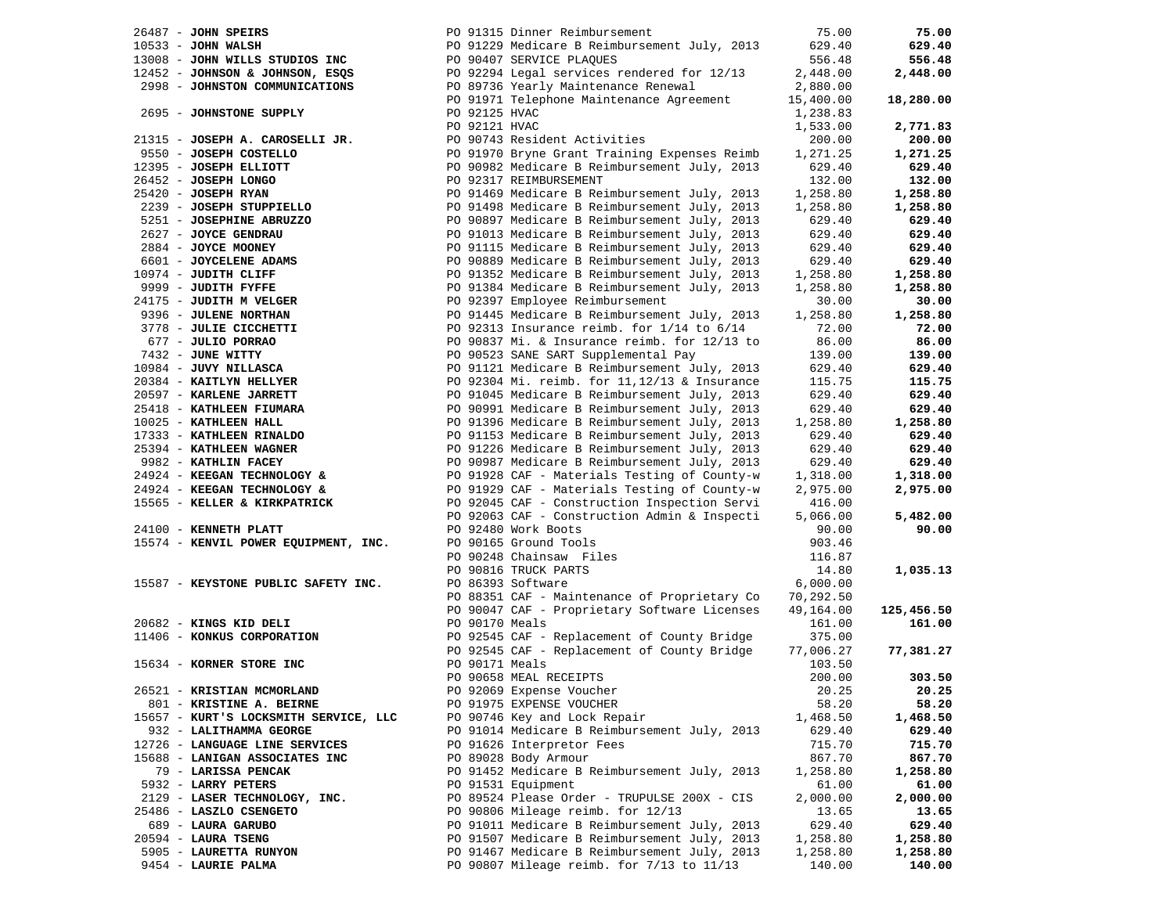| $26487$ - JOHN SPEIRS                 |                | PO 91315 Dinner Reimbursement                 | 75.00     | 75.00      |
|---------------------------------------|----------------|-----------------------------------------------|-----------|------------|
| $10533 - JOHN WALSH$                  |                | PO 91229 Medicare B Reimbursement July, 2013  | 629.40    | 629.40     |
| 13008 - JOHN WILLS STUDIOS INC        |                | PO 90407 SERVICE PLAQUES                      | 556.48    | 556.48     |
| 12452 - JOHNSON & JOHNSON, ESQS       |                | PO 92294 Legal services rendered for 12/13    | 2,448.00  | 2,448.00   |
| 2998 - JOHNSTON COMMUNICATIONS        |                | PO 89736 Yearly Maintenance Renewal           | 2,880.00  |            |
|                                       |                |                                               |           |            |
|                                       |                | PO 91971 Telephone Maintenance Agreement      | 15,400.00 | 18,280.00  |
| 2695 - JOHNSTONE SUPPLY               | PO 92125 HVAC  |                                               | 1,238.83  |            |
|                                       | PO 92121 HVAC  |                                               | 1,533.00  | 2,771.83   |
| 21315 - JOSEPH A. CAROSELLI JR.       |                | PO 90743 Resident Activities                  | 200.00    | 200.00     |
| 9550 - JOSEPH COSTELLO                |                | PO 91970 Bryne Grant Training Expenses Reimb  | 1,271.25  | 1,271.25   |
| 12395 - JOSEPH ELLIOTT                |                | PO 90982 Medicare B Reimbursement July, 2013  | 629.40    | 629.40     |
| 26452 - JOSEPH LONGO                  |                | PO 92317 REIMBURSEMENT                        | 132.00    | 132.00     |
| $25420$ - JOSEPH RYAN                 |                | PO 91469 Medicare B Reimbursement July, 2013  | 1,258.80  | 1,258.80   |
|                                       |                |                                               |           |            |
| 2239 - JOSEPH STUPPIELLO              |                | PO 91498 Medicare B Reimbursement July, 2013  | 1,258.80  | 1,258.80   |
| 5251 - JOSEPHINE ABRUZZO              |                | PO 90897 Medicare B Reimbursement July, 2013  | 629.40    | 629.40     |
| 2627 - JOYCE GENDRAU                  |                | PO 91013 Medicare B Reimbursement July, 2013  | 629.40    | 629.40     |
| 2884 - JOYCE MOONEY                   |                | PO 91115 Medicare B Reimbursement July, 2013  | 629.40    | 629.40     |
| 6601 - JOYCELENE ADAMS                |                | PO 90889 Medicare B Reimbursement July, 2013  | 629.40    | 629.40     |
| 10974 - JUDITH CLIFF                  |                | PO 91352 Medicare B Reimbursement July, 2013  | 1,258.80  | 1,258.80   |
| 9999 - JUDITH FYFFE                   |                | PO 91384 Medicare B Reimbursement July, 2013  | 1,258.80  | 1,258.80   |
| 24175 - JUDITH M VELGER               |                | PO 92397 Employee Reimbursement               | 30.00     | 30.00      |
| 9396 - JULENE NORTHAN                 |                | PO 91445 Medicare B Reimbursement July, 2013  | 1,258.80  | 1,258.80   |
| 3778 - JULIE CICCHETTI                |                | PO 92313 Insurance reimb. for 1/14 to 6/14    | 72.00     | 72.00      |
|                                       |                |                                               |           |            |
| 677 - JULIO PORRAO                    |                | PO 90837 Mi. & Insurance reimb. for 12/13 to  | 86.00     | 86.00      |
| 7432 - JUNE WITTY                     |                | PO 90523 SANE SART Supplemental Pay           | 139.00    | 139.00     |
| 10984 - JUVY NILLASCA                 |                | PO 91121 Medicare B Reimbursement July, 2013  | 629.40    | 629.40     |
| 20384 - KAITLYN HELLYER               |                | PO 92304 Mi. reimb. for 11, 12/13 & Insurance | 115.75    | 115.75     |
| 20597 - KARLENE JARRETT               |                | PO 91045 Medicare B Reimbursement July, 2013  | 629.40    | 629.40     |
| 25418 - KATHLEEN FIUMARA              |                | PO 90991 Medicare B Reimbursement July, 2013  | 629.40    | 629.40     |
| 10025 - KATHLEEN HALL                 |                | PO 91396 Medicare B Reimbursement July, 2013  | 1,258.80  | 1,258.80   |
| 17333 - KATHLEEN RINALDO              |                | PO 91153 Medicare B Reimbursement July, 2013  | 629.40    | 629.40     |
| 25394 - KATHLEEN WAGNER               |                | PO 91226 Medicare B Reimbursement July, 2013  | 629.40    | 629.40     |
| 9982 - KATHLIN FACEY                  |                | PO 90987 Medicare B Reimbursement July, 2013  | 629.40    | 629.40     |
| 24924 - KEEGAN TECHNOLOGY &           |                | PO 91928 CAF - Materials Testing of County-w  |           | 1,318.00   |
|                                       |                |                                               | 1,318.00  |            |
| 24924 - KEEGAN TECHNOLOGY &           |                | PO 91929 CAF - Materials Testing of County-w  | 2,975.00  | 2,975.00   |
| 15565 - KELLER & KIRKPATRICK          |                | PO 92045 CAF - Construction Inspection Servi  | 416.00    |            |
|                                       |                | PO 92063 CAF - Construction Admin & Inspecti  | 5,066.00  | 5,482.00   |
| 24100 - KENNETH PLATT                 |                | PO 92480 Work Boots                           | 90.00     | 90.00      |
| 15574 - KENVIL POWER EQUIPMENT, INC.  |                | PO 90165 Ground Tools                         | 903.46    |            |
|                                       |                | PO 90248 Chainsaw Files                       | 116.87    |            |
|                                       |                | PO 90816 TRUCK PARTS                          | 14.80     | 1,035.13   |
| 15587 - KEYSTONE PUBLIC SAFETY INC.   |                | PO 86393 Software                             | 6,000.00  |            |
|                                       |                | PO 88351 CAF - Maintenance of Proprietary Co  | 70,292.50 |            |
|                                       |                | PO 90047 CAF - Proprietary Software Licenses  | 49,164.00 | 125,456.50 |
| 20682 - KINGS KID DELI                | PO 90170 Meals |                                               | 161.00    | 161.00     |
| 11406 - KONKUS CORPORATION            |                |                                               | 375.00    |            |
|                                       |                | PO 92545 CAF - Replacement of County Bridge   |           |            |
|                                       |                | PO 92545 CAF - Replacement of County Bridge   | 77,006.27 | 77,381.27  |
| 15634 - KORNER STORE INC              | PO 90171 Meals |                                               | 103.50    |            |
|                                       |                | PO 90658 MEAL RECEIPTS                        | 200.00    | 303.50     |
| 26521 - KRISTIAN MCMORLAND            |                | PO 92069 Expense Voucher                      | 20.25     | 20.25      |
| 801 - KRISTINE A. BEIRNE              |                | PO 91975 EXPENSE VOUCHER                      | 58.20     | 58.20      |
| 15657 - KURT'S LOCKSMITH SERVICE, LLC |                | PO 90746 Key and Lock Repair                  | 1,468.50  | 1,468.50   |
| 932 - LALITHAMMA GEORGE               |                | PO 91014 Medicare B Reimbursement July, 2013  | 629.40    | 629.40     |
| 12726 - LANGUAGE LINE SERVICES        |                | PO 91626 Interpretor Fees                     | 715.70    | 715.70     |
| 15688 - LANIGAN ASSOCIATES INC        |                | PO 89028 Body Armour                          | 867.70    | 867.70     |
| 79 - LARISSA PENCAK                   |                | PO 91452 Medicare B Reimbursement July, 2013  | 1,258.80  | 1,258.80   |
|                                       |                |                                               |           |            |
| 5932 - LARRY PETERS                   |                | PO 91531 Equipment                            | 61.00     | 61.00      |
| 2129 - LASER TECHNOLOGY, INC.         |                | PO 89524 Please Order - TRUPULSE 200X - CIS   | 2,000.00  | 2,000.00   |
| 25486 - LASZLO CSENGETO               |                | PO 90806 Mileage reimb. for 12/13             | 13.65     | 13.65      |
| 689 - LAURA GARUBO                    |                | PO 91011 Medicare B Reimbursement July, 2013  | 629.40    | 629.40     |
| 20594 - LAURA TSENG                   |                | PO 91507 Medicare B Reimbursement July, 2013  | 1,258.80  | 1,258.80   |
| 5905 - LAURETTA RUNYON                |                | PO 91467 Medicare B Reimbursement July, 2013  | 1,258.80  | 1,258.80   |
| 9454 - LAURIE PALMA                   |                | PO 90807 Mileage reimb. for 7/13 to 11/13     | 140.00    | 140.00     |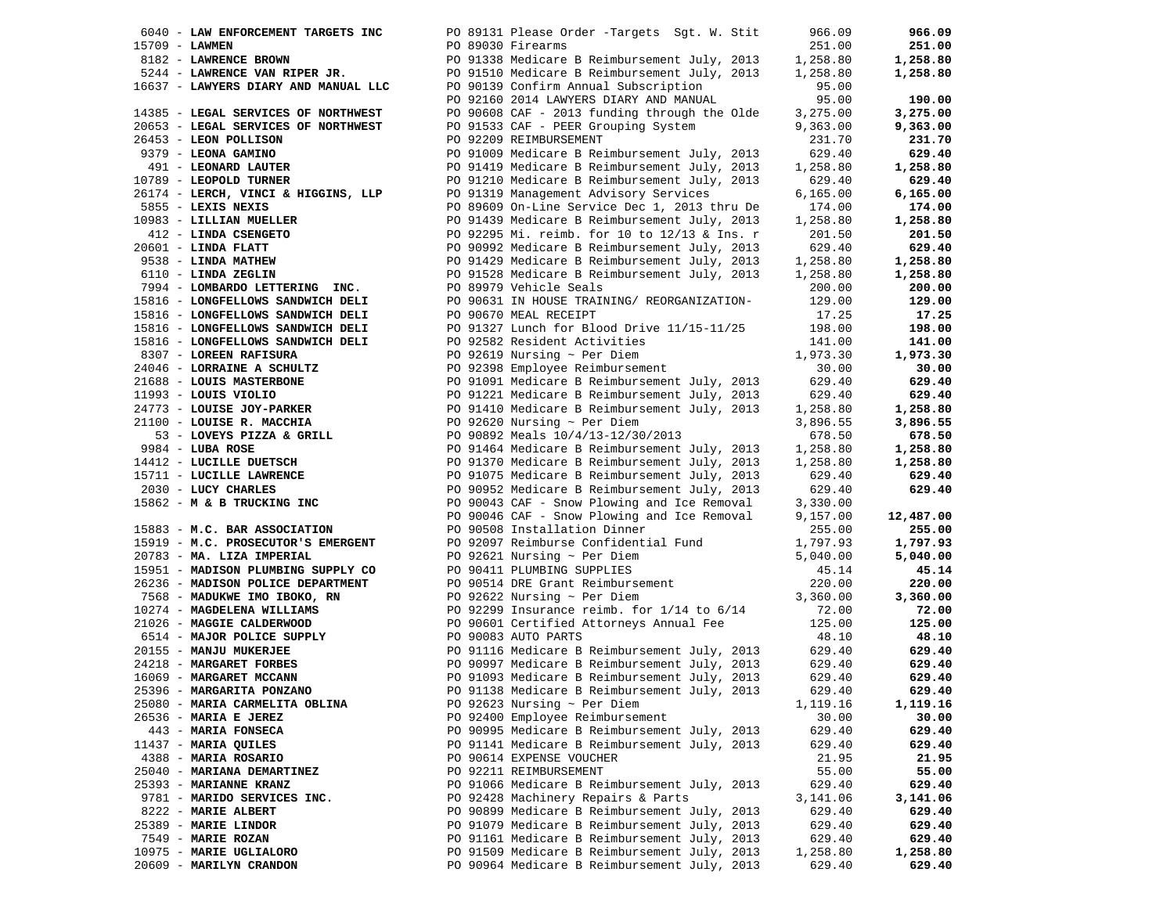|                  | 6040 - LAW ENFORCEMENT TARGETS INC                | PO 89131 Please Order -Targets Sgt. W. Stit  | 966.09    | 966.09    |
|------------------|---------------------------------------------------|----------------------------------------------|-----------|-----------|
| $15709$ - LAWMEN |                                                   | PO 89030 Firearms                            | 251.00    | 251.00    |
|                  | 8182 - LAWRENCE BROWN                             | PO 91338 Medicare B Reimbursement July, 2013 | 1,258.80  | 1,258.80  |
|                  | 5244 - LAWRENCE VAN RIPER JR.                     | PO 91510 Medicare B Reimbursement July, 2013 | 1,258.80  | 1,258.80  |
|                  | 16637 - LAWYERS DIARY AND MANUAL LLC              | PO 90139 Confirm Annual Subscription         | 95.00     |           |
|                  |                                                   | PO 92160 2014 LAWYERS DIARY AND MANUAL       | 95.00     | 190.00    |
|                  | 14385 - LEGAL SERVICES OF NORTHWEST               | PO 90608 CAF - 2013 funding through the Olde | 3,275.00  | 3,275.00  |
|                  | 20653 - LEGAL SERVICES OF NORTHWEST               | PO 91533 CAF - PEER Grouping System          | 9,363.00  | 9,363.00  |
|                  | 26453 - LEON POLLISON                             | PO 92209 REIMBURSEMENT                       | 231.70    | 231.70    |
|                  |                                                   |                                              |           |           |
|                  | 9379 - LEONA GAMINO                               | PO 91009 Medicare B Reimbursement July, 2013 | 629.40    | 629.40    |
|                  | 491 - LEONARD LAUTER                              | PO 91419 Medicare B Reimbursement July, 2013 | 1,258.80  | 1,258.80  |
|                  | 10789 - LEOPOLD TURNER                            | PO 91210 Medicare B Reimbursement July, 2013 | 629.40    | 629.40    |
|                  | 26174 - LERCH, VINCI & HIGGINS, LLP               | PO 91319 Management Advisory Services        | 6, 165.00 | 6,165.00  |
|                  | 5855 - LEXIS NEXIS                                | PO 89609 On-Line Service Dec 1, 2013 thru De | 174.00    | 174.00    |
|                  | 10983 - LILLIAN MUELLER                           | PO 91439 Medicare B Reimbursement July, 2013 | 1,258.80  | 1,258.80  |
|                  | 412 - LINDA CSENGETO<br>1601 - LINDA FLATT        | PO 92295 Mi. reimb. for 10 to 12/13 & Ins. r | 201.50    | 201.50    |
|                  | $20601$ - LINDA FLATT                             | PO 90992 Medicare B Reimbursement July, 2013 | 629.40    | 629.40    |
|                  | 9538 - <b>LINDA MATHEW</b><br>6110 - LINDA ZEGLIN | PO 91429 Medicare B Reimbursement July, 2013 | 1,258.80  | 1,258.80  |
|                  | 6110 - LINDA ZEGLIN                               | PO 91528 Medicare B Reimbursement July, 2013 | 1,258.80  | 1,258.80  |
|                  | 7994 - LOMBARDO LETTERING INC.                    | PO 89979 Vehicle Seals                       | 200.00    | 200.00    |
|                  | 15816 - LONGFELLOWS SANDWICH DELI                 | PO 90631 IN HOUSE TRAINING/ REORGANIZATION-  | 129.00    | 129.00    |
|                  | 15816 - LONGFELLOWS SANDWICH DELI                 | PO 90670 MEAL RECEIPT                        | 17.25     | 17.25     |
|                  | 15816 - LONGFELLOWS SANDWICH DELI                 | PO 91327 Lunch for Blood Drive 11/15-11/25   | 198.00    | 198.00    |
|                  | 15816 - LONGFELLOWS SANDWICH DELI                 | PO 92582 Resident Activities                 | 141.00    | 141.00    |
|                  | 8307 - LOREEN RAFISURA                            | PO 92619 Nursing $\sim$ Per Diem             | 1,973.30  | 1,973.30  |
|                  | 24046 - LORRAINE A SCHULTZ                        | PO 92398 Employee Reimbursement              | 30.00     | 30.00     |
|                  | 21688 - LOUIS MASTERBONE                          | PO 91091 Medicare B Reimbursement July, 2013 | 629.40    | 629.40    |
|                  | $11993 - LOUIS VIOLIO$                            | PO 91221 Medicare B Reimbursement July, 2013 | 629.40    | 629.40    |
|                  |                                                   |                                              |           |           |
|                  | 24773 - LOUISE JOY-PARKER                         | PO 91410 Medicare B Reimbursement July, 2013 | 1,258.80  | 1,258.80  |
|                  | 21100 - LOUISE R. MACCHIA                         | PO 92620 Nursing $\sim$ Per Diem             | 3,896.55  | 3,896.55  |
|                  | $53$ - LOVEYS PIZZA & GRILL                       | PO 90892 Meals 10/4/13-12/30/2013            | 678.50    | 678.50    |
|                  | 9984 - LUBA ROSE                                  | PO 91464 Medicare B Reimbursement July, 2013 | 1,258.80  | 1,258.80  |
|                  | 14412 - LUCILLE DUETSCH                           | PO 91370 Medicare B Reimbursement July, 2013 | 1,258.80  | 1,258.80  |
|                  | 15711 - LUCILLE LAWRENCE                          | PO 91075 Medicare B Reimbursement July, 2013 | 629.40    | 629.40    |
|                  | 2030 - LUCY CHARLES                               | PO 90952 Medicare B Reimbursement July, 2013 | 629.40    | 629.40    |
|                  | 15862 - M & B TRUCKING INC                        | PO 90043 CAF - Snow Plowing and Ice Removal  | 3,330.00  |           |
|                  |                                                   | PO 90046 CAF - Snow Plowing and Ice Removal  | 9,157.00  | 12,487.00 |
|                  | 15883 - M.C. BAR ASSOCIATION                      | PO 90508 Installation Dinner                 | 255.00    | 255.00    |
|                  | 15919 - M.C. PROSECUTOR'S EMERGENT                | PO 92097 Reimburse Confidential Fund         | 1,797.93  | 1,797.93  |
|                  | 20783 - MA. LIZA IMPERIAL                         | PO 92621 Nursing $\sim$ Per Diem             | 5,040.00  | 5,040.00  |
|                  | 15951 - MADISON PLUMBING SUPPLY CO                | PO 90411 PLUMBING SUPPLIES                   | 45.14     | 45.14     |
|                  | 26236 - MADISON POLICE DEPARTMENT                 | PO 90514 DRE Grant Reimbursement             | 220.00    | 220.00    |
|                  | 7568 - MADUKWE IMO IBOKO, RN                      | PO 92622 Nursing ~ Per Diem                  | 3,360.00  | 3,360.00  |
|                  | 10274 - MAGDELENA WILLIAMS                        | PO 92299 Insurance reimb. for 1/14 to 6/14   | 72.00     | 72.00     |
|                  | 21026 - MAGGIE CALDERWOOD                         | PO 90601 Certified Attorneys Annual Fee      | 125.00    | 125.00    |
|                  | 6514 - MAJOR POLICE SUPPLY                        | PO 90083 AUTO PARTS                          | 48.10     | 48.10     |
|                  | 20155 - MANJU MUKERJEE                            | PO 91116 Medicare B Reimbursement July, 2013 | 629.40    | 629.40    |
|                  | 24218 - MARGARET FORBES                           | PO 90997 Medicare B Reimbursement July, 2013 | 629.40    | 629.40    |
|                  | 16069 - MARGARET MCCANN                           | PO 91093 Medicare B Reimbursement July, 2013 | 629.40    | 629.40    |
|                  | 25396 - MARGARITA PONZANO                         | PO 91138 Medicare B Reimbursement July, 2013 | 629.40    | 629.40    |
|                  | 25080 - MARIA CARMELITA OBLINA                    | PO 92623 Nursing ~ Per Diem                  | 1,119.16  | 1,119.16  |
|                  |                                                   |                                              |           |           |
|                  | 26536 - MARIA E JEREZ                             | PO 92400 Employee Reimbursement              | 30.00     | 30.00     |
|                  | 443 - MARIA FONSECA                               | PO 90995 Medicare B Reimbursement July, 2013 | 629.40    | 629.40    |
|                  | 11437 - MARIA QUILES                              | PO 91141 Medicare B Reimbursement July, 2013 | 629.40    | 629.40    |
|                  | 4388 - MARIA ROSARIO                              | PO 90614 EXPENSE VOUCHER                     | 21.95     | 21.95     |
|                  | 25040 - MARIANA DEMARTINEZ                        | PO 92211 REIMBURSEMENT                       | 55.00     | 55.00     |
|                  | 25393 - MARIANNE KRANZ                            | PO 91066 Medicare B Reimbursement July, 2013 | 629.40    | 629.40    |
|                  | 9781 - MARIDO SERVICES INC.                       | PO 92428 Machinery Repairs & Parts           | 3,141.06  | 3,141.06  |
|                  | 8222 - MARIE ALBERT                               | PO 90899 Medicare B Reimbursement July, 2013 | 629.40    | 629.40    |
|                  | 25389 - MARIE LINDOR                              | PO 91079 Medicare B Reimbursement July, 2013 | 629.40    | 629.40    |
|                  | 7549 - MARIE ROZAN                                | PO 91161 Medicare B Reimbursement July, 2013 | 629.40    | 629.40    |
|                  | 10975 - MARIE UGLIALORO                           | PO 91509 Medicare B Reimbursement July, 2013 | 1,258.80  | 1,258.80  |
|                  | 20609 - MARILYN CRANDON                           | PO 90964 Medicare B Reimbursement July, 2013 | 629.40    | 629.40    |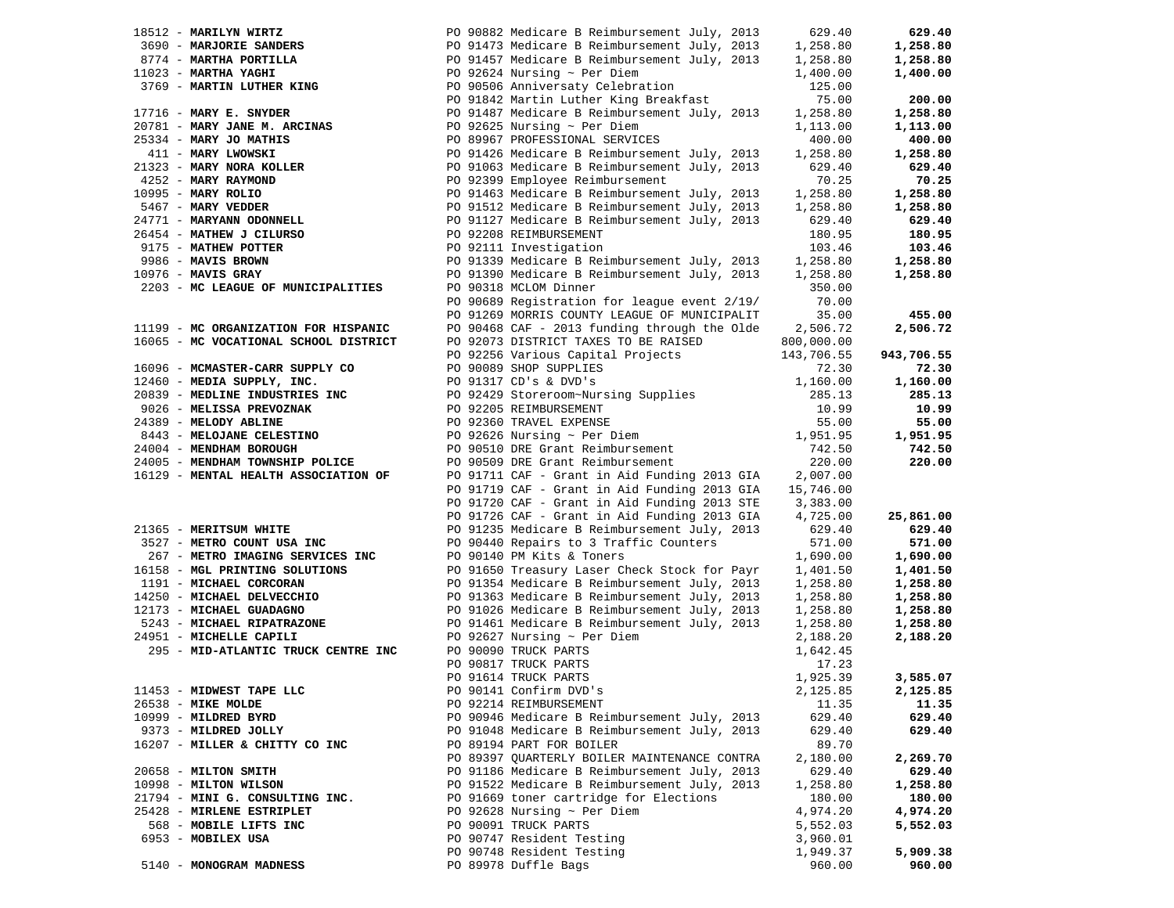| 18512 - MARILYN WIRTZ                                  | PO 90882 Medicare B Reimbursement July, 2013 | 629.40     | 629.40     |
|--------------------------------------------------------|----------------------------------------------|------------|------------|
| 3690 - MARJORIE SANDERS                                | PO 91473 Medicare B Reimbursement July, 2013 | 1,258.80   | 1,258.80   |
| 8774 - MARTHA PORTILLA                                 | PO 91457 Medicare B Reimbursement July, 2013 | 1,258.80   | 1,258.80   |
| 11023 - MARTHA YAGHI                                   | PO 92624 Nursing $\sim$ Per Diem             | 1,400.00   | 1,400.00   |
| 3769 - MARTIN LUTHER KING                              | PO 90506 Anniversaty Celebration             | 125.00     |            |
|                                                        | PO 91842 Martin Luther King Breakfast        | 75.00      | 200.00     |
| $17716$ - MARY E. SNYDER                               | PO 91487 Medicare B Reimbursement July, 2013 | 1,258.80   | 1,258.80   |
| 20781 - MARY JANE M. ARCINAS<br>25334 - MARY JO MATHIS | PO 92625 Nursing $\sim$ Per Diem             | 1,113.00   | 1,113.00   |
| 25334 - MARY JO MATHIS                                 | PO 89967 PROFESSIONAL SERVICES               | 400.00     | 400.00     |
| 411 - MARY LWOWSKI                                     | PO 91426 Medicare B Reimbursement July, 2013 | 1,258.80   | 1,258.80   |
| 21323 - MARY NORA KOLLER                               | PO 91063 Medicare B Reimbursement July, 2013 | 629.40     | 629.40     |
| 4252 - MARY RAYMOND                                    | PO 92399 Employee Reimbursement              | 70.25      | 70.25      |
| 10995 - MARY ROLIO                                     | PO 91463 Medicare B Reimbursement July, 2013 | 1,258.80   | 1,258.80   |
| 5467 - MARY VEDDER                                     | PO 91512 Medicare B Reimbursement July, 2013 | 1,258.80   | 1,258.80   |
| 24771 - MARYANN ODONNELL                               | PO 91127 Medicare B Reimbursement July, 2013 | 629.40     | 629.40     |
| 26454 - MATHEW J CILURSO                               | PO 92208 REIMBURSEMENT                       | 180.95     | 180.95     |
| 9175 - MATHEW POTTER                                   | PO 92111 Investigation                       | 103.46     | 103.46     |
| 9986 - MAVIS BROWN                                     | PO 91339 Medicare B Reimbursement July, 2013 | 1,258.80   | 1,258.80   |
| $10976$ - MAVIS GRAY                                   | PO 91390 Medicare B Reimbursement July, 2013 | 1,258.80   | 1,258.80   |
| 2203 - MC LEAGUE OF MUNICIPALITIES                     | PO 90318 MCLOM Dinner                        | 350.00     |            |
|                                                        | PO 90689 Registration for league event 2/19/ | 70.00      |            |
|                                                        | PO 91269 MORRIS COUNTY LEAGUE OF MUNICIPALIT | 35.00      | 455.00     |
| 11199 - MC ORGANIZATION FOR HISPANIC                   | PO 90468 CAF - 2013 funding through the Olde | 2,506.72   | 2,506.72   |
| 16065 - MC VOCATIONAL SCHOOL DISTRICT                  | PO 92073 DISTRICT TAXES TO BE RAISED         | 800,000.00 |            |
|                                                        | PO 92256 Various Capital Projects            | 143,706.55 | 943,706.55 |
| 16096 - MCMASTER-CARR SUPPLY CO                        | PO 90089 SHOP SUPPLIES                       | 72.30      | 72.30      |
| 12460 - MEDIA SUPPLY, INC.                             | PO 91317 CD's & DVD's                        | 1,160.00   | 1,160.00   |
| 20839 - MEDLINE INDUSTRIES INC                         | PO 92429 Storeroom~Nursing Supplies          | 285.13     | 285.13     |
| 9026 - MELISSA PREVOZNAK                               | PO 92205 REIMBURSEMENT                       | 10.99      | 10.99      |
| 24389 - MELODY ABLINE                                  | PO 92360 TRAVEL EXPENSE                      | 55.00      | 55.00      |
|                                                        |                                              |            |            |
| 8443 - MELOJANE CELESTINO                              | PO 92626 Nursing $\sim$ Per Diem             | 1,951.95   | 1,951.95   |
| 24004 - MENDHAM BOROUGH                                | PO 90510 DRE Grant Reimbursement             | 742.50     | 742.50     |
| 24005 - MENDHAM TOWNSHIP POLICE                        | PO 90509 DRE Grant Reimbursement             | 220.00     | 220.00     |
| 16129 - MENTAL HEALTH ASSOCIATION OF                   | PO 91711 CAF - Grant in Aid Funding 2013 GIA | 2,007.00   |            |
|                                                        | PO 91719 CAF - Grant in Aid Funding 2013 GIA | 15,746.00  |            |
|                                                        | PO 91720 CAF - Grant in Aid Funding 2013 STE | 3,383.00   |            |
|                                                        | PO 91726 CAF - Grant in Aid Funding 2013 GIA | 4,725.00   | 25,861.00  |
| 21365 - MERITSUM WHITE                                 | PO 91235 Medicare B Reimbursement July, 2013 | 629.40     | 629.40     |
| 3527 - METRO COUNT USA INC                             | PO 90440 Repairs to 3 Traffic Counters       | 571.00     | 571.00     |
| 267 - METRO IMAGING SERVICES INC                       | PO 90140 PM Kits & Toners                    | 1,690.00   | 1,690.00   |
| 16158 - MGL PRINTING SOLUTIONS                         | PO 91650 Treasury Laser Check Stock for Payr | 1,401.50   | 1,401.50   |
| 1191 - MICHAEL CORCORAN                                | PO 91354 Medicare B Reimbursement July, 2013 | 1,258.80   | 1,258.80   |
| 14250 - MICHAEL DELVECCHIO                             | PO 91363 Medicare B Reimbursement July, 2013 | 1,258.80   | 1,258.80   |
| 12173 - MICHAEL GUADAGNO                               | PO 91026 Medicare B Reimbursement July, 2013 | 1,258.80   | 1,258.80   |
| 5243 - MICHAEL RIPATRAZONE                             | PO 91461 Medicare B Reimbursement July, 2013 | 1,258.80   | 1,258.80   |
| 24951 - MICHELLE CAPILI                                | PO 92627 Nursing $\sim$ Per Diem             | 2,188.20   | 2,188.20   |
| 295 - MID-ATLANTIC TRUCK CENTRE INC                    | PO 90090 TRUCK PARTS                         | 1,642.45   |            |
|                                                        | PO 90817 TRUCK PARTS                         | 17.23      |            |
|                                                        | PO 91614 TRUCK PARTS                         | 1,925.39   | 3,585.07   |
| 11453 - MIDWEST TAPE LLC                               | PO 90141 Confirm DVD's                       | 2,125.85   | 2,125.85   |
| 26538 - MIKE MOLDE                                     | PO 92214 REIMBURSEMENT                       | 11.35      | 11.35      |
| 10999 - MILDRED BYRD                                   | PO 90946 Medicare B Reimbursement July, 2013 | 629.40     | 629.40     |
| 9373 - MILDRED JOLLY                                   | PO 91048 Medicare B Reimbursement July, 2013 | 629.40     | 629.40     |
| 16207 - MILLER & CHITTY CO INC                         | PO 89194 PART FOR BOILER                     | 89.70      |            |
|                                                        | PO 89397 QUARTERLY BOILER MAINTENANCE CONTRA | 2,180.00   | 2,269.70   |
| 20658 - MILTON SMITH                                   | PO 91186 Medicare B Reimbursement July, 2013 | 629.40     | 629.40     |
| 10998 - MILTON WILSON                                  | PO 91522 Medicare B Reimbursement July, 2013 | 1,258.80   | 1,258.80   |
| 21794 - MINI G. CONSULTING INC.                        | PO 91669 toner cartridge for Elections       | 180.00     | 180.00     |
| 25428 - MIRLENE ESTRIPLET                              | PO 92628 Nursing $\sim$ Per Diem             | 4,974.20   | 4,974.20   |
| 568 - MOBILE LIFTS INC                                 | PO 90091 TRUCK PARTS                         | 5,552.03   | 5,552.03   |
| 6953 - MOBILEX USA                                     | PO 90747 Resident Testing                    | 3,960.01   |            |
|                                                        | PO 90748 Resident Testing                    | 1,949.37   | 5,909.38   |
| 5140 - MONOGRAM MADNESS                                | PO 89978 Duffle Bags                         | 960.00     | 960.00     |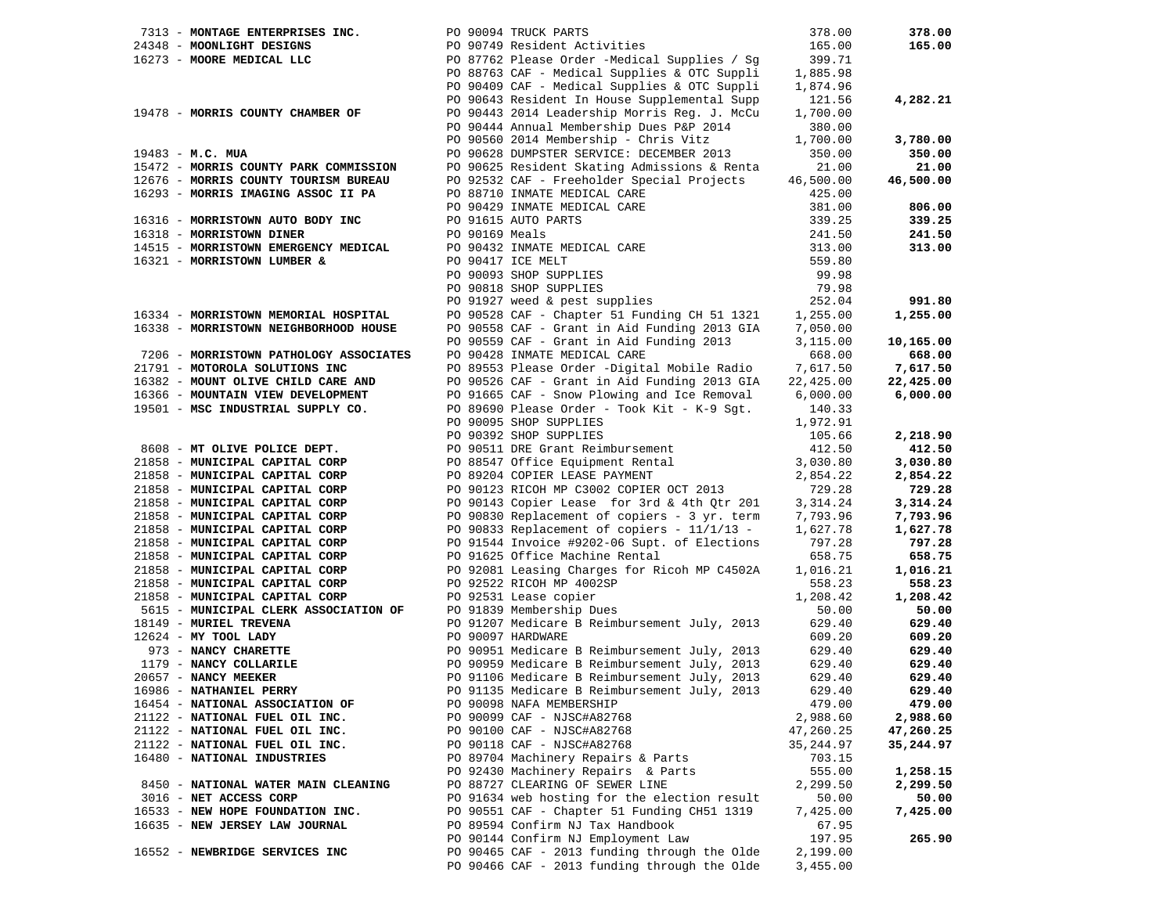| 7313 - MONTAGE ENTERPRISES INC.        | PO 90094 TRUCK PARTS                                                                                                      | 378.00    | 378.00    |
|----------------------------------------|---------------------------------------------------------------------------------------------------------------------------|-----------|-----------|
| 24348 - MOONLIGHT DESIGNS              | PO 90749 Resident Activities                                                                                              | 165.00    | 165.00    |
| 16273 - MOORE MEDICAL LLC              | PO 87762 Please Order -Medical Supplies / Sg                                                                              | 399.71    |           |
|                                        | PO 88763 CAF - Medical Supplies & OTC Suppli                                                                              | 1,885.98  |           |
|                                        | PO 90409 CAF - Medical Supplies & OTC Suppli                                                                              | 1,874.96  |           |
|                                        | PO 90643 Resident In House Supplemental Supp                                                                              | 121.56    | 4,282.21  |
| 19478 - MORRIS COUNTY CHAMBER OF       | PO 90443 2014 Leadership Morris Req. J. McCu                                                                              | 1,700.00  |           |
|                                        | PO 90444 Annual Membership Dues P&P 2014                                                                                  | 380.00    |           |
|                                        | PO 90560 2014 Membership - Chris Vitz                                                                                     | 1,700.00  | 3,780.00  |
| $19483 - M.C. MUA$                     | PO 90628 DUMPSTER SERVICE: DECEMBER 2013                                                                                  | 350.00    | 350.00    |
| 15472 - MORRIS COUNTY PARK COMMISSION  | PO 90625 Resident Skating Admissions & Renta                                                                              | 21.00     | 21.00     |
| 12676 - MORRIS COUNTY TOURISM BUREAU   | PO 92532 CAF - Freeholder Special Projects                                                                                | 46,500.00 | 46,500.00 |
|                                        |                                                                                                                           |           |           |
| 16293 - MORRIS IMAGING ASSOC II PA     | PO 88710 INMATE MEDICAL CARE                                                                                              | 425.00    |           |
|                                        | PO 90429 INMATE MEDICAL CARE                                                                                              | 381.00    | 806.00    |
| 16316 - MORRISTOWN AUTO BODY INC       |                                                                                                                           | 339.25    | 339.25    |
| 16318 - MORRISTOWN DINER               |                                                                                                                           | 241.50    | 241.50    |
| 14515 - MORRISTOWN EMERGENCY MEDICAL   | PO 91615 AUTO PARTS<br>PO 90169 Meals<br>PO 90432 INMATE MEDICAL CARE<br>PO 90093 SHOP SUPPLIES<br>PO 90818 SHOP SUPPLIES | 313.00    | 313.00    |
| 16321 - MORRISTOWN LUMBER &            |                                                                                                                           | 559.80    |           |
|                                        |                                                                                                                           | 99.98     |           |
|                                        | PO 90818 SHOP SUPPLIES                                                                                                    | 79.98     |           |
|                                        | PO 91927 weed & pest supplies                                                                                             | 252.04    | 991.80    |
| 16334 - MORRISTOWN MEMORIAL HOSPITAL   | PO 90528 CAF - Chapter 51 Funding CH 51 1321                                                                              | 1,255.00  | 1,255.00  |
| 16338 - MORRISTOWN NEIGHBORHOOD HOUSE  | PO 90558 CAF - Grant in Aid Funding 2013 GIA                                                                              | 7,050.00  |           |
|                                        | PO 90559 CAF - Grant in Aid Funding 2013                                                                                  | 3,115.00  | 10,165.00 |
| 7206 - MORRISTOWN PATHOLOGY ASSOCIATES | PO 90428 INMATE MEDICAL CARE                                                                                              | 668.00    | 668.00    |
| 21791 - MOTOROLA SOLUTIONS INC         | PO 89553 Please Order -Digital Mobile Radio                                                                               | 7,617.50  | 7,617.50  |
| 16382 - MOUNT OLIVE CHILD CARE AND     | PO 90526 CAF - Grant in Aid Funding 2013 GIA                                                                              |           | 22,425.00 |
|                                        |                                                                                                                           | 22,425.00 |           |
| 16366 - MOUNTAIN VIEW DEVELOPMENT      | PO 91665 CAF - Snow Plowing and Ice Removal                                                                               | 6,000.00  | 6,000.00  |
| 19501 - MSC INDUSTRIAL SUPPLY CO.      | PO 89690 Please Order - Took Kit - K-9 Sgt.                                                                               | 140.33    |           |
|                                        | PO 90095 SHOP SUPPLIES                                                                                                    | 1,972.91  |           |
|                                        | PO 90392 SHOP SUPPLIES                                                                                                    | 105.66    | 2,218.90  |
| 8608 - MT OLIVE POLICE DEPT.           | PO 90511 DRE Grant Reimbursement                                                                                          | 412.50    | 412.50    |
| 21858 - MUNICIPAL CAPITAL CORP         | PO 88547 Office Equipment Rental                                                                                          | 3,030.80  | 3,030.80  |
| 21858 - MUNICIPAL CAPITAL CORP         | PO 89204 COPIER LEASE PAYMENT                                                                                             | 2,854.22  | 2,854.22  |
| 21858 - MUNICIPAL CAPITAL CORP         | PO 90123 RICOH MP C3002 COPIER OCT 2013                                                                                   | 729.28    | 729.28    |
| 21858 - MUNICIPAL CAPITAL CORP         | PO 90143 Copier Lease for 3rd & 4th Qtr 201                                                                               | 3,314.24  | 3,314.24  |
| 21858 - MUNICIPAL CAPITAL CORP         | PO 90830 Replacement of copiers - 3 yr. term                                                                              | 7,793.96  | 7,793.96  |
| 21858 - MUNICIPAL CAPITAL CORP         | PO 90833 Replacement of copiers - $11/1/13$ -                                                                             | 1,627.78  | 1,627.78  |
| 21858 - MUNICIPAL CAPITAL CORP         | PO 91544 Invoice #9202-06 Supt. of Elections                                                                              | 797.28    | 797.28    |
| 21858 - MUNICIPAL CAPITAL CORP         | PO 91625 Office Machine Rental                                                                                            | 658.75    | 658.75    |
| 21858 - MUNICIPAL CAPITAL CORP         | PO 92081 Leasing Charges for Ricoh MP C4502A                                                                              | 1,016.21  | 1,016.21  |
| 21858 - MUNICIPAL CAPITAL CORP         | PO 92522 RICOH MP 4002SP                                                                                                  | 558.23    | 558.23    |
| 21858 - MUNICIPAL CAPITAL CORP         | PO 92531 Lease copier                                                                                                     | 1,208.42  | 1,208.42  |
| 5615 - MUNICIPAL CLERK ASSOCIATION OF  | PO 91839 Membership Dues                                                                                                  | 50.00     | 50.00     |
| 18149 - MURIEL TREVENA                 |                                                                                                                           |           | 629.40    |
|                                        | PO 91207 Medicare B Reimbursement July, 2013                                                                              | 629.40    |           |
| 12624 - MY TOOL LADY                   | PO 90097 HARDWARE                                                                                                         | 609.20    | 609.20    |
| 973 - NANCY CHARETTE                   | PO 90951 Medicare B Reimbursement July, 2013                                                                              | 629.40    | 629.40    |
| $1179 - \text{NANCY COLLARILE}$        | PO 90959 Medicare B Reimbursement July, 2013                                                                              | 629.40    | 629.40    |
| 20657 - NANCY MEEKER                   | PO 91106 Medicare B Reimbursement July, 2013                                                                              | 629.40    | 629.40    |
| 16986 - NATHANIEL PERRY                | PO 91135 Medicare B Reimbursement July, 2013                                                                              | 629.40    | 629.40    |
| 16454 - NATIONAL ASSOCIATION OF        | PO 90098 NAFA MEMBERSHIP                                                                                                  | 479.00    | 479.00    |
| 21122 - NATIONAL FUEL OIL INC.         | PO 90099 CAF - NJSC#A82768                                                                                                | 2,988.60  | 2,988.60  |
| 21122 - NATIONAL FUEL OIL INC.         | PO 90100 CAF - NJSC#A82768                                                                                                | 47,260.25 | 47,260.25 |
| 21122 - NATIONAL FUEL OIL INC.         | PO 90118 CAF - NJSC#A82768                                                                                                | 35,244.97 | 35,244.97 |
| 16480 - NATIONAL INDUSTRIES            | PO 89704 Machinery Repairs & Parts                                                                                        | 703.15    |           |
|                                        | PO 92430 Machinery Repairs & Parts                                                                                        | 555.00    | 1,258.15  |
| 8450 - NATIONAL WATER MAIN CLEANING    | PO 88727 CLEARING OF SEWER LINE                                                                                           | 2,299.50  | 2,299.50  |
| 3016 - NET ACCESS CORP                 | PO 91634 web hosting for the election result                                                                              | 50.00     | 50.00     |
| 16533 - NEW HOPE FOUNDATION INC.       | PO 90551 CAF - Chapter 51 Funding CH51 1319                                                                               | 7,425.00  | 7,425.00  |
| 16635 - NEW JERSEY LAW JOURNAL         | PO 89594 Confirm NJ Tax Handbook                                                                                          | 67.95     |           |
|                                        | PO 90144 Confirm NJ Employment Law                                                                                        | 197.95    | 265.90    |
| 16552 - NEWBRIDGE SERVICES INC         | PO 90465 CAF - 2013 funding through the Olde                                                                              | 2,199.00  |           |
|                                        |                                                                                                                           |           |           |
|                                        | PO 90466 CAF - 2013 funding through the Olde                                                                              | 3,455.00  |           |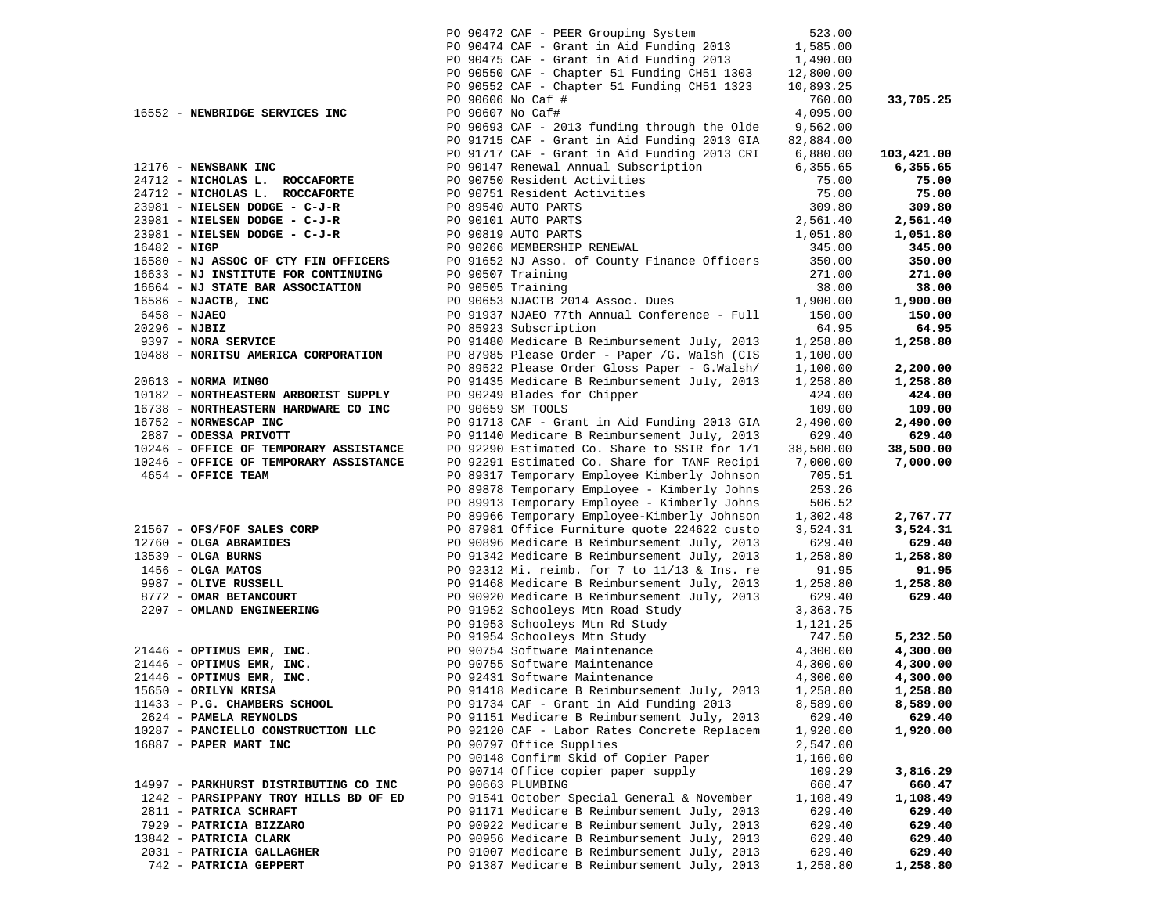|                 |                                                                 |                  | PO 90472 CAF - PEER Grouping System                                                         | 523.00             |                    |
|-----------------|-----------------------------------------------------------------|------------------|---------------------------------------------------------------------------------------------|--------------------|--------------------|
|                 |                                                                 |                  | PO 90474 CAF - Grant in Aid Funding 2013                                                    | 1,585.00           |                    |
|                 |                                                                 |                  | PO 90475 CAF - Grant in Aid Funding 2013                                                    | 1,490.00           |                    |
|                 |                                                                 |                  | PO 90550 CAF - Chapter 51 Funding CH51 1303                                                 | 12,800.00          |                    |
|                 |                                                                 |                  | PO 90552 CAF - Chapter 51 Funding CH51 1323                                                 | 10,893.25          |                    |
|                 |                                                                 |                  | PO 90606 No Caf #                                                                           | 760.00             | 33,705.25          |
|                 | 16552 - NEWBRIDGE SERVICES INC                                  | PO 90607 No Caf# |                                                                                             | 4,095.00           |                    |
|                 |                                                                 |                  | PO 90693 CAF - 2013 funding through the Olde                                                | 9,562.00           |                    |
|                 |                                                                 |                  | PO 91715 CAF - Grant in Aid Funding 2013 GIA                                                | 82,884.00          |                    |
|                 |                                                                 |                  | PO 91717 CAF - Grant in Aid Funding 2013 CRI                                                | 6,880.00           | 103,421.00         |
|                 | 12176 - NEWSBANK INC                                            |                  | PO 90147 Renewal Annual Subscription                                                        | 6,355.65           | 6,355.65           |
|                 | 24712 - NICHOLAS L. ROCCAFORTE                                  |                  | PO 90750 Resident Activities                                                                | 75.00              | 75.00              |
|                 | 24712 - NICHOLAS L. ROCCAFORTE                                  |                  | PO 90751 Resident Activities                                                                | 75.00              | 75.00              |
|                 | 23981 - NIELSEN DODGE - C-J-R                                   |                  | PO 89540 AUTO PARTS                                                                         | 309.80             | 309.80             |
|                 | 23981 - NIELSEN DODGE - C-J-R                                   |                  | PO 90101 AUTO PARTS                                                                         | 2,561.40           | 2,561.40           |
|                 | 23981 - NIELSEN DODGE - C-J-R                                   |                  | PO 90819 AUTO PARTS                                                                         | 1,051.80           | 1,051.80           |
| $16482 - NIGP$  |                                                                 |                  | PO 90266 MEMBERSHIP RENEWAL                                                                 | 345.00             | 345.00             |
|                 | 16580 - NJ ASSOC OF CTY FIN OFFICERS                            |                  | PO 91652 NJ Asso. of County Finance Officers                                                | 350.00             | 350.00             |
|                 | 16633 - NJ INSTITUTE FOR CONTINUING                             |                  | PO 90507 Training                                                                           | 271.00             | 271.00             |
|                 | 16664 - NJ STATE BAR ASSOCIATION                                |                  | PO 90505 Training                                                                           | 38.00              | 38.00              |
|                 | $16586$ - NJACTB, INC                                           |                  | PO 90653 NJACTB 2014 Assoc. Dues                                                            | 1,900.00           | 1,900.00           |
| 6458 - NJAEO    |                                                                 |                  | PO 91937 NJAEO 77th Annual Conference - Full                                                | 150.00             | 150.00             |
| $20296 - NJBIZ$ |                                                                 |                  | PO 85923 Subscription                                                                       | 64.95              | 64.95              |
|                 | 9397 - NORA SERVICE                                             |                  | PO 91480 Medicare B Reimbursement July, 2013                                                | 1,258.80           | 1,258.80           |
|                 | 10488 - NORITSU AMERICA CORPORATION                             |                  | PO 87985 Please Order - Paper /G. Walsh (CIS                                                | 1,100.00           |                    |
|                 |                                                                 |                  | PO 89522 Please Order Gloss Paper - G.Walsh/                                                | 1,100.00           | 2,200.00           |
|                 | $20613$ - NORMA MINGO                                           |                  | PO 91435 Medicare B Reimbursement July, 2013                                                | 1,258.80           | 1,258.80           |
|                 | 10182 - NORTHEASTERN ARBORIST SUPPLY                            |                  | PO 90249 Blades for Chipper                                                                 | 424.00             | 424.00             |
|                 | 16738 - NORTHEASTERN HARDWARE CO INC                            |                  | PO 90659 SM TOOLS                                                                           | 109.00             | 109.00             |
|                 | 16752 - NORWESCAP INC                                           |                  | PO 91713 CAF - Grant in Aid Funding 2013 GIA                                                | 2,490.00           | 2,490.00           |
|                 | 2887 - ODESSA PRIVOTT                                           |                  | PO 91140 Medicare B Reimbursement July, 2013                                                | 629.40             | 629.40             |
|                 | 10246 - OFFICE OF TEMPORARY ASSISTANCE                          |                  | PO 92290 Estimated Co. Share to SSIR for 1/1                                                | 38,500.00          | 38,500.00          |
|                 | 10246 - OFFICE OF TEMPORARY ASSISTANCE                          |                  | PO 92291 Estimated Co. Share for TANF Recipi                                                | 7,000.00           | 7,000.00           |
|                 | 4654 - OFFICE TEAM                                              |                  | PO 89317 Temporary Employee Kimberly Johnson                                                | 705.51             |                    |
|                 |                                                                 |                  | PO 89878 Temporary Employee - Kimberly Johns                                                | 253.26             |                    |
|                 |                                                                 |                  | PO 89913 Temporary Employee - Kimberly Johns                                                | 506.52             |                    |
|                 |                                                                 |                  | PO 89966 Temporary Employee-Kimberly Johnson                                                | 1,302.48           | 2,767.77           |
|                 | 21567 - OFS/FOF SALES CORP                                      |                  | PO 87981 Office Furniture quote 224622 custo                                                | 3,524.31           | 3,524.31           |
|                 | 12760 - OLGA ABRAMIDES                                          |                  | PO 90896 Medicare B Reimbursement July, 2013                                                | 629.40             | 629.40             |
|                 | 13539 - OLGA BURNS                                              |                  | PO 91342 Medicare B Reimbursement July, 2013                                                | 1,258.80           | 1,258.80           |
|                 | $1456 - OLGA$ MATOS                                             |                  | PO 92312 Mi. reimb. for 7 to 11/13 & Ins. re                                                | 91.95              | 91.95              |
|                 | 9987 - OLIVE RUSSELL                                            |                  | PO 91468 Medicare B Reimbursement July, 2013                                                | 1,258.80           | 1,258.80           |
|                 | 8772 - OMAR BETANCOURT                                          |                  | PO 90920 Medicare B Reimbursement July, 2013                                                | 629.40             | 629.40             |
|                 | 2207 - OMLAND ENGINEERING                                       |                  | PO 91952 Schooleys Mtn Road Study                                                           | 3,363.75           |                    |
|                 |                                                                 |                  | PO 91953 Schooleys Mtn Rd Study                                                             | 1,121.25           |                    |
|                 |                                                                 |                  | PO 91954 Schooleys Mtn Study                                                                | 747.50             | 5,232.50           |
|                 | 21446 - OPTIMUS EMR, INC.                                       |                  | PO 90754 Software Maintenance                                                               | 4,300.00           | 4,300.00           |
|                 | 21446 - OPTIMUS EMR, INC.                                       |                  | PO 90755 Software Maintenance                                                               | 4,300.00           | 4,300.00           |
|                 | 21446 - OPTIMUS EMR, INC.                                       |                  | PO 92431 Software Maintenance                                                               | 4,300.00           | 4,300.00           |
|                 | 15650 - ORILYN KRISA                                            |                  | PO 91418 Medicare B Reimbursement July, 2013                                                | 1,258.80           | 1,258.80           |
|                 | 11433 - P.G. CHAMBERS SCHOOL                                    |                  | PO 91734 CAF - Grant in Aid Funding 2013                                                    | 8,589.00           | 8,589.00           |
|                 | 2624 - PAMELA REYNOLDS                                          |                  | PO 91151 Medicare B Reimbursement July, 2013                                                | 629.40             | 629.40             |
|                 | 10287 - PANCIELLO CONSTRUCTION LLC                              |                  | PO 92120 CAF - Labor Rates Concrete Replacem                                                | 1,920.00           | 1,920.00           |
|                 | 16887 - PAPER MART INC                                          |                  | PO 90797 Office Supplies                                                                    | 2,547.00           |                    |
|                 |                                                                 |                  | PO 90148 Confirm Skid of Copier Paper                                                       | 1,160.00           |                    |
|                 |                                                                 |                  | PO 90714 Office copier paper supply                                                         | 109.29             | 3,816.29           |
|                 | 14997 - PARKHURST DISTRIBUTING CO INC                           |                  | PO 90663 PLUMBING                                                                           | 660.47             | 660.47             |
|                 | 1242 - PARSIPPANY TROY HILLS BD OF ED<br>2811 - PATRICA SCHRAFT |                  | PO 91541 October Special General & November<br>PO 91171 Medicare B Reimbursement July, 2013 | 1,108.49<br>629.40 | 1,108.49<br>629.40 |
|                 | 7929 - PATRICIA BIZZARO                                         |                  | PO 90922 Medicare B Reimbursement July, 2013                                                |                    | 629.40             |
|                 | 13842 - PATRICIA CLARK                                          |                  | PO 90956 Medicare B Reimbursement July, 2013                                                | 629.40<br>629.40   | 629.40             |
|                 | 2031 - PATRICIA GALLAGHER                                       |                  | PO 91007 Medicare B Reimbursement July, 2013                                                | 629.40             | 629.40             |
|                 | 742 - PATRICIA GEPPERT                                          |                  | PO 91387 Medicare B Reimbursement July, 2013                                                | 1,258.80           | 1,258.80           |
|                 |                                                                 |                  |                                                                                             |                    |                    |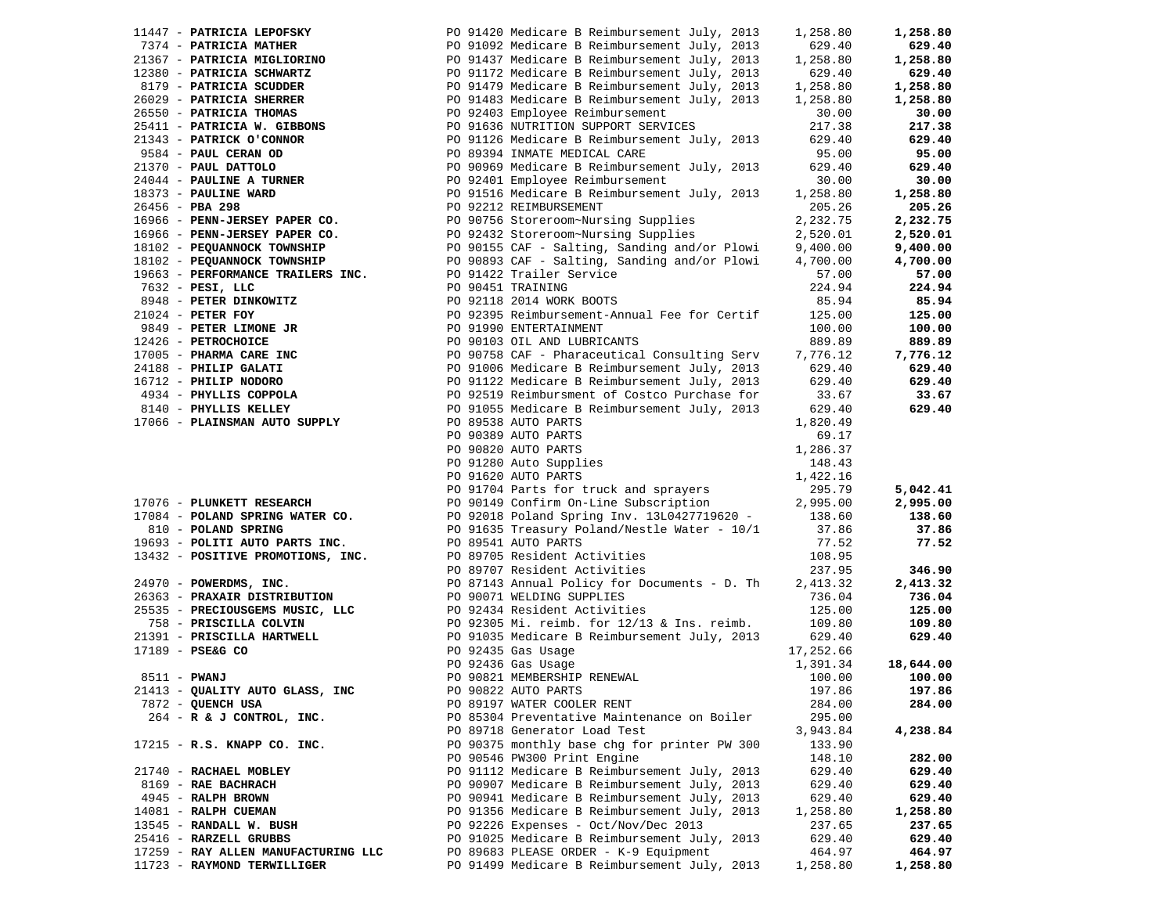|                                     |                                                                                                                                                                                                                                                                                | 1,258.80 | 1,258.80  |
|-------------------------------------|--------------------------------------------------------------------------------------------------------------------------------------------------------------------------------------------------------------------------------------------------------------------------------|----------|-----------|
|                                     |                                                                                                                                                                                                                                                                                | 629.40   | 629.40    |
|                                     |                                                                                                                                                                                                                                                                                | 1,258.80 | 1,258.80  |
|                                     |                                                                                                                                                                                                                                                                                | 629.40   | 629.40    |
|                                     |                                                                                                                                                                                                                                                                                | 1,258.80 | 1,258.80  |
|                                     |                                                                                                                                                                                                                                                                                |          |           |
|                                     |                                                                                                                                                                                                                                                                                | 1,258.80 | 1,258.80  |
|                                     |                                                                                                                                                                                                                                                                                | 30.00    | 30.00     |
|                                     |                                                                                                                                                                                                                                                                                | 217.38   | 217.38    |
|                                     |                                                                                                                                                                                                                                                                                | 629.40   | 629.40    |
|                                     |                                                                                                                                                                                                                                                                                | 95.00    | 95.00     |
|                                     |                                                                                                                                                                                                                                                                                | 629.40   | 629.40    |
|                                     |                                                                                                                                                                                                                                                                                | 30.00    | 30.00     |
|                                     |                                                                                                                                                                                                                                                                                | 1,258.80 | 1,258.80  |
|                                     |                                                                                                                                                                                                                                                                                | 205.26   | 205.26    |
|                                     |                                                                                                                                                                                                                                                                                | 2,232.75 | 2,232.75  |
|                                     |                                                                                                                                                                                                                                                                                | 2,520.01 | 2,520.01  |
|                                     |                                                                                                                                                                                                                                                                                |          |           |
|                                     | 11447 - <b>PATRICIA MEPOFSKY</b> PO 91420 Medicare B Reimbursement July, 2013<br>21367 - <b>PATRICIA MATHER</b> PO 91092 Medicare B Reimbursement July, 2013<br>21367 - <b>PATRICIA MITHER</b> PO 91092 Medicare B Reimbursement July, 2013<br>201                             | 9,400.00 | 9,400.00  |
|                                     |                                                                                                                                                                                                                                                                                | 4,700.00 | 4,700.00  |
|                                     |                                                                                                                                                                                                                                                                                | 57.00    | 57.00     |
|                                     |                                                                                                                                                                                                                                                                                |          | 224.94    |
|                                     |                                                                                                                                                                                                                                                                                |          | 85.94     |
|                                     |                                                                                                                                                                                                                                                                                |          | 125.00    |
|                                     |                                                                                                                                                                                                                                                                                |          | 100.00    |
|                                     |                                                                                                                                                                                                                                                                                |          | 889.89    |
|                                     |                                                                                                                                                                                                                                                                                |          | 7,776.12  |
|                                     |                                                                                                                                                                                                                                                                                |          | 629.40    |
|                                     |                                                                                                                                                                                                                                                                                |          | 629.40    |
|                                     |                                                                                                                                                                                                                                                                                |          | 33.67     |
|                                     |                                                                                                                                                                                                                                                                                |          |           |
|                                     |                                                                                                                                                                                                                                                                                |          | 629.40    |
|                                     |                                                                                                                                                                                                                                                                                |          |           |
|                                     |                                                                                                                                                                                                                                                                                | 69.17    |           |
|                                     | PO 89538 AUTO PARTS<br>PO 90389 AUTO PARTS<br>PO 90820 AUTO PARTS<br>PO 91280 Auto Supplies<br>PO 91620 AUTO PARTS                                                                                                                                                             | 1,286.37 |           |
|                                     |                                                                                                                                                                                                                                                                                | 148.43   |           |
|                                     |                                                                                                                                                                                                                                                                                | 1,422.16 |           |
|                                     | 17076 - PLUNKETT RESEARCH<br>17084 - POLAND SPRING WATER CO.<br>2009 11084 - POLAND SPRING WATER CO.<br>2009 2018 Poland Spring Inv. 1310427719620<br>2016 - POLAND SPRING WATER CO.<br>2009 2018 Poland Spring Inv. 1310427719620<br>2009                                     | 295.79   | 5,042.41  |
|                                     |                                                                                                                                                                                                                                                                                | 2,995.00 | 2,995.00  |
|                                     |                                                                                                                                                                                                                                                                                | 138.60   | 138.60    |
|                                     |                                                                                                                                                                                                                                                                                | 37.86    | 37.86     |
|                                     |                                                                                                                                                                                                                                                                                | 77.52    | 77.52     |
| 13432 - POSITIVE PROMOTIONS, INC.   |                                                                                                                                                                                                                                                                                | 108.95   |           |
|                                     | PO 89705 Resident Activities<br>PO 89707 Resident Activities                                                                                                                                                                                                                   | 237.95   | 346.90    |
|                                     |                                                                                                                                                                                                                                                                                |          |           |
|                                     |                                                                                                                                                                                                                                                                                |          | 2,413.32  |
|                                     |                                                                                                                                                                                                                                                                                |          | 736.04    |
|                                     |                                                                                                                                                                                                                                                                                |          | 125.00    |
|                                     | 24970 <b>- POWERDMS, INC.</b><br>26363 <b>- PRAXAIR DISTRIBUTION</b><br>26363 <b>- PRAXAIR DISTRIBUTION</b><br>26363 <b>- PRECIOUSGEMS MUSIC, LLC</b><br>26363 <b>- PRECIOUSGEMS MUSIC, LLC</b><br>26363 <b>- PRECIOUSGEMS MUSIC, LLC</b><br>276.04<br>276.04<br>276.04<br>276 |          | 109.80    |
|                                     |                                                                                                                                                                                                                                                                                |          | 629.40    |
|                                     |                                                                                                                                                                                                                                                                                |          |           |
|                                     |                                                                                                                                                                                                                                                                                |          | 18,644.00 |
|                                     |                                                                                                                                                                                                                                                                                |          | 100.00    |
|                                     |                                                                                                                                                                                                                                                                                |          | 197.86    |
| 7872 - QUENCH USA                   | PO 89197 WATER COOLER RENT                                                                                                                                                                                                                                                     | 284.00   | 284.00    |
| 264 - R & J CONTROL, INC.           | PO 85304 Preventative Maintenance on Boiler                                                                                                                                                                                                                                    | 295.00   |           |
|                                     | PO 89718 Generator Load Test                                                                                                                                                                                                                                                   | 3,943.84 | 4,238.84  |
|                                     |                                                                                                                                                                                                                                                                                |          |           |
|                                     |                                                                                                                                                                                                                                                                                |          |           |
| 17215 - R.S. KNAPP CO. INC.         | PO 90375 monthly base chg for printer PW 300                                                                                                                                                                                                                                   | 133.90   |           |
|                                     | PO 90546 PW300 Print Engine                                                                                                                                                                                                                                                    | 148.10   | 282.00    |
| 21740 - RACHAEL MOBLEY              | PO 91112 Medicare B Reimbursement July, 2013                                                                                                                                                                                                                                   | 629.40   | 629.40    |
| 8169 - RAE BACHRACH                 | PO 90907 Medicare B Reimbursement July, 2013                                                                                                                                                                                                                                   | 629.40   | 629.40    |
| 4945 - RALPH BROWN                  | PO 90941 Medicare B Reimbursement July, 2013                                                                                                                                                                                                                                   | 629.40   | 629.40    |
| 14081 - RALPH CUEMAN                | PO 91356 Medicare B Reimbursement July, 2013                                                                                                                                                                                                                                   | 1,258.80 | 1,258.80  |
| 13545 - RANDALL W. BUSH             | PO 92226 Expenses - Oct/Nov/Dec 2013                                                                                                                                                                                                                                           | 237.65   | 237.65    |
| 25416 - RARZELL GRUBBS              | PO 91025 Medicare B Reimbursement July, 2013                                                                                                                                                                                                                                   | 629.40   | 629.40    |
| 17259 - RAY ALLEN MANUFACTURING LLC | PO 89683 PLEASE ORDER - K-9 Equipment                                                                                                                                                                                                                                          | 464.97   | 464.97    |
| 11723 - RAYMOND TERWILLIGER         | PO 91499 Medicare B Reimbursement July, 2013                                                                                                                                                                                                                                   | 1,258.80 | 1,258.80  |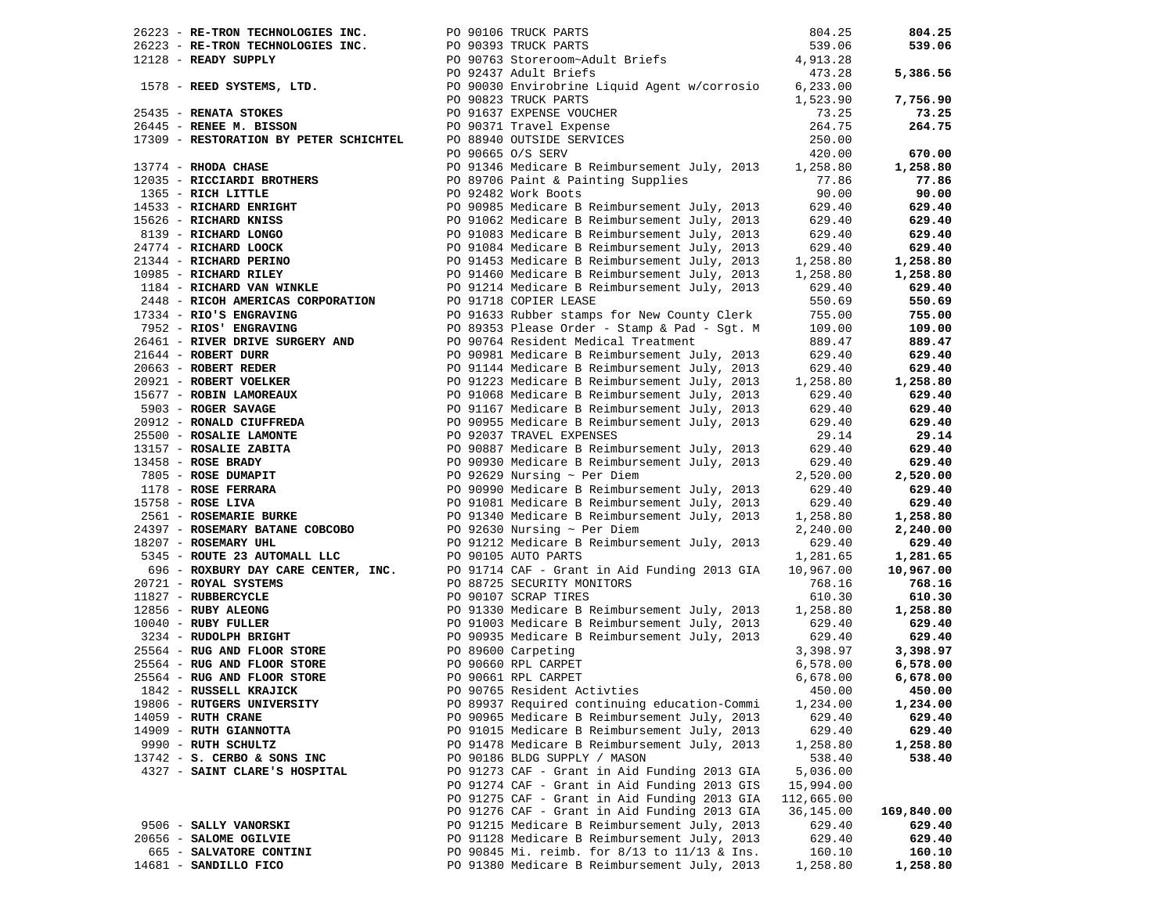|                                                              |                                                                                                                                                                                                                                                         |            | 804.25     |
|--------------------------------------------------------------|---------------------------------------------------------------------------------------------------------------------------------------------------------------------------------------------------------------------------------------------------------|------------|------------|
|                                                              |                                                                                                                                                                                                                                                         |            | 539.06     |
|                                                              |                                                                                                                                                                                                                                                         |            |            |
|                                                              |                                                                                                                                                                                                                                                         |            | 5,386.56   |
|                                                              |                                                                                                                                                                                                                                                         |            |            |
|                                                              |                                                                                                                                                                                                                                                         |            | 7,756.90   |
|                                                              |                                                                                                                                                                                                                                                         |            | 73.25      |
|                                                              |                                                                                                                                                                                                                                                         |            | 264.75     |
|                                                              |                                                                                                                                                                                                                                                         |            |            |
|                                                              |                                                                                                                                                                                                                                                         |            | 670.00     |
|                                                              |                                                                                                                                                                                                                                                         |            | 1,258.80   |
|                                                              | 13774 - RHODA CHASE<br>1203 - RICHARD BROTHERS<br>1365 - RICH LITTLE<br>1365 - RICH LITTLE<br>1365 - RICH LITTLE<br>1365 - RICHARD ENRIGHT<br>15626 - RICHARD ENRIGHT<br>15626 - RICHARD ENRIGHT<br>201062 Medicare B Reimbursement July, 2013          |            | 77.86      |
|                                                              |                                                                                                                                                                                                                                                         |            |            |
|                                                              |                                                                                                                                                                                                                                                         |            | 90.00      |
|                                                              |                                                                                                                                                                                                                                                         |            | 629.40     |
|                                                              |                                                                                                                                                                                                                                                         |            | 629.40     |
|                                                              |                                                                                                                                                                                                                                                         |            | 629.40     |
|                                                              |                                                                                                                                                                                                                                                         |            | 629.40     |
|                                                              |                                                                                                                                                                                                                                                         |            | 1,258.80   |
|                                                              |                                                                                                                                                                                                                                                         |            | 1,258.80   |
|                                                              |                                                                                                                                                                                                                                                         |            | 629.40     |
| 2448 - RICOH AMERICAS CORPORATION<br>17334 - RIO'S ENGRAVING | PO 91718 COPIER LEASE<br>PO 91633 Rubber stamps for New County Clerk<br>PO 89353 Please Order - Stamp & Pad - Sgt. M                                                                                                                                    | 550.69     | 550.69     |
| 17334 - RIO'S ENGRAVING                                      | PO 91633 Rubber stamps for New County Clerk                                                                                                                                                                                                             | 755.00     | 755.00     |
| 7952 - RIOS' ENGRAVING                                       |                                                                                                                                                                                                                                                         | 109.00     | 109.00     |
|                                                              |                                                                                                                                                                                                                                                         |            | 889.47     |
|                                                              |                                                                                                                                                                                                                                                         |            | 629.40     |
|                                                              |                                                                                                                                                                                                                                                         |            | 629.40     |
|                                                              |                                                                                                                                                                                                                                                         |            | 1,258.80   |
|                                                              |                                                                                                                                                                                                                                                         |            | 629.40     |
|                                                              |                                                                                                                                                                                                                                                         |            | 629.40     |
|                                                              |                                                                                                                                                                                                                                                         |            | 629.40     |
|                                                              |                                                                                                                                                                                                                                                         |            | 29.14      |
|                                                              | 1952 <b>- RIOS' ENGRAVING</b><br>2069 - <b>RIVER BRITER POSTAGERY AND</b> PO 99764 Resident Medicare Breinbursement July, 2013<br>20663 - <b>ROBERT REDER POSTAGERY AND</b> PO 91044 Nedicare BReinbursement July, 2013<br>20921 <b>- ROBERT REDER </b> |            | 629.40     |
|                                                              |                                                                                                                                                                                                                                                         |            | 629.40     |
|                                                              |                                                                                                                                                                                                                                                         |            | 2,520.00   |
|                                                              |                                                                                                                                                                                                                                                         |            | 629.40     |
|                                                              |                                                                                                                                                                                                                                                         |            | 629.40     |
|                                                              |                                                                                                                                                                                                                                                         |            |            |
|                                                              |                                                                                                                                                                                                                                                         |            | 1,258.80   |
|                                                              |                                                                                                                                                                                                                                                         |            | 2,240.00   |
|                                                              |                                                                                                                                                                                                                                                         |            | 629.40     |
|                                                              |                                                                                                                                                                                                                                                         |            | 1,281.65   |
|                                                              | 696 - ROXBURY DAY CARE CENTER, INC.<br>1721 - ROYAL SYSTEMS                                                                                                                                                                                             | 10,967.00  | 10,967.00  |
| 20721 - ROYAL SYSTEMS                                        | PO 88725 SECURITY MONITORS                                                                                                                                                                                                                              | 768.16     | 768.16     |
|                                                              |                                                                                                                                                                                                                                                         |            | 610.30     |
|                                                              | 2012 - RUBERCYCLE<br>11827 - RUBERCYCLE<br>12856 - RUBY ALEONG<br>10040 - RUBY FULLER<br>2334 - RUDOLPH BRIGHT<br>25564 - RUG AND FLOOR STORE<br>25564 - RUG AND FLOOR STORE<br>25564 - RUG AND FLOOR STORE<br>25564 - RUG AND FLOOR STORE<br>25        |            | 1,258.80   |
|                                                              |                                                                                                                                                                                                                                                         |            | 629.40     |
|                                                              |                                                                                                                                                                                                                                                         |            | 629.40     |
|                                                              |                                                                                                                                                                                                                                                         |            | 3,398.97   |
|                                                              |                                                                                                                                                                                                                                                         |            | 6,578.00   |
| PO 90661 RPL CARPET<br>25564 - RUG AND FLOOR STORE           |                                                                                                                                                                                                                                                         | 6,678.00   | 6,678.00   |
| 1842 - RUSSELL KRAJICK                                       | PO 90765 Resident Activties                                                                                                                                                                                                                             | 450.00     | 450.00     |
| 19806 - RUTGERS UNIVERSITY                                   | PO 89937 Required continuing education-Commi                                                                                                                                                                                                            | 1,234.00   | 1,234.00   |
| $14059$ - RUTH CRANE                                         | PO 90965 Medicare B Reimbursement July, 2013                                                                                                                                                                                                            | 629.40     | 629.40     |
| 14909 - RUTH GIANNOTTA                                       | PO 91015 Medicare B Reimbursement July, 2013                                                                                                                                                                                                            | 629.40     | 629.40     |
| 9990 - RUTH SCHULTZ                                          | PO 91478 Medicare B Reimbursement July, 2013                                                                                                                                                                                                            | 1,258.80   | 1,258.80   |
| $13742 - S$ . CERBO & SONS INC                               | PO 90186 BLDG SUPPLY / MASON                                                                                                                                                                                                                            | 538.40     | 538.40     |
| 4327 - SAINT CLARE'S HOSPITAL                                | PO 91273 CAF - Grant in Aid Funding 2013 GIA                                                                                                                                                                                                            | 5,036.00   |            |
|                                                              | PO 91274 CAF - Grant in Aid Funding 2013 GIS                                                                                                                                                                                                            | 15,994.00  |            |
|                                                              | PO 91275 CAF - Grant in Aid Funding 2013 GIA                                                                                                                                                                                                            | 112,665.00 |            |
|                                                              | PO 91276 CAF - Grant in Aid Funding 2013 GIA                                                                                                                                                                                                            | 36,145.00  | 169,840.00 |
| 9506 - SALLY VANORSKI                                        | PO 91215 Medicare B Reimbursement July, 2013                                                                                                                                                                                                            | 629.40     | 629.40     |
| 20656 - SALOME OGILVIE                                       | PO 91128 Medicare B Reimbursement July, 2013                                                                                                                                                                                                            | 629.40     | 629.40     |
| 665 - SALVATORE CONTINI                                      | PO 90845 Mi. reimb. for 8/13 to 11/13 & Ins.                                                                                                                                                                                                            | 160.10     | 160.10     |
| 14681 - SANDILLO FICO                                        | PO 91380 Medicare B Reimbursement July, 2013                                                                                                                                                                                                            | 1,258.80   | 1,258.80   |
|                                                              |                                                                                                                                                                                                                                                         |            |            |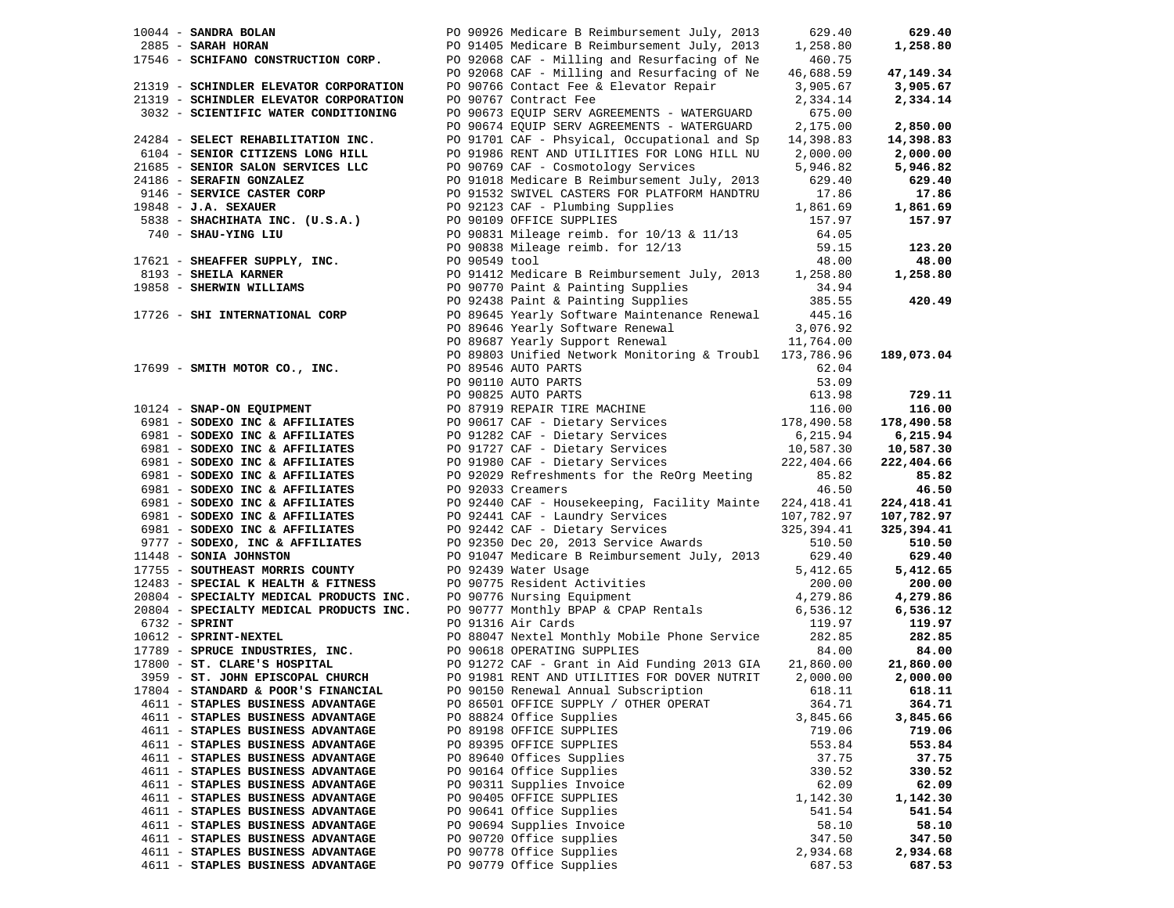|                                        |                                                                                                                                                                                                                                                        | 629.40   | 629.40     |
|----------------------------------------|--------------------------------------------------------------------------------------------------------------------------------------------------------------------------------------------------------------------------------------------------------|----------|------------|
|                                        |                                                                                                                                                                                                                                                        | 1,258.80 | 1,258.80   |
|                                        |                                                                                                                                                                                                                                                        | 460.75   |            |
|                                        | PO 92068 CAF - Milling and Resurfacing of Ne 46,688.59                                                                                                                                                                                                 |          | 47,149.34  |
| 21319 - SCHINDLER ELEVATOR CORPORATION | PO 90766 Contact Fee & Elevator Repair 3,905.67                                                                                                                                                                                                        |          | 3,905.67   |
| 21319 - SCHINDLER ELEVATOR CORPORATION | PO 90767 Contract Fee                                                                                                                                                                                                                                  | 2,334.14 | 2,334.14   |
| 3032 - SCIENTIFIC WATER CONDITIONING   | PO 90673 EQUIP SERV AGREEMENTS - WATERGUARD                                                                                                                                                                                                            | 675.00   |            |
|                                        | PO 90674 EQUIP SERV AGREEMENTS - WATERGUARD                                                                                                                                                                                                            | 2,175.00 | 2,850.00   |
| 24284 - SELECT REHABILITATION INC.     | PO 91701 CAF - Phsyical, Occupational and Sp 14,398.83                                                                                                                                                                                                 |          | 14,398.83  |
| 6104 - SENIOR CITIZENS LONG HILL       | PO 91986 RENT AND UTILITIES FOR LONG HILL NU 2,000.00                                                                                                                                                                                                  |          | 2,000.00   |
| 21685 - SENIOR SALON SERVICES LLC      | PO 90769 CAF - Cosmotology Services 5,946.82                                                                                                                                                                                                           |          | 5,946.82   |
|                                        |                                                                                                                                                                                                                                                        |          | 629.40     |
|                                        | PO 91018 Medicare B Reimbursement July, 2013 629.40<br>PO 91532 SWIVEL CASTERS FOR PLATFORM HANDTRU 17.86                                                                                                                                              |          |            |
|                                        |                                                                                                                                                                                                                                                        |          | 17.86      |
|                                        |                                                                                                                                                                                                                                                        |          | 1,861.69   |
|                                        |                                                                                                                                                                                                                                                        |          | 157.97     |
|                                        |                                                                                                                                                                                                                                                        |          |            |
|                                        |                                                                                                                                                                                                                                                        |          | 123.20     |
|                                        | 24186 - SERAFIN GONZALEZ<br>9146 - SERVICE CASTER CORP<br>19848 - J.A. SEXAVER CORP<br>19848 - J.A. SEXAVER CORP<br>19838 - SHACHEATA INC. (U.S.A.)<br>20091019 OFFICE SUPPLIES<br>20091019 OFFICE SUPPLIES<br>2009031 Mileage reimb. for 10           |          | 48.00      |
|                                        |                                                                                                                                                                                                                                                        |          | 1,258.80   |
|                                        |                                                                                                                                                                                                                                                        |          |            |
|                                        |                                                                                                                                                                                                                                                        |          | 420.49     |
| 17726 - SHI INTERNATIONAL CORP         |                                                                                                                                                                                                                                                        |          |            |
|                                        |                                                                                                                                                                                                                                                        |          |            |
|                                        |                                                                                                                                                                                                                                                        |          |            |
|                                        | 90 89645 Yearly Software Maintenance Renewal 145.16<br>PO 89646 Yearly Software Renewal 3,076.92<br>PO 89687 Yearly Support Renewal 11,764.00<br>PO 89803 Unified Network Monitoring & Troubl 173,786.96                                               |          | 189,073.04 |
|                                        |                                                                                                                                                                                                                                                        |          |            |
|                                        |                                                                                                                                                                                                                                                        |          |            |
|                                        |                                                                                                                                                                                                                                                        |          |            |
|                                        |                                                                                                                                                                                                                                                        |          | 729.11     |
|                                        | 17699 - <b>SMITH MOTOR CO., INC.</b><br>20 89546 AUTO PARTS<br>20 909855 AUTO PARTS<br>20 909825 AUTO PARTS<br>20 909825 AUTO PARTS<br>20 909825 AUTO PARTS<br>20 909825 AUTO PARTS<br>20 909825 AUTO PARTS<br>20 909825 AUTO PARTS<br>20 909825 AUT   |          | 116.00     |
|                                        |                                                                                                                                                                                                                                                        |          | 178,490.58 |
|                                        |                                                                                                                                                                                                                                                        |          | 6,215.94   |
|                                        |                                                                                                                                                                                                                                                        |          | 10,587.30  |
|                                        |                                                                                                                                                                                                                                                        |          | 222,404.66 |
| 6981 - SODEXO INC & AFFILIATES         |                                                                                                                                                                                                                                                        |          | 85.82      |
| 6981 - SODEXO INC & AFFILIATES         | PO 92029 Refreshments for the ReOrg Meeting 85.82<br>PO 92033 Creamers 46.50                                                                                                                                                                           |          | 46.50      |
|                                        | 6981 - SODEXO INC & AFFILIATES<br>6981 - SODEXO INC & AFFILIATES<br>6981 - SODEXO INC & AFFILIATES<br>6981 - SODEXO INC & AFFILIATES<br>6981 - SODEXO INC & AFFILIATES<br>6977 - SODEXO INC & AFFILIATES<br>6977 - SODEXO INC & AFFILIATES             |          | 224,418.41 |
|                                        |                                                                                                                                                                                                                                                        |          | 107,782.97 |
|                                        |                                                                                                                                                                                                                                                        |          | 325,394.41 |
|                                        |                                                                                                                                                                                                                                                        |          | 510.50     |
| 11448 - SONIA JOHNSTON                 | PO 91047 Medicare B Reimbursement July, 2013 629.40                                                                                                                                                                                                    |          | 629.40     |
| 17755 - SOUTHEAST MORRIS COUNTY        | PO 92439 Water Usage                                                                                                                                                                                                                                   | 5,412.65 | 5,412.65   |
|                                        |                                                                                                                                                                                                                                                        |          | 200.00     |
|                                        |                                                                                                                                                                                                                                                        | 4,279.86 |            |
|                                        | 17755 - SOUTHEAST MORRIS COUNTY<br>12483 - SPECIAL K HEALTH & FITNESS PO 90775 Resident Activities 200.00<br>200.00 - SPECIALTY MEDICAL PRODUCTS INC. PO 90776 Nursing Equipment 4,279.86<br>200.00 - SPECIALTY MEDICAL PRODUCTS INC                   |          | 4,279.86   |
|                                        | 91316 Air Cards<br>20804 - SPRINT<br>20804 - SPRINT<br>20804 - SPRINT<br>20804 - SPRINT<br>20804 - SPRINT<br>20804 - SPRINT<br>20804 - SPRINT<br>20804 - SPRINT<br>209051981 RENT<br>2090618 OPERATING SUPPLIES<br>209018 OPERATING SUPPLIES<br>209018 |          | 6,536.12   |
|                                        |                                                                                                                                                                                                                                                        |          | 119.97     |
|                                        |                                                                                                                                                                                                                                                        |          | 282.85     |
|                                        |                                                                                                                                                                                                                                                        |          | 84.00      |
|                                        |                                                                                                                                                                                                                                                        |          | 21,860.00  |
|                                        |                                                                                                                                                                                                                                                        |          | 2,000.00   |
| 17804 - STANDARD & POOR'S FINANCIAL    | PO 90150 Renewal Annual Subscription                                                                                                                                                                                                                   | 618.11   | 618.11     |
| 4611 - STAPLES BUSINESS ADVANTAGE      | PO 86501 OFFICE SUPPLY / OTHER OPERAT                                                                                                                                                                                                                  | 364.71   | 364.71     |
| 4611 - STAPLES BUSINESS ADVANTAGE      | PO 88824 Office Supplies                                                                                                                                                                                                                               | 3,845.66 | 3,845.66   |
| 4611 - STAPLES BUSINESS ADVANTAGE      | PO 89198 OFFICE SUPPLIES                                                                                                                                                                                                                               | 719.06   | 719.06     |
| 4611 - STAPLES BUSINESS ADVANTAGE      | PO 89395 OFFICE SUPPLIES                                                                                                                                                                                                                               | 553.84   | 553.84     |
| 4611 - STAPLES BUSINESS ADVANTAGE      | PO 89640 Offices Supplies                                                                                                                                                                                                                              | 37.75    | 37.75      |
| 4611 - STAPLES BUSINESS ADVANTAGE      | PO 90164 Office Supplies                                                                                                                                                                                                                               | 330.52   | 330.52     |
| 4611 - STAPLES BUSINESS ADVANTAGE      | PO 90311 Supplies Invoice                                                                                                                                                                                                                              | 62.09    | 62.09      |
| 4611 - STAPLES BUSINESS ADVANTAGE      | PO 90405 OFFICE SUPPLIES                                                                                                                                                                                                                               | 1,142.30 | 1,142.30   |
| 4611 - STAPLES BUSINESS ADVANTAGE      | PO 90641 Office Supplies                                                                                                                                                                                                                               | 541.54   | 541.54     |
|                                        |                                                                                                                                                                                                                                                        |          |            |
| 4611 - STAPLES BUSINESS ADVANTAGE      | PO 90694 Supplies Invoice                                                                                                                                                                                                                              | 58.10    | 58.10      |
| 4611 - STAPLES BUSINESS ADVANTAGE      | PO 90720 Office supplies                                                                                                                                                                                                                               | 347.50   | 347.50     |
| 4611 - STAPLES BUSINESS ADVANTAGE      | PO 90778 Office Supplies                                                                                                                                                                                                                               | 2,934.68 | 2,934.68   |
| 4611 - STAPLES BUSINESS ADVANTAGE      | PO 90779 Office Supplies                                                                                                                                                                                                                               | 687.53   | 687.53     |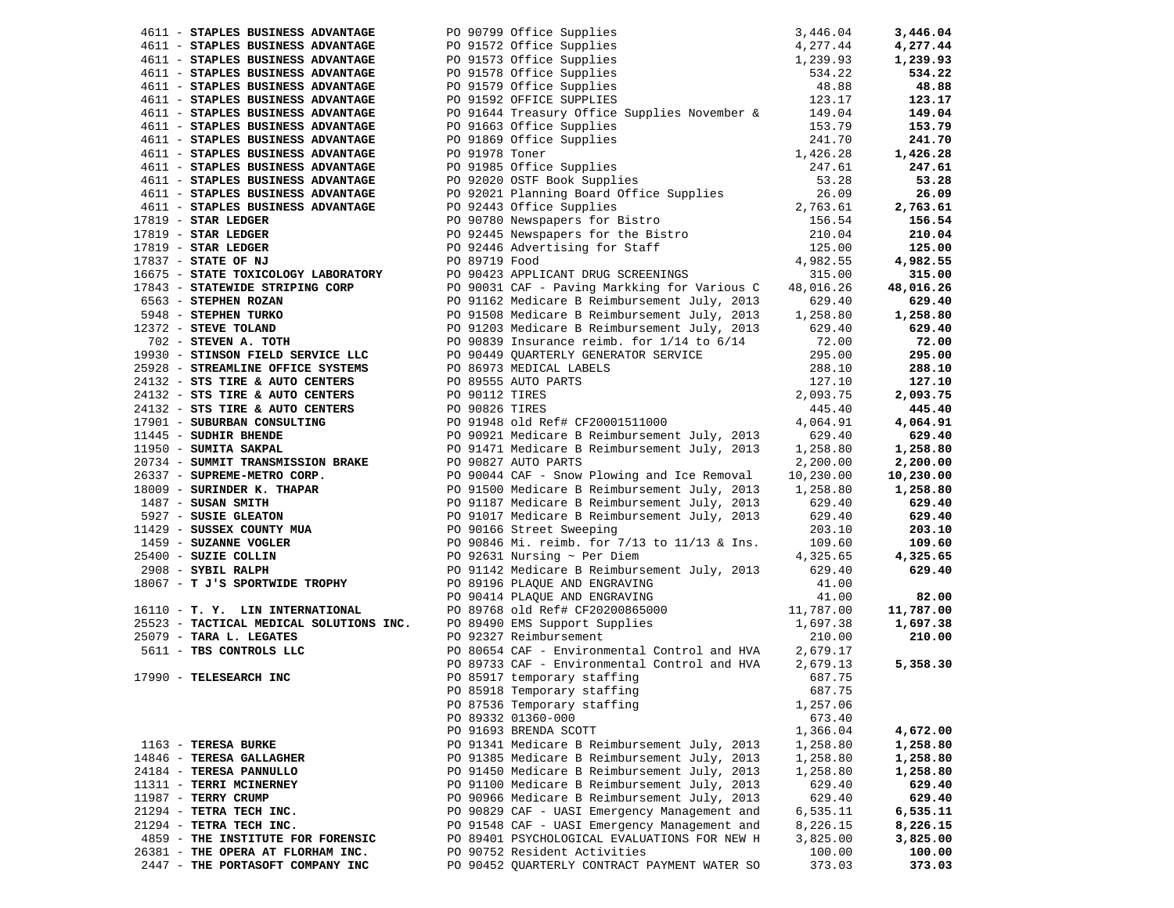| 4611 - STAPLES BUSINESS ADVANTAGE                                                                                                                                                                                                                      | PO 90799 Office Supplies                                                                                                    |           | 3,446.04  |
|--------------------------------------------------------------------------------------------------------------------------------------------------------------------------------------------------------------------------------------------------------|-----------------------------------------------------------------------------------------------------------------------------|-----------|-----------|
| 4611 - STAPLES BUSINESS ADVANTAGE                                                                                                                                                                                                                      | $3,446.04$<br>$4,277.44$<br>$1,239.93$<br>$534.22$<br>$48.88$<br>$123.17$<br>PO 91572 Office Supplies                       |           | 4,277.44  |
| 4611 - STAPLES BUSINESS ADVANTAGE                                                                                                                                                                                                                      | PO 91573 Office Supplies                                                                                                    |           | 1,239.93  |
| 4611 - STAPLES BUSINESS ADVANTAGE                                                                                                                                                                                                                      | PO 91578 Office Supplies                                                                                                    |           | 534.22    |
| 4611 - STAPLES BUSINESS ADVANTAGE                                                                                                                                                                                                                      | PO 91579 Office Supplies                                                                                                    |           | 48.88     |
| 4611 - STAPLES BUSINESS ADVANTAGE                                                                                                                                                                                                                      | PO 91592 OFFICE SUPPLIES                                                                                                    |           | 123.17    |
| 4611 - STAPLES BUSINESS ADVANTAGE                                                                                                                                                                                                                      | PO 91644 Treasury Office Supplies November & 149.04                                                                         |           | 149.04    |
| 4611 - STAPLES BUSINESS ADVANTAGE                                                                                                                                                                                                                      | PO 91663 Office Supplies                                                                                                    | 153.79    | 153.79    |
| 4611 - STAPLES BUSINESS ADVANTAGE                                                                                                                                                                                                                      | PO 91869 Office Supplies<br>PO 91978 Toner<br>PO 91985 Office Supplies<br>PO 92020 OSTF Book Supplies                       | 241.70    | 241.70    |
| 4611 - STAPLES BUSINESS ADVANTAGE                                                                                                                                                                                                                      |                                                                                                                             | 1,426.28  | 1,426.28  |
| 4611 - STAPLES BUSINESS ADVANTAGE                                                                                                                                                                                                                      |                                                                                                                             | 247.61    | 247.61    |
| 4611 - STAPLES BUSINESS ADVANTAGE                                                                                                                                                                                                                      |                                                                                                                             | 53.28     | 53.28     |
| 4611 - STAPLES BUSINESS ADVANTAGE                                                                                                                                                                                                                      | PO 92021 Planning Board Office Supplies                                                                                     | 26.09     | 26.09     |
| 4611 - STAPLES BUSINESS ADVANTAGE                                                                                                                                                                                                                      |                                                                                                                             | 2,763.61  | 2,763.61  |
| $17819$ - STAR LEDGER                                                                                                                                                                                                                                  | PO 92443 Office Supplies<br>PO 90780 Newspapers for Bistro                                                                  | 156.54    | 156.54    |
| $17819$ - STAR LEDGER                                                                                                                                                                                                                                  | PO 92445 Newspapers for the Bistro<br>PO 92446 Advertising for Staff<br>PO 89719 Food<br>PO 90423 APPLICANT DRUG SCREENINGS | 210.04    | 210.04    |
| $17819$ - STAR LEDGER                                                                                                                                                                                                                                  |                                                                                                                             | 125.00    | 125.00    |
| 17837 - STATE OF NJ                                                                                                                                                                                                                                    |                                                                                                                             | 4,982.55  | 4,982.55  |
| 16675 - STATE TOXICOLOGY LABORATORY                                                                                                                                                                                                                    |                                                                                                                             | 315.00    | 315.00    |
| 17843 - STATEWIDE STRIPING CORP<br>6563 - STEPHEN ROZAN<br>5948 - STEPHEN TURKO<br>12372 - STEVE TOLAND<br>702 - STEVEN A. TOTH                                                                                                                        | PO 90031 CAF - Paving Markking for Various C                                                                                | 48,016.26 | 48,016.26 |
|                                                                                                                                                                                                                                                        | PO 91162 Medicare B Reimbursement July, 2013                                                                                | 629.40    | 629.40    |
|                                                                                                                                                                                                                                                        | PO 91508 Medicare B Reimbursement July, 2013                                                                                | 1,258.80  | 1,258.80  |
|                                                                                                                                                                                                                                                        | PO 91203 Medicare B Reimbursement July, 2013                                                                                | 629.40    | 629.40    |
|                                                                                                                                                                                                                                                        | PO 90839 Insurance reimb. for $1/14$ to $6/14$                                                                              | 72.00     | 72.00     |
| 19930 - STINSON FIELD SERVICE LLC                                                                                                                                                                                                                      | PO 90449 QUARTERLY GENERATOR SERVICE                                                                                        | 295.00    | 295.00    |
| 25928 - STREAMLINE OFFICE SYSTEMS                                                                                                                                                                                                                      | PO 86973 MEDICAL LABELS                                                                                                     | 288.10    | 288.10    |
| 24132 - STS TIRE & AUTO CENTERS                                                                                                                                                                                                                        | PO 89555 AUTO PARTS                                                                                                         | 127.10    | 127.10    |
|                                                                                                                                                                                                                                                        |                                                                                                                             | 2,093.75  | 2,093.75  |
| $24132$ - STS TIRE & AUTO CENTERS $24132$ - STS TIRE & AUTO CENTERS $24132$ - STS TIRE & AUTO CENTERS $24132$ - STS TIRE & AUTO CENTERS                                                                                                                |                                                                                                                             | 445.40    | 445.40    |
|                                                                                                                                                                                                                                                        |                                                                                                                             | 4,064.91  | 4,064.91  |
| 17901 - SUBURBAN CONSULTING<br>11445 - SUDHIR BHENDE<br>PO 90921 Medicare B Reimbursement July, 2013                                                                                                                                                   |                                                                                                                             | 629.40    | 629.40    |
| 11950 - SUMITA SAKPAL                                                                                                                                                                                                                                  | PO 91471 Medicare B Reimbursement July, 2013                                                                                | 1,258.80  | 1,258.80  |
|                                                                                                                                                                                                                                                        | PO 90827 AUTO PARTS                                                                                                         | 2,200.00  | 2,200.00  |
|                                                                                                                                                                                                                                                        | PO 90044 CAF - Snow Plowing and Ice Removal                                                                                 | 10,230.00 | 10,230.00 |
| 1990 - SUMMIT TRANSMISSION BRAKE<br>26337 - SUPREME-METRANSMISSION BRAKE<br>18009 - SURINDER K. THAPAR<br>1809 - SURINDER K. THAPAR<br>187 - SUSAN SMITH<br>5927 - SUSEK GLEATON<br>11429 - SUSSEX COUNTY MUA<br>1459 - SUZANNE VOGLER<br>25400 - SUZI | PO 91500 Medicare B Reimbursement July, 2013 1,258.80                                                                       |           | 1,258.80  |
|                                                                                                                                                                                                                                                        |                                                                                                                             |           | 629.40    |
|                                                                                                                                                                                                                                                        | PO 91187 Medicare B Reimbursement July, 2013<br>PO 91017 Medicare B Reimbursement July, 2013                                | 629.40    |           |
|                                                                                                                                                                                                                                                        |                                                                                                                             | 629.40    | 629.40    |
|                                                                                                                                                                                                                                                        | PO 90166 Street Sweeping<br>PO 90846 Mi. reimb. for 7/13 to 11/13 & Ins.                                                    | 203.10    | 203.10    |
|                                                                                                                                                                                                                                                        |                                                                                                                             | 109.60    | 109.60    |
|                                                                                                                                                                                                                                                        | PO 92631 Nursing $\sim$ Per Diem                                                                                            | 4,325.65  | 4,325.65  |
| 18067 - T J'S SPORTWIDE TROPHY                                                                                                                                                                                                                         | PO 91142 Medicare B Reimbursement July, 2013                                                                                | 629.40    | 629.40    |
|                                                                                                                                                                                                                                                        | PO 89196 PLAQUE AND ENGRAVING                                                                                               | 41.00     |           |
|                                                                                                                                                                                                                                                        | PO 90414 PLAQUE AND ENGRAVING<br>PO 90414 PLAQUE AND ENGRAVING<br>PO 89768 old Ref# CF20200865000 11,787.00                 | 41.00     | 82.00     |
| 16110 - T. Y. LIN INTERNATIONAL                                                                                                                                                                                                                        |                                                                                                                             |           | 11,787.00 |
| 25523 - TACTICAL MEDICAL SOLUTIONS INC.                                                                                                                                                                                                                | PO 89490 EMS Support Supplies<br>PO 89490 EMS Support Supplies                                                              | 1,697.38  | 1,697.38  |
| 25079 - TARA L. LEGATES                                                                                                                                                                                                                                | PO 92327 Reimbursement                                                                                                      | 210.00    | 210.00    |
| 5611 - TBS CONTROLS LLC                                                                                                                                                                                                                                | PO 80654 CAF - Environmental Control and HVA 2,679.17                                                                       |           |           |
|                                                                                                                                                                                                                                                        | PO 89733 CAF - Environmental Control and HVA 2,679.13                                                                       |           | 5,358.30  |
| 17990 - TELESEARCH INC                                                                                                                                                                                                                                 | PO 85917 temporary staffing                                                                                                 | 687.75    |           |
|                                                                                                                                                                                                                                                        | PO 85918 Temporary staffing                                                                                                 | 687.75    |           |
|                                                                                                                                                                                                                                                        | PO 87536 Temporary staffing                                                                                                 | 1,257.06  |           |
|                                                                                                                                                                                                                                                        | PO 89332 01360-000                                                                                                          | 673.40    |           |
|                                                                                                                                                                                                                                                        | PO 91693 BRENDA SCOTT                                                                                                       | 1,366.04  | 4,672.00  |
| 1163 - TERESA BURKE                                                                                                                                                                                                                                    | PO 91341 Medicare B Reimbursement July, 2013                                                                                | 1,258.80  | 1,258.80  |
| 14846 - TERESA GALLAGHER                                                                                                                                                                                                                               | PO 91385 Medicare B Reimbursement July, 2013                                                                                | 1,258.80  | 1,258.80  |
| 24184 - TERESA PANNULLO                                                                                                                                                                                                                                | PO 91450 Medicare B Reimbursement July, 2013                                                                                | 1,258.80  | 1,258.80  |
| 11311 - TERRI MCINERNEY                                                                                                                                                                                                                                | PO 91100 Medicare B Reimbursement July, 2013                                                                                | 629.40    | 629.40    |
| 11987 - TERRY CRUMP                                                                                                                                                                                                                                    | PO 90966 Medicare B Reimbursement July, 2013                                                                                | 629.40    | 629.40    |
| 21294 - TETRA TECH INC.                                                                                                                                                                                                                                | PO 90829 CAF - UASI Emergency Management and                                                                                | 6,535.11  | 6,535.11  |
| 21294 - TETRA TECH INC.                                                                                                                                                                                                                                | PO 91548 CAF - UASI Emergency Management and                                                                                | 8,226.15  | 8,226.15  |
| 4859 - THE INSTITUTE FOR FORENSIC                                                                                                                                                                                                                      | PO 89401 PSYCHOLOGICAL EVALUATIONS FOR NEW H                                                                                | 3,825.00  | 3,825.00  |
| 26381 - THE OPERA AT FLORHAM INC.                                                                                                                                                                                                                      | PO 90752 Resident Activities                                                                                                | 100.00    | 100.00    |
| 2447 - THE PORTASOFT COMPANY INC                                                                                                                                                                                                                       | PO 90452 QUARTERLY CONTRACT PAYMENT WATER SO                                                                                | 373.03    | 373.03    |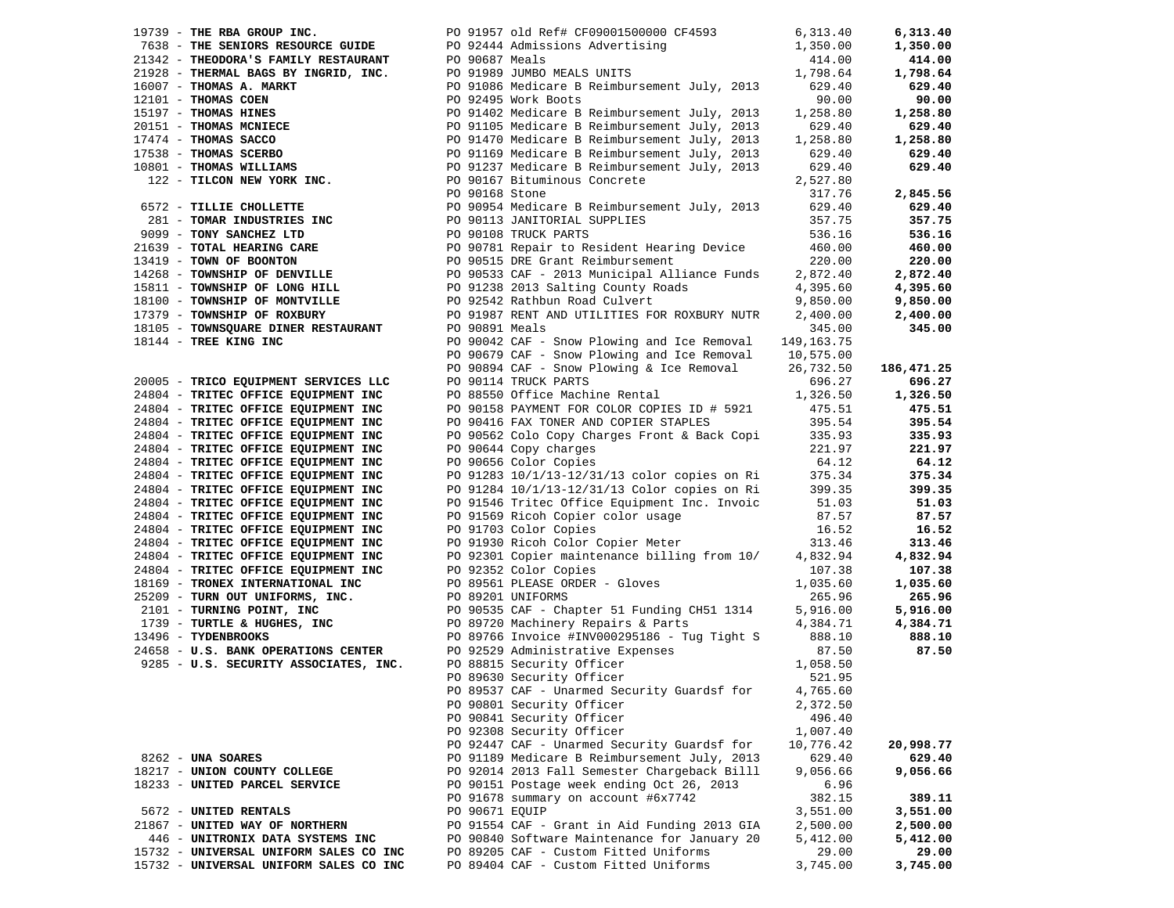| 19739 - THE RBA GROUP INC.                                                                                                                                                                                                                       |                | PO 91957 old Ref# CF09001500000 CF4593                                                                                                       | 6,313.40  | 6,313.40   |
|--------------------------------------------------------------------------------------------------------------------------------------------------------------------------------------------------------------------------------------------------|----------------|----------------------------------------------------------------------------------------------------------------------------------------------|-----------|------------|
|                                                                                                                                                                                                                                                  |                |                                                                                                                                              | 1,350.00  | 1,350.00   |
|                                                                                                                                                                                                                                                  |                |                                                                                                                                              | 414.00    | 414.00     |
|                                                                                                                                                                                                                                                  |                |                                                                                                                                              | 1,798.64  | 1,798.64   |
|                                                                                                                                                                                                                                                  |                | PO 91086 Medicare B Reimbursement July, 2013                                                                                                 | 629.40    | 629.40     |
|                                                                                                                                                                                                                                                  |                |                                                                                                                                              | 90.00     | 90.00      |
|                                                                                                                                                                                                                                                  |                |                                                                                                                                              | 1,258.80  | 1,258.80   |
|                                                                                                                                                                                                                                                  |                |                                                                                                                                              | 629.40    | 629.40     |
|                                                                                                                                                                                                                                                  |                |                                                                                                                                              | 1,258.80  | 1,258.80   |
|                                                                                                                                                                                                                                                  |                |                                                                                                                                              | 629.40    | 629.40     |
|                                                                                                                                                                                                                                                  |                |                                                                                                                                              | 629.40    | 629.40     |
|                                                                                                                                                                                                                                                  |                |                                                                                                                                              | 2,527.80  |            |
| 19739 - THE REA GROUP INC.<br>21342 - THE SENIORS RESOURCE GUIDE<br>21342 - THEONORA'S FAMILY RESTAURANT<br>21342 - THEONAS S. MARKT PO 92444 Admissions Advertising<br>21928 - THERMAL BAGS BY INGRID, INC.<br>20189 JUMBO MEALS UNITS<br>      |                |                                                                                                                                              | 317.76    | 2,845.56   |
| 6572 - TILLIE CHOLLETTE<br>281 - TOMAR INDUSTRIES INC<br>29099 - TONY SANCHEZ LTD<br>29099 - TONY SANCHEZ LTD<br>20099 - TONY SANCHEZ LTD<br>20099 - TONY SANCHEZ LTD<br>20099 - TONY SANCHEZ LTD<br>20099 - TONY SANCHEZ LTD<br>20099 - TONY    |                |                                                                                                                                              |           |            |
|                                                                                                                                                                                                                                                  |                |                                                                                                                                              | 629.40    | 629.40     |
|                                                                                                                                                                                                                                                  |                |                                                                                                                                              | 357.75    | 357.75     |
| 9099 - TONY SANCHEZ LTD<br>2009 - TONY SANCHEZ LTD<br>2009 - TONY SANCHEZ LTD<br>2009 - TONY SANCHEZ LTD<br>2009 - TONY SANCHEZ LTD<br>2009 - TONY OF BOONTON<br>2009 - TONY OF BOONTON<br>2009 - TONY OF BOONTON<br>2009 - TONY OF BOONTON<br>2 |                |                                                                                                                                              | 536.16    | 536.16     |
|                                                                                                                                                                                                                                                  |                |                                                                                                                                              | 460.00    | 460.00     |
|                                                                                                                                                                                                                                                  |                |                                                                                                                                              | 220.00    | 220.00     |
|                                                                                                                                                                                                                                                  |                |                                                                                                                                              | 2,872.40  | 2,872.40   |
|                                                                                                                                                                                                                                                  |                |                                                                                                                                              | 4,395.60  | 4,395.60   |
|                                                                                                                                                                                                                                                  |                |                                                                                                                                              | 9,850.00  | 9,850.00   |
| 17379 - TOWNSHIP OF ROXBURY                                                                                                                                                                                                                      |                | PO 91987 RENT AND UTILITIES FOR ROXBURY NUTR                                                                                                 | 2,400.00  | 2,400.00   |
| 18105 - TOWNSQUARE DINER RESTAURANT                                                                                                                                                                                                              | PO 90891 Meals |                                                                                                                                              | 345.00    | 345.00     |
| 18144 - TREE KING INC                                                                                                                                                                                                                            |                | PO 90042 CAF - Snow Plowing and Ice Removal 149,163.75                                                                                       |           |            |
|                                                                                                                                                                                                                                                  |                | PO 90679 CAF - Snow Plowing and Ice Removal                                                                                                  | 10,575.00 |            |
|                                                                                                                                                                                                                                                  |                | PO 90894 CAF - Snow Plowing & Ice Removal                                                                                                    | 26,732.50 | 186,471.25 |
| 20005 - TRICO EQUIPMENT SERVICES LLC                                                                                                                                                                                                             |                | PO 90114 TRUCK PARTS                                                                                                                         | 696.27    | 696.27     |
| 24804 - TRITEC OFFICE EQUIPMENT INC                                                                                                                                                                                                              |                | PO 88550 Office Machine Rental                                                                                                               | 1,326.50  | 1,326.50   |
| 24804 - TRITEC OFFICE EQUIPMENT INC                                                                                                                                                                                                              |                | PO 90158 PAYMENT FOR COLOR COPIES ID # 5921                                                                                                  | 475.51    | 475.51     |
| 24804 - TRITEC OFFICE EQUIPMENT INC                                                                                                                                                                                                              |                | PO 90416 FAX TONER AND COPIER STAPLES                                                                                                        | 395.54    | 395.54     |
| 24804 - TRITEC OFFICE EQUIPMENT INC                                                                                                                                                                                                              |                | PO 90562 Colo Copy Charges Front & Back Copi                                                                                                 | 335.93    | 335.93     |
| 24804 - TRITEC OFFICE EQUIPMENT INC                                                                                                                                                                                                              |                | PO 90644 Copy charges                                                                                                                        | 221.97    | 221.97     |
| 24804 - TRITEC OFFICE EQUIPMENT INC                                                                                                                                                                                                              |                | PO 90656 Color Copies                                                                                                                        | 64.12     | 64.12      |
| 24804 - TRITEC OFFICE EQUIPMENT INC                                                                                                                                                                                                              |                |                                                                                                                                              | 375.34    | 375.34     |
| 24804 - TRITEC OFFICE EQUIPMENT INC                                                                                                                                                                                                              |                | PO 91283 10/1/13-12/31/13 color copies on Ri<br>PO 91284 10/1/13-12/31/13 Color copies on Ri<br>PO 91284 10/1/13-12/31/13 Color copies on Ri | 399.35    | 399.35     |
| 24804 - TRITEC OFFICE EQUIPMENT INC                                                                                                                                                                                                              |                | PO 91546 Tritec Office Equipment Inc. Invoic                                                                                                 | 51.03     | 51.03      |
| 24804 - TRITEC OFFICE EQUIPMENT INC                                                                                                                                                                                                              |                | PO 91569 Ricoh Copier color usage                                                                                                            | 87.57     | 87.57      |
| 24804 - TRITEC OFFICE EQUIPMENT INC                                                                                                                                                                                                              |                | PO 91703 Color Copies                                                                                                                        | 16.52     | 16.52      |
| 24804 - TRITEC OFFICE EQUIPMENT INC                                                                                                                                                                                                              |                | PO 91930 Ricoh Color Copier Meter                                                                                                            | 313.46    | 313.46     |
| 24804 - TRITEC OFFICE EQUIPMENT INC                                                                                                                                                                                                              |                | PO 92301 Copier maintenance billing from 10/                                                                                                 | 4,832.94  | 4,832.94   |
|                                                                                                                                                                                                                                                  |                |                                                                                                                                              | 107.38    | 107.38     |
| 24804 - TRITEC OFFICE EQUIPMENT INC                                                                                                                                                                                                              |                | PO 92352 Color Copies                                                                                                                        |           |            |
| 18169 - TRONEX INTERNATIONAL INC                                                                                                                                                                                                                 |                | PO 89561 PLEASE ORDER - Gloves                                                                                                               | 1,035.60  | 1,035.60   |
| 25209 - TURN OUT UNIFORMS, INC.                                                                                                                                                                                                                  |                | PO 89201 UNIFORMS                                                                                                                            | 265.96    | 265.96     |
| 2101 - TURNING POINT, INC                                                                                                                                                                                                                        |                | PO 90535 CAF - Chapter 51 Funding CH51 1314                                                                                                  | 5,916.00  | 5,916.00   |
| $1739$ - TURTLE & HUGHES, INC                                                                                                                                                                                                                    |                | PO 89720 Machinery Repairs & Parts                                                                                                           | 4,384.71  | 4,384.71   |
| 13496 - TYDENBROOKS                                                                                                                                                                                                                              |                | PO 89766 Invoice #INV000295186 - Tug Tight S                                                                                                 | 888.10    | 888.10     |
| 24658 - U.S. BANK OPERATIONS CENTER                                                                                                                                                                                                              |                | PO 92529 Administrative Expenses<br>PO 88815 Security Officer<br>PO 89630 Security Officer                                                   | 87.50     | 87.50      |
| 9285 - U.S. SECURITY ASSOCIATES, INC.                                                                                                                                                                                                            |                |                                                                                                                                              | 1,058.50  |            |
|                                                                                                                                                                                                                                                  |                |                                                                                                                                              | 521.95    |            |
|                                                                                                                                                                                                                                                  |                | PO 89537 CAF - Unarmed Security Guardsf for                                                                                                  | 4,765.60  |            |
|                                                                                                                                                                                                                                                  |                | PO 90801 Security Officer                                                                                                                    | 2,372.50  |            |
|                                                                                                                                                                                                                                                  |                | PO 90841 Security Officer                                                                                                                    | 496.40    |            |
|                                                                                                                                                                                                                                                  |                | PO 92308 Security Officer                                                                                                                    | 1,007.40  |            |
|                                                                                                                                                                                                                                                  |                | PO 92447 CAF - Unarmed Security Guardsf for                                                                                                  | 10,776.42 | 20,998.77  |
| 8262 - UNA SOARES                                                                                                                                                                                                                                |                | PO 91189 Medicare B Reimbursement July, 2013                                                                                                 | 629.40    | 629.40     |
| 18217 - UNION COUNTY COLLEGE                                                                                                                                                                                                                     |                | PO 92014 2013 Fall Semester Chargeback Billl                                                                                                 | 9,056.66  | 9,056.66   |
| 18233 - UNITED PARCEL SERVICE                                                                                                                                                                                                                    |                | PO 90151 Postage week ending Oct 26, 2013                                                                                                    | 6.96      |            |
|                                                                                                                                                                                                                                                  |                | PO 91678 summary on account #6x7742                                                                                                          | 382.15    | 389.11     |
| 5672 - UNITED RENTALS                                                                                                                                                                                                                            | PO 90671 EQUIP |                                                                                                                                              | 3,551.00  | 3,551.00   |
| 21867 - UNITED WAY OF NORTHERN                                                                                                                                                                                                                   |                | PO 91554 CAF - Grant in Aid Funding 2013 GIA                                                                                                 | 2,500.00  | 2,500.00   |
| 446 - UNITRONIX DATA SYSTEMS INC                                                                                                                                                                                                                 |                | PO 90840 Software Maintenance for January 20                                                                                                 | 5,412.00  | 5,412.00   |
| 15732 - UNIVERSAL UNIFORM SALES CO INC                                                                                                                                                                                                           |                | PO 89205 CAF - Custom Fitted Uniforms                                                                                                        | 29.00     | 29.00      |
| 15732 - UNIVERSAL UNIFORM SALES CO INC                                                                                                                                                                                                           |                | PO 89404 CAF - Custom Fitted Uniforms                                                                                                        | 3,745.00  | 3,745.00   |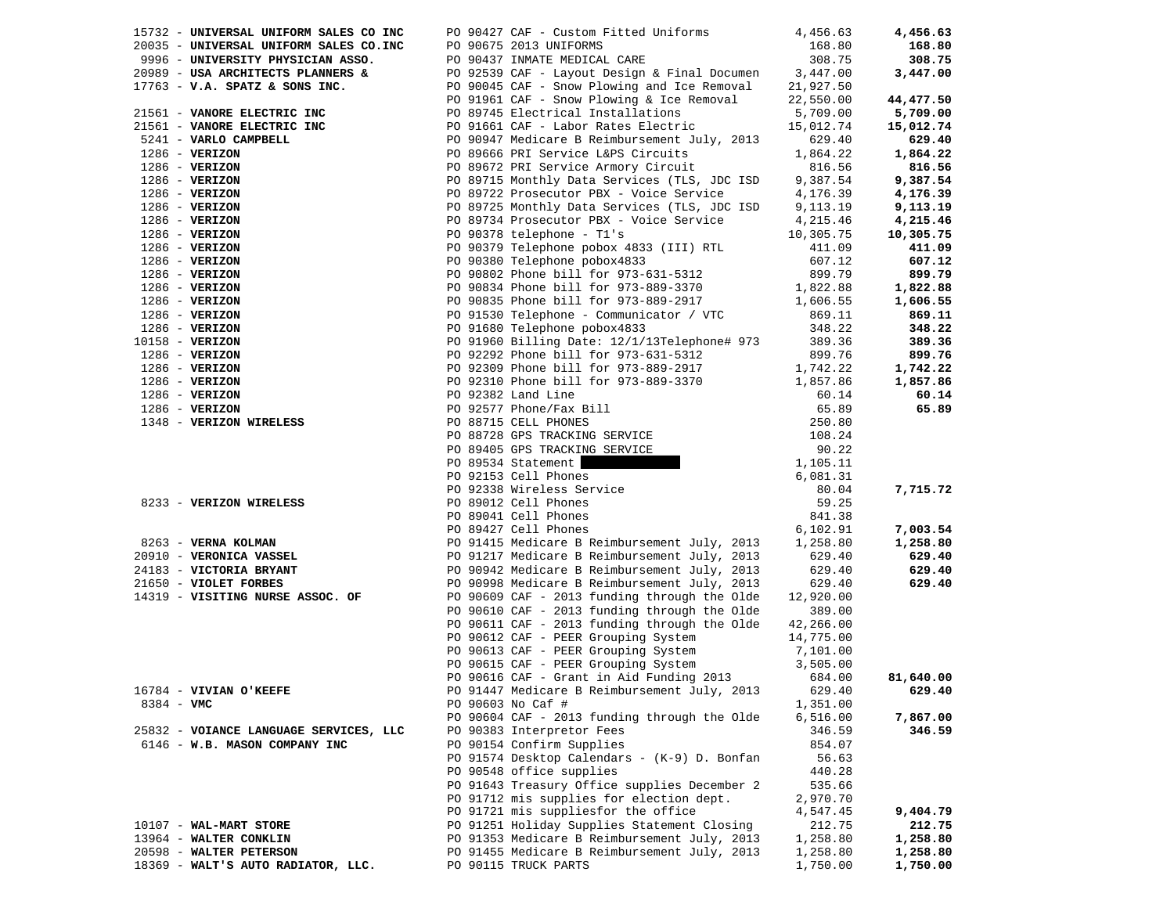|                   | 15732 - UNIVERSAL UNIFORM SALES CO INC | PO 90427 CAF - Custom Fitted Uniforms 4,456.63                                                                         |           | 4,456.63  |
|-------------------|----------------------------------------|------------------------------------------------------------------------------------------------------------------------|-----------|-----------|
|                   | 20035 - UNIVERSAL UNIFORM SALES CO.INC | PO 90675 2013 UNIFORMS                                                                                                 | 168.80    | 168.80    |
|                   | 9996 - UNIVERSITY PHYSICIAN ASSO.      | PO 90437 INMATE MEDICAL CARE                                                                                           | 308.75    | 308.75    |
|                   | 20989 - USA ARCHITECTS PLANNERS &      | PO 92539 CAF - Layout Design & Final Documen 3,447.00                                                                  |           | 3,447.00  |
|                   | $17763$ - V.A. SPATZ & SONS INC.       | PO 90045 CAF - Snow Plowing and Ice Removal                                                                            | 21,927.50 |           |
|                   |                                        | PO 91961 CAF - Snow Plowing & Ice Removal                                                                              | 22,550.00 | 44,477.50 |
|                   | 21561 - VANORE ELECTRIC INC            | PO 89745 Electrical Installations                                                                                      | 5,709.00  | 5,709.00  |
|                   | 21561 - VANORE ELECTRIC INC            | PO 91661 CAF - Labor Rates Electric                                                                                    | 15,012.74 | 15,012.74 |
|                   | 5241 - VARLO CAMPBELL                  | PO 90947 Medicare B Reimbursement July, 2013                                                                           | 629.40    | 629.40    |
|                   | $1286 - VERIZON$                       | PO 89666 PRI Service L&PS Circuits                                                                                     | 1,864.22  | 1,864.22  |
|                   | $1286 - VERIZON$                       | PO 89672 PRI Service Armory Circuit                                                                                    | 816.56    | 816.56    |
|                   | $1286 - VERIZON$                       | PO 89715 Monthly Data Services (TLS, JDC ISD                                                                           | 9,387.54  | 9,387.54  |
|                   | $1286 - VERIZON$                       | PO 89722 Prosecutor PBX - Voice Service                                                                                | 4,176.39  | 4,176.39  |
|                   | $1286$ - VERIZON                       | PO 89725 Monthly Data Services (TLS, JDC ISD                                                                           | 9,113.19  | 9,113.19  |
|                   | $1286$ - VERIZON                       | PO 89734 Prosecutor PBX - Voice Service                                                                                | 4,215.46  | 4,215.46  |
|                   | $1286 - VERIZON$                       | PO 90378 telephone - T1's                                                                                              | 10,305.75 | 10,305.75 |
|                   | $1286 - VERIZON$                       | PO 90379 Telephone pobox 4833 (III) RTL                                                                                | 411.09    | 411.09    |
|                   | $1286$ - VERIZON                       | PO 90380 Telephone pobox4833                                                                                           | 607.12    | 607.12    |
|                   | $1286$ - VERIZON                       | PO 90802 Phone bill for 973-631-5312                                                                                   | 899.79    | 899.79    |
|                   | $1286$ - VERIZON                       | PO 90834 Phone bill for 973-889-3370                                                                                   | 1,822.88  | 1,822.88  |
|                   | $1286$ - VERIZON                       | PO 90835 Phone bill for 973-889-2917                                                                                   | 1,606.55  | 1,606.55  |
|                   | $1286$ - VERIZON                       | PO 91530 Telephone - Communicator / VTC                                                                                | 869.11    | 869.11    |
|                   | $1286 - VERIZON$                       | PO 91680 Telephone pobox4833                                                                                           | 348.22    | 348.22    |
| $10158 - VERIZON$ |                                        | PO 91960 Billing Date: 12/1/13Telephone# 973                                                                           | 389.36    | 389.36    |
|                   | $1286$ - VERIZON                       | PO 92292 Phone bill for 973-631-5312                                                                                   | 899.76    | 899.76    |
|                   | $1286$ - VERIZON                       | PO 92309 Phone bill for 973-889-2917                                                                                   | 1,742.22  | 1,742.22  |
|                   | $1286$ - VERIZON                       | PO 92310 Phone bill for 973-889-3370                                                                                   | 1,857.86  | 1,857.86  |
|                   | $1286$ - VERIZON                       | PO 92382 Land Line                                                                                                     | 60.14     | 60.14     |
|                   | $1286$ - VERIZON                       | PO 92577 Phone/Fax Bill                                                                                                | 65.89     | 65.89     |
|                   | 1348 - VERIZON WIRELESS                | PO 88715 CELL PHONES                                                                                                   | 250.80    |           |
|                   |                                        | PO 88728 GPS TRACKING SERVICE                                                                                          | 108.24    |           |
|                   |                                        | PO 89405 GPS TRACKING SERVICE                                                                                          | 90.22     |           |
|                   |                                        | <b>IG SERVICE</b><br>PO 89534 Statement                                                                                | 1,105.11  |           |
|                   |                                        | PO 92153 Cell Phones                                                                                                   | 6,081.31  |           |
|                   |                                        | PO 92338 Wireless Service<br>PO 89012 Cell Phones                                                                      | 80.04     | 7,715.72  |
|                   | 8233 - VERIZON WIRELESS                |                                                                                                                        | 59.25     |           |
|                   |                                        | PO 89041 Cell Phones                                                                                                   | 841.38    |           |
|                   |                                        | PO 89427 Cell Phones                                                                                                   | 6,102.91  | 7,003.54  |
|                   | 8263 - VERNA KOLMAN                    | PO 91415 Medicare B Reimbursement July, 2013                                                                           | 1,258.80  | 1,258.80  |
|                   | 20910 - VERONICA VASSEL                | PO 91217 Medicare B Reimbursement July, 2013                                                                           | 629.40    | 629.40    |
|                   | 24183 - VICTORIA BRYANT                | PO 90942 Medicare B Reimbursement July, 2013                                                                           | 629.40    | 629.40    |
|                   | 21650 - VIOLET FORBES                  | PO 90998 Medicare B Reimbursement July, 2013                                                                           | 629.40    | 629.40    |
|                   | 14319 - VISITING NURSE ASSOC. OF       | PO 90609 CAF - 2013 funding through the Olde                                                                           | 12,920.00 |           |
|                   |                                        | PO 90610 CAF - 2013 funding through the Olde                                                                           | 389.00    |           |
|                   |                                        | PO 90611 CAF - 2013 funding through the Olde                                                                           | 42,266.00 |           |
|                   |                                        | PO 90612 CAF - PEER Grouping System                                                                                    | 14,775.00 |           |
|                   |                                        | PO 90613 CAF - PEER Grouping System<br>PO 90615 CAF - PEER Grouping System<br>PO 90616 CAF - Grant in Aid Funding 2013 | 7,101.00  |           |
|                   |                                        |                                                                                                                        | 3,505.00  |           |
|                   |                                        |                                                                                                                        | 684.00    | 81,640.00 |
|                   | 16784 - VIVIAN O'KEEFE                 | PO 91447 Medicare B Reimbursement July, 2013                                                                           | 629.40    | 629.40    |
| 8384 - VMC        |                                        | PO 90603 No Caf #                                                                                                      | 1,351.00  |           |
|                   |                                        | PO 90604 CAF - 2013 funding through the Olde                                                                           | 6,516.00  | 7,867.00  |
|                   | 25832 - VOIANCE LANGUAGE SERVICES, LLC | PO 90383 Interpretor Fees                                                                                              | 346.59    | 346.59    |
|                   | 6146 - W.B. MASON COMPANY INC          | PO 90154 Confirm Supplies                                                                                              | 854.07    |           |
|                   |                                        | PO 91574 Desktop Calendars - (K-9) D. Bonfan                                                                           | 56.63     |           |
|                   |                                        | PO 90548 office supplies                                                                                               | 440.28    |           |
|                   |                                        | PO 91643 Treasury Office supplies December 2                                                                           | 535.66    |           |
|                   |                                        | PO 91712 mis supplies for election dept.                                                                               | 2,970.70  |           |
|                   |                                        | PO 91721 mis suppliesfor the office                                                                                    | 4,547.45  | 9,404.79  |
|                   | $10107 - WAL-MART STORE$               | PO 91251 Holiday Supplies Statement Closing                                                                            | 212.75    | 212.75    |
|                   | 13964 - WALTER CONKLIN                 | PO 91353 Medicare B Reimbursement July, 2013                                                                           | 1,258.80  | 1,258.80  |
|                   | 20598 - WALTER PETERSON                | PO 91455 Medicare B Reimbursement July, 2013                                                                           | 1,258.80  | 1,258.80  |
|                   | 18369 - WALT'S AUTO RADIATOR, LLC.     | PO 90115 TRUCK PARTS                                                                                                   | 1,750.00  | 1,750.00  |
|                   |                                        |                                                                                                                        |           |           |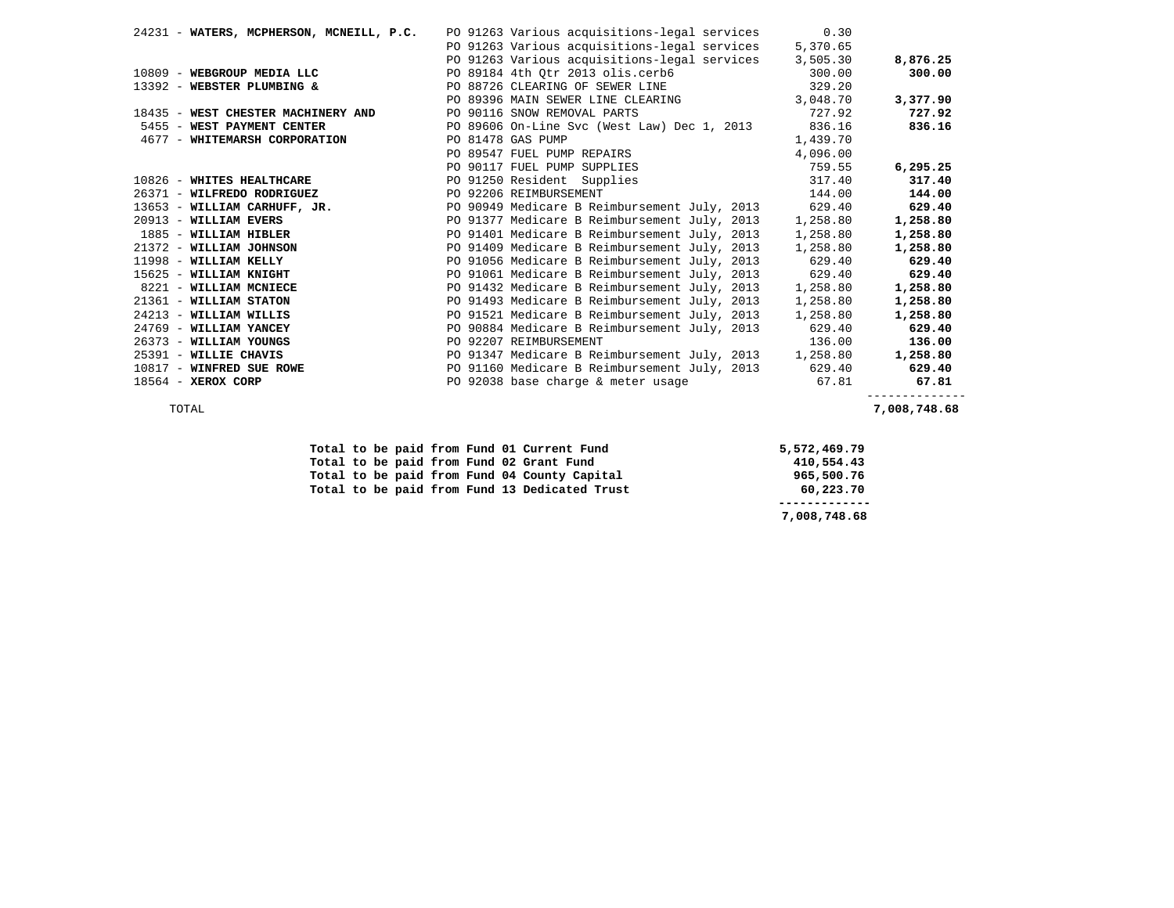| 24231 - WATERS, MCPHERSON, MCNEILL, P.C. | PO 91263 Various acquisitions-legal services        | 0.30     |          |
|------------------------------------------|-----------------------------------------------------|----------|----------|
|                                          | PO 91263 Various acquisitions-legal services        | 5,370.65 |          |
|                                          | PO 91263 Various acquisitions-legal services        | 3,505.30 | 8,876.25 |
| 10809 - WEBGROUP MEDIA LLC               | PO 89184 4th Qtr 2013 olis.cerb6 300.00             |          | 300.00   |
| 13392 - WEBSTER PLUMBING &               | PO 88726 CLEARING OF SEWER LINE                     | 329.20   |          |
|                                          | PO 89396 MAIN SEWER LINE CLEARING                   | 3,048.70 | 3,377.90 |
| 18435 - WEST CHESTER MACHINERY AND       | PO 90116 SNOW REMOVAL PARTS                         | 727.92   | 727.92   |
| 5455 - WEST PAYMENT CENTER               | PO 89606 On-Line Svc (West Law) Dec 1, 2013 836.16  |          | 836.16   |
| 4677 - WHITEMARSH CORPORATION            | PO 81478 GAS PUMP                                   | 1,439.70 |          |
|                                          | PO 89547 FUEL PUMP REPAIRS                          | 4,096.00 |          |
|                                          | PO 90117 FUEL PUMP SUPPLIES                         | 759.55   | 6,295.25 |
| 10826 - WHITES HEALTHCARE                | PO 91250 Resident Supplies                          | 317.40   | 317.40   |
| 26371 - WILFREDO RODRIGUEZ               | PO 92206 REIMBURSEMENT                              | 144.00   | 144.00   |
| 13653 - WILLIAM CARHUFF, JR.             | PO 90949 Medicare B Reimbursement July, 2013        | 629.40   | 629.40   |
| 20913 - WILLIAM EVERS                    | PO 91377 Medicare B Reimbursement July, 2013        | 1,258.80 | 1,258.80 |
| 1885 - WILLIAM HIBLER                    | PO 91401 Medicare B Reimbursement July, 2013        | 1,258.80 | 1,258.80 |
| 21372 - WILLIAM JOHNSON                  | PO 91409 Medicare B Reimbursement July, 2013        | 1,258.80 | 1,258.80 |
| 11998 - WILLIAM KELLY                    | PO 91056 Medicare B Reimbursement July, 2013 629.40 |          | 629.40   |
| 15625 - WILLIAM KNIGHT                   | PO 91061 Medicare B Reimbursement July, 2013        | 629.40   | 629.40   |
| 8221 - WILLIAM MCNIECE                   | PO 91432 Medicare B Reimbursement July, 2013        | 1,258.80 | 1,258.80 |
| 21361 - WILLIAM STATON                   | PO 91493 Medicare B Reimbursement July, 2013        | 1,258.80 | 1,258.80 |
| $24213$ - WILLIAM WILLIS                 | PO 91521 Medicare B Reimbursement July, 2013        | 1,258.80 | 1,258.80 |
| 24769 - WILLIAM YANCEY                   | PO 90884 Medicare B Reimbursement July, 2013        | 629.40   | 629.40   |
| 26373 - WILLIAM YOUNGS                   | PO 92207 REIMBURSEMENT                              | 136.00   | 136.00   |
| 25391 - WILLIE CHAVIS                    | PO 91347 Medicare B Reimbursement July, 2013        | 1,258.80 | 1,258.80 |
| 10817 - WINFRED SUE ROWE                 | PO 91160 Medicare B Reimbursement July, 2013        | 629.40   | 629.40   |
| 18564 - XEROX CORP                       | PO 92038 base charge & meter usage                  | 67.81    | 67.81    |

--------------

TOTAL **7,008,748.68** 

|  |  |  | Total to be paid from Fund 01 Current Fund    | 5,572,469.79 |
|--|--|--|-----------------------------------------------|--------------|
|  |  |  | Total to be paid from Fund 02 Grant Fund      | 410,554.43   |
|  |  |  | Total to be paid from Fund 04 County Capital  | 965,500.76   |
|  |  |  | Total to be paid from Fund 13 Dedicated Trust | 60,223.70    |
|  |  |  |                                               |              |
|  |  |  |                                               | 7,008,748.68 |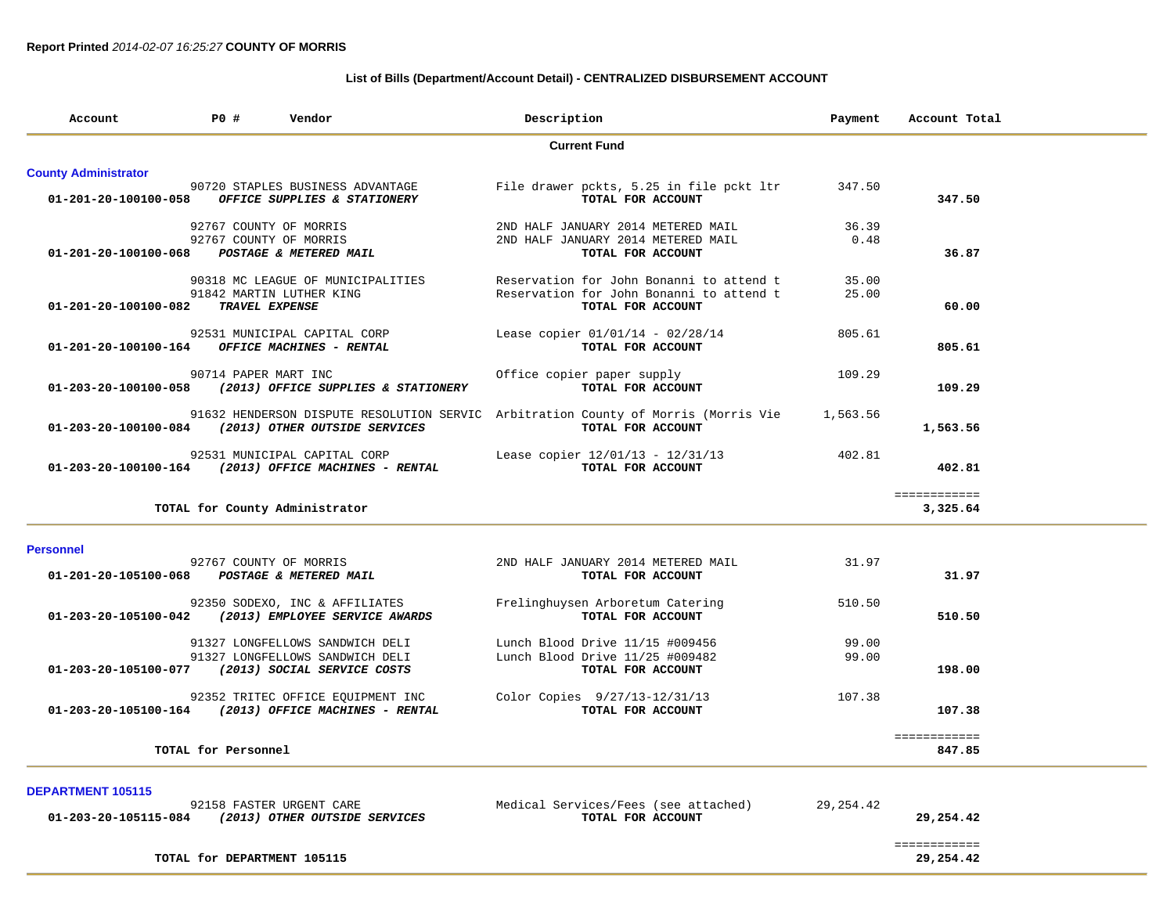## **List of Bills (Department/Account Detail) - CENTRALIZED DISBURSEMENT ACCOUNT**

| Account                     | <b>PO #</b>                 | Vendor                                                                                    | Description                                                                                             | Payment    | Account Total             |  |
|-----------------------------|-----------------------------|-------------------------------------------------------------------------------------------|---------------------------------------------------------------------------------------------------------|------------|---------------------------|--|
|                             |                             |                                                                                           | <b>Current Fund</b>                                                                                     |            |                           |  |
| <b>County Administrator</b> |                             |                                                                                           |                                                                                                         |            |                           |  |
| 01-201-20-100100-058        |                             | 90720 STAPLES BUSINESS ADVANTAGE<br><b>OFFICE SUPPLIES &amp; STATIONERY</b>               | File drawer pckts, 5.25 in file pckt ltr<br>TOTAL FOR ACCOUNT                                           | 347.50     | 347.50                    |  |
|                             |                             | 92767 COUNTY OF MORRIS                                                                    | 2ND HALF JANUARY 2014 METERED MAIL                                                                      | 36.39      |                           |  |
| 01-201-20-100100-068        |                             | 92767 COUNTY OF MORRIS<br>POSTAGE & METERED MAIL                                          | 2ND HALF JANUARY 2014 METERED MAIL<br>TOTAL FOR ACCOUNT                                                 | 0.48       | 36.87                     |  |
|                             |                             | 90318 MC LEAGUE OF MUNICIPALITIES                                                         | Reservation for John Bonanni to attend t                                                                | 35.00      |                           |  |
| 01-201-20-100100-082        |                             | 91842 MARTIN LUTHER KING<br>TRAVEL EXPENSE                                                | Reservation for John Bonanni to attend t<br>TOTAL FOR ACCOUNT                                           | 25.00      | 60.00                     |  |
| 01-201-20-100100-164        |                             | 92531 MUNICIPAL CAPITAL CORP<br>OFFICE MACHINES - RENTAL                                  | Lease copier 01/01/14 - 02/28/14<br>TOTAL FOR ACCOUNT                                                   | 805.61     | 805.61                    |  |
| 01-203-20-100100-058        | 90714 PAPER MART INC        | (2013) OFFICE SUPPLIES & STATIONERY                                                       | Office copier paper supply<br>TOTAL FOR ACCOUNT                                                         | 109.29     | 109.29                    |  |
|                             |                             | 01-203-20-100100-084 (2013) OTHER OUTSIDE SERVICES                                        | 91632 HENDERSON DISPUTE RESOLUTION SERVIC Arbitration County of Morris (Morris Vie<br>TOTAL FOR ACCOUNT | 1,563.56   | 1,563.56                  |  |
| 01-203-20-100100-164        |                             | 92531 MUNICIPAL CAPITAL CORP<br>(2013) OFFICE MACHINES - RENTAL                           | Lease copier 12/01/13 - 12/31/13<br>TOTAL FOR ACCOUNT                                                   | 402.81     | 402.81                    |  |
|                             |                             | TOTAL for County Administrator                                                            |                                                                                                         |            | ============<br>3,325.64  |  |
| <b>Personnel</b>            |                             |                                                                                           |                                                                                                         |            |                           |  |
| 01-201-20-105100-068        |                             | 92767 COUNTY OF MORRIS<br><b>POSTAGE &amp; METERED MAIL</b>                               | 2ND HALF JANUARY 2014 METERED MAIL<br>TOTAL FOR ACCOUNT                                                 | 31.97      | 31.97                     |  |
| 01-203-20-105100-042        |                             | 92350 SODEXO, INC & AFFILIATES<br>(2013) EMPLOYEE SERVICE AWARDS                          | Frelinghuysen Arboretum Catering<br>TOTAL FOR ACCOUNT                                                   | 510.50     | 510.50                    |  |
|                             |                             | 91327 LONGFELLOWS SANDWICH DELI                                                           | Lunch Blood Drive 11/15 #009456                                                                         | 99.00      |                           |  |
| 01-203-20-105100-077        |                             | 91327 LONGFELLOWS SANDWICH DELI<br>(2013) SOCIAL SERVICE COSTS                            | Lunch Blood Drive 11/25 #009482<br>TOTAL FOR ACCOUNT                                                    | 99.00      | 198.00                    |  |
|                             |                             | 92352 TRITEC OFFICE EQUIPMENT INC<br>01-203-20-105100-164 (2013) OFFICE MACHINES - RENTAL | Color Copies 9/27/13-12/31/13<br>TOTAL FOR ACCOUNT                                                      | 107.38     | 107.38                    |  |
|                             | TOTAL for Personnel         |                                                                                           |                                                                                                         |            | ============<br>847.85    |  |
|                             |                             |                                                                                           |                                                                                                         |            |                           |  |
| <b>DEPARTMENT 105115</b>    |                             | 92158 FASTER URGENT CARE<br>01-203-20-105115-084 (2013) OTHER OUTSIDE SERVICES            | Medical Services/Fees (see attached)<br>TOTAL FOR ACCOUNT                                               | 29, 254.42 | 29,254.42                 |  |
|                             | TOTAL for DEPARTMENT 105115 |                                                                                           |                                                                                                         |            | ============<br>29,254.42 |  |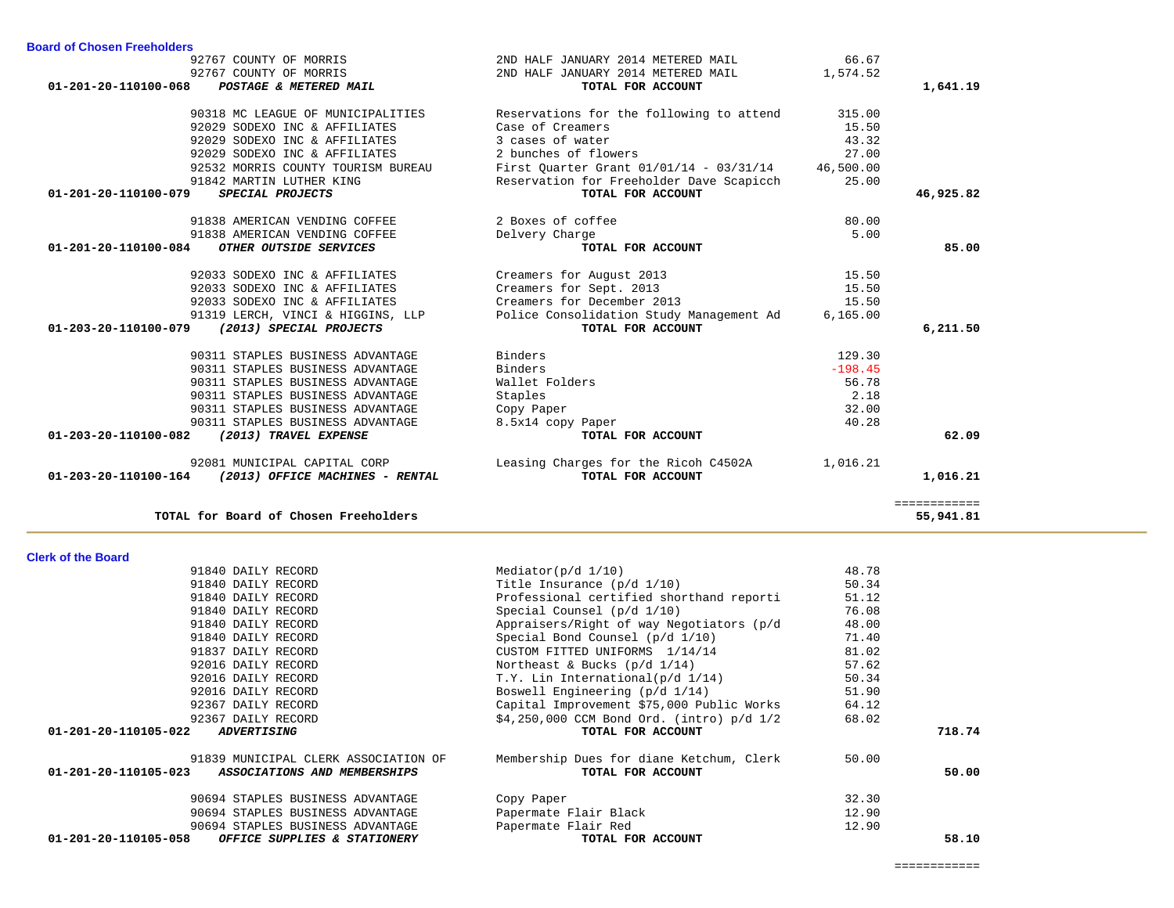| 91840 DAILY RECORD                                   | Special Counsel $(p/d 1/10)$                 | 76.08 |        |
|------------------------------------------------------|----------------------------------------------|-------|--------|
| 91840 DAILY RECORD                                   | Appraisers/Right of way Negotiators (p/d     | 48.00 |        |
| 91840 DAILY RECORD                                   | Special Bond Counsel $(p/d \t1/10)$          | 71.40 |        |
| 91837 DAILY RECORD                                   | CUSTOM FITTED UNIFORMS 1/14/14               | 81.02 |        |
| 92016 DAILY RECORD                                   | Northeast & Bucks $(p/d \ 1/14)$             | 57.62 |        |
| 92016 DAILY RECORD                                   | T.Y. Lin International(p/d 1/14)             | 50.34 |        |
| 92016 DAILY RECORD                                   | Boswell Engineering $(p/d \ 1/14)$           | 51.90 |        |
| 92367 DAILY RECORD                                   | Capital Improvement \$75,000 Public Works    | 64.12 |        |
| 92367 DAILY RECORD                                   | $$4,250,000$ CCM Bond Ord. (intro) $p/d$ 1/2 | 68.02 |        |
| 01-201-20-110105-022<br><i><b>ADVERTISING</b></i>    | TOTAL FOR ACCOUNT                            |       | 718.74 |
| 91839 MUNICIPAL CLERK ASSOCIATION OF                 | Membership Dues for diane Ketchum, Clerk     | 50.00 |        |
| 01-201-20-110105-023<br>ASSOCIATIONS AND MEMBERSHIPS | TOTAL FOR ACCOUNT                            |       | 50.00  |
| 90694 STAPLES BUSINESS ADVANTAGE                     | Copy Paper                                   | 32.30 |        |
| 90694 STAPLES BUSINESS ADVANTAGE                     | Papermate Flair Black                        | 12.90 |        |
| 90694 STAPLES BUSINESS ADVANTAGE                     | Papermate Flair Red                          | 12.90 |        |
| 01-201-20-110105-058<br>OFFICE SUPPLIES & STATIONERY | TOTAL FOR ACCOUNT                            |       | 58.10  |

91840 DAILY RECORD Professional certified shorthand reporti 51.12

91840 DAILY RECORD Mediator(p/d 1/10) 48.78 91840 DAILY RECORD Title Insurance (p/d 1/10) 50.34

#### **Clerk of the Board**

| 92767 COUNTY OF MORRIS<br>92767 COUNTY OF MORRIS<br>POSTAGE & METERED MAIL<br>01-201-20-110100-068 | 2ND HALF JANUARY 2014 METERED MAIL<br>2ND HALF JANUARY 2014 METERED MAIL<br>TOTAL FOR ACCOUNT | 66.67<br>1,574.52 | 1,641.19     |
|----------------------------------------------------------------------------------------------------|-----------------------------------------------------------------------------------------------|-------------------|--------------|
| 90318 MC LEAGUE OF MUNICIPALITIES                                                                  | Reservations for the following to attend                                                      | 315.00            |              |
| 92029 SODEXO INC & AFFILIATES                                                                      | Case of Creamers                                                                              | 15.50             |              |
| 92029 SODEXO INC & AFFILIATES                                                                      | 3 cases of water                                                                              | 43.32             |              |
| 92029 SODEXO INC & AFFILIATES                                                                      | 2 bunches of flowers                                                                          | 27.00             |              |
| 92532 MORRIS COUNTY TOURISM BUREAU                                                                 | First Quarter Grant $01/01/14 - 03/31/14$ 46,500.00                                           |                   |              |
| 91842 MARTIN LUTHER KING                                                                           | Reservation for Freeholder Dave Scapicch                                                      | 25.00             |              |
| 01-201-20-110100-079<br>SPECIAL PROJECTS                                                           | TOTAL FOR ACCOUNT                                                                             |                   | 46,925.82    |
| 91838 AMERICAN VENDING COFFEE                                                                      | 2 Boxes of coffee                                                                             | 80.00             |              |
| 91838 AMERICAN VENDING COFFEE                                                                      | Delvery Charge                                                                                | 5.00              |              |
| 01-201-20-110100-084<br>OTHER OUTSIDE SERVICES                                                     | TOTAL FOR ACCOUNT                                                                             |                   | 85.00        |
| 92033 SODEXO INC & AFFILIATES                                                                      | Creamers for August 2013                                                                      | 15.50             |              |
| 92033 SODEXO INC & AFFILIATES                                                                      | Creamers for Sept. 2013                                                                       | 15.50             |              |
| 92033 SODEXO INC & AFFILIATES                                                                      | Creamers for December 2013                                                                    | 15.50             |              |
| 91319 LERCH, VINCI & HIGGINS, LLP                                                                  | Police Consolidation Study Management Ad 6,165.00                                             |                   |              |
| 01-203-20-110100-079 (2013) SPECIAL PROJECTS                                                       | TOTAL FOR ACCOUNT                                                                             |                   | 6,211.50     |
| 90311 STAPLES BUSINESS ADVANTAGE                                                                   | Binders                                                                                       | 129.30            |              |
| 90311 STAPLES BUSINESS ADVANTAGE                                                                   | Binders                                                                                       | $-198.45$         |              |
| 90311 STAPLES BUSINESS ADVANTAGE                                                                   | Wallet Folders                                                                                | 56.78             |              |
| 90311 STAPLES BUSINESS ADVANTAGE                                                                   | Staples                                                                                       | 2.18              |              |
| 90311 STAPLES BUSINESS ADVANTAGE                                                                   | Copy Paper                                                                                    | 32.00             |              |
| 90311 STAPLES BUSINESS ADVANTAGE                                                                   | 8.5x14 copy Paper                                                                             | 40.28             |              |
| 01-203-20-110100-082<br>(2013) TRAVEL EXPENSE                                                      | TOTAL FOR ACCOUNT                                                                             |                   | 62.09        |
| 92081 MUNICIPAL CAPITAL CORP                                                                       | Leasing Charges for the Ricoh C4502A 1,016.21                                                 |                   |              |
| 01-203-20-110100-164 (2013) OFFICE MACHINES - RENTAL                                               | TOTAL FOR ACCOUNT                                                                             |                   | 1,016.21     |
|                                                                                                    |                                                                                               |                   | ============ |
| TOTAL for Board of Chosen Freeholders                                                              |                                                                                               |                   | 55,941.81    |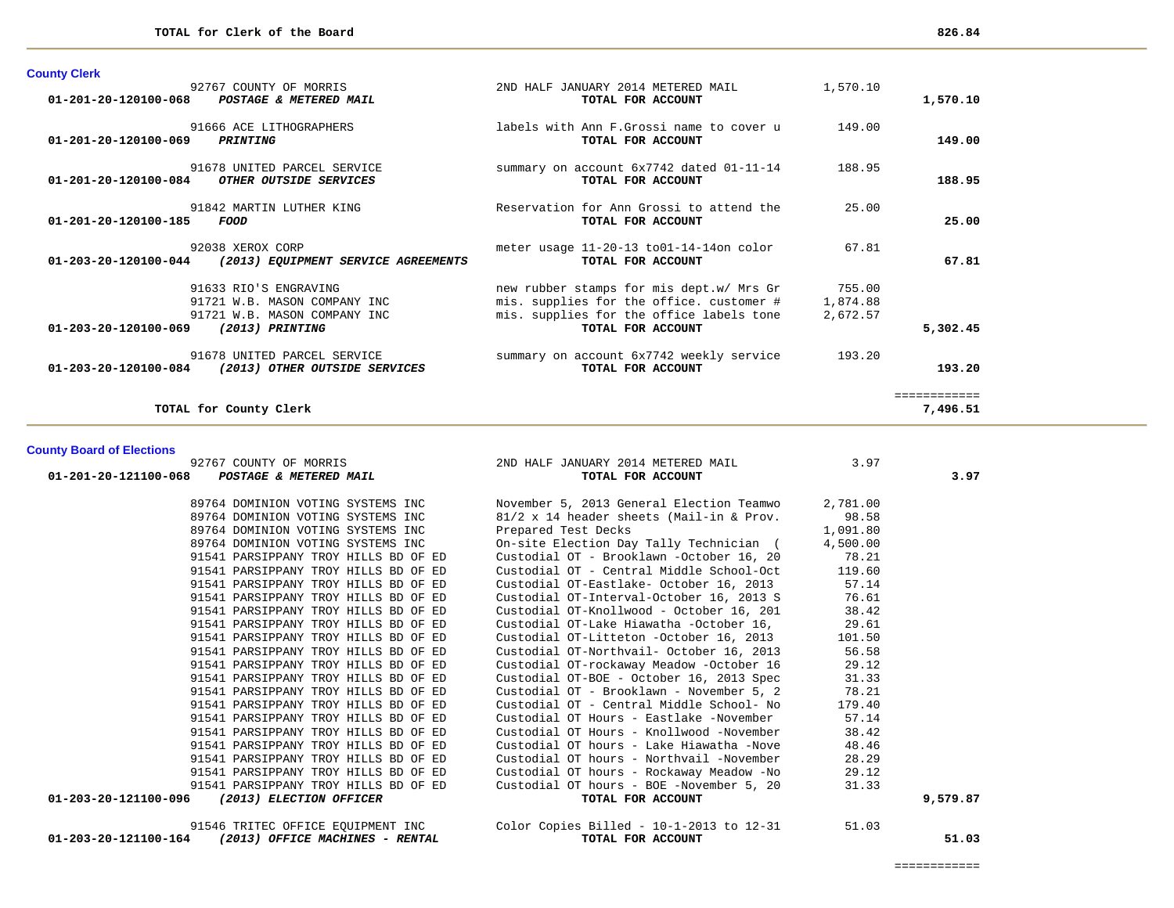| <b>County Clerk</b>                                                                     |                                                                                                                                  |                                |                          |
|-----------------------------------------------------------------------------------------|----------------------------------------------------------------------------------------------------------------------------------|--------------------------------|--------------------------|
| 92767 COUNTY OF MORRIS<br>01-201-20-120100-068 POSTAGE & METERED MAIL                   | 2ND HALF JANUARY 2014 METERED MAIL<br>TOTAL FOR ACCOUNT                                                                          | 1,570.10                       | 1,570.10                 |
| 91666 ACE LITHOGRAPHERS<br>$01 - 201 - 20 - 120100 - 069$<br>PRINTING                   | labels with Ann F. Grossi name to cover u<br>TOTAL FOR ACCOUNT                                                                   | 149.00                         | 149.00                   |
| 91678 UNITED PARCEL SERVICE<br>$01 - 201 - 20 - 120100 - 084$<br>OTHER OUTSIDE SERVICES | summary on account 6x7742 dated 01-11-14<br>TOTAL FOR ACCOUNT                                                                    | 188.95                         | 188.95                   |
| 91842 MARTIN LUTHER KING<br>$01 - 201 - 20 - 120100 - 185$<br>FOOD                      | Reservation for Ann Grossi to attend the<br>TOTAL FOR ACCOUNT                                                                    | 25.00                          | 25.00                    |
| 92038 XEROX CORP<br>01-203-20-120100-044<br>(2013) EQUIPMENT SERVICE AGREEMENTS         | meter usage 11-20-13 to01-14-14on color<br>TOTAL FOR ACCOUNT                                                                     | 67.81                          | 67.81                    |
| 91633 RIO'S ENGRAVING<br>91721 W.B. MASON COMPANY INC<br>91721 W.B. MASON COMPANY INC   | new rubber stamps for mis dept.w/ Mrs Gr<br>mis. supplies for the office. customer #<br>mis. supplies for the office labels tone | 755.00<br>1,874.88<br>2,672.57 |                          |
| 01-203-20-120100-069<br>(2013) PRINTING                                                 | TOTAL FOR ACCOUNT                                                                                                                |                                | 5,302.45                 |
| 91678 UNITED PARCEL SERVICE<br>01-203-20-120100-084<br>(2013) OTHER OUTSIDE SERVICES    | summary on account 6x7742 weekly service<br>TOTAL FOR ACCOUNT                                                                    | 193.20                         | 193.20                   |
| TOTAL for County Clerk                                                                  |                                                                                                                                  |                                | ------------<br>7,496.51 |

# **County Board of Elections**

| 92767 COUNTY OF MORRIS                                            | 2ND HALF JANUARY 2014 METERED MAIL                                          | 3.97     |          |
|-------------------------------------------------------------------|-----------------------------------------------------------------------------|----------|----------|
| 01-201-20-121100-068 POSTAGE & METERED MAIL                       | TOTAL FOR ACCOUNT                                                           |          | 3.97     |
|                                                                   | 89764 DOMINION VOTING SYSTEMS INC November 5, 2013 General Election Teamwo  | 2,781.00 |          |
| 89764 DOMINION VOTING SYSTEMS INC                                 | 81/2 x 14 header sheets (Mail-in & Prov.                                    | 98.58    |          |
| 89764 DOMINION VOTING SYSTEMS INC                                 | Prepared Test Decks                                                         | 1,091.80 |          |
| 89764 DOMINION VOTING SYSTEMS INC                                 | On-site Election Day Tally Technician (                                     | 4,500.00 |          |
| 91541 PARSIPPANY TROY HILLS BD OF ED                              | Custodial OT - Brooklawn -October 16, 20                                    | 78.21    |          |
| 91541 PARSIPPANY TROY HILLS BD OF ED                              | Custodial OT - Central Middle School-Oct 119.60                             |          |          |
| 91541 PARSIPPANY TROY HILLS BD OF ED                              | Custodial OT-Eastlake- October 16, 2013                                     | 57.14    |          |
| 91541 PARSIPPANY TROY HILLS BD OF ED                              | Custodial OT-Interval-October 16, 2013 S                                    | 76.61    |          |
| 91541 PARSIPPANY TROY HILLS BD OF ED                              | Custodial OT-Knollwood - October 16, 201                                    | 38.42    |          |
| 91541 PARSIPPANY TROY HILLS BD OF ED                              | Custodial OT-Lake Hiawatha -October 16,                                     | 29.61    |          |
| 91541 PARSIPPANY TROY HILLS BD OF ED                              | Custodial OT-Litteton -October 16, 2013                                     | 101.50   |          |
| 91541 PARSIPPANY TROY HILLS BD OF ED                              | Custodial OT-Northvail- October 16, 2013                                    | 56.58    |          |
| 91541 PARSIPPANY TROY HILLS BD OF ED                              | Custodial OT-rockaway Meadow -October 16                                    | 29.12    |          |
| 91541 PARSIPPANY TROY HILLS BD OF ED                              | Custodial OT-BOE - October 16, 2013 Spec                                    | 31.33    |          |
| 91541 PARSIPPANY TROY HILLS BD OF ED                              | Custodial OT - Brooklawn - November 5, 2                                    | 78.21    |          |
| 91541 PARSIPPANY TROY HILLS BD OF ED                              | Custodial OT - Central Middle School- No                                    | 179.40   |          |
| 91541 PARSIPPANY TROY HILLS BD OF ED                              | Custodial OT Hours - Eastlake -November                                     | 57.14    |          |
| 91541 PARSIPPANY TROY HILLS BD OF ED                              | Custodial OT Hours - Knollwood -November                                    | 38.42    |          |
| 91541 PARSIPPANY TROY HILLS BD OF ED                              | Custodial OT hours - Lake Hiawatha -Nove                                    | 48.46    |          |
| 91541 PARSIPPANY TROY HILLS BD OF ED                              | Custodial OT hours - Northvail -November                                    | 28.29    |          |
| 91541 PARSIPPANY TROY HILLS BD OF ED                              | Custodial OT hours - Rockaway Meadow -No                                    | 29.12    |          |
| 91541 PARSIPPANY TROY HILLS BD OF ED                              | Custodial OT hours - BOE -November 5, 20                                    | 31.33    |          |
| 01-203-20-121100-096<br>(2013) ELECTION OFFICER                   | TOTAL FOR ACCOUNT                                                           |          | 9,579.87 |
|                                                                   | 91546 TRITEC OFFICE EOUIPMENT INC  Color Copies Billed - 10-1-2013 to 12-31 | 51.03    |          |
| (2013) OFFICE MACHINES - RENTAL<br>$01 - 203 - 20 - 121100 - 164$ | TOTAL FOR ACCOUNT                                                           |          | 51.03    |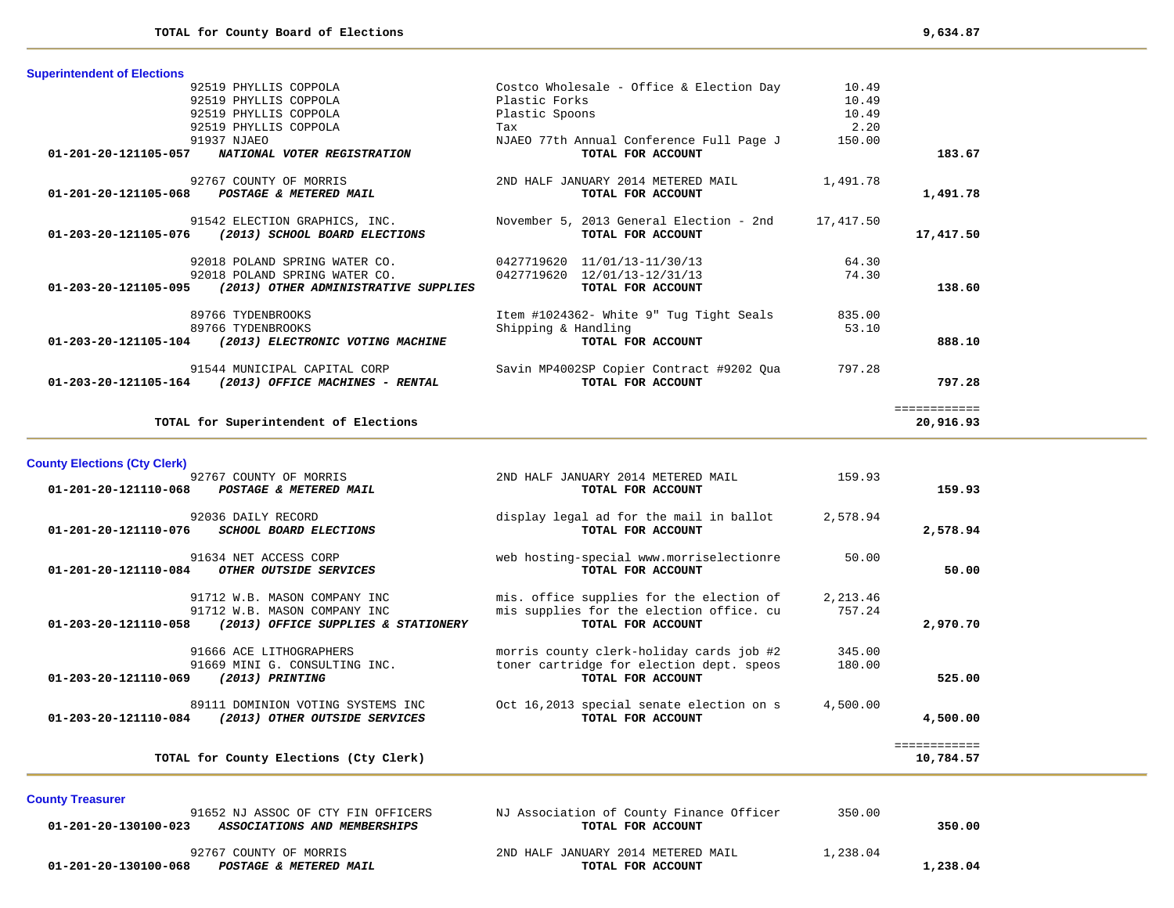| <b>Superintendent of Elections</b>                        |                                          |           |              |
|-----------------------------------------------------------|------------------------------------------|-----------|--------------|
| 92519 PHYLLIS COPPOLA                                     | Costco Wholesale - Office & Election Day | 10.49     |              |
| 92519 PHYLLIS COPPOLA                                     | Plastic Forks                            | 10.49     |              |
| 92519 PHYLLIS COPPOLA                                     | Plastic Spoons                           | 10.49     |              |
| 92519 PHYLLIS COPPOLA                                     | Tax                                      | 2.20      |              |
| 91937 NJAEO                                               | NJAEO 77th Annual Conference Full Page J | 150.00    |              |
| 01-201-20-121105-057<br>NATIONAL VOTER REGISTRATION       | TOTAL FOR ACCOUNT                        |           | 183.67       |
| 92767 COUNTY OF MORRIS                                    | 2ND HALF JANUARY 2014 METERED MAIL       | 1,491.78  |              |
| 01-201-20-121105-068<br>POSTAGE & METERED MAIL            | TOTAL FOR ACCOUNT                        |           | 1,491.78     |
| 91542 ELECTION GRAPHICS, INC.                             | November 5, 2013 General Election - 2nd  | 17,417.50 |              |
| 01-203-20-121105-076<br>(2013) SCHOOL BOARD ELECTIONS     | TOTAL FOR ACCOUNT                        |           | 17,417.50    |
| 92018 POLAND SPRING WATER CO.                             | 0427719620 11/01/13-11/30/13             | 64.30     |              |
| 92018 POLAND SPRING WATER CO.                             | 0427719620 12/01/13-12/31/13             | 74.30     |              |
| 01-203-20-121105-095 (2013) OTHER ADMINISTRATIVE SUPPLIES | TOTAL FOR ACCOUNT                        |           | 138.60       |
| 89766 TYDENBROOKS                                         | Item #1024362- White 9" Tug Tight Seals  | 835.00    |              |
| 89766 TYDENBROOKS                                         | Shipping & Handling                      | 53.10     |              |
| 01-203-20-121105-104<br>(2013) ELECTRONIC VOTING MACHINE  | TOTAL FOR ACCOUNT                        |           | 888.10       |
| 91544 MUNICIPAL CAPITAL CORP                              | Savin MP4002SP Copier Contract #9202 Qua | 797.28    |              |
| 01-203-20-121105-164<br>(2013) OFFICE MACHINES - RENTAL   | TOTAL FOR ACCOUNT                        |           | 797.28       |
|                                                           |                                          |           | ============ |
| TOTAL for Superintendent of Elections                     |                                          |           | 20,916.93    |
|                                                           |                                          |           |              |

# **County Elections (Cty Clerk)** 92767 COUNTY OF MORRIS **2ND HALF JANUARY 2014 METERED MAIL** 159.93  **01-201-20-121110-068** *POSTAGE & METERED MAIL* **TOTAL FOR ACCOUNT 159.93**92036 DAILY RECORD display legal ad for the mail in ballot 2,578.94<br>5 SCHOOL BOARD ELECTIONS TOTAL FOR ACCOUNT  **01-201-20-121110-076** *SCHOOL BOARD ELECTIONS* **TOTAL FOR ACCOUNT 2,578.94** 91634 NET ACCESS CORP web hosting-special www.morriselectionre 50.00<br>**I** OTHER OUTSIDE SERVICES TOTAL FOR ACCOUNT  **01-201-20-121110-084** *OTHER OUTSIDE SERVICES* **TOTAL FOR ACCOUNT 50.00** 91712 W.B. MASON COMPANY INC mis. office supplies for the election of 2,213.46 91712 W.B. MASON COMPANY INC mis supplies for the election office. cu 757.24  **01-203-20-121110-058** *(2013) OFFICE SUPPLIES & STATIONERY* **TOTAL FOR ACCOUNT 2,970.70** 91666 ACE LITHOGRAPHERS morris county clerk-holiday cards job #2 345.00 91669 MINI G. CONSULTING INC.<br>
91669 MINI G. CONSULTING INC.<br> **TOTAL FOR ACCOUNT 01-203-20-121110-069** *(2013) PRINTING* **TOTAL FOR ACCOUNT 525.00** 89111 DOMINION VOTING SYSTEMS INC 0ct 16,2013 special senate election on s 4,500.00<br>(2013) OTHER OUTSIDE SERVICES TOTAL FOR ACCOUNT  **01-203-20-121110-084** *(2013) OTHER OUTSIDE SERVICES* **TOTAL FOR ACCOUNT 4,500.00** ============ **TOTAL for County Elections (Cty Clerk) 10,784.57**

#### **County Treasurer**

| 91652 NJ ASSOC OF CTY FIN OFFICERS                   | NJ Association of County Finance Officer | 350.00   |          |
|------------------------------------------------------|------------------------------------------|----------|----------|
| 01-201-20-130100-023<br>ASSOCIATIONS AND MEMBERSHIPS | TOTAL FOR ACCOUNT                        |          | 350.00   |
|                                                      |                                          |          |          |
| 92767 COUNTY OF MORRIS                               | 2ND HALF JANUARY 2014 METERED MAIL       | 1,238.04 |          |
| 01-201-20-130100-068<br>POSTAGE & METERED MAIL       | TOTAL FOR ACCOUNT                        |          | 1,238.04 |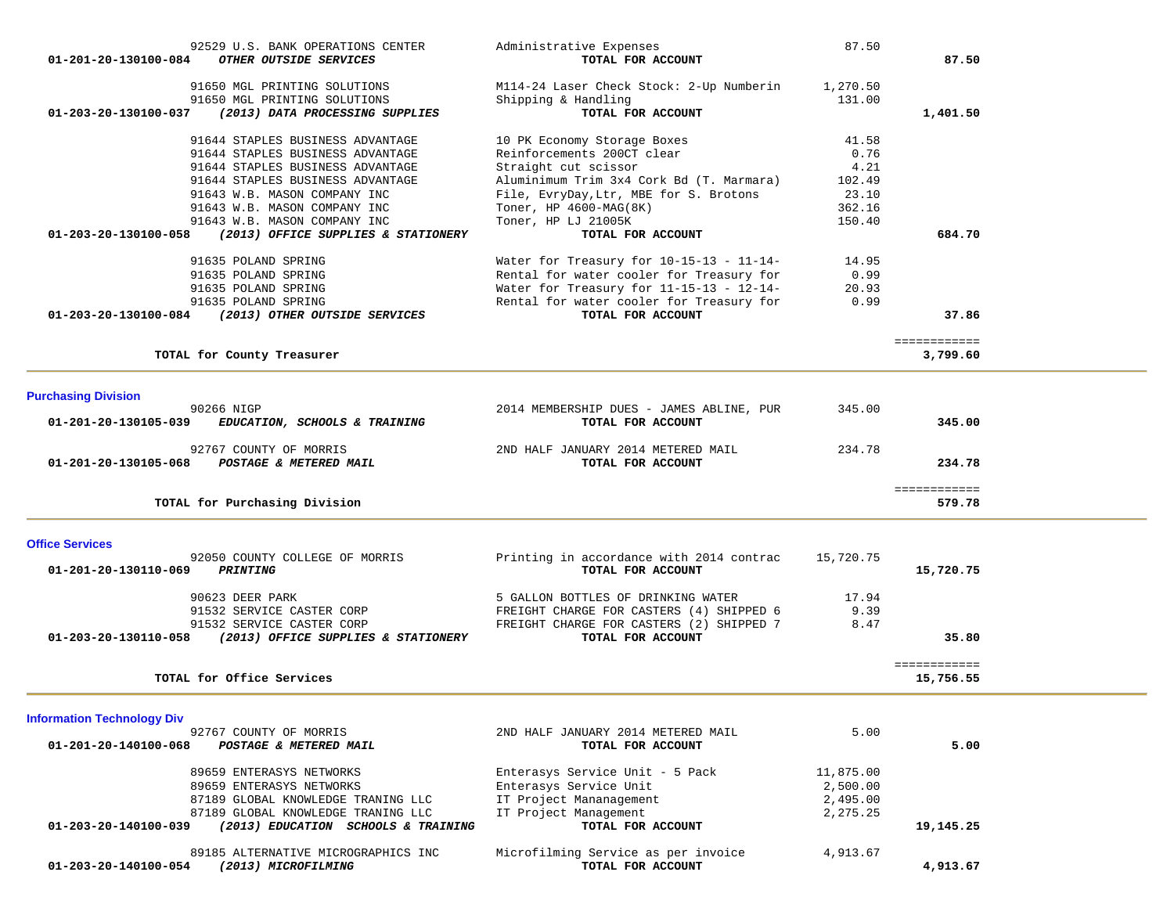| 92529 U.S. BANK OPERATIONS CENTER<br>OTHER OUTSIDE SERVICES        | Administrative Expenses                                       | 87.50     | 87.50        |  |
|--------------------------------------------------------------------|---------------------------------------------------------------|-----------|--------------|--|
| 01-201-20-130100-084                                               | TOTAL FOR ACCOUNT                                             |           |              |  |
| 91650 MGL PRINTING SOLUTIONS                                       | M114-24 Laser Check Stock: 2-Up Numberin                      | 1,270.50  |              |  |
| 91650 MGL PRINTING SOLUTIONS                                       | Shipping & Handling                                           | 131.00    |              |  |
| 01-203-20-130100-037<br>(2013) DATA PROCESSING SUPPLIES            | TOTAL FOR ACCOUNT                                             |           | 1,401.50     |  |
| 91644 STAPLES BUSINESS ADVANTAGE                                   | 10 PK Economy Storage Boxes                                   | 41.58     |              |  |
| 91644 STAPLES BUSINESS ADVANTAGE                                   | Reinforcements 200CT clear                                    | 0.76      |              |  |
| 91644 STAPLES BUSINESS ADVANTAGE                                   | Straight cut scissor                                          | 4.21      |              |  |
| 91644 STAPLES BUSINESS ADVANTAGE                                   | Aluminimum Trim 3x4 Cork Bd (T. Marmara)                      | 102.49    |              |  |
| 91643 W.B. MASON COMPANY INC                                       | File, EvryDay, Ltr, MBE for S. Brotons                        | 23.10     |              |  |
| 91643 W.B. MASON COMPANY INC                                       | Toner, HP 4600-MAG(8K)                                        | 362.16    |              |  |
| 91643 W.B. MASON COMPANY INC                                       | Toner, HP LJ 21005K                                           | 150.40    |              |  |
| (2013) OFFICE SUPPLIES & STATIONERY<br>01-203-20-130100-058        | TOTAL FOR ACCOUNT                                             |           | 684.70       |  |
| 91635 POLAND SPRING                                                | Water for Treasury for $10-15-13 - 11-14-$                    | 14.95     |              |  |
| 91635 POLAND SPRING                                                | Rental for water cooler for Treasury for                      | 0.99      |              |  |
| 91635 POLAND SPRING                                                | Water for Treasury for 11-15-13 - 12-14-                      | 20.93     |              |  |
| 91635 POLAND SPRING                                                | Rental for water cooler for Treasury for                      | 0.99      |              |  |
| (2013) OTHER OUTSIDE SERVICES<br>01-203-20-130100-084              | TOTAL FOR ACCOUNT                                             |           | 37.86        |  |
|                                                                    |                                                               |           | ============ |  |
| TOTAL for County Treasurer                                         |                                                               |           | 3,799.60     |  |
|                                                                    |                                                               |           |              |  |
| <b>Purchasing Division</b>                                         |                                                               |           |              |  |
| 90266 NIGP                                                         | 2014 MEMBERSHIP DUES - JAMES ABLINE, PUR                      | 345.00    |              |  |
| 01-201-20-130105-039<br>EDUCATION, SCHOOLS & TRAINING              | TOTAL FOR ACCOUNT                                             |           | 345.00       |  |
|                                                                    |                                                               |           |              |  |
| 92767 COUNTY OF MORRIS                                             | 2ND HALF JANUARY 2014 METERED MAIL                            | 234.78    |              |  |
| 01-201-20-130105-068<br>POSTAGE & METERED MAIL                     | TOTAL FOR ACCOUNT                                             |           | 234.78       |  |
|                                                                    |                                                               |           | ============ |  |
| TOTAL for Purchasing Division                                      |                                                               |           | 579.78       |  |
|                                                                    |                                                               |           |              |  |
| <b>Office Services</b>                                             |                                                               |           |              |  |
| 92050 COUNTY COLLEGE OF MORRIS<br>01-201-20-130110-069<br>PRINTING | Printing in accordance with 2014 contrac<br>TOTAL FOR ACCOUNT | 15,720.75 | 15,720.75    |  |
|                                                                    |                                                               |           |              |  |
| 90623 DEER PARK                                                    | 5 GALLON BOTTLES OF DRINKING WATER                            | 17.94     |              |  |
| 91532 SERVICE CASTER CORP                                          | FREIGHT CHARGE FOR CASTERS (4) SHIPPED 6                      | 9.39      |              |  |
| 91532 SERVICE CASTER CORP                                          | FREIGHT CHARGE FOR CASTERS (2) SHIPPED 7                      | 8.47      |              |  |
| (2013) OFFICE SUPPLIES & STATIONERY<br>01-203-20-130110-058        | TOTAL FOR ACCOUNT                                             |           | 35.80        |  |
|                                                                    |                                                               |           | ============ |  |
| TOTAL for Office Services                                          |                                                               |           | 15,756.55    |  |
|                                                                    |                                                               |           |              |  |
| <b>Information Technology Div</b>                                  |                                                               |           |              |  |
| 92767 COUNTY OF MORRIS                                             | 2ND HALF JANUARY 2014 METERED MAIL                            | 5.00      |              |  |
| 01-201-20-140100-068<br>POSTAGE & METERED MAIL                     | TOTAL FOR ACCOUNT                                             |           | 5.00         |  |
|                                                                    |                                                               |           |              |  |
| 89659 ENTERASYS NETWORKS                                           | Enterasys Service Unit - 5 Pack                               | 11,875.00 |              |  |
| 89659 ENTERASYS NETWORKS                                           | Enterasys Service Unit                                        | 2,500.00  |              |  |
| 87189 GLOBAL KNOWLEDGE TRANING LLC                                 | IT Project Mananagement                                       | 2,495.00  |              |  |
| 87189 GLOBAL KNOWLEDGE TRANING LLC                                 | IT Project Management                                         | 2,275.25  |              |  |
| 01-203-20-140100-039<br>(2013) EDUCATION SCHOOLS & TRAINING        | TOTAL FOR ACCOUNT                                             |           | 19,145.25    |  |
| 89185 ALTERNATIVE MICROGRAPHICS INC                                | Microfilming Service as per invoice                           | 4,913.67  |              |  |
| 01-203-20-140100-054<br>(2013) MICROFILMING                        | TOTAL FOR ACCOUNT                                             |           | 4,913.67     |  |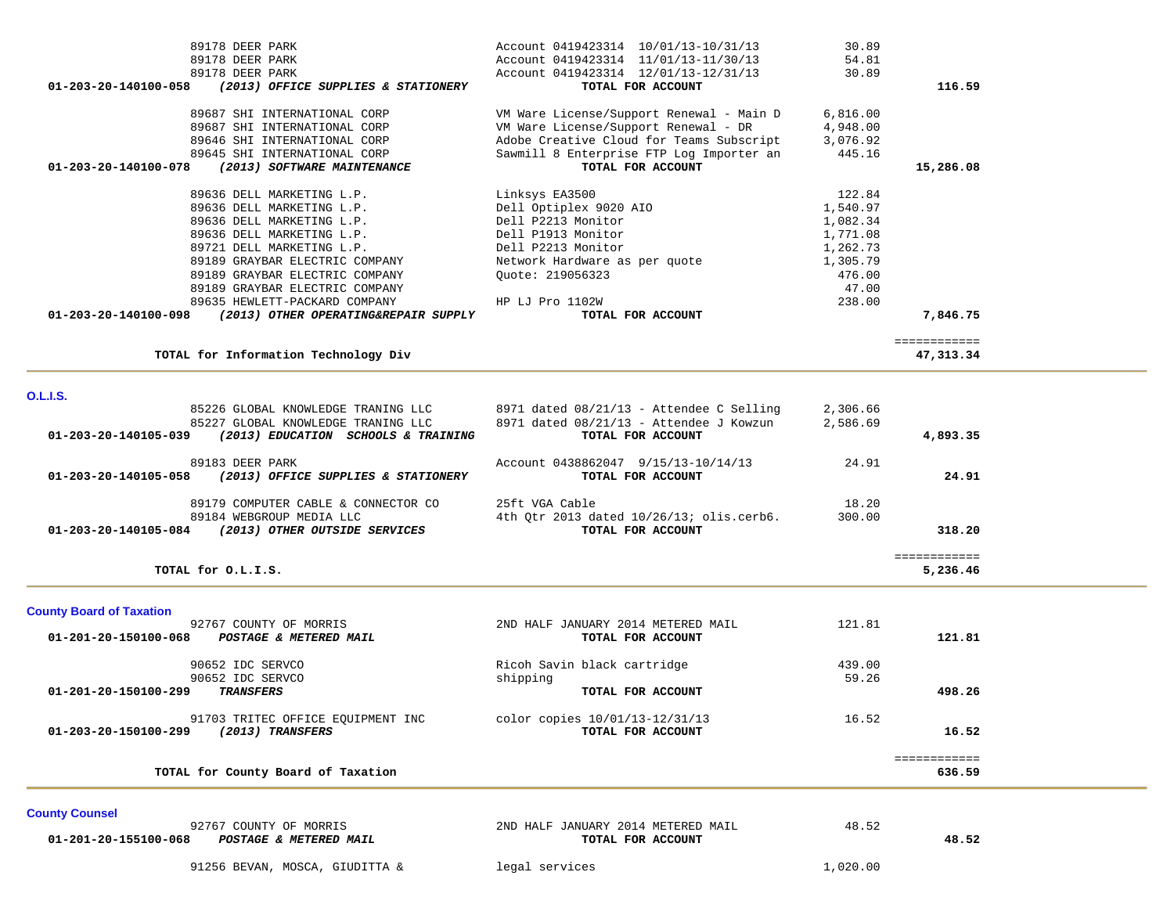| 89178 DEER PARK                                                                                   | Account 0419423314 10/01/13-10/31/13                          | 30.89    |              |  |
|---------------------------------------------------------------------------------------------------|---------------------------------------------------------------|----------|--------------|--|
| 89178 DEER PARK                                                                                   | Account 0419423314 11/01/13-11/30/13                          | 54.81    |              |  |
| 89178 DEER PARK                                                                                   | Account 0419423314 12/01/13-12/31/13                          | 30.89    |              |  |
| (2013) OFFICE SUPPLIES & STATIONERY<br>01-203-20-140100-058                                       | TOTAL FOR ACCOUNT                                             |          | 116.59       |  |
|                                                                                                   |                                                               |          |              |  |
| 89687 SHI INTERNATIONAL CORP                                                                      | VM Ware License/Support Renewal - Main D                      | 6,816.00 |              |  |
| 89687 SHI INTERNATIONAL CORP                                                                      | VM Ware License/Support Renewal - DR                          | 4,948.00 |              |  |
| 89646 SHI INTERNATIONAL CORP                                                                      | Adobe Creative Cloud for Teams Subscript                      | 3,076.92 |              |  |
| 89645 SHI INTERNATIONAL CORP<br>01-203-20-140100-078<br>(2013) SOFTWARE MAINTENANCE               | Sawmill 8 Enterprise FTP Log Importer an<br>TOTAL FOR ACCOUNT | 445.16   | 15,286.08    |  |
|                                                                                                   |                                                               |          |              |  |
| 89636 DELL MARKETING L.P.                                                                         | Linksys EA3500                                                | 122.84   |              |  |
| 89636 DELL MARKETING L.P.                                                                         | Dell Optiplex 9020 AIO                                        | 1,540.97 |              |  |
| 89636 DELL MARKETING L.P.                                                                         | Dell P2213 Monitor                                            | 1,082.34 |              |  |
| 89636 DELL MARKETING L.P.                                                                         | Dell P1913 Monitor                                            | 1,771.08 |              |  |
| 89721 DELL MARKETING L.P.                                                                         | Dell P2213 Monitor                                            | 1,262.73 |              |  |
| 89189 GRAYBAR ELECTRIC COMPANY                                                                    | Network Hardware as per quote                                 | 1,305.79 |              |  |
| 89189 GRAYBAR ELECTRIC COMPANY                                                                    | Quote: 219056323                                              | 476.00   |              |  |
| 89189 GRAYBAR ELECTRIC COMPANY                                                                    |                                                               | 47.00    |              |  |
| 89635 HEWLETT-PACKARD COMPANY                                                                     | HP LJ Pro 1102W                                               | 238.00   |              |  |
| 01-203-20-140100-098<br>(2013) OTHER OPERATING&REPAIR SUPPLY                                      | TOTAL FOR ACCOUNT                                             |          | 7,846.75     |  |
|                                                                                                   |                                                               |          | ============ |  |
| TOTAL for Information Technology Div                                                              |                                                               |          | 47,313.34    |  |
|                                                                                                   |                                                               |          |              |  |
| <b>O.L.I.S.</b>                                                                                   |                                                               |          |              |  |
| 85226 GLOBAL KNOWLEDGE TRANING LLC                                                                | 8971 dated 08/21/13 - Attendee C Selling                      | 2,306.66 |              |  |
| 85227 GLOBAL KNOWLEDGE TRANING LLC<br>01-203-20-140105-039<br>(2013) EDUCATION SCHOOLS & TRAINING | 8971 dated 08/21/13 - Attendee J Kowzun<br>TOTAL FOR ACCOUNT  | 2,586.69 | 4,893.35     |  |
|                                                                                                   |                                                               |          |              |  |
| 89183 DEER PARK                                                                                   | Account 0438862047 9/15/13-10/14/13                           | 24.91    |              |  |
| 01-203-20-140105-058<br>(2013) OFFICE SUPPLIES & STATIONERY                                       | TOTAL FOR ACCOUNT                                             |          | 24.91        |  |
|                                                                                                   |                                                               |          |              |  |
| 89179 COMPUTER CABLE & CONNECTOR CO                                                               | 25ft VGA Cable                                                | 18.20    |              |  |
| 89184 WEBGROUP MEDIA LLC                                                                          | 4th Qtr 2013 dated $10/26/13$ ; olis.cerb6.                   | 300.00   |              |  |
| 01-203-20-140105-084 (2013) OTHER OUTSIDE SERVICES                                                | TOTAL FOR ACCOUNT                                             |          | 318.20       |  |
|                                                                                                   |                                                               |          | ============ |  |
| TOTAL for O.L.I.S.                                                                                |                                                               |          | 5,236.46     |  |
|                                                                                                   |                                                               |          |              |  |
| <b>County Board of Taxation</b>                                                                   |                                                               |          |              |  |
| 92767 COUNTY OF MORRIS                                                                            | 2ND HALF JANUARY 2014 METERED MAIL                            | 121.81   |              |  |
| POSTAGE & METERED MAIL<br>01-201-20-150100-068                                                    | TOTAL FOR ACCOUNT                                             |          | 121.81       |  |
|                                                                                                   |                                                               |          |              |  |
| 90652 IDC SERVCO                                                                                  | Ricoh Savin black cartridge                                   | 439.00   |              |  |
| 90652 IDC SERVCO                                                                                  | shipping                                                      | 59.26    |              |  |
| 01-201-20-150100-299<br><b>TRANSFERS</b>                                                          | TOTAL FOR ACCOUNT                                             |          | 498.26       |  |
|                                                                                                   |                                                               |          |              |  |
| 91703 TRITEC OFFICE EOUIPMENT INC                                                                 | color copies $10/01/13-12/31/13$                              | 16.52    | 16.52        |  |
| (2013) TRANSFERS<br>01-203-20-150100-299                                                          | TOTAL FOR ACCOUNT                                             |          |              |  |
|                                                                                                   |                                                               |          | ============ |  |
| TOTAL for County Board of Taxation                                                                |                                                               |          | 636.59       |  |
| <b>County Counsel</b>                                                                             |                                                               |          |              |  |
| 92767 COUNTY OF MORRIS                                                                            | 2ND HALF JANUARY 2014 METERED MAIL                            | 48.52    |              |  |
| 01-201-20-155100-068 POSTAGE & METERED MAIL                                                       | TOTAL FOR ACCOUNT                                             |          | 48.52        |  |

91256 BEVAN, MOSCA, GIUDITTA & legal services 1,020.00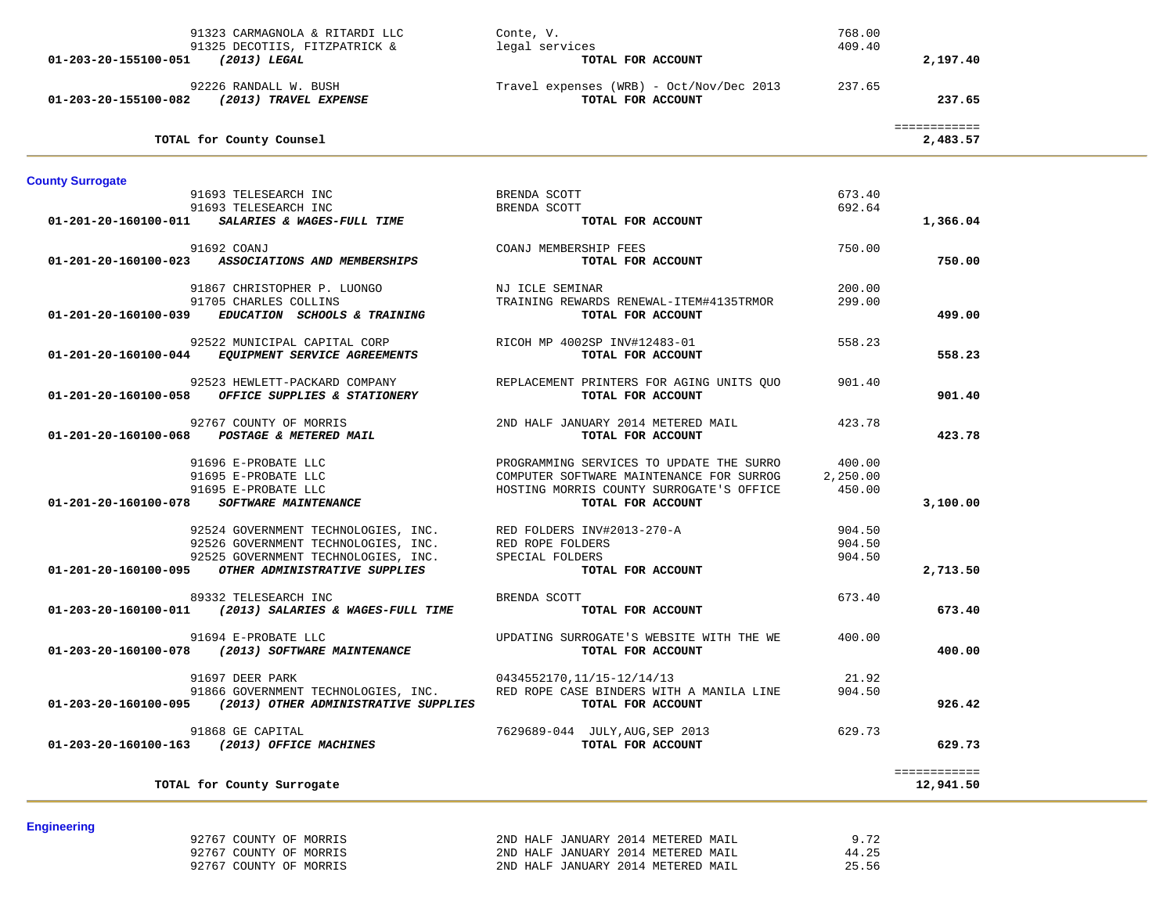| 92767 COUNTY OF MORRIS | 2ND HALF JANUARY 2014 METERED MAIL | 9.72  |
|------------------------|------------------------------------|-------|
| 92767 COUNTY OF MORRIS | 2ND HALF JANUARY 2014 METERED MAIL | 44.25 |
| 92767 COUNTY OF MORRIS | 2ND HALF JANUARY 2014 METERED MAIL | 25.56 |

**Engineering** 

| 01-203-20-155100-051 (2013) LEGAL | 91325 DECOTIIS, FITZPATRICK &                                                                                          | legal services<br>TOTAL FOR ACCOUNT                           | 409.40   | 2,197.40                 |  |
|-----------------------------------|------------------------------------------------------------------------------------------------------------------------|---------------------------------------------------------------|----------|--------------------------|--|
|                                   | 92226 RANDALL W. BUSH<br>01-203-20-155100-082 (2013) TRAVEL EXPENSE                                                    | Travel expenses (WRB) - Oct/Nov/Dec 2013<br>TOTAL FOR ACCOUNT | 237.65   | 237.65                   |  |
|                                   | TOTAL for County Counsel                                                                                               |                                                               |          | ============<br>2,483.57 |  |
| <b>County Surrogate</b>           |                                                                                                                        |                                                               |          |                          |  |
|                                   | 91693 TELESEARCH INC                                                                                                   | BRENDA SCOTT                                                  | 673.40   |                          |  |
|                                   | 91693 TELESEARCH INC                                                                                                   | BRENDA SCOTT                                                  | 692.64   |                          |  |
|                                   | $01-201-20-160100-011$ SALARIES & WAGES-FULL TIME                                                                      | TOTAL FOR ACCOUNT                                             |          | 1,366.04                 |  |
|                                   | 91692 COANJ                                                                                                            | COANJ MEMBERSHIP FEES                                         | 750.00   |                          |  |
|                                   | 01-201-20-160100-023 ASSOCIATIONS AND MEMBERSHIPS                                                                      | TOTAL FOR ACCOUNT                                             |          | 750.00                   |  |
|                                   |                                                                                                                        |                                                               |          |                          |  |
|                                   | 91867 CHRISTOPHER P. LUONGO                                                                                            | NJ ICLE SEMINAR                                               | 200.00   |                          |  |
|                                   | 91705 CHARLES COLLINS                                                                                                  | TRAINING REWARDS RENEWAL-ITEM#4135TRMOR                       | 299.00   |                          |  |
| 01-201-20-160100-039              | EDUCATION SCHOOLS & TRAINING                                                                                           | TOTAL FOR ACCOUNT                                             |          | 499.00                   |  |
|                                   | 92522 MUNICIPAL CAPITAL CORP                                                                                           | RICOH MP 4002SP INV#12483-01                                  | 558.23   |                          |  |
|                                   | 01-201-20-160100-044 EQUIPMENT SERVICE AGREEMENTS                                                                      | TOTAL FOR ACCOUNT                                             |          | 558.23                   |  |
|                                   |                                                                                                                        |                                                               |          |                          |  |
|                                   | 92523 HEWLETT-PACKARD COMPANY                                                                                          | REPLACEMENT PRINTERS FOR AGING UNITS OUO                      | 901.40   |                          |  |
| 01-201-20-160100-058              | <b>OFFICE SUPPLIES &amp; STATIONERY</b>                                                                                | TOTAL FOR ACCOUNT                                             |          | 901.40                   |  |
|                                   |                                                                                                                        |                                                               |          |                          |  |
| 01-201-20-160100-068              | 92767 COUNTY OF MORRIS<br><b>POSTAGE &amp; METERED MAIL</b>                                                            | 2ND HALF JANUARY 2014 METERED MAIL<br>TOTAL FOR ACCOUNT       | 423.78   | 423.78                   |  |
|                                   |                                                                                                                        |                                                               |          |                          |  |
|                                   | 91696 E-PROBATE LLC                                                                                                    | PROGRAMMING SERVICES TO UPDATE THE SURRO                      | 400.00   |                          |  |
|                                   | 91695 E-PROBATE LLC                                                                                                    | COMPUTER SOFTWARE MAINTENANCE FOR SURROG                      | 2,250.00 |                          |  |
|                                   | 91695 E-PROBATE LLC                                                                                                    | HOSTING MORRIS COUNTY SURROGATE'S OFFICE                      | 450.00   |                          |  |
|                                   | 01-201-20-160100-078 SOFTWARE MAINTENANCE                                                                              | TOTAL FOR ACCOUNT                                             |          | 3,100.00                 |  |
|                                   |                                                                                                                        |                                                               | 904.50   |                          |  |
|                                   | 92524 GOVERNMENT TECHNOLOGIES, INC. RED FOLDERS INV#2013-270-A<br>92526 GOVERNMENT TECHNOLOGIES, INC. RED ROPE FOLDERS |                                                               | 904.50   |                          |  |
|                                   | 92525 GOVERNMENT TECHNOLOGIES, INC.                                                                                    | SPECIAL FOLDERS                                               | 904.50   |                          |  |
|                                   | 01-201-20-160100-095 OTHER ADMINISTRATIVE SUPPLIES                                                                     | TOTAL FOR ACCOUNT                                             |          | 2,713.50                 |  |
|                                   |                                                                                                                        |                                                               |          |                          |  |
|                                   | 89332 TELESEARCH INC                                                                                                   | BRENDA SCOTT                                                  | 673.40   |                          |  |
|                                   | 01-203-20-160100-011 (2013) SALARIES & WAGES-FULL TIME                                                                 | TOTAL FOR ACCOUNT                                             |          | 673.40                   |  |
|                                   | 91694 E-PROBATE LLC                                                                                                    | UPDATING SURROGATE'S WEBSITE WITH THE WE                      | 400.00   |                          |  |
|                                   | 01-203-20-160100-078 (2013) SOFTWARE MAINTENANCE                                                                       | TOTAL FOR ACCOUNT                                             |          | 400.00                   |  |
|                                   |                                                                                                                        |                                                               |          |                          |  |
|                                   | 91697 DEER PARK                                                                                                        | 0434552170,11/15-12/14/13                                     | 21.92    |                          |  |
|                                   | 91866 GOVERNMENT TECHNOLOGIES, INC.                                                                                    | RED ROPE CASE BINDERS WITH A MANILA LINE                      | 904.50   |                          |  |
|                                   | $01-203-20-160100-095$ (2013) OTHER ADMINISTRATIVE SUPPLIES                                                            | TOTAL FOR ACCOUNT                                             |          | 926.42                   |  |
|                                   | 91868 GE CAPITAL                                                                                                       | 7629689-044 JULY, AUG, SEP 2013                               | 629.73   |                          |  |
|                                   | 01-203-20-160100-163 (2013) OFFICE MACHINES                                                                            | TOTAL FOR ACCOUNT                                             |          | 629.73                   |  |
|                                   |                                                                                                                        |                                                               |          |                          |  |
|                                   |                                                                                                                        |                                                               |          | ============             |  |
|                                   | TOTAL for County Surrogate                                                                                             |                                                               |          | 12,941.50                |  |
|                                   |                                                                                                                        |                                                               |          |                          |  |

91323 CARMAGNOLA & RITARDI LLC Conte, V. 768.00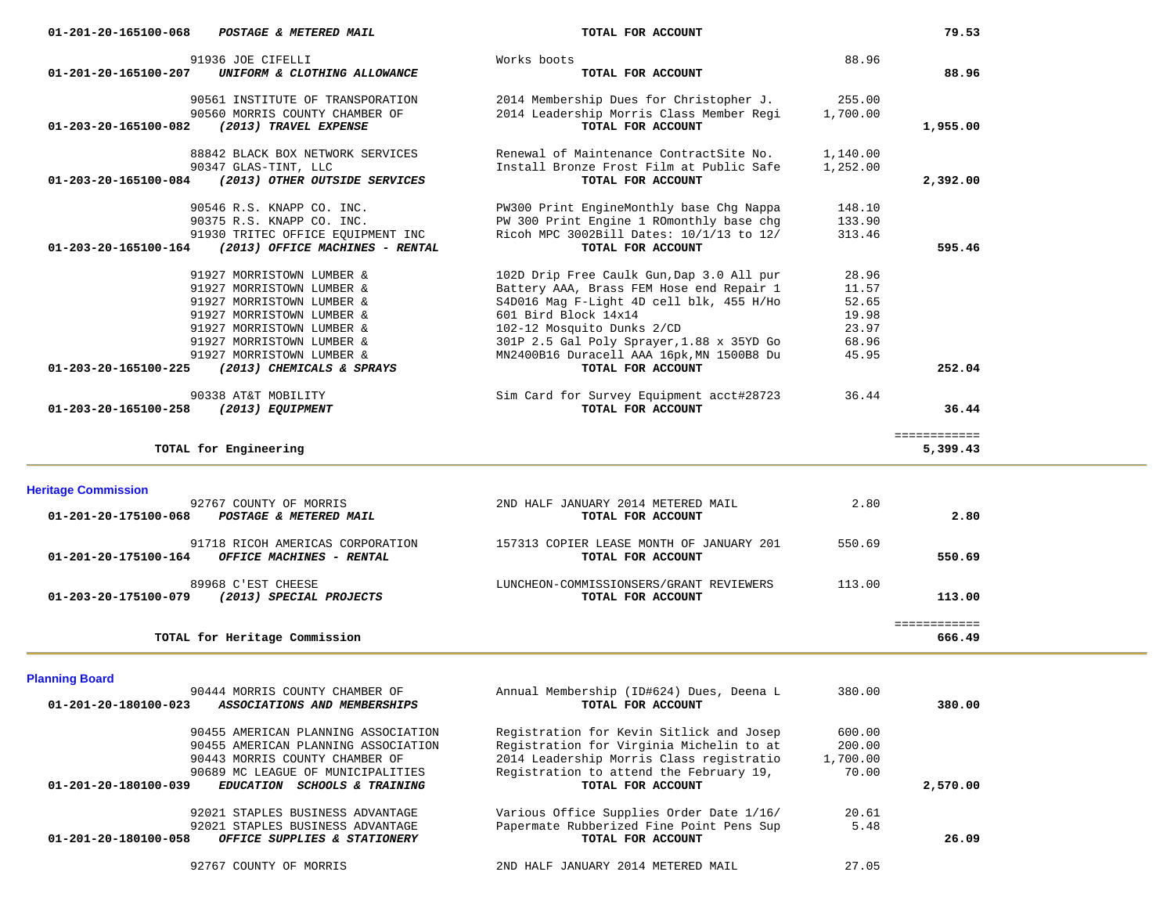| 90347 GLAS-TINT, LLC                                                                   | Install Bronze Frost Film at Public Safe                       | 1,252.00 |              |  |
|----------------------------------------------------------------------------------------|----------------------------------------------------------------|----------|--------------|--|
| (2013) OTHER OUTSIDE SERVICES<br>01-203-20-165100-084                                  | TOTAL FOR ACCOUNT                                              |          | 2,392.00     |  |
| 90546 R.S. KNAPP CO. INC.                                                              | PW300 Print EngineMonthly base Chg Nappa                       | 148.10   |              |  |
| 90375 R.S. KNAPP CO. INC.                                                              | PW 300 Print Engine 1 ROmonthly base chg                       | 133.90   |              |  |
| 91930 TRITEC OFFICE EQUIPMENT INC                                                      | Ricoh MPC 3002Bill Dates: 10/1/13 to 12/                       | 313.46   |              |  |
| (2013) OFFICE MACHINES - RENTAL<br>01-203-20-165100-164                                | TOTAL FOR ACCOUNT                                              |          | 595.46       |  |
| 91927 MORRISTOWN LUMBER &                                                              | 102D Drip Free Caulk Gun, Dap 3.0 All pur                      | 28.96    |              |  |
| 91927 MORRISTOWN LUMBER &                                                              | Battery AAA, Brass FEM Hose end Repair 1                       | 11.57    |              |  |
| 91927 MORRISTOWN LUMBER &                                                              | S4D016 Mag F-Light 4D cell blk, 455 H/Ho                       | 52.65    |              |  |
| 91927 MORRISTOWN LUMBER &                                                              | 601 Bird Block 14x14                                           | 19.98    |              |  |
| 91927 MORRISTOWN LUMBER &                                                              | 102-12 Mosquito Dunks 2/CD                                     | 23.97    |              |  |
| 91927 MORRISTOWN LUMBER &                                                              | 301P 2.5 Gal Poly Sprayer, 1.88 x 35YD Go                      | 68.96    |              |  |
| 91927 MORRISTOWN LUMBER &<br>(2013) CHEMICALS & SPRAYS                                 | MN2400B16 Duracell AAA 16pk, MN 1500B8 Du<br>TOTAL FOR ACCOUNT | 45.95    | 252.04       |  |
| 01-203-20-165100-225                                                                   |                                                                |          |              |  |
| 90338 AT&T MOBILITY                                                                    | Sim Card for Survey Equipment acct#28723                       | 36.44    |              |  |
| 01-203-20-165100-258<br>(2013) EQUIPMENT                                               | TOTAL FOR ACCOUNT                                              |          | 36.44        |  |
|                                                                                        |                                                                |          | ============ |  |
| TOTAL for Engineering                                                                  |                                                                |          | 5,399.43     |  |
|                                                                                        |                                                                |          |              |  |
| <b>Heritage Commission</b>                                                             |                                                                |          |              |  |
| 92767 COUNTY OF MORRIS<br>01-201-20-175100-068<br>POSTAGE & METERED MAIL               | 2ND HALF JANUARY 2014 METERED MAIL<br>TOTAL FOR ACCOUNT        | 2.80     | 2.80         |  |
|                                                                                        |                                                                |          |              |  |
| 91718 RICOH AMERICAS CORPORATION                                                       | 157313 COPIER LEASE MONTH OF JANUARY 201                       | 550.69   |              |  |
| OFFICE MACHINES - RENTAL<br>01-201-20-175100-164                                       | TOTAL FOR ACCOUNT                                              |          | 550.69       |  |
| 89968 C'EST CHEESE                                                                     | LUNCHEON-COMMISSIONSERS/GRANT REVIEWERS                        | 113.00   |              |  |
| (2013) SPECIAL PROJECTS<br>01-203-20-175100-079                                        | TOTAL FOR ACCOUNT                                              |          | 113.00       |  |
|                                                                                        |                                                                |          | ============ |  |
| TOTAL for Heritage Commission                                                          |                                                                |          | 666.49       |  |
|                                                                                        |                                                                |          |              |  |
| <b>Planning Board</b>                                                                  |                                                                |          |              |  |
| 90444 MORRIS COUNTY CHAMBER OF<br>ASSOCIATIONS AND MEMBERSHIPS<br>01-201-20-180100-023 | Annual Membership (ID#624) Dues, Deena L<br>TOTAL FOR ACCOUNT  | 380.00   | 380.00       |  |
|                                                                                        |                                                                |          |              |  |
| 90455 AMERICAN PLANNING ASSOCIATION                                                    | Registration for Kevin Sitlick and Josep                       | 600.00   |              |  |
| 90455 AMERICAN PLANNING ASSOCIATION                                                    | Registration for Virginia Michelin to at                       | 200.00   |              |  |
| 90443 MORRIS COUNTY CHAMBER OF                                                         | 2014 Leadership Morris Class registratio                       | 1,700.00 |              |  |
| 90689 MC LEAGUE OF MUNICIPALITIES                                                      | Registration to attend the February 19,                        | 70.00    |              |  |
| $01 - 201 - 20 - 180100 - 039$<br>EDUCATION SCHOOLS & TRAINING                         | TOTAL FOR ACCOUNT                                              |          | 2,570.00     |  |
| 92021 STAPLES BUSINESS ADVANTAGE                                                       | Various Office Supplies Order Date 1/16/                       | 20.61    |              |  |
| 92021 STAPLES BUSINESS ADVANTAGE                                                       | Papermate Rubberized Fine Point Pens Sup                       | 5.48     |              |  |
| $01 - 201 - 20 - 180100 - 058$<br>OFFICE SUPPLIES & STATIONERY                         | TOTAL FOR ACCOUNT                                              |          | 26.09        |  |
| 92767 COUNTY OF MORRIS                                                                 | 2ND HALF JANUARY 2014 METERED MAIL                             | 27.05    |              |  |
|                                                                                        |                                                                |          |              |  |
|                                                                                        |                                                                |          |              |  |
|                                                                                        |                                                                |          |              |  |

 91936 JOE CIFELLI Works boots 88.96  **01-201-20-165100-207** *UNIFORM & CLOTHING ALLOWANCE* **TOTAL FOR ACCOUNT 88.96**

 90561 INSTITUTE OF TRANSPORATION 2014 Membership Dues for Christopher J. 255.00 90560 MORRIS COUNTY CHAMBER OF 2014 Leadership Morris Class Member Regi 1,700.00<br>2 (2013) TRAVEL EXPENSE  **01-203-20-165100-082** *(2013) TRAVEL EXPENSE* **TOTAL FOR ACCOUNT 1,955.00**

88842 BLACK BOX NETWORK SERVICES Renewal of Maintenance ContractSite No. 1,140.00

79.53

 $\overline{\phantom{a}}$ 

 **01-201-20-165100-068** *POSTAGE & METERED MAIL* **TOTAL FOR ACCOUNT 79.53**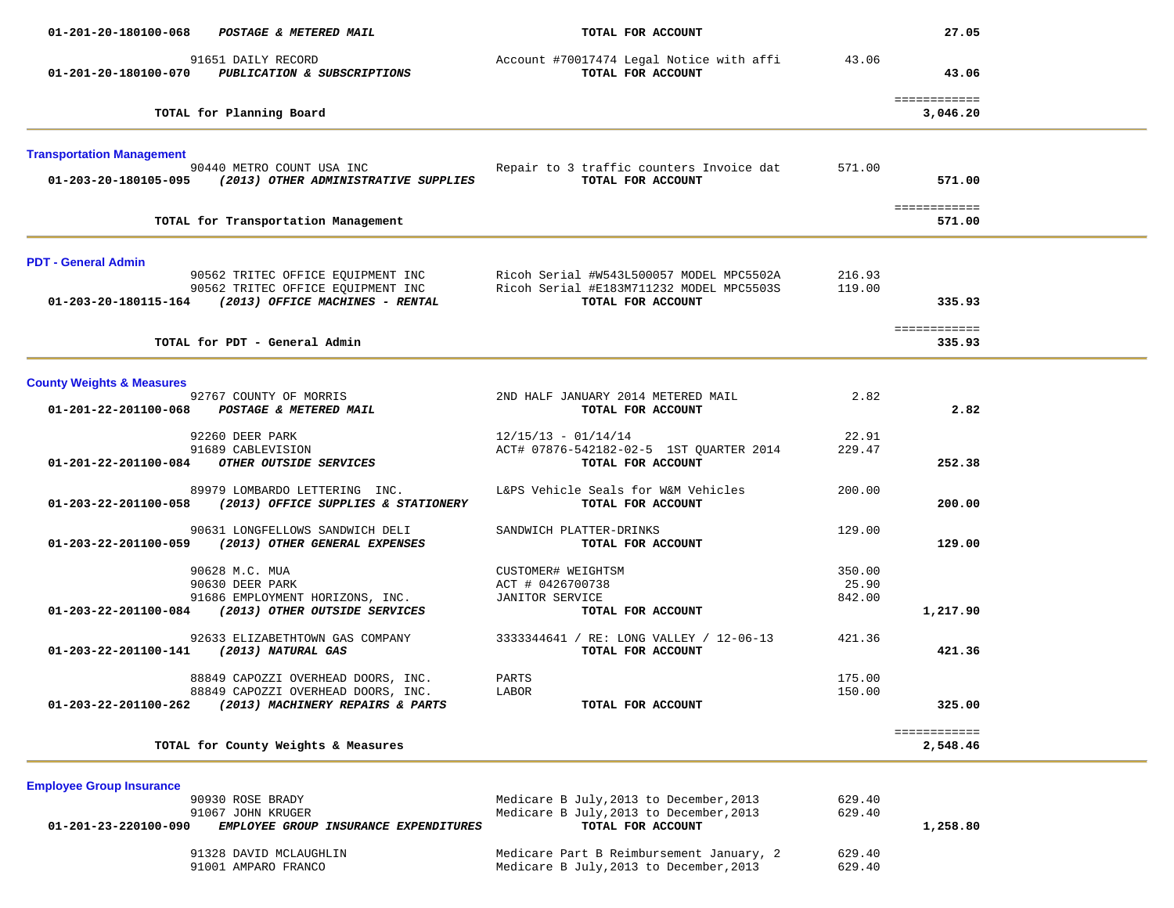| 01-201-20-180100-068                                                                    | POSTAGE & METERED MAIL                                                                                       | TOTAL FOR ACCOUNT                                                                                                                                                                                                                         |                           | 27.05                    |  |
|-----------------------------------------------------------------------------------------|--------------------------------------------------------------------------------------------------------------|-------------------------------------------------------------------------------------------------------------------------------------------------------------------------------------------------------------------------------------------|---------------------------|--------------------------|--|
| 91651 DAILY RECORD<br>01-201-20-180100-070 PUBLICATION & SUBSCRIPTIONS                  |                                                                                                              | Account #70017474 Legal Notice with affi<br>TOTAL FOR ACCOUNT                                                                                                                                                                             | 43.06                     | 43.06                    |  |
| TOTAL for Planning Board                                                                |                                                                                                              |                                                                                                                                                                                                                                           |                           | ============<br>3,046.20 |  |
| <b>Transportation Management</b>                                                        |                                                                                                              |                                                                                                                                                                                                                                           |                           |                          |  |
| 90440 METRO COUNT USA INC<br>01-203-20-180105-095 (2013) OTHER ADMINISTRATIVE SUPPLIES  |                                                                                                              | Repair to 3 traffic counters Invoice dat<br>TOTAL FOR ACCOUNT                                                                                                                                                                             | 571.00                    | 571.00                   |  |
| TOTAL for Transportation Management                                                     |                                                                                                              |                                                                                                                                                                                                                                           |                           | ============<br>571.00   |  |
| <b>PDT - General Admin</b>                                                              |                                                                                                              |                                                                                                                                                                                                                                           |                           |                          |  |
|                                                                                         |                                                                                                              | 90562 TRITEC OFFICE EQUIPMENT INC Ricoh Serial #W543L500057 MODEL MPC5502A<br>90562 TRITEC OFFICE EQUIPMENT INC Ricoh Serial #E183M711232 MODEL MPC5503S<br><b>01-203-20-180115-164</b> (2013) OFFICE MACHINES - RENTAL TOTAL FOR ACCOUNT | 216.93<br>119.00          | 335.93                   |  |
| TOTAL for PDT - General Admin                                                           |                                                                                                              |                                                                                                                                                                                                                                           |                           | ============<br>335.93   |  |
| <b>County Weights &amp; Measures</b>                                                    |                                                                                                              |                                                                                                                                                                                                                                           |                           |                          |  |
| 92767 COUNTY OF MORRIS<br>01-201-22-201100-068 POSTAGE & METERED MAIL                   |                                                                                                              | 2ND HALF JANUARY 2014 METERED MAIL<br>TOTAL FOR ACCOUNT                                                                                                                                                                                   | 2.82                      | 2.82                     |  |
| 92260 DEER PARK<br>91689 CABLEVISION<br>01-201-22-201100-084 OTHER OUTSIDE SERVICES     |                                                                                                              | $12/15/13 - 01/14/14$<br>ACT# 07876-542182-02-5 1ST QUARTER 2014<br>TOTAL FOR ACCOUNT                                                                                                                                                     | 22.91<br>229.47           | 252.38                   |  |
| $01-203-22-201100-058$ (2013) OFFICE SUPPLIES & STATIONERY                              | 89979 LOMBARDO LETTERING INC.                                                                                | L&PS Vehicle Seals for W&M Vehicles<br>TOTAL FOR ACCOUNT                                                                                                                                                                                  | 200.00                    | 200.00                   |  |
| 01-203-22-201100-059 (2013) OTHER GENERAL EXPENSES                                      | 90631 LONGFELLOWS SANDWICH DELI                                                                              | SANDWICH PLATTER-DRINKS<br>TOTAL FOR ACCOUNT                                                                                                                                                                                              | 129.00                    | 129.00                   |  |
| 90628 M.C. MUA<br>90630 DEER PARK<br>01-203-22-201100-084 (2013) OTHER OUTSIDE SERVICES | 91686 EMPLOYMENT HORIZONS, INC.                                                                              | CUSTOMER# WEIGHTSM<br>ACT # 0426700738<br>JANITOR SERVICE<br>TOTAL FOR ACCOUNT                                                                                                                                                            | 350.00<br>25.90<br>842.00 | 1,217.90                 |  |
| 01-203-22-201100-141 (2013) NATURAL GAS                                                 | 92633 ELIZABETHTOWN GAS COMPANY                                                                              | 3333344641 / RE: LONG VALLEY / 12-06-13<br>TOTAL FOR ACCOUNT                                                                                                                                                                              | 421.36                    | 421.36                   |  |
| 01-203-22-201100-262                                                                    | 88849 CAPOZZI OVERHEAD DOORS, INC.<br>88849 CAPOZZI OVERHEAD DOORS, INC.<br>(2013) MACHINERY REPAIRS & PARTS | PARTS<br>LABOR<br>TOTAL FOR ACCOUNT                                                                                                                                                                                                       | 175.00<br>150.00          | 325.00                   |  |
| TOTAL for County Weights & Measures                                                     |                                                                                                              |                                                                                                                                                                                                                                           |                           | ============<br>2,548.46 |  |
| <b>Employee Group Insurance</b><br>90930 ROSE BRADY<br>91067 JOHN KRUGER                |                                                                                                              | Medicare B July, 2013 to December, 2013<br>Medicare B July, 2013 to December, 2013                                                                                                                                                        | 629.40<br>629.40          |                          |  |
| 01-201-23-220100-090<br>91328 DAVID MCLAUGHLIN<br>91001 AMPARO FRANCO                   | EMPLOYEE GROUP INSURANCE EXPENDITURES                                                                        | TOTAL FOR ACCOUNT<br>Medicare Part B Reimbursement January, 2<br>Medicare B July, 2013 to December, 2013                                                                                                                                  | 629.40<br>629.40          | 1,258.80                 |  |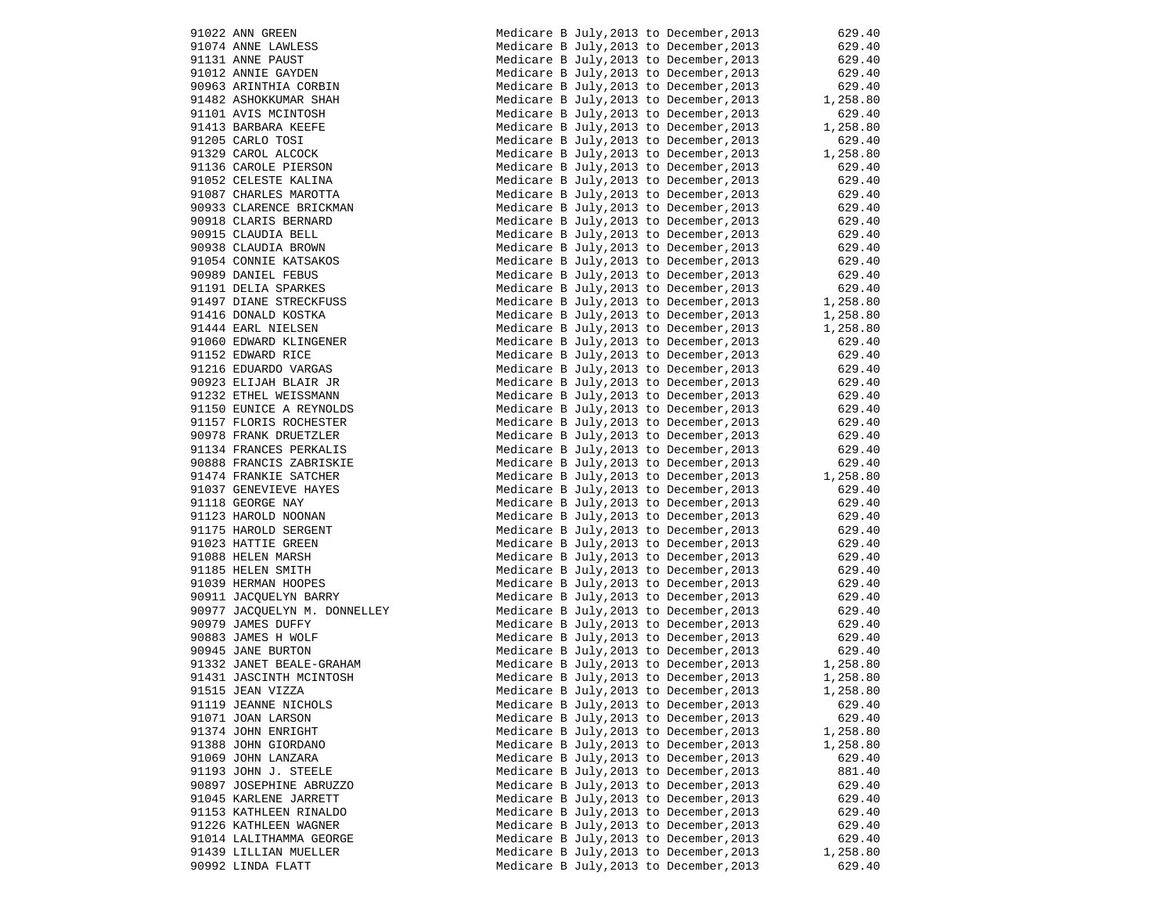| 91022 ANN GREEN                                   |
|---------------------------------------------------|
| 91074 ANNE LAWLESS                                |
| 91131 ANNE PAUST                                  |
| 91012 ANNIE GAYDEN                                |
| 90963 ARINTHIA CORBIN                             |
| 91482 ASHOKKUMAR SHAH                             |
| 91101 AVIS MCINTOSH                               |
| 91413 BARBARA KEEFE                               |
| 91205 CARLO TOSI                                  |
| 91329 CAROL ALCOCK                                |
| 91136 CAROLE PIERSON                              |
| 91052 CELESTE KALINA                              |
| 91087 CHARLES MAROTTA                             |
| 90933 CLARENCE BRICKMAN                           |
| 90918 CLARIS BERNARD                              |
| 90915 CLAUDIA BELL                                |
| 90938 CLAUDIA BROWN                               |
| 91054 CONNIE KATSAKOS                             |
| 90989 DANIEL FEBUS                                |
| 91191 DELIA SPARKES                               |
| 91497 DIANE STRECKFUSS<br>91416 DONALD KOSTKA     |
|                                                   |
| 91444 EARL NIELSEN<br>91060 EDWARD KLINGENER      |
|                                                   |
| 91152 EDWARD RICE<br>91216 EDUARDO VARGAS         |
|                                                   |
| 90923 ELIJAH BLAIR JR<br>91232 ETHEL WEISSMANN    |
|                                                   |
| 91150 EUNICE A REYNOLDS<br>91157 FLORIS ROCHESTER |
|                                                   |
| 90978 FRANK DRUETZLER<br>91134 FRANCES PERKALIS   |
|                                                   |
| 90888 FRANCIS ZABRISKIE<br>91474 FRANKIE SATCHER  |
| 91037 GENEVIEVE HAYES                             |
| 91118 GEORGE NAY                                  |
| 91123 HAROLD NOONAN                               |
| 91175 HAROLD SERGENT                              |
| 91023 HATTIE GREEN                                |
| 91088 HELEN MARSH                                 |
| 91185 HELEN SMITH                                 |
| 91039 HERMAN HOOPES                               |
| 90911 JACQUELYN BARRY                             |
| 90977 JACQUELYN M. DONNELLEY                      |
| 90979 JAMES DUFFY                                 |
| 90883 JAMES H WOLF                                |
| 90945 JANE BURTON                                 |
| 91332 JANET BEALE-GRAHAM                          |
| 91431 JASCINTH MCINTOSH                           |
| 91515 JEAN VIZZA                                  |
| 91119 JEANNE NICHOLS                              |
| 91071 JOAN LARSON                                 |
| 91374 JOHN ENRIGHT                                |
| 91388 JOHN GIORDANO<br>91069 JOHN LANZARA         |
| 91193 JOHN J. STEELE                              |
| 90897 JOSEPHINE ABRUZZO                           |
| 91045 KARLENE JARRETT                             |
| 91153 KATHLEEN RINALDO                            |
| 91226 KATHLEEN WAGNER                             |
| 91014 LALITHAMMA GEORGE                           |
| 91439 LILLIAN MUELLER                             |
| 90992 LINDA FLATT                                 |
|                                                   |

| 91022 ANN GREEN<br>91074 ANNE LAWLESS<br>91131 ANNE PAUST<br>91012 ANNIE GAYDEN<br>90963 ARINTHIA CORBIN                                                                                                                                          | Medicare B July, 2013 to December, 2013                                            | 629.40                                                           |
|---------------------------------------------------------------------------------------------------------------------------------------------------------------------------------------------------------------------------------------------------|------------------------------------------------------------------------------------|------------------------------------------------------------------|
|                                                                                                                                                                                                                                                   | Medicare B July, 2013 to December, 2013                                            | 629.40<br>629.40                                                 |
|                                                                                                                                                                                                                                                   | Medicare B July, 2013 to December, 2013                                            |                                                                  |
|                                                                                                                                                                                                                                                   | Medicare B July, 2013 to December, 2013                                            | 629.40                                                           |
|                                                                                                                                                                                                                                                   | Medicare B July, 2013 to December, 2013                                            | 629.40                                                           |
| 91482 ASHOKKUMAR SHAH                                                                                                                                                                                                                             | Medicare B July, 2013 to December, 2013                                            | $029.40$<br>1,258.80                                             |
| 91101 AVIS MCINTOSH<br>91101 AVIS MCINTOSH<br>91413 BARBARA KEEFE<br>91205 CARLO TOSI<br>91329 CAROL ALCOCK<br>91136 CAROLE PIERSON<br>91052 CELESTE KALINA<br>91087 CHARLES MAROTTA                                                              | Medicare B July, 2013 to December, 2013                                            | 629.40                                                           |
|                                                                                                                                                                                                                                                   | Medicare B July, 2013 to December, 2013                                            | 1,258.80                                                         |
|                                                                                                                                                                                                                                                   | Medicare B July, 2013 to December, 2013                                            | 629.40                                                           |
|                                                                                                                                                                                                                                                   | Medicare B July, 2013 to December, 2013                                            | 1,258.80                                                         |
|                                                                                                                                                                                                                                                   | Medicare B July, 2013 to December, 2013                                            | 629.40                                                           |
|                                                                                                                                                                                                                                                   | Medicare B July, 2013 to December, 2013                                            | 629.40                                                           |
| 91087 CHARLES MAROTTA                                                                                                                                                                                                                             | Medicare B July, 2013 to December, 2013                                            | 629.40                                                           |
| 90933 CLARENCE BRICKMAN                                                                                                                                                                                                                           | Medicare B July, 2013 to December, 2013                                            | 629.40                                                           |
| 90938 CLAUDIA BELL<br>90938 CLAUDIA BROWN<br>91054 CONNIE KATSAKOS<br>90989 DANIEL FEBUS<br>91191 DELIA SPARKES<br>1416 DONALD KOSTKA<br>1444 FYT                                                                                                 | Medicare B July, 2013 to December, 2013                                            | 629.40                                                           |
|                                                                                                                                                                                                                                                   | Medicare B July, 2013 to December, 2013                                            | 629.40                                                           |
|                                                                                                                                                                                                                                                   | Medicare B July, 2013 to December, 2013                                            | 629.40                                                           |
|                                                                                                                                                                                                                                                   | Medicare B July, 2013 to December, 2013                                            | 629.40                                                           |
|                                                                                                                                                                                                                                                   | Medicare B July, 2013 to December, 2013                                            |                                                                  |
|                                                                                                                                                                                                                                                   | Medicare B July, 2013 to December, 2013                                            | $629.40$<br>$1,258.80$<br>$1,258.80$<br>$1,258.80$<br>$1,258.80$ |
|                                                                                                                                                                                                                                                   | Medicare B July, 2013 to December, 2013                                            |                                                                  |
|                                                                                                                                                                                                                                                   | Medicare B July, 2013 to December, 2013                                            |                                                                  |
|                                                                                                                                                                                                                                                   | Medicare B July, 2013 to December, 2013                                            | 1,258.80                                                         |
| 91497 DIANE STRECKFUSS<br>91497 DIANE STRECKFUSS<br>91444 EARL NIELSEN<br>91060 EDWARD KLINGENER<br>91152 EDWARD RICE<br>91216 EDUARDO VARGAS<br>90923 ELIJAH BLAIR JR<br>91232 ETHEL WEISSMANN<br>91232 ETHEL WEISSMANN<br>91232 ETHEL WEISSMANN | Medicare B July, 2013 to December, 2013                                            | 629.40                                                           |
|                                                                                                                                                                                                                                                   | Medicare B July, 2013 to December, 2013                                            | 629.40<br>629.40                                                 |
|                                                                                                                                                                                                                                                   | Medicare B July, 2013 to December, 2013                                            |                                                                  |
|                                                                                                                                                                                                                                                   | Medicare B July, 2013 to December, 2013                                            | 629.40<br>629.40                                                 |
|                                                                                                                                                                                                                                                   | Medicare B July, 2013 to December, 2013                                            |                                                                  |
| 91150 EUNICE A REYNOLDS<br>91157 FLORIS ROCHESTER                                                                                                                                                                                                 | Medicare B July, 2013 to December, 2013                                            | 629.40<br>629.40                                                 |
|                                                                                                                                                                                                                                                   | Medicare B July, 2013 to December, 2013<br>Medicare B July, 2013 to December, 2013 |                                                                  |
| 90978 FRANK DRUETZLER<br>91134 FRANCES PERKALIS                                                                                                                                                                                                   | Medicare B July, 2013 to December, 2013                                            | 629.40<br>629.40                                                 |
|                                                                                                                                                                                                                                                   | Medicare B July, 2013 to December, 2013                                            |                                                                  |
| 90888 FRANCIS ZABRISKIE<br>91474 FRANKIE SATCHER                                                                                                                                                                                                  | Medicare B July, 2013 to December, 2013                                            | 629.40<br>1,258.80                                               |
|                                                                                                                                                                                                                                                   | Medicare B July, 2013 to December, 2013                                            |                                                                  |
|                                                                                                                                                                                                                                                   | Medicare B July, 2013 to December, 2013                                            | 629.40<br>629.40                                                 |
|                                                                                                                                                                                                                                                   | Medicare B July, 2013 to December, 2013                                            |                                                                  |
| 91037 GENEVIEVE HAYES<br>91118 GEORGE NAY<br>91123 HAROLD NOONAN<br>91175 HAROLD SERGENT                                                                                                                                                          | Medicare B July, 2013 to December, 2013                                            | 629.40<br>629.40                                                 |
| 91023 HATTIE GREEN                                                                                                                                                                                                                                | Medicare B July, 2013 to December, 2013                                            |                                                                  |
| 91088 HELEN MARSH                                                                                                                                                                                                                                 | Medicare B July, 2013 to December, 2013                                            | 629.40<br>629.40                                                 |
| 91185 HELEN SMITH                                                                                                                                                                                                                                 | Medicare B July, 2013 to December, 2013                                            |                                                                  |
| 91039 HERMAN HOOPES                                                                                                                                                                                                                               | Medicare B July, 2013 to December, 2013                                            | 629.40<br>629.40                                                 |
| 90911 JACQUELYN BARRY                                                                                                                                                                                                                             | Medicare B July, 2013 to December, 2013                                            |                                                                  |
| 90977 JACQUELYN M. DONNELLEY                                                                                                                                                                                                                      | Medicare B July, 2013 to December, 2013                                            | 629.40<br>629.40                                                 |
| 90979 JAMES DUFFY                                                                                                                                                                                                                                 |                                                                                    |                                                                  |
| 90883 JAMES H WOLF                                                                                                                                                                                                                                | Medicare B July, 2013 to December, 2013<br>Medicare B July, 2013 to December, 2013 | 629.40<br>629.40                                                 |
| 90945 JANE BURTON                                                                                                                                                                                                                                 | Medicare B July, 2013 to December, 2013                                            | $629.40$<br>$1,258.80$                                           |
| 91332 JANET BEALE-GRAHAM                                                                                                                                                                                                                          | Medicare B July, 2013 to December, 2013                                            |                                                                  |
| 91332 UNNET LEHEL TIL                                                                                                                                                                                                                             | Medicare B July, 2013 to December, 2013                                            | 1,258.80                                                         |
| 91515 JEAN VIZZA                                                                                                                                                                                                                                  | Medicare B July, 2013 to December, 2013                                            | 1,258.80                                                         |
| 91119 JEANNE NICHOLS                                                                                                                                                                                                                              | Medicare B July, 2013 to December, 2013                                            | 629.40                                                           |
| 91071 JOAN LARSON                                                                                                                                                                                                                                 | Medicare B July, 2013 to December, 2013                                            | 629.40                                                           |
| 91374 JOHN ENRIGHT                                                                                                                                                                                                                                | Medicare B July, 2013 to December, 2013                                            | 1,258.80                                                         |
| 91388 JOHN GIORDANO                                                                                                                                                                                                                               | Medicare B July, 2013 to December, 2013                                            | 1,258.80                                                         |
| 91069 JOHN LANZARA                                                                                                                                                                                                                                | Medicare B July, 2013 to December, 2013                                            | 629.40                                                           |
| 91193 JOHN J. STEELE                                                                                                                                                                                                                              | Medicare B July, 2013 to December, 2013                                            | 881.40                                                           |
| 90897 JOSEPHINE ABRUZZO                                                                                                                                                                                                                           | Medicare B July, 2013 to December, 2013                                            | 629.40                                                           |
| 91045 KARLENE JARRETT                                                                                                                                                                                                                             | Medicare B July, 2013 to December, 2013                                            | 629.40                                                           |
| 91153 KATHLEEN RINALDO                                                                                                                                                                                                                            | Medicare B July, 2013 to December, 2013                                            | 629.40                                                           |
| 91226 KATHLEEN WAGNER                                                                                                                                                                                                                             | Medicare B July, 2013 to December, 2013                                            | 629.40                                                           |
| 91014 LALITHAMMA GEORGE                                                                                                                                                                                                                           | Medicare B July, 2013 to December, 2013                                            | 629.40                                                           |
| 91439 LILLIAN MUELLER                                                                                                                                                                                                                             | Medicare B July, 2013 to December, 2013                                            | 1,258.80                                                         |
| 90992 LINDA FLATT                                                                                                                                                                                                                                 | Medicare B July, 2013 to December, 2013                                            | 629.40                                                           |
|                                                                                                                                                                                                                                                   |                                                                                    |                                                                  |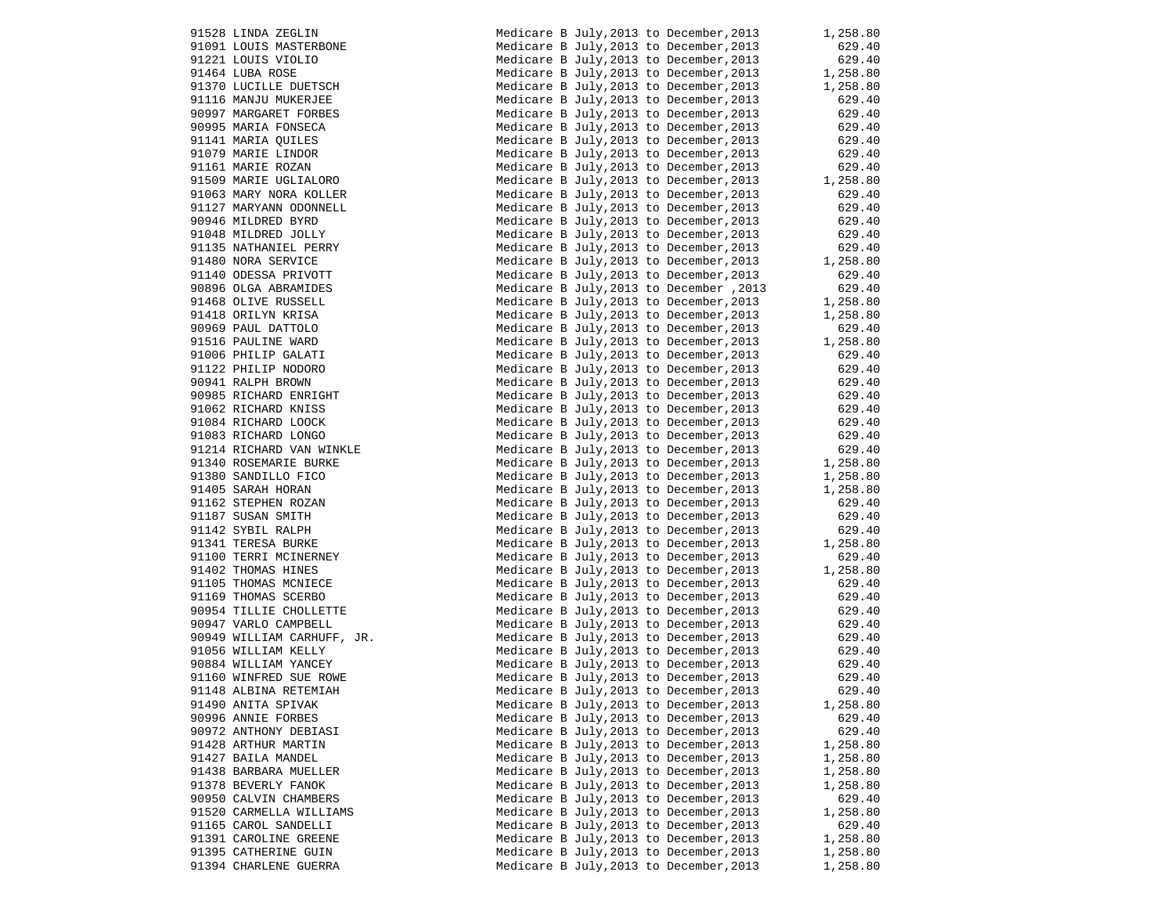|       | 91528 LINDA ZEGLIN                            |
|-------|-----------------------------------------------|
|       | 91091 LOUIS MASTERBONE<br>91221 LOUIS VIOLIO  |
|       |                                               |
|       | 91464 LUBA ROSE<br>91370 LUCILLE DUETSCH      |
|       |                                               |
|       | 91116 MANJU MUKERJEE                          |
|       | 90997 MARGARET FORBES                         |
|       | 90995 MARIA FONSECA                           |
|       | 91141 MARIA QUILES                            |
|       | 91079 MARIE LINDOR                            |
|       | 91161 MARIE ROZAN                             |
|       | 91509 MARIE UGLIALORO                         |
|       | 91063 MARY NORA KOLLER                        |
|       | 91127 MARYANN ODONNELL                        |
|       | 90946 MILDRED BYRD                            |
|       | 91048 MILDRED JOLLY                           |
|       | 91135 NATHANIEL PERRY                         |
|       | 91480 NORA SERVICE                            |
|       | 91140 ODESSA PRIVOTT                          |
|       | 90896 OLGA ABRAMIDES                          |
|       | 91468 OLIVE RUSSELL                           |
|       | 91418 ORILYN KRISA                            |
|       | 90969 PAUL DATTOLO                            |
|       | 91516 PAULINE WARD                            |
|       | 91006 PHILIP GALATI                           |
|       | 91122 PHILIP NODORO                           |
|       | 90941 RALPH BROWN                             |
|       | 90985 RICHARD ENRIGHT                         |
|       | 91062 RICHARD KNISS                           |
|       | 91084 RICHARD LOOCK                           |
|       | 91083 RICHARD LONGO                           |
|       | 91214 RICHARD VAN WINKLE                      |
|       | 91340 ROSEMARIE BURKE                         |
|       | 91380 SANDILLO FICO                           |
|       | 91405 SARAH HORAN                             |
|       | 91162 STEPHEN ROZAN                           |
|       |                                               |
|       |                                               |
|       | 91187 SUSAN SMITH                             |
|       | 91142 SYBIL RALPH                             |
|       | 91341 TERESA BURKE                            |
|       | 91100 TERRI MCINERNEY                         |
|       | 91402 THOMAS HINES                            |
|       | 91105 THOMAS MCNIECE                          |
|       | 91169 THOMAS SCERBO                           |
|       | 90954 TILLIE CHOLLETTE                        |
|       | 90947 VARLO CAMPBELL                          |
|       | 90949 WILLIAM CARHUFF, JR.                    |
|       | 91056 WILLIAM KELLY                           |
|       | 90884 WILLIAM YANCEY                          |
|       | 91160 WINFRED SUE ROWE                        |
|       | 91148 ALBINA RETEMIAH                         |
|       | 91490 ANITA SPIVAK                            |
|       | 90996 ANNIE FORBES                            |
|       | 90972 ANTHONY DEBIASI                         |
|       | 91428 ARTHUR MARTIN                           |
|       | 91427 BAILA MANDEL                            |
| 91438 | BARBARA MUELLER                               |
|       | 91378 BEVERLY FANOK                           |
|       | 90950 CALVIN CHAMBERS                         |
|       | 91520 CARMELLA WILLIAMS                       |
|       | 91165 CAROL SANDELLI                          |
|       | 91391 CAROLINE GREENE                         |
|       | 91395 CATHERINE GUIN<br>91394 CHARLENE GUERRA |

| 91528 LINDA ZEGLIN<br>91091 LOUIS MASTERBONE                                                                                                                                                                                                                    | Medicare B July, 2013 to December, 2013 1, 258.80                                                                                                                                                                                      |                                         |
|-----------------------------------------------------------------------------------------------------------------------------------------------------------------------------------------------------------------------------------------------------------------|----------------------------------------------------------------------------------------------------------------------------------------------------------------------------------------------------------------------------------------|-----------------------------------------|
|                                                                                                                                                                                                                                                                 | Medicare B July, 2013 to December, 2013<br>Medicare B July, 2013 to December, 2013                                                                                                                                                     | 629.40                                  |
| 91221 LOUIS VIOLIO<br>91464 LUBA ROSE<br>91370 LUCILLE DUETSCH                                                                                                                                                                                                  |                                                                                                                                                                                                                                        | 629.40                                  |
|                                                                                                                                                                                                                                                                 | Medicare B July, 2013 to December, 2013 029.40<br>Medicare B July, 2013 to December, 2013 1, 258.80<br>Medicare B July, 2013 to December, 2013 1, 258.80                                                                               |                                         |
|                                                                                                                                                                                                                                                                 |                                                                                                                                                                                                                                        |                                         |
| 91116 MANJU MUKERJEE                                                                                                                                                                                                                                            | Medicare B July, 2013 to December, 2013                                                                                                                                                                                                | 629.40                                  |
| 90997 MARGARET FORBES<br>90995 MARIA FONSECA<br>91141 MARIA QUILES<br>91079 MARIE LINDOR<br>91161 MARIE ROZAN<br>91509 MARIE ROZAN<br>21062 MARIE UGLIALORO                                                                                                     | Medicare B July, 2013 to December, 2013                                                                                                                                                                                                | 629.40                                  |
|                                                                                                                                                                                                                                                                 | Medicare B July, 2013 to December, 2013                                                                                                                                                                                                | 629.40<br>629.40                        |
|                                                                                                                                                                                                                                                                 | Medicare B July, 2013 to December, 2013                                                                                                                                                                                                |                                         |
|                                                                                                                                                                                                                                                                 | Medicare B July, 2013 to December, 2013                                                                                                                                                                                                | 629.40                                  |
|                                                                                                                                                                                                                                                                 | Medicare B July, 2013 to December, 2013                                                                                                                                                                                                | 629.40                                  |
|                                                                                                                                                                                                                                                                 | Medicare B July, 2013 to December, 2013                                                                                                                                                                                                | 1,258.80                                |
| 91063 MARY NORA KOLLER                                                                                                                                                                                                                                          | Medicare B July, 2013 to December, 2013                                                                                                                                                                                                | 629.40                                  |
| 91127 MARYANN ODONNELL                                                                                                                                                                                                                                          | Medicare B July, 2013 to December, 2013                                                                                                                                                                                                | 629.40                                  |
|                                                                                                                                                                                                                                                                 | Medicare B July, 2013 to December, 2013                                                                                                                                                                                                | 629.40                                  |
|                                                                                                                                                                                                                                                                 | Medicare B July, 2013 to December, 2013                                                                                                                                                                                                | 629.40                                  |
|                                                                                                                                                                                                                                                                 | Medicare B July, 2013 to December, 2013                                                                                                                                                                                                | 629.40                                  |
|                                                                                                                                                                                                                                                                 | Medicare B July, 2013 to December, 2013                                                                                                                                                                                                | $029.40$<br>1,258.80                    |
|                                                                                                                                                                                                                                                                 | Medicare B July, 2013 to December, 2013 629.40<br>Medicare B July, 2013 to December, 2013 1, 258.80<br>Medicare B July, 2013 to December, 2013 1, 258.80<br>Medicare B July, 2013 to December, 2013 1, 258.80                          |                                         |
|                                                                                                                                                                                                                                                                 |                                                                                                                                                                                                                                        |                                         |
|                                                                                                                                                                                                                                                                 |                                                                                                                                                                                                                                        |                                         |
|                                                                                                                                                                                                                                                                 |                                                                                                                                                                                                                                        |                                         |
|                                                                                                                                                                                                                                                                 | Medicare B July, 2013 to December, 2013                                                                                                                                                                                                | 629.40                                  |
|                                                                                                                                                                                                                                                                 | Medicare B July, 2013 to December, 2013                                                                                                                                                                                                | 1,258.80                                |
|                                                                                                                                                                                                                                                                 | Medicare B July, 2013 to December, 2013                                                                                                                                                                                                | 629.40                                  |
| 91127 MARYANN ODONNELL<br>90946 MILDRED BYRD<br>91048 MILDRED JOLLY<br>91135 NATHANIEL PERRY<br>91480 NORA SERVICE<br>91140 ODESSA PRIVOTT<br>90896 OLGA ABRAMIDES<br>91468 OLIVE RUSSELL<br>91418 ORILYN KRISA<br>90969 PAUL DATTOLO<br>91516 PAULINE WARD<br> | Medicare B July, 2013 to December, 2013                                                                                                                                                                                                | 629.40                                  |
| 90941 RALPH BROWN<br>90985 RICHARD ENRIGHT<br>91062 RICHARD KNISS<br>91084 RICHARD LOOCK<br>91083 RICHARD LONGO<br>91214 RICHARD VAN WINKLE                                                                                                                     | Medicare B July, 2013 to December, 2013                                                                                                                                                                                                | 629.40                                  |
|                                                                                                                                                                                                                                                                 | Medicare B July, 2013 to December, 2013                                                                                                                                                                                                | 629.40                                  |
|                                                                                                                                                                                                                                                                 | Medicare B July, 2013 to December, 2013                                                                                                                                                                                                | 629.40                                  |
|                                                                                                                                                                                                                                                                 | Medicare B July, 2013 to December, 2013                                                                                                                                                                                                | 629.40                                  |
|                                                                                                                                                                                                                                                                 | Medicare B July, 2013 to December, 2013                                                                                                                                                                                                | 629.40                                  |
|                                                                                                                                                                                                                                                                 | Medicare B July, 2013 to December, 2013                                                                                                                                                                                                | $629.40$ $629.40$ $1,258.80$ $1,258.80$ |
| 91214 KICHAKD VAN WINKLE<br>91340 ROSEMARIE BURKE<br>91360 SANDILLO FICO<br>91405 SARAH HORAN<br>91162 STEPHEN ROZAN<br>91162 STEPHEN ROZAN<br>91167 SUSAN SMITH<br>91341 TERESA BURKE<br>91100 TERRI MCINERNEY<br>91402 THOMAS HINES<br>91165 THOMAS MCNIEC    | Medicare B July, 2013 to December, 2013                                                                                                                                                                                                |                                         |
|                                                                                                                                                                                                                                                                 | Medicare B July, 2013 to December, 2013                                                                                                                                                                                                |                                         |
|                                                                                                                                                                                                                                                                 | Medicare B July, 2013 to December, 2013                                                                                                                                                                                                | 1,258.80                                |
|                                                                                                                                                                                                                                                                 | Medicare B July, 2013 to December, 2013                                                                                                                                                                                                | 629.40                                  |
|                                                                                                                                                                                                                                                                 | Medicare B July, 2013 to December, 2013                                                                                                                                                                                                | 629.40                                  |
|                                                                                                                                                                                                                                                                 | Medicare B July, 2013 to December, 2013                                                                                                                                                                                                | 629.40                                  |
|                                                                                                                                                                                                                                                                 | Medicare B July, 2013 to December, 2013                                                                                                                                                                                                | 1,258.80                                |
|                                                                                                                                                                                                                                                                 | Medicare B July, 2013 to December, 2013                                                                                                                                                                                                | 629.40                                  |
|                                                                                                                                                                                                                                                                 | Medicare B July, 2013 to December, 2013                                                                                                                                                                                                | 1,258.80<br>629.40                      |
|                                                                                                                                                                                                                                                                 | Medicare B July, 2013 to December, 2013                                                                                                                                                                                                |                                         |
|                                                                                                                                                                                                                                                                 | Medicare B July, 2013 to December, 2013                                                                                                                                                                                                | 629.40                                  |
|                                                                                                                                                                                                                                                                 | Medicare B July, 2013 to December, 2013                                                                                                                                                                                                | 629.40                                  |
| 90947 VARLO CAMPBELL                                                                                                                                                                                                                                            |                                                                                                                                                                                                                                        |                                         |
|                                                                                                                                                                                                                                                                 |                                                                                                                                                                                                                                        |                                         |
| 90949 WILLIAM CARHUFF, JR.<br>91056 WILLIAM KELLY<br>90884 WILLIAM YANCEY<br>91160 WILLIAM YANCEY                                                                                                                                                               | Medicare B July, 2013 to December, 2013 629.40<br>Medicare B July, 2013 to December, 2013 629.40<br>Medicare B July, 2013 to December, 2013 629.40<br>Medicare B July, 2013 to December, 2013 629.40<br>Medicare B July, 2013 to Decem |                                         |
|                                                                                                                                                                                                                                                                 |                                                                                                                                                                                                                                        |                                         |
| 91160 WINFRED SUE ROWE                                                                                                                                                                                                                                          |                                                                                                                                                                                                                                        |                                         |
| 91148 ALBINA RETEMIAH                                                                                                                                                                                                                                           | Medicare B July, 2013 to December, 2013 629.40                                                                                                                                                                                         |                                         |
| 91490 ANITA SPIVAK                                                                                                                                                                                                                                              | Medicare B July, 2013 to December, 2013                                                                                                                                                                                                | 1,258.80                                |
| 90996 ANNIE FORBES                                                                                                                                                                                                                                              | Medicare B July, 2013 to December, 2013                                                                                                                                                                                                | 629.40                                  |
| 90972 ANTHONY DEBIASI                                                                                                                                                                                                                                           | Medicare B July, 2013 to December, 2013                                                                                                                                                                                                | 629.40                                  |
| 91428 ARTHUR MARTIN                                                                                                                                                                                                                                             | Medicare B July, 2013 to December, 2013                                                                                                                                                                                                | 1,258.80                                |
| 91427 BAILA MANDEL                                                                                                                                                                                                                                              | Medicare B July, 2013 to December, 2013                                                                                                                                                                                                | 1,258.80                                |
| 91438 BARBARA MUELLER                                                                                                                                                                                                                                           | Medicare B July, 2013 to December, 2013                                                                                                                                                                                                | 1,258.80                                |
| 91378 BEVERLY FANOK                                                                                                                                                                                                                                             | Medicare B July, 2013 to December, 2013                                                                                                                                                                                                | 1,258.80                                |
| 90950 CALVIN CHAMBERS                                                                                                                                                                                                                                           | Medicare B July, 2013 to December, 2013                                                                                                                                                                                                | 629.40                                  |
| 91520 CARMELLA WILLIAMS                                                                                                                                                                                                                                         | Medicare B July, 2013 to December, 2013                                                                                                                                                                                                | 1,258.80                                |
| 91165 CAROL SANDELLI                                                                                                                                                                                                                                            | Medicare B July, 2013 to December, 2013                                                                                                                                                                                                | 629.40                                  |
| 91391 CAROLINE GREENE                                                                                                                                                                                                                                           | Medicare B July, 2013 to December, 2013                                                                                                                                                                                                | 1,258.80                                |
| 91395 CATHERINE GUIN                                                                                                                                                                                                                                            | Medicare B July, 2013 to December, 2013                                                                                                                                                                                                | 1,258.80                                |
| 91394 CHARLENE GUERRA                                                                                                                                                                                                                                           | Medicare B July, 2013 to December, 2013                                                                                                                                                                                                | 1,258.80                                |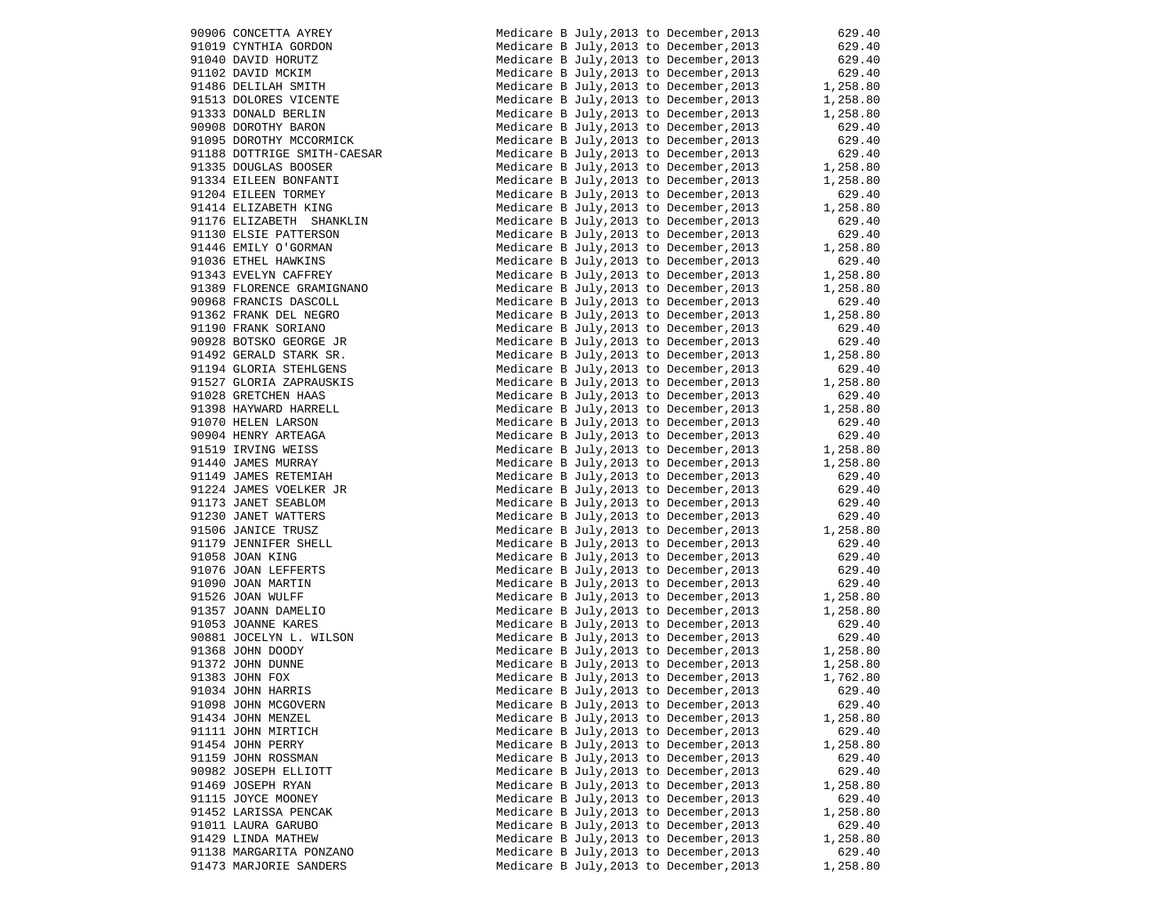|       | 90906 CONCETTA AYREY                                |
|-------|-----------------------------------------------------|
|       | 91019 CYNTHIA GORDON                                |
|       | 91040 DAVID HORUTZ                                  |
|       |                                                     |
|       | 91102 DAVID MCKIM<br>91486 DELILAH SMITH            |
|       |                                                     |
|       | 91513 DOLORES VICENTE<br>91333 DONALD BERLIN        |
|       |                                                     |
|       | 90908 DOROTHY BARON<br>91095 DOROTHY MCCORMICK      |
|       |                                                     |
|       | 91188 DOTTRIGE SMITH-CAESAR<br>91335 DOUGLAS BOOSER |
|       |                                                     |
|       | 91334 EILEEN BONFANTI<br>91204 EILEEN TORMEY        |
|       |                                                     |
|       | 91414 ELIZABETH KING<br>91176 ELIZABETH SHANKLIN    |
|       |                                                     |
|       | 91130 ELSIE PATTERSON<br>91446 EMILY O'GORMAN       |
|       |                                                     |
|       | 91036 ETHEL HAWKINS<br>91343 EVELYN CAFFREY         |
|       |                                                     |
|       | 91389 FLORENCE GRAMIGNANO<br>90968 FRANCIS DASCOLL  |
|       |                                                     |
|       | 91362 FRANK DEL NEGRO<br>91190 FRANK SORIANO        |
|       | 90928 BOTSKO GEORGE JR                              |
|       | 91492 GERALD STARK SR.                              |
|       | 91194 GLORIA STEHLGENS                              |
|       | 91527 GLORIA ZAPRAUSKIS                             |
|       | 91028 GRETCHEN HAAS                                 |
|       | 91398 HAYWARD HARRELL                               |
|       | 91070 HELEN LARSON                                  |
|       | 90904 HENRY ARTEAGA                                 |
|       | 91519 IRVING WEISS                                  |
|       | 91440 JAMES MURRAY                                  |
|       | 91149 JAMES RETEMIAH                                |
|       | 91224 JAMES VOELKER JR                              |
|       | 91173 JANET SEABLOM                                 |
|       | 91230 JANET WATTERS                                 |
|       | 91506 JANICE TRUSZ                                  |
|       | 91179 JENNIFER SHELL                                |
|       | 91058 JOAN KING                                     |
|       | 91076 JOAN LEFFERTS                                 |
|       | 91090 JOAN MARTIN                                   |
|       | 91526 JOAN WULFF                                    |
|       | 91357 JOANN DAMELIO                                 |
|       | 91053 JOANNE KARES                                  |
|       | 90881 JOCELYN L. WILSON                             |
|       | 91368 JOHN DOODY                                    |
|       | 91372 JOHN DUNNE                                    |
|       | 91383 JOHN FOX                                      |
|       | 91034 JOHN HARRIS                                   |
|       | 91098 JOHN MCGOVERN                                 |
|       | 91434 JOHN MENZEL                                   |
| 91111 | JOHN MIRTICH                                        |
|       | 91454 JOHN PERRY                                    |
|       |                                                     |
|       | 91159 JOHN ROSSMAN<br>90982 JOSEPH ELLIOTT          |
| 91469 |                                                     |
|       | JOSEPH RYAN<br>91115 JOYCE MOONEY                   |
|       | 91452 LARISSA PENCAK                                |
| 91011 | LAURA GARUBO                                        |
|       | 91429 LINDA MATHEW                                  |
|       |                                                     |
|       | 91138 MARGARITA PONZANO                             |
|       | 91473 MARJORIE SANDERS                              |

| 90906 CONCETTA AYREY<br>91019 CYNTHIA GORDON<br>91040 DAVID HORUTZ<br>91102 DAVID MCKIM<br>91486 DELILAH SMITH<br>91513 DOLORES VICENTE<br>91333 DONALD BERLIN<br>90908 DOROTHY MCCORNICK<br>91095 DOROTHY MCCORMICK                                      | Medicare B July, 2013 to December, 2013 629.40<br>Medicare B July, 2013 to December, 2013 629.40<br>Medicare B July, 2013 to December, 2013 629.40<br>Medicare B July, 2013 to December, 2013 629.40<br>Medicare B July, 2013 to December, 2013 1, 258.80<br>Medicare B July, 2013 to De |                                        |
|-----------------------------------------------------------------------------------------------------------------------------------------------------------------------------------------------------------------------------------------------------------|------------------------------------------------------------------------------------------------------------------------------------------------------------------------------------------------------------------------------------------------------------------------------------------|----------------------------------------|
|                                                                                                                                                                                                                                                           |                                                                                                                                                                                                                                                                                          |                                        |
|                                                                                                                                                                                                                                                           |                                                                                                                                                                                                                                                                                          |                                        |
|                                                                                                                                                                                                                                                           |                                                                                                                                                                                                                                                                                          |                                        |
|                                                                                                                                                                                                                                                           |                                                                                                                                                                                                                                                                                          |                                        |
|                                                                                                                                                                                                                                                           |                                                                                                                                                                                                                                                                                          |                                        |
|                                                                                                                                                                                                                                                           |                                                                                                                                                                                                                                                                                          |                                        |
|                                                                                                                                                                                                                                                           | Medicare B July, 2013 to December, 2013                                                                                                                                                                                                                                                  | 629.40                                 |
| 91095 DOROTHY MCCORMICK                                                                                                                                                                                                                                   | Medicare B July, 2013 to December, 2013                                                                                                                                                                                                                                                  | 629.40                                 |
| 91188 DOTTRIGE SMITH-CAESAR                                                                                                                                                                                                                               | Medicare B July, 2013 to December, 2013                                                                                                                                                                                                                                                  | $629.40$<br>$1,258.80$                 |
| 91335 DOUGLAS BOOSER                                                                                                                                                                                                                                      | Medicare B July, 2013 to December, 2013                                                                                                                                                                                                                                                  |                                        |
| 91334 EILEEN BONFANTI                                                                                                                                                                                                                                     | Medicare B July, 2013 to December, 2013                                                                                                                                                                                                                                                  | 1,258.80                               |
| 91204 EILEEN TORMEY                                                                                                                                                                                                                                       | Medicare B July, 2013 to December, 2013                                                                                                                                                                                                                                                  | 629.40                                 |
| 91414 ELIZABETH KING                                                                                                                                                                                                                                      | Medicare B July, 2013 to December, 2013                                                                                                                                                                                                                                                  | 1,258.80                               |
| 91176 ELIZABETH SHANKLIN                                                                                                                                                                                                                                  | Medicare B July, 2013 to December, 2013                                                                                                                                                                                                                                                  | 629.40                                 |
| 91130 ELSIE PATTERSON                                                                                                                                                                                                                                     | Medicare B July, 2013 to December, 2013                                                                                                                                                                                                                                                  | $629.40$<br>$1,258.80$                 |
|                                                                                                                                                                                                                                                           | Medicare B July, 2013 to December, 2013                                                                                                                                                                                                                                                  |                                        |
| 91446 EMILY O'GORMAN<br>91036 ETHEL HAWKINS<br>91343 EVELYN CAFFREY<br>91389 FLORENCE GRAMIGNANO                                                                                                                                                          | Medicare B July, 2013 to December, 2013                                                                                                                                                                                                                                                  | 629.40                                 |
|                                                                                                                                                                                                                                                           | Medicare B July, 2013 to December, 2013                                                                                                                                                                                                                                                  | 1,258.80                               |
|                                                                                                                                                                                                                                                           | Medicare B July, 2013 to December, 2013                                                                                                                                                                                                                                                  | 1,258.80                               |
| 90968 FRANCIS DASCOLL                                                                                                                                                                                                                                     | Medicare B July, 2013 to December, 2013                                                                                                                                                                                                                                                  | 629.40                                 |
|                                                                                                                                                                                                                                                           | Medicare B July, 2013 to December, 2013                                                                                                                                                                                                                                                  | 1,258.80                               |
|                                                                                                                                                                                                                                                           | Medicare B July, 2013 to December, 2013                                                                                                                                                                                                                                                  | 629.40                                 |
|                                                                                                                                                                                                                                                           | Medicare B July, 2013 to December, 2013                                                                                                                                                                                                                                                  | 629.40                                 |
|                                                                                                                                                                                                                                                           | Medicare B July, 2013 to December, 2013                                                                                                                                                                                                                                                  | $0.29.40$<br>1,258.80                  |
|                                                                                                                                                                                                                                                           | Medicare B July, 2013 to December, 2013                                                                                                                                                                                                                                                  |                                        |
|                                                                                                                                                                                                                                                           | Medicare B July, 2013 to December, 2013                                                                                                                                                                                                                                                  | 1,258.80                               |
|                                                                                                                                                                                                                                                           | Medicare B July, 2013 to December, 2013                                                                                                                                                                                                                                                  | 629.40                                 |
|                                                                                                                                                                                                                                                           | Medicare B July, 2013 to December, 2013                                                                                                                                                                                                                                                  | 1,258.80                               |
|                                                                                                                                                                                                                                                           | Medicare B July, 2013 to December, 2013                                                                                                                                                                                                                                                  |                                        |
|                                                                                                                                                                                                                                                           | Medicare B July, 2013 to December, 2013                                                                                                                                                                                                                                                  | 629.40                                 |
| 91389 FLORENCE GRAMIGNANO<br>90968 FRANCIS DASCOLL<br>91362 FRANK DEL NEGRO<br>9130 FRANK DEL NEGRO<br>91928 BOTSKO GEORGE JR<br>91928 BOTSKO GEORGE JR<br>9194 GLORIA STREHLGENS<br>91527 GLORIA ZAPRAUSKIS<br>91028 GRETCHEN HAAS<br>91398 HAYWARD HARR | Medicare B July, 2013 to December, 2013                                                                                                                                                                                                                                                  | $029.40$<br>1,258.80                   |
|                                                                                                                                                                                                                                                           | Medicare B July, 2013 to December, 2013                                                                                                                                                                                                                                                  | 1,258.80                               |
|                                                                                                                                                                                                                                                           | Medicare B July, 2013 to December, 2013                                                                                                                                                                                                                                                  | 629.40                                 |
|                                                                                                                                                                                                                                                           | Medicare B July, 2013 to December, 2013                                                                                                                                                                                                                                                  | 629.40                                 |
|                                                                                                                                                                                                                                                           | Medicare B July, 2013 to December, 2013                                                                                                                                                                                                                                                  | 629.40                                 |
|                                                                                                                                                                                                                                                           | Medicare B July, 2013 to December, 2013                                                                                                                                                                                                                                                  | 629.40<br>1,258.80                     |
|                                                                                                                                                                                                                                                           | Medicare B July, 2013 to December, 2013                                                                                                                                                                                                                                                  |                                        |
|                                                                                                                                                                                                                                                           | Medicare B July, 2013 to December, 2013                                                                                                                                                                                                                                                  | 629.40<br>629.40                       |
|                                                                                                                                                                                                                                                           | Medicare B July, 2013 to December, 2013                                                                                                                                                                                                                                                  |                                        |
|                                                                                                                                                                                                                                                           | Medicare B July, 2013 to December, 2013                                                                                                                                                                                                                                                  | 629.40<br>629.40                       |
|                                                                                                                                                                                                                                                           | Medicare B July, 2013 to December, 2013                                                                                                                                                                                                                                                  |                                        |
|                                                                                                                                                                                                                                                           | Medicare B July, 2013 to December, 2013                                                                                                                                                                                                                                                  | $1,258.80$<br>$1,258.80$<br>$1,258.80$ |
|                                                                                                                                                                                                                                                           | Medicare B July, 2013 to December, 2013                                                                                                                                                                                                                                                  |                                        |
|                                                                                                                                                                                                                                                           | Medicare B July, 2013 to December, 2013<br>Medicare B July, 2013 to December, 2013                                                                                                                                                                                                       | 629.40                                 |
|                                                                                                                                                                                                                                                           | Medicare B July, 2013 to December, 2013<br>Medicare B July, 2013 to December, 2013<br>1, 258.80<br>There is a person of the personal contract of the personal contract of the personal contract of the personal contract of the pers                                                     |                                        |
|                                                                                                                                                                                                                                                           |                                                                                                                                                                                                                                                                                          |                                        |
|                                                                                                                                                                                                                                                           |                                                                                                                                                                                                                                                                                          |                                        |
|                                                                                                                                                                                                                                                           | Medicare B July, 2013 to December, 2013                                                                                                                                                                                                                                                  | 1,762.80                               |
| 91034 JOHN HARRIS                                                                                                                                                                                                                                         | Medicare B July, 2013 to December, 2013 629.40                                                                                                                                                                                                                                           |                                        |
| 91098 JOHN MCGOVERN                                                                                                                                                                                                                                       | Medicare B July, 2013 to December, 2013                                                                                                                                                                                                                                                  | 629.40                                 |
| 91434 JOHN MENZEL                                                                                                                                                                                                                                         | Medicare B July, 2013 to December, 2013                                                                                                                                                                                                                                                  | 1,258.80                               |
| 91111 JOHN MIRTICH                                                                                                                                                                                                                                        | Medicare B July, 2013 to December, 2013                                                                                                                                                                                                                                                  | 629.40                                 |
| 91454 JOHN PERRY                                                                                                                                                                                                                                          | Medicare B July, 2013 to December, 2013                                                                                                                                                                                                                                                  | 1,258.80                               |
| 91159 JOHN ROSSMAN                                                                                                                                                                                                                                        | Medicare B July, 2013 to December, 2013                                                                                                                                                                                                                                                  | 629.40                                 |
| 90982 JOSEPH ELLIOTT                                                                                                                                                                                                                                      | Medicare B July, 2013 to December, 2013                                                                                                                                                                                                                                                  | 629.40                                 |
| 91469 JOSEPH RYAN                                                                                                                                                                                                                                         | Medicare B July, 2013 to December, 2013                                                                                                                                                                                                                                                  | 1,258.80                               |
| 91115 JOYCE MOONEY                                                                                                                                                                                                                                        | Medicare B July, 2013 to December, 2013                                                                                                                                                                                                                                                  | 629.40                                 |
| 91452 LARISSA PENCAK                                                                                                                                                                                                                                      | Medicare B July, 2013 to December, 2013                                                                                                                                                                                                                                                  | 1,258.80                               |
| 91011 LAURA GARUBO                                                                                                                                                                                                                                        | Medicare B July, 2013 to December, 2013                                                                                                                                                                                                                                                  | 629.40                                 |
| 91429 LINDA MATHEW                                                                                                                                                                                                                                        | Medicare B July, 2013 to December, 2013                                                                                                                                                                                                                                                  | 1,258.80                               |
| 91138 MARGARITA PONZANO                                                                                                                                                                                                                                   | Medicare B July, 2013 to December, 2013                                                                                                                                                                                                                                                  | 629.40                                 |
| 91473 MARJORIE SANDERS                                                                                                                                                                                                                                    | Medicare B July, 2013 to December, 2013                                                                                                                                                                                                                                                  | 1,258.80                               |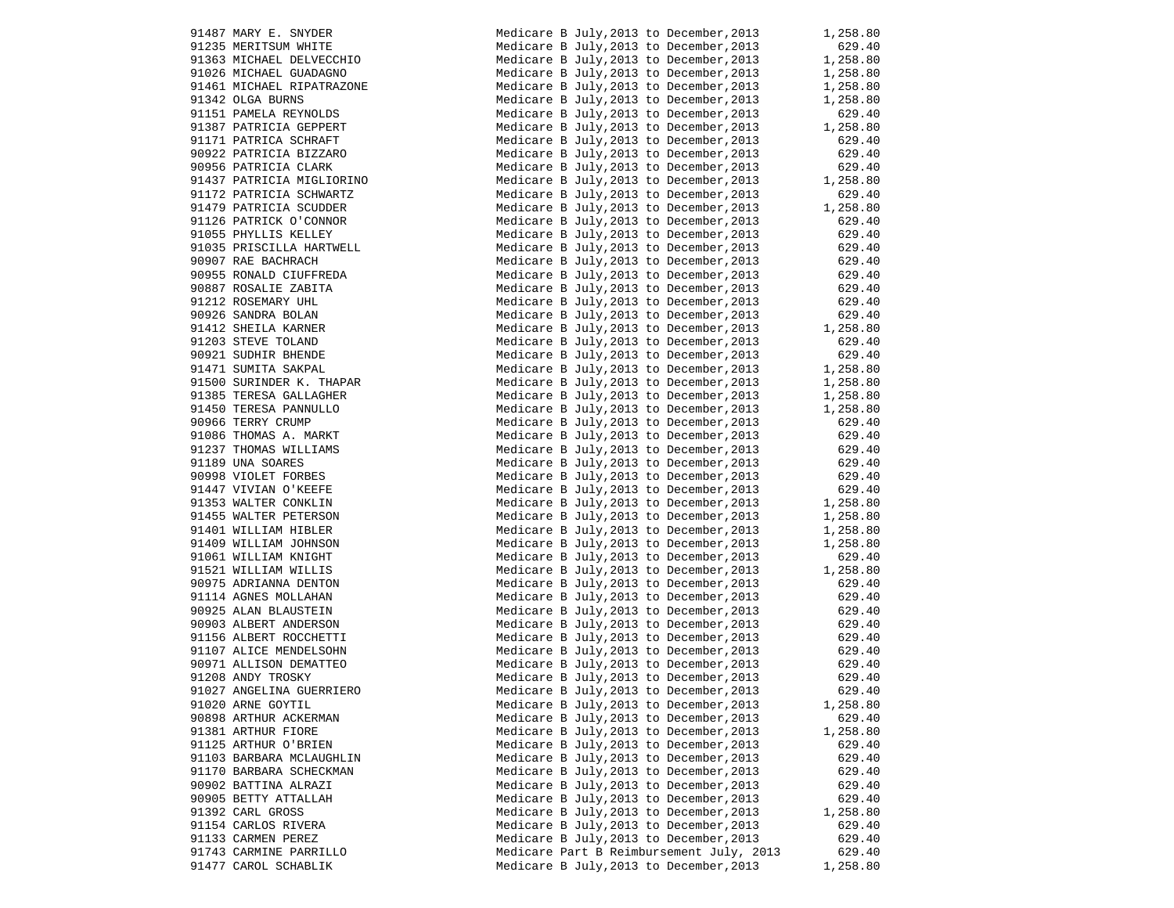| 91487 MARY E. SNYDER      | Ņ |
|---------------------------|---|
| 91235 MERITSUM WHITE      | Ņ |
| 91363 MICHAEL DELVECCHIO  | Ņ |
| 91026 MICHAEL GUADAGNO    | N |
| 91461 MICHAEL RIPATRAZONE | Ņ |
| 91342 OLGA BURNS          | Ņ |
| 91151 PAMELA REYNOLDS     | Ņ |
| 91387 PATRICIA GEPPERT    | Ņ |
| 91171 PATRICA SCHRAFT     | Ņ |
| 90922 PATRICIA BIZZARO    | Ņ |
| 90956 PATRICIA CLARK      | Ņ |
| 91437 PATRICIA MIGLIORINO | Ņ |
| 91172 PATRICIA SCHWARTZ   | Ņ |
| 91479 PATRICIA SCUDDER    | N |
| 91126 PATRICK O'CONNOR    | Ņ |
| 91055 PHYLLIS KELLEY      | N |
| 91035 PRISCILLA HARTWELL  | Ņ |
| 90907 RAE BACHRACH        | N |
| 90955 RONALD CIUFFREDA    | Ņ |
| 90887 ROSALIE ZABITA      | N |
| 91212 ROSEMARY UHL        | Ņ |
| 90926 SANDRA BOLAN        | Ņ |
| 91412 SHEILA KARNER       | Ņ |
| 91203 STEVE TOLAND        | Ņ |
| 90921 SUDHIR BHENDE       | Ņ |
| 91471 SUMITA SAKPAL       | Ņ |
| 91500 SURINDER K. THAPAR  | Ņ |
| 91385 TERESA GALLAGHER    | Ņ |
| 91450 TERESA PANNULLO     | Ņ |
| 90966 TERRY CRUMP         | Ņ |
| 91086 THOMAS A. MARKT     | Ņ |
| 91237 THOMAS WILLIAMS     | Ņ |
| 91189 UNA SOARES          | Ņ |
| 90998 VIOLET FORBES       | Ņ |
| 91447 VIVIAN O'KEEFE      | Ņ |
| 91353 WALTER CONKLIN      | Ņ |
| 91455 WALTER PETERSON     | Ņ |
| 91401 WILLIAM HIBLER      | Ņ |
| 91409 WILLIAM JOHNSON     | Ņ |
| 91061 WILLIAM KNIGHT      | Ņ |
| 91521 WILLIAM WILLIS      | Ņ |
| 90975 ADRIANNA DENTON     | Ņ |
| 91114 AGNES MOLLAHAN      | Ņ |
| 90925 ALAN BLAUSTEIN      | Ņ |
| 90903 ALBERT ANDERSON     | Ņ |
| 91156 ALBERT ROCCHETTI    | Ņ |
| 91107 ALICE MENDELSOHN    | Ņ |
| 90971 ALLISON DEMATTEO    | Ņ |
| 91208 ANDY TROSKY         | Ņ |
| 91027 ANGELINA GUERRIERO  | Ņ |
| 91020 ARNE GOYTIL         | Ņ |
| 90898 ARTHUR ACKERMAN     | Ņ |
| 91381 ARTHUR FIORE        | Ņ |
| 91125 ARTHUR O'BRIEN      | Ņ |
| 91103 BARBARA MCLAUGHLIN  | Ņ |
| 91170 BARBARA SCHECKMAN   | Ņ |
| 90902 BATTINA ALRAZI      | Ņ |
| 90905 BETTY ATTALLAH      | Ņ |
| 91392 CARL GROSS          | Ņ |
| 91154 CARLOS RIVERA       | Ņ |
| 91133 CARMEN PEREZ        | Ņ |
| 91743 CARMINE PARRILLO    | Ņ |
| 91477 CAROL SCHABLIK      | Ņ |

| 91487 MARY E. SNYDER                                                                                                                                                                                                                               | Medicare B July, 2013 to December, 2013                                                                                                  | 1,258.80               |
|----------------------------------------------------------------------------------------------------------------------------------------------------------------------------------------------------------------------------------------------------|------------------------------------------------------------------------------------------------------------------------------------------|------------------------|
| 91235 MERITSUM WHITE<br>91363 MICHAEL DELVECCHIO<br>91026 MICHAEL GUADAGNO<br>91461 MICHAEL RIPATRAZONE                                                                                                                                            | Medicare B July, 2013 to December, 2013                                                                                                  | 629.40                 |
|                                                                                                                                                                                                                                                    | Medicare B July, 2013 to December, 2013 1, 258.80                                                                                        |                        |
|                                                                                                                                                                                                                                                    | Medicare B July, 2013 to December, 2013                                                                                                  | 1,258.80<br>1,258.80   |
|                                                                                                                                                                                                                                                    | Medicare B July, 2013 to December, 2013                                                                                                  |                        |
| 91342 OLGA BURNS                                                                                                                                                                                                                                   | Medicare B July, 2013 to December, 2013                                                                                                  | 1,258.80               |
| 91151 PAMELA REYNOLDS                                                                                                                                                                                                                              | Medicare B July, 2013 to December, 2013                                                                                                  | 629.40                 |
| 91387 PATRICIA GEPPERT                                                                                                                                                                                                                             | Medicare B July, 2013 to December, 2013                                                                                                  | 1,258.80<br>629.40     |
| 91171 PATRICA SCHRAFT                                                                                                                                                                                                                              | Medicare B July, 2013 to December, 2013                                                                                                  |                        |
| 90922 PATRICIA BIZZARO                                                                                                                                                                                                                             | Medicare B July, 2013 to December, 2013                                                                                                  | 629.40                 |
| 90956 PATRICIA CLARK                                                                                                                                                                                                                               | Medicare B July, 2013 to December, 2013                                                                                                  | 629.40                 |
| 91437 PATRICIA MIGLIORINO                                                                                                                                                                                                                          | Medicare B July, 2013 to December, 2013                                                                                                  | 1,258.80               |
| 91172 PATRICIA SCHWARTZ                                                                                                                                                                                                                            | Medicare B July, 2013 to December, 2013                                                                                                  | 629.40                 |
|                                                                                                                                                                                                                                                    | Medicare B July, 2013 to December, 2013                                                                                                  | 1,258.80               |
|                                                                                                                                                                                                                                                    | Medicare B July, 2013 to December, 2013                                                                                                  | 629.40                 |
| 1179 PATRICIA SUBLEMAN PATRICA SUBLEMAN POST PHYLLIS KELLEY<br>91055 PHYLLIS KELLEY<br>91035 PRISCILLA HARTWELL<br>0007 RAE BACHRACH                                                                                                               | Medicare B July, 2013 to December, 2013                                                                                                  |                        |
|                                                                                                                                                                                                                                                    | Medicare B July, 2013 to December, 2013                                                                                                  | 629.40<br>629.40       |
|                                                                                                                                                                                                                                                    | Medicare B July, 2013 to December, 2013                                                                                                  |                        |
|                                                                                                                                                                                                                                                    | Medicare B July, 2013 to December, 2013                                                                                                  | 629.40<br>629.40       |
|                                                                                                                                                                                                                                                    | Medicare B July, 2013 to December, 2013                                                                                                  |                        |
|                                                                                                                                                                                                                                                    | Medicare B July, 2013 to December, 2013                                                                                                  | 629.40<br>629.40       |
|                                                                                                                                                                                                                                                    | Medicare B July, 2013 to December, 2013                                                                                                  |                        |
|                                                                                                                                                                                                                                                    | Medicare B July, 2013 to December, 2013                                                                                                  | $629.40$<br>$1,258.80$ |
|                                                                                                                                                                                                                                                    | Medicare B July, 2013 to December, 2013                                                                                                  | 629.40                 |
|                                                                                                                                                                                                                                                    |                                                                                                                                          |                        |
| 90955 RONALD CIOFFREDA<br>90887 ROSALIE ZABITA<br>91212 ROSEMARY UHL<br>90926 SANDRA BOLAN<br>91412 SHEILA KARNER<br>91203 STEVE TOLAND<br>90921 SUDHIR BHENDE<br>91471 SUMITA SARPAL<br>91471 SUMITA SARPAL<br>91471 SUMITA SARPAL                | Medicare B July, 2013 to December, 2013<br>Medicare B July, 2013 to December, 2013<br>1, 258.80<br>- 2013 to December, 2013<br>1, 258.80 |                        |
| 91500 SURINDER K. THAPAR                                                                                                                                                                                                                           |                                                                                                                                          |                        |
| 91385 TERESA GALLAGHER                                                                                                                                                                                                                             | Medicare B July, 2013 to December, 2013                                                                                                  | 1,258.80               |
|                                                                                                                                                                                                                                                    | Medicare B July, 2013 to December, 2013                                                                                                  | 1,258.80               |
| 91385 TERESA GALLAGHER<br>91450 TERESA PANNULLO<br>90966 TERRY CRUMP<br>91086 THOMAS A. MARKT<br>91237 THOMAS WILLIAMS<br>91998 VDA SOARES<br>90998 VIOLET FORBES<br>91447 VIVIAN O'KEEFE<br>91353 WALTER CONKLIN<br>91455 WALTER PETERSON<br>9140 | Medicare B July, 2013 to December, 2013                                                                                                  | 629.40                 |
|                                                                                                                                                                                                                                                    | Medicare B July, 2013 to December, 2013                                                                                                  | 629.40                 |
|                                                                                                                                                                                                                                                    | Medicare B July, 2013 to December, 2013                                                                                                  | 629.40                 |
|                                                                                                                                                                                                                                                    | Medicare B July, 2013 to December, 2013                                                                                                  | 629.40                 |
|                                                                                                                                                                                                                                                    | Medicare B July, 2013 to December, 2013                                                                                                  | 629.40                 |
|                                                                                                                                                                                                                                                    | Medicare B July, 2013 to December, 2013                                                                                                  | 629.40                 |
|                                                                                                                                                                                                                                                    |                                                                                                                                          | 629.40<br>1,258.80     |
|                                                                                                                                                                                                                                                    | Medicare B July, 2013 to December, 2013                                                                                                  |                        |
|                                                                                                                                                                                                                                                    | Medicare B July, 2013 to December, 2013                                                                                                  | 1,258.80<br>1,258.80   |
|                                                                                                                                                                                                                                                    | Medicare B July, 2013 to December, 2013                                                                                                  |                        |
|                                                                                                                                                                                                                                                    | Medicare B July, 2013 to December, 2013                                                                                                  | 1,258.80               |
|                                                                                                                                                                                                                                                    | Medicare B July, 2013 to December, 2013                                                                                                  | 629.40<br>1,258.80     |
|                                                                                                                                                                                                                                                    | Medicare B July, 2013 to December, 2013                                                                                                  |                        |
|                                                                                                                                                                                                                                                    | Medicare B July, 2013 to December, 2013                                                                                                  |                        |
|                                                                                                                                                                                                                                                    | Medicare B July, 2013 to December, 2013                                                                                                  | 629.40                 |
|                                                                                                                                                                                                                                                    | Medicare B July, 2013 to December, 2013                                                                                                  | 629.40                 |
|                                                                                                                                                                                                                                                    | Medicare B July, 2013 to December, 2013                                                                                                  | 629.40                 |
|                                                                                                                                                                                                                                                    | Medicare B July, 2013 to December, 2013                                                                                                  | 629.40                 |
| 91107 ALICE MENDELSOHN<br>90971 ALLISON DEMATTEO<br>91208 ANDY TROCKY                                                                                                                                                                              | Medicare B July, 2013 to December, 2013 629.40<br>Medicare B July, 2013 to December, 2013 629.40                                         |                        |
|                                                                                                                                                                                                                                                    |                                                                                                                                          |                        |
| 91208 ANDY TROSKY                                                                                                                                                                                                                                  | Medicare B July, 2013 to December, 2013                                                                                                  | 629.40                 |
| 91027 ANGELINA GUERRIERO                                                                                                                                                                                                                           | Medicare B July, 2013 to December, 2013 629.40                                                                                           |                        |
| 91020 ARNE GOYTIL                                                                                                                                                                                                                                  | Medicare B July, 2013 to December, 2013                                                                                                  | 1,258.80               |
| 90898 ARTHUR ACKERMAN                                                                                                                                                                                                                              | Medicare B July, 2013 to December, 2013                                                                                                  | 629.40                 |
| 91381 ARTHUR FIORE                                                                                                                                                                                                                                 | Medicare B July, 2013 to December, 2013                                                                                                  | 1,258.80               |
| 91125 ARTHUR O'BRIEN                                                                                                                                                                                                                               | Medicare B July, 2013 to December, 2013                                                                                                  | 629.40                 |
| 91103 BARBARA MCLAUGHLIN                                                                                                                                                                                                                           | Medicare B July, 2013 to December, 2013                                                                                                  | 629.40                 |
| 91170 BARBARA SCHECKMAN                                                                                                                                                                                                                            | Medicare B July, 2013 to December, 2013                                                                                                  | 629.40                 |
| 90902 BATTINA ALRAZI                                                                                                                                                                                                                               | Medicare B July, 2013 to December, 2013                                                                                                  | 629.40                 |
| 90905 BETTY ATTALLAH                                                                                                                                                                                                                               | Medicare B July, 2013 to December, 2013                                                                                                  | 629.40                 |
| 91392 CARL GROSS                                                                                                                                                                                                                                   | Medicare B July, 2013 to December, 2013                                                                                                  | 1,258.80               |
| 91154 CARLOS RIVERA                                                                                                                                                                                                                                | Medicare B July, 2013 to December, 2013                                                                                                  | 629.40                 |
| 91133 CARMEN PEREZ                                                                                                                                                                                                                                 | Medicare B July, 2013 to December, 2013                                                                                                  | 629.40                 |
| 91743 CARMINE PARRILLO                                                                                                                                                                                                                             | Medicare Part B Reimbursement July, 2013                                                                                                 | 629.40                 |
| 91477 CAROL SCHABLIK                                                                                                                                                                                                                               | Medicare B July, 2013 to December, 2013                                                                                                  | 1,258.80               |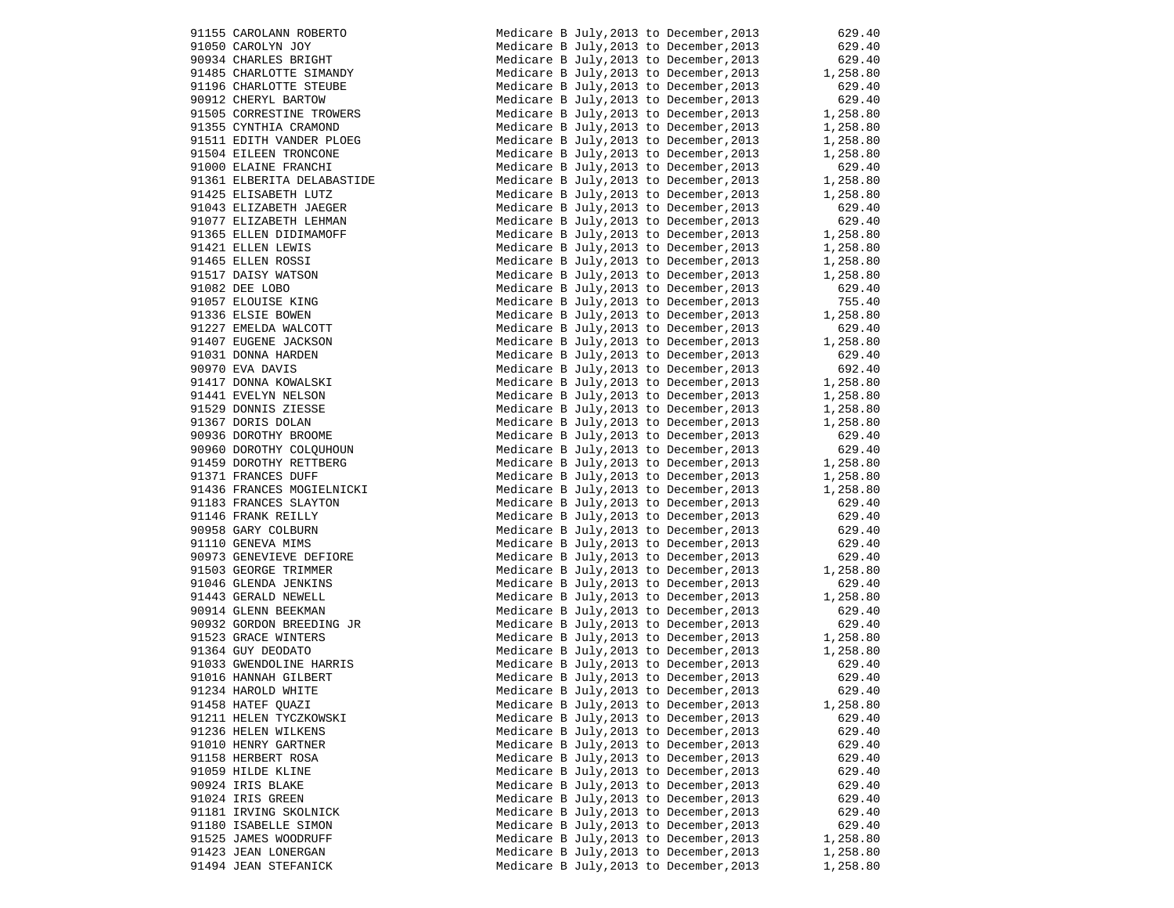|       | 91155 CAROLANN ROBERTO                             |
|-------|----------------------------------------------------|
|       | 91050 CAROLYN JOY                                  |
|       | 90934 CHARLES BRIGHT                               |
|       |                                                    |
|       | 91485 CHARLOTTE SIMANDY<br>91196 CHARLOTTE STEUBE  |
|       | 90912 CHERYL BARTOW                                |
|       | 91505 CORRESTINE TROWERS                           |
|       |                                                    |
|       | 91355 CYNTHIA CRAMOND<br>91511 EDITH VANDER PLOEG  |
|       | 91504 EILEEN TRONCONE                              |
|       | 91000 ELAINE FRANCHI                               |
|       |                                                    |
|       | 91361 ELBERITA DELABASTIDE<br>91425 ELISABETH LUTZ |
|       |                                                    |
|       | 91043 ELIZABETH JAEGER<br>91077 ELIZABETH LEHMAN   |
|       |                                                    |
|       | 91365 ELLEN DIDIMAMOFF<br>91421 ELLEN LEWIS        |
|       |                                                    |
|       | 91465 ELLEN ROSSI<br>91517 DAISY WATSON            |
|       |                                                    |
|       | 91082 DEE LOBO<br>91057 ELOUISE KING               |
|       |                                                    |
|       | 91336 ELSIE BOWEN<br>91227 EMELDA WALCOTT          |
|       |                                                    |
|       | 91407 EUGENE JACKSON<br>91031 DONNA HARDEN         |
|       |                                                    |
|       | 90970 EVA DAVIS                                    |
|       | 91417 DONNA KOWALSKI                               |
|       | 91441 EVELYN NELSON<br>91529 DONNIS ZIESSE         |
|       |                                                    |
|       | 91367 DORIS DOLAN                                  |
|       | 90936 DOROTHY BROOME<br>90960 DOROTHY COLQUHOUN    |
|       | 91459 DOROTHY RETTBERG                             |
|       |                                                    |
|       | 91371 FRANCES DUFF<br>91436 FRANCES MOGIELNICKI    |
|       | 91183 FRANCES SLAYTON                              |
|       | 91146 FRANK REILLY                                 |
|       | 90958 GARY COLBURN                                 |
|       | 91110 GENEVA MIMS                                  |
|       | 90973 GENEVIEVE DEFIORE                            |
|       | 91503 GEORGE TRIMMER                               |
|       | 91046 GLENDA JENKINS                               |
|       | 91443 GERALD NEWELL                                |
|       | 90914 GLENN BEEKMAN                                |
|       | 90932 GORDON BREEDING JR                           |
|       | 91523 GRACE WINTERS                                |
|       | 91364 GUY DEODATO                                  |
|       | 91033 GWENDOLINE HARRIS                            |
|       | 91016 HANNAH GILBERT                               |
|       | 91234 HAROLD WHITE                                 |
|       | 91458 HATEF QUAZI                                  |
|       | 91211 HELEN TYCZKOWSKI                             |
|       | 91236 HELEN WILKENS                                |
|       | 91010 HENRY GARTNER                                |
|       | 91158 HERBERT ROSA                                 |
|       | 91059 HILDE KLINE                                  |
| 90924 |                                                    |
| 91024 | IRIS BLAKE<br>IRIS GREEN                           |
|       |                                                    |
|       | 91181 IRVING SKOLNICK                              |
|       | 91180 ISABELLE SIMON                               |
|       | 91525 JAMES WOODRUFF                               |
|       |                                                    |
|       | 91423 JEAN LONERGAN<br>91494 JEAN STEFANICK        |

|                                                                                                                                                                                                                                                                                                                                                                                               | Medicare B July, 2013 to December, 2013                                                                                                                  | 629.40             |
|-----------------------------------------------------------------------------------------------------------------------------------------------------------------------------------------------------------------------------------------------------------------------------------------------------------------------------------------------------------------------------------------------|----------------------------------------------------------------------------------------------------------------------------------------------------------|--------------------|
|                                                                                                                                                                                                                                                                                                                                                                                               | Medicare B July, 2013 to December, 2013                                                                                                                  | 629.40             |
|                                                                                                                                                                                                                                                                                                                                                                                               |                                                                                                                                                          |                    |
|                                                                                                                                                                                                                                                                                                                                                                                               | Medicare B July, 2013 to December, 2013                                                                                                                  | 629.40<br>1,258.80 |
|                                                                                                                                                                                                                                                                                                                                                                                               | Medicare B July, 2013 to December, 2013                                                                                                                  |                    |
| 91155 CAROLANN ROBERTO<br>91050 CAROLYN JOY<br>90934 CHARLES BRIGHT<br>91485 CHARLOTTE SIMANDY<br>91196 CHARLOTTE STEUBE<br>90912 CHERYL BARTOW<br>91555 CORRESTINE TROWERS<br>91355 CORRESTINE TROWERS<br>91355 CYNTHIA CRAMOND<br>9135 CYNTHIA CRAMOND                                                                                                                                      | Medicare B July, 2013 to December, 2013<br>Medicare B July, 2013 to December, 2013                                                                       | 629.40<br>629.40   |
|                                                                                                                                                                                                                                                                                                                                                                                               |                                                                                                                                                          |                    |
|                                                                                                                                                                                                                                                                                                                                                                                               | Medicare B July, 2013 to December, 2013 029.40<br>Medicare B July, 2013 to December, 2013 1, 258.80<br>Medicare B July, 2013 to December, 2013 1, 258.80 |                    |
|                                                                                                                                                                                                                                                                                                                                                                                               |                                                                                                                                                          |                    |
|                                                                                                                                                                                                                                                                                                                                                                                               |                                                                                                                                                          |                    |
|                                                                                                                                                                                                                                                                                                                                                                                               |                                                                                                                                                          |                    |
|                                                                                                                                                                                                                                                                                                                                                                                               | Medicare B July, 2013 to December, 2013 1, 258.80<br>Medicare B July, 2013 to December, 2013 1, 258.80                                                   |                    |
| 91511 EDITH VANDER PLOEG<br>91511 EDITH VANDER PLOEG<br>91504 EILEEN TRONCONE<br>91000 ELAINE FRANCHI<br>91361 ELBERITA DELABASTIDE                                                                                                                                                                                                                                                           |                                                                                                                                                          |                    |
|                                                                                                                                                                                                                                                                                                                                                                                               | Medicare B July, 2013 to December, 2013 629.40<br>Medicare B July, 2013 to December, 2013 1, 258.80                                                      |                    |
|                                                                                                                                                                                                                                                                                                                                                                                               |                                                                                                                                                          |                    |
|                                                                                                                                                                                                                                                                                                                                                                                               |                                                                                                                                                          |                    |
| TEST EDITH VANLE.<br>1511 EDITH VANLE.<br>91000 ELAINE FRANCHI<br>91361 ELBERITA DELABASTIDE<br>11361 ELBERITA DELABASTIDE<br>91043 ELIZABETH JAEGER<br>91077 ELIZABETH LEHMAN<br>91365 ELLEN DIDIMAMOFF<br>91421 ELLEN LEWIS<br>91465 ELLEN ROSSI<br>91517 DAISY WATSON<br>91087 ELOUISE KING<br>91336 ELSIE BOWEN<br>91336 ELSIE BOWEN<br>91336 ELSIE BOWEN<br>91327 EMELDA WALCOTT<br>9140 | Medicare B July, 2013 to December, 2013 1, 258.80<br>Medicare B July, 2013 to December, 2013 629.40                                                      |                    |
|                                                                                                                                                                                                                                                                                                                                                                                               | Medicare B July, 2013 to December, 2013 629.40<br>Medicare B July, 2013 to December, 2013 1, 258.80                                                      |                    |
|                                                                                                                                                                                                                                                                                                                                                                                               |                                                                                                                                                          |                    |
|                                                                                                                                                                                                                                                                                                                                                                                               |                                                                                                                                                          |                    |
|                                                                                                                                                                                                                                                                                                                                                                                               | Medicare B July, 2013 to December, 2013 1, 258.80<br>Medicare B July, 2013 to December, 2013 1, 258.80                                                   |                    |
|                                                                                                                                                                                                                                                                                                                                                                                               |                                                                                                                                                          |                    |
|                                                                                                                                                                                                                                                                                                                                                                                               | Medicare B July, 2013 to December, 2013 $1,258.80$<br>Medicare B July, 2013 to Base 1, 2013                                                              |                    |
|                                                                                                                                                                                                                                                                                                                                                                                               | Medicare B July, 2013 to December, 2013                                                                                                                  | 629.40             |
|                                                                                                                                                                                                                                                                                                                                                                                               |                                                                                                                                                          |                    |
|                                                                                                                                                                                                                                                                                                                                                                                               | Medicare B July, 2013 to December, 2013 755.40<br>Medicare B July, 2013 to December, 2013 1, 258.80                                                      |                    |
|                                                                                                                                                                                                                                                                                                                                                                                               |                                                                                                                                                          |                    |
|                                                                                                                                                                                                                                                                                                                                                                                               | Medicare B July, 2013 to December, 2013                                                                                                                  | 629.40             |
|                                                                                                                                                                                                                                                                                                                                                                                               | Medicare B July, 2013 to December, 2013 629.40<br>Medicare B July, 2013 to December, 2013 1, 258.80                                                      |                    |
|                                                                                                                                                                                                                                                                                                                                                                                               |                                                                                                                                                          |                    |
|                                                                                                                                                                                                                                                                                                                                                                                               | Medicare B July, 2013 to December, 2013                                                                                                                  | 629.40             |
|                                                                                                                                                                                                                                                                                                                                                                                               | Medicare B July, 2013 to December, 2013<br>Medicare B July, 2013 to December, 2013<br>1, 258.80<br>1, 258.80<br>1, 258.80<br>1, 258.80                   |                    |
|                                                                                                                                                                                                                                                                                                                                                                                               |                                                                                                                                                          |                    |
|                                                                                                                                                                                                                                                                                                                                                                                               |                                                                                                                                                          |                    |
|                                                                                                                                                                                                                                                                                                                                                                                               |                                                                                                                                                          |                    |
|                                                                                                                                                                                                                                                                                                                                                                                               | Medicare B July, 2013 to December, 2013                                                                                                                  | 1,258.80           |
|                                                                                                                                                                                                                                                                                                                                                                                               | Medicare B July, 2013 to December, 2013                                                                                                                  | 1,258.80           |
|                                                                                                                                                                                                                                                                                                                                                                                               | Medicare B July, 2013 to December, 2013                                                                                                                  | 629.40             |
|                                                                                                                                                                                                                                                                                                                                                                                               | Medicare B July, 2013 to December, 2013                                                                                                                  | 629.40             |
| 91950 DOROTHY RETTBERG<br>91459 DOROTHY RETTBERG<br>91371 ERAMCES DUFF                                                                                                                                                                                                                                                                                                                        |                                                                                                                                                          |                    |
|                                                                                                                                                                                                                                                                                                                                                                                               | Medicare B July, 2013 to December, 2013 1, 258.80                                                                                                        |                    |
| 91371 FRANCES DUFF                                                                                                                                                                                                                                                                                                                                                                            | Medicare B July, 2013 to December, 2013                                                                                                                  | 1,258.80           |
| 91436 FRANCES MOGIELNICKI                                                                                                                                                                                                                                                                                                                                                                     | Medicare B July, 2013 to December, 2013                                                                                                                  | 1,258.80           |
|                                                                                                                                                                                                                                                                                                                                                                                               | Medicare B July, 2013 to December, 2013                                                                                                                  | 629.40             |
|                                                                                                                                                                                                                                                                                                                                                                                               |                                                                                                                                                          |                    |
|                                                                                                                                                                                                                                                                                                                                                                                               | Medicare B July, 2013 to December, 2013                                                                                                                  | 629.40             |
|                                                                                                                                                                                                                                                                                                                                                                                               | Medicare B July, 2013 to December, 2013                                                                                                                  | 629.40             |
| 91436 FRANCES MOGIELNICKI<br>91183 FRANCES SLAYTON<br>90958 GARY COLBURN<br>90958 GARY COLBURN<br>91110 GENEVA MIMS<br>90973 GENEVIEVE DEFIORE<br>91503 GEORGE TRIMMER<br>91046 GLENDA JENKINS<br>91443 GERALD NEWELL<br>90914 GLENN BEEKMAN<br>90932 GORDON                                                                                                                                  | Medicare B July, 2013 to December, 2013                                                                                                                  | 629.40             |
|                                                                                                                                                                                                                                                                                                                                                                                               | Medicare B July, 2013 to December, 2013                                                                                                                  | 629.40             |
|                                                                                                                                                                                                                                                                                                                                                                                               |                                                                                                                                                          | 629.40<br>1,258.80 |
|                                                                                                                                                                                                                                                                                                                                                                                               | Medicare B July, 2013 to December, 2013                                                                                                                  |                    |
|                                                                                                                                                                                                                                                                                                                                                                                               | Medicare B July, 2013 to December, 2013                                                                                                                  | 629.40             |
|                                                                                                                                                                                                                                                                                                                                                                                               | Medicare B July, 2013 to December, 2013                                                                                                                  | 1,258.80           |
|                                                                                                                                                                                                                                                                                                                                                                                               |                                                                                                                                                          | 629.40             |
|                                                                                                                                                                                                                                                                                                                                                                                               | Medicare B July, 2013 to December, 2013<br>Medicare B July, 2013 to December, 2013                                                                       | 629.40             |
|                                                                                                                                                                                                                                                                                                                                                                                               |                                                                                                                                                          |                    |
| 91523 GRACE WINTERS                                                                                                                                                                                                                                                                                                                                                                           | Medicare B July, 2013 to December, 2013 1, 258.80<br>Medicare B July, 2013 to December, 2013 1, 258.80                                                   |                    |
| 91364 GUY DEODATO                                                                                                                                                                                                                                                                                                                                                                             |                                                                                                                                                          |                    |
| 91033 GWENDOLINE HARRIS<br>91016 HANNAH GILBERT<br>91034 WARRES STER                                                                                                                                                                                                                                                                                                                          |                                                                                                                                                          |                    |
|                                                                                                                                                                                                                                                                                                                                                                                               | Medicare B July, 2013 to December, 2013 629.40<br>Medicare B July, 2013 to December, 2013 629.40                                                         |                    |
|                                                                                                                                                                                                                                                                                                                                                                                               |                                                                                                                                                          |                    |
| 91234 HAROLD WHITE                                                                                                                                                                                                                                                                                                                                                                            | Medicare B July, 2013 to December, 2013                                                                                                                  | 629.40             |
| 91458 HATEF QUAZI                                                                                                                                                                                                                                                                                                                                                                             | Medicare B July, 2013 to December, 2013                                                                                                                  | 1,258.80           |
| 91211 HELEN TYCZKOWSKI                                                                                                                                                                                                                                                                                                                                                                        | Medicare B July, 2013 to December, 2013                                                                                                                  | 629.40             |
| 91236 HELEN WILKENS                                                                                                                                                                                                                                                                                                                                                                           | Medicare B July, 2013 to December, 2013                                                                                                                  | 629.40             |
|                                                                                                                                                                                                                                                                                                                                                                                               |                                                                                                                                                          |                    |
| 91010 HENRY GARTNER                                                                                                                                                                                                                                                                                                                                                                           | Medicare B July, 2013 to December, 2013                                                                                                                  | 629.40             |
| 91158 HERBERT ROSA                                                                                                                                                                                                                                                                                                                                                                            | Medicare B July, 2013 to December, 2013                                                                                                                  | 629.40             |
| 91059 HILDE KLINE                                                                                                                                                                                                                                                                                                                                                                             | Medicare B July, 2013 to December, 2013                                                                                                                  | 629.40             |
| 90924 IRIS BLAKE                                                                                                                                                                                                                                                                                                                                                                              | Medicare B July, 2013 to December, 2013                                                                                                                  | 629.40             |
|                                                                                                                                                                                                                                                                                                                                                                                               |                                                                                                                                                          |                    |
| 91024 IRIS GREEN                                                                                                                                                                                                                                                                                                                                                                              | Medicare B July, 2013 to December, 2013                                                                                                                  | 629.40             |
| 91181 IRVING SKOLNICK                                                                                                                                                                                                                                                                                                                                                                         | Medicare B July, 2013 to December, 2013                                                                                                                  | 629.40             |
| 91180 ISABELLE SIMON                                                                                                                                                                                                                                                                                                                                                                          | Medicare B July, 2013 to December, 2013                                                                                                                  | 629.40             |
| 91525 JAMES WOODRUFF                                                                                                                                                                                                                                                                                                                                                                          | Medicare B July, 2013 to December, 2013                                                                                                                  | 1,258.80           |
|                                                                                                                                                                                                                                                                                                                                                                                               |                                                                                                                                                          |                    |
| 91423 JEAN LONERGAN                                                                                                                                                                                                                                                                                                                                                                           | Medicare B July, 2013 to December, 2013                                                                                                                  | 1,258.80           |
| 91494 JEAN STEFANICK                                                                                                                                                                                                                                                                                                                                                                          | Medicare B July, 2013 to December, 2013                                                                                                                  | 1,258.80           |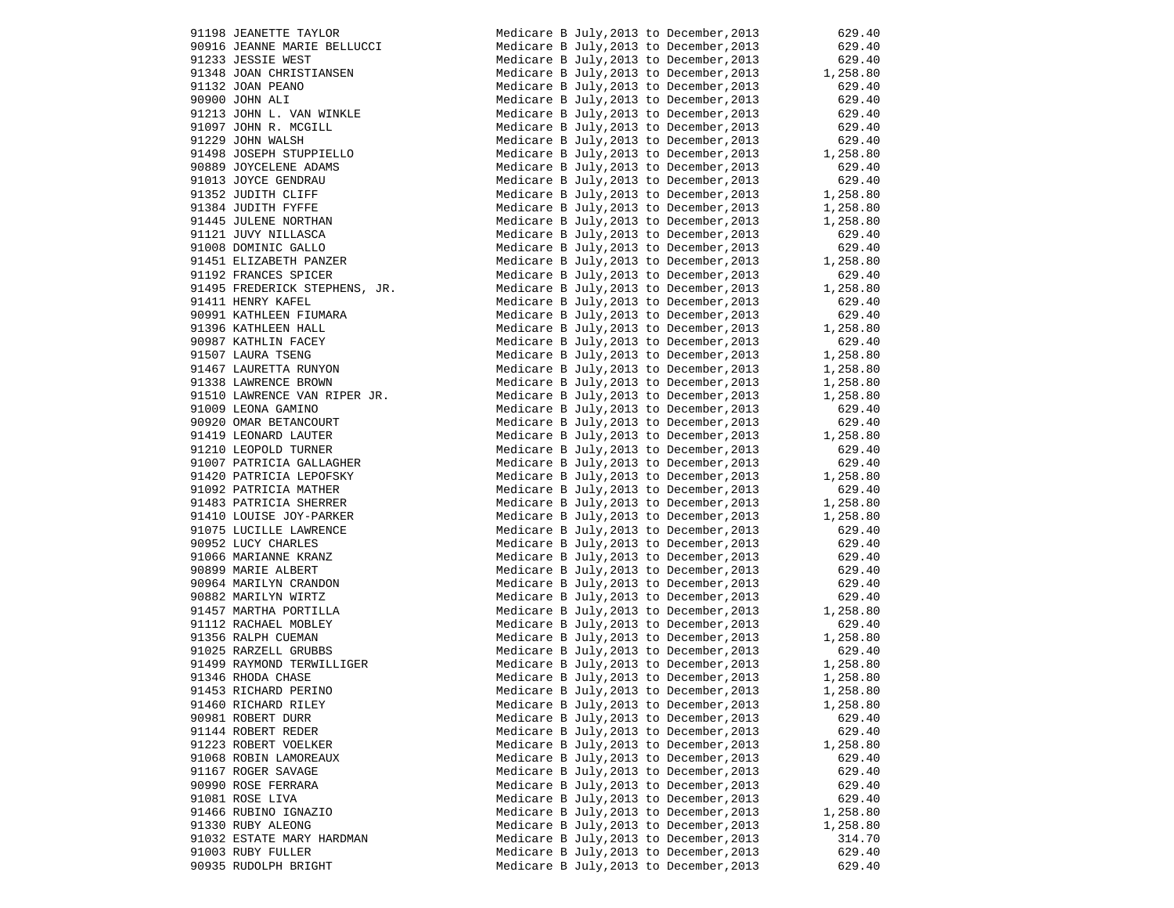| 91198 JEANETTE TAYLOR                                                                                                                                                                                                                                          | Medicare B July, 2013 to December, 2013                                                                                                                                                                                                 | 629.40           |
|----------------------------------------------------------------------------------------------------------------------------------------------------------------------------------------------------------------------------------------------------------------|-----------------------------------------------------------------------------------------------------------------------------------------------------------------------------------------------------------------------------------------|------------------|
| 90916 JEANNE MARIE BELLUCCI                                                                                                                                                                                                                                    | Medicare B July, 2013 to December, 2013                                                                                                                                                                                                 | 629.40           |
| 91233 JESSIE WEST                                                                                                                                                                                                                                              |                                                                                                                                                                                                                                         |                  |
|                                                                                                                                                                                                                                                                |                                                                                                                                                                                                                                         |                  |
|                                                                                                                                                                                                                                                                | Medicare B July, 2013 to December, 2013<br>Medicare B July, 2013 to December, 2013<br>Medicare B July, 2013 to December, 2013<br>Medicare B July, 2013 to December, 2013<br>629.40<br>Medicare B July, 2013 to December, 2013<br>629.40 |                  |
|                                                                                                                                                                                                                                                                | Medicare B July, 2013 to December, 2013 629.40<br>Medicare B July, 2013 to December, 2013 629.40<br>Medicare B July, 2013 to December, 2013 629.40<br>629.40                                                                            |                  |
|                                                                                                                                                                                                                                                                |                                                                                                                                                                                                                                         |                  |
|                                                                                                                                                                                                                                                                | Medicare B July, 2013 to December, 2013 629.40<br>Medicare B July, 2013 to December, 2013 629.40<br>Medicare B July, 2013 to December, 2013 1, 258.80<br>Medicare B July, 2013 to December, 2013 629.40                                 |                  |
|                                                                                                                                                                                                                                                                |                                                                                                                                                                                                                                         |                  |
|                                                                                                                                                                                                                                                                |                                                                                                                                                                                                                                         |                  |
|                                                                                                                                                                                                                                                                |                                                                                                                                                                                                                                         |                  |
|                                                                                                                                                                                                                                                                | Medicare B July, 2013 to December, 2013                                                                                                                                                                                                 | 629.40           |
|                                                                                                                                                                                                                                                                | Medicare B July, 2013 to December, 2013 629.40<br>Medicare B July, 2013 to December, 2013 1, 258.80                                                                                                                                     |                  |
|                                                                                                                                                                                                                                                                |                                                                                                                                                                                                                                         |                  |
|                                                                                                                                                                                                                                                                | Medicare B July, 2013 to December, 2013 1, 258.80<br>Medicare B July, 2013 to December, 2013 1, 258.80                                                                                                                                  |                  |
|                                                                                                                                                                                                                                                                |                                                                                                                                                                                                                                         |                  |
|                                                                                                                                                                                                                                                                |                                                                                                                                                                                                                                         |                  |
|                                                                                                                                                                                                                                                                |                                                                                                                                                                                                                                         |                  |
| 91233 JESSIE WEST<br>91348 JOAN CHRISTIANSEN<br>91313 JOAN PEANO<br>90900 JOHN ALI<br>91213 JOHN R. MCGILL<br>91229 JOHN R. MCGILL<br>91229 JOHN RALSH<br>91229 JOHN WALSH<br>91498 JOSEPH STUPPIELLO<br>90889 JOYCELENE ADAMS<br>91013 JOYCE GENDRAU<br>91352 | Medicare B July, 2013 to December, 2013 629.40<br>Medicare B July, 2013 to December, 2013 629.40<br>Medicare B July, 2013 to December, 2013 1, 258.80<br>Medicare B July, 2013 to December, 2013 629.40                                 |                  |
| 91495 FREDERICK STEPHENS, JR.                                                                                                                                                                                                                                  |                                                                                                                                                                                                                                         |                  |
| 91411 HENRY KAFEL                                                                                                                                                                                                                                              | Medicare B July, 2013 to December, 2013 1, 258.80<br>Medicare B July, 2013 to December, 2013 629.40                                                                                                                                     |                  |
|                                                                                                                                                                                                                                                                |                                                                                                                                                                                                                                         |                  |
|                                                                                                                                                                                                                                                                |                                                                                                                                                                                                                                         |                  |
|                                                                                                                                                                                                                                                                | mealcare B July, 2013 to December, 2013 629.40<br>Medicare B July, 2013 to December, 2013 1, 258.80<br>Medicare B July 2012 to December, 2013 1, 258.80                                                                                 |                  |
|                                                                                                                                                                                                                                                                | Medicare B July, 2013 to December, 2013 629.40<br>Medicare B July, 2013 to December, 2013 1, 258.80<br>Medicare B July, 2013 to December, 2013 1, 258.80<br>Medicare B July, 2013 to December, 2013 1, 258.80<br>Medicare B July, 2013  |                  |
|                                                                                                                                                                                                                                                                |                                                                                                                                                                                                                                         |                  |
|                                                                                                                                                                                                                                                                |                                                                                                                                                                                                                                         |                  |
|                                                                                                                                                                                                                                                                |                                                                                                                                                                                                                                         |                  |
| 91991 KATHLEEN FIUMARA<br>91991 KATHLEEN HALL<br>90997 KATHLEEN HALL<br>90987 KATHLIN FACEY<br>91507 LAURA TSENG<br>9150 LAWRENCE BROWN<br>91338 LAWRENCE BROWN<br>91510 LAWRENCE VAN RIPER JR.<br>91009 LEONA GAMINO<br>91009 LEONA GAMINO                    | Medicare B July, 2013 to December, 2013 1, 258.80<br>Medicare B July, 2013 to December, 2013 629.40                                                                                                                                     |                  |
|                                                                                                                                                                                                                                                                | Medicare B July, 2013 to December, 2013 629.40<br>Medicare B July, 2013 to December, 2013 629.40<br>Medicare B July, 2013 to December, 2013 1, 258.80                                                                                   |                  |
| 90920 OMAR BETANCOURT<br>91419 LEONARD LAUTER<br>91210 LEOPOLD TURNER<br>91007 PATRICIA GALLAGHER                                                                                                                                                              |                                                                                                                                                                                                                                         |                  |
|                                                                                                                                                                                                                                                                |                                                                                                                                                                                                                                         | 629.40           |
|                                                                                                                                                                                                                                                                | Medicare B July, 2013 to December, 2013<br>Medicare B July, 2013 to December, 2013                                                                                                                                                      | 629.40           |
| 91007 PATRICIA GALLAGHER<br>91420 PATRICIA LEPOFSKY<br>91092 PATRICIA MATHER<br>91483 PATRICIA SHERRER<br>91075 LUCILLE LAWRENCE<br>90952 LUCY CHARLES<br>90952 LUCY CHARLES<br>90899 MARIE ALBERT<br>90899 MARIE ALBERT<br>90864 MARILYN CRANDON<br>90882 M   | Medicare B July, 2013 to December, 2013 1, 258.80                                                                                                                                                                                       |                  |
|                                                                                                                                                                                                                                                                | Medicare B July, 2013 to December, 2013                                                                                                                                                                                                 | 629.40           |
|                                                                                                                                                                                                                                                                |                                                                                                                                                                                                                                         |                  |
|                                                                                                                                                                                                                                                                | Medicare B July, 2013 to December, 2013 1, 258.80<br>Medicare B July, 2013 to December, 2013 1, 258.80                                                                                                                                  |                  |
|                                                                                                                                                                                                                                                                |                                                                                                                                                                                                                                         |                  |
|                                                                                                                                                                                                                                                                | Medicare B July, 2013 to December, 2013<br>Medicare B July, 2013 to December, 2013                                                                                                                                                      | 629.40<br>629.40 |
|                                                                                                                                                                                                                                                                | Medicare B July, 2013 to December, 2013 629.40<br>Medicare B July, 2013 to December, 2013 629.40                                                                                                                                        |                  |
|                                                                                                                                                                                                                                                                |                                                                                                                                                                                                                                         |                  |
|                                                                                                                                                                                                                                                                | Medicare B July, 2013 to December, 2013                                                                                                                                                                                                 |                  |
|                                                                                                                                                                                                                                                                |                                                                                                                                                                                                                                         | 629.40<br>629.40 |
|                                                                                                                                                                                                                                                                | Medicare B July, 2013 to December, 2013<br>Medicare B July, 2013 to December, 2013 629.40<br>Medicare B July, 2013 to December, 2013 1, 258.80                                                                                          |                  |
|                                                                                                                                                                                                                                                                |                                                                                                                                                                                                                                         |                  |
|                                                                                                                                                                                                                                                                | Medicare B July, 2013 to December, 2013                                                                                                                                                                                                 | 629.40           |
|                                                                                                                                                                                                                                                                | Medicare B July, 2013 to December, 2013 $1,258.80$                                                                                                                                                                                      |                  |
|                                                                                                                                                                                                                                                                | Medicare B July, 2013 to December, 2013                                                                                                                                                                                                 | 629.40           |
|                                                                                                                                                                                                                                                                | Medicare B July, 2013 to December, 2013 1, 258.80<br>Medicare B July, 2013 to December, 2013 1, 258.80<br>Medicare B July, 2013 to December, 2013 1, 258.80                                                                             |                  |
| 91346 RHODA CHASE                                                                                                                                                                                                                                              |                                                                                                                                                                                                                                         |                  |
| 91453 RICHARD PERINO                                                                                                                                                                                                                                           | Medicare B July, 2013 to December, 2013                                                                                                                                                                                                 | 1,258.80         |
| 91460 RICHARD RILEY                                                                                                                                                                                                                                            | Medicare B July, 2013 to December, 2013                                                                                                                                                                                                 | 1,258.80         |
| 90981 ROBERT DURR                                                                                                                                                                                                                                              | Medicare B July, 2013 to December, 2013                                                                                                                                                                                                 | 629.40           |
| 91144 ROBERT REDER                                                                                                                                                                                                                                             | Medicare B July, 2013 to December, 2013                                                                                                                                                                                                 | 629.40           |
| 91223 ROBERT VOELKER                                                                                                                                                                                                                                           | Medicare B July, 2013 to December, 2013                                                                                                                                                                                                 | 1,258.80         |
| 91068 ROBIN LAMOREAUX                                                                                                                                                                                                                                          | Medicare B July, 2013 to December, 2013                                                                                                                                                                                                 | 629.40           |
| 91167 ROGER SAVAGE                                                                                                                                                                                                                                             | Medicare B July, 2013 to December, 2013                                                                                                                                                                                                 | 629.40           |
| 90990 ROSE FERRARA                                                                                                                                                                                                                                             | Medicare B July, 2013 to December, 2013                                                                                                                                                                                                 | 629.40           |
| 91081 ROSE LIVA                                                                                                                                                                                                                                                | Medicare B July, 2013 to December, 2013                                                                                                                                                                                                 | 629.40           |
| 91466 RUBINO IGNAZIO                                                                                                                                                                                                                                           | Medicare B July, 2013 to December, 2013                                                                                                                                                                                                 | 1,258.80         |
| 91330 RUBY ALEONG                                                                                                                                                                                                                                              | Medicare B July, 2013 to December, 2013                                                                                                                                                                                                 | 1,258.80         |
| 91032 ESTATE MARY HARDMAN                                                                                                                                                                                                                                      | Medicare B July, 2013 to December, 2013                                                                                                                                                                                                 | 314.70           |
| 91003 RUBY FULLER                                                                                                                                                                                                                                              | Medicare B July, 2013 to December, 2013                                                                                                                                                                                                 | 629.40           |
| 90935 RUDOLPH BRIGHT                                                                                                                                                                                                                                           | Medicare B July, 2013 to December, 2013                                                                                                                                                                                                 | 629.40           |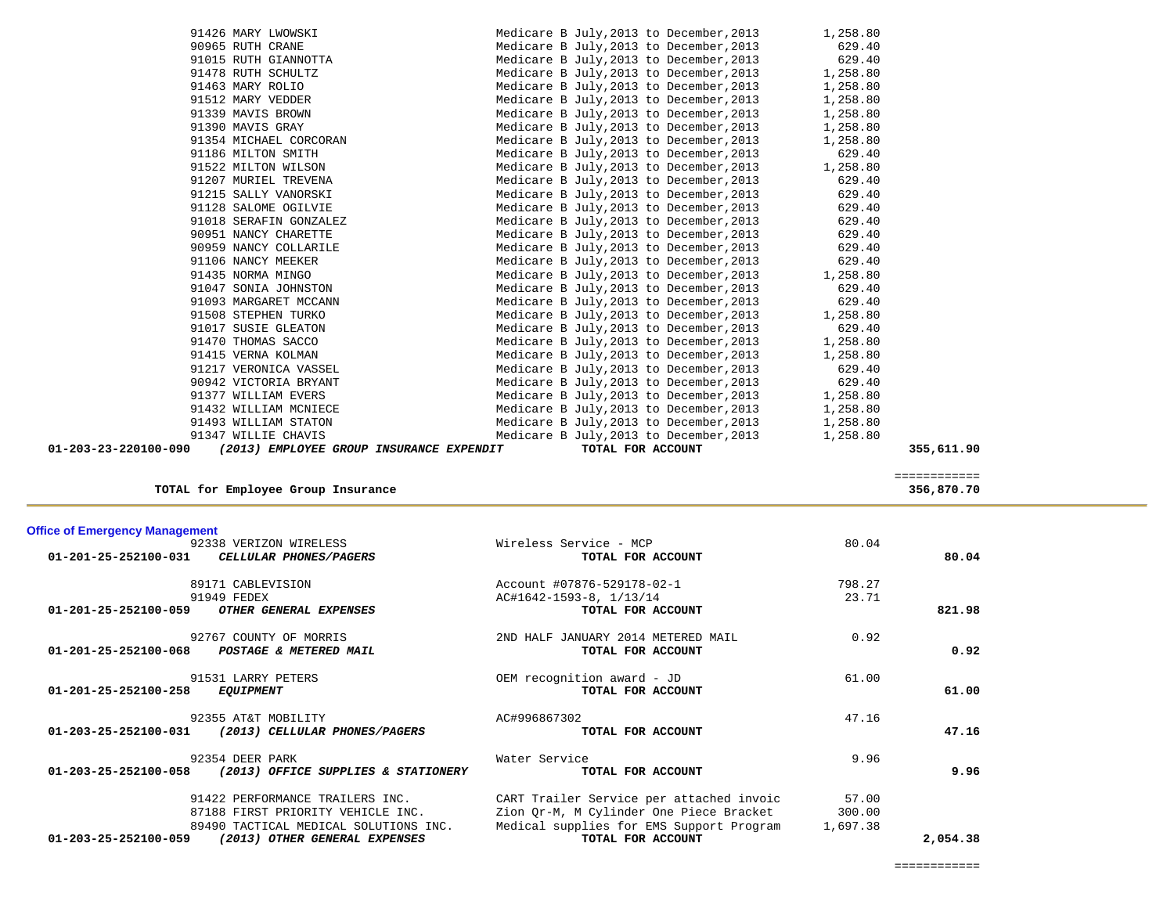| 01-201-25-252100-059           | אמטשע כדכנכ<br>OTHER GENERAL EXPENSES | $A \cup H + 0 + 2 - 1$<br>TOTAL FOR ACCOUNT | 23.II    | 821.98   |
|--------------------------------|---------------------------------------|---------------------------------------------|----------|----------|
|                                | 92767 COUNTY OF MORRIS                | 2ND HALF JANUARY 2014 METERED MAIL          | 0.92     |          |
| 01-201-25-252100-068           | POSTAGE & METERED MAIL                | TOTAL FOR ACCOUNT                           |          | 0.92     |
|                                | 91531 LARRY PETERS                    | OEM recognition award - JD                  | 61.00    |          |
| 01-201-25-252100-258           | <b>EQUIPMENT</b>                      | TOTAL FOR ACCOUNT                           |          | 61.00    |
|                                | 92355 AT&T MOBILITY                   | AC#996867302                                | 47.16    |          |
| 01-203-25-252100-031           | (2013) CELLULAR PHONES/PAGERS         | TOTAL FOR ACCOUNT                           |          | 47.16    |
|                                | 92354 DEER PARK                       | Water Service                               | 9.96     |          |
| $01 - 203 - 25 - 252100 - 058$ | (2013) OFFICE SUPPLIES & STATIONERY   | TOTAL FOR ACCOUNT                           |          | 9.96     |
|                                | 91422 PERFORMANCE TRAILERS INC.       | CART Trailer Service per attached invoic    | 57.00    |          |
|                                | 87188 FIRST PRIORITY VEHICLE INC.     | Zion Qr-M, M Cylinder One Piece Bracket     | 300.00   |          |
|                                | 89490 TACTICAL MEDICAL SOLUTIONS INC. | Medical supplies for EMS Support Program    | 1,697.38 |          |
| 01-203-25-252100-059           | (2013) OTHER GENERAL EXPENSES         | TOTAL FOR ACCOUNT                           |          | 2,054.38 |

| <b>Office of Emergency Management</b> |  |  |  |  |
|---------------------------------------|--|--|--|--|
|---------------------------------------|--|--|--|--|

| <b>Office of Emergency Management</b>                           |                                          |        |        |
|-----------------------------------------------------------------|------------------------------------------|--------|--------|
| 92338 VERIZON WIRELESS                                          | Wireless Service - MCP                   | 80.04  |        |
| 01-201-25-252100-031<br><i>CELLULAR PHONES/PAGERS</i>           | TOTAL FOR ACCOUNT                        |        | 80.04  |
| 89171 CABLEVISION                                               | Account #07876-529178-02-1               | 798.27 |        |
| 91949 FEDEX                                                     | AC#1642-1593-8, 1/13/14                  | 23.71  |        |
| 01-201-25-252100-059<br>OTHER GENERAL EXPENSES                  | TOTAL FOR ACCOUNT                        |        | 821.98 |
| 92767 COUNTY OF MORRIS                                          | 2ND HALF JANUARY 2014 METERED MAIL       | 0.92   |        |
| 01-201-25-252100-068<br>POSTAGE & METERED MAIL                  | TOTAL FOR ACCOUNT                        |        | 0.92   |
| 91531 LARRY PETERS                                              | OEM recognition award - JD               | 61.00  |        |
| 01-201-25-252100-258<br><i>EQUIPMENT</i>                        | TOTAL FOR ACCOUNT                        |        | 61.00  |
| 92355 AT&T MOBILITY                                             | AC#996867302                             | 47.16  |        |
| (2013) CELLULAR PHONES/PAGERS<br>$01 - 203 - 25 - 252100 - 031$ | TOTAL FOR ACCOUNT                        |        | 47.16  |
| 92354 DEER PARK                                                 | Water Service                            | 9.96   |        |
| 01-203-25-252100-058<br>(2013) OFFICE SUPPLIES & STATIONERY     | TOTAL FOR ACCOUNT                        |        | 9.96   |
| 91422 PERFORMANCE TRAILERS INC.                                 | CART Trailer Service per attached invoic | 57.00  |        |
| $07100$ ptdct notaptty wputair that                             | Zion Or M M Grlinder One Biege Brasket   | 200 OO |        |

 ============ ============ **TOTAL for Employee Group Insurance 356,870.70**

|                      | 91478 RUTH SCHULTZ                       |                                         | Medicare B July, 2013 to December, 2013 1, 258.80 |            |
|----------------------|------------------------------------------|-----------------------------------------|---------------------------------------------------|------------|
|                      | 91463 MARY ROLIO                         |                                         | Medicare B July, 2013 to December, 2013           | 1,258.80   |
|                      | 91512 MARY VEDDER                        |                                         | Medicare B July, 2013 to December, 2013           | 1,258.80   |
|                      | 91339 MAVIS BROWN                        |                                         | Medicare B July, 2013 to December, 2013           | 1,258.80   |
|                      | 91390 MAVIS GRAY                         |                                         | Medicare B July, 2013 to December, 2013 1, 258.80 |            |
|                      | 91354 MICHAEL CORCORAN                   |                                         | Medicare B July, 2013 to December, 2013           | 1,258.80   |
|                      | 91186 MILTON SMITH                       | Medicare B July, 2013 to December, 2013 |                                                   | 629.40     |
|                      | 91522 MILTON WILSON                      |                                         | Medicare B July, 2013 to December, 2013           | 1,258.80   |
|                      | 91207 MURIEL TREVENA                     |                                         | Medicare B July, 2013 to December, 2013           | 629.40     |
|                      | 91215 SALLY VANORSKI                     |                                         | Medicare B July, 2013 to December, 2013           | 629.40     |
|                      | 91128 SALOME OGILVIE                     |                                         | Medicare B July, 2013 to December, 2013           | 629.40     |
|                      | 91018 SERAFIN GONZALEZ                   |                                         | Medicare B July, 2013 to December, 2013           | 629.40     |
|                      | 90951 NANCY CHARETTE                     |                                         | Medicare B July, 2013 to December, 2013           | 629.40     |
|                      | 90959 NANCY COLLARILE                    |                                         | Medicare B July, 2013 to December, 2013           | 629.40     |
|                      | 91106 NANCY MEEKER                       | Medicare B July, 2013 to December, 2013 |                                                   | 629.40     |
|                      | 91435 NORMA MINGO                        |                                         | Medicare B July, 2013 to December, 2013           | 1,258.80   |
|                      | 91047 SONIA JOHNSTON                     |                                         | Medicare B July, 2013 to December, 2013           | 629.40     |
|                      | 91093 MARGARET MCCANN                    |                                         | Medicare B July, 2013 to December, 2013           | 629.40     |
|                      | 91508 STEPHEN TURKO                      |                                         | Medicare B July, 2013 to December, 2013           | 1,258.80   |
|                      | 91017 SUSIE GLEATON                      | Medicare B July, 2013 to December, 2013 |                                                   | 629.40     |
|                      | 91470 THOMAS SACCO                       |                                         | Medicare B July, 2013 to December, 2013 1, 258.80 |            |
|                      | 91415 VERNA KOLMAN                       | Medicare B July, 2013 to December, 2013 |                                                   | 1,258.80   |
|                      | 91217 VERONICA VASSEL                    | Medicare B July, 2013 to December, 2013 |                                                   | 629.40     |
|                      | 90942 VICTORIA BRYANT                    |                                         | Medicare B July, 2013 to December, 2013           | 629.40     |
|                      | 91377 WILLIAM EVERS                      |                                         | Medicare B July, 2013 to December, 2013 1, 258.80 |            |
|                      | 91432 WILLIAM MCNIECE                    |                                         | Medicare B July, 2013 to December, 2013           | 1,258.80   |
|                      | 91493 WILLIAM STATON                     |                                         | Medicare B July, 2013 to December, 2013           | 1,258.80   |
|                      | 91347 WILLIE CHAVIS                      |                                         | Medicare B July, 2013 to December, 2013           | 1,258.80   |
| 01-203-23-220100-090 | (2013) EMPLOYEE GROUP INSURANCE EXPENDIT | TOTAL FOR ACCOUNT                       |                                                   | 355,611.90 |
|                      |                                          |                                         |                                                   |            |

 91426 MARY LWOWSKI Medicare B July,2013 to December,2013 1,258.80 90965 RUTH CRANE Medicare B July,2013 to December,2013 629.40 91015 RUTH GIANNOTTA Medicare B July,2013 to December,2013 629.40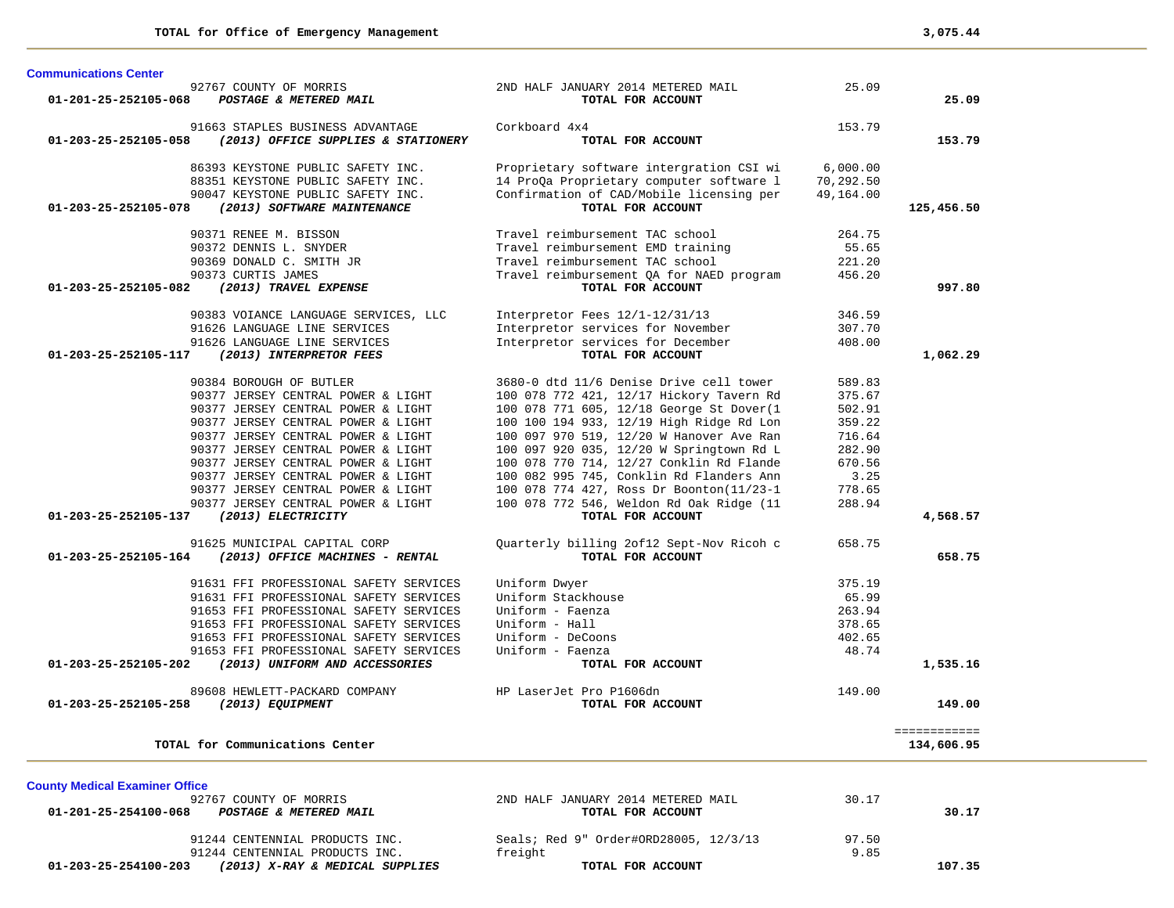| 01-201-25-252105-068                  | 92767 COUNTY OF MORRIS<br>POSTAGE & METERED MAIL                                                 | 2ND HALF JANUARY 2014 METERED MAIL<br>TOTAL FOR ACCOUNT                              | 25.09                 | 25.09        |
|---------------------------------------|--------------------------------------------------------------------------------------------------|--------------------------------------------------------------------------------------|-----------------------|--------------|
| 01-203-25-252105-058                  | 91663 STAPLES BUSINESS ADVANTAGE<br>(2013) OFFICE SUPPLIES & STATIONERY                          | Corkboard 4x4<br>TOTAL FOR ACCOUNT                                                   | 153.79                | 153.79       |
|                                       | 86393 KEYSTONE PUBLIC SAFETY INC.<br>88351 KEYSTONE PUBLIC SAFETY INC.                           | Proprietary software intergration CSI wi<br>14 ProQa Proprietary computer software 1 | 6,000.00<br>70,292.50 |              |
| 01-203-25-252105-078                  | 90047 KEYSTONE PUBLIC SAFETY INC.<br>(2013) SOFTWARE MAINTENANCE                                 | Confirmation of CAD/Mobile licensing per<br>TOTAL FOR ACCOUNT                        | 49,164.00             | 125,456.50   |
|                                       | 90371 RENEE M. BISSON                                                                            | Travel reimbursement TAC school                                                      | 264.75                |              |
|                                       | 90372 DENNIS L. SNYDER                                                                           | Travel reimbursement EMD training                                                    | 55.65                 |              |
|                                       | 90369 DONALD C. SMITH JR                                                                         | Travel reimbursement TAC school                                                      | 221.20                |              |
| 01-203-25-252105-082                  | 90373 CURTIS JAMES<br>(2013) TRAVEL EXPENSE                                                      | Travel reimbursement QA for NAED program<br>TOTAL FOR ACCOUNT                        | 456.20                | 997.80       |
|                                       |                                                                                                  |                                                                                      |                       |              |
|                                       | 90383 VOIANCE LANGUAGE SERVICES, LLC                                                             | Interpretor Fees 12/1-12/31/13                                                       | 346.59                |              |
|                                       | 91626 LANGUAGE LINE SERVICES                                                                     | Interpretor services for November                                                    | 307.70                |              |
|                                       | 91626 LANGUAGE LINE SERVICES                                                                     | Interpretor services for December                                                    | 408.00                |              |
| 01-203-25-252105-117                  | (2013) INTERPRETOR FEES                                                                          | TOTAL FOR ACCOUNT                                                                    |                       | 1,062.29     |
|                                       | 90384 BOROUGH OF BUTLER                                                                          | 3680-0 dtd 11/6 Denise Drive cell tower                                              | 589.83                |              |
|                                       | 90377 JERSEY CENTRAL POWER & LIGHT                                                               | 100 078 772 421, 12/17 Hickory Tavern Rd                                             | 375.67                |              |
|                                       | 90377 JERSEY CENTRAL POWER & LIGHT                                                               | 100 078 771 605, 12/18 George St Dover(1                                             | 502.91                |              |
|                                       | 90377 JERSEY CENTRAL POWER & LIGHT                                                               | 100 100 194 933, 12/19 High Ridge Rd Lon                                             | 359.22                |              |
|                                       | 90377 JERSEY CENTRAL POWER & LIGHT                                                               | 100 097 970 519, 12/20 W Hanover Ave Ran                                             | 716.64                |              |
|                                       | 90377 JERSEY CENTRAL POWER & LIGHT                                                               | 100 097 920 035, 12/20 W Springtown Rd L                                             | 282.90                |              |
|                                       | 90377 JERSEY CENTRAL POWER & LIGHT                                                               | 100 078 770 714, 12/27 Conklin Rd Flande                                             | 670.56                |              |
|                                       | 90377 JERSEY CENTRAL POWER & LIGHT                                                               | 100 082 995 745, Conklin Rd Flanders Ann                                             | 3.25                  |              |
|                                       | 90377 JERSEY CENTRAL POWER & LIGHT                                                               | 100 078 774 427, Ross Dr Boonton(11/23-1                                             | 778.65                |              |
|                                       | 90377 JERSEY CENTRAL POWER & LIGHT                                                               | 100 078 772 546, Weldon Rd Oak Ridge (11                                             | 288.94                |              |
| 01-203-25-252105-137                  | (2013) ELECTRICITY                                                                               | TOTAL FOR ACCOUNT                                                                    |                       | 4,568.57     |
|                                       | 91625 MUNICIPAL CAPITAL CORP                                                                     | Quarterly billing 2of12 Sept-Nov Ricoh c                                             | 658.75                |              |
| 01-203-25-252105-164                  | (2013) OFFICE MACHINES - RENTAL                                                                  | TOTAL FOR ACCOUNT                                                                    |                       | 658.75       |
|                                       | 91631 FFI PROFESSIONAL SAFETY SERVICES                                                           | Uniform Dwyer                                                                        | 375.19                |              |
|                                       | 91631 FFI PROFESSIONAL SAFETY SERVICES                                                           | Uniform Stackhouse                                                                   | 65.99                 |              |
|                                       | 91653 FFI PROFESSIONAL SAFETY SERVICES                                                           | Uniform - Faenza                                                                     | 263.94                |              |
|                                       | 91653 FFI PROFESSIONAL SAFETY SERVICES                                                           | Uniform - Hall                                                                       | 378.65                |              |
|                                       | 91653 FFI PROFESSIONAL SAFETY SERVICES                                                           | Uniform - DeCoons                                                                    | 402.65                |              |
|                                       | 91653 FFI PROFESSIONAL SAFETY SERVICES                                                           | Uniform - Faenza                                                                     | 48.74                 |              |
| 01-203-25-252105-202                  | (2013) UNIFORM AND ACCESSORIES                                                                   | TOTAL FOR ACCOUNT                                                                    |                       | 1,535.16     |
|                                       |                                                                                                  |                                                                                      |                       |              |
| 01-203-25-252105-258                  | 89608 HEWLETT-PACKARD COMPANY<br>(2013) EQUIPMENT                                                | HP LaserJet Pro P1606dn<br>TOTAL FOR ACCOUNT                                         | 149.00                | 149.00       |
|                                       |                                                                                                  |                                                                                      |                       |              |
|                                       |                                                                                                  |                                                                                      |                       | ============ |
|                                       | TOTAL for Communications Center                                                                  |                                                                                      |                       | 134,606.95   |
|                                       |                                                                                                  |                                                                                      |                       |              |
| <b>County Medical Examiner Office</b> | 92767 COUNTY OF MORRIS                                                                           | 2ND HALF JANUARY 2014 METERED MAIL                                                   | 30.17                 |              |
| 01-201-25-254100-068                  | POSTAGE & METERED MAIL                                                                           | TOTAL FOR ACCOUNT                                                                    |                       | 30.17        |
|                                       |                                                                                                  |                                                                                      |                       |              |
|                                       | 91244 CENTENNIAL PRODUCTS INC.                                                                   | Seals; Red 9" Order#ORD28005, 12/3/13                                                | 97.50                 |              |
|                                       | 91244 CENTENNIAL PRODUCTS INC.<br>$01 - 203 - 25 - 254100 - 203$ (2013) X-RAY & MEDICAL SUPPLIES | freight<br>TOTAL FOR ACCOUNT                                                         | 9.85                  | 107.35       |
|                                       |                                                                                                  |                                                                                      |                       |              |

 **01-203-25-254100-203** *(2013) X-RAY & MEDICAL SUPPLIES* **TOTAL FOR ACCOUNT 107.35**

**Communications Center**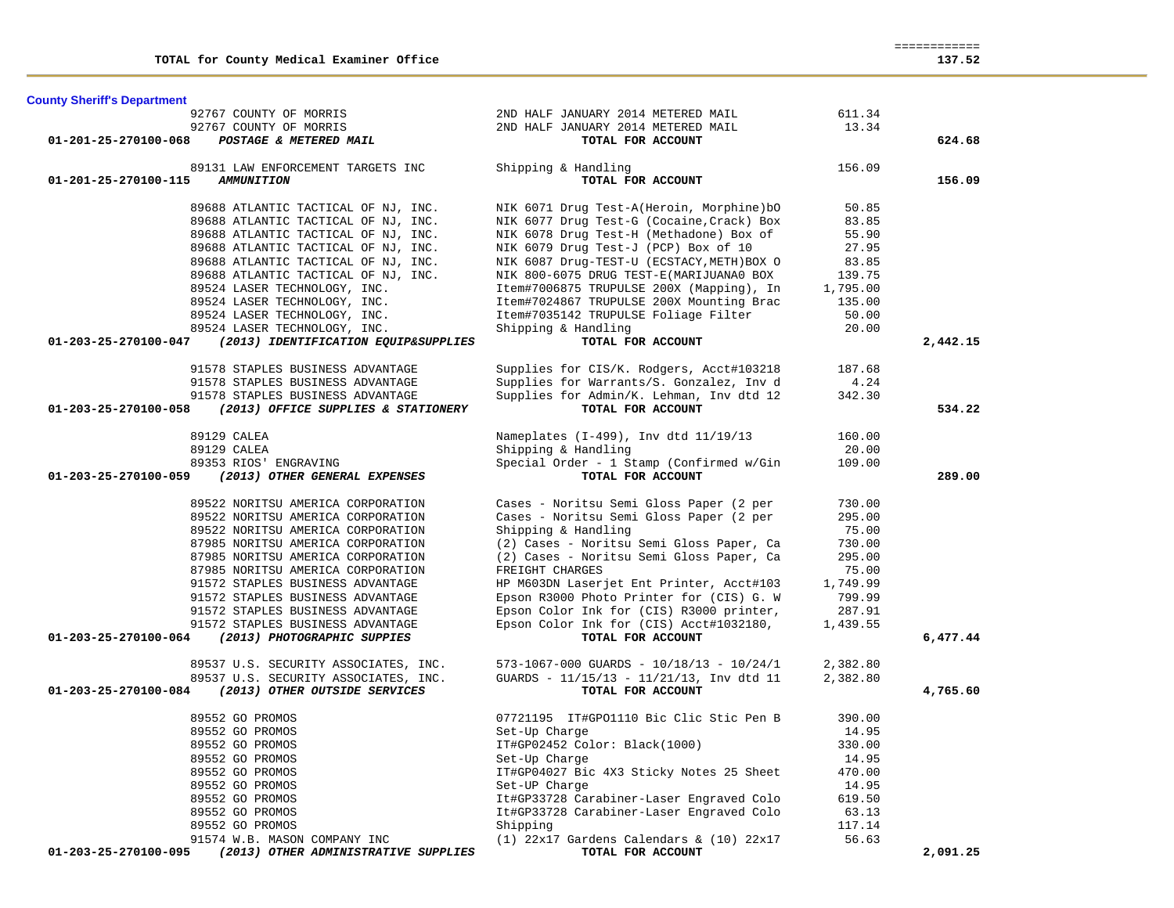| 92767 COUNTY OF MORRIS                                       | 2ND HALF JANUARY 2014 METERED MAIL                        | 611.34   |          |
|--------------------------------------------------------------|-----------------------------------------------------------|----------|----------|
| 92767 COUNTY OF MORRIS                                       | 2ND HALF JANUARY 2014 METERED MAIL                        | 13.34    |          |
| POSTAGE & METERED MAIL<br>01-201-25-270100-068               | TOTAL FOR ACCOUNT                                         |          | 624.68   |
| 89131 LAW ENFORCEMENT TARGETS INC                            | Shipping & Handling                                       | 156.09   |          |
| 01-201-25-270100-115<br><b>AMMUNITION</b>                    | TOTAL FOR ACCOUNT                                         |          | 156.09   |
| 89688 ATLANTIC TACTICAL OF NJ, INC.                          | NIK 6071 Drug Test-A(Heroin, Morphine)bO                  | 50.85    |          |
| 89688 ATLANTIC TACTICAL OF NJ, INC.                          | NIK 6077 Drug Test-G (Cocaine, Crack) Box                 | 83.85    |          |
| 89688 ATLANTIC TACTICAL OF NJ, INC.                          | NIK 6078 Drug Test-H (Methadone) Box of                   | 55.90    |          |
| 89688 ATLANTIC TACTICAL OF NJ, INC.                          | NIK 6079 Drug Test-J (PCP) Box of 10                      | 27.95    |          |
| 89688 ATLANTIC TACTICAL OF NJ, INC.                          | NIK 6087 Drug-TEST-U (ECSTACY, METH) BOX O                | 83.85    |          |
| 89688 ATLANTIC TACTICAL OF NJ, INC.                          | NIK 800-6075 DRUG TEST-E(MARIJUANA0 BOX                   | 139.75   |          |
| 89524 LASER TECHNOLOGY, INC.                                 | Item#7006875 TRUPULSE 200X (Mapping), In                  | 1,795.00 |          |
| 89524 LASER TECHNOLOGY, INC.                                 | Item#7024867 TRUPULSE 200X Mounting Brac                  | 135.00   |          |
| 89524 LASER TECHNOLOGY, INC.                                 | Item#7035142 TRUPULSE Foliage Filter                      | 50.00    |          |
| 89524 LASER TECHNOLOGY, INC.                                 | Shipping & Handling                                       | 20.00    |          |
| (2013) IDENTIFICATION EQUIP&SUPPLIES<br>01-203-25-270100-047 | TOTAL FOR ACCOUNT                                         |          | 2,442.15 |
| 91578 STAPLES BUSINESS ADVANTAGE                             | Supplies for CIS/K. Rodgers, Acct#103218                  | 187.68   |          |
| 91578 STAPLES BUSINESS ADVANTAGE                             | Supplies for Warrants/S. Gonzalez, Inv d                  | 4.24     |          |
| 91578 STAPLES BUSINESS ADVANTAGE                             | Supplies for Admin/K. Lehman, Inv dtd 12                  | 342.30   |          |
| 01-203-25-270100-058<br>(2013) OFFICE SUPPLIES & STATIONERY  | TOTAL FOR ACCOUNT                                         |          | 534.22   |
| 89129 CALEA                                                  | Nameplates (I-499), Inv dtd 11/19/13                      | 160.00   |          |
| 89129 CALEA                                                  | Shipping & Handling                                       | 20.00    |          |
| 89353 RIOS' ENGRAVING                                        | Special Order - 1 Stamp (Confirmed w/Gin                  | 109.00   |          |
| 01-203-25-270100-059<br>(2013) OTHER GENERAL EXPENSES        | TOTAL FOR ACCOUNT                                         |          | 289.00   |
| 89522 NORITSU AMERICA CORPORATION                            | Cases - Noritsu Semi Gloss Paper (2 per                   | 730.00   |          |
| 89522 NORITSU AMERICA CORPORATION                            | Cases - Noritsu Semi Gloss Paper (2 per                   | 295.00   |          |
| 89522 NORITSU AMERICA CORPORATION                            | Shipping & Handling                                       | 75.00    |          |
| 87985 NORITSU AMERICA CORPORATION                            | (2) Cases - Noritsu Semi Gloss Paper, Ca                  | 730.00   |          |
| 87985 NORITSU AMERICA CORPORATION                            | (2) Cases - Noritsu Semi Gloss Paper, Ca                  | 295.00   |          |
| 87985 NORITSU AMERICA CORPORATION                            | FREIGHT CHARGES                                           | 75.00    |          |
| 91572 STAPLES BUSINESS ADVANTAGE                             | HP M603DN Laserjet Ent Printer, Acct#103                  | 1,749.99 |          |
| 91572 STAPLES BUSINESS ADVANTAGE                             | Epson R3000 Photo Printer for (CIS) G. W                  | 799.99   |          |
| 91572 STAPLES BUSINESS ADVANTAGE                             | Epson Color Ink for (CIS) R3000 printer,                  | 287.91   |          |
| 91572 STAPLES BUSINESS ADVANTAGE                             | Epson Color Ink for (CIS) Acct#1032180,                   | 1,439.55 |          |
| 01-203-25-270100-064<br>(2013) PHOTOGRAPHIC SUPPIES          | TOTAL FOR ACCOUNT                                         |          | 6,477.44 |
| 89537 U.S. SECURITY ASSOCIATES, INC.                         | $573 - 1067 - 000$ GUARDS - $10/18/13$ - $10/24/1$        | 2,382.80 |          |
| 89537 U.S. SECURITY ASSOCIATES, INC.                         | GUARDS - 11/15/13 - 11/21/13, Inv dtd 11                  | 2,382.80 |          |
| (2013) OTHER OUTSIDE SERVICES<br>01-203-25-270100-084        | TOTAL FOR ACCOUNT                                         |          | 4,765.60 |
| 89552 GO PROMOS                                              | 07721195 IT#GPO1110 Bic Clic Stic Pen B                   | 390.00   |          |
| 89552 GO PROMOS                                              | Set-Up Charge                                             | 14.95    |          |
| 89552 GO PROMOS                                              | IT#GP02452 Color: Black(1000)                             | 330.00   |          |
|                                                              |                                                           | 14.95    |          |
| 89552 GO PROMOS                                              | Set-Up Charge                                             |          |          |
|                                                              |                                                           | 470.00   |          |
| 89552 GO PROMOS<br>89552 GO PROMOS                           | IT#GP04027 Bic 4X3 Sticky Notes 25 Sheet<br>Set-UP Charge | 14.95    |          |
| 89552 GO PROMOS                                              | It#GP33728 Carabiner-Laser Engraved Colo                  | 619.50   |          |
| 89552 GO PROMOS                                              |                                                           | 63.13    |          |
| 89552 GO PROMOS                                              | It#GP33728 Carabiner-Laser Engraved Colo<br>Shipping      | 117.14   |          |
| 91574 W.B. MASON COMPANY INC                                 | $(1)$ 22x17 Gardens Calendars & $(10)$ 22x17              | 56.63    |          |

**County Sheriff's Department**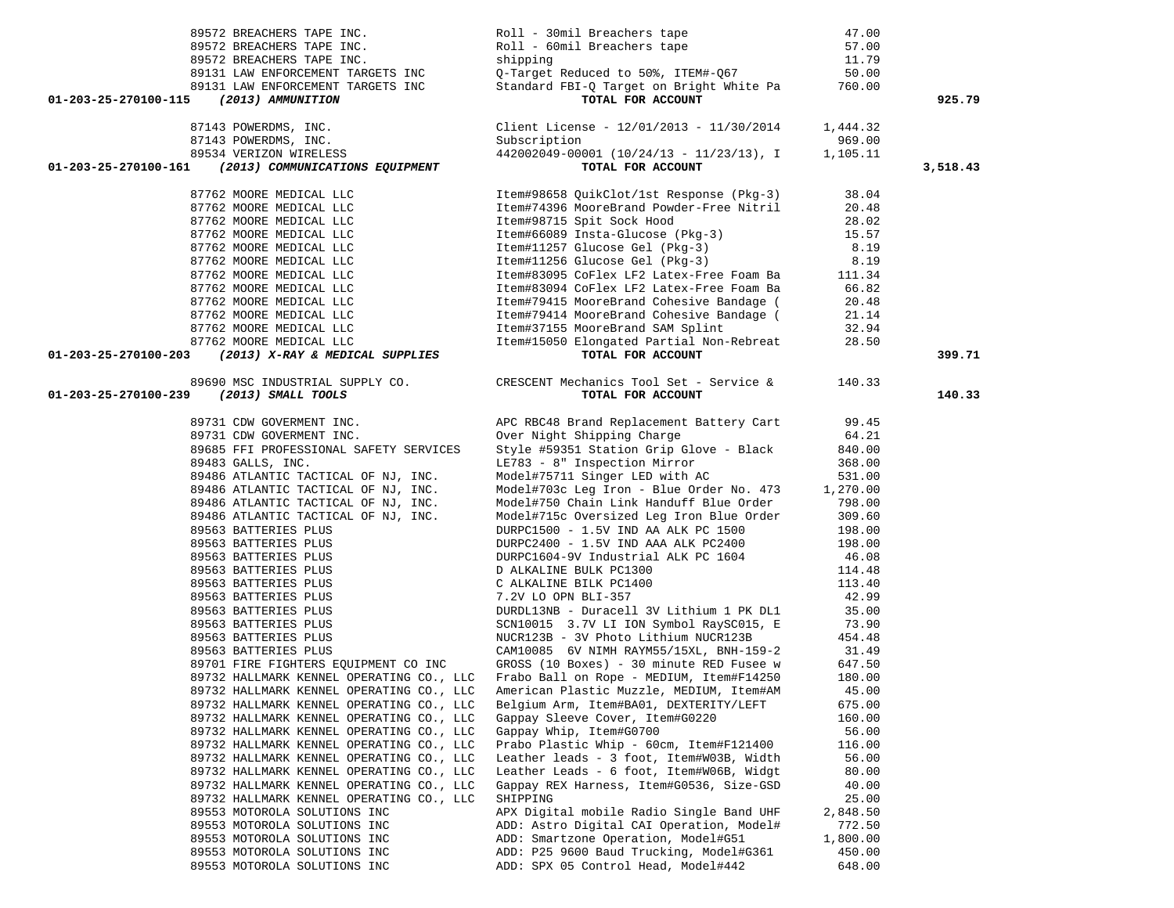| 89572 BREACHERS TAPE INC.                                                                                                                                                                                                                    | Roll - 30mil Breachers tape                                                                                                                                                                                                                                              | 47.00           |          |
|----------------------------------------------------------------------------------------------------------------------------------------------------------------------------------------------------------------------------------------------|--------------------------------------------------------------------------------------------------------------------------------------------------------------------------------------------------------------------------------------------------------------------------|-----------------|----------|
| 89572 BREACHERS TAPE INC.                                                                                                                                                                                                                    | Roll - JUMIL Breachers Lape<br>Roll - 60mil Breachers tape 57.00<br>shipping 11.79<br>Q-Target Reduced to 50%, ITEM#-Q67 50.00                                                                                                                                           |                 |          |
| 89572 BREACHERS TAPE INC.                                                                                                                                                                                                                    |                                                                                                                                                                                                                                                                          |                 |          |
|                                                                                                                                                                                                                                              |                                                                                                                                                                                                                                                                          |                 |          |
|                                                                                                                                                                                                                                              | Standard FBI-Q Target on Bright White Pa 760.00                                                                                                                                                                                                                          |                 |          |
| 89131 LAW ENFORCEMENT TARGETS INC<br>89131 LAW ENFORCEMENT TARGETS INC<br>5 (2013) AMMUNITION<br>01-203-25-270100-115                                                                                                                        | TOTAL FOR ACCOUNT                                                                                                                                                                                                                                                        |                 | 925.79   |
|                                                                                                                                                                                                                                              |                                                                                                                                                                                                                                                                          |                 |          |
|                                                                                                                                                                                                                                              | Client License - $12/01/2013 - 11/30/2014$ 1,444.32                                                                                                                                                                                                                      |                 |          |
| 87143 POWERDMS, INC.<br>87143 POWERDMS, INC.<br>89534 VERIZON WIRELESS                                                                                                                                                                       | Subscription                                                                                                                                                                                                                                                             | 969.00          |          |
|                                                                                                                                                                                                                                              | $442002049 - 00001$ $(10/24/13 - 11/23/13)$ , I                                                                                                                                                                                                                          | 1,105.11        |          |
| 01-203-25-270100-161 (2013) COMMUNICATIONS EQUIPMENT                                                                                                                                                                                         | TOTAL FOR ACCOUNT                                                                                                                                                                                                                                                        |                 | 3,518.43 |
| 87762 MOORE MEDICAL LLC                                                                                                                                                                                                                      | Item#98658 QuikClot/1st Response (Pkg-3)                                                                                                                                                                                                                                 | 38.04           |          |
| 87762 MOORE MEDICAL LLC                                                                                                                                                                                                                      | Item#74396 MooreBrand Powder-Free Nitril                                                                                                                                                                                                                                 | 20.48           |          |
|                                                                                                                                                                                                                                              |                                                                                                                                                                                                                                                                          |                 |          |
| 87762 MOORE MEDICAL LLC<br>87762 MOORE MEDICAL LLC                                                                                                                                                                                           |                                                                                                                                                                                                                                                                          |                 |          |
| 87762 MOORE MEDICAL LLC<br>87762 MOORE MEDICAL LLC<br>87762 MOORE MEDICAL LLC<br>87762 MOORE MEDICAL LLC                                                                                                                                     | 1.1.34<br>1.1.34<br>1.1.34<br>1.1.37 Spit Sock Hood<br>1.5.57<br>1.1.357 Spit Sock Hood<br>1.1.37 Glucose Gel (Pkg-3)<br>1.9<br>1.1.34<br>1.1.34<br>1.1.34<br>1.1.34<br>1.1.34<br>1.1.34<br>1.1.34<br>1.1.34<br>1.1.34<br>1.1.34<br>1.1.34<br>1.1.34<br>1.1.34<br>1.1.34 |                 |          |
|                                                                                                                                                                                                                                              |                                                                                                                                                                                                                                                                          |                 |          |
|                                                                                                                                                                                                                                              |                                                                                                                                                                                                                                                                          |                 |          |
|                                                                                                                                                                                                                                              |                                                                                                                                                                                                                                                                          |                 |          |
| 87762 MOORE MEDICAL LLC                                                                                                                                                                                                                      |                                                                                                                                                                                                                                                                          |                 |          |
| 87762 MOORE MEDICAL LLC                                                                                                                                                                                                                      | Item#79415 MooreBrand Cohesive Bandage (20.48<br>Item#79414 MooreBrand Cohesive Bandage (21.14<br>Item#37155 MooreBrand SAM Splint (32.94                                                                                                                                |                 |          |
| 87762 MOORE MEDICAL LLC                                                                                                                                                                                                                      |                                                                                                                                                                                                                                                                          |                 |          |
| 87762 MOORE MEDICAL LLC                                                                                                                                                                                                                      | Item#37155 MooreBrand SAM Splint 32.94<br>Item#15050 Elongated Partial Non-Rebreat 28.50                                                                                                                                                                                 |                 |          |
| 01-203-25-270100-203 (2013) X-RAY & MEDICAL SUPPLIES                                                                                                                                                                                         | TOTAL FOR ACCOUNT                                                                                                                                                                                                                                                        |                 | 399.71   |
|                                                                                                                                                                                                                                              | 89690 MSC INDUSTRIAL SUPPLY CO. CRESCENT Mechanics Tool Set - Service & 140.33                                                                                                                                                                                           |                 |          |
| 01-203-25-270100-239<br>(2013) SMALL TOOLS                                                                                                                                                                                                   | TOTAL FOR ACCOUNT                                                                                                                                                                                                                                                        |                 | 140.33   |
|                                                                                                                                                                                                                                              |                                                                                                                                                                                                                                                                          |                 |          |
| 89731 CDW GOVERMENT INC.                                                                                                                                                                                                                     | APC RBC48 Brand Replacement Battery Cart 99.45                                                                                                                                                                                                                           |                 |          |
| 89731 CDW GOVERMENT INC.                                                                                                                                                                                                                     | Over Night Shipping Charge<br>Style #59351 Station Grip Glove - Black                                                                                                                                                                                                    | 64.21           |          |
| 89685 FFI PROFESSIONAL SAFETY SERVICES                                                                                                                                                                                                       |                                                                                                                                                                                                                                                                          | 840.00          |          |
| 89483 GALLS, INC.                                                                                                                                                                                                                            | LE783 - 8" Inspection Mirror<br>Model#75711 Singer LED with AC                                                                                                                                                                                                           | 368.00          |          |
| 89486 ATLANTIC TACTICAL OF NJ, INC.                                                                                                                                                                                                          |                                                                                                                                                                                                                                                                          | 531.00          |          |
| 89486 ATLANTIC TACTICAL OF NJ, INC.<br>89486 ATLANTIC TACTICAL OF NJ, INC.                                                                                                                                                                   | Model#703c Leg Iron - Blue Order No. 473 1,270.00<br>Model#703c Leg Iron - Blue Order No. 473 1,270.00<br>Model#750 Chain Link Handuff Blue Order 798.00                                                                                                                 |                 |          |
| 89486 ATLANTIC TACTICAL OF NJ, INC.                                                                                                                                                                                                          |                                                                                                                                                                                                                                                                          |                 |          |
| 89486 ATLANTIC TACTICAL OF NJ, INC.                                                                                                                                                                                                          | Model#750 Chain mink honeses -<br>Model#715c Oversized Leg Iron Blue Order                                                                                                                                                                                               | 309.60          |          |
| 89563 BATTERIES PLUS                                                                                                                                                                                                                         | DURPC1500 - 1.5V IND AA ALK PC 1500                                                                                                                                                                                                                                      | 198.00          |          |
|                                                                                                                                                                                                                                              | DURPC2400 - 1.5V IND AAA ALK PC2400                                                                                                                                                                                                                                      | 198.00          |          |
|                                                                                                                                                                                                                                              | DURPC1604-9V Industrial ALK PC 1604<br>D ALKALINE BULK PC1300<br>C ALKALINE BILK PC1400<br>7.2V LO OPN BLI-357                                                                                                                                                           | 46.08           |          |
|                                                                                                                                                                                                                                              |                                                                                                                                                                                                                                                                          | 114.48          |          |
|                                                                                                                                                                                                                                              |                                                                                                                                                                                                                                                                          | 113.40          |          |
|                                                                                                                                                                                                                                              |                                                                                                                                                                                                                                                                          | 42.99           |          |
|                                                                                                                                                                                                                                              | DURDL13NB - Duracell 3V Lithium 1 PK DL1                                                                                                                                                                                                                                 | 35.00           |          |
|                                                                                                                                                                                                                                              | SCN10015 3.7V LI ION Symbol RaySC015, E                                                                                                                                                                                                                                  | 73.90           |          |
| 89563 BATTERIES FLUS<br>89563 BATTERIES PLUS<br>89563 BATTERIES PLUS<br>89563 BATTERIES PLUS<br>89563 BATTERIES PLUS<br>89563 BATTERIES PLUS<br>89563 BATTERIES PLUS<br>89563 BATTERIES PLUS<br>89563 BATTERIES PLUS<br>89563 BATTERIES PLUS | NUCR123B - 3V Photo Lithium NUCR123B                                                                                                                                                                                                                                     | 454.48          |          |
|                                                                                                                                                                                                                                              | CAM10085 6V NIMH RAYM55/15XL, BNH-159-2 31.49<br>GROSS (10 Boxes) - 30 minute RED Fusee w 647.50                                                                                                                                                                         |                 |          |
| 89701 FIRE FIGHTERS EQUIPMENT CO INC                                                                                                                                                                                                         |                                                                                                                                                                                                                                                                          |                 |          |
| 89732 HALLMARK KENNEL OPERATING CO., LLC                                                                                                                                                                                                     | Frabo Ball on Rope - MEDIUM, Item#F14250                                                                                                                                                                                                                                 | 180.00          |          |
|                                                                                                                                                                                                                                              | 89732 HALLMARK KENNEL OPERATING CO., LLC American Plastic Muzzle, MEDIUM, Item#AM                                                                                                                                                                                        | 45.00           |          |
| 89732 HALLMARK KENNEL OPERATING CO., LLC                                                                                                                                                                                                     | Belgium Arm, Item#BA01, DEXTERITY/LEFT                                                                                                                                                                                                                                   | 675.00          |          |
| 89732 HALLMARK KENNEL OPERATING CO., LLC<br>89732 HALLMARK KENNEL OPERATING CO., LLC                                                                                                                                                         | Gappay Sleeve Cover, Item#G0220                                                                                                                                                                                                                                          | 160.00          |          |
| 89732 HALLMARK KENNEL OPERATING CO., LLC                                                                                                                                                                                                     | Gappay Whip, Item#G0700<br>Prabo Plastic Whip - 60cm, Item#F121400                                                                                                                                                                                                       | 56.00<br>116.00 |          |
| 89732 HALLMARK KENNEL OPERATING CO., LLC                                                                                                                                                                                                     | Leather leads - 3 foot, Item#W03B, Width                                                                                                                                                                                                                                 | 56.00           |          |
| 89732 HALLMARK KENNEL OPERATING CO., LLC                                                                                                                                                                                                     | Leather Leads - 6 foot, Item#W06B, Widgt                                                                                                                                                                                                                                 | 80.00           |          |
| 89732 HALLMARK KENNEL OPERATING CO., LLC                                                                                                                                                                                                     | Gappay REX Harness, Item#G0536, Size-GSD                                                                                                                                                                                                                                 | 40.00           |          |
| 89732 HALLMARK KENNEL OPERATING CO., LLC                                                                                                                                                                                                     | SHIPPING                                                                                                                                                                                                                                                                 | 25.00           |          |
| 89553 MOTOROLA SOLUTIONS INC                                                                                                                                                                                                                 | APX Digital mobile Radio Single Band UHF                                                                                                                                                                                                                                 | 2,848.50        |          |
| 89553 MOTOROLA SOLUTIONS INC                                                                                                                                                                                                                 | ADD: Astro Digital CAI Operation, Model#                                                                                                                                                                                                                                 | 772.50          |          |
| 89553 MOTOROLA SOLUTIONS INC                                                                                                                                                                                                                 | ADD: Smartzone Operation, Model#G51                                                                                                                                                                                                                                      | 1,800.00        |          |
| 89553 MOTOROLA SOLUTIONS INC                                                                                                                                                                                                                 | ADD: P25 9600 Baud Trucking, Model#G361                                                                                                                                                                                                                                  | 450.00          |          |
| 89553 MOTOROLA SOLUTIONS INC                                                                                                                                                                                                                 | ADD: SPX 05 Control Head, Model#442                                                                                                                                                                                                                                      | 648.00          |          |
|                                                                                                                                                                                                                                              |                                                                                                                                                                                                                                                                          |                 |          |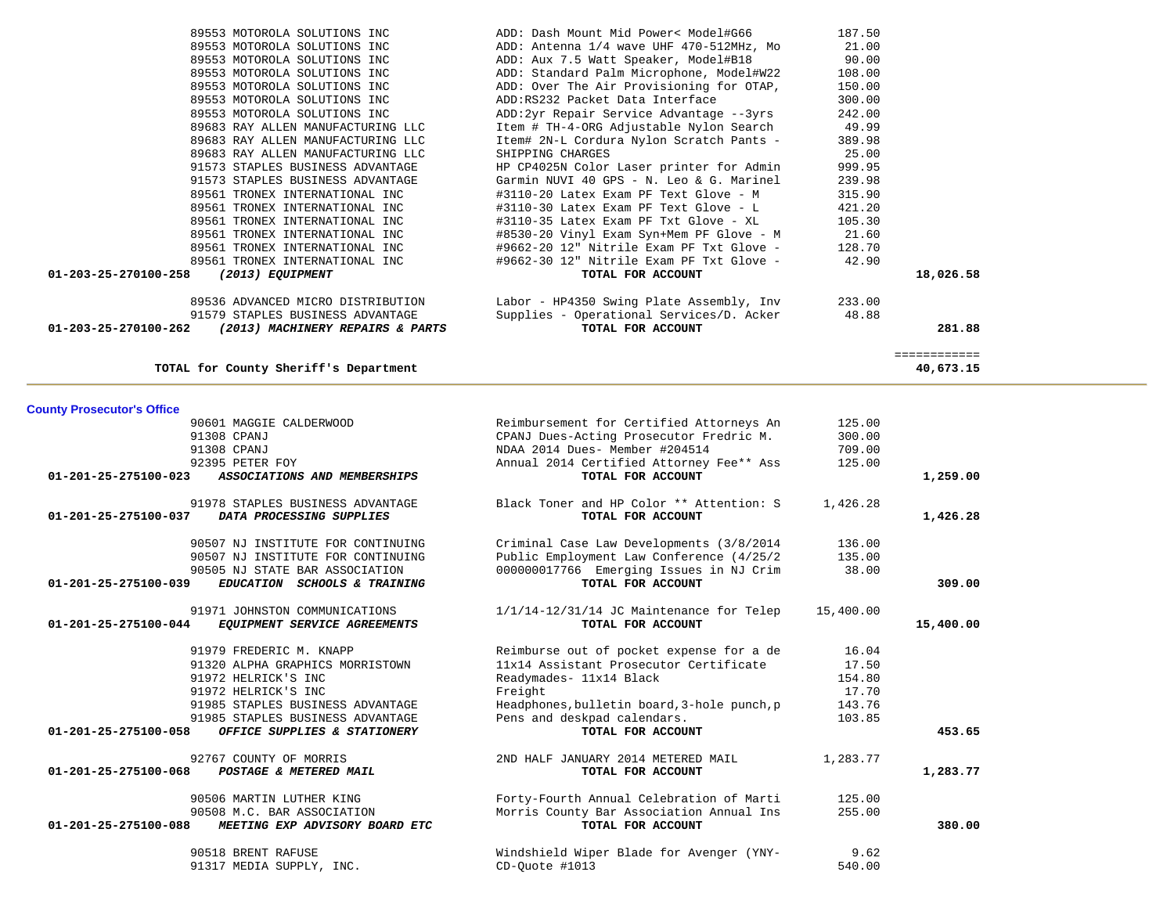| 90601 MAGGIE CALDERWOOD                                | Reimbursement for Certified Attorneys An             | 125.00   |           |
|--------------------------------------------------------|------------------------------------------------------|----------|-----------|
| 91308 CPANJ                                            | CPANJ Dues-Acting Prosecutor Fredric M.              | 300.00   |           |
| 91308 CPANJ                                            | NDAA 2014 Dues- Member #204514                       | 709.00   |           |
| 92395 PETER FOY                                        | Annual 2014 Certified Attorney Fee** Ass             | 125.00   |           |
| 01-201-25-275100-023<br>ASSOCIATIONS AND MEMBERSHIPS   | TOTAL FOR ACCOUNT                                    |          | 1,259.00  |
| 91978 STAPLES BUSINESS ADVANTAGE                       | Black Toner and HP Color ** Attention: S             | 1,426.28 |           |
| 01-201-25-275100-037<br>DATA PROCESSING SUPPLIES       | TOTAL FOR ACCOUNT                                    |          | 1,426.28  |
| 90507 NJ INSTITUTE FOR CONTINUING                      | Criminal Case Law Developments (3/8/2014             | 136.00   |           |
| 90507 NJ INSTITUTE FOR CONTINUING                      | Public Employment Law Conference (4/25/2             | 135.00   |           |
| 90505 NJ STATE BAR ASSOCIATION                         | 000000017766 Emerging Issues in NJ Crim              | 38.00    |           |
| 01-201-25-275100-039<br>EDUCATION SCHOOLS & TRAINING   | TOTAL FOR ACCOUNT                                    |          | 309.00    |
| 91971 JOHNSTON COMMUNICATIONS                          | $1/1/14-12/31/14$ JC Maintenance for Telep 15,400.00 |          |           |
| 01-201-25-275100-044<br>EQUIPMENT SERVICE AGREEMENTS   | TOTAL FOR ACCOUNT                                    |          | 15,400.00 |
| 91979 FREDERIC M. KNAPP                                | Reimburse out of pocket expense for a de             | 16.04    |           |
| 91320 ALPHA GRAPHICS MORRISTOWN                        | 11x14 Assistant Prosecutor Certificate               | 17.50    |           |
| 91972 HELRICK'S INC                                    | Readymades- 11x14 Black                              | 154.80   |           |
| 91972 HELRICK'S INC                                    | Freight                                              | 17.70    |           |
| 91985 STAPLES BUSINESS ADVANTAGE                       | Headphones, bulletin board, 3-hole punch, p          | 143.76   |           |
| 91985 STAPLES BUSINESS ADVANTAGE                       | Pens and deskpad calendars.                          | 103.85   |           |
| OFFICE SUPPLIES & STATIONERY<br>01-201-25-275100-058   | TOTAL FOR ACCOUNT                                    |          | 453.65    |
| 92767 COUNTY OF MORRIS                                 | 2ND HALF JANUARY 2014 METERED MAIL                   | 1,283.77 |           |
| 01-201-25-275100-068<br>POSTAGE & METERED MAIL         | TOTAL FOR ACCOUNT                                    |          | 1,283.77  |
| 90506 MARTIN LUTHER KING                               | Forty-Fourth Annual Celebration of Marti             | 125.00   |           |
| 90508 M.C. BAR ASSOCIATION                             | Morris County Bar Association Annual Ins             | 255.00   |           |
| 01-201-25-275100-088<br>MEETING EXP ADVISORY BOARD ETC | TOTAL FOR ACCOUNT                                    |          | 380.00    |
| 90518 BRENT RAFUSE                                     | Windshield Wiper Blade for Avenger (YNY-             | 9.62     |           |
| 91317 MEDIA SUPPLY, INC.                               | CD-Quote #1013                                       | 540.00   |           |

### **County Prosecutor's Office**

| 89553 MOTOROLA SOLUTIONS INC                                       | ADD: Dash Mount Mid Power< Model#G66     | 187.50 |              |
|--------------------------------------------------------------------|------------------------------------------|--------|--------------|
| 89553 MOTOROLA SOLUTIONS INC                                       | ADD: Antenna 1/4 wave UHF 470-512MHz, Mo | 21.00  |              |
| 89553 MOTOROLA SOLUTIONS INC                                       | ADD: Aux 7.5 Watt Speaker, Model#B18     | 90.00  |              |
| 89553 MOTOROLA SOLUTIONS INC                                       | ADD: Standard Palm Microphone, Model#W22 | 108.00 |              |
| 89553 MOTOROLA SOLUTIONS INC                                       | ADD: Over The Air Provisioning for OTAP, | 150.00 |              |
| 89553 MOTOROLA SOLUTIONS INC                                       | ADD:RS232 Packet Data Interface          | 300.00 |              |
| 89553 MOTOROLA SOLUTIONS INC                                       | ADD:2yr Repair Service Advantage --3yrs  | 242.00 |              |
| 89683 RAY ALLEN MANUFACTURING LLC                                  | Item # TH-4-ORG Adjustable Nylon Search  | 49.99  |              |
| 89683 RAY ALLEN MANUFACTURING LLC                                  | Item# 2N-L Cordura Nylon Scratch Pants - | 389.98 |              |
| 89683 RAY ALLEN MANUFACTURING LLC                                  | SHIPPING CHARGES                         | 25.00  |              |
| 91573 STAPLES BUSINESS ADVANTAGE                                   | HP CP4025N Color Laser printer for Admin | 999.95 |              |
| 91573 STAPLES BUSINESS ADVANTAGE                                   | Garmin NUVI 40 GPS - N. Leo & G. Marinel | 239.98 |              |
| 89561 TRONEX INTERNATIONAL INC                                     | #3110-20 Latex Exam PF Text Glove - M    | 315.90 |              |
| 89561 TRONEX INTERNATIONAL INC                                     | #3110-30 Latex Exam PF Text Glove - L    | 421.20 |              |
| 89561 TRONEX INTERNATIONAL INC                                     | #3110-35 Latex Exam PF Txt Glove - XL    | 105.30 |              |
| 89561 TRONEX INTERNATIONAL INC                                     | #8530-20 Vinyl Exam Syn+Mem PF Glove - M | 21.60  |              |
| 89561 TRONEX INTERNATIONAL INC                                     | #9662-20 12" Nitrile Exam PF Txt Glove - | 128.70 |              |
| 89561 TRONEX INTERNATIONAL INC                                     | #9662-30 12" Nitrile Exam PF Txt Glove - | 42.90  |              |
| $01 - 203 - 25 - 270100 - 258$<br>(2013) EQUIPMENT                 | TOTAL FOR ACCOUNT                        |        | 18,026.58    |
| 89536 ADVANCED MICRO DISTRIBUTION                                  | Labor - HP4350 Swing Plate Assembly, Inv | 233.00 |              |
| 91579 STAPLES BUSINESS ADVANTAGE                                   | Supplies - Operational Services/D. Acker | 48.88  |              |
| $01 - 203 - 25 - 270100 - 262$<br>(2013) MACHINERY REPAIRS & PARTS | TOTAL FOR ACCOUNT                        |        | 281.88       |
|                                                                    |                                          |        | ============ |
| TOTAL for County Sheriff's Department                              |                                          |        | 40,673.15    |
|                                                                    |                                          |        |              |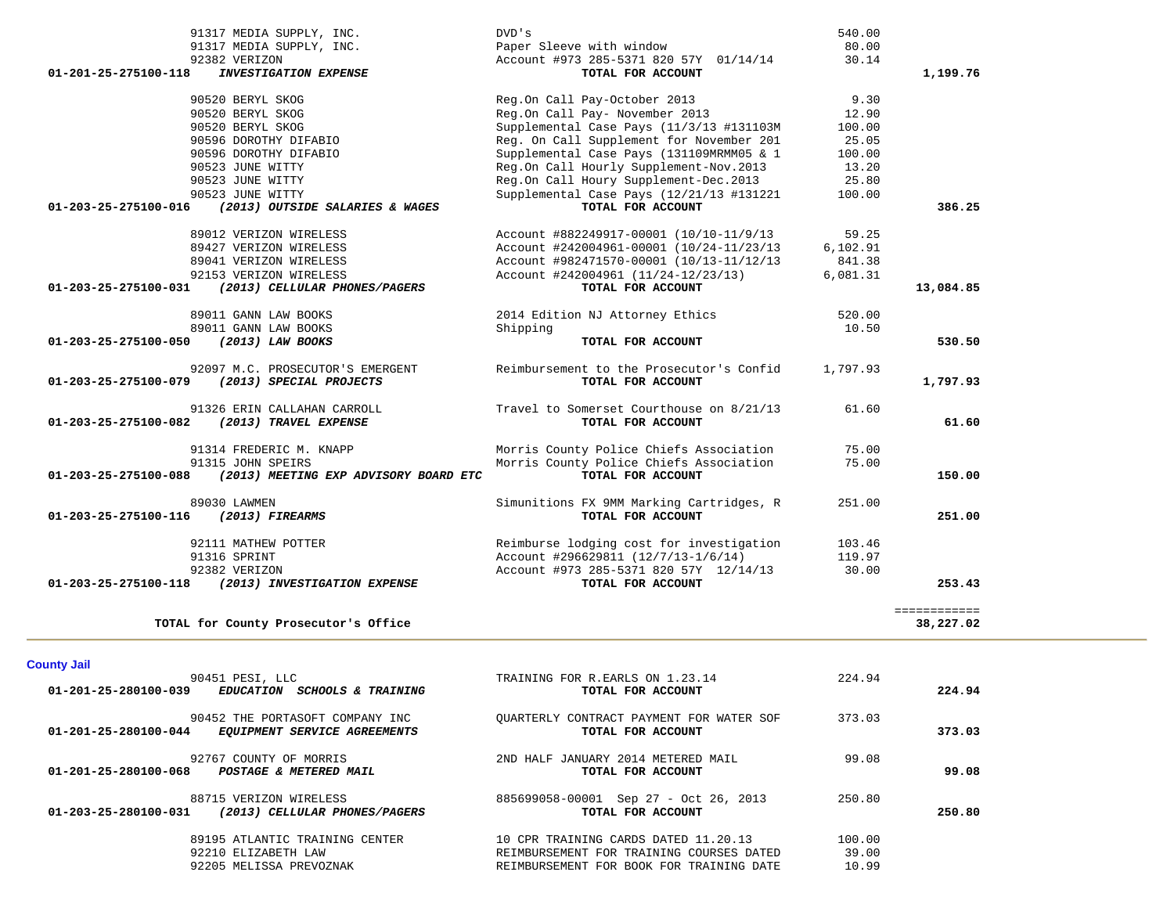| 91317 MEDIA SUPPLY, INC.                                       | DVD's                                    | 540.00   |              |
|----------------------------------------------------------------|------------------------------------------|----------|--------------|
| 91317 MEDIA SUPPLY, INC.                                       | Paper Sleeve with window                 | 80.00    |              |
| 92382 VERIZON                                                  | Account #973 285-5371 820 57Y 01/14/14   | 30.14    |              |
| 01-201-25-275100-118<br><b>INVESTIGATION EXPENSE</b>           | TOTAL FOR ACCOUNT                        |          | 1,199.76     |
| 90520 BERYL SKOG                                               | Reg.On Call Pay-October 2013             | 9.30     |              |
| 90520 BERYL SKOG                                               | Reg.On Call Pay- November 2013           | 12.90    |              |
| 90520 BERYL SKOG                                               | Supplemental Case Pays (11/3/13 #131103M | 100.00   |              |
| 90596 DOROTHY DIFABIO                                          | Req. On Call Supplement for November 201 | 25.05    |              |
| 90596 DOROTHY DIFABIO                                          | Supplemental Case Pays (131109MRMM05 & 1 | 100.00   |              |
| 90523 JUNE WITTY                                               | Reg.On Call Hourly Supplement-Nov.2013   | 13.20    |              |
| 90523 JUNE WITTY                                               | Reg.On Call Houry Supplement-Dec.2013    | 25.80    |              |
| 90523 JUNE WITTY                                               | Supplemental Case Pays (12/21/13 #131221 | 100.00   |              |
| (2013) OUTSIDE SALARIES & WAGES<br>01-203-25-275100-016        | TOTAL FOR ACCOUNT                        |          | 386.25       |
| 89012 VERIZON WIRELESS                                         | Account #882249917-00001 (10/10-11/9/13  | 59.25    |              |
| 89427 VERIZON WIRELESS                                         | Account #242004961-00001 (10/24-11/23/13 | 6,102.91 |              |
| 89041 VERIZON WIRELESS                                         | Account #982471570-00001 (10/13-11/12/13 | 841.38   |              |
| 92153 VERIZON WIRELESS                                         | Account #242004961 (11/24-12/23/13)      | 6,081.31 |              |
| (2013) CELLULAR PHONES/PAGERS<br>01-203-25-275100-031          | TOTAL FOR ACCOUNT                        |          | 13,084.85    |
| 89011 GANN LAW BOOKS                                           | 2014 Edition NJ Attorney Ethics          | 520.00   |              |
| 89011 GANN LAW BOOKS                                           | Shipping                                 | 10.50    |              |
| 01-203-25-275100-050<br>(2013) LAW BOOKS                       | TOTAL FOR ACCOUNT                        |          | 530.50       |
| 92097 M.C. PROSECUTOR'S EMERGENT                               | Reimbursement to the Prosecutor's Confid | 1,797.93 |              |
| 01-203-25-275100-079 (2013) SPECIAL PROJECTS                   | TOTAL FOR ACCOUNT                        |          | 1,797.93     |
| 91326 ERIN CALLAHAN CARROLL                                    | Travel to Somerset Courthouse on 8/21/13 | 61.60    |              |
| 01-203-25-275100-082 (2013) TRAVEL EXPENSE                     | TOTAL FOR ACCOUNT                        |          | 61.60        |
| 91314 FREDERIC M. KNAPP                                        | Morris County Police Chiefs Association  | 75.00    |              |
| 91315 JOHN SPEIRS                                              | Morris County Police Chiefs Association  | 75.00    |              |
| 01-203-25-275100-088 (2013) MEETING EXP ADVISORY BOARD ETC     | TOTAL FOR ACCOUNT                        |          | 150.00       |
| 89030 LAWMEN                                                   | Simunitions FX 9MM Marking Cartridges, R | 251.00   |              |
| 01-203-25-275100-116 (2013) FIREARMS                           | TOTAL FOR ACCOUNT                        |          | 251.00       |
| 92111 MATHEW POTTER                                            | Reimburse lodging cost for investigation | 103.46   |              |
| 91316 SPRINT                                                   | Account #296629811 (12/7/13-1/6/14)      | 119.97   |              |
| 92382 VERIZON                                                  | Account #973 285-5371 820 57Y 12/14/13   | 30.00    |              |
| 01-203-25-275100-118 (2013) INVESTIGATION EXPENSE              | TOTAL FOR ACCOUNT                        |          | 253.43       |
|                                                                |                                          |          | ============ |
| TOTAL for County Prosecutor's Office                           |                                          |          | 38,227.02    |
|                                                                |                                          |          |              |
| <b>County Jail</b><br>90451 PESI, LLC                          | TRAINING FOR R.EARLS ON 1.23.14          | 224.94   |              |
| $01 - 201 - 25 - 280100 - 039$<br>EDUCATION SCHOOLS & TRAINING | TOTAL FOR ACCOUNT                        |          | 224.94       |

| 01-201-25-280100-039<br><i>SCHOOLS &amp; TRAINING</i><br><b>EDUCATION</b>               | TOTAL FOR ACCOUNT                                                                                                            |                          | 224.94 |
|-----------------------------------------------------------------------------------------|------------------------------------------------------------------------------------------------------------------------------|--------------------------|--------|
| 90452 THE PORTASOFT COMPANY INC<br>01-201-25-280100-044<br>EOUIPMENT SERVICE AGREEMENTS | OUARTERLY CONTRACT PAYMENT FOR WATER SOF<br>TOTAL FOR ACCOUNT                                                                | 373.03                   | 373.03 |
| 92767 COUNTY OF MORRIS<br>01-201-25-280100-068<br>POSTAGE & METERED MAIL                | 2ND HALF JANUARY 2014 METERED MAIL<br>TOTAL FOR ACCOUNT                                                                      | 99.08                    | 99.08  |
| 88715 VERIZON WIRELESS<br>01-203-25-280100-031<br>(2013) CELLULAR PHONES/PAGERS         | 885699058-00001 Sep 27 - Oct 26, 2013<br>TOTAL FOR ACCOUNT                                                                   | 250.80                   | 250.80 |
| 89195 ATLANTIC TRAINING CENTER<br>92210 ELIZABETH LAW<br>92205 MELISSA PREVOZNAK        | 10 CPR TRAINING CARDS DATED 11.20.13<br>REIMBURSEMENT FOR TRAINING COURSES DATED<br>REIMBURSEMENT FOR BOOK FOR TRAINING DATE | 100.00<br>39.00<br>10.99 |        |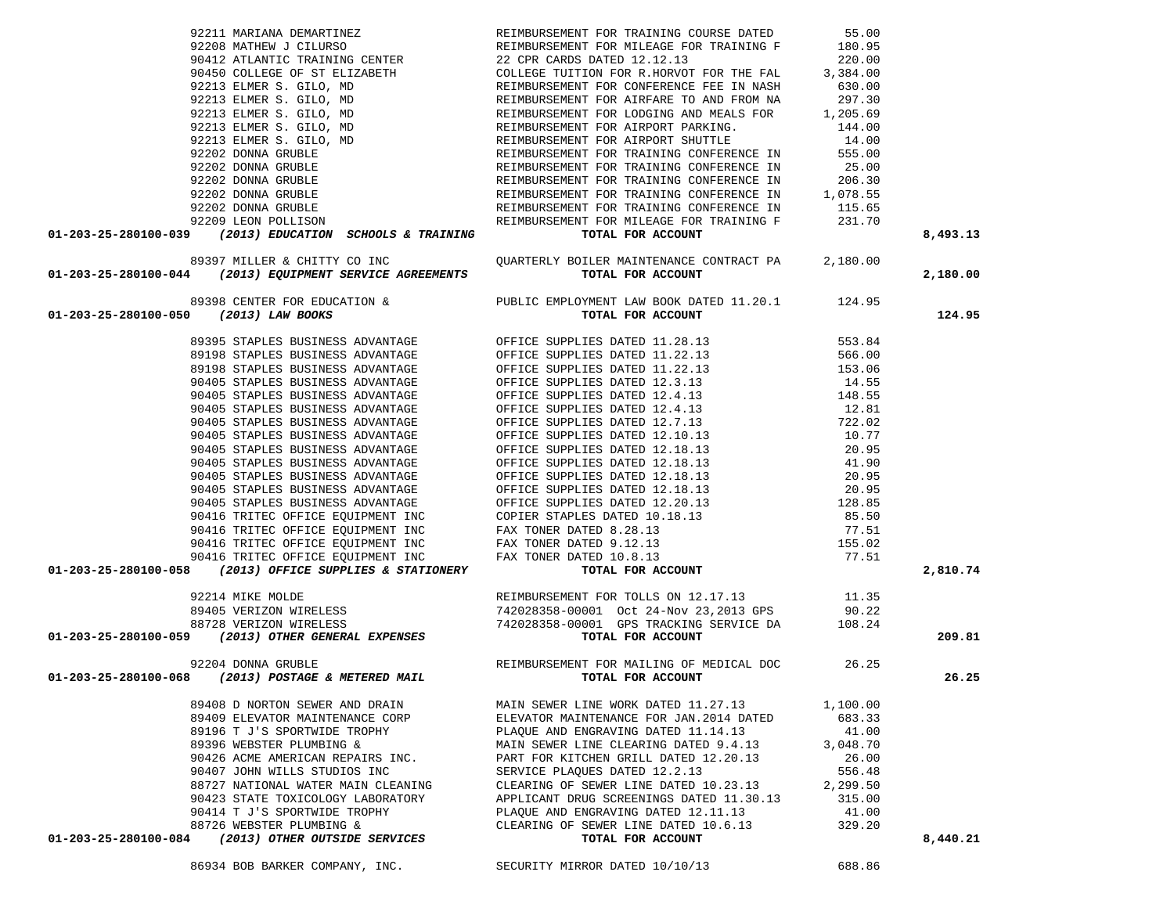86934 BOB BARKER COMPANY, INC. SECURITY MIRROR DATED 10/10/13 688.86

180.95

|                                                                                                                                                                                                                                     | 90412 ATLANTIC TRAINING CENTER 22 CPR CARDS DATED 12.12.13 220.00                                                  |          |          |
|-------------------------------------------------------------------------------------------------------------------------------------------------------------------------------------------------------------------------------------|--------------------------------------------------------------------------------------------------------------------|----------|----------|
|                                                                                                                                                                                                                                     |                                                                                                                    |          |          |
|                                                                                                                                                                                                                                     |                                                                                                                    |          |          |
|                                                                                                                                                                                                                                     |                                                                                                                    |          |          |
|                                                                                                                                                                                                                                     |                                                                                                                    |          |          |
|                                                                                                                                                                                                                                     |                                                                                                                    |          |          |
|                                                                                                                                                                                                                                     |                                                                                                                    |          |          |
|                                                                                                                                                                                                                                     |                                                                                                                    |          |          |
|                                                                                                                                                                                                                                     |                                                                                                                    |          |          |
|                                                                                                                                                                                                                                     |                                                                                                                    |          |          |
|                                                                                                                                                                                                                                     |                                                                                                                    |          |          |
|                                                                                                                                                                                                                                     |                                                                                                                    |          |          |
|                                                                                                                                                                                                                                     |                                                                                                                    |          |          |
| 01-203-25-280100-039 (2013) EDUCATION SCHOOLS & TRAINING TOTAL FOR ACCOUNT                                                                                                                                                          |                                                                                                                    |          | 8,493.13 |
|                                                                                                                                                                                                                                     |                                                                                                                    |          |          |
| 89397 MILLER & CHITTY CO INC                                                                                                                                                                                                        | QUARTERLY BOILER MAINTENANCE CONTRACT PA 2,180.00                                                                  |          |          |
| 01-203-25-280100-044 (2013) EQUIPMENT SERVICE AGREEMENTS TOTAL FOR ACCOUNT                                                                                                                                                          |                                                                                                                    |          | 2,180.00 |
|                                                                                                                                                                                                                                     |                                                                                                                    |          |          |
|                                                                                                                                                                                                                                     |                                                                                                                    |          |          |
| 01-203-25-280100-050 (2013) LAW BOOKS                                                                                                                                                                                               |                                                                                                                    |          | 124.95   |
|                                                                                                                                                                                                                                     | 89398 CENTER FOR EDUCATION & PUBLIC EMPLOYMENT LAW BOOK DATED 11.20.1 124.95<br>(2013) LAW BOOKS TOTAL FOR ACCOUNT |          |          |
|                                                                                                                                                                                                                                     |                                                                                                                    |          |          |
|                                                                                                                                                                                                                                     |                                                                                                                    |          |          |
|                                                                                                                                                                                                                                     |                                                                                                                    |          |          |
|                                                                                                                                                                                                                                     |                                                                                                                    |          |          |
|                                                                                                                                                                                                                                     |                                                                                                                    |          |          |
|                                                                                                                                                                                                                                     |                                                                                                                    |          |          |
|                                                                                                                                                                                                                                     |                                                                                                                    |          |          |
|                                                                                                                                                                                                                                     |                                                                                                                    |          |          |
|                                                                                                                                                                                                                                     |                                                                                                                    |          |          |
|                                                                                                                                                                                                                                     |                                                                                                                    |          |          |
|                                                                                                                                                                                                                                     |                                                                                                                    |          |          |
|                                                                                                                                                                                                                                     |                                                                                                                    |          |          |
|                                                                                                                                                                                                                                     |                                                                                                                    |          |          |
|                                                                                                                                                                                                                                     |                                                                                                                    |          |          |
|                                                                                                                                                                                                                                     |                                                                                                                    |          |          |
|                                                                                                                                                                                                                                     |                                                                                                                    |          |          |
|                                                                                                                                                                                                                                     |                                                                                                                    |          |          |
|                                                                                                                                                                                                                                     |                                                                                                                    |          | 2,810.74 |
| 01-203-25-280100-050 (2013) LAW BOOKS<br>89395 STAPLES BUSINESS ADVANTAGE OFFICE SUPPLIES DATED 11.22.13<br>89198 STAPLES BUSINESS ADVANTAGE OFFICE SUPPLIES DATED 11.22.13<br>99198 STAPLES BUSINESS ADVANTAGE OFFICE SUPPLIES DAT |                                                                                                                    |          |          |
| 92214 MIKE MOLDE<br>92214 MIKE MOLDE<br>89405 VERIZON WIRELESS 742028358-00001 Oct 24-Nov 23,2013 GPS<br>88728 VERIZON WIRELESS 742028358-00001 GPS TRACKING SERVICE DA 108.24<br>742028358-00001 GPS TRACKING SERVICE DA 108.24    |                                                                                                                    |          |          |
|                                                                                                                                                                                                                                     |                                                                                                                    |          |          |
|                                                                                                                                                                                                                                     |                                                                                                                    |          |          |
|                                                                                                                                                                                                                                     |                                                                                                                    |          | 209.81   |
|                                                                                                                                                                                                                                     |                                                                                                                    |          |          |
| 92204 DONNA GRUBLE<br><b>16.25</b> REIMBURSEMENT FOR MAILING OF MEDICAL DOC (26.25 POSTAGE & METERED MAIL                                                                                                                           |                                                                                                                    |          |          |
|                                                                                                                                                                                                                                     |                                                                                                                    |          | 26.25    |
|                                                                                                                                                                                                                                     |                                                                                                                    |          |          |
|                                                                                                                                                                                                                                     | 89408 D NORTON SEWER AND DRAIN MAIN SEWER LINE WORK DATED 11.27.13 1,100.00                                        |          |          |
| 89409 ELEVATOR MAINTENANCE CORP                                                                                                                                                                                                     | ELEVATOR MAINTENANCE FOR JAN. 2014 DATED 683.33                                                                    |          |          |
| 89196 T J'S SPORTWIDE TROPHY                                                                                                                                                                                                        | PLAQUE AND ENGRAVING DATED 11.14.13                                                                                | 41.00    |          |
| 89396 WEBSTER PLUMBING &                                                                                                                                                                                                            | MAIN SEWER LINE CLEARING DATED 9.4.13                                                                              | 3,048.70 |          |
| 90426 ACME AMERICAN REPAIRS INC.                                                                                                                                                                                                    | PART FOR KITCHEN GRILL DATED 12.20.13                                                                              | 26.00    |          |
| 90407 JOHN WILLS STUDIOS INC                                                                                                                                                                                                        | SERVICE PLAQUES DATED 12.2.13                                                                                      | 556.48   |          |
| 88727 NATIONAL WATER MAIN CLEANING                                                                                                                                                                                                  | CLEARING OF SEWER LINE DATED 10.23.13                                                                              | 2,299.50 |          |
| 90423 STATE TOXICOLOGY LABORATORY                                                                                                                                                                                                   | APPLICANT DRUG SCREENINGS DATED 11.30.13                                                                           | 315.00   |          |
| 90414 T J'S SPORTWIDE TROPHY                                                                                                                                                                                                        | PLAQUE AND ENGRAVING DATED 12.11.13                                                                                | 41.00    |          |
| 88726 WEBSTER PLUMBING &                                                                                                                                                                                                            | CLEARING OF SEWER LINE DATED 10.6.13                                                                               | 329.20   |          |
| 01-203-25-280100-084<br>(2013) OTHER OUTSIDE SERVICES                                                                                                                                                                               | TOTAL FOR ACCOUNT                                                                                                  |          | 8,440.21 |
|                                                                                                                                                                                                                                     |                                                                                                                    |          |          |

92211 MARIANA DEMARTINEZ REIMBURSEMENT FOR TRAINING COURSE DATED 55.00

92208 MATHEW J CILURSO REIMBURSEMENT FOR MILEAGE FOR TRAINING F 180.95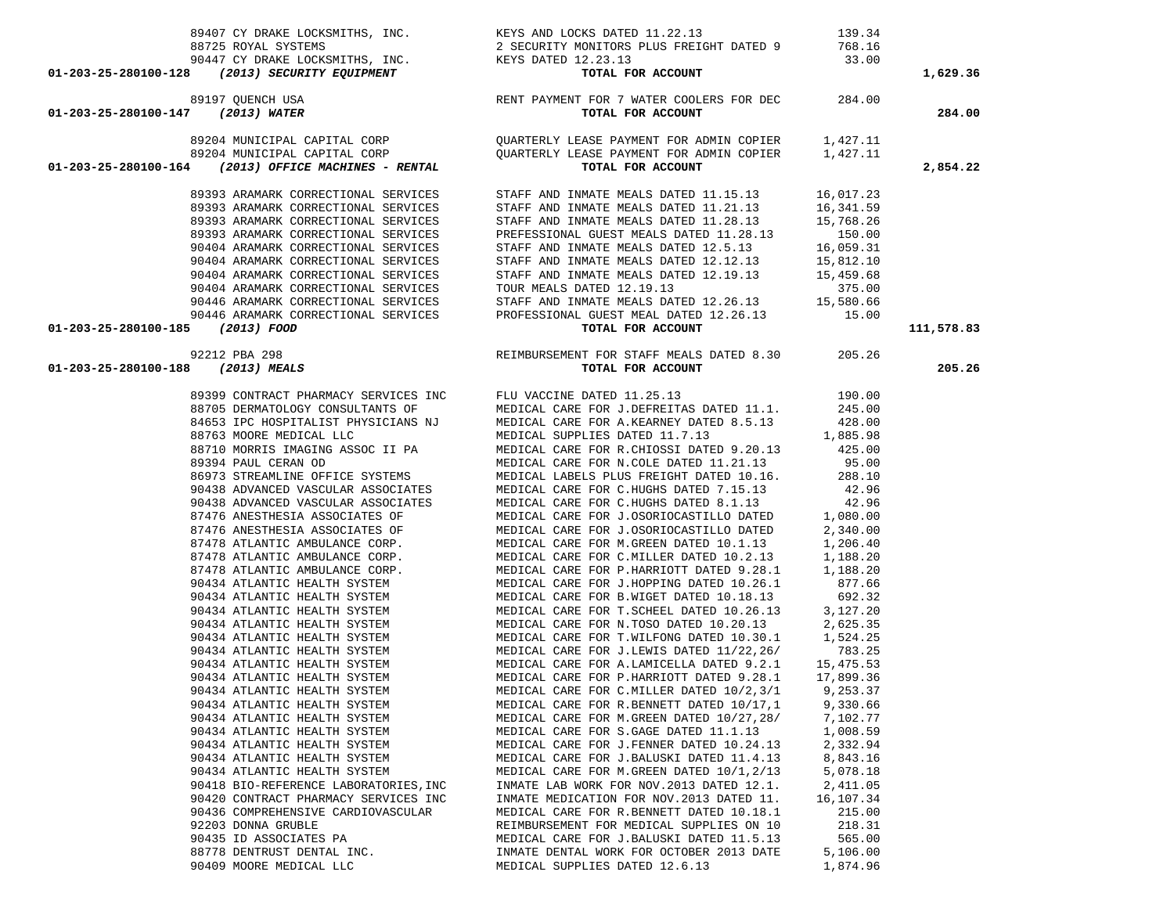|                                                              |                                                                                                                               |                      | 1,629.36   |
|--------------------------------------------------------------|-------------------------------------------------------------------------------------------------------------------------------|----------------------|------------|
|                                                              |                                                                                                                               |                      | 284.00     |
|                                                              |                                                                                                                               |                      | 2,854.22   |
|                                                              |                                                                                                                               |                      |            |
|                                                              |                                                                                                                               |                      |            |
|                                                              |                                                                                                                               |                      |            |
|                                                              |                                                                                                                               |                      |            |
|                                                              |                                                                                                                               |                      |            |
|                                                              |                                                                                                                               |                      |            |
|                                                              |                                                                                                                               |                      |            |
|                                                              |                                                                                                                               |                      |            |
|                                                              |                                                                                                                               |                      |            |
| 01-203-25-280100-185 (2013) FOOD                             |                                                                                                                               |                      | 111,578.83 |
|                                                              | 92212 PBA 298<br>92212 PBA 298<br><b>REIMBURSEMENT FOR STAFF MEALS DATED 8.30</b><br><b>CI-203-25-280100-188</b> (2013) MEALS |                      | 205.26     |
|                                                              |                                                                                                                               |                      |            |
|                                                              |                                                                                                                               |                      |            |
|                                                              |                                                                                                                               |                      |            |
|                                                              |                                                                                                                               |                      |            |
|                                                              |                                                                                                                               |                      |            |
|                                                              |                                                                                                                               |                      |            |
|                                                              |                                                                                                                               |                      |            |
|                                                              |                                                                                                                               |                      |            |
|                                                              |                                                                                                                               |                      |            |
|                                                              |                                                                                                                               |                      |            |
|                                                              |                                                                                                                               |                      |            |
|                                                              |                                                                                                                               |                      |            |
|                                                              |                                                                                                                               |                      |            |
|                                                              |                                                                                                                               |                      |            |
|                                                              |                                                                                                                               |                      |            |
|                                                              |                                                                                                                               |                      |            |
|                                                              |                                                                                                                               |                      |            |
|                                                              |                                                                                                                               |                      |            |
|                                                              |                                                                                                                               |                      |            |
|                                                              |                                                                                                                               |                      |            |
| 90434 ATLANTIC HEALTH SYSTEM                                 | MEDICAL CARE FOR C.MILLER DATED 10/2,3/1 9,253.37                                                                             |                      |            |
| 90434 ATLANTIC HEALTH SYSTEM                                 | MEDICAL CARE FOR R.BENNETT DATED 10/17,1                                                                                      | 9,330.66             |            |
| 90434 ATLANTIC HEALTH SYSTEM                                 | MEDICAL CARE FOR M.GREEN DATED 10/27,28/                                                                                      | 7,102.77             |            |
| 90434 ATLANTIC HEALTH SYSTEM                                 | MEDICAL CARE FOR S.GAGE DATED 11.1.13                                                                                         | 1,008.59             |            |
| 90434 ATLANTIC HEALTH SYSTEM<br>90434 ATLANTIC HEALTH SYSTEM | MEDICAL CARE FOR J. FENNER DATED 10.24.13<br>MEDICAL CARE FOR J.BALUSKI DATED 11.4.13                                         | 2,332.94<br>8,843.16 |            |
| 90434 ATLANTIC HEALTH SYSTEM                                 | MEDICAL CARE FOR M.GREEN DATED 10/1,2/13                                                                                      | 5,078.18             |            |
| 90418 BIO-REFERENCE LABORATORIES, INC                        | INMATE LAB WORK FOR NOV. 2013 DATED 12.1.                                                                                     | 2,411.05             |            |
| 90420 CONTRACT PHARMACY SERVICES INC                         | INMATE MEDICATION FOR NOV. 2013 DATED 11.                                                                                     | 16,107.34            |            |
| 90436 COMPREHENSIVE CARDIOVASCULAR                           | MEDICAL CARE FOR R.BENNETT DATED 10.18.1                                                                                      | 215.00               |            |
| 92203 DONNA GRUBLE                                           | REIMBURSEMENT FOR MEDICAL SUPPLIES ON 10                                                                                      | 218.31               |            |
| 90435 ID ASSOCIATES PA                                       | MEDICAL CARE FOR J.BALUSKI DATED 11.5.13                                                                                      | 565.00               |            |
| 88778 DENTRUST DENTAL INC.                                   | INMATE DENTAL WORK FOR OCTOBER 2013 DATE                                                                                      | 5,106.00             |            |
| 90409 MOORE MEDICAL LLC                                      | MEDICAL SUPPLIES DATED 12.6.13                                                                                                | 1,874.96             |            |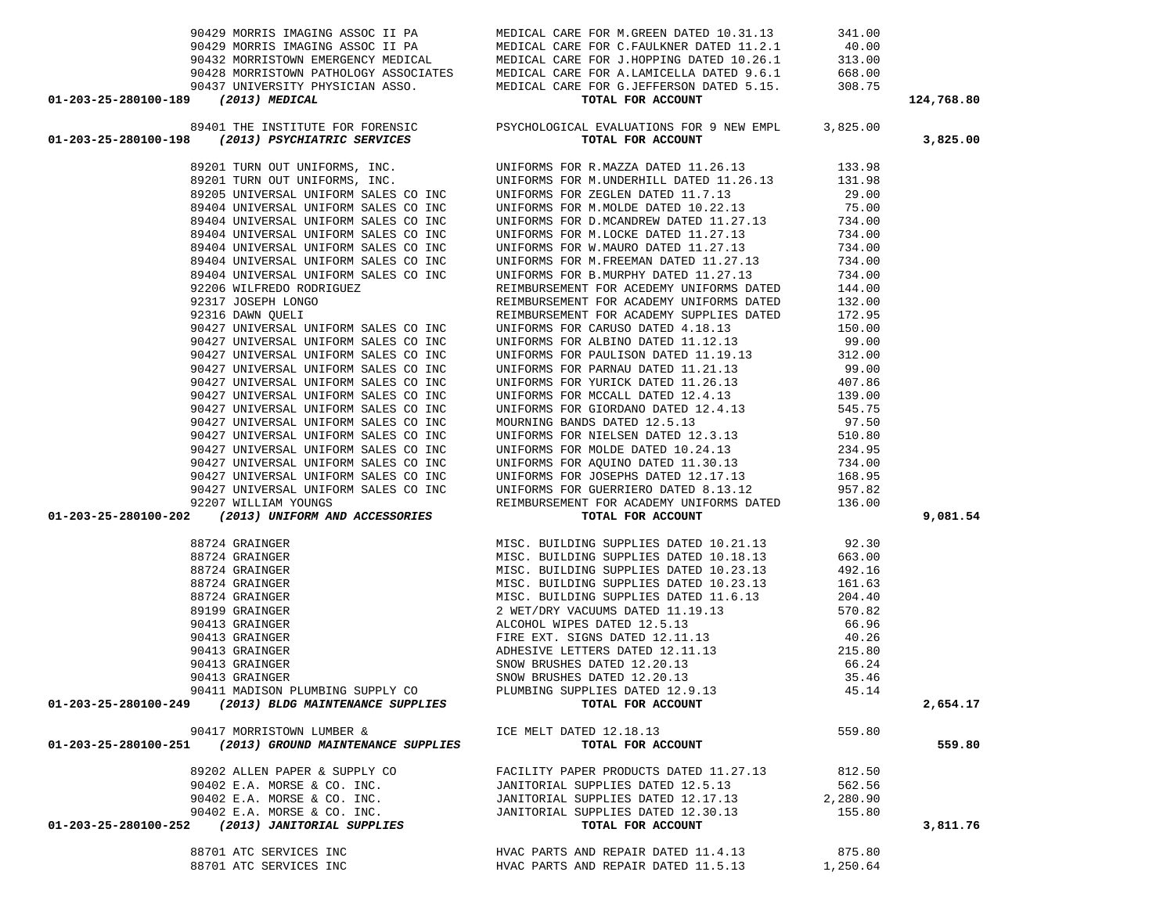| 01-203-25-280100-189 (2013) MEDICAL                                                                                                                                                                                                                 | 90429 MORRIS IMAGING ASSOCIIPA MEDICAL CARE FOR M.GREEN DATED 10.31.13 341.00<br>90429 MORRIS IMAGING ASSOCIIPA MEDICAL CARE FOR C.FAULKNER DATED 11.2.1 40.00<br>90432 MORRISTOWN EMERGENCY MEDICAL MEDICAL CARE FOR J.HOPPING D<br>TOTAL FOR ACCOUNT |          | 124,768.80 |
|-----------------------------------------------------------------------------------------------------------------------------------------------------------------------------------------------------------------------------------------------------|--------------------------------------------------------------------------------------------------------------------------------------------------------------------------------------------------------------------------------------------------------|----------|------------|
|                                                                                                                                                                                                                                                     |                                                                                                                                                                                                                                                        |          |            |
| 89401 THE INSTITUTE FOR FORENSIC PSYCHOLOGICAL EVALUATIONS FOR 9 NEW EMPL 3,825.00<br><b>01-203-25-280100-198</b> (2013) PSYCHIATRIC SERVICES TOTAL FOR ACCOUNT                                                                                     |                                                                                                                                                                                                                                                        |          | 3,825.00   |
|                                                                                                                                                                                                                                                     |                                                                                                                                                                                                                                                        |          |            |
|                                                                                                                                                                                                                                                     |                                                                                                                                                                                                                                                        |          |            |
|                                                                                                                                                                                                                                                     |                                                                                                                                                                                                                                                        |          |            |
|                                                                                                                                                                                                                                                     |                                                                                                                                                                                                                                                        |          |            |
|                                                                                                                                                                                                                                                     |                                                                                                                                                                                                                                                        |          |            |
|                                                                                                                                                                                                                                                     |                                                                                                                                                                                                                                                        |          |            |
|                                                                                                                                                                                                                                                     |                                                                                                                                                                                                                                                        |          |            |
|                                                                                                                                                                                                                                                     |                                                                                                                                                                                                                                                        |          |            |
|                                                                                                                                                                                                                                                     |                                                                                                                                                                                                                                                        |          |            |
|                                                                                                                                                                                                                                                     | UNIFORMS FOR B.MURPHY DATED 11.27.13<br>REIMBURSEMENT FOR ACEDEMY UNIFORMS DATED 144.00<br>CONSERVED 132.00                                                                                                                                            |          |            |
|                                                                                                                                                                                                                                                     |                                                                                                                                                                                                                                                        |          |            |
| 89404 UNIVERSAL UNIFORM SALES CO INC<br>89404 UNIVERSAL UNIFORM SALES CO INC<br>89404 UNIVERSAL UNIFORM SALES CO INC<br>92206 WILFREDO RODRIGUEZ<br>92317 JOSEPH LONGO<br>92316 DAWN QUELI<br>90427 UNIVERSAL UNIFORM SALES CO INC<br>90427 UNIVERS | REIMBURSEMENT FOR ACADEMY SUPPLIES DATED 172.95                                                                                                                                                                                                        |          |            |
|                                                                                                                                                                                                                                                     | REIMBURSEMENT FOR ACADEMY SUPPLIES DATED<br>UNIFORMS FOR ALBINO DATED 1.12.13 50.00<br>UNIFORMS FOR ALBINO DATED 11.12.13 99.00<br>UNIFORMS FOR PARINAU DATED 11.19.13 312.00<br>UNIFORMS FOR PARINAU DATED 11.21.13 99.00<br>UNIFORMS F               |          |            |
|                                                                                                                                                                                                                                                     |                                                                                                                                                                                                                                                        |          |            |
|                                                                                                                                                                                                                                                     |                                                                                                                                                                                                                                                        |          |            |
|                                                                                                                                                                                                                                                     |                                                                                                                                                                                                                                                        |          |            |
| 90427 UNIVERSAL UNIFORM SALES CO INC                                                                                                                                                                                                                |                                                                                                                                                                                                                                                        |          |            |
| 90427 UNIVERSAL UNIFORM SALES CO INC                                                                                                                                                                                                                |                                                                                                                                                                                                                                                        |          |            |
| 90427 UNIVERSAL UNIFORM SALES CO INC                                                                                                                                                                                                                |                                                                                                                                                                                                                                                        |          |            |
| 90427 UNIVERSAL UNIFORM SALES CO INC                                                                                                                                                                                                                |                                                                                                                                                                                                                                                        |          |            |
| 90427 UNIVERSAL UNIFORM SALES CO INC                                                                                                                                                                                                                |                                                                                                                                                                                                                                                        |          |            |
| 90427 UNIVERSAL UNIFORM SALES CO INC                                                                                                                                                                                                                |                                                                                                                                                                                                                                                        |          |            |
| 90427 UNIVERSAL UNIFORM SALES CO INC<br>90427 UNIVERSAL UNIFORM SALES CO INC<br>90427 UNIVERSAL UNIFORM SALES CO INC<br>92207 WILLIAM YOUNGS                                                                                                        |                                                                                                                                                                                                                                                        |          |            |
|                                                                                                                                                                                                                                                     |                                                                                                                                                                                                                                                        |          |            |
|                                                                                                                                                                                                                                                     |                                                                                                                                                                                                                                                        |          |            |
|                                                                                                                                                                                                                                                     | UNIFORMS FOR GUERRIERO DATED 8.13.12 957.82<br>REIMBURSEMENT FOR ACADEMY UNIFORMS DATED 136.00                                                                                                                                                         |          |            |
| 01-203-25-280100-202 (2013) UNIFORM AND ACCESSORIES                                                                                                                                                                                                 | TOTAL FOR ACCOUNT                                                                                                                                                                                                                                      |          | 9,081.54   |
|                                                                                                                                                                                                                                                     | MISC. BUILDING SUPPLIES DATED 10.21.13 92.30<br>MISC. BUILDING SUPPLIES DATED 10.18.13 663.00                                                                                                                                                          |          |            |
|                                                                                                                                                                                                                                                     |                                                                                                                                                                                                                                                        |          |            |
|                                                                                                                                                                                                                                                     |                                                                                                                                                                                                                                                        |          |            |
|                                                                                                                                                                                                                                                     |                                                                                                                                                                                                                                                        |          |            |
|                                                                                                                                                                                                                                                     |                                                                                                                                                                                                                                                        |          |            |
|                                                                                                                                                                                                                                                     |                                                                                                                                                                                                                                                        |          |            |
|                                                                                                                                                                                                                                                     |                                                                                                                                                                                                                                                        |          |            |
|                                                                                                                                                                                                                                                     |                                                                                                                                                                                                                                                        |          |            |
|                                                                                                                                                                                                                                                     |                                                                                                                                                                                                                                                        |          |            |
|                                                                                                                                                                                                                                                     |                                                                                                                                                                                                                                                        |          |            |
|                                                                                                                                                                                                                                                     |                                                                                                                                                                                                                                                        |          |            |
|                                                                                                                                                                                                                                                     |                                                                                                                                                                                                                                                        |          |            |
| 01-203-25-280100-249 (2013) BLDG MAINTENANCE SUPPLIES                                                                                                                                                                                               | TOTAL FOR ACCOUNT                                                                                                                                                                                                                                      |          | 2,654.17   |
| 90417 MORRISTOWN LUMBER &                                                                                                                                                                                                                           | ICE MELT DATED 12.18.13                                                                                                                                                                                                                                | 559.80   |            |
| $01-203-25-280100-251$ (2013) GROUND MAINTENANCE SUPPLIES                                                                                                                                                                                           | TOTAL FOR ACCOUNT                                                                                                                                                                                                                                      |          | 559.80     |
| 89202 ALLEN PAPER & SUPPLY CO                                                                                                                                                                                                                       | FACILITY PAPER PRODUCTS DATED 11.27.13 812.50                                                                                                                                                                                                          |          |            |
| 90402 E.A. MORSE & CO. INC.                                                                                                                                                                                                                         | JANITORIAL SUPPLIES DATED 12.5.13                                                                                                                                                                                                                      | 562.56   |            |
| 90402 E.A. MORSE & CO. INC.                                                                                                                                                                                                                         | JANITORIAL SUPPLIES DATED 12.17.13                                                                                                                                                                                                                     | 2,280.90 |            |
| 90402 E.A. MORSE & CO. INC.                                                                                                                                                                                                                         | JANITORIAL SUPPLIES DATED 12.30.13 155.80                                                                                                                                                                                                              |          |            |
| $01 - 203 - 25 - 280100 - 252$ (2013) JANITORIAL SUPPLIES                                                                                                                                                                                           | TOTAL FOR ACCOUNT                                                                                                                                                                                                                                      |          | 3,811.76   |
| 88701 ATC SERVICES INC                                                                                                                                                                                                                              | HVAC PARTS AND REPAIR DATED 11.4.13                                                                                                                                                                                                                    | 875.80   |            |
| 88701 ATC SERVICES INC                                                                                                                                                                                                                              | HVAC PARTS AND REPAIR DATED 11.5.13 1,250.64                                                                                                                                                                                                           |          |            |
|                                                                                                                                                                                                                                                     |                                                                                                                                                                                                                                                        |          |            |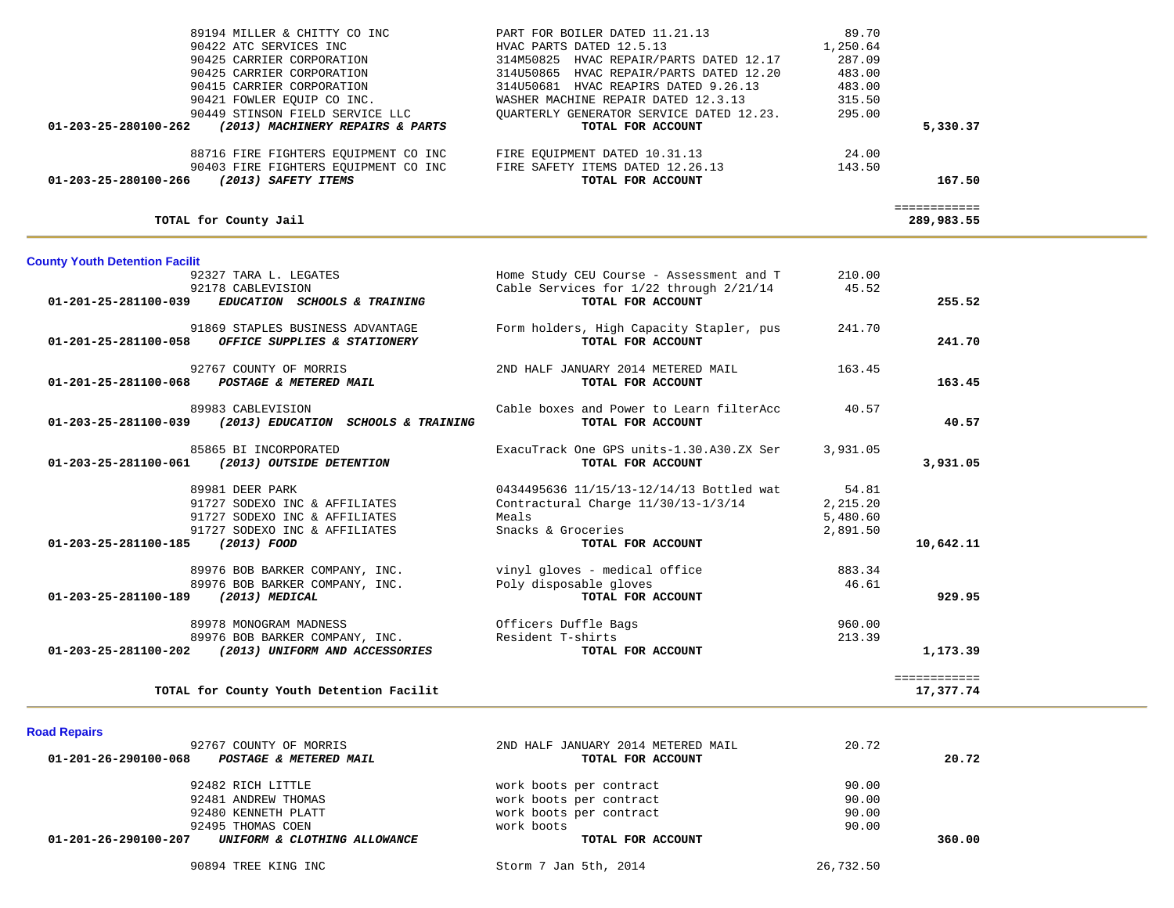| 89194 MILLER & CHITTY CO INC                             | PART FOR BOILER DATED 11.21.13           | 89.70    |              |
|----------------------------------------------------------|------------------------------------------|----------|--------------|
| 90422 ATC SERVICES INC                                   | HVAC PARTS DATED 12.5.13                 | 1,250.64 |              |
| 90425 CARRIER CORPORATION                                | 314M50825 HVAC REPAIR/PARTS DATED 12.17  | 287.09   |              |
| 90425 CARRIER CORPORATION                                | 314U50865 HVAC REPAIR/PARTS DATED 12.20  | 483.00   |              |
| 90415 CARRIER CORPORATION                                | 314U50681 HVAC REAPIRS DATED 9.26.13     | 483.00   |              |
| 90421 FOWLER EOUIP CO INC.                               | WASHER MACHINE REPAIR DATED 12.3.13      | 315.50   |              |
| 90449 STINSON FIELD SERVICE LLC                          | OUARTERLY GENERATOR SERVICE DATED 12.23. | 295.00   |              |
| (2013) MACHINERY REPAIRS & PARTS<br>01-203-25-280100-262 | TOTAL FOR ACCOUNT                        |          | 5,330.37     |
| 88716 FIRE FIGHTERS EOUIPMENT CO INC                     | FIRE EOUIPMENT DATED 10.31.13            | 24.00    |              |
| 90403 FIRE FIGHTERS EOUIPMENT CO INC                     | FIRE SAFETY ITEMS DATED 12.26.13         | 143.50   |              |
| 01-203-25-280100-266<br>(2013) SAFETY ITEMS              | TOTAL FOR ACCOUNT                        |          | 167.50       |
|                                                          |                                          |          | ============ |
| TOTAL for County Jail                                    |                                          |          | 289,983.55   |

## **County Youth Detention Facilit**<br>92327 TARA L. LEGATES

| 92327 TARA L. LEGATES<br>92178 CABLEVISION<br>01-201-25-281100-039<br>EDUCATION SCHOOLS & TRAINING                                                     | Home Study CEU Course - Assessment and T 210.00<br>Cable Services for $1/22$ through $2/21/14$ 45.52<br>TOTAL FOR ACCOUNT           |                                           | 255.52                           |
|--------------------------------------------------------------------------------------------------------------------------------------------------------|-------------------------------------------------------------------------------------------------------------------------------------|-------------------------------------------|----------------------------------|
| 91869 STAPLES BUSINESS ADVANTAGE<br>01-201-25-281100-058 OFFICE SUPPLIES & STATIONERY                                                                  | Form holders, High Capacity Stapler, pus 241.70<br>TOTAL FOR ACCOUNT                                                                |                                           | 241.70                           |
| 92767 COUNTY OF MORRIS<br>01-201-25-281100-068 POSTAGE & METERED MAIL                                                                                  | 2ND HALF JANUARY 2014 METERED MAIL<br>TOTAL FOR ACCOUNT                                                                             | 163.45                                    | 163.45                           |
| 89983 CABLEVISION<br>01-203-25-281100-039 (2013) EDUCATION SCHOOLS & TRAINING                                                                          | Cable boxes and Power to Learn filterAcc<br>TOTAL FOR ACCOUNT                                                                       | 40.57                                     | 40.57                            |
| 85865 BI INCORPORATED<br>01-203-25-281100-061 (2013) OUTSIDE DETENTION                                                                                 | ExacuTrack One GPS units-1.30.A30.ZX Ser<br>TOTAL FOR ACCOUNT                                                                       | 3,931.05                                  | 3,931.05                         |
| 89981 DEER PARK<br>91727 SODEXO INC & AFFILIATES<br>91727 SODEXO INC & AFFILIATES<br>91727 SODEXO INC & AFFILIATES<br>01-203-25-281100-185 (2013) FOOD | 0434495636 11/15/13-12/14/13 Bottled wat<br>Contractural Charge 11/30/13-1/3/14<br>Meals<br>Snacks & Groceries<br>TOTAL FOR ACCOUNT | 54.81<br>2,215.20<br>5,480.60<br>2,891.50 | 10,642.11                        |
| 89976 BOB BARKER COMPANY, INC.<br>89976 BOB BARKER COMPANY, INC.<br>01-203-25-281100-189 (2013) MEDICAL                                                | vinyl gloves - medical office<br>Poly disposable gloves<br>TOTAL FOR ACCOUNT                                                        | 883.34<br>46.61                           | 929.95                           |
| 89978 MONOGRAM MADNESS<br>89976 BOB BARKER COMPANY, INC.<br>01-203-25-281100-202 (2013) UNIFORM AND ACCESSORIES                                        | Officers Duffle Bags<br>Resident T-shirts<br>TOTAL FOR ACCOUNT                                                                      | 960.00<br>213.39                          | 1,173.39                         |
| TOTAL for County Youth Detention Facilit                                                                                                               |                                                                                                                                     |                                           | <b>BEBBBBBBBBBB</b><br>17,377.74 |

### **Road Repairs**

| 92767 COUNTY OF MORRIS                               | 2ND HALF JANUARY 2014 METERED MAIL | 20.72     |        |
|------------------------------------------------------|------------------------------------|-----------|--------|
| 01-201-26-290100-068<br>POSTAGE & METERED MAIL       | TOTAL FOR ACCOUNT                  |           | 20.72  |
| 92482 RICH LITTLE                                    | work boots per contract            | 90.00     |        |
| 92481 ANDREW THOMAS                                  | work boots per contract            | 90.00     |        |
| 92480 KENNETH PLATT                                  | work boots per contract            | 90.00     |        |
| 92495 THOMAS COEN                                    | work boots                         | 90.00     |        |
| 01-201-26-290100-207<br>UNIFORM & CLOTHING ALLOWANCE | TOTAL FOR ACCOUNT                  |           | 360.00 |
| 90894 TREE KING INC                                  | Storm 7 Jan 5th, 2014              | 26,732.50 |        |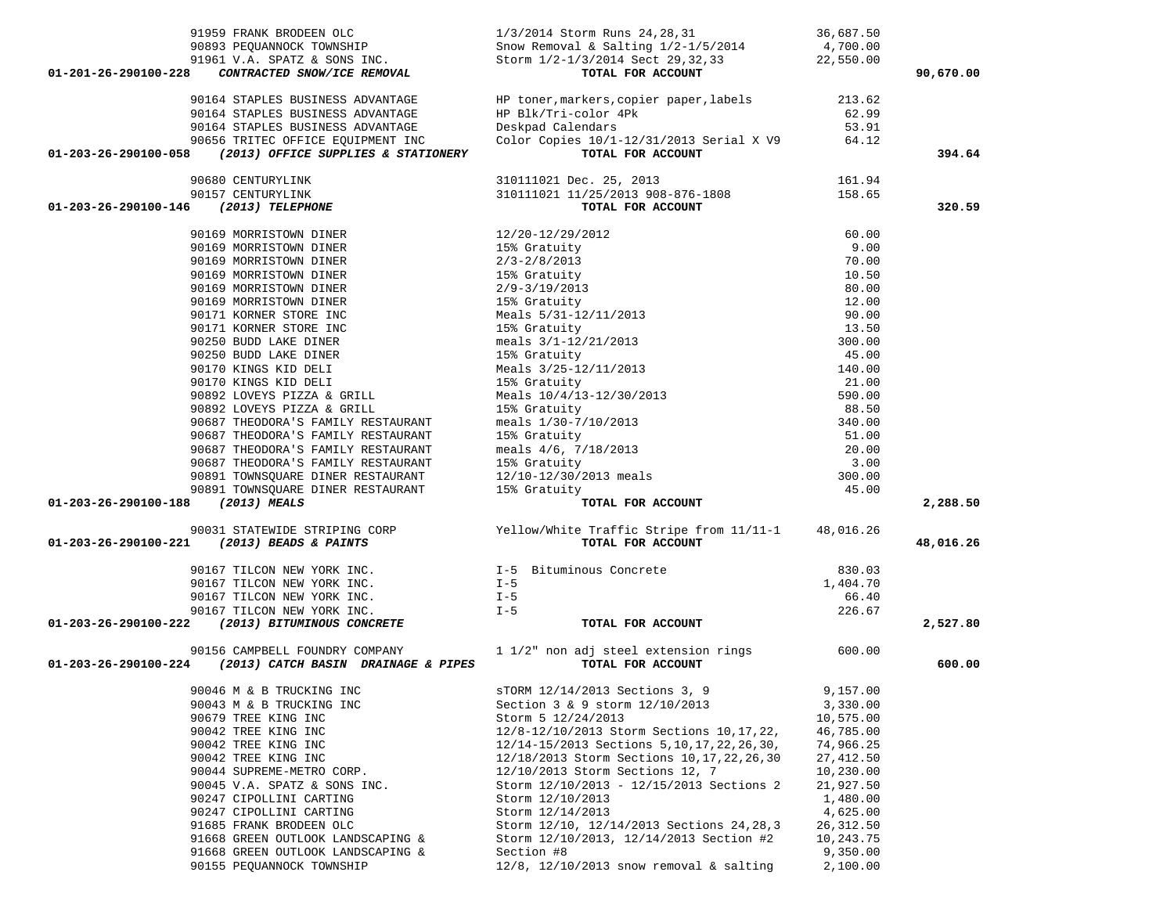| 91959 FRANK BRODEEN OLC<br>$\frac{1}{2}$<br>91961 V.A. SPATZ & SONS INC.<br>8 <b>CONTRACTED SNOW /TOP PERSONS</b> SERVICE:<br>8 <b>CONTRACTED SNOW</b> /TOP PERSONSIC SERVICES SERVICES 20114 Sect 20 20 20 20<br>CONTRACTED SNOW/ICE REMOVAL<br>01-201-26-290100-228 | 1/3/2014 Storm Runs 24, 28, 31<br>Storm 1/2-1/3/2014 Sect 29, 32, 33 22, 550.00<br>TOTAL FOR ACCOUNT                                                                                                                                                                                                                                                                                     | 36,687.50<br>4,700.00 | 90,670.00 |
|-----------------------------------------------------------------------------------------------------------------------------------------------------------------------------------------------------------------------------------------------------------------------|------------------------------------------------------------------------------------------------------------------------------------------------------------------------------------------------------------------------------------------------------------------------------------------------------------------------------------------------------------------------------------------|-----------------------|-----------|
| 90164 STAPLES BUSINESS ADVANTAGE<br>90164 STAPLES BUSINESS ADVANTAGE<br>90164 STAPLES BUSINESS ADVANTAGE<br>90656 TRITEC OFFICE EQUIPMENT INC<br>01-203-26-290100-058 (2013) OFFICE SUPPLIES & STATIONERY                                                             | HP toner, markers, copier paper, labels 213.62<br>HP Blk/Tri-color 4Pk 62.99<br>Deskpad Calendars 53.91<br>Color Copies 10/1-12/31/2013 Serial X V9 64.12<br>TOTAL FOR ACCOUNT                                                                                                                                                                                                           |                       | 394.64    |
|                                                                                                                                                                                                                                                                       | 310111021 Dec. 25, 2013<br>310111021 11/25/2013 908-876-1808<br><b>TOTAL FOR ACCOUNT</b>                                                                                                                                                                                                                                                                                                 |                       |           |
| 90680 CENTURYLINK<br>90157 CENTURYLINK                                                                                                                                                                                                                                |                                                                                                                                                                                                                                                                                                                                                                                          | 161.94<br>158.65      |           |
| 01-203-26-290100-146 (2013) TELEPHONE                                                                                                                                                                                                                                 |                                                                                                                                                                                                                                                                                                                                                                                          |                       | 320.59    |
| 90169 MORRISTOWN DINER<br>90169 MORRISTOWN DINER<br>90169 MORRISTOWN DINER<br>90169 MORRISTOWN DINER<br>90169 MORRISTOWN DINER<br>90169 MORRISTOWN DINER<br>90171 KORNER STORE INC<br>90250 BUDD LAKE DINER<br>90250 BUDD LAKE DINER<br>90250 BUDD LAKE D             | $\begin{tabular}{l c c c} & \multicolumn{1}{c}{\textbf{TOPAL FOR ACCOMP}} \\\hline 12/20-12/29/2012 & 60.00 \\ 15\text{\AA\textcolor{red}{S}} Graturity & 9.00 \\ 2/3-2/8/2013 & 10.50 \\ 2/9-3/19/2013 & 80.00 \\ 15\text{\AA\textcolor{red}{S}} Graturity & 10.50 \\ 18\text{\AA\textcolor{red}{S}}\ \text{S131-12/11/2013 & 80.00 \\ 15\text{\AA\textcolor{red}{S}}\ Graturity & 13.$ |                       |           |
|                                                                                                                                                                                                                                                                       |                                                                                                                                                                                                                                                                                                                                                                                          |                       |           |
|                                                                                                                                                                                                                                                                       |                                                                                                                                                                                                                                                                                                                                                                                          |                       |           |
|                                                                                                                                                                                                                                                                       |                                                                                                                                                                                                                                                                                                                                                                                          |                       |           |
|                                                                                                                                                                                                                                                                       |                                                                                                                                                                                                                                                                                                                                                                                          |                       |           |
|                                                                                                                                                                                                                                                                       |                                                                                                                                                                                                                                                                                                                                                                                          |                       |           |
|                                                                                                                                                                                                                                                                       |                                                                                                                                                                                                                                                                                                                                                                                          |                       |           |
|                                                                                                                                                                                                                                                                       |                                                                                                                                                                                                                                                                                                                                                                                          |                       |           |
|                                                                                                                                                                                                                                                                       |                                                                                                                                                                                                                                                                                                                                                                                          |                       |           |
|                                                                                                                                                                                                                                                                       |                                                                                                                                                                                                                                                                                                                                                                                          |                       |           |
| 90170 KINGS KID DELI                                                                                                                                                                                                                                                  |                                                                                                                                                                                                                                                                                                                                                                                          |                       |           |
| 90170 KINGS KID DELI                                                                                                                                                                                                                                                  |                                                                                                                                                                                                                                                                                                                                                                                          |                       |           |
| 90892 LOVEYS PIZZA & GRILL                                                                                                                                                                                                                                            |                                                                                                                                                                                                                                                                                                                                                                                          |                       |           |
| 90892 LOVEYS PIZZA & GRILL                                                                                                                                                                                                                                            |                                                                                                                                                                                                                                                                                                                                                                                          |                       |           |
| 90687 THEODORA'S FAMILY RESTAURANT                                                                                                                                                                                                                                    |                                                                                                                                                                                                                                                                                                                                                                                          |                       |           |
| 90687 THEODORA'S FAMILY RESTAURANT                                                                                                                                                                                                                                    |                                                                                                                                                                                                                                                                                                                                                                                          |                       |           |
| 90687 THEODORA'S FAMILY RESTAURANT                                                                                                                                                                                                                                    |                                                                                                                                                                                                                                                                                                                                                                                          |                       |           |
|                                                                                                                                                                                                                                                                       |                                                                                                                                                                                                                                                                                                                                                                                          |                       |           |
|                                                                                                                                                                                                                                                                       |                                                                                                                                                                                                                                                                                                                                                                                          |                       |           |
|                                                                                                                                                                                                                                                                       |                                                                                                                                                                                                                                                                                                                                                                                          |                       |           |
| 90687 THEODORA'S FAMILY RESTAURANT<br>90891 TOWNSQUARE DINER RESTAURANT<br>90891 TOWNSQUARE DINER RESTAURANT<br>15% Gratuity<br>01-203-26-290100-188 (2013) MEALS                                                                                                     |                                                                                                                                                                                                                                                                                                                                                                                          |                       | 2,288.50  |
|                                                                                                                                                                                                                                                                       |                                                                                                                                                                                                                                                                                                                                                                                          |                       |           |
| 90031 STATEWIDE STRIPING CORP Yellow/White Traffic Stripe from 11/11-1 48,016.26<br>TOTAL FOR ACCOUNT TORE ACCOUNT                                                                                                                                                    |                                                                                                                                                                                                                                                                                                                                                                                          |                       | 48,016.26 |
| 90167 TILCON NEW YORK INC.<br>90167 TILCON NEW YORK INC.<br>1-5 1-5                                                                                                                                                                                                   |                                                                                                                                                                                                                                                                                                                                                                                          | 830.03                |           |
|                                                                                                                                                                                                                                                                       |                                                                                                                                                                                                                                                                                                                                                                                          | 1,404.70              |           |
| 90167 TILCON NEW YORK INC.                                                                                                                                                                                                                                            | $I - 5$                                                                                                                                                                                                                                                                                                                                                                                  | 66.40                 |           |
|                                                                                                                                                                                                                                                                       | $I - 5$                                                                                                                                                                                                                                                                                                                                                                                  | 226.67                |           |
| 90167 TILCON NEW YORK INC.<br>90167 TILCON NEW YORK INC.<br>01-203-26-290100-222 (2013) BITUMINOUS CONCRETE                                                                                                                                                           | TOTAL FOR ACCOUNT                                                                                                                                                                                                                                                                                                                                                                        |                       | 2,527.80  |
| 01-203-26-290100-224 (2013) CATCH BASIN DRAINAGE & PIPES                                                                                                                                                                                                              | 90156 CAMPBELL FOUNDRY COMPANY 1 1/2" non adj steel extension rings 600.00<br>TOTAL FOR ACCOUNT                                                                                                                                                                                                                                                                                          |                       | 600.00    |
| 90046 M & B TRUCKING INC                                                                                                                                                                                                                                              | sTORM 12/14/2013 Sections 3, 9                                                                                                                                                                                                                                                                                                                                                           | 9,157.00              |           |
| 90043 M & B TRUCKING INC                                                                                                                                                                                                                                              | Section 3 & 9 storm 12/10/2013                                                                                                                                                                                                                                                                                                                                                           | 3,330.00              |           |
| 90679 TREE KING INC                                                                                                                                                                                                                                                   | Storm 5 12/24/2013                                                                                                                                                                                                                                                                                                                                                                       | 10,575.00             |           |
| 90042 TREE KING INC                                                                                                                                                                                                                                                   | 12/8-12/10/2013 Storm Sections 10, 17, 22,                                                                                                                                                                                                                                                                                                                                               | 46,785.00             |           |
| 90042 TREE KING INC                                                                                                                                                                                                                                                   | 12/14-15/2013 Sections 5, 10, 17, 22, 26, 30,                                                                                                                                                                                                                                                                                                                                            | 74,966.25             |           |
| 90042 TREE KING INC                                                                                                                                                                                                                                                   | 12/18/2013 Storm Sections 10, 17, 22, 26, 30                                                                                                                                                                                                                                                                                                                                             | 27,412.50             |           |
| 90044 SUPREME-METRO CORP.                                                                                                                                                                                                                                             | 12/10/2013 Storm Sections 12, 7                                                                                                                                                                                                                                                                                                                                                          | 10,230.00             |           |
| 90045 V.A. SPATZ & SONS INC.                                                                                                                                                                                                                                          | Storm 12/10/2013 - 12/15/2013 Sections 2                                                                                                                                                                                                                                                                                                                                                 | 21,927.50             |           |
| 90247 CIPOLLINI CARTING                                                                                                                                                                                                                                               | Storm 12/10/2013                                                                                                                                                                                                                                                                                                                                                                         | 1,480.00              |           |
| 90247 CIPOLLINI CARTING                                                                                                                                                                                                                                               | Storm 12/14/2013                                                                                                                                                                                                                                                                                                                                                                         | 4,625.00              |           |
| 91685 FRANK BRODEEN OLC                                                                                                                                                                                                                                               | Storm 12/10, 12/14/2013 Sections 24, 28, 3                                                                                                                                                                                                                                                                                                                                               | 26, 312.50            |           |
| 91668 GREEN OUTLOOK LANDSCAPING &                                                                                                                                                                                                                                     | Storm 12/10/2013, 12/14/2013 Section #2                                                                                                                                                                                                                                                                                                                                                  | 10,243.75             |           |
| 91668 GREEN OUTLOOK LANDSCAPING &                                                                                                                                                                                                                                     | Section #8                                                                                                                                                                                                                                                                                                                                                                               | 9,350.00              |           |
| 90155 PEQUANNOCK TOWNSHIP                                                                                                                                                                                                                                             | $12/8$ , $12/10/2013$ snow removal & salting                                                                                                                                                                                                                                                                                                                                             | 2,100.00              |           |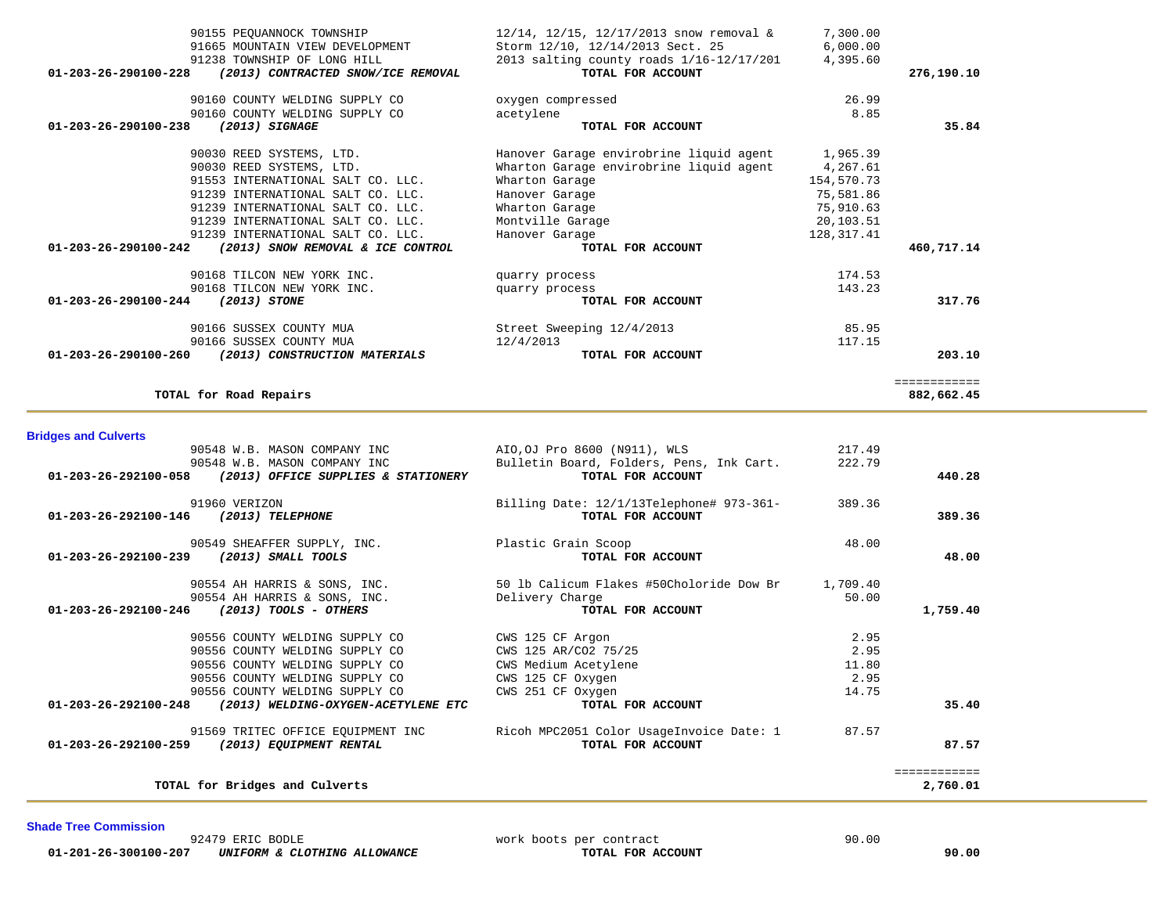92479 ERIC BODLE work boots per contract 90.00  **01-201-26-300100-207** *UNIFORM & CLOTHING ALLOWANCE* **TOTAL FOR ACCOUNT 90.00**

**Shade Tree Commission** 

÷.

| 389.36       | 389.36   | Billing Date: 12/1/13Telephone# 973-361-<br>TOTAL FOR ACCOUNT | 91960 VERIZON<br>01-203-26-292100-146 (2013) TELEPHONE   |
|--------------|----------|---------------------------------------------------------------|----------------------------------------------------------|
|              | 48.00    | Plastic Grain Scoop                                           | 90549 SHEAFFER SUPPLY, INC.                              |
| 48.00        |          | TOTAL FOR ACCOUNT                                             | (2013) SMALL TOOLS<br>01-203-26-292100-239               |
|              | 1,709.40 | 50 lb Calicum Flakes #50Choloride Dow Br                      | 90554 AH HARRIS & SONS, INC.                             |
|              | 50.00    | Delivery Charge                                               | 90554 AH HARRIS & SONS, INC.                             |
| 1,759.40     |          | TOTAL FOR ACCOUNT                                             | 01-203-26-292100-246 (2013) TOOLS - OTHERS               |
|              | 2.95     | CWS 125 CF Argon                                              | 90556 COUNTY WELDING SUPPLY CO                           |
|              | 2.95     | CWS 125 AR/CO2 75/25                                          | 90556 COUNTY WELDING SUPPLY CO                           |
|              | 11.80    | CWS Medium Acetylene                                          | 90556 COUNTY WELDING SUPPLY CO                           |
|              | 2.95     | CWS 125 CF Oxygen                                             | 90556 COUNTY WELDING SUPPLY CO                           |
|              | 14.75    | CWS 251 CF Oxygen                                             | 90556 COUNTY WELDING SUPPLY CO                           |
| 35.40        |          | TOTAL FOR ACCOUNT                                             | 01-203-26-292100-248 (2013) WELDING-OXYGEN-ACETYLENE ETC |
|              | 87.57    | Ricoh MPC2051 Color UsageInvoice Date: 1                      | 91569 TRITEC OFFICE EOUIPMENT INC                        |
| 87.57        |          | TOTAL FOR ACCOUNT                                             | (2013) EQUIPMENT RENTAL<br>01-203-26-292100-259          |
| ============ |          |                                                               |                                                          |
| 2,760.01     |          |                                                               | TOTAL for Bridges and Culverts                           |

 90548 W.B. MASON COMPANY INC AIO,OJ Pro 8600 (N911), WLS 217.49 90548 W.B. MASON COMPANY INC Bulletin Board, Folders, Pens, Ink Cart. 222.79<br>3 (2013) OFFICE SUPPLIES & STATIONERY TOTAL FOR ACCOUNT  **01-203-26-292100-058** *(2013) OFFICE SUPPLIES & STATIONERY* **TOTAL FOR ACCOUNT 440.28**

### **Bridges and Culverts**

| 91665 MOUNTAIN VIEW DEVELOPMENT                                      | Storm 12/10, 12/14/2013 Sect. 25           | 6,000.00   |              |
|----------------------------------------------------------------------|--------------------------------------------|------------|--------------|
| 91238 TOWNSHIP OF LONG HILL                                          | 2013 salting county roads $1/16-12/17/201$ | 4,395.60   |              |
| (2013) CONTRACTED SNOW/ICE REMOVAL<br>$01 - 203 - 26 - 290100 - 228$ | TOTAL FOR ACCOUNT                          |            | 276,190.10   |
| 90160 COUNTY WELDING SUPPLY CO                                       | oxygen compressed                          | 26.99      |              |
| 90160 COUNTY WELDING SUPPLY CO                                       | acetylene                                  | 8.85       |              |
| 01-203-26-290100-238<br>(2013) SIGNAGE                               | TOTAL FOR ACCOUNT                          |            | 35.84        |
| 90030 REED SYSTEMS, LTD.                                             | Hanover Garage envirobrine liquid agent    | 1,965.39   |              |
| 90030 REED SYSTEMS, LTD.                                             | Wharton Garage envirobrine liquid agent    | 4,267.61   |              |
| 91553 INTERNATIONAL SALT CO. LLC.                                    | Wharton Garage                             | 154,570.73 |              |
| 91239 INTERNATIONAL SALT CO. LLC.                                    | Hanover Garage                             | 75,581.86  |              |
| 91239 INTERNATIONAL SALT CO. LLC.                                    | Wharton Garage                             | 75,910.63  |              |
| 91239 INTERNATIONAL SALT CO. LLC.                                    | Montville Garage                           | 20,103.51  |              |
| 91239 INTERNATIONAL SALT CO. LLC.                                    | Hanover Garage                             | 128,317.41 |              |
| 01-203-26-290100-242<br>(2013) SNOW REMOVAL & ICE CONTROL            | TOTAL FOR ACCOUNT                          |            | 460,717.14   |
| 90168 TILCON NEW YORK INC.                                           | quarry process                             | 174.53     |              |
| 90168 TILCON NEW YORK INC.                                           | quarry process                             | 143.23     |              |
| $01 - 203 - 26 - 290100 - 244$<br>(2013) STONE                       | TOTAL FOR ACCOUNT                          |            | 317.76       |
| 90166 SUSSEX COUNTY MUA                                              | Street Sweeping 12/4/2013                  | 85.95      |              |
| 90166 SUSSEX COUNTY MUA                                              | 12/4/2013                                  | 117.15     |              |
| 01-203-26-290100-260<br>(2013) CONSTRUCTION MATERIALS                | TOTAL FOR ACCOUNT                          |            | 203.10       |
|                                                                      |                                            |            | ============ |
| TOTAL for Road Repairs                                               |                                            |            | 882,662.45   |
|                                                                      |                                            |            |              |

90155 PEQUANNOCK TOWNSHIP 12/14, 12/15, 12/17/2013 snow removal & 7,300.00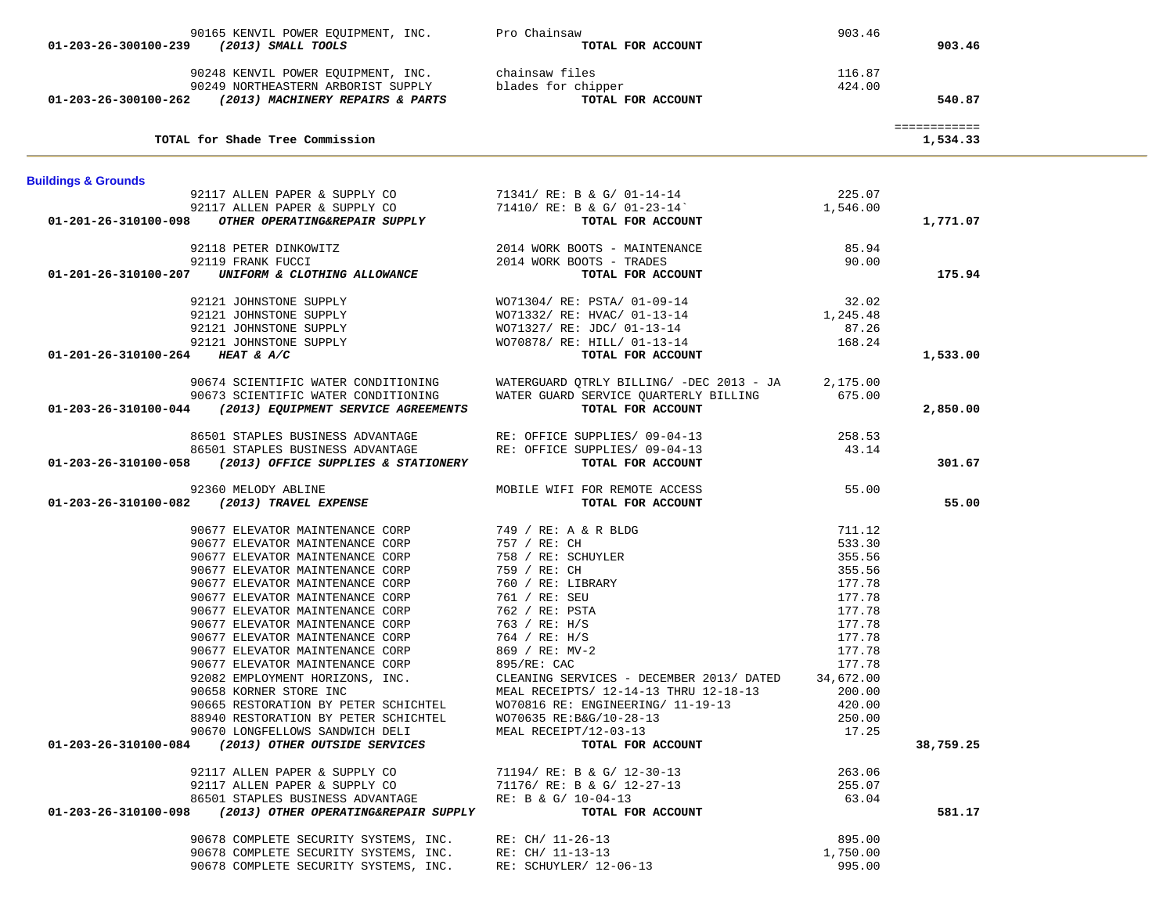| 90165 KENVIL POWER EQUIPMENT, INC. Pro Chainsaw                                                               |                                                                                            | 903.46           |              |  |
|---------------------------------------------------------------------------------------------------------------|--------------------------------------------------------------------------------------------|------------------|--------------|--|
| 01-203-26-300100-239 (2013) SMALL TOOLS                                                                       | TOTAL FOR ACCOUNT                                                                          |                  | 903.46       |  |
|                                                                                                               |                                                                                            |                  |              |  |
| 90248 KENVIL POWER EQUIPMENT, INC. Chainsaw files                                                             |                                                                                            | 116.87           |              |  |
| 90249 NORTHEASTERN ARBORIST SUPPLY blades for chipper<br>2 (2013) MACHINERY REPAIRS & PARTS TOTAL FOR ACCOUNT |                                                                                            | 424.00           |              |  |
| 01-203-26-300100-262 (2013) MACHINERY REPAIRS & PARTS                                                         | TOTAL FOR ACCOUNT                                                                          |                  | 540.87       |  |
|                                                                                                               |                                                                                            |                  | ============ |  |
| TOTAL for Shade Tree Commission                                                                               |                                                                                            |                  | 1,534.33     |  |
|                                                                                                               |                                                                                            |                  |              |  |
| <b>Buildings &amp; Grounds</b>                                                                                |                                                                                            | 225.07           |              |  |
|                                                                                                               | 92117 ALLEN PAPER & SUPPLY CO<br>92117 ALLEN PAPER & SUPPLY CO<br>71410/RE: B & G/01-23-14 | 1,546.00         |              |  |
| 01-201-26-310100-098 OTHER OPERATING&REPAIR SUPPLY                                                            | TOTAL FOR ACCOUNT                                                                          |                  | 1,771.07     |  |
|                                                                                                               |                                                                                            |                  |              |  |
| 92118 PETER DINKOWITZ                                                                                         | 2014 WORK BOOTS - MAINTENANCE                                                              | 85.94            |              |  |
| 92119 FRANK FUCCI                                                                                             | 2014 WORK BOOTS - TRADES                                                                   | 90.00            |              |  |
| UNIFORM & CLOTHING ALLOWANCE<br>01-201-26-310100-207                                                          | TOTAL FOR ACCOUNT                                                                          |                  | 175.94       |  |
| 92121 JOHNSTONE SUPPLY                                                                                        | WO71304/ RE: PSTA/ 01-09-14                                                                | 1,245.48         |              |  |
| 92121 JOHNSTONE SUPPLY                                                                                        | WO71332/ RE: HVAC/ 01-13-14                                                                |                  |              |  |
| 92121 JOHNSTONE SUPPLY                                                                                        | WO71327/ RE: JDC/ 01-13-14                                                                 | 87.26            |              |  |
| 92121 JOHNSTONE SUPPLY                                                                                        | WO70878/ RE: HILL/ 01-13-14                                                                | 168.24           |              |  |
| 01-201-26-310100-264 HEAT & A/C                                                                               | TOTAL FOR ACCOUNT                                                                          |                  | 1,533.00     |  |
|                                                                                                               | WATERGUARD QTRLY BILLING/ -DEC 2013 - JA                                                   | 2,175.00         |              |  |
| 90674 SCIENTIFIC WATER CONDITIONING<br>90673 SCIENTIFIC WATER CONDITIONING                                    | WATER GUARD SERVICE QUARTERLY BILLING                                                      | 675.00           |              |  |
| 01-203-26-310100-044 (2013) EQUIPMENT SERVICE AGREEMENTS                                                      | TOTAL FOR ACCOUNT                                                                          |                  | 2,850.00     |  |
|                                                                                                               |                                                                                            |                  |              |  |
| 86501 STAPLES BUSINESS ADVANTAGE                                                                              | RE: OFFICE SUPPLIES/ 09-04-13                                                              | 258.53           |              |  |
| 86501 STAPLES BUSINESS ADVANTAGE                                                                              | RE: OFFICE SUPPLIES/ 09-04-13                                                              | 43.14            |              |  |
| $01-203-26-310100-058$ (2013) OFFICE SUPPLIES & STATIONERY                                                    | TOTAL FOR ACCOUNT                                                                          |                  | 301.67       |  |
| 92360 MELODY ABLINE                                                                                           | MOBILE WIFI FOR REMOTE ACCESS                                                              | 55.00            |              |  |
| 01-203-26-310100-082 (2013) TRAVEL EXPENSE                                                                    | TOTAL FOR ACCOUNT                                                                          |                  | 55.00        |  |
|                                                                                                               |                                                                                            |                  |              |  |
| 90677 ELEVATOR MAINTENANCE CORP                                                                               | 749 / RE: A & R BLDG                                                                       | 711.12           |              |  |
| 90677 ELEVATOR MAINTENANCE CORP                                                                               | 757 / RE: CH                                                                               | 533.30           |              |  |
| 90677 ELEVATOR MAINTENANCE CORP                                                                               | 758 / RE: SCHUYLER                                                                         | 355.56           |              |  |
| 90677 ELEVATOR MAINTENANCE CORP                                                                               | 759 / RE: CH                                                                               | 355.56           |              |  |
| 90677 ELEVATOR MAINTENANCE CORP                                                                               | 760 / RE: LIBRARY                                                                          | 177.78           |              |  |
| 90677 ELEVATOR MAINTENANCE CORP                                                                               | 761 / RE: SEU                                                                              | 177.78           |              |  |
| 90677 ELEVATOR MAINTENANCE CORP                                                                               | 762 / RE: PSTA                                                                             | 177.78           |              |  |
| 90677 ELEVATOR MAINTENANCE CORP                                                                               | 763 / RE: H/S                                                                              | 177.78           |              |  |
| 90677 ELEVATOR MAINTENANCE CORP<br>90677 ELEVATOR MAINTENANCE CORP                                            | 764 / RE: H/S<br>869 / RE: MV-2                                                            | 177.78<br>177.78 |              |  |
| 90677 ELEVATOR MAINTENANCE CORP                                                                               | 895/RE: CAC                                                                                | 177.78           |              |  |
| 92082 EMPLOYMENT HORIZONS, INC.                                                                               | CLEANING SERVICES - DECEMBER 2013/ DATED                                                   | 34,672.00        |              |  |
| 90658 KORNER STORE INC                                                                                        | MEAL RECEIPTS/ 12-14-13 THRU 12-18-13                                                      | 200.00           |              |  |
| 90665 RESTORATION BY PETER SCHICHTEL                                                                          | WO70816 RE: ENGINEERING/ 11-19-13                                                          | 420.00           |              |  |
| 88940 RESTORATION BY PETER SCHICHTEL                                                                          | WO70635 RE: B&G/10-28-13                                                                   | 250.00           |              |  |
| 90670 LONGFELLOWS SANDWICH DELI                                                                               | MEAL RECEIPT/12-03-13                                                                      | 17.25            |              |  |
| (2013) OTHER OUTSIDE SERVICES<br>01-203-26-310100-084                                                         | TOTAL FOR ACCOUNT                                                                          |                  | 38,759.25    |  |
|                                                                                                               |                                                                                            |                  |              |  |
| 92117 ALLEN PAPER & SUPPLY CO<br>92117 ALLEN PAPER & SUPPLY CO                                                | 71194/ RE: B & G/ 12-30-13                                                                 | 263.06<br>255.07 |              |  |
| 86501 STAPLES BUSINESS ADVANTAGE                                                                              | 71176/ RE: B & G/ 12-27-13<br>RE: B & G/ 10-04-13                                          | 63.04            |              |  |
| 01-203-26-310100-098<br>(2013) OTHER OPERATING&REPAIR SUPPLY                                                  | TOTAL FOR ACCOUNT                                                                          |                  | 581.17       |  |
|                                                                                                               |                                                                                            |                  |              |  |
| 90678 COMPLETE SECURITY SYSTEMS, INC.                                                                         | RE: CH/ 11-26-13                                                                           | 895.00           |              |  |
| 90678 COMPLETE SECURITY SYSTEMS, INC.                                                                         | RE: CH/ 11-13-13                                                                           | 1,750.00         |              |  |
| 90678 COMPLETE SECURITY SYSTEMS, INC.                                                                         | RE: SCHUYLER/ 12-06-13                                                                     | 995.00           |              |  |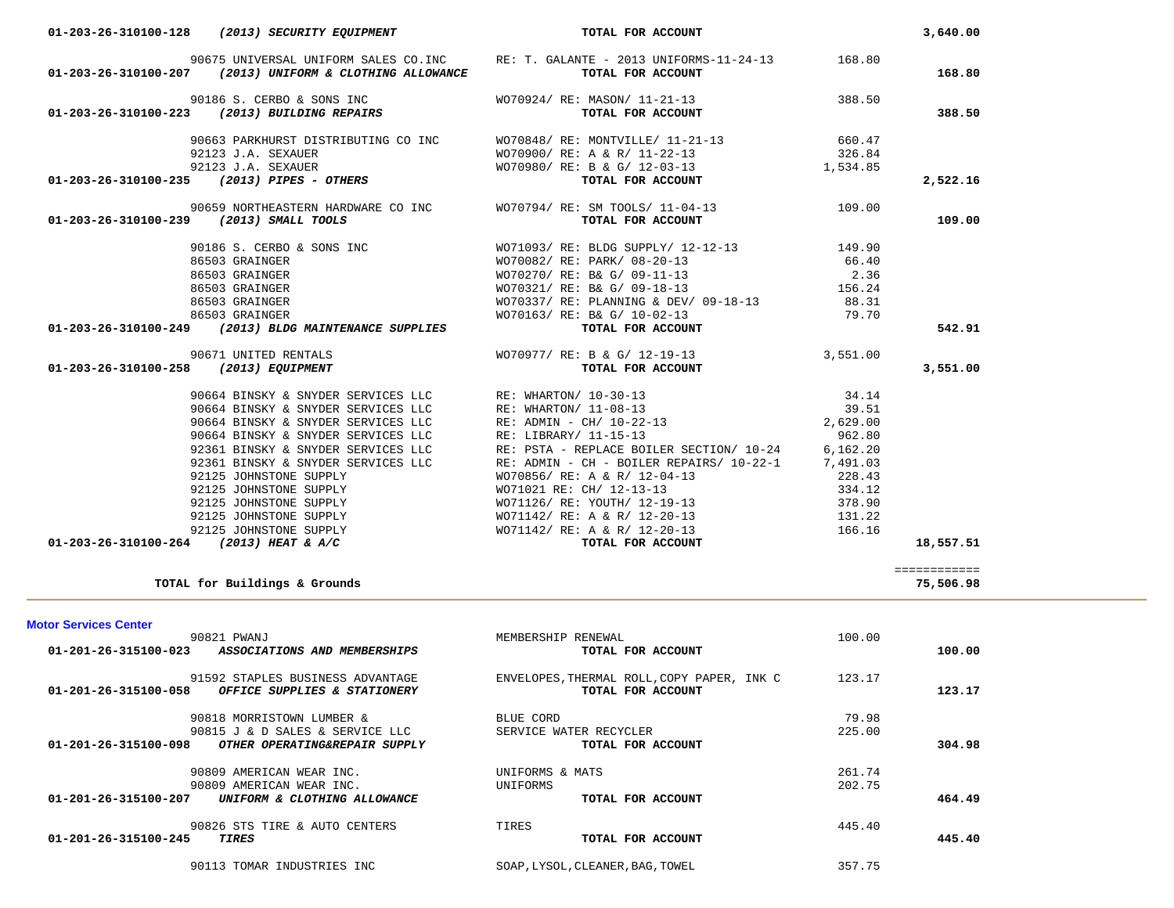|                                         | 92123 J.A. SEXAUER                                                                                | WO70900/ RE: A & R/ 11-22-13                      | 326.84   |              |
|-----------------------------------------|---------------------------------------------------------------------------------------------------|---------------------------------------------------|----------|--------------|
|                                         |                                                                                                   | WO70980/ RE: B & G/ 12-03-13 1,534.85             |          |              |
|                                         | 92123 J.A. SEXAUER<br><b>01-203-26-310100-235</b> (2013) PIPES - OTHERS                           | TOTAL FOR ACCOUNT                                 |          | 2,522.16     |
|                                         | 90659 NORTHEASTERN HARDWARE CO INC                                                                | WO70794/ RE: SM TOOLS/ 11-04-13                   | 109.00   |              |
| 01-203-26-310100-239 (2013) SMALL TOOLS |                                                                                                   | TOTAL FOR ACCOUNT                                 |          | 109.00       |
|                                         | 90186 S. CERBO & SONS INC                                                                         | WO71093/ RE: BLDG SUPPLY/ 12-12-13 149.90         |          |              |
|                                         | 86503 GRAINGER                                                                                    | WO70082/ RE: PARK/ 08-20-13                       | 66.40    |              |
|                                         | 86503 GRAINGER                                                                                    | WO70270/ RE: B& G/ 09-11-13                       | 2.36     |              |
|                                         | 86503 GRAINGER                                                                                    | WO70321/ RE: B& G/ 09-18-13                       | 156.24   |              |
|                                         | 86503 GRAINGER                                                                                    | WO70337/ RE: PLANNING & DEV/ 09-18-13             | 88.31    |              |
|                                         | 86503 GRAINGER                                                                                    | WO70163/ RE: B& G/ 10-02-13                       | 79.70    |              |
|                                         | 01-203-26-310100-249 (2013) BLDG MAINTENANCE SUPPLIES                                             | TOTAL FOR ACCOUNT                                 |          | 542.91       |
|                                         | 90671 UNITED RENTALS                                                                              | WO70977/ RE: B & G/ 12-19-13                      | 3,551.00 |              |
| 01-203-26-310100-258 (2013) EQUIPMENT   |                                                                                                   | TOTAL FOR ACCOUNT                                 |          | 3,551.00     |
|                                         |                                                                                                   |                                                   |          |              |
|                                         | 90664 BINSKY & SNYDER SERVICES LLC                                                                | RE: WHARTON/ 10-30-13                             | 34.14    |              |
|                                         | 90664 BINSKY & SNYDER SERVICES LLC                                                                | RE: WHARTON/ 11-08-13                             | 39.51    |              |
|                                         | 90664 BINSKY & SNYDER SERVICES LLC                                                                | RE: ADMIN - CH/ 10-22-13                          | 2,629.00 |              |
|                                         | 90664 BINSKY & SNYDER SERVICES LLC                                                                | RE: LIBRARY/ 11-15-13                             | 962.80   |              |
|                                         | 92361 BINSKY & SNYDER SERVICES LLC                                                                | RE: PSTA - REPLACE BOILER SECTION/ 10-24          | 6,162.20 |              |
|                                         | 92361 BINSKY & SNYDER SERVICES LLC                                                                | RE: ADMIN - CH - BOILER REPAIRS/ 10-22-1 7,491.03 |          |              |
|                                         | 92125 JOHNSTONE SUPPLY                                                                            | WO70856/ RE: A & R/ 12-04-13                      | 228.43   |              |
|                                         | 92125 JOHNSTONE SUPPLY                                                                            | WO71021 RE: CH/ 12-13-13                          | 334.12   |              |
|                                         | 92125 JOHNSTONE SUPPLY<br>92125 JOHNSTONE SUPPLY<br>92125 JOHNSTONE SUPPLY<br>4 (2013) HEAT & A/C | WO71126/ RE: YOUTH/ 12-19-13                      | 378.90   |              |
|                                         |                                                                                                   | WO71142/ RE: A & R/ 12-20-13                      | 131.22   |              |
|                                         |                                                                                                   | WO71142/ RE: A & R/ 12-20-13                      | 166.16   |              |
|                                         | 01-203-26-310100-264 (2013) HEAT & A/C                                                            | TOTAL FOR ACCOUNT                                 |          | 18,557.51    |
|                                         |                                                                                                   |                                                   |          |              |
|                                         |                                                                                                   |                                                   |          | ============ |
|                                         | TOTAL for Buildings & Grounds                                                                     |                                                   |          | 75,506.98    |
|                                         |                                                                                                   |                                                   |          |              |
|                                         |                                                                                                   |                                                   |          |              |
|                                         | 90821 PWANJ                                                                                       | MEMBERSHIP RENEWAL                                | 100.00   |              |
|                                         | 01-201-26-315100-023 ASSOCIATIONS AND MEMBERSHIPS                                                 | TOTAL FOR ACCOUNT                                 |          | 100.00       |
|                                         | 91592 STAPLES BUSINESS ADVANTAGE                                                                  | ENVELOPES, THERMAL ROLL, COPY PAPER, INK C 123.17 |          |              |
|                                         | 01-201-26-315100-058 OFFICE SUPPLIES & STATIONERY                                                 | TOTAL FOR ACCOUNT                                 |          | 123.17       |
| <b>Motor Services Center</b>            | 90818 MORRISTOWN LUMBER &                                                                         | BLUE CORD                                         | 79.98    |              |
|                                         | 90815 J & D SALES & SERVICE LLC                                                                   | SERVICE WATER RECYCLER                            | 225.00   |              |
| 01-201-26-315100-098                    | OTHER OPERATING&REPAIR SUPPLY                                                                     | TOTAL FOR ACCOUNT                                 |          | 304.98       |
|                                         | 90809 AMERICAN WEAR INC.                                                                          | UNIFORMS & MATS                                   | 261.74   |              |
|                                         | 90809 AMERICAN WEAR INC.                                                                          | UNIFORMS                                          | 202.75   |              |
|                                         | 01-201-26-315100-207 UNIFORM & CLOTHING ALLOWANCE                                                 | TOTAL FOR ACCOUNT                                 |          | 464.49       |
|                                         |                                                                                                   |                                                   |          |              |
| 01-201-26-315100-245                    | 90826 STS TIRE & AUTO CENTERS                                                                     | TIRES<br>TOTAL FOR ACCOUNT                        | 445.40   |              |
|                                         | <b>TIRES</b>                                                                                      |                                                   |          | 445.40       |
|                                         | 90113 TOMAR INDUSTRIES INC                                                                        | SOAP, LYSOL, CLEANER, BAG, TOWEL                  | 357.75   |              |
|                                         |                                                                                                   |                                                   |          |              |
|                                         |                                                                                                   |                                                   |          |              |

 **01-203-26-310100-128** *(2013) SECURITY EQUIPMENT* **TOTAL FOR ACCOUNT 3,640.00**

 90675 UNIVERSAL UNIFORM SALES CO.INC RE: T. GALANTE - 2013 UNIFORMS-11-24-13 168.80  **01-203-26-310100-207** *(2013) UNIFORM & CLOTHING ALLOWANCE* **TOTAL FOR ACCOUNT 168.80**

 90186 S. CERBO & SONS INC WO70924/ RE: MASON/ 11-21-13 388.50  **01-203-26-310100-223** *(2013) BUILDING REPAIRS* **TOTAL FOR ACCOUNT 388.50**

90663 PARKHURST DISTRIBUTING CO INC WO70848/ RE: MONTVILLE/ 11-21-13 660.47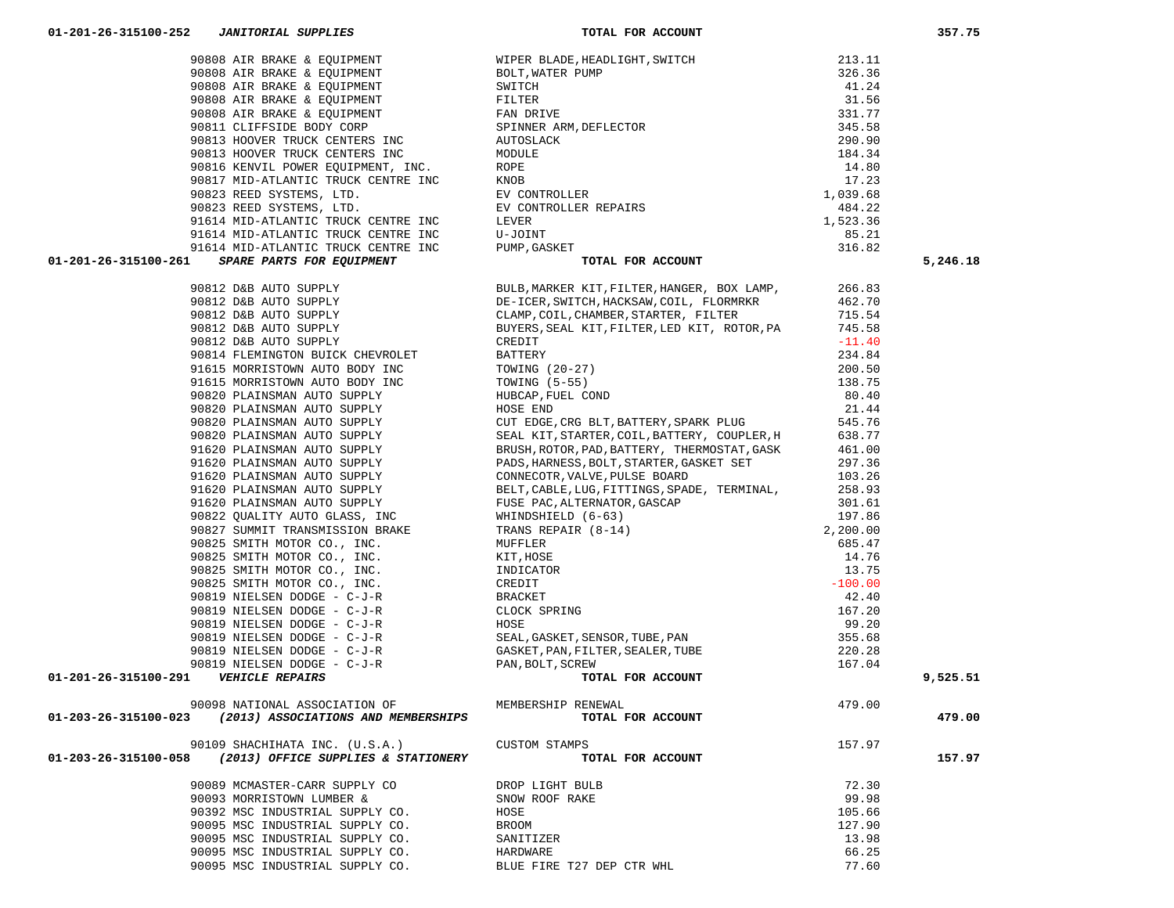| 01-201-26-315100-261                                     | 31.1 SPALE-MERICAL CROSSING MONTHE INC. FOR MAIN TOR MOODER THE SECRET RESOLUTION (NAME)<br>301.3 EAR ATTCH SUPER THE SECRET AND MANUFACTRICITY INC. THE SECRET AND A CONTENT CROSSING THE SECRET STREET AND CROSSING THE SECRE |        | 5,246.18 |
|----------------------------------------------------------|---------------------------------------------------------------------------------------------------------------------------------------------------------------------------------------------------------------------------------|--------|----------|
|                                                          |                                                                                                                                                                                                                                 |        |          |
|                                                          |                                                                                                                                                                                                                                 |        |          |
|                                                          |                                                                                                                                                                                                                                 |        |          |
|                                                          |                                                                                                                                                                                                                                 |        |          |
|                                                          |                                                                                                                                                                                                                                 |        |          |
|                                                          |                                                                                                                                                                                                                                 |        |          |
|                                                          |                                                                                                                                                                                                                                 |        |          |
|                                                          |                                                                                                                                                                                                                                 |        |          |
|                                                          |                                                                                                                                                                                                                                 |        |          |
|                                                          |                                                                                                                                                                                                                                 |        |          |
|                                                          |                                                                                                                                                                                                                                 |        |          |
|                                                          |                                                                                                                                                                                                                                 |        |          |
|                                                          |                                                                                                                                                                                                                                 |        |          |
|                                                          |                                                                                                                                                                                                                                 |        |          |
|                                                          |                                                                                                                                                                                                                                 |        |          |
|                                                          |                                                                                                                                                                                                                                 |        |          |
|                                                          |                                                                                                                                                                                                                                 |        |          |
|                                                          |                                                                                                                                                                                                                                 |        |          |
|                                                          |                                                                                                                                                                                                                                 |        |          |
|                                                          |                                                                                                                                                                                                                                 |        |          |
|                                                          |                                                                                                                                                                                                                                 |        |          |
|                                                          |                                                                                                                                                                                                                                 |        |          |
|                                                          |                                                                                                                                                                                                                                 |        |          |
|                                                          |                                                                                                                                                                                                                                 |        |          |
|                                                          |                                                                                                                                                                                                                                 |        |          |
|                                                          |                                                                                                                                                                                                                                 |        |          |
|                                                          |                                                                                                                                                                                                                                 |        |          |
|                                                          |                                                                                                                                                                                                                                 |        |          |
|                                                          |                                                                                                                                                                                                                                 |        |          |
|                                                          |                                                                                                                                                                                                                                 |        |          |
| 01-201-26-315100-291    VEHICLE REPAIRS                  |                                                                                                                                                                                                                                 |        | 9,525.51 |
|                                                          |                                                                                                                                                                                                                                 |        |          |
|                                                          |                                                                                                                                                                                                                                 |        |          |
| 01-203-26-315100-023                                     |                                                                                                                                                                                                                                 |        | 479.00   |
| 90109 SHACHIHATA INC. (U.S.A.)                           | <b>CUSTOM STAMPS</b>                                                                                                                                                                                                            | 157.97 |          |
| 01-203-26-315100-058 (2013) OFFICE SUPPLIES & STATIONERY | TOTAL FOR ACCOUNT                                                                                                                                                                                                               |        | 157.97   |
| 90089 MCMASTER-CARR SUPPLY CO                            | DROP LIGHT BULB                                                                                                                                                                                                                 | 72.30  |          |
| 90093 MORRISTOWN LUMBER &                                | SNOW ROOF RAKE                                                                                                                                                                                                                  | 99.98  |          |
| 90392 MSC INDUSTRIAL SUPPLY CO.                          | HOSE                                                                                                                                                                                                                            | 105.66 |          |
| 90095 MSC INDUSTRIAL SUPPLY CO.                          | BROOM                                                                                                                                                                                                                           | 127.90 |          |
| 90095 MSC INDUSTRIAL SUPPLY CO.                          | SANITIZER                                                                                                                                                                                                                       | 13.98  |          |
| 90095 MSC INDUSTRIAL SUPPLY CO.                          | HARDWARE                                                                                                                                                                                                                        | 66.25  |          |
| 90095 MSC INDUSTRIAL SUPPLY CO.                          | BLUE FIRE T27 DEP CTR WHL                                                                                                                                                                                                       | 77.60  |          |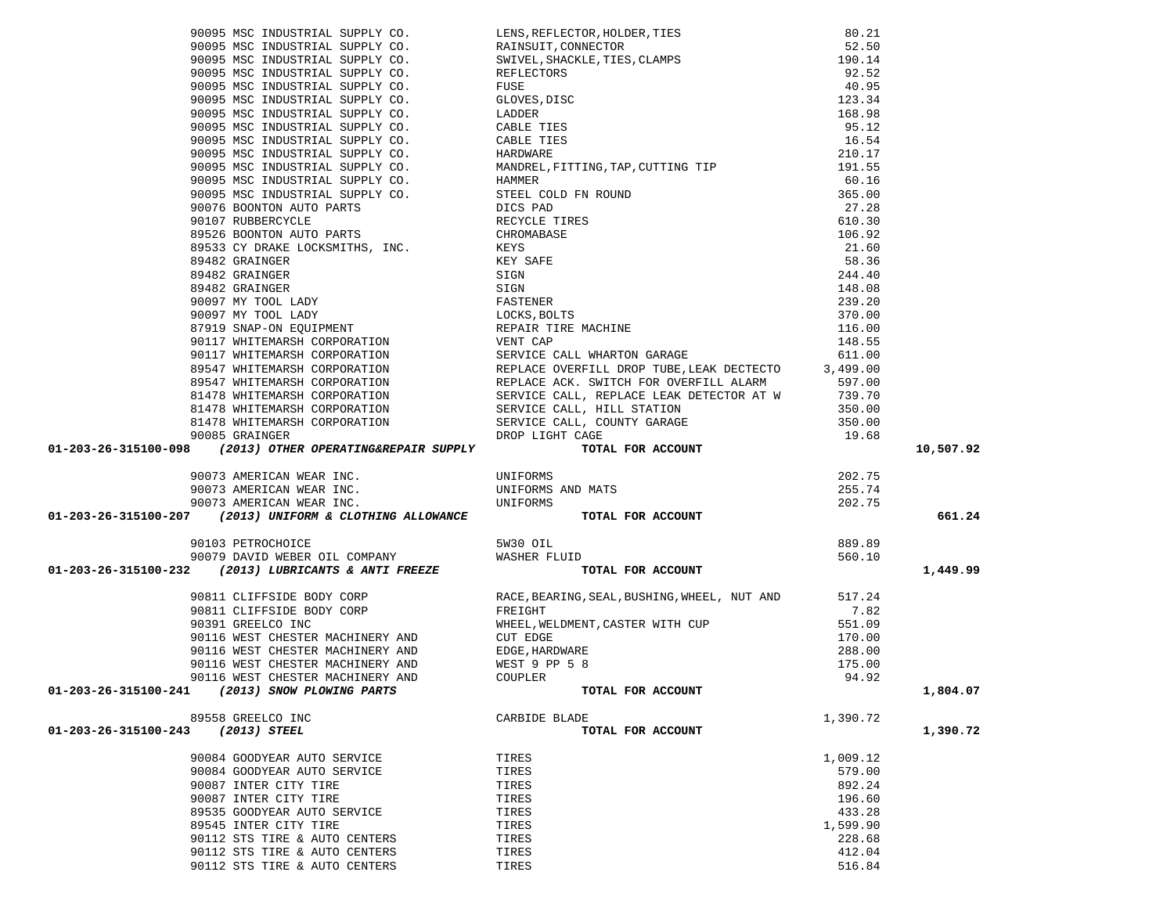|                                                   |                                                                                                                                                                                                                                                                   |          | 10,507.92 |
|---------------------------------------------------|-------------------------------------------------------------------------------------------------------------------------------------------------------------------------------------------------------------------------------------------------------------------|----------|-----------|
|                                                   |                                                                                                                                                                                                                                                                   |          |           |
|                                                   |                                                                                                                                                                                                                                                                   |          |           |
|                                                   |                                                                                                                                                                                                                                                                   |          |           |
|                                                   |                                                                                                                                                                                                                                                                   |          |           |
|                                                   |                                                                                                                                                                                                                                                                   |          |           |
|                                                   |                                                                                                                                                                                                                                                                   |          | 661.24    |
|                                                   |                                                                                                                                                                                                                                                                   |          |           |
|                                                   |                                                                                                                                                                                                                                                                   |          |           |
|                                                   |                                                                                                                                                                                                                                                                   |          |           |
|                                                   |                                                                                                                                                                                                                                                                   |          | 1,449.99  |
|                                                   |                                                                                                                                                                                                                                                                   |          |           |
|                                                   |                                                                                                                                                                                                                                                                   |          |           |
|                                                   |                                                                                                                                                                                                                                                                   |          |           |
|                                                   |                                                                                                                                                                                                                                                                   |          |           |
|                                                   |                                                                                                                                                                                                                                                                   |          |           |
|                                                   |                                                                                                                                                                                                                                                                   |          |           |
|                                                   |                                                                                                                                                                                                                                                                   |          |           |
|                                                   |                                                                                                                                                                                                                                                                   |          |           |
| 01-203-26-315100-241<br>(2013) SNOW PLOWING PARTS | 90811 CLIFFSIDE BODY CORP<br>90811 CLIFFSIDE BODY CORP<br>90811 CLIFFSIDE BODY CORP<br>90391 GREELCO INC<br>90116 WEST CHESTER MACHINERY AND<br>90116 WEST CHESTER MACHINERY AND<br>90116 WEST CHESTER MACHINERY AND<br>90116 WEST CHESTER M<br>TOTAL FOR ACCOUNT |          | 1,804.07  |
|                                                   |                                                                                                                                                                                                                                                                   |          |           |
| 89558 GREELCO INC                                 | CARBIDE BLADE                                                                                                                                                                                                                                                     | 1,390.72 |           |
| (2013) STEEL<br>01-203-26-315100-243              | TOTAL FOR ACCOUNT                                                                                                                                                                                                                                                 |          | 1,390.72  |
|                                                   |                                                                                                                                                                                                                                                                   |          |           |
| 90084 GOODYEAR AUTO SERVICE                       | TIRES                                                                                                                                                                                                                                                             | 1,009.12 |           |
| 90084 GOODYEAR AUTO SERVICE                       | TIRES                                                                                                                                                                                                                                                             | 579.00   |           |
| 90087 INTER CITY TIRE                             | TIRES                                                                                                                                                                                                                                                             | 892.24   |           |
| 90087 INTER CITY TIRE                             | TIRES                                                                                                                                                                                                                                                             | 196.60   |           |
| 89535 GOODYEAR AUTO SERVICE                       | TIRES                                                                                                                                                                                                                                                             | 433.28   |           |
| 89545 INTER CITY TIRE                             | TIRES                                                                                                                                                                                                                                                             | 1,599.90 |           |
| 90112 STS TIRE & AUTO CENTERS                     | TIRES                                                                                                                                                                                                                                                             | 228.68   |           |
| 90112 STS TIRE & AUTO CENTERS                     | TIRES                                                                                                                                                                                                                                                             | 412.04   |           |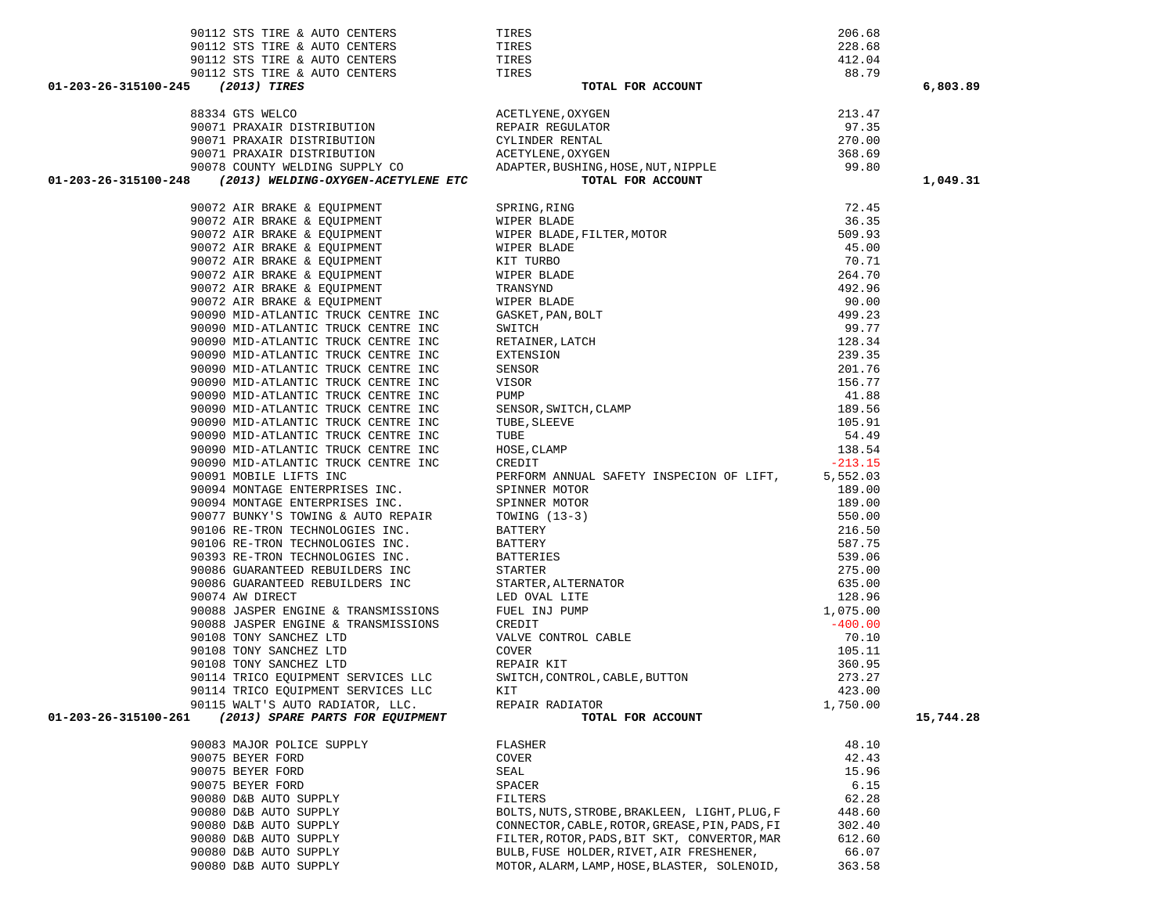|                                                                                                                                                                                                                                                                                                                                 |                                                                                                                                                                                                                                    |                  | 6,803.89  |
|---------------------------------------------------------------------------------------------------------------------------------------------------------------------------------------------------------------------------------------------------------------------------------------------------------------------------------|------------------------------------------------------------------------------------------------------------------------------------------------------------------------------------------------------------------------------------|------------------|-----------|
| $\begin{tabular}{lllllllllllllllll} 01-203-26-315100-245 & ({\bf 2013})\mbox{ITIES} & {\bf 20130} & {\bf 20131} & {\bf 20132} & {\bf 20133} & {\bf 20133} & {\bf 20133} & {\bf 20133} & {\bf 20133} & {\bf 20133} & {\bf 20133} & {\bf 20133} & {\bf 20133} & {\bf 20133} & {\bf 20133} & {\bf 20133} & {\bf 20133} & {\bf 201$ |                                                                                                                                                                                                                                    |                  |           |
|                                                                                                                                                                                                                                                                                                                                 |                                                                                                                                                                                                                                    |                  |           |
|                                                                                                                                                                                                                                                                                                                                 |                                                                                                                                                                                                                                    |                  |           |
|                                                                                                                                                                                                                                                                                                                                 |                                                                                                                                                                                                                                    |                  |           |
|                                                                                                                                                                                                                                                                                                                                 |                                                                                                                                                                                                                                    |                  |           |
|                                                                                                                                                                                                                                                                                                                                 |                                                                                                                                                                                                                                    |                  | 1,049.31  |
|                                                                                                                                                                                                                                                                                                                                 |                                                                                                                                                                                                                                    |                  |           |
|                                                                                                                                                                                                                                                                                                                                 | (2015) MELEANS & EQUIPMENT SPEEDS SPEEDS, FIRED 2007 AIR BRAKES & EQUIPMENT WIFFER BLADE<br>90072 AIR BRAKES & EQUIPMENT WIFFER BLADE FILITER, MOTOR AND 20072 AIR BRAKES & EQUIPMENT WIFFER BLADE<br>90072 AIR BRAKES & EQUIPMENT | 72.45            |           |
|                                                                                                                                                                                                                                                                                                                                 |                                                                                                                                                                                                                                    | 36.35            |           |
|                                                                                                                                                                                                                                                                                                                                 |                                                                                                                                                                                                                                    | 509.93           |           |
|                                                                                                                                                                                                                                                                                                                                 |                                                                                                                                                                                                                                    | 45.00            |           |
|                                                                                                                                                                                                                                                                                                                                 |                                                                                                                                                                                                                                    | 70.71            |           |
|                                                                                                                                                                                                                                                                                                                                 |                                                                                                                                                                                                                                    | 264.70           |           |
|                                                                                                                                                                                                                                                                                                                                 |                                                                                                                                                                                                                                    | 492.96           |           |
|                                                                                                                                                                                                                                                                                                                                 |                                                                                                                                                                                                                                    | 90.00            |           |
|                                                                                                                                                                                                                                                                                                                                 |                                                                                                                                                                                                                                    | 499.23           |           |
|                                                                                                                                                                                                                                                                                                                                 |                                                                                                                                                                                                                                    | 99.77            |           |
|                                                                                                                                                                                                                                                                                                                                 |                                                                                                                                                                                                                                    | 128.34           |           |
|                                                                                                                                                                                                                                                                                                                                 |                                                                                                                                                                                                                                    | 239.35           |           |
|                                                                                                                                                                                                                                                                                                                                 |                                                                                                                                                                                                                                    | 201.76           |           |
|                                                                                                                                                                                                                                                                                                                                 |                                                                                                                                                                                                                                    | 156.77           |           |
|                                                                                                                                                                                                                                                                                                                                 |                                                                                                                                                                                                                                    | 41.88            |           |
|                                                                                                                                                                                                                                                                                                                                 |                                                                                                                                                                                                                                    | 189.56           |           |
|                                                                                                                                                                                                                                                                                                                                 |                                                                                                                                                                                                                                    | 105.91           |           |
|                                                                                                                                                                                                                                                                                                                                 |                                                                                                                                                                                                                                    | 54.49            |           |
|                                                                                                                                                                                                                                                                                                                                 |                                                                                                                                                                                                                                    | 138.54           |           |
|                                                                                                                                                                                                                                                                                                                                 |                                                                                                                                                                                                                                    | $-213.15$        |           |
|                                                                                                                                                                                                                                                                                                                                 |                                                                                                                                                                                                                                    | 5,552.03         |           |
|                                                                                                                                                                                                                                                                                                                                 |                                                                                                                                                                                                                                    | 189.00           |           |
|                                                                                                                                                                                                                                                                                                                                 |                                                                                                                                                                                                                                    | 189.00           |           |
|                                                                                                                                                                                                                                                                                                                                 |                                                                                                                                                                                                                                    | 550.00           |           |
|                                                                                                                                                                                                                                                                                                                                 |                                                                                                                                                                                                                                    | 216.50           |           |
|                                                                                                                                                                                                                                                                                                                                 |                                                                                                                                                                                                                                    | 587.75           |           |
|                                                                                                                                                                                                                                                                                                                                 |                                                                                                                                                                                                                                    | 539.06           |           |
|                                                                                                                                                                                                                                                                                                                                 |                                                                                                                                                                                                                                    | 275.00           |           |
|                                                                                                                                                                                                                                                                                                                                 |                                                                                                                                                                                                                                    | 635.00           |           |
|                                                                                                                                                                                                                                                                                                                                 |                                                                                                                                                                                                                                    | 128.96           |           |
|                                                                                                                                                                                                                                                                                                                                 |                                                                                                                                                                                                                                    | 1,075.00         |           |
|                                                                                                                                                                                                                                                                                                                                 |                                                                                                                                                                                                                                    | $-400.00$        |           |
|                                                                                                                                                                                                                                                                                                                                 |                                                                                                                                                                                                                                    | 70.10            |           |
|                                                                                                                                                                                                                                                                                                                                 |                                                                                                                                                                                                                                    | 105.11           |           |
|                                                                                                                                                                                                                                                                                                                                 |                                                                                                                                                                                                                                    | 360.95           |           |
|                                                                                                                                                                                                                                                                                                                                 |                                                                                                                                                                                                                                    |                  |           |
|                                                                                                                                                                                                                                                                                                                                 |                                                                                                                                                                                                                                    | 273.27<br>423.00 |           |
|                                                                                                                                                                                                                                                                                                                                 |                                                                                                                                                                                                                                    | 1,750.00         |           |
| 01-203-26-315100-261                                                                                                                                                                                                                                                                                                            | TOTAL FOR ACCOUNT                                                                                                                                                                                                                  |                  | 15,744.28 |
|                                                                                                                                                                                                                                                                                                                                 | 90090 MID-ATLANTIC TRUCK CENTRE INC FORD SINCE CHARGE, SLUITER, THE SUBSOR, SWITCH, CLAMP<br>90090 MID-ATLANTIC TRUCK CENTRE INC TUBE SLEEVE<br>90090 MID-ATLANTIC TRUCK CENTRE INC TUBE SLEEVE<br>90090 MID-ATLANTIC TRUCK CENTRE |                  |           |
| 90083 MAJOR POLICE SUPPLY                                                                                                                                                                                                                                                                                                       | FLASHER                                                                                                                                                                                                                            | 48.10            |           |
| 90075 BEYER FORD                                                                                                                                                                                                                                                                                                                | COVER                                                                                                                                                                                                                              | 42.43            |           |
| 90075 BEYER FORD                                                                                                                                                                                                                                                                                                                | SEAL                                                                                                                                                                                                                               | 15.96            |           |
| 90075 BEYER FORD                                                                                                                                                                                                                                                                                                                | SPACER                                                                                                                                                                                                                             | 6.15             |           |
| 90080 D&B AUTO SUPPLY                                                                                                                                                                                                                                                                                                           | FILTERS                                                                                                                                                                                                                            | 62.28            |           |
| 90080 D&B AUTO SUPPLY                                                                                                                                                                                                                                                                                                           | BOLTS, NUTS, STROBE, BRAKLEEN, LIGHT, PLUG, F                                                                                                                                                                                      | 448.60           |           |
| 90080 D&B AUTO SUPPLY                                                                                                                                                                                                                                                                                                           | CONNECTOR, CABLE, ROTOR, GREASE, PIN, PADS, FI                                                                                                                                                                                     | 302.40           |           |
| 90080 D&B AUTO SUPPLY                                                                                                                                                                                                                                                                                                           | FILTER, ROTOR, PADS, BIT SKT, CONVERTOR, MAR                                                                                                                                                                                       | 612.60           |           |
| 90080 D&B AUTO SUPPLY                                                                                                                                                                                                                                                                                                           | BULB, FUSE HOLDER, RIVET, AIR FRESHENER,                                                                                                                                                                                           | 66.07            |           |
| 90080 D&B AUTO SUPPLY                                                                                                                                                                                                                                                                                                           | MOTOR, ALARM, LAMP, HOSE, BLASTER, SOLENOID,                                                                                                                                                                                       | 363.58           |           |

90112 STS TIRE & AUTO CENTERS TIRES TIRES 206.68

90112 STS TIRE & AUTO CENTERS TIRES

90112 STS TIRE & AUTO CENTERS TIRES

90112 STS TIRE & AUTO CENTERS TIRES

228.68

412.04

88.79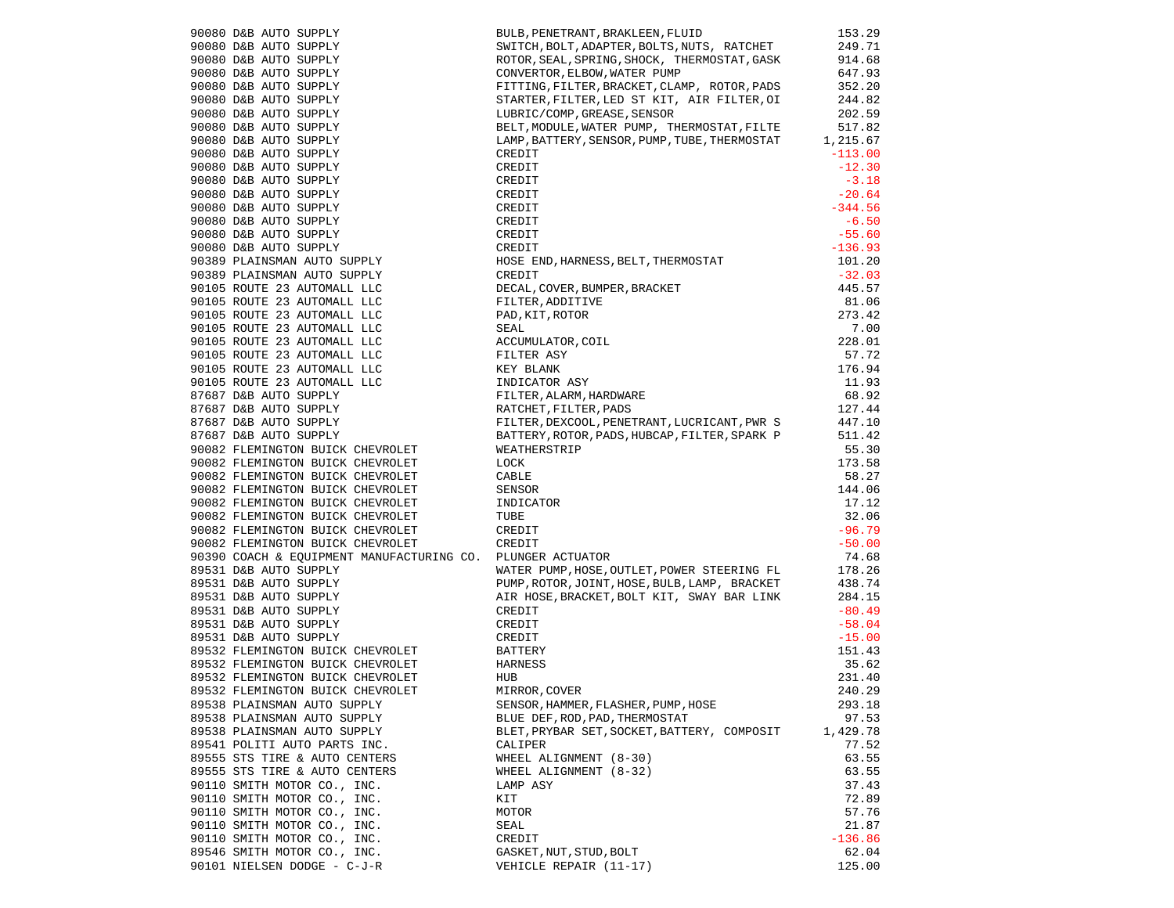|                                                                                                                                                                                                                                                              | BULB, PENETRANT, BRAKLEEN, FLUID                                                                                                                                                                                                                               | 153.29    |
|--------------------------------------------------------------------------------------------------------------------------------------------------------------------------------------------------------------------------------------------------------------|----------------------------------------------------------------------------------------------------------------------------------------------------------------------------------------------------------------------------------------------------------------|-----------|
|                                                                                                                                                                                                                                                              | SWITCH, BOLT, ADAPTER, BOLTS, NUTS, RATCHET                                                                                                                                                                                                                    | 249.71    |
| 90080 D&B AUTO SUPPLY<br>90080 D&B AUTO SUPPLY<br>90080 D&B AUTO SUPPLY<br>90080 D&B AUTO SUPPLY<br>90080 D&B AUTO SUPPLY<br>90080 D&B AUTO SUPPLY<br>90080 D&B AUTO SUPPLY<br>90080 D&B AUTO SUPPLY<br>90080 D&B AUTO SUPPLY<br>90080 D&B AUTO SUPPLY<br>90 | ROTOR, SEAL, SPRING, SHOCK, THERMOSTAT, GASK                                                                                                                                                                                                                   | 914.68    |
|                                                                                                                                                                                                                                                              | CONVERTOR, ELBOW, WATER PUMP                                                                                                                                                                                                                                   | 647.93    |
|                                                                                                                                                                                                                                                              | FITTING, FILTER, BRACKET, CLAMP, ROTOR, PADS                                                                                                                                                                                                                   | 352.20    |
|                                                                                                                                                                                                                                                              | STARTER, FILTER, LED ST KIT, AIR FILTER, OI                                                                                                                                                                                                                    | 244.82    |
|                                                                                                                                                                                                                                                              | LUBRIC/COMP, GREASE, SENSOR                                                                                                                                                                                                                                    | 202.59    |
|                                                                                                                                                                                                                                                              | BELT, MODULE, WATER PUMP, THERMOSTAT, FILTE                                                                                                                                                                                                                    | 517.82    |
|                                                                                                                                                                                                                                                              | LAMP, BATTERY, SENSOR, PUMP, TUBE, THERMOSTAT                                                                                                                                                                                                                  | 1,215.67  |
|                                                                                                                                                                                                                                                              | CREDIT                                                                                                                                                                                                                                                         | $-113.00$ |
|                                                                                                                                                                                                                                                              | CREDIT                                                                                                                                                                                                                                                         | $-12.30$  |
|                                                                                                                                                                                                                                                              |                                                                                                                                                                                                                                                                | $-3.18$   |
|                                                                                                                                                                                                                                                              |                                                                                                                                                                                                                                                                | $-20.64$  |
|                                                                                                                                                                                                                                                              |                                                                                                                                                                                                                                                                | $-344.56$ |
|                                                                                                                                                                                                                                                              |                                                                                                                                                                                                                                                                | $-6.50$   |
|                                                                                                                                                                                                                                                              |                                                                                                                                                                                                                                                                | $-55.60$  |
|                                                                                                                                                                                                                                                              |                                                                                                                                                                                                                                                                | $-136.93$ |
|                                                                                                                                                                                                                                                              |                                                                                                                                                                                                                                                                | 101.20    |
| 90389 PLAINSMAN AUTO SUPPLY<br>90389 PLAINSMAN AUTO SUPPLY                                                                                                                                                                                                   |                                                                                                                                                                                                                                                                | $-32.03$  |
|                                                                                                                                                                                                                                                              |                                                                                                                                                                                                                                                                | 445.57    |
| 90105 ROUTE 23 AUTOMALL LLC<br>90105 ROUTE 23 AUTOMALL LLC                                                                                                                                                                                                   |                                                                                                                                                                                                                                                                | 81.06     |
|                                                                                                                                                                                                                                                              |                                                                                                                                                                                                                                                                | 273.42    |
|                                                                                                                                                                                                                                                              |                                                                                                                                                                                                                                                                | 7.00      |
|                                                                                                                                                                                                                                                              |                                                                                                                                                                                                                                                                | 228.01    |
|                                                                                                                                                                                                                                                              |                                                                                                                                                                                                                                                                | 57.72     |
|                                                                                                                                                                                                                                                              |                                                                                                                                                                                                                                                                | 176.94    |
|                                                                                                                                                                                                                                                              |                                                                                                                                                                                                                                                                | 11.93     |
| 90105 ROUTE 23 AUTOMALL LLC<br>90105 ROUTE 23 AUTOMALL LLC<br>90105 ROUTE 23 AUTOMALL LLC<br>90105 ROUTE 23 AUTOMALL LLC<br>90105 ROUTE 23 AUTOMALL LLC<br>90105 ROUTE 23 AUTOMALL LLC<br>905 ROUTE 23 AUTOMALL LLC<br>97687 D&B AUTO SUPPLY<br>87687        | CREDIT<br>CREDIT<br>CREDIT<br>CREDIT<br>CREDIT<br>CREDIT<br>CREDIT<br>HOSE END, HARNESS, BELT, THERMOSTAT<br>CREDIT<br>DECAL, COVER, BUMPER, BRACKET<br>FLITER, ADDITIVE<br>PAD, KIT, ROTOR<br>FLITER ASY<br>KEY BLANK<br>INDICATOR ASY<br>KEY BLANK<br>INDICA | 68.92     |
| 87687 D&B AUTO SUPPLY                                                                                                                                                                                                                                        |                                                                                                                                                                                                                                                                | 127.44    |
|                                                                                                                                                                                                                                                              | FILTER, DEXCOOL, PENETRANT, LUCRICANT, PWR S<br>10                                                                                                                                                                                                             |           |
| 87687 D&B AUTO SUPPLY<br>87687 D&B AUTO SUPPLY                                                                                                                                                                                                               | BATTERY, ROTOR, PADS, HUBCAP, FILTER, SPARK P                                                                                                                                                                                                                  | 511.42    |
|                                                                                                                                                                                                                                                              | WEATHERSTRIP                                                                                                                                                                                                                                                   | 55.30     |
| 90082 FLEMINGTON BUICK CHEVROLET<br>90082 FLEMINGTON BUICK CHEVROLET                                                                                                                                                                                         | LOCK                                                                                                                                                                                                                                                           | 173.58    |
|                                                                                                                                                                                                                                                              | CABLE                                                                                                                                                                                                                                                          | 58.27     |
| 90082 FLEMINGTON BUICK CHEVROLET<br>90082 FLEMINGTON BUICK CHEVROLET                                                                                                                                                                                         | SENSOR                                                                                                                                                                                                                                                         | 144.06    |
| 90082 FLEMINGTON BUICK CHEVROLET                                                                                                                                                                                                                             | INDICATOR                                                                                                                                                                                                                                                      | 17.12     |
| 90082 FLEMINGTON BUICK CHEVROLET                                                                                                                                                                                                                             | TUBE                                                                                                                                                                                                                                                           | 32.06     |
|                                                                                                                                                                                                                                                              | CREDIT                                                                                                                                                                                                                                                         | $-96.79$  |
| 90082 FLEMINGTON BUICK CHEVROLET<br>90082 FLEMINGTON BUICK CHEVROLET                                                                                                                                                                                         |                                                                                                                                                                                                                                                                | $-50.00$  |
| 90390 COACH & EQUIPMENT MANUFACTURING CO. PLUNGER ACTUATOR                                                                                                                                                                                                   | CREDIT                                                                                                                                                                                                                                                         | 74.68     |
|                                                                                                                                                                                                                                                              |                                                                                                                                                                                                                                                                |           |
| 89531 D&B AUTO SUPPLY                                                                                                                                                                                                                                        | WATER PUMP, HOSE, OUTLET, POWER STEERING FL                                                                                                                                                                                                                    | 178.26    |
|                                                                                                                                                                                                                                                              | PUMP, ROTOR, JOINT, HOSE, BULB, LAMP, BRACKET                                                                                                                                                                                                                  | 438.74    |
| 99531 D&B AUTO SUPPLY<br>89531 D&B AUTO SUPPLY<br>89531 D&B AUTO SUPPLY<br>89531 D&B AUTO SUPPLY<br>89531 D&B AUTO SUPPLY<br>89532 FLEMINGTON BUICK CHEVROLET<br>89532 FLEMINGTON BUICK CHEVROLET                                                            | AIR HOSE, BRACKET, BOLT KIT, SWAY BAR LINK                                                                                                                                                                                                                     | 284.15    |
|                                                                                                                                                                                                                                                              | CREDIT                                                                                                                                                                                                                                                         | $-80.49$  |
|                                                                                                                                                                                                                                                              | CREDIT                                                                                                                                                                                                                                                         | $-58.04$  |
|                                                                                                                                                                                                                                                              | CREDIT                                                                                                                                                                                                                                                         | $-15.00$  |
|                                                                                                                                                                                                                                                              | BATTERY                                                                                                                                                                                                                                                        | 151.43    |
| 89532 FLEMINGTON BUICK CHEVROLET                                                                                                                                                                                                                             | HARNESS                                                                                                                                                                                                                                                        | 35.62     |
| 89532 FLEMINGTON BUICK CHEVROLET                                                                                                                                                                                                                             | HUB                                                                                                                                                                                                                                                            | 231.40    |
| 89532 FLEMINGTON BUICK CHEVROLET                                                                                                                                                                                                                             | MIRROR, COVER                                                                                                                                                                                                                                                  | 240.29    |
| 89538 PLAINSMAN AUTO SUPPLY                                                                                                                                                                                                                                  | SENSOR, HAMMER, FLASHER, PUMP, HOSE                                                                                                                                                                                                                            | 293.18    |
| 89538 PLAINSMAN AUTO SUPPLY                                                                                                                                                                                                                                  | BLUE DEF, ROD, PAD, THERMOSTAT                                                                                                                                                                                                                                 | 97.53     |
| 89538 PLAINSMAN AUTO SUPPLY                                                                                                                                                                                                                                  | BLET, PRYBAR SET, SOCKET, BATTERY, COMPOSIT                                                                                                                                                                                                                    | 1,429.78  |
| 89541 POLITI AUTO PARTS INC.                                                                                                                                                                                                                                 | CALIPER                                                                                                                                                                                                                                                        | 77.52     |
| 89555 STS TIRE & AUTO CENTERS                                                                                                                                                                                                                                | WHEEL ALIGNMENT (8-30)                                                                                                                                                                                                                                         | 63.55     |
| 89555 STS TIRE & AUTO CENTERS                                                                                                                                                                                                                                | WHEEL ALIGNMENT (8-32)                                                                                                                                                                                                                                         | 63.55     |
| 90110 SMITH MOTOR CO., INC.                                                                                                                                                                                                                                  | LAMP ASY                                                                                                                                                                                                                                                       | 37.43     |
| 90110 SMITH MOTOR CO., INC.                                                                                                                                                                                                                                  | KIT                                                                                                                                                                                                                                                            | 72.89     |
| 90110 SMITH MOTOR CO., INC.                                                                                                                                                                                                                                  | MOTOR                                                                                                                                                                                                                                                          | 57.76     |
| 90110 SMITH MOTOR CO., INC.                                                                                                                                                                                                                                  | SEAL                                                                                                                                                                                                                                                           | 21.87     |
| 90110 SMITH MOTOR CO., INC.                                                                                                                                                                                                                                  | CREDIT                                                                                                                                                                                                                                                         | $-136.86$ |
| 89546 SMITH MOTOR CO., INC.                                                                                                                                                                                                                                  | GASKET, NUT, STUD, BOLT                                                                                                                                                                                                                                        | 62.04     |
| 90101 NIELSEN DODGE - C-J-R                                                                                                                                                                                                                                  | VEHICLE REPAIR (11-17)                                                                                                                                                                                                                                         | 125.00    |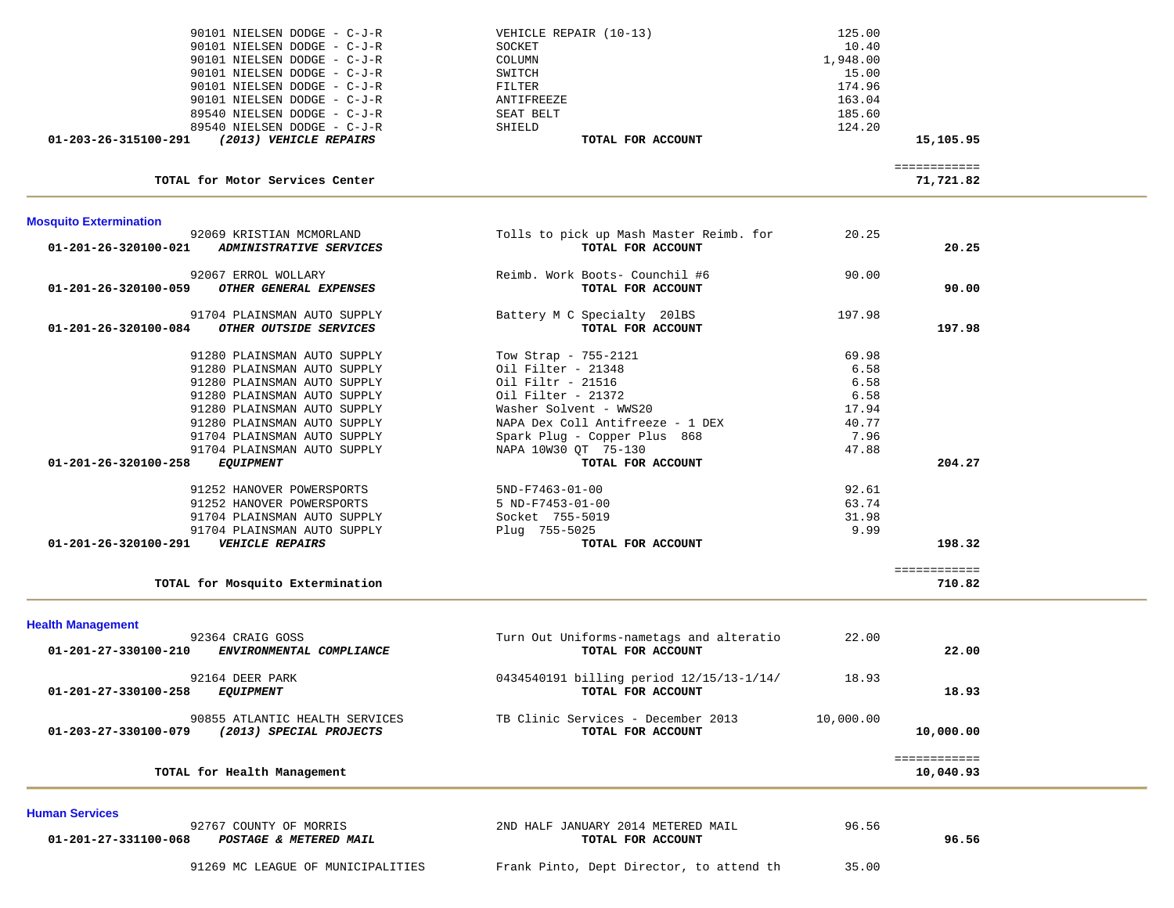| 90101 NIELSEN DODGE - C-J-R                      | VEHICLE REPAIR (10-13)                   | 125.00    |                           |  |
|--------------------------------------------------|------------------------------------------|-----------|---------------------------|--|
| 90101 NIELSEN DODGE - C-J-R                      | SOCKET                                   | 10.40     |                           |  |
| 90101 NIELSEN DODGE - C-J-R                      | COLUMN                                   | 1,948.00  |                           |  |
| 90101 NIELSEN DODGE - C-J-R                      | SWITCH                                   | 15.00     |                           |  |
| 90101 NIELSEN DODGE - C-J-R                      | FILTER                                   | 174.96    |                           |  |
| 90101 NIELSEN DODGE - C-J-R                      | ANTIFREEZE                               | 163.04    |                           |  |
| 89540 NIELSEN DODGE - C-J-R                      | SEAT BELT                                | 185.60    |                           |  |
| 89540 NIELSEN DODGE - C-J-R                      | SHIELD                                   | 124.20    |                           |  |
| 01-203-26-315100-291<br>(2013) VEHICLE REPAIRS   | TOTAL FOR ACCOUNT                        |           | 15,105.95                 |  |
|                                                  |                                          |           |                           |  |
| TOTAL for Motor Services Center                  |                                          |           | ============<br>71,721.82 |  |
| <b>Mosquito Extermination</b>                    |                                          |           |                           |  |
| 92069 KRISTIAN MCMORLAND                         | Tolls to pick up Mash Master Reimb. for  | 20.25     |                           |  |
| ADMINISTRATIVE SERVICES<br>01-201-26-320100-021  | TOTAL FOR ACCOUNT                        |           | 20.25                     |  |
|                                                  |                                          |           |                           |  |
| 92067 ERROL WOLLARY                              | Reimb. Work Boots- Counchil #6           | 90.00     |                           |  |
| OTHER GENERAL EXPENSES<br>01-201-26-320100-059   | TOTAL FOR ACCOUNT                        |           | 90.00                     |  |
| 91704 PLAINSMAN AUTO SUPPLY                      | Battery M C Specialty 201BS              | 197.98    |                           |  |
| OTHER OUTSIDE SERVICES<br>01-201-26-320100-084   | TOTAL FOR ACCOUNT                        |           | 197.98                    |  |
|                                                  |                                          |           |                           |  |
| 91280 PLAINSMAN AUTO SUPPLY                      | Tow Strap - 755-2121                     | 69.98     |                           |  |
| 91280 PLAINSMAN AUTO SUPPLY                      | Oil Filter - 21348                       | 6.58      |                           |  |
| 91280 PLAINSMAN AUTO SUPPLY                      | Oil Filtr - 21516                        | 6.58      |                           |  |
| 91280 PLAINSMAN AUTO SUPPLY                      | Oil Filter - 21372                       | 6.58      |                           |  |
| 91280 PLAINSMAN AUTO SUPPLY                      | Washer Solvent - WWS20                   | 17.94     |                           |  |
| 91280 PLAINSMAN AUTO SUPPLY                      | NAPA Dex Coll Antifreeze - 1 DEX         | 40.77     |                           |  |
|                                                  |                                          |           |                           |  |
| 91704 PLAINSMAN AUTO SUPPLY                      | Spark Plug - Copper Plus 868             | 7.96      |                           |  |
| 91704 PLAINSMAN AUTO SUPPLY                      | NAPA 10W30 QT 75-130                     | 47.88     |                           |  |
| 01-201-26-320100-258<br><i>EQUIPMENT</i>         | TOTAL FOR ACCOUNT                        |           | 204.27                    |  |
| 91252 HANOVER POWERSPORTS                        | $5ND-F7463-01-00$                        | 92.61     |                           |  |
| 91252 HANOVER POWERSPORTS                        | 5 ND-F7453-01-00                         | 63.74     |                           |  |
| 91704 PLAINSMAN AUTO SUPPLY                      | Socket 755-5019                          | 31.98     |                           |  |
| 91704 PLAINSMAN AUTO SUPPLY                      | Plug 755-5025                            | 9.99      |                           |  |
| 01-201-26-320100-291<br><b>VEHICLE REPAIRS</b>   | TOTAL FOR ACCOUNT                        |           | 198.32                    |  |
|                                                  |                                          |           |                           |  |
|                                                  |                                          |           | ============              |  |
| TOTAL for Mosquito Extermination                 |                                          |           | 710.82                    |  |
| <b>Health Management</b>                         |                                          |           |                           |  |
| 92364 CRAIG GOSS                                 | Turn Out Uniforms-nametags and alteratio | 22.00     |                           |  |
| 01-201-27-330100-210<br>ENVIRONMENTAL COMPLIANCE | TOTAL FOR ACCOUNT                        |           | 22.00                     |  |
| 92164 DEER PARK                                  | 0434540191 billing period 12/15/13-1/14/ | 18.93     |                           |  |
| <b>EQUIPMENT</b><br>01-201-27-330100-258         | TOTAL FOR ACCOUNT                        |           | 18.93                     |  |
|                                                  |                                          |           |                           |  |
| 90855 ATLANTIC HEALTH SERVICES                   | TB Clinic Services - December 2013       | 10,000.00 |                           |  |
| 01-203-27-330100-079<br>(2013) SPECIAL PROJECTS  | TOTAL FOR ACCOUNT                        |           | 10,000.00                 |  |
|                                                  |                                          |           |                           |  |
| TOTAL for Health Management                      |                                          |           | ============<br>10,040.93 |  |
|                                                  |                                          |           |                           |  |
| <b>Human Services</b>                            |                                          |           |                           |  |
| 92767 COUNTY OF MORRIS                           | 2ND HALF JANUARY 2014 METERED MAIL       | 96.56     |                           |  |
| 01-201-27-331100-068<br>POSTAGE & METERED MAIL   | TOTAL FOR ACCOUNT                        |           | 96.56                     |  |
|                                                  |                                          |           |                           |  |
| 91269 MC LEAGUE OF MUNICIPALITIES                | Frank Pinto, Dept Director, to attend th | 35.00     |                           |  |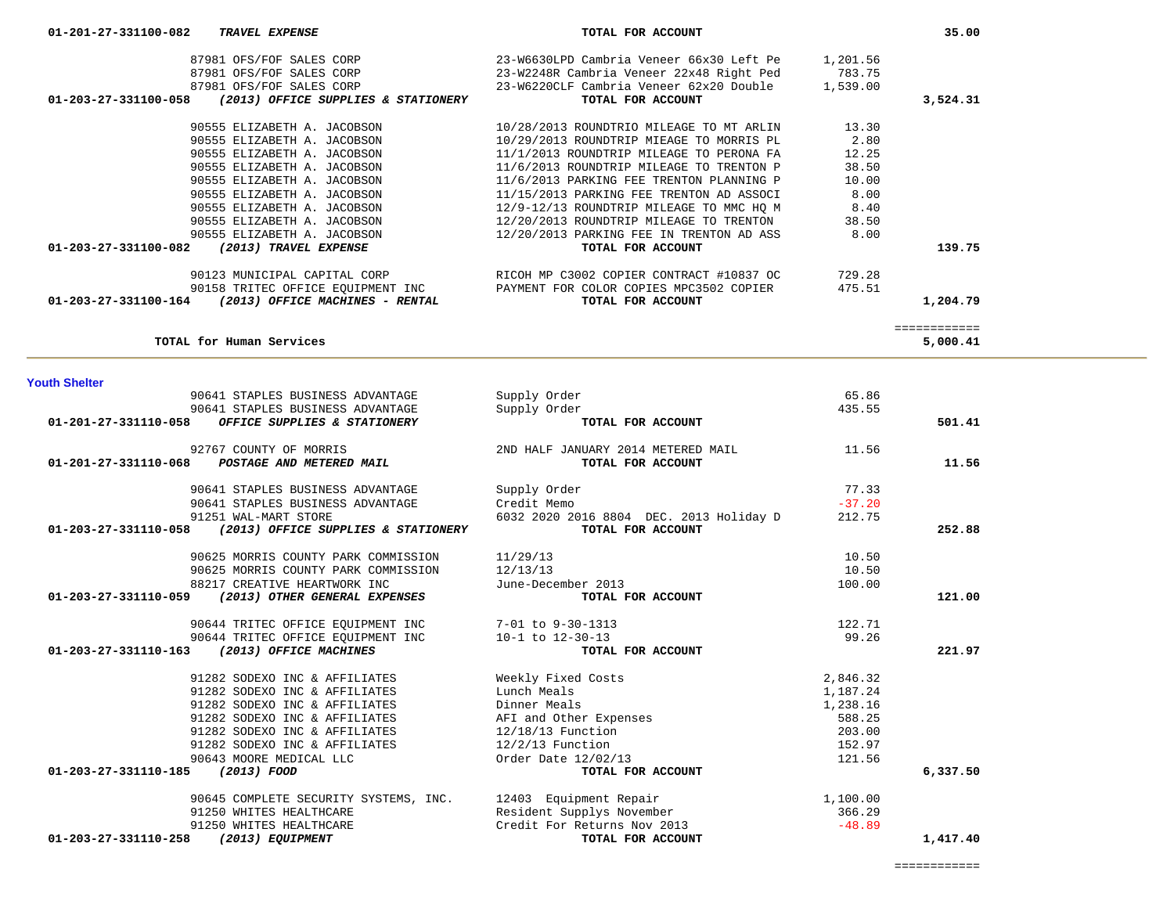| vuut viivivi                     | 90641 STAPLES BUSINESS ADVANTAGE<br>90641 STAPLES BUSINESS ADVANTAGE | Supply Order<br>Supply Order                                     | 65.86<br>435.55 |          |
|----------------------------------|----------------------------------------------------------------------|------------------------------------------------------------------|-----------------|----------|
| 01-201-27-331110-058             | OFFICE SUPPLIES & STATIONERY                                         | TOTAL FOR ACCOUNT                                                |                 | 501.41   |
| 01-201-27-331110-068             | 92767 COUNTY OF MORRIS<br>POSTAGE AND METERED MAIL                   | 2ND HALF JANUARY 2014 METERED MAIL 30 11.56<br>TOTAL FOR ACCOUNT |                 | 11.56    |
|                                  | 90641 STAPLES BUSINESS ADVANTAGE                                     | Supply Order                                                     | 77.33           |          |
|                                  | 90641 STAPLES BUSINESS ADVANTAGE                                     | Credit Memo                                                      | $-37.20$        |          |
|                                  | 91251 WAL-MART STORE                                                 | 6032 2020 2016 8804 DEC. 2013 Holiday D                          | 212.75          |          |
| 01-203-27-331110-058             | (2013) OFFICE SUPPLIES & STATIONERY                                  | TOTAL FOR ACCOUNT                                                |                 | 252.88   |
|                                  | 90625 MORRIS COUNTY PARK COMMISSION                                  | 11/29/13                                                         | 10.50           |          |
|                                  | 90625 MORRIS COUNTY PARK COMMISSION                                  | 12/13/13                                                         | 10.50           |          |
|                                  | 88217 CREATIVE HEARTWORK INC                                         | June-December 2013                                               | 100.00          |          |
| 01-203-27-331110-059             | (2013) OTHER GENERAL EXPENSES                                        | TOTAL FOR ACCOUNT                                                |                 | 121.00   |
|                                  | 90644 TRITEC OFFICE EQUIPMENT INC 7-01 to 9-30-1313                  |                                                                  | 122.71          |          |
|                                  | 90644 TRITEC OFFICE EQUIPMENT INC                                    | $10-1$ to $12-30-13$                                             | 99.26           |          |
| 01-203-27-331110-163             | (2013) OFFICE MACHINES                                               | TOTAL FOR ACCOUNT                                                |                 | 221.97   |
|                                  | 91282 SODEXO INC & AFFILIATES                                        | Weekly Fixed Costs                                               | 2,846.32        |          |
|                                  | 91282 SODEXO INC & AFFILIATES                                        | Lunch Meals                                                      | 1,187.24        |          |
|                                  | 91282 SODEXO INC & AFFILIATES                                        | Dinner Meals                                                     | 1,238.16        |          |
|                                  | 91282 SODEXO INC & AFFILIATES                                        | AFI and Other Expenses                                           | 588.25          |          |
|                                  | 91282 SODEXO INC & AFFILIATES                                        | $12/18/13$ Function                                              | 203.00          |          |
|                                  | 91282 SODEXO INC & AFFILIATES                                        | $12/2/13$ Function                                               | 152.97          |          |
|                                  | 90643 MOORE MEDICAL LLC                                              | Order Date 12/02/13                                              | 121.56          |          |
| 01-203-27-331110-185 (2013) FOOD |                                                                      | TOTAL FOR ACCOUNT                                                |                 | 6,337.50 |
|                                  | 90645 COMPLETE SECURITY SYSTEMS, INC.                                | 12403 Equipment Repair                                           | 1,100.00        |          |
|                                  | 91250 WHITES HEALTHCARE                                              | Resident Supplys November                                        | 366.29          |          |
|                                  | 91250 WHITES HEALTHCARE                                              | Credit For Returns Nov 2013                                      | $-48.89$        |          |
| 01-203-27-331110-258             | (2013) EQUIPMENT                                                     | TOTAL FOR ACCOUNT                                                |                 | 1,417.40 |

| <b>Youth Shelter</b> |  |
|----------------------|--|
|----------------------|--|

| 87981 OFS/FOF SALES CORP<br>87981 OFS/FOF SALES CORP<br>87981 OFS/FOF SALES CORP<br>01-203-27-331100-058<br>(2013) OFFICE SUPPLIES & STATIONERY | 23-W6630LPD Cambria Veneer 66x30 Left Pe<br>23-W2248R Cambria Veneer 22x48 Right Ped<br>$23-\texttt{W6220CLF}$ Cambria Veneer $62 \texttt{x} 20$ Double<br>TOTAL FOR ACCOUNT | 1,201.56<br>783.75<br>1,539.00 | 3,524.31 |
|-------------------------------------------------------------------------------------------------------------------------------------------------|------------------------------------------------------------------------------------------------------------------------------------------------------------------------------|--------------------------------|----------|
| 90555 ELIZABETH A. JACOBSON                                                                                                                     | 10/28/2013 ROUNDTRIO MILEAGE TO MT ARLIN                                                                                                                                     | 13.30                          |          |
| 90555 ELIZABETH A. JACOBSON                                                                                                                     | 10/29/2013 ROUNDTRIP MIEAGE TO MORRIS PL                                                                                                                                     | 2.80                           |          |
| 90555 ELIZABETH A. JACOBSON                                                                                                                     | 11/1/2013 ROUNDTRIP MILEAGE TO PERONA FA                                                                                                                                     | 12.25                          |          |
| 90555 ELIZABETH A. JACOBSON                                                                                                                     | 11/6/2013 ROUNDTRIP MILEAGE TO TRENTON P                                                                                                                                     | 38.50                          |          |
| 90555 ELIZABETH A. JACOBSON                                                                                                                     | 11/6/2013 PARKING FEE TRENTON PLANNING P                                                                                                                                     | 10.00                          |          |
| 90555 ELIZABETH A. JACOBSON                                                                                                                     | 11/15/2013 PARKING FEE TRENTON AD ASSOCI                                                                                                                                     | 8.00                           |          |
| 90555 ELIZABETH A. JACOBSON                                                                                                                     | 12/9-12/13 ROUNDTRIP MILEAGE TO MMC HO M                                                                                                                                     | 8.40                           |          |
| 90555 ELIZABETH A. JACOBSON                                                                                                                     | 12/20/2013 ROUNDTRIP MILEAGE TO TRENTON                                                                                                                                      | 38.50                          |          |
| 90555 ELIZABETH A. JACOBSON                                                                                                                     | 12/20/2013 PARKING FEE IN TRENTON AD ASS                                                                                                                                     | 8.00                           |          |
| $01 - 203 - 27 - 331100 - 082$<br>(2013) TRAVEL EXPENSE                                                                                         | TOTAL FOR ACCOUNT                                                                                                                                                            |                                | 139.75   |
| 90123 MUNICIPAL CAPITAL CORP                                                                                                                    | RICOH MP C3002 COPIER CONTRACT #10837 OC                                                                                                                                     | 729.28                         |          |
|                                                                                                                                                 | 90158 TRITEC OFFICE EQUIPMENT INC <b>EXAMENT FOR COLOR COPIES MPC3502 COPIER</b>                                                                                             | 475.51                         |          |
| $01-203-27-331100-164$ (2013) OFFICE MACHINES - RENTAL                                                                                          | TOTAL FOR ACCOUNT                                                                                                                                                            |                                | 1,204.79 |
|                                                                                                                                                 |                                                                                                                                                                              |                                |          |
| TOTAL for Human Services                                                                                                                        |                                                                                                                                                                              |                                | 5,000.41 |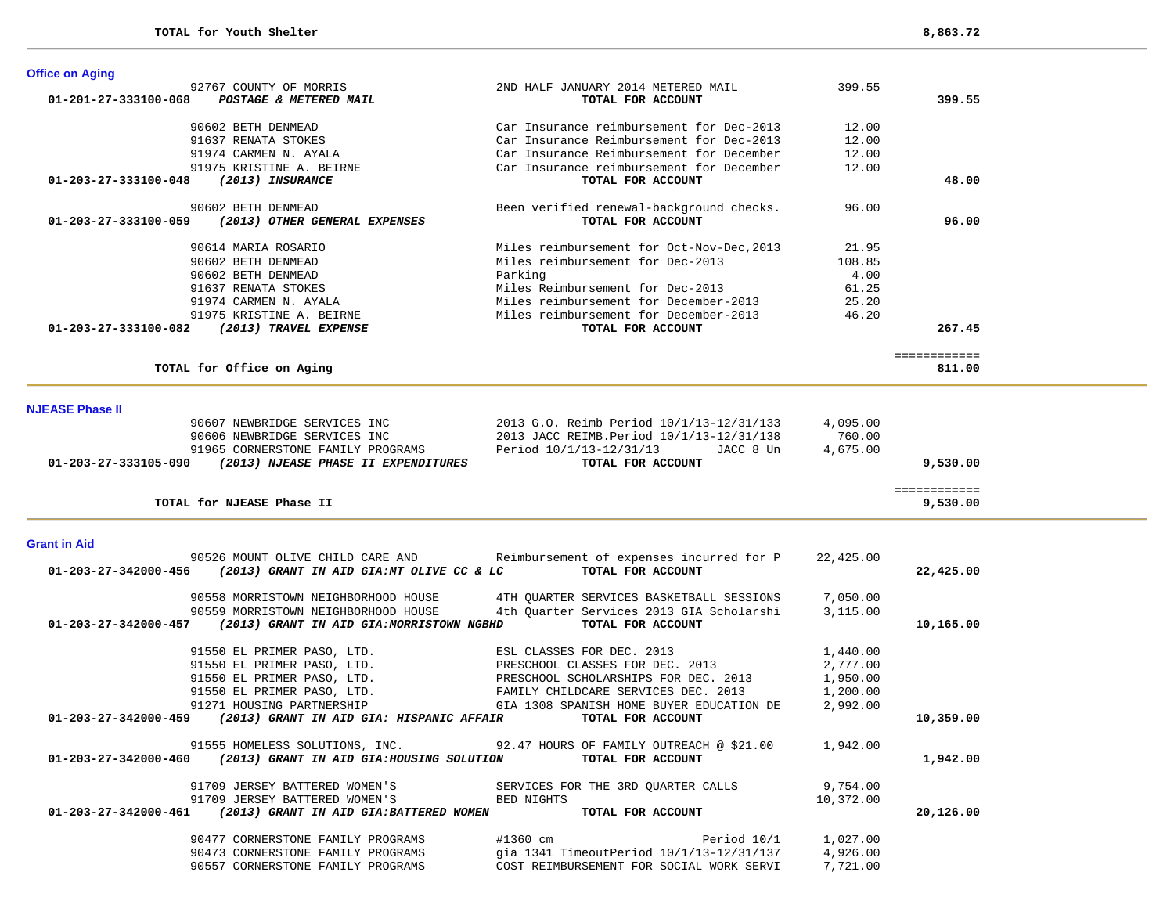| 399.55<br>92767 COUNTY OF MORRIS<br>2ND HALF JANUARY 2014 METERED MAIL<br>POSTAGE & METERED MAIL<br>399.55<br>01-201-27-333100-068<br>TOTAL FOR ACCOUNT<br>90602 BETH DENMEAD<br>Car Insurance reimbursement for Dec-2013<br>12.00<br>91637 RENATA STOKES<br>Car Insurance Reimbursement for Dec-2013<br>12.00<br>91974 CARMEN N. AYALA<br>Car Insurance Reimbursement for December<br>12.00<br>91975 KRISTINE A. BEIRNE<br>Car Insurance reimbursement for December<br>12.00<br>(2013) INSURANCE<br>TOTAL FOR ACCOUNT<br>01-203-27-333100-048<br>48.00<br>90602 BETH DENMEAD<br>Been verified renewal-background checks.<br>96.00<br>(2013) OTHER GENERAL EXPENSES<br>TOTAL FOR ACCOUNT<br>96.00<br>01-203-27-333100-059<br>90614 MARIA ROSARIO<br>Miles reimbursement for Oct-Nov-Dec, 2013<br>21.95<br>90602 BETH DENMEAD<br>Miles reimbursement for Dec-2013<br>108.85<br>90602 BETH DENMEAD<br>Parking<br>4.00<br>Miles Reimbursement for Dec-2013<br>91637 RENATA STOKES<br>61.25<br>Miles reimbursement for December-2013<br>25.20<br>91974 CARMEN N. AYALA<br>91975 KRISTINE A. BEIRNE<br>Miles reimbursement for December-2013<br>46.20<br>(2013) TRAVEL EXPENSE<br>TOTAL FOR ACCOUNT<br>267.45<br>01-203-27-333100-082<br>============<br>TOTAL for Office on Aging<br>811.00<br><b>NJEASE Phase II</b><br>90607 NEWBRIDGE SERVICES INC<br>2013 G.O. Reimb Period 10/1/13-12/31/133<br>4,095.00<br>2013 JACC REIMB. Period 10/1/13-12/31/138<br>760.00<br>90606 NEWBRIDGE SERVICES INC<br>91965 CORNERSTONE FAMILY PROGRAMS<br>Period 10/1/13-12/31/13<br>JACC 8 Un<br>4,675.00<br>01-203-27-333105-090 (2013) NJEASE PHASE II EXPENDITURES<br>TOTAL FOR ACCOUNT<br>9,530.00<br>============<br>TOTAL for NJEASE Phase II<br>9,530.00<br><b>Grant in Aid</b><br>90526 MOUNT OLIVE CHILD CARE AND<br>Reimbursement of expenses incurred for P<br>22,425.00<br>TOTAL FOR ACCOUNT<br>01-203-27-342000-456<br>(2013) GRANT IN AID GIA:MT OLIVE CC & LC<br>22,425.00<br>90558 MORRISTOWN NEIGHBORHOOD HOUSE<br>4TH QUARTER SERVICES BASKETBALL SESSIONS<br>7,050.00<br>4th Quarter Services 2013 GIA Scholarshi<br>3.115.00<br>90559 MORRISTOWN NEIGHBORHOOD HOUSE<br>01-203-27-342000-457 (2013) GRANT IN AID GIA: MORRISTOWN NGBHD<br>TOTAL FOR ACCOUNT<br>10,165.00<br>91550 EL PRIMER PASO, LTD.<br>ESL CLASSES FOR DEC. 2013<br>1,440.00<br>91550 EL PRIMER PASO, LTD.<br>PRESCHOOL CLASSES FOR DEC. 2013<br>2,777.00<br>91550 EL PRIMER PASO, LTD.<br>PRESCHOOL SCHOLARSHIPS FOR DEC. 2013<br>1,950.00<br>91550 EL PRIMER PASO, LTD.<br>FAMILY CHILDCARE SERVICES DEC. 2013<br>1,200.00 | <b>Office on Aging</b> |                                          |          |  |
|----------------------------------------------------------------------------------------------------------------------------------------------------------------------------------------------------------------------------------------------------------------------------------------------------------------------------------------------------------------------------------------------------------------------------------------------------------------------------------------------------------------------------------------------------------------------------------------------------------------------------------------------------------------------------------------------------------------------------------------------------------------------------------------------------------------------------------------------------------------------------------------------------------------------------------------------------------------------------------------------------------------------------------------------------------------------------------------------------------------------------------------------------------------------------------------------------------------------------------------------------------------------------------------------------------------------------------------------------------------------------------------------------------------------------------------------------------------------------------------------------------------------------------------------------------------------------------------------------------------------------------------------------------------------------------------------------------------------------------------------------------------------------------------------------------------------------------------------------------------------------------------------------------------------------------------------------------------------------------------------------------------------------------------------------------------------------------------------------------------------------------------------------------------------------------------------------------------------------------------------------------------------------------------------------------------------------------------------------------------------------------------------------------------------------------------------------------------------------------------------------------------------------------------------------------------------------------------------------|------------------------|------------------------------------------|----------|--|
|                                                                                                                                                                                                                                                                                                                                                                                                                                                                                                                                                                                                                                                                                                                                                                                                                                                                                                                                                                                                                                                                                                                                                                                                                                                                                                                                                                                                                                                                                                                                                                                                                                                                                                                                                                                                                                                                                                                                                                                                                                                                                                                                                                                                                                                                                                                                                                                                                                                                                                                                                                                                    |                        |                                          |          |  |
|                                                                                                                                                                                                                                                                                                                                                                                                                                                                                                                                                                                                                                                                                                                                                                                                                                                                                                                                                                                                                                                                                                                                                                                                                                                                                                                                                                                                                                                                                                                                                                                                                                                                                                                                                                                                                                                                                                                                                                                                                                                                                                                                                                                                                                                                                                                                                                                                                                                                                                                                                                                                    |                        |                                          |          |  |
|                                                                                                                                                                                                                                                                                                                                                                                                                                                                                                                                                                                                                                                                                                                                                                                                                                                                                                                                                                                                                                                                                                                                                                                                                                                                                                                                                                                                                                                                                                                                                                                                                                                                                                                                                                                                                                                                                                                                                                                                                                                                                                                                                                                                                                                                                                                                                                                                                                                                                                                                                                                                    |                        |                                          |          |  |
|                                                                                                                                                                                                                                                                                                                                                                                                                                                                                                                                                                                                                                                                                                                                                                                                                                                                                                                                                                                                                                                                                                                                                                                                                                                                                                                                                                                                                                                                                                                                                                                                                                                                                                                                                                                                                                                                                                                                                                                                                                                                                                                                                                                                                                                                                                                                                                                                                                                                                                                                                                                                    |                        |                                          |          |  |
|                                                                                                                                                                                                                                                                                                                                                                                                                                                                                                                                                                                                                                                                                                                                                                                                                                                                                                                                                                                                                                                                                                                                                                                                                                                                                                                                                                                                                                                                                                                                                                                                                                                                                                                                                                                                                                                                                                                                                                                                                                                                                                                                                                                                                                                                                                                                                                                                                                                                                                                                                                                                    |                        |                                          |          |  |
|                                                                                                                                                                                                                                                                                                                                                                                                                                                                                                                                                                                                                                                                                                                                                                                                                                                                                                                                                                                                                                                                                                                                                                                                                                                                                                                                                                                                                                                                                                                                                                                                                                                                                                                                                                                                                                                                                                                                                                                                                                                                                                                                                                                                                                                                                                                                                                                                                                                                                                                                                                                                    |                        |                                          |          |  |
|                                                                                                                                                                                                                                                                                                                                                                                                                                                                                                                                                                                                                                                                                                                                                                                                                                                                                                                                                                                                                                                                                                                                                                                                                                                                                                                                                                                                                                                                                                                                                                                                                                                                                                                                                                                                                                                                                                                                                                                                                                                                                                                                                                                                                                                                                                                                                                                                                                                                                                                                                                                                    |                        |                                          |          |  |
|                                                                                                                                                                                                                                                                                                                                                                                                                                                                                                                                                                                                                                                                                                                                                                                                                                                                                                                                                                                                                                                                                                                                                                                                                                                                                                                                                                                                                                                                                                                                                                                                                                                                                                                                                                                                                                                                                                                                                                                                                                                                                                                                                                                                                                                                                                                                                                                                                                                                                                                                                                                                    |                        |                                          |          |  |
|                                                                                                                                                                                                                                                                                                                                                                                                                                                                                                                                                                                                                                                                                                                                                                                                                                                                                                                                                                                                                                                                                                                                                                                                                                                                                                                                                                                                                                                                                                                                                                                                                                                                                                                                                                                                                                                                                                                                                                                                                                                                                                                                                                                                                                                                                                                                                                                                                                                                                                                                                                                                    |                        |                                          |          |  |
|                                                                                                                                                                                                                                                                                                                                                                                                                                                                                                                                                                                                                                                                                                                                                                                                                                                                                                                                                                                                                                                                                                                                                                                                                                                                                                                                                                                                                                                                                                                                                                                                                                                                                                                                                                                                                                                                                                                                                                                                                                                                                                                                                                                                                                                                                                                                                                                                                                                                                                                                                                                                    |                        |                                          |          |  |
|                                                                                                                                                                                                                                                                                                                                                                                                                                                                                                                                                                                                                                                                                                                                                                                                                                                                                                                                                                                                                                                                                                                                                                                                                                                                                                                                                                                                                                                                                                                                                                                                                                                                                                                                                                                                                                                                                                                                                                                                                                                                                                                                                                                                                                                                                                                                                                                                                                                                                                                                                                                                    |                        |                                          |          |  |
|                                                                                                                                                                                                                                                                                                                                                                                                                                                                                                                                                                                                                                                                                                                                                                                                                                                                                                                                                                                                                                                                                                                                                                                                                                                                                                                                                                                                                                                                                                                                                                                                                                                                                                                                                                                                                                                                                                                                                                                                                                                                                                                                                                                                                                                                                                                                                                                                                                                                                                                                                                                                    |                        |                                          |          |  |
|                                                                                                                                                                                                                                                                                                                                                                                                                                                                                                                                                                                                                                                                                                                                                                                                                                                                                                                                                                                                                                                                                                                                                                                                                                                                                                                                                                                                                                                                                                                                                                                                                                                                                                                                                                                                                                                                                                                                                                                                                                                                                                                                                                                                                                                                                                                                                                                                                                                                                                                                                                                                    |                        |                                          |          |  |
|                                                                                                                                                                                                                                                                                                                                                                                                                                                                                                                                                                                                                                                                                                                                                                                                                                                                                                                                                                                                                                                                                                                                                                                                                                                                                                                                                                                                                                                                                                                                                                                                                                                                                                                                                                                                                                                                                                                                                                                                                                                                                                                                                                                                                                                                                                                                                                                                                                                                                                                                                                                                    |                        |                                          |          |  |
|                                                                                                                                                                                                                                                                                                                                                                                                                                                                                                                                                                                                                                                                                                                                                                                                                                                                                                                                                                                                                                                                                                                                                                                                                                                                                                                                                                                                                                                                                                                                                                                                                                                                                                                                                                                                                                                                                                                                                                                                                                                                                                                                                                                                                                                                                                                                                                                                                                                                                                                                                                                                    |                        |                                          |          |  |
|                                                                                                                                                                                                                                                                                                                                                                                                                                                                                                                                                                                                                                                                                                                                                                                                                                                                                                                                                                                                                                                                                                                                                                                                                                                                                                                                                                                                                                                                                                                                                                                                                                                                                                                                                                                                                                                                                                                                                                                                                                                                                                                                                                                                                                                                                                                                                                                                                                                                                                                                                                                                    |                        |                                          |          |  |
|                                                                                                                                                                                                                                                                                                                                                                                                                                                                                                                                                                                                                                                                                                                                                                                                                                                                                                                                                                                                                                                                                                                                                                                                                                                                                                                                                                                                                                                                                                                                                                                                                                                                                                                                                                                                                                                                                                                                                                                                                                                                                                                                                                                                                                                                                                                                                                                                                                                                                                                                                                                                    |                        |                                          |          |  |
|                                                                                                                                                                                                                                                                                                                                                                                                                                                                                                                                                                                                                                                                                                                                                                                                                                                                                                                                                                                                                                                                                                                                                                                                                                                                                                                                                                                                                                                                                                                                                                                                                                                                                                                                                                                                                                                                                                                                                                                                                                                                                                                                                                                                                                                                                                                                                                                                                                                                                                                                                                                                    |                        |                                          |          |  |
|                                                                                                                                                                                                                                                                                                                                                                                                                                                                                                                                                                                                                                                                                                                                                                                                                                                                                                                                                                                                                                                                                                                                                                                                                                                                                                                                                                                                                                                                                                                                                                                                                                                                                                                                                                                                                                                                                                                                                                                                                                                                                                                                                                                                                                                                                                                                                                                                                                                                                                                                                                                                    |                        |                                          |          |  |
|                                                                                                                                                                                                                                                                                                                                                                                                                                                                                                                                                                                                                                                                                                                                                                                                                                                                                                                                                                                                                                                                                                                                                                                                                                                                                                                                                                                                                                                                                                                                                                                                                                                                                                                                                                                                                                                                                                                                                                                                                                                                                                                                                                                                                                                                                                                                                                                                                                                                                                                                                                                                    |                        |                                          |          |  |
|                                                                                                                                                                                                                                                                                                                                                                                                                                                                                                                                                                                                                                                                                                                                                                                                                                                                                                                                                                                                                                                                                                                                                                                                                                                                                                                                                                                                                                                                                                                                                                                                                                                                                                                                                                                                                                                                                                                                                                                                                                                                                                                                                                                                                                                                                                                                                                                                                                                                                                                                                                                                    |                        |                                          |          |  |
|                                                                                                                                                                                                                                                                                                                                                                                                                                                                                                                                                                                                                                                                                                                                                                                                                                                                                                                                                                                                                                                                                                                                                                                                                                                                                                                                                                                                                                                                                                                                                                                                                                                                                                                                                                                                                                                                                                                                                                                                                                                                                                                                                                                                                                                                                                                                                                                                                                                                                                                                                                                                    |                        |                                          |          |  |
|                                                                                                                                                                                                                                                                                                                                                                                                                                                                                                                                                                                                                                                                                                                                                                                                                                                                                                                                                                                                                                                                                                                                                                                                                                                                                                                                                                                                                                                                                                                                                                                                                                                                                                                                                                                                                                                                                                                                                                                                                                                                                                                                                                                                                                                                                                                                                                                                                                                                                                                                                                                                    |                        |                                          |          |  |
|                                                                                                                                                                                                                                                                                                                                                                                                                                                                                                                                                                                                                                                                                                                                                                                                                                                                                                                                                                                                                                                                                                                                                                                                                                                                                                                                                                                                                                                                                                                                                                                                                                                                                                                                                                                                                                                                                                                                                                                                                                                                                                                                                                                                                                                                                                                                                                                                                                                                                                                                                                                                    |                        |                                          |          |  |
|                                                                                                                                                                                                                                                                                                                                                                                                                                                                                                                                                                                                                                                                                                                                                                                                                                                                                                                                                                                                                                                                                                                                                                                                                                                                                                                                                                                                                                                                                                                                                                                                                                                                                                                                                                                                                                                                                                                                                                                                                                                                                                                                                                                                                                                                                                                                                                                                                                                                                                                                                                                                    |                        |                                          |          |  |
|                                                                                                                                                                                                                                                                                                                                                                                                                                                                                                                                                                                                                                                                                                                                                                                                                                                                                                                                                                                                                                                                                                                                                                                                                                                                                                                                                                                                                                                                                                                                                                                                                                                                                                                                                                                                                                                                                                                                                                                                                                                                                                                                                                                                                                                                                                                                                                                                                                                                                                                                                                                                    |                        |                                          |          |  |
|                                                                                                                                                                                                                                                                                                                                                                                                                                                                                                                                                                                                                                                                                                                                                                                                                                                                                                                                                                                                                                                                                                                                                                                                                                                                                                                                                                                                                                                                                                                                                                                                                                                                                                                                                                                                                                                                                                                                                                                                                                                                                                                                                                                                                                                                                                                                                                                                                                                                                                                                                                                                    |                        |                                          |          |  |
|                                                                                                                                                                                                                                                                                                                                                                                                                                                                                                                                                                                                                                                                                                                                                                                                                                                                                                                                                                                                                                                                                                                                                                                                                                                                                                                                                                                                                                                                                                                                                                                                                                                                                                                                                                                                                                                                                                                                                                                                                                                                                                                                                                                                                                                                                                                                                                                                                                                                                                                                                                                                    |                        |                                          |          |  |
|                                                                                                                                                                                                                                                                                                                                                                                                                                                                                                                                                                                                                                                                                                                                                                                                                                                                                                                                                                                                                                                                                                                                                                                                                                                                                                                                                                                                                                                                                                                                                                                                                                                                                                                                                                                                                                                                                                                                                                                                                                                                                                                                                                                                                                                                                                                                                                                                                                                                                                                                                                                                    |                        |                                          |          |  |
|                                                                                                                                                                                                                                                                                                                                                                                                                                                                                                                                                                                                                                                                                                                                                                                                                                                                                                                                                                                                                                                                                                                                                                                                                                                                                                                                                                                                                                                                                                                                                                                                                                                                                                                                                                                                                                                                                                                                                                                                                                                                                                                                                                                                                                                                                                                                                                                                                                                                                                                                                                                                    |                        |                                          |          |  |
|                                                                                                                                                                                                                                                                                                                                                                                                                                                                                                                                                                                                                                                                                                                                                                                                                                                                                                                                                                                                                                                                                                                                                                                                                                                                                                                                                                                                                                                                                                                                                                                                                                                                                                                                                                                                                                                                                                                                                                                                                                                                                                                                                                                                                                                                                                                                                                                                                                                                                                                                                                                                    |                        |                                          |          |  |
|                                                                                                                                                                                                                                                                                                                                                                                                                                                                                                                                                                                                                                                                                                                                                                                                                                                                                                                                                                                                                                                                                                                                                                                                                                                                                                                                                                                                                                                                                                                                                                                                                                                                                                                                                                                                                                                                                                                                                                                                                                                                                                                                                                                                                                                                                                                                                                                                                                                                                                                                                                                                    |                        |                                          |          |  |
|                                                                                                                                                                                                                                                                                                                                                                                                                                                                                                                                                                                                                                                                                                                                                                                                                                                                                                                                                                                                                                                                                                                                                                                                                                                                                                                                                                                                                                                                                                                                                                                                                                                                                                                                                                                                                                                                                                                                                                                                                                                                                                                                                                                                                                                                                                                                                                                                                                                                                                                                                                                                    |                        |                                          |          |  |
|                                                                                                                                                                                                                                                                                                                                                                                                                                                                                                                                                                                                                                                                                                                                                                                                                                                                                                                                                                                                                                                                                                                                                                                                                                                                                                                                                                                                                                                                                                                                                                                                                                                                                                                                                                                                                                                                                                                                                                                                                                                                                                                                                                                                                                                                                                                                                                                                                                                                                                                                                                                                    |                        |                                          |          |  |
|                                                                                                                                                                                                                                                                                                                                                                                                                                                                                                                                                                                                                                                                                                                                                                                                                                                                                                                                                                                                                                                                                                                                                                                                                                                                                                                                                                                                                                                                                                                                                                                                                                                                                                                                                                                                                                                                                                                                                                                                                                                                                                                                                                                                                                                                                                                                                                                                                                                                                                                                                                                                    |                        |                                          |          |  |
|                                                                                                                                                                                                                                                                                                                                                                                                                                                                                                                                                                                                                                                                                                                                                                                                                                                                                                                                                                                                                                                                                                                                                                                                                                                                                                                                                                                                                                                                                                                                                                                                                                                                                                                                                                                                                                                                                                                                                                                                                                                                                                                                                                                                                                                                                                                                                                                                                                                                                                                                                                                                    |                        |                                          |          |  |
|                                                                                                                                                                                                                                                                                                                                                                                                                                                                                                                                                                                                                                                                                                                                                                                                                                                                                                                                                                                                                                                                                                                                                                                                                                                                                                                                                                                                                                                                                                                                                                                                                                                                                                                                                                                                                                                                                                                                                                                                                                                                                                                                                                                                                                                                                                                                                                                                                                                                                                                                                                                                    |                        |                                          |          |  |
|                                                                                                                                                                                                                                                                                                                                                                                                                                                                                                                                                                                                                                                                                                                                                                                                                                                                                                                                                                                                                                                                                                                                                                                                                                                                                                                                                                                                                                                                                                                                                                                                                                                                                                                                                                                                                                                                                                                                                                                                                                                                                                                                                                                                                                                                                                                                                                                                                                                                                                                                                                                                    |                        |                                          |          |  |
|                                                                                                                                                                                                                                                                                                                                                                                                                                                                                                                                                                                                                                                                                                                                                                                                                                                                                                                                                                                                                                                                                                                                                                                                                                                                                                                                                                                                                                                                                                                                                                                                                                                                                                                                                                                                                                                                                                                                                                                                                                                                                                                                                                                                                                                                                                                                                                                                                                                                                                                                                                                                    |                        |                                          |          |  |
| 91271 HOUSING PARTNERSHIP                                                                                                                                                                                                                                                                                                                                                                                                                                                                                                                                                                                                                                                                                                                                                                                                                                                                                                                                                                                                                                                                                                                                                                                                                                                                                                                                                                                                                                                                                                                                                                                                                                                                                                                                                                                                                                                                                                                                                                                                                                                                                                                                                                                                                                                                                                                                                                                                                                                                                                                                                                          |                        | GIA 1308 SPANISH HOME BUYER EDUCATION DE | 2,992.00 |  |

 **01-203-27-342000-459** *(2013) GRANT IN AID GIA: HISPANIC AFFAIR* **TOTAL FOR ACCOUNT 10,359.00**

91555 HOMELESS SOLUTIONS, INC. 92.47 HOURS OF FAMILY OUTREACH @ \$21.00 1,942.00  **01-203-27-342000-460** *(2013) GRANT IN AID GIA:HOUSING SOLUTION* **TOTAL FOR ACCOUNT 1,942.00**

91709 JERSEY BATTERED WOMEN'S SERVICES FOR THE 3RD QUARTER CALLS 9,754.00<br>91709 JERSEY BATTERED WOMEN'S BED NIGHTS BED STOLEN 10,372.00 91709 JERSEY BATTERED WOMEN'S BED NIGHTS 10,372.00  **01-203-27-342000-461** *(2013) GRANT IN AID GIA:BATTERED WOMEN* **TOTAL FOR ACCOUNT 20,126.00**

> 90477 CORNERSTONE FAMILY PROGRAMS #1360 cm  $\qquad$  Period 10/1 1,027.00 90473 CORNERSTONE FAMILY PROGRAMS gia 1341 TimeoutPeriod 10/1/13-12/31/137 4,926.00 90557 CORNERSTONE FAMILY PROGRAMS COST REIMBURSEMENT FOR SOCIAL WORK SERVI 7,721.00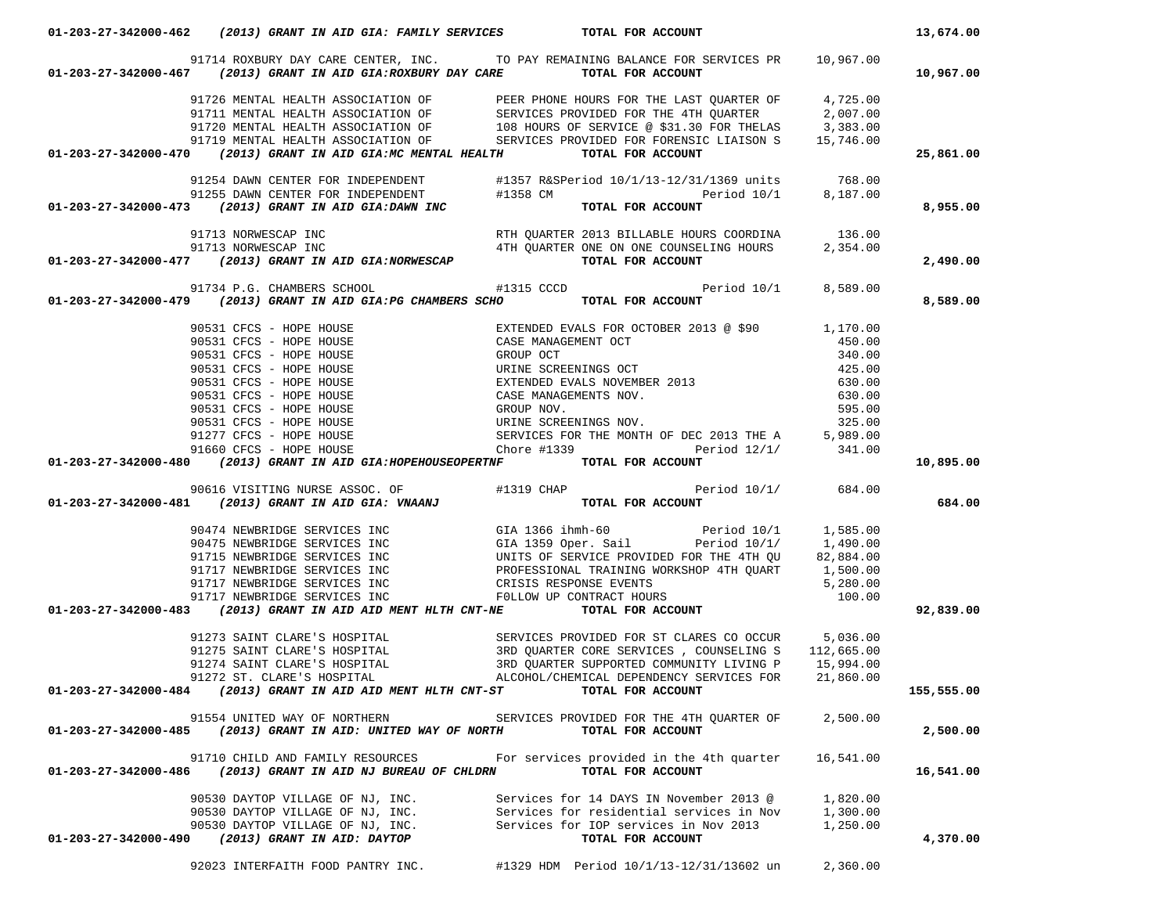|                      |                                                                                  | 91714 ROXBURY DAY CARE CENTER, INC. TO PAY REMAINING BALANCE FOR SERVICES PR 10,967.00                                                                                                                                                                                                                                                                                                                                             |           |            |
|----------------------|----------------------------------------------------------------------------------|------------------------------------------------------------------------------------------------------------------------------------------------------------------------------------------------------------------------------------------------------------------------------------------------------------------------------------------------------------------------------------------------------------------------------------|-----------|------------|
|                      |                                                                                  | 01-203-27-342000-467 (2013) GRANT IN AID GIA:ROXBURY DAY CARE TOTAL FOR ACCOUNT                                                                                                                                                                                                                                                                                                                                                    |           | 10,967.00  |
|                      |                                                                                  | 91726 MENTAL HEALTH ASSOCIATION OF THE PHONE HOURS FOR THE LAST QUARTER OF 4,725.00<br>91711 MENTAL HEALTH ASSOCIATION OF SERVICES PROVIDED FOR THE 4TH QUARTER 2,007.00<br>91719 MENTAL HEALTH ASSOCIATION OF 108 HOURS OF SERVICE                                                                                                                                                                                                |           |            |
|                      |                                                                                  |                                                                                                                                                                                                                                                                                                                                                                                                                                    |           |            |
|                      |                                                                                  |                                                                                                                                                                                                                                                                                                                                                                                                                                    |           |            |
|                      |                                                                                  |                                                                                                                                                                                                                                                                                                                                                                                                                                    |           |            |
|                      | 01-203-27-342000-470 (2013) GRANT IN AID GIA: MC MENTAL HEALTH TOTAL FOR ACCOUNT |                                                                                                                                                                                                                                                                                                                                                                                                                                    |           | 25,861.00  |
|                      |                                                                                  | 91254 DAWN CENTER FOR INDEPENDENT #1357 R&SPeriod 10/1/13-12/31/1369 units 768.00                                                                                                                                                                                                                                                                                                                                                  |           |            |
|                      |                                                                                  |                                                                                                                                                                                                                                                                                                                                                                                                                                    |           |            |
|                      |                                                                                  | 91255 DAWN CENTER FOR INDEPENDENT #1358 CM Period 10/1 91255 PAWN CENTER FOR INDEPENDENT 41358 CM Period 10/1 8,187.00                                                                                                                                                                                                                                                                                                             |           | 8,955.00   |
|                      |                                                                                  | 91713 NORWESCAP INC<br>91713 NORWESCAP INC 4TH QUARTER 2013 BILLABLE HOURS COORDINA 91713 NORWESCAP INC<br><b>91-203-27-342000-477</b> (2013) GRANT IN AID GIA:NORWESCAP 4TH QUARTER ONE ON ONE COUNSELING HOURS 2,354.00                                                                                                                                                                                                          |           |            |
|                      |                                                                                  |                                                                                                                                                                                                                                                                                                                                                                                                                                    |           |            |
|                      |                                                                                  |                                                                                                                                                                                                                                                                                                                                                                                                                                    |           | 2,490.00   |
|                      |                                                                                  | 91734 P.G. CHAMBERS SCHOOL #1315 CCCD Period 10/1 91734 P.G. CHAMBERS SCHOOL #1315 CCCD Period 10/1 8,589.00                                                                                                                                                                                                                                                                                                                       |           |            |
|                      |                                                                                  |                                                                                                                                                                                                                                                                                                                                                                                                                                    |           | 8,589.00   |
|                      |                                                                                  |                                                                                                                                                                                                                                                                                                                                                                                                                                    |           |            |
|                      |                                                                                  |                                                                                                                                                                                                                                                                                                                                                                                                                                    |           |            |
|                      |                                                                                  |                                                                                                                                                                                                                                                                                                                                                                                                                                    |           |            |
|                      |                                                                                  |                                                                                                                                                                                                                                                                                                                                                                                                                                    |           |            |
|                      |                                                                                  |                                                                                                                                                                                                                                                                                                                                                                                                                                    |           |            |
|                      |                                                                                  |                                                                                                                                                                                                                                                                                                                                                                                                                                    |           |            |
|                      |                                                                                  |                                                                                                                                                                                                                                                                                                                                                                                                                                    |           |            |
|                      |                                                                                  |                                                                                                                                                                                                                                                                                                                                                                                                                                    |           |            |
|                      |                                                                                  |                                                                                                                                                                                                                                                                                                                                                                                                                                    |           |            |
|                      |                                                                                  |                                                                                                                                                                                                                                                                                                                                                                                                                                    |           | 10,895.00  |
|                      |                                                                                  |                                                                                                                                                                                                                                                                                                                                                                                                                                    |           |            |
|                      |                                                                                  |                                                                                                                                                                                                                                                                                                                                                                                                                                    |           |            |
|                      |                                                                                  | 01-203-27-342000-479 (2013) GRANT IN AID GIA: PG CHAMBERS SCHO TOTAL FOR ACCOUNT<br>90531 CFCS - HOPE HOUSE<br>90531 CFCS - HOPE HOUSE<br>90531 CFCS - HOPE HOUSE<br>90531 CFCS - HOPE HOUSE<br>90531 CFCS - HOPE HOUSE<br>90531 CFCS - H                                                                                                                                                                                          |           | 684.00     |
|                      |                                                                                  | 90616 VISITING NURSE ASSOC. OF #1319 CHAP Period 10/1/ 684.00<br><b>01-203-27-342000-481</b> (2013) GRANT IN AID GIA: VNAANJ TOTAL FOR ACCOUNT                                                                                                                                                                                                                                                                                     |           |            |
|                      |                                                                                  |                                                                                                                                                                                                                                                                                                                                                                                                                                    |           |            |
|                      |                                                                                  |                                                                                                                                                                                                                                                                                                                                                                                                                                    |           |            |
|                      |                                                                                  |                                                                                                                                                                                                                                                                                                                                                                                                                                    |           |            |
|                      |                                                                                  |                                                                                                                                                                                                                                                                                                                                                                                                                                    |           |            |
|                      |                                                                                  |                                                                                                                                                                                                                                                                                                                                                                                                                                    |           |            |
|                      |                                                                                  |                                                                                                                                                                                                                                                                                                                                                                                                                                    |           | 92,839.00  |
|                      |                                                                                  | $\begin{tabular}{lllllllllllllllllll} 90474 & {\tt NEWBRIDGE} & {\tt SERVICES} & {\tt NC} & {\tt GLA 1366 ihmh-60 & Period 10/1 & 1,585.00 \\ 90475 & {\tt NEWBRIDGE} & {\tt SERVICES} & {\tt NC} & {\tt GLA 1359 Oper.} & {\tt Sal} & {\tt Period 10/1 & 1,490.00 \\ 91715 & {\tt NEWBRIDGE} & {\tt SERVICES} & {\tt NC} & {\tt UNITS} & {\tt SFRVICE PROYIDED FOR THE 4TH QU R1 & 82,884.00 \\ 91717 & {\tt NEWBRIDGE} & {\tt S$ |           |            |
|                      |                                                                                  |                                                                                                                                                                                                                                                                                                                                                                                                                                    |           |            |
|                      |                                                                                  |                                                                                                                                                                                                                                                                                                                                                                                                                                    |           |            |
|                      |                                                                                  |                                                                                                                                                                                                                                                                                                                                                                                                                                    |           |            |
|                      |                                                                                  | 91273 SAINT CLARE'S HOSPITAL SERVICES PROVIDED FOR ST CLARES CO OCCUR 5,036.00<br>91275 SAINT CLARE'S HOSPITAL 3RD QUARTER CORE SERVICES, COUNSELING S 112,665.00<br>91274 SAINT CLARE'S HOSPITAL 3RD QUARTER SUPPORTED COMMUNITY LI                                                                                                                                                                                               |           | 155,555.00 |
|                      | 01-203-27-342000-484 (2013) GRANT IN AID AID MENT HLTH CNT-ST TOTAL FOR ACCOUNT  |                                                                                                                                                                                                                                                                                                                                                                                                                                    |           |            |
|                      | 91554 UNITED WAY OF NORTHERN                                                     | SERVICES PROVIDED FOR THE 4TH QUARTER OF                                                                                                                                                                                                                                                                                                                                                                                           | 2,500.00  |            |
| 01-203-27-342000-485 | (2013) GRANT IN AID: UNITED WAY OF NORTH                                         | TOTAL FOR ACCOUNT                                                                                                                                                                                                                                                                                                                                                                                                                  |           | 2,500.00   |
|                      | 91710 CHILD AND FAMILY RESOURCES                                                 | For services provided in the 4th quarter                                                                                                                                                                                                                                                                                                                                                                                           | 16,541.00 |            |
| 01-203-27-342000-486 | (2013) GRANT IN AID NJ BUREAU OF CHLDRN                                          | TOTAL FOR ACCOUNT                                                                                                                                                                                                                                                                                                                                                                                                                  |           | 16,541.00  |
|                      | 90530 DAYTOP VILLAGE OF NJ, INC.                                                 | Services for 14 DAYS IN November 2013 @                                                                                                                                                                                                                                                                                                                                                                                            | 1,820.00  |            |
|                      | 90530 DAYTOP VILLAGE OF NJ, INC.                                                 | Services for residential services in Nov                                                                                                                                                                                                                                                                                                                                                                                           | 1,300.00  |            |
|                      | 90530 DAYTOP VILLAGE OF NJ, INC.                                                 | Services for IOP services in Nov 2013                                                                                                                                                                                                                                                                                                                                                                                              | 1,250.00  |            |
| 01-203-27-342000-490 | (2013) GRANT IN AID: DAYTOP                                                      | TOTAL FOR ACCOUNT                                                                                                                                                                                                                                                                                                                                                                                                                  |           | 4,370.00   |

 **01-203-27-342000-462** *(2013) GRANT IN AID GIA: FAMILY SERVICES* **TOTAL FOR ACCOUNT 13,674.00**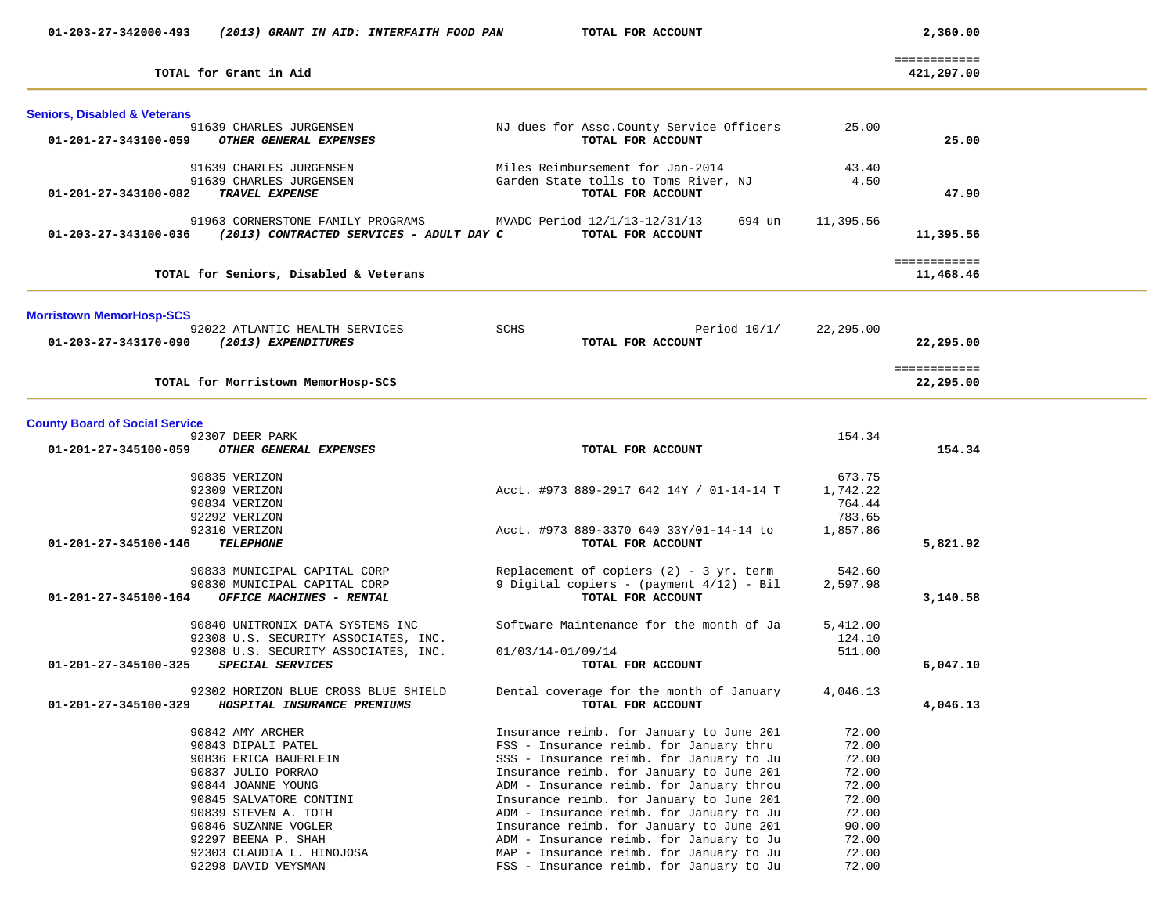| 01-203-27-342000-493                    | (2013) GRANT IN AID: INTERFAITH FOOD PAN         |                   | TOTAL FOR ACCOUNT                                                                    |                | 2,360.00     |  |
|-----------------------------------------|--------------------------------------------------|-------------------|--------------------------------------------------------------------------------------|----------------|--------------|--|
|                                         |                                                  |                   |                                                                                      |                | ============ |  |
|                                         | TOTAL for Grant in Aid                           |                   |                                                                                      |                | 421,297.00   |  |
| <b>Seniors, Disabled &amp; Veterans</b> |                                                  |                   |                                                                                      |                |              |  |
|                                         | 91639 CHARLES JURGENSEN                          |                   | NJ dues for Assc. County Service Officers                                            | 25.00          |              |  |
| 01-201-27-343100-059                    | OTHER GENERAL EXPENSES                           |                   | TOTAL FOR ACCOUNT                                                                    |                | 25.00        |  |
|                                         | 91639 CHARLES JURGENSEN                          |                   | Miles Reimbursement for Jan-2014                                                     | 43.40          |              |  |
|                                         | 91639 CHARLES JURGENSEN                          |                   | Garden State tolls to Toms River, NJ                                                 | 4.50           |              |  |
| 01-201-27-343100-082                    | TRAVEL EXPENSE                                   |                   | TOTAL FOR ACCOUNT                                                                    |                | 47.90        |  |
|                                         | 91963 CORNERSTONE FAMILY PROGRAMS                |                   | MVADC Period 12/1/13-12/31/13<br>694 un                                              | 11,395.56      |              |  |
| 01-203-27-343100-036                    | (2013) CONTRACTED SERVICES - ADULT DAY C         |                   | TOTAL FOR ACCOUNT                                                                    |                | 11,395.56    |  |
|                                         |                                                  |                   |                                                                                      |                | ============ |  |
|                                         | TOTAL for Seniors, Disabled & Veterans           |                   |                                                                                      |                | 11,468.46    |  |
| <b>Morristown MemorHosp-SCS</b>         |                                                  |                   |                                                                                      |                |              |  |
|                                         | 92022 ATLANTIC HEALTH SERVICES                   | SCHS              | Period $10/1/$                                                                       | 22,295.00      |              |  |
| 01-203-27-343170-090                    | (2013) EXPENDITURES                              |                   | TOTAL FOR ACCOUNT                                                                    |                | 22,295.00    |  |
|                                         |                                                  |                   |                                                                                      |                | ============ |  |
|                                         | TOTAL for Morristown MemorHosp-SCS               |                   |                                                                                      |                | 22,295.00    |  |
| <b>County Board of Social Service</b>   |                                                  |                   |                                                                                      |                |              |  |
|                                         | 92307 DEER PARK                                  |                   |                                                                                      | 154.34         |              |  |
|                                         | 01-201-27-345100-059 OTHER GENERAL EXPENSES      |                   | TOTAL FOR ACCOUNT                                                                    |                | 154.34       |  |
|                                         | 90835 VERIZON                                    |                   |                                                                                      | 673.75         |              |  |
|                                         | 92309 VERIZON                                    |                   | Acct. #973 889-2917 642 14Y / 01-14-14 T                                             | 1,742.22       |              |  |
|                                         | 90834 VERIZON                                    |                   |                                                                                      | 764.44         |              |  |
|                                         | 92292 VERIZON                                    |                   |                                                                                      | 783.65         |              |  |
| 01-201-27-345100-146                    | 92310 VERIZON<br><b>TELEPHONE</b>                |                   | Acct. #973 889-3370 640 33Y/01-14-14 to<br>TOTAL FOR ACCOUNT                         | 1,857.86       | 5,821.92     |  |
|                                         |                                                  |                   |                                                                                      |                |              |  |
|                                         | 90833 MUNICIPAL CAPITAL CORP                     |                   | Replacement of copiers $(2)$ - 3 yr. term                                            | 542.60         |              |  |
|                                         | 90830 MUNICIPAL CAPITAL CORP                     |                   | 9 Digital copiers - (payment 4/12) - Bil                                             | 2,597.98       |              |  |
| 01-201-27-345100-164                    | OFFICE MACHINES - RENTAL                         |                   | TOTAL FOR ACCOUNT                                                                    |                | 3,140.58     |  |
|                                         | 90840 UNITRONIX DATA SYSTEMS INC                 |                   | Software Maintenance for the month of Ja                                             | 5,412.00       |              |  |
|                                         | 92308 U.S. SECURITY ASSOCIATES, INC.             |                   |                                                                                      | 124.10         |              |  |
|                                         | 92308 U.S. SECURITY ASSOCIATES, INC.             | 01/03/14-01/09/14 |                                                                                      | 511.00         |              |  |
| 01-201-27-345100-325                    | SPECIAL SERVICES                                 |                   | TOTAL FOR ACCOUNT                                                                    |                | 6,047.10     |  |
|                                         | 92302 HORIZON BLUE CROSS BLUE SHIELD             |                   | Dental coverage for the month of January 4,046.13                                    |                |              |  |
| 01-201-27-345100-329                    | HOSPITAL INSURANCE PREMIUMS                      |                   | TOTAL FOR ACCOUNT                                                                    |                | 4,046.13     |  |
|                                         | 90842 AMY ARCHER                                 |                   | Insurance reimb. for January to June 201                                             | 72.00          |              |  |
|                                         | 90843 DIPALI PATEL                               |                   | FSS - Insurance reimb. for January thru                                              | 72.00          |              |  |
|                                         | 90836 ERICA BAUERLEIN                            |                   | SSS - Insurance reimb. for January to Ju                                             | 72.00          |              |  |
|                                         | 90837 JULIO PORRAO                               |                   | Insurance reimb. for January to June 201                                             | 72.00          |              |  |
|                                         | 90844 JOANNE YOUNG                               |                   | ADM - Insurance reimb. for January throu                                             | 72.00          |              |  |
|                                         | 90845 SALVATORE CONTINI                          |                   | Insurance reimb. for January to June 201                                             | 72.00          |              |  |
|                                         | 90839 STEVEN A. TOTH                             |                   | ADM - Insurance reimb. for January to Ju                                             | 72.00          |              |  |
|                                         | 90846 SUZANNE VOGLER                             |                   | Insurance reimb. for January to June 201                                             | 90.00          |              |  |
|                                         | 92297 BEENA P. SHAH                              |                   | ADM - Insurance reimb. for January to Ju                                             | 72.00          |              |  |
|                                         | 92303 CLAUDIA L. HINOJOSA<br>92298 DAVID VEYSMAN |                   | MAP - Insurance reimb. for January to Ju<br>FSS - Insurance reimb. for January to Ju | 72.00<br>72.00 |              |  |
|                                         |                                                  |                   |                                                                                      |                |              |  |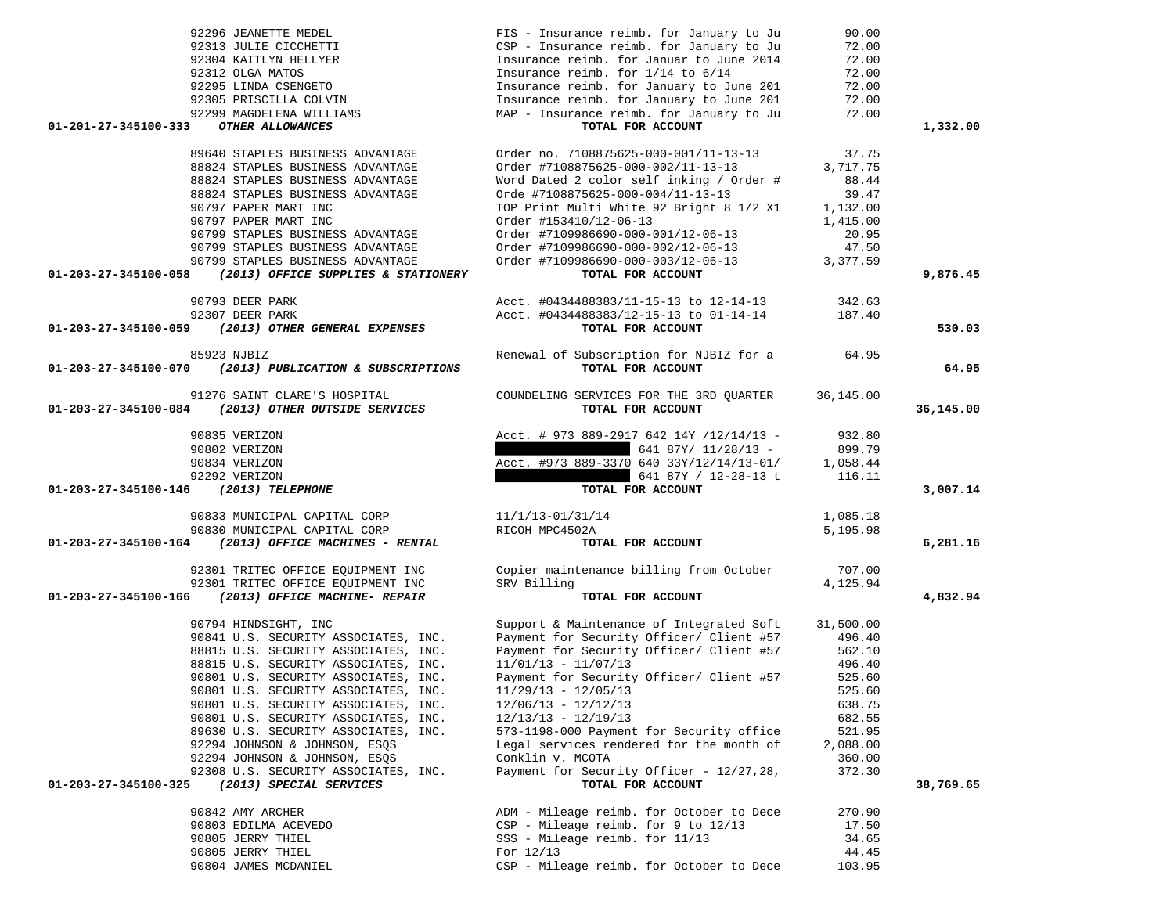|                      | 92296 JEANETTE MEDEL                                                                 | FIS - Insurance reimb. for January to Ju      | 90.00     |           |
|----------------------|--------------------------------------------------------------------------------------|-----------------------------------------------|-----------|-----------|
|                      | 92313 JULIE CICCHETTI                                                                | CSP - Insurance reimb. for January to Ju      | 72.00     |           |
|                      | 92304 KAITLYN HELLYER                                                                | Insurance reimb. for Januar to June 2014      | 72.00     |           |
|                      | 92312 OLGA MATOS                                                                     | Insurance reimb. for 1/14 to 6/14             | 72.00     |           |
|                      | 92312 OLGA MATOS<br>92295 LINDA CSENGETO<br>92305 PRISCILLA COLVIN                   | Insurance reimb. for January to June 201      | 72.00     |           |
|                      | 92305 PRISCILLA COLVIN                                                               | Insurance reimb. for January to June 201      | 72.00     |           |
|                      | 92299 MAGDELENA WILLIAMS                                                             | MAP - Insurance reimb. for January to Ju      | 72.00     |           |
| 01-201-27-345100-333 | OTHER ALLOWANCES                                                                     | TOTAL FOR ACCOUNT                             |           | 1,332.00  |
|                      |                                                                                      |                                               |           |           |
|                      | 89640 STAPLES BUSINESS ADVANTAGE                                                     | Order no. 7108875625-000-001/11-13-13         | 37.75     |           |
|                      | 88824 STAPLES BUSINESS ADVANTAGE                                                     | Order #7108875625-000-002/11-13-13            | 3,717.75  |           |
|                      | 88824 STAPLES BUSINESS ADVANTAGE                                                     | Word Dated 2 color self inking / Order #      | 88.44     |           |
|                      | 88824 STAPLES BUSINESS ADVANTAGE                                                     | Orde #7108875625-000-004/11-13-13             | 39.47     |           |
|                      | 90797 PAPER MART INC                                                                 | TOP Print Multi White 92 Bright 8 1/2 X1      | 1,132.00  |           |
|                      | 90797 PAPER MART INC                                                                 | Order #153410/12-06-13                        | 1,415.00  |           |
|                      | 90799 STAPLES BUSINESS ADVANTAGE                                                     | Order #7109986690-000-001/12-06-13            | 20.95     |           |
|                      | 90799 STAPLES BUSINESS ADVANTAGE                                                     | Order #7109986690-000-002/12-06-13            | 47.50     |           |
|                      | 90799 STAPLES BUSINESS ADVANTAGE                                                     | Order #7109986690-000-003/12-06-13            | 3,377.59  |           |
| 01-203-27-345100-058 | (2013) OFFICE SUPPLIES & STATIONERY                                                  | TOTAL FOR ACCOUNT                             |           | 9,876.45  |
|                      |                                                                                      |                                               |           |           |
|                      | 90793 DEER PARK                                                                      | Acct. #0434488383/11-15-13 to 12-14-13 342.63 |           |           |
|                      | 92307 DEER PARK                                                                      | Acct. #0434488383/12-15-13 to 01-14-14        | 187.40    |           |
| 01-203-27-345100-059 | (2013) OTHER GENERAL EXPENSES                                                        | TOTAL FOR ACCOUNT                             |           | 530.03    |
|                      | 85923 NJBIZ                                                                          | Renewal of Subscription for NJBIZ for a 64.95 |           |           |
|                      | 01-203-27-345100-070 (2013) PUBLICATION & SUBSCRIPTIONS                              | TOTAL FOR ACCOUNT                             |           | 64.95     |
|                      |                                                                                      |                                               |           |           |
|                      | 91276 SAINT CLARE'S HOSPITAL                                                         | COUNDELING SERVICES FOR THE 3RD QUARTER       | 36,145.00 |           |
|                      | 01-203-27-345100-084 (2013) OTHER OUTSIDE SERVICES                                   | TOTAL FOR ACCOUNT                             |           | 36,145.00 |
|                      |                                                                                      |                                               |           |           |
|                      | 90835 VERIZON                                                                        | Acct. # 973 889-2917 642 14Y /12/14/13 -      | 932.80    |           |
|                      | 90802 VERIZON                                                                        | $641 87Y/ 11/28/13 -$                         | 899.79    |           |
|                      | 90834 VERIZON                                                                        | Acct. #973 889-3370 640 33Y/12/14/13-01/      | 1,058.44  |           |
|                      | 92292 VERIZON                                                                        | 641 87Y / 12-28-13 t                          | 116.11    |           |
| 01-203-27-345100-146 | (2013) TELEPHONE                                                                     | TOTAL FOR ACCOUNT                             |           | 3,007.14  |
|                      |                                                                                      |                                               |           |           |
|                      | 90833 MUNICIPAL CAPITAL CORP                                                         | 11/1/13-01/31/14                              | 1,085.18  |           |
|                      | 90830 MUNICIPAL CAPITAL CORP<br>01-203-27-345100-164 (2013) OFFICE MACHINES - RENTAL | RICOH MPC4502A                                | 5,195.98  |           |
|                      |                                                                                      | TOTAL FOR ACCOUNT                             |           | 6,281.16  |
|                      | 92301 TRITEC OFFICE EQUIPMENT INC                                                    | Copier maintenance billing from October       | 707.00    |           |
|                      | 92301 TRITEC OFFICE EQUIPMENT INC                                                    | SRV Billing                                   | 4,125.94  |           |
|                      | 01-203-27-345100-166 (2013) OFFICE MACHINE- REPAIR                                   | TOTAL FOR ACCOUNT                             |           | 4,832.94  |
|                      |                                                                                      |                                               |           |           |
|                      | 90794 HINDSIGHT, INC                                                                 | Support & Maintenance of Integrated Soft      | 31,500.00 |           |
|                      | 90841 U.S. SECURITY ASSOCIATES, INC.                                                 | Payment for Security Officer/ Client #57      | 496.40    |           |
|                      | 88815 U.S. SECURITY ASSOCIATES, INC.                                                 | Payment for Security Officer/ Client #57      | 562.10    |           |
|                      | 88815 U.S. SECURITY ASSOCIATES, INC.                                                 | $11/01/13 - 11/07/13$                         | 496.40    |           |
|                      | 90801 U.S. SECURITY ASSOCIATES, INC.                                                 | Payment for Security Officer/ Client #57      | 525.60    |           |
|                      | 90801 U.S. SECURITY ASSOCIATES, INC.                                                 | $11/29/13 - 12/05/13$                         | 525.60    |           |
|                      | 90801 U.S. SECURITY ASSOCIATES, INC.                                                 | $12/06/13 - 12/12/13$                         | 638.75    |           |
|                      | 90801 U.S. SECURITY ASSOCIATES, INC.                                                 | $12/13/13 - 12/19/13$                         | 682.55    |           |
|                      | 89630 U.S. SECURITY ASSOCIATES, INC.                                                 | 573-1198-000 Payment for Security office      | 521.95    |           |
|                      | 92294 JOHNSON & JOHNSON, ESQS                                                        | Legal services rendered for the month of      | 2,088.00  |           |
|                      | 92294 JOHNSON & JOHNSON, ESQS                                                        | Conklin v. MCOTA                              | 360.00    |           |
|                      | 92308 U.S. SECURITY ASSOCIATES, INC.                                                 | Payment for Security Officer - 12/27,28,      | 372.30    |           |
| 01-203-27-345100-325 | (2013) SPECIAL SERVICES                                                              | TOTAL FOR ACCOUNT                             |           | 38,769.65 |
|                      | 90842 AMY ARCHER                                                                     | ADM - Mileage reimb. for October to Dece      | 270.90    |           |
|                      | 90803 EDILMA ACEVEDO                                                                 | CSP - Mileage reimb. for 9 to 12/13           | 17.50     |           |
|                      | 90805 JERRY THIEL                                                                    | SSS - Mileage reimb. for 11/13                | 34.65     |           |
|                      | 90805 JERRY THIEL                                                                    | For 12/13                                     | 44.45     |           |
|                      | 90804 JAMES MCDANIEL                                                                 | CSP - Mileage reimb. for October to Dece      | 103.95    |           |
|                      |                                                                                      |                                               |           |           |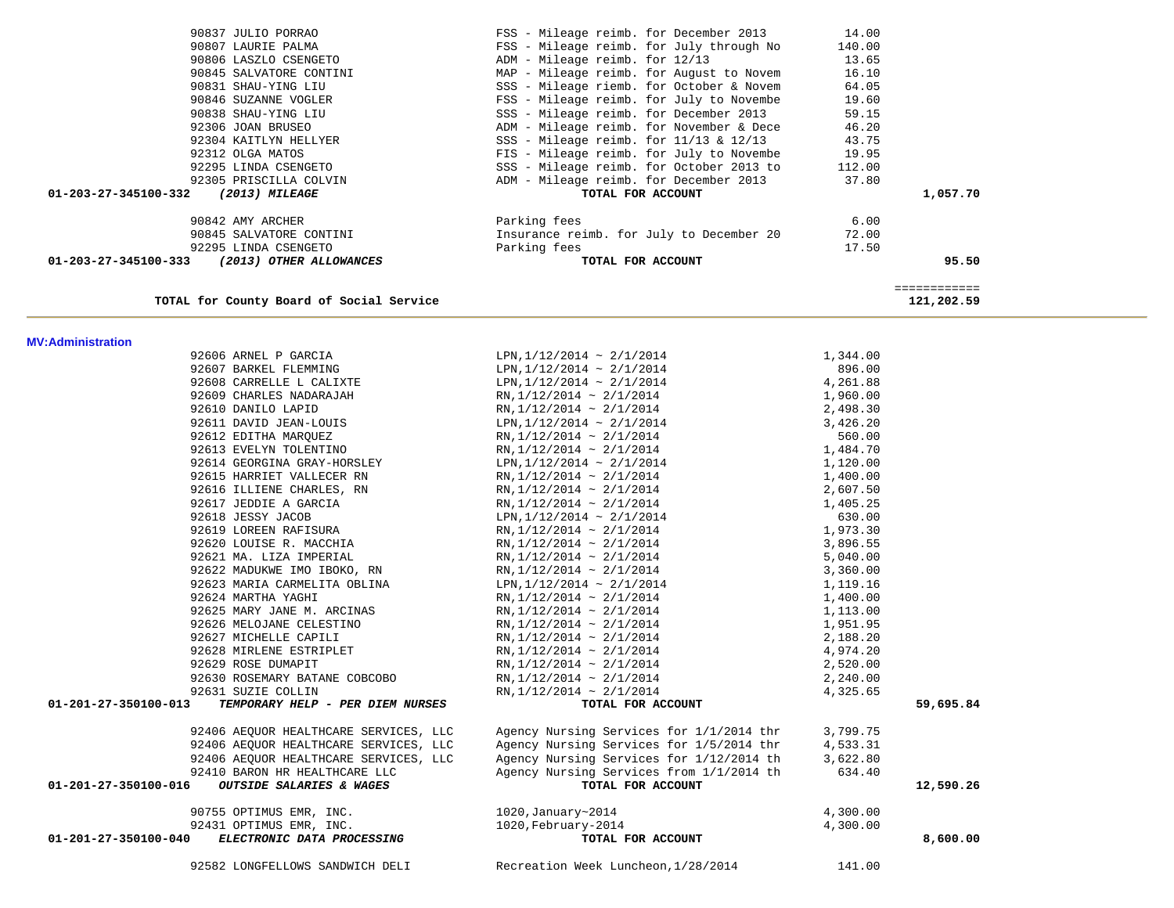| TOTAL for County Board of Social Service                 |                                            |          | ============<br>121,202.59 |
|----------------------------------------------------------|--------------------------------------------|----------|----------------------------|
| <b>MV:Administration</b>                                 |                                            |          |                            |
| 92606 ARNEL P GARCIA                                     | LPN, $1/12/2014 \sim 2/1/2014$             | 1,344.00 |                            |
| 92607 BARKEL FLEMMING                                    | LPN, $1/12/2014 \sim 2/1/2014$             | 896.00   |                            |
| 92608 CARRELLE L CALIXTE                                 | LPN, $1/12/2014 \sim 2/1/2014$             | 4,261.88 |                            |
| 92609 CHARLES NADARAJAH                                  | $RN$ , 1/12/2014 ~ 2/1/2014                | 1,960.00 |                            |
| 92610 DANILO LAPID                                       | $RN, 1/12/2014 \sim 2/1/2014$              | 2,498.30 |                            |
| 92611 DAVID JEAN-LOUIS                                   | LPN, $1/12/2014 \sim 2/1/2014$             | 3,426.20 |                            |
| 92612 EDITHA MARQUEZ                                     | $RN, 1/12/2014 \sim 2/1/2014$              | 560.00   |                            |
| 92613 EVELYN TOLENTINO                                   | RN, $1/12/2014 \sim 2/1/2014$              | 1,484.70 |                            |
| 92614 GEORGINA GRAY-HORSLEY                              | LPN, $1/12/2014 \sim 2/1/2014$             | 1,120.00 |                            |
| 92615 HARRIET VALLECER RN                                | $RN$ , 1/12/2014 ~ 2/1/2014                | 1,400.00 |                            |
| 92616 ILLIENE CHARLES, RN                                | RN, $1/12/2014 \sim 2/1/2014$              | 2,607.50 |                            |
| 92617 JEDDIE A GARCIA                                    | $RN, 1/12/2014 \sim 2/1/2014$              | 1,405.25 |                            |
| 92618 JESSY JACOB                                        | LPN, $1/12/2014 \sim 2/1/2014$             | 630.00   |                            |
| 92619 LOREEN RAFISURA                                    | $RN, 1/12/2014 \sim 2/1/2014$              | 1,973.30 |                            |
| 92620 LOUISE R. MACCHIA                                  | $RN, 1/12/2014 \sim 2/1/2014$              | 3,896.55 |                            |
| 92621 MA. LIZA IMPERIAL                                  | RN, $1/12/2014 \sim 2/1/2014$              | 5,040.00 |                            |
| 92622 MADUKWE IMO IBOKO, RN                              | $RN, 1/12/2014 \sim 2/1/2014$              | 3,360.00 |                            |
| 92623 MARIA CARMELITA OBLINA                             | LPN, $1/12/2014 \sim 2/1/2014$             | 1,119.16 |                            |
| 92624 MARTHA YAGHI                                       | RN, $1/12/2014 \sim 2/1/2014$              | 1,400.00 |                            |
| 92625 MARY JANE M. ARCINAS                               | $RN, 1/12/2014 \sim 2/1/2014$              | 1,113.00 |                            |
| 92626 MELOJANE CELESTINO                                 | $RN, 1/12/2014 \sim 2/1/2014$              | 1,951.95 |                            |
| 92627 MICHELLE CAPILI                                    | $RN, 1/12/2014 \sim 2/1/2014$              | 2,188.20 |                            |
| 92628 MIRLENE ESTRIPLET                                  | $RN, 1/12/2014 \sim 2/1/2014$              | 4,974.20 |                            |
| 92629 ROSE DUMAPIT                                       | RN, $1/12/2014 \sim 2/1/2014$              | 2,520.00 |                            |
| 92630 ROSEMARY BATANE COBCOBO                            | RN, $1/12/2014 \sim 2/1/2014$              | 2,240.00 |                            |
| 92631 SUZIE COLLIN                                       | RN, $1/12/2014 \sim 2/1/2014$              | 4,325.65 |                            |
| 01-201-27-350100-013<br>TEMPORARY HELP - PER DIEM NURSES | TOTAL FOR ACCOUNT                          |          | 59,695.84                  |
| 92406 AEQUOR HEALTHCARE SERVICES, LLC                    | Agency Nursing Services for 1/1/2014 thr   | 3,799.75 |                            |
| 92406 AEQUOR HEALTHCARE SERVICES, LLC                    | Agency Nursing Services for 1/5/2014 thr   | 4,533.31 |                            |
| 92406 AEQUOR HEALTHCARE SERVICES, LLC                    | Agency Nursing Services for 1/12/2014 th   | 3,622.80 |                            |
| 92410 BARON HR HEALTHCARE LLC                            | Agency Nursing Services from 1/1/2014 th   | 634.40   |                            |
| 01-201-27-350100-016<br>OUTSIDE SALARIES & WAGES         | TOTAL FOR ACCOUNT                          |          | 12,590.26                  |
| 90755 OPTIMUS EMR, INC.                                  | 1020, January~2014                         | 4,300.00 |                            |
| 92431 OPTIMUS EMR, INC.                                  | 1020, February-2014                        | 4,300.00 |                            |
| ELECTRONIC DATA PROCESSING<br>01-201-27-350100-040       | TOTAL FOR ACCOUNT                          |          | 8,600.00                   |
| 92582 LONGFELLOWS SANDWICH DELI                          | Recreation Week Luncheon, 1/28/2014 141.00 |          |                            |
|                                                          |                                            |          |                            |

| 90807 LAURIE PALMA                              | FSS - Mileage reimb. for July through No   | 140.00 |          |
|-------------------------------------------------|--------------------------------------------|--------|----------|
| 90806 LASZLO CSENGETO                           | ADM - Mileage reimb. for 12/13             | 13.65  |          |
| 90845 SALVATORE CONTINI                         | MAP - Mileage reimb. for August to Novem   | 16.10  |          |
| 90831 SHAU-YING LIU                             | SSS - Mileage riemb. for October & Novem   | 64.05  |          |
| 90846 SUZANNE VOGLER                            | FSS - Mileage reimb. for July to Novembe   | 19.60  |          |
| 90838 SHAU-YING LIU                             | SSS - Mileage reimb. for December 2013     | 59.15  |          |
| 92306 JOAN BRUSEO                               | ADM - Mileage reimb. for November & Dece   | 46.20  |          |
| 92304 KAITLYN HELLYER                           | SSS - Mileage reimb. for $11/13$ & $12/13$ | 43.75  |          |
| 92312 OLGA MATOS                                | FIS - Mileage reimb. for July to Novembe   | 19.95  |          |
| 92295 LINDA CSENGETO                            | SSS - Mileage reimb. for October 2013 to   | 112.00 |          |
| 92305 PRISCILLA COLVIN                          | ADM - Mileage reimb. for December 2013     | 37.80  |          |
| 01-203-27-345100-332<br>(2013) MILEAGE          | TOTAL FOR ACCOUNT                          |        | 1,057.70 |
| 90842 AMY ARCHER                                | Parking fees                               | 6.00   |          |
| 90845 SALVATORE CONTINI                         | Insurance reimb. for July to December 20   | 72.00  |          |
| 92295 LINDA CSENGETO                            | Parking fees                               | 17.50  |          |
| 01-203-27-345100-333<br>(2013) OTHER ALLOWANCES | TOTAL FOR ACCOUNT                          |        | 95.50    |

90837 JULIO PORRAO FSS - Mileage reimb. for December 2013 14.00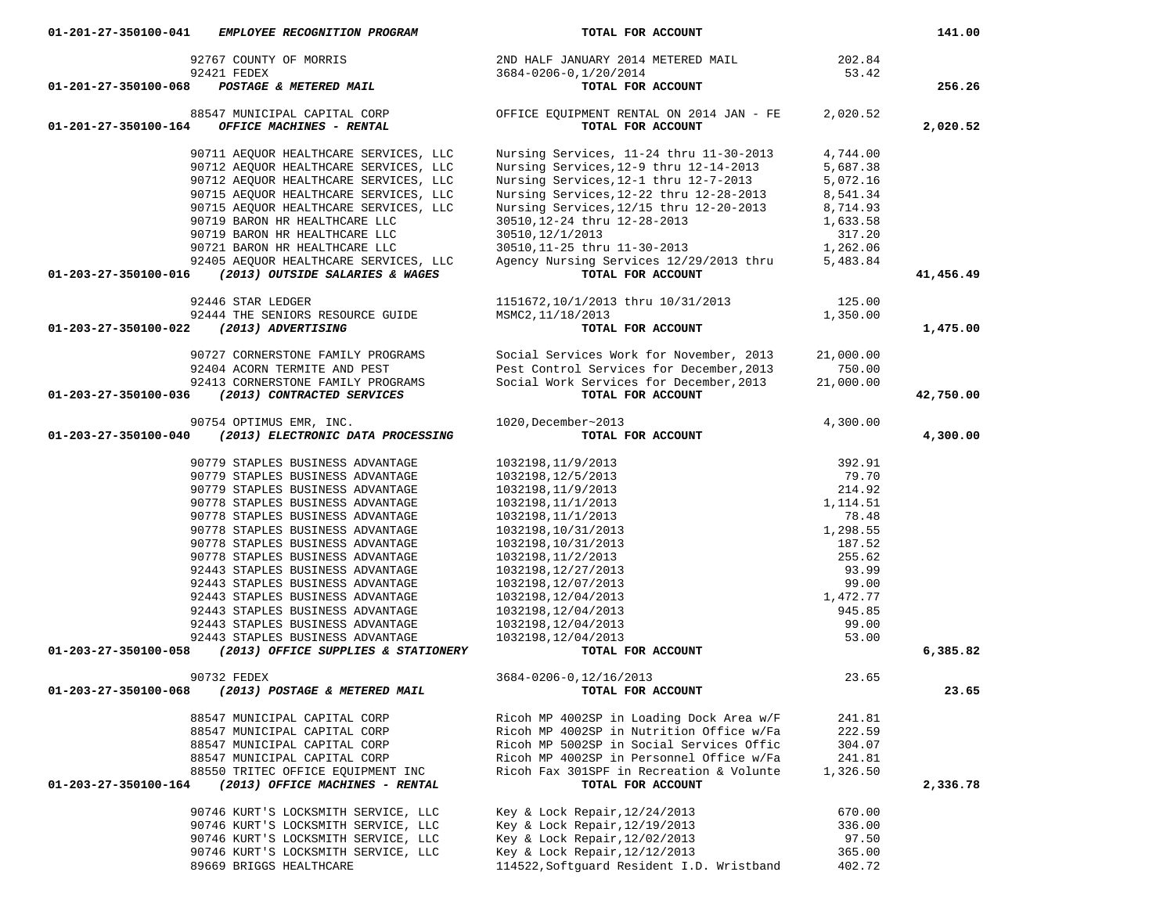| 92767 COUNTY OF MORRIS                                                                           | 2ND HALF JANUARY 2014 METERED MAIL                                      | 202.84            |           |
|--------------------------------------------------------------------------------------------------|-------------------------------------------------------------------------|-------------------|-----------|
| 92421 FEDEX                                                                                      | 3684-0206-0,1/20/2014                                                   | 53.42             |           |
| 01-201-27-350100-068<br>POSTAGE & METERED MAIL                                                   | TOTAL FOR ACCOUNT                                                       |                   | 256.26    |
| 88547 MUNICIPAL CAPITAL CORP                                                                     | OFFICE EQUIPMENT RENTAL ON 2014 JAN - FE                                | 2,020.52          |           |
| OFFICE MACHINES - RENTAL<br>01-201-27-350100-164                                                 | TOTAL FOR ACCOUNT                                                       |                   | 2,020.52  |
| 90711 AEQUOR HEALTHCARE SERVICES, LLC                                                            | Nursing Services, 11-24 thru 11-30-2013                                 | 4,744.00          |           |
| 90712 AEQUOR HEALTHCARE SERVICES, LLC                                                            | Nursing Services, 12-9 thru 12-14-2013                                  | 5,687.38          |           |
| 90712 AEQUOR HEALTHCARE SERVICES, LLC                                                            | Nursing Services, 12-1 thru 12-7-2013                                   | 5,072.16          |           |
| 90715 AEQUOR HEALTHCARE SERVICES, LLC                                                            | Nursing Services, 12-22 thru 12-28-2013                                 | 8,541.34          |           |
| 90715 AEOUOR HEALTHCARE SERVICES, LLC                                                            | Nursing Services, 12/15 thru 12-20-2013                                 | 8,714.93          |           |
| 90719 BARON HR HEALTHCARE LLC                                                                    | 30510, 12-24 thru 12-28-2013                                            | 1,633.58          |           |
| 90719 BARON HR HEALTHCARE LLC                                                                    | 30510, 12/1/2013                                                        | 317.20            |           |
| 90721 BARON HR HEALTHCARE LLC                                                                    | 30510, 11-25 thru 11-30-2013<br>Agency Nursing Services 12/29/2013 thru | 1,262.06          |           |
| 92405 AEQUOR HEALTHCARE SERVICES, LLC<br>01-203-27-350100-016<br>(2013) OUTSIDE SALARIES & WAGES | TOTAL FOR ACCOUNT                                                       | 5,483.84          | 41,456.49 |
| 92446 STAR LEDGER                                                                                |                                                                         | 125.00            |           |
| 92444 THE SENIORS RESOURCE GUIDE                                                                 | 1151672,10/1/2013 thru 10/31/2013<br>MSMC2, 11/18/2013                  | 1,350.00          |           |
| 01-203-27-350100-022<br>(2013) ADVERTISING                                                       | TOTAL FOR ACCOUNT                                                       |                   | 1,475.00  |
| 90727 CORNERSTONE FAMILY PROGRAMS                                                                | Social Services Work for November, 2013                                 | 21,000.00         |           |
| 92404 ACORN TERMITE AND PEST                                                                     | Pest Control Services for December, 2013                                | 750.00            |           |
| 92413 CORNERSTONE FAMILY PROGRAMS                                                                | Social Work Services for December, 2013                                 | 21,000.00         |           |
| (2013) CONTRACTED SERVICES<br>01-203-27-350100-036                                               | TOTAL FOR ACCOUNT                                                       |                   | 42,750.00 |
| 90754 OPTIMUS EMR, INC.                                                                          | 1020, December~2013                                                     | 4,300.00          |           |
| (2013) ELECTRONIC DATA PROCESSING<br>01-203-27-350100-040                                        | TOTAL FOR ACCOUNT                                                       |                   | 4,300.00  |
| 90779 STAPLES BUSINESS ADVANTAGE                                                                 | 1032198, 11/9/2013                                                      | 392.91            |           |
| 90779 STAPLES BUSINESS ADVANTAGE                                                                 | 1032198, 12/5/2013                                                      | 79.70             |           |
| 90779 STAPLES BUSINESS ADVANTAGE                                                                 | 1032198, 11/9/2013                                                      | 214.92            |           |
| 90778 STAPLES BUSINESS ADVANTAGE                                                                 | 1032198, 11/1/2013                                                      | 1,114.51          |           |
| 90778 STAPLES BUSINESS ADVANTAGE                                                                 | 1032198, 11/1/2013                                                      | 78.48             |           |
| 90778 STAPLES BUSINESS ADVANTAGE                                                                 | 1032198,10/31/2013                                                      | 1,298.55          |           |
| 90778 STAPLES BUSINESS ADVANTAGE                                                                 | 1032198,10/31/2013                                                      | 187.52            |           |
| 90778 STAPLES BUSINESS ADVANTAGE                                                                 | 1032198,11/2/2013                                                       | 255.62            |           |
| 92443 STAPLES BUSINESS ADVANTAGE                                                                 | 1032198, 12/27/2013                                                     | 93.99             |           |
| 92443 STAPLES BUSINESS ADVANTAGE<br>92443 STAPLES BUSINESS ADVANTAGE                             | 1032198,12/07/2013<br>1032198,12/04/2013                                | 99.00<br>1,472.77 |           |
| 92443 STAPLES BUSINESS ADVANTAGE                                                                 | 1032198,12/04/2013                                                      | 945.85            |           |
| 92443 STAPLES BUSINESS ADVANTAGE                                                                 | 1032198, 12/04/2013                                                     | 99.00             |           |
| 92443 STAPLES BUSINESS ADVANTAGE                                                                 | 1032198, 12/04/2013                                                     | 53.00             |           |
| (2013) OFFICE SUPPLIES & STATIONERY<br>01-203-27-350100-058                                      | TOTAL FOR ACCOUNT                                                       |                   | 6,385.82  |
| 90732 FEDEX                                                                                      | 3684-0206-0, 12/16/2013                                                 | 23.65             |           |
| 01-203-27-350100-068<br>(2013) POSTAGE & METERED MAIL                                            | TOTAL FOR ACCOUNT                                                       |                   | 23.65     |
| 88547 MUNICIPAL CAPITAL CORP                                                                     | Ricoh MP 4002SP in Loading Dock Area w/F                                | 241.81            |           |
| 88547 MUNICIPAL CAPITAL CORP                                                                     | Ricoh MP 4002SP in Nutrition Office w/Fa                                | 222.59            |           |
| 88547 MUNICIPAL CAPITAL CORP                                                                     | Ricoh MP 5002SP in Social Services Offic                                | 304.07            |           |
| 88547 MUNICIPAL CAPITAL CORP                                                                     | Ricoh MP 4002SP in Personnel Office w/Fa                                | 241.81            |           |
| 88550 TRITEC OFFICE EOUIPMENT INC<br>(2013) OFFICE MACHINES - RENTAL<br>01-203-27-350100-164     | Ricoh Fax 301SPF in Recreation & Volunte<br>TOTAL FOR ACCOUNT           | 1,326.50          | 2,336.78  |
|                                                                                                  |                                                                         |                   |           |
| 90746 KURT'S LOCKSMITH SERVICE, LLC                                                              | Key & Lock Repair, $12/24/2013$                                         | 670.00            |           |
| 90746 KURT'S LOCKSMITH SERVICE, LLC                                                              | Key & Lock Repair, 12/19/2013                                           | 336.00            |           |
| 90746 KURT'S LOCKSMITH SERVICE, LLC                                                              | Key & Lock Repair, 12/02/2013                                           | 97.50             |           |
| 90746 KURT'S LOCKSMITH SERVICE, LLC                                                              | Key & Lock Repair, 12/12/2013                                           | 365.00            |           |
| 89669 BRIGGS HEALTHCARE                                                                          | 114522, Softguard Resident I.D. Wristband                               | 402.72            |           |

141.00

01-201-27-350100-041 *EMPLOYEE RECOGNITION PROGRAM TOTAL FOR ACCOUNT*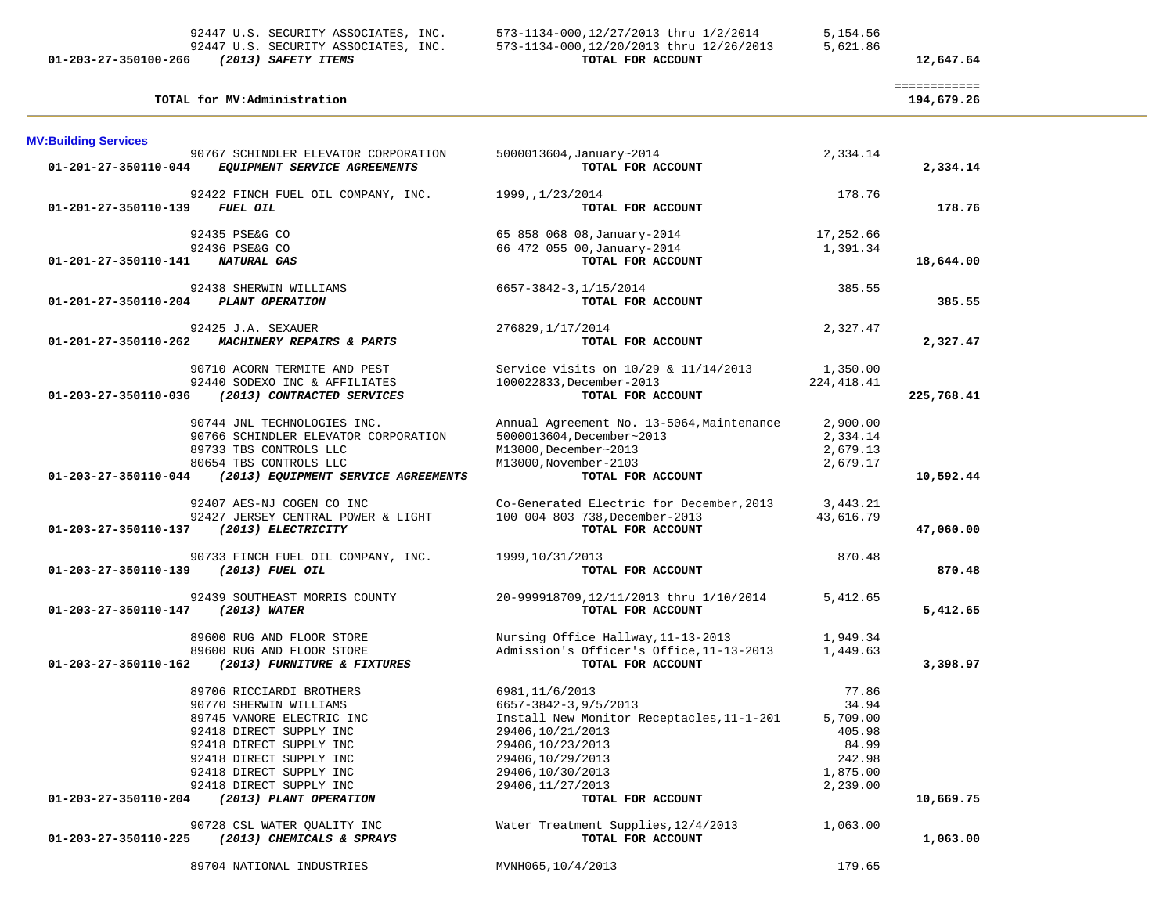| 01.202.27.250100.255 | $(2212)$ $227$                       | $m \wedge m \wedge r$ $m \wedge n \wedge m \wedge m$ |          |
|----------------------|--------------------------------------|------------------------------------------------------|----------|
|                      | 92447 U.S. SECURITY ASSOCIATES, INC. | 573-1134-000,12/20/2013 thru 12/26/2013              | 5,621.86 |
|                      | 92447 U.S. SECURITY ASSOCIATES, INC. | 573-1134-000,12/27/2013 thru 1/2/2014                | 5,154.56 |

# **01-203-27-350100-266** *(2013) SAFETY ITEMS* **TOTAL FOR ACCOUNT 12,647.64**

|                             |                                      |                                           |             | ============ |
|-----------------------------|--------------------------------------|-------------------------------------------|-------------|--------------|
|                             | TOTAL for MV:Administration          |                                           |             | 194,679.26   |
| <b>MV:Building Services</b> |                                      |                                           |             |              |
|                             | 90767 SCHINDLER ELEVATOR CORPORATION | 5000013604, January~2014                  | 2,334.14    |              |
| 01-201-27-350110-044        | EQUIPMENT SERVICE AGREEMENTS         | TOTAL FOR ACCOUNT                         |             | 2,334.14     |
|                             |                                      |                                           |             |              |
|                             | 92422 FINCH FUEL OIL COMPANY, INC.   | 1999,,1/23/2014                           | 178.76      |              |
| 01-201-27-350110-139        | FUEL OIL                             | TOTAL FOR ACCOUNT                         |             | 178.76       |
|                             |                                      |                                           |             |              |
|                             | 92435 PSE&G CO                       | 65 858 068 08, January-2014               | 17,252.66   |              |
|                             | 92436 PSE&G CO                       | 66 472 055 00, January-2014               | 1,391.34    |              |
| 01-201-27-350110-141        | <b>NATURAL GAS</b>                   | TOTAL FOR ACCOUNT                         |             | 18,644.00    |
|                             |                                      |                                           |             |              |
|                             | 92438 SHERWIN WILLIAMS               | 6657-3842-3,1/15/2014                     | 385.55      |              |
| 01-201-27-350110-204        | PLANT OPERATION                      | TOTAL FOR ACCOUNT                         |             | 385.55       |
|                             |                                      |                                           |             |              |
|                             | 92425 J.A. SEXAUER                   | 276829, 1/17/2014                         | 2,327.47    |              |
| 01-201-27-350110-262        | MACHINERY REPAIRS & PARTS            | TOTAL FOR ACCOUNT                         |             | 2,327.47     |
|                             |                                      |                                           |             |              |
|                             | 90710 ACORN TERMITE AND PEST         | Service visits on 10/29 & 11/14/2013      | 1,350.00    |              |
|                             | 92440 SODEXO INC & AFFILIATES        | 100022833, December-2013                  | 224, 418.41 |              |
| 01-203-27-350110-036        | (2013) CONTRACTED SERVICES           | TOTAL FOR ACCOUNT                         |             | 225,768.41   |
|                             |                                      |                                           |             |              |
|                             | 90744 JNL TECHNOLOGIES INC.          | Annual Agreement No. 13-5064, Maintenance | 2,900.00    |              |
|                             | 90766 SCHINDLER ELEVATOR CORPORATION | 5000013604, December~2013                 | 2,334.14    |              |
|                             | 89733 TBS CONTROLS LLC               | M13000, December~2013                     | 2,679.13    |              |
|                             | 80654 TBS CONTROLS LLC               | M13000, November-2103                     | 2,679.17    |              |
| 01-203-27-350110-044        | (2013) EQUIPMENT SERVICE AGREEMENTS  | TOTAL FOR ACCOUNT                         |             | 10,592.44    |
|                             |                                      |                                           |             |              |
|                             | 92407 AES-NJ COGEN CO INC            | Co-Generated Electric for December, 2013  | 3,443.21    |              |
|                             | 92427 JERSEY CENTRAL POWER & LIGHT   | 100 004 803 738, December-2013            | 43,616.79   |              |
| 01-203-27-350110-137        | <i>(2013) ELECTRICITY</i>            | TOTAL FOR ACCOUNT                         |             | 47,060.00    |
|                             |                                      |                                           |             |              |
|                             | 90733 FINCH FUEL OIL COMPANY, INC.   | 1999,10/31/2013                           | 870.48      |              |
| 01-203-27-350110-139        | (2013) FUEL OIL                      | TOTAL FOR ACCOUNT                         |             | 870.48       |
|                             |                                      |                                           |             |              |
|                             | 92439 SOUTHEAST MORRIS COUNTY        | 20-999918709,12/11/2013 thru 1/10/2014    | 5,412.65    |              |
| 01-203-27-350110-147        | (2013) WATER                         | TOTAL FOR ACCOUNT                         |             | 5,412.65     |
|                             |                                      |                                           |             |              |
|                             | 89600 RUG AND FLOOR STORE            | Nursing Office Hallway, 11-13-2013        | 1,949.34    |              |
|                             | 89600 RUG AND FLOOR STORE            | Admission's Officer's Office, 11-13-2013  | 1,449.63    |              |
| 01-203-27-350110-162        | (2013) FURNITURE & FIXTURES          | TOTAL FOR ACCOUNT                         |             | 3,398.97     |
|                             |                                      |                                           |             |              |
|                             | 89706 RICCIARDI BROTHERS             | 6981, 11/6/2013                           | 77.86       |              |
|                             | 90770 SHERWIN WILLIAMS               | 6657-3842-3,9/5/2013                      | 34.94       |              |
|                             | 89745 VANORE ELECTRIC INC            | Install New Monitor Receptacles, 11-1-201 | 5,709.00    |              |
|                             | 92418 DIRECT SUPPLY INC              | 29406, 10/21/2013                         | 405.98      |              |
|                             | 92418 DIRECT SUPPLY INC              | 29406,10/23/2013                          | 84.99       |              |
|                             | 92418 DIRECT SUPPLY INC              | 29406,10/29/2013                          | 242.98      |              |
|                             | 92418 DIRECT SUPPLY INC              | 29406,10/30/2013                          | 1,875.00    |              |
|                             | 92418 DIRECT SUPPLY INC              | 29406, 11/27/2013                         | 2,239.00    |              |
| 01-203-27-350110-204        | (2013) PLANT OPERATION               | TOTAL FOR ACCOUNT                         |             | 10,669.75    |
|                             |                                      |                                           |             |              |
|                             | 90728 CSL WATER QUALITY INC          | Water Treatment Supplies, 12/4/2013       | 1,063.00    |              |
| 01-203-27-350110-225        | (2013) CHEMICALS & SPRAYS            | TOTAL FOR ACCOUNT                         |             | 1,063.00     |
|                             |                                      |                                           |             |              |
|                             | 89704 NATIONAL INDUSTRIES            | MVNH065,10/4/2013                         | 179.65      |              |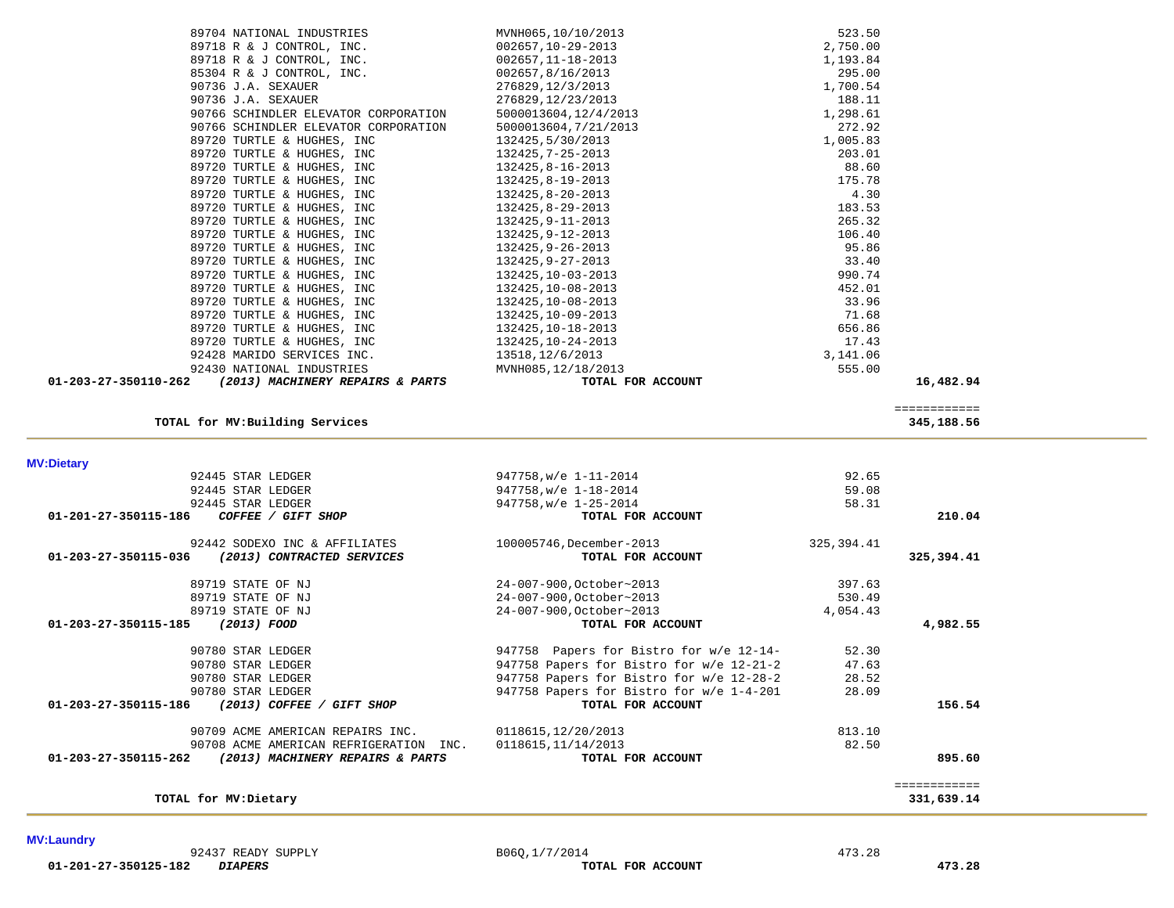|              | 92.65       | 947758, w/e 1-11-2014                    |                                        | 92445 STAR LEDGER                   |
|--------------|-------------|------------------------------------------|----------------------------------------|-------------------------------------|
|              | 59.08       | 947758, w/e 1-18-2014                    |                                        | 92445 STAR LEDGER                   |
|              | 58.31       | 947758, w/e 1-25-2014                    |                                        | 92445 STAR LEDGER                   |
| 210.04       |             | TOTAL FOR ACCOUNT                        | COFFEE / GIFT SHOP                     | 01-201-27-350115-186                |
|              | 325, 394.41 | 100005746, December-2013                 | 92442 SODEXO INC & AFFILIATES          |                                     |
| 325,394.41   |             | TOTAL FOR ACCOUNT                        | (2013) CONTRACTED SERVICES             | 01-203-27-350115-036                |
|              | 397.63      | 24-007-900, October~2013                 |                                        | 89719 STATE OF NJ                   |
|              | 530.49      | 24-007-900, October~2013                 |                                        | 89719 STATE OF NJ                   |
|              | 4,054.43    | 24-007-900, October~2013                 |                                        | 89719 STATE OF NJ                   |
| 4,982.55     |             | TOTAL FOR ACCOUNT                        |                                        | 01-203-27-350115-185<br>(2013) FOOD |
|              | 52.30       | 947758 Papers for Bistro for w/e 12-14-  |                                        | 90780 STAR LEDGER                   |
|              | 47.63       | 947758 Papers for Bistro for w/e 12-21-2 |                                        | 90780 STAR LEDGER                   |
|              | 28.52       | 947758 Papers for Bistro for w/e 12-28-2 |                                        | 90780 STAR LEDGER                   |
|              | 28.09       | 947758 Papers for Bistro for w/e 1-4-201 |                                        | 90780 STAR LEDGER                   |
| 156.54       |             | TOTAL FOR ACCOUNT                        | (2013) COFFEE / GIFT SHOP              | 01-203-27-350115-186                |
|              | 813.10      | 0118615, 12/20/2013                      | 90709 ACME AMERICAN REPAIRS INC.       |                                     |
|              | 82.50       | 0118615, 11/14/2013                      | 90708 ACME AMERICAN REFRIGERATION INC. |                                     |
| 895.60       |             | TOTAL FOR ACCOUNT                        | (2013) MACHINERY REPAIRS & PARTS       | 01-203-27-350115-262                |
| :=========== |             |                                          |                                        |                                     |
| 331,639.14   |             |                                          |                                        | TOTAL for MV: Dietary               |

**MV:Dietary** 

 $\sim$ 

| TOTAL for MV: Building Services                          |                    | 345,188.56              |
|----------------------------------------------------------|--------------------|-------------------------|
|                                                          |                    | . = = = = = = = = = = = |
| 01-203-27-350110-262<br>(2013) MACHINERY REPAIRS & PARTS | TOTAL FOR ACCOUNT  | 16,482.94               |
| 92430 NATIONAL INDUSTRIES                                | MVNH085,12/18/2013 | 555.00                  |
| 92428 MARIDO SERVICES INC.                               | 13518, 12/6/2013   | 3,141.06                |
| 89720 TURTLE & HUGHES, INC                               | 132425, 10-24-2013 | 17.43                   |
| 89720 TURTLE & HUGHES, INC                               | 132425, 10-18-2013 | 656.86                  |
| 89720 TURTLE & HUGHES, INC                               | 132425, 10-09-2013 | 71.68                   |
| 89720 TURTLE & HUGHES, INC                               | 132425, 10-08-2013 | 33.96                   |
| 09/40 IURILE & HUGHES, INC                               | 194449,10-00-4019  | 994.∪⊥                  |

| 89704 NATIONAL INDUSTRIES            | MVNH065,10/10/2013    | 523.50   |
|--------------------------------------|-----------------------|----------|
| 89718 R & J CONTROL, INC.            | 002657,10-29-2013     | 2,750.00 |
| 89718 R & J CONTROL, INC.            | 002657,11-18-2013     | 1,193.84 |
| 85304 R & J CONTROL, INC.            | 002657,8/16/2013      | 295.00   |
| 90736 J.A. SEXAUER                   | 276829, 12/3/2013     | 1,700.54 |
| 90736 J.A. SEXAUER                   | 276829,12/23/2013     | 188.11   |
| 90766 SCHINDLER ELEVATOR CORPORATION | 5000013604, 12/4/2013 | 1,298.61 |
| 90766 SCHINDLER ELEVATOR CORPORATION | 5000013604, 7/21/2013 | 272.92   |
| 89720 TURTLE & HUGHES, INC           | 132425,5/30/2013      | 1,005.83 |
| 89720 TURTLE & HUGHES, INC           | 132425, 7-25-2013     | 203.01   |
| 89720 TURTLE & HUGHES, INC           | 132425,8-16-2013      | 88.60    |
| 89720 TURTLE & HUGHES, INC           | 132425,8-19-2013      | 175.78   |
| 89720 TURTLE & HUGHES, INC           | 132425,8-20-2013      | 4.30     |
| 89720 TURTLE & HUGHES, INC           | 132425,8-29-2013      | 183.53   |
| 89720 TURTLE & HUGHES, INC           | 132425, 9-11-2013     | 265.32   |
| 89720 TURTLE & HUGHES, INC           | 132425,9-12-2013      | 106.40   |
| 89720 TURTLE & HUGHES, INC           | 132425,9-26-2013      | 95.86    |
| 89720 TURTLE & HUGHES, INC           | 132425,9-27-2013      | 33.40    |
| 89720 TURTLE & HUGHES, INC           | 132425,10-03-2013     | 990.74   |
| 89720 TURTLE & HUGHES, INC           | 132425,10-08-2013     | 452.01   |
| 89720 TURTLE & HUGHES, INC           | 132425,10-08-2013     | 33.96    |
| 89720 TURTLE & HUGHES, INC           | 132425,10-09-2013     | 71.68    |
| 89720 TURTLE & HUGHES, INC           | 132425,10-18-2013     | 656.86   |
| 89720 TURTLE & HUGHES, INC           | 132425,10-24-2013     | 17.43    |
| 92428 MARIDO SERVICES INC.           | 13518, 12/6/2013      | 3,141.06 |
| 92430 NATIONAL INDUSTRIES            | MVNH085, 12/18/2013   | 555.00   |

**MV:Laundry**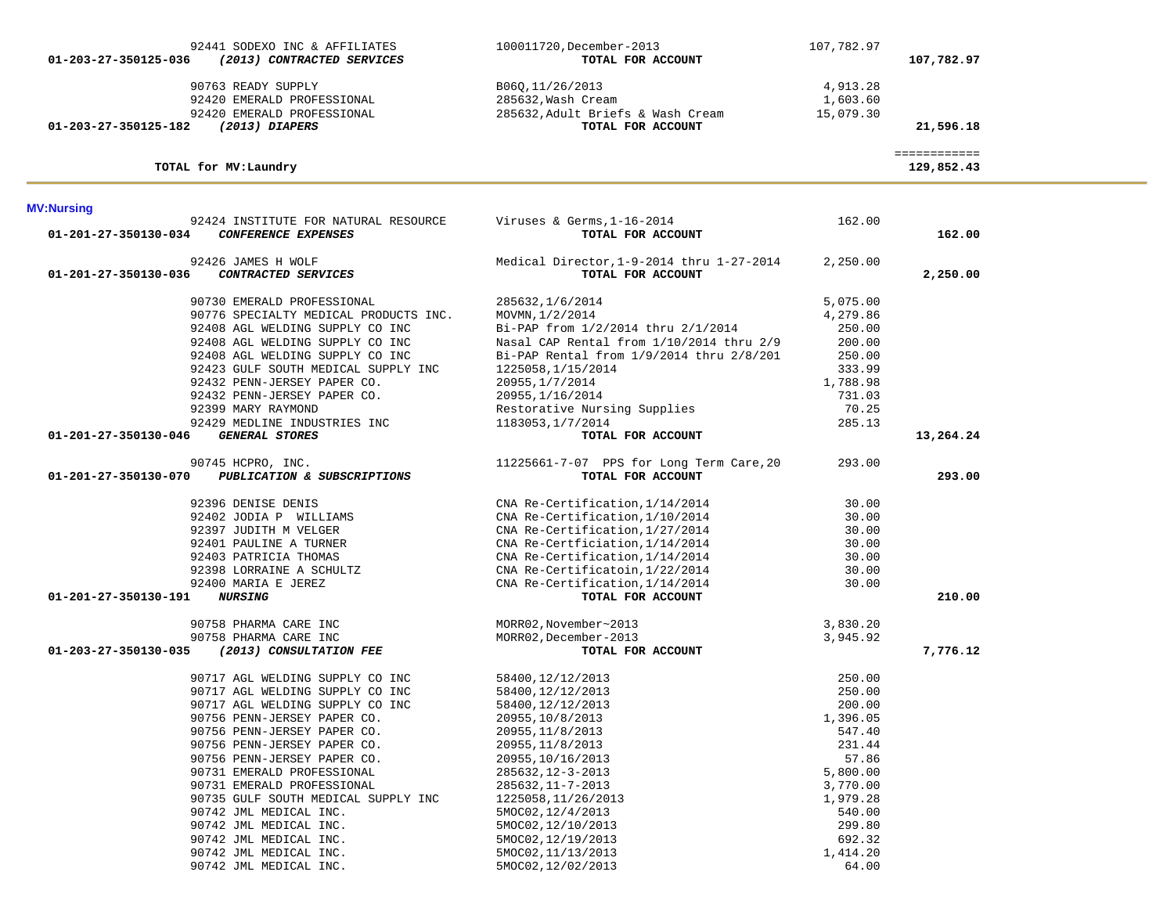| 01-203-27-350125-036 | 92441 SODEXO INC & AFFILIATES<br>(2013) CONTRACTED SERVICES                    | 100011720, December-2013<br>TOTAL FOR ACCOUNT                               | 107,782.97                        | 107,782.97                 |
|----------------------|--------------------------------------------------------------------------------|-----------------------------------------------------------------------------|-----------------------------------|----------------------------|
|                      | 90763 READY SUPPLY<br>92420 EMERALD PROFESSIONAL<br>92420 EMERALD PROFESSIONAL | B06Q, 11/26/2013<br>285632, Wash Cream<br>285632, Adult Briefs & Wash Cream | 4,913.28<br>1,603.60<br>15,079.30 |                            |
| 01-203-27-350125-182 | (2013) DIAPERS                                                                 | TOTAL FOR ACCOUNT                                                           |                                   | 21,596.18                  |
|                      | TOTAL for MV: Laundry                                                          |                                                                             |                                   | ============<br>129,852.43 |
| <b>MV:Nursing</b>    |                                                                                |                                                                             |                                   |                            |
| 01-201-27-350130-034 | 92424 INSTITUTE FOR NATURAL RESOURCE<br><b>CONFERENCE EXPENSES</b>             | Viruses & Germs, $1-16-2014$<br>TOTAL FOR ACCOUNT                           | 162.00                            | 162.00                     |
| 01-201-27-350130-036 | 92426 JAMES H WOLF<br>CONTRACTED SERVICES                                      | Medical Director, 1-9-2014 thru 1-27-2014<br>TOTAL FOR ACCOUNT              | 2,250.00                          | 2,250.00                   |
|                      | 90730 EMERALD PROFESSIONAL                                                     | 285632, 1/6/2014                                                            | 5,075.00                          |                            |
|                      | 90776 SPECIALTY MEDICAL PRODUCTS INC.                                          | MOVMN, 1/2/2014                                                             | 4,279.86                          |                            |
|                      | 92408 AGL WELDING SUPPLY CO INC                                                | Bi-PAP from 1/2/2014 thru 2/1/2014                                          | 250.00                            |                            |
|                      | 92408 AGL WELDING SUPPLY CO INC                                                | Nasal CAP Rental from 1/10/2014 thru 2/9                                    | 200.00                            |                            |
|                      | 92408 AGL WELDING SUPPLY CO INC                                                | Bi-PAP Rental from 1/9/2014 thru 2/8/201                                    | 250.00                            |                            |
|                      | 92423 GULF SOUTH MEDICAL SUPPLY INC                                            | 1225058, 1/15/2014                                                          | 333.99                            |                            |
|                      | 92432 PENN-JERSEY PAPER CO.                                                    | 20955, 1/7/2014                                                             | 1,788.98<br>731.03                |                            |
|                      | 92432 PENN-JERSEY PAPER CO.<br>92399 MARY RAYMOND                              | 20955, 1/16/2014<br>Restorative Nursing Supplies                            | 70.25                             |                            |
|                      | 92429 MEDLINE INDUSTRIES INC                                                   | 1183053, 1/7/2014                                                           | 285.13                            |                            |
| 01-201-27-350130-046 | <b>GENERAL STORES</b>                                                          | TOTAL FOR ACCOUNT                                                           |                                   | 13,264.24                  |
|                      |                                                                                |                                                                             |                                   |                            |
|                      | 90745 HCPRO, INC.                                                              | 11225661-7-07 PPS for Long Term Care, 20                                    | 293.00                            |                            |
| 01-201-27-350130-070 | PUBLICATION & SUBSCRIPTIONS                                                    | TOTAL FOR ACCOUNT                                                           |                                   | 293.00                     |
|                      | 92396 DENISE DENIS                                                             | CNA Re-Certification, 1/14/2014                                             | 30.00                             |                            |
|                      | 92402 JODIA P WILLIAMS                                                         | CNA Re-Certification, 1/10/2014                                             | 30.00                             |                            |
|                      | 92397 JUDITH M VELGER                                                          | CNA Re-Certification, 1/27/2014                                             | 30.00                             |                            |
|                      | 92401 PAULINE A TURNER                                                         | CNA Re-Certficiation, 1/14/2014                                             | 30.00                             |                            |
|                      | 92403 PATRICIA THOMAS                                                          | CNA Re-Certification, 1/14/2014                                             | 30.00                             |                            |
|                      | 92398 LORRAINE A SCHULTZ                                                       | CNA Re-Certificatoin, 1/22/2014                                             | 30.00                             |                            |
|                      | 92400 MARIA E JEREZ                                                            | CNA Re-Certification, 1/14/2014                                             | 30.00                             |                            |
| 01-201-27-350130-191 | <i><b>NURSING</b></i>                                                          | TOTAL FOR ACCOUNT                                                           |                                   | 210.00                     |
|                      | 90758 PHARMA CARE INC                                                          | MORR02, November~2013                                                       | 3,830.20                          |                            |
|                      | 90758 PHARMA CARE INC                                                          | MORR02, December-2013                                                       | 3,945.92                          |                            |
| 01-203-27-350130-035 | (2013) CONSULTATION FEE                                                        | TOTAL FOR ACCOUNT                                                           |                                   | 7,776.12                   |
|                      | 90717 AGL WELDING SUPPLY CO INC                                                | 58400,12/12/2013                                                            | 250.00                            |                            |
|                      | 90717 AGL WELDING SUPPLY CO INC                                                | 58400, 12/12/2013                                                           | 250.00                            |                            |
|                      | 90717 AGL WELDING SUPPLY CO INC                                                | 58400, 12/12/2013                                                           | 200.00                            |                            |
|                      | 90756 PENN-JERSEY PAPER CO.                                                    | 20955, 10/8/2013                                                            | 1,396.05                          |                            |
|                      | 90756 PENN-JERSEY PAPER CO.                                                    | 20955, 11/8/2013                                                            | 547.40                            |                            |
|                      | 90756 PENN-JERSEY PAPER CO.                                                    | 20955, 11/8/2013                                                            | 231.44                            |                            |
|                      | 90756 PENN-JERSEY PAPER CO.                                                    | 20955, 10/16/2013                                                           | 57.86                             |                            |
|                      | 90731 EMERALD PROFESSIONAL                                                     | 285632, 12-3-2013                                                           | 5,800.00                          |                            |
|                      | 90731 EMERALD PROFESSIONAL                                                     | 285632, 11-7-2013                                                           | 3,770.00                          |                            |
|                      | 90735 GULF SOUTH MEDICAL SUPPLY INC                                            | 1225058, 11/26/2013                                                         | 1,979.28                          |                            |
|                      | 90742 JML MEDICAL INC.                                                         | 5MOC02, 12/4/2013                                                           | 540.00                            |                            |
|                      | 90742 JML MEDICAL INC.                                                         | 5MOC02,12/10/2013                                                           | 299.80                            |                            |
|                      | 90742 JML MEDICAL INC.                                                         | 5MOC02, 12/19/2013                                                          | 692.32                            |                            |
|                      | 90742 JML MEDICAL INC.                                                         | 5MOC02, 11/13/2013                                                          | 1,414.20                          |                            |
|                      | 90742 JML MEDICAL INC.                                                         | 5MOC02, 12/02/2013                                                          | 64.00                             |                            |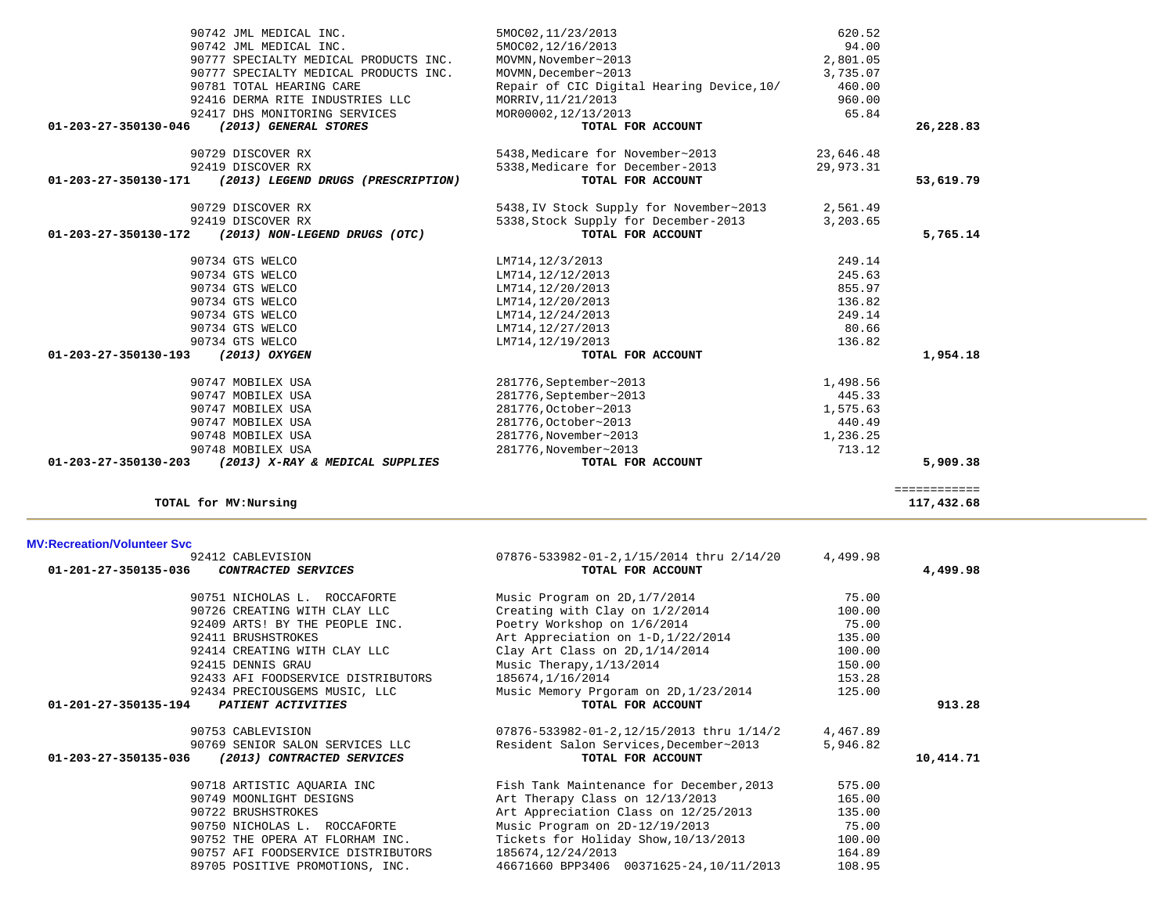| <u>M V. RECIEALIUM VUIDILEEI OVC</u>               |                                          |          |           |
|----------------------------------------------------|------------------------------------------|----------|-----------|
| 92412 CABLEVISION                                  | 07876-533982-01-2,1/15/2014 thru 2/14/20 | 4,499.98 |           |
| 01-201-27-350135-036<br><i>CONTRACTED SERVICES</i> | TOTAL FOR ACCOUNT                        |          | 4,499.98  |
| 90751 NICHOLAS L. ROCCAFORTE                       | Music Program on 2D, 1/7/2014            | 75.00    |           |
| 90726 CREATING WITH CLAY LLC                       | Creating with Clay on 1/2/2014           | 100.00   |           |
| 92409 ARTS! BY THE PEOPLE INC.                     | Poetry Workshop on 1/6/2014              | 75.00    |           |
| 92411 BRUSHSTROKES                                 | Art Appreciation on 1-D, 1/22/2014       | 135.00   |           |
| 92414 CREATING WITH CLAY LLC                       | Clay Art Class on $2D, 1/14/2014$        | 100.00   |           |
| 92415 DENNIS GRAU                                  | Music Therapy, $1/13/2014$               | 150.00   |           |
| 92433 AFI FOODSERVICE DISTRIBUTORS                 | 185674,1/16/2014                         | 153.28   |           |
| 92434 PRECIOUSGEMS MUSIC, LLC                      | Music Memory Prgoram on 2D, 1/23/2014    | 125.00   |           |
| 01-201-27-350135-194<br>PATIENT ACTIVITIES         | TOTAL FOR ACCOUNT                        |          | 913.28    |
| 90753 CABLEVISION                                  | 07876-533982-01-2,12/15/2013 thru 1/14/2 | 4,467.89 |           |
| 90769 SENIOR SALON SERVICES LLC                    | Resident Salon Services, December~2013   | 5,946.82 |           |
| 01-203-27-350135-036<br>(2013) CONTRACTED SERVICES | TOTAL FOR ACCOUNT                        |          | 10,414.71 |
| 90718 ARTISTIC AOUARIA INC                         | Fish Tank Maintenance for December, 2013 | 575.00   |           |
| 90749 MOONLIGHT DESIGNS                            | Art Therapy Class on 12/13/2013          | 165.00   |           |
| 90722 BRUSHSTROKES                                 | Art Appreciation Class on 12/25/2013     | 135.00   |           |
| 90750 NICHOLAS L. ROCCAFORTE                       | Music Program on 2D-12/19/2013           | 75.00    |           |
| 90752 THE OPERA AT FLORHAM INC.                    | Tickets for Holiday Show, 10/13/2013     | 100.00   |           |
| 90757 AFI FOODSERVICE DISTRIBUTORS                 | 185674,12/24/2013                        | 164.89   |           |
| 89705 POSITIVE PROMOTIONS, INC.                    | 46671660 BPP3406 00371625-24,10/11/2013  | 108.95   |           |

============

 $\begin{array}{r} \texttt{-----} \texttt{-----} \\ \texttt{117,432.68} \end{array}$ 

### **MV:Recreation/Volunteer Svc**

**TOTAL for MV:Nursing 117,432.68**

| 90729 DISCOVER RX<br>92419 DISCOVER RX<br>01-203-27-350130-171<br>(2013) LEGEND DRUGS (PRESCRIPTION) | 5438, Medicare for November~2013<br>5338, Medicare for December-2013<br>TOTAL FOR ACCOUNT | 23,646.48<br>29,973.31 | 53,619.79 |
|------------------------------------------------------------------------------------------------------|-------------------------------------------------------------------------------------------|------------------------|-----------|
| 90729 DISCOVER RX                                                                                    | 5438, IV Stock Supply for November~2013                                                   | 2,561.49               |           |
| 92419 DISCOVER RX<br>(2013) NON-LEGEND DRUGS (OTC)<br>01-203-27-350130-172                           | 5338, Stock Supply for December-2013<br>TOTAL FOR ACCOUNT                                 | 3,203.65               | 5,765.14  |
| 90734 GTS WELCO                                                                                      | LM714,12/3/2013                                                                           | 249.14                 |           |
| 90734 GTS WELCO                                                                                      | LM714,12/12/2013                                                                          | 245.63                 |           |
| 90734 GTS WELCO                                                                                      | LM714,12/20/2013                                                                          | 855.97                 |           |
| 90734 GTS WELCO                                                                                      | LM714,12/20/2013                                                                          | 136.82                 |           |
| 90734 GTS WELCO                                                                                      | LM714,12/24/2013                                                                          | 249.14                 |           |
| 90734 GTS WELCO                                                                                      | LM714,12/27/2013                                                                          | 80.66                  |           |
| 90734 GTS WELCO                                                                                      | LM714,12/19/2013                                                                          | 136.82                 |           |
| 01-203-27-350130-193<br>(2013) OXYGEN                                                                | TOTAL FOR ACCOUNT                                                                         |                        | 1,954.18  |
| 90747 MOBILEX USA                                                                                    | 281776, September~2013                                                                    | 1,498.56               |           |
| 90747 MOBILEX USA                                                                                    | 281776, September~2013                                                                    | 445.33                 |           |
| 90747 MOBILEX USA                                                                                    | 281776, October~2013                                                                      | 1,575.63               |           |
| 90747 MOBILEX USA                                                                                    | 281776, October~2013                                                                      | 440.49                 |           |
| 90748 MOBILEX USA                                                                                    | 281776, November~2013                                                                     | 1,236.25               |           |
| 90748 MOBILEX USA                                                                                    | 281776, November~2013                                                                     | 713.12                 |           |
| 01-203-27-350130-203<br>(2013) X-RAY & MEDICAL SUPPLIES                                              | TOTAL FOR ACCOUNT                                                                         |                        | 5,909.38  |

| 90742 JML MEDICAL INC.                                     | 5MOC02, 11/23/2013                        | 620.52    |           |
|------------------------------------------------------------|-------------------------------------------|-----------|-----------|
| 90742 JML MEDICAL INC.                                     | 5MOC02, 12/16/2013                        | 94.00     |           |
| 90777 SPECIALTY MEDICAL PRODUCTS INC.                      | MOVMN, November~2013                      | 2,801.05  |           |
| 90777 SPECIALTY MEDICAL PRODUCTS INC.                      | MOVMN, December~2013                      | 3,735.07  |           |
| 90781 TOTAL HEARING CARE                                   | Repair of CIC Digital Hearing Device, 10/ | 460.00    |           |
| 92416 DERMA RITE INDUSTRIES LLC                            | MORRIV, 11/21/2013                        | 960.00    |           |
| 92417 DHS MONITORING SERVICES                              | MOR00002,12/13/2013                       | 65.84     |           |
| 01-203-27-350130-046<br>(2013) GENERAL STORES              | TOTAL FOR ACCOUNT                         |           | 26,228.83 |
| 90729 DISCOVER RX                                          | 5438, Medicare for November~2013          | 23,646.48 |           |
| 92419 DISCOVER RX                                          | 5338. Medicare for December-2013          | 29,973.31 |           |
| 01-203-27-350130-171<br>(2013) LEGEND DRUGS (PRESCRIPTION) | TOTAL FOR ACCOUNT                         |           | 53,619.79 |
| 90729 DISCOVER RX                                          | 5438, IV Stock Supply for November~2013   | 2,561.49  |           |
| 92419 DISCOVER RX                                          | 5338, Stock Supply for December-2013      | 3,203.65  |           |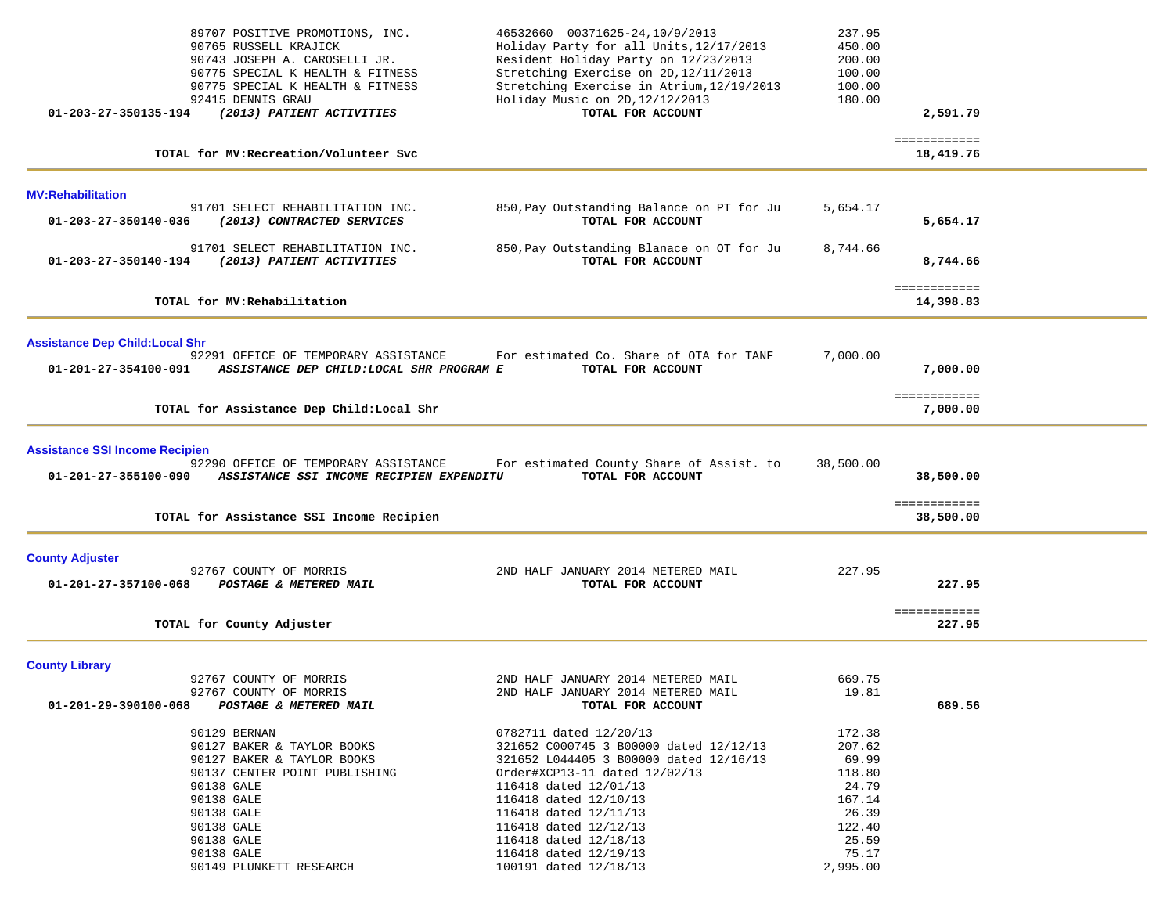| 89707 POSITIVE PROMOTIONS, INC.<br>90765 RUSSELL KRAJICK<br>90743 JOSEPH A. CAROSELLI JR.<br>90775 SPECIAL K HEALTH & FITNESS<br>90775 SPECIAL K HEALTH & FITNESS<br>92415 DENNIS GRAU<br>01-203-27-350135-194<br>(2013) PATIENT ACTIVITIES | 46532660 00371625-24,10/9/2013<br>Holiday Party for all Units, 12/17/2013<br>Resident Holiday Party on 12/23/2013<br>Stretching Exercise on 2D, 12/11/2013<br>Stretching Exercise in Atrium, 12/19/2013<br>Holiday Music on 2D, 12/12/2013<br>TOTAL FOR ACCOUNT | 237.95<br>450.00<br>200.00<br>100.00<br>100.00<br>180.00 | 2,591.79                  |  |
|---------------------------------------------------------------------------------------------------------------------------------------------------------------------------------------------------------------------------------------------|-----------------------------------------------------------------------------------------------------------------------------------------------------------------------------------------------------------------------------------------------------------------|----------------------------------------------------------|---------------------------|--|
| TOTAL for MV: Recreation/Volunteer Svc                                                                                                                                                                                                      |                                                                                                                                                                                                                                                                 |                                                          | ============<br>18,419.76 |  |
| <b>MV:Rehabilitation</b>                                                                                                                                                                                                                    |                                                                                                                                                                                                                                                                 |                                                          |                           |  |
| 91701 SELECT REHABILITATION INC.<br>(2013) CONTRACTED SERVICES<br>01-203-27-350140-036                                                                                                                                                      | 850, Pay Outstanding Balance on PT for Ju<br>TOTAL FOR ACCOUNT                                                                                                                                                                                                  | 5,654.17                                                 | 5,654.17                  |  |
| 91701 SELECT REHABILITATION INC.<br>01-203-27-350140-194<br>(2013) PATIENT ACTIVITIES                                                                                                                                                       | 850, Pay Outstanding Blanace on OT for Ju<br>TOTAL FOR ACCOUNT                                                                                                                                                                                                  | 8,744.66                                                 | 8,744.66                  |  |
| TOTAL for MV: Rehabilitation                                                                                                                                                                                                                |                                                                                                                                                                                                                                                                 |                                                          | ============<br>14,398.83 |  |
| <b>Assistance Dep Child: Local Shr</b>                                                                                                                                                                                                      |                                                                                                                                                                                                                                                                 |                                                          |                           |  |
| 92291 OFFICE OF TEMPORARY ASSISTANCE<br>01-201-27-354100-091<br>ASSISTANCE DEP CHILD: LOCAL SHR PROGRAM E                                                                                                                                   | For estimated Co. Share of OTA for TANF<br>TOTAL FOR ACCOUNT                                                                                                                                                                                                    | 7,000.00                                                 | 7,000.00                  |  |
| TOTAL for Assistance Dep Child: Local Shr                                                                                                                                                                                                   |                                                                                                                                                                                                                                                                 |                                                          | ============<br>7,000.00  |  |
| <b>Assistance SSI Income Recipien</b><br>92290 OFFICE OF TEMPORARY ASSISTANCE<br>01-201-27-355100-090<br>ASSISTANCE SSI INCOME RECIPIEN EXPENDITU                                                                                           | For estimated County Share of Assist. to<br>TOTAL FOR ACCOUNT                                                                                                                                                                                                   | 38,500.00                                                | 38,500.00                 |  |
| TOTAL for Assistance SSI Income Recipien                                                                                                                                                                                                    |                                                                                                                                                                                                                                                                 |                                                          | ============<br>38,500.00 |  |
| <b>County Adjuster</b><br>92767 COUNTY OF MORRIS<br>01-201-27-357100-068<br>POSTAGE & METERED MAIL                                                                                                                                          | 2ND HALF JANUARY 2014 METERED MAIL<br>TOTAL FOR ACCOUNT                                                                                                                                                                                                         | 227.95                                                   | 227.95                    |  |
| TOTAL for County Adjuster                                                                                                                                                                                                                   |                                                                                                                                                                                                                                                                 |                                                          | ============<br>227.95    |  |
| <b>County Library</b>                                                                                                                                                                                                                       |                                                                                                                                                                                                                                                                 |                                                          |                           |  |
| 92767 COUNTY OF MORRIS<br>92767 COUNTY OF MORRIS<br>POSTAGE & METERED MAIL<br>01-201-29-390100-068                                                                                                                                          | 2ND HALF JANUARY 2014 METERED MAIL<br>2ND HALF JANUARY 2014 METERED MAIL<br>TOTAL FOR ACCOUNT                                                                                                                                                                   | 669.75<br>19.81                                          | 689.56                    |  |
| 90129 BERNAN<br>90127 BAKER & TAYLOR BOOKS<br>90127 BAKER & TAYLOR BOOKS<br>90137 CENTER POINT PUBLISHING<br>90138 GALE<br>90138 GALE<br>90138 GALE                                                                                         | 0782711 dated 12/20/13<br>321652 C000745 3 B00000 dated 12/12/13<br>321652 L044405 3 B00000 dated 12/16/13<br>Order#XCP13-11 dated 12/02/13<br>116418 dated 12/01/13<br>116418 dated 12/10/13                                                                   | 172.38<br>207.62<br>69.99<br>118.80<br>24.79<br>167.14   |                           |  |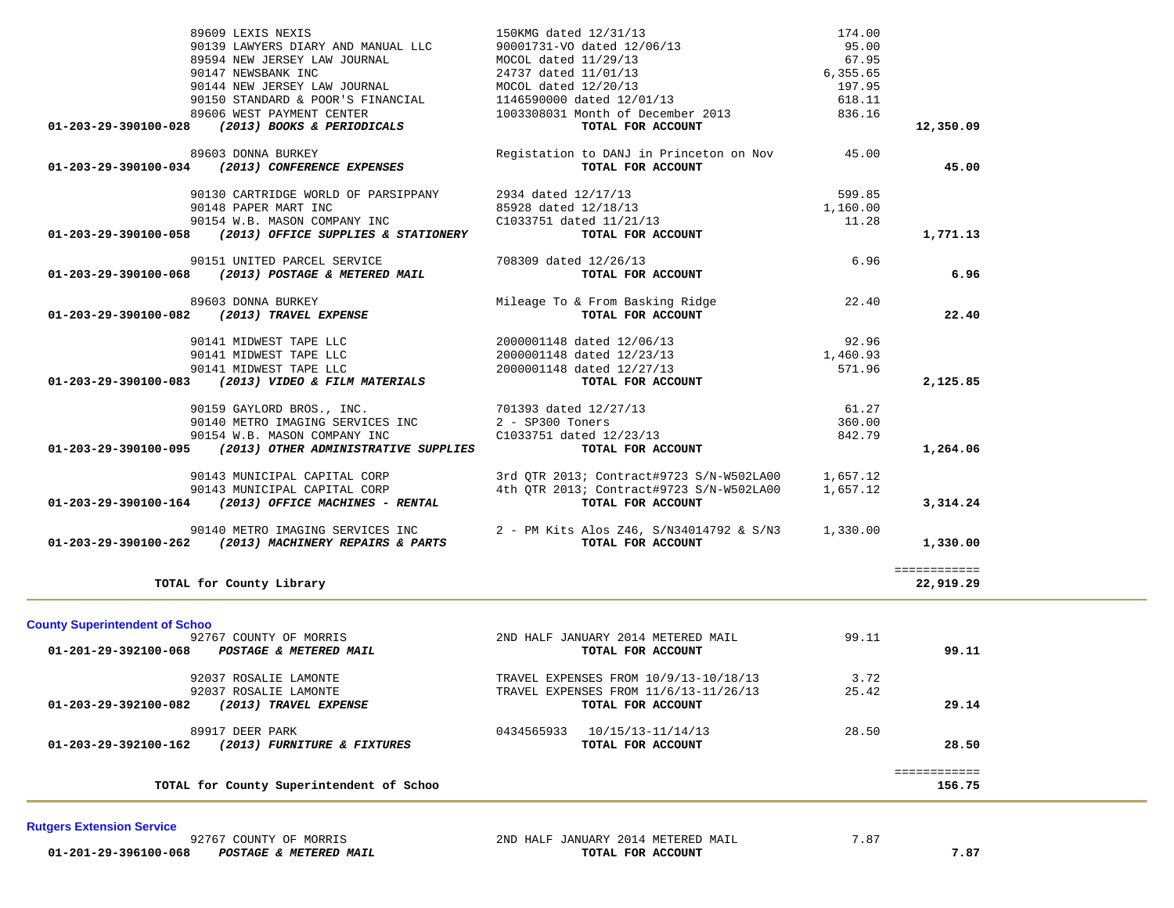| TOTAL for County Superintendent of Schoo                                                                                                                   |                                                                                                               |                             | ============<br>156.75    |  |
|------------------------------------------------------------------------------------------------------------------------------------------------------------|---------------------------------------------------------------------------------------------------------------|-----------------------------|---------------------------|--|
| 89917 DEER PARK<br>01-203-29-392100-162 (2013) FURNITURE & FIXTURES                                                                                        | 0434565933 10/15/13-11/14/13<br>TOTAL FOR ACCOUNT                                                             | 28.50                       | 28.50                     |  |
| 92037 ROSALIE LAMONTE<br>92037 ROSALIE LAMONTE<br>(2013) TRAVEL EXPENSE<br>01-203-29-392100-082                                                            | TRAVEL EXPENSES FROM $10/9/13-10/18/13$<br>TRAVEL EXPENSES FROM 11/6/13-11/26/13<br>TOTAL FOR ACCOUNT         | 3.72<br>25.42               | 29.14                     |  |
| <b>County Superintendent of Schoo</b><br>92767 COUNTY OF MORRIS<br>01-201-29-392100-068 POSTAGE & METERED MAIL                                             | 2ND HALF JANUARY 2014 METERED MAIL<br>TOTAL FOR ACCOUNT                                                       | 99.11                       | 99.11                     |  |
| TOTAL for County Library                                                                                                                                   |                                                                                                               |                             | ============<br>22,919.29 |  |
| 90140 METRO IMAGING SERVICES INC<br>01-203-29-390100-262 (2013) MACHINERY REPAIRS & PARTS                                                                  | 2 - PM Kits Alos Z46, S/N34014792 & S/N3<br>TOTAL FOR ACCOUNT                                                 | 1,330.00                    | 1,330.00                  |  |
| 90143 MUNICIPAL CAPITAL CORP<br>90143 MUNICIPAL CAPITAL CORP<br>(2013) OFFICE MACHINES - RENTAL<br>01-203-29-390100-164                                    | 3rd QTR 2013; Contract#9723 S/N-W502LA00<br>4th QTR 2013; Contract#9723 S/N-W502LA00<br>TOTAL FOR ACCOUNT     | 1,657.12<br>1,657.12        | 3,314.24                  |  |
| 90159 GAYLORD BROS., INC.<br>90140 METRO IMAGING SERVICES INC<br>90154 W.B. MASON COMPANY INC<br>01-203-29-390100-095 (2013) OTHER ADMINISTRATIVE SUPPLIES | $2 - SP300$ Toners<br>C1033751 dated 12/23/13<br>TOTAL FOR ACCOUNT                                            | 360.00<br>842.79            | 1,264.06                  |  |
| 90141 MIDWEST TAPE LLC<br>01-203-29-390100-083 (2013) VIDEO & FILM MATERIALS                                                                               | 2000001148 dated 12/27/13<br>TOTAL FOR ACCOUNT<br>701393 dated 12/27/13                                       | 571.96<br>61.27             | 2,125.85                  |  |
| 90141 MIDWEST TAPE LLC<br>90141 MIDWEST TAPE LLC                                                                                                           | 2000001148 dated 12/06/13<br>2000001148 dated 12/23/13                                                        | 92.96<br>1,460.93           |                           |  |
| (2013) POSTAGE & METERED MAIL<br>01-203-29-390100-068<br>89603 DONNA BURKEY<br>(2013) TRAVEL EXPENSE<br>01-203-29-390100-082                               | TOTAL FOR ACCOUNT<br>Mileage To & From Basking Ridge<br>TOTAL FOR ACCOUNT                                     | 22.40                       | 6.96<br>22.40             |  |
| (2013) OFFICE SUPPLIES & STATIONERY<br>01-203-29-390100-058<br>90151 UNITED PARCEL SERVICE                                                                 | TOTAL FOR ACCOUNT<br>708309 dated 12/26/13                                                                    | 6.96                        | 1,771.13                  |  |
| 90130 CARTRIDGE WORLD OF PARSIPPANY<br>90148 PAPER MART INC<br>90154 W.B. MASON COMPANY INC                                                                | 2934 dated 12/17/13<br>85928 dated 12/18/13<br>C1033751 dated 11/21/13                                        | 599.85<br>1,160.00<br>11.28 |                           |  |
| 89603 DONNA BURKEY<br>01-203-29-390100-034 (2013) CONFERENCE EXPENSES                                                                                      | Registation to DANJ in Princeton on Nov<br>TOTAL FOR ACCOUNT                                                  | 45.00                       | 45.00                     |  |
| 90144 NEW JERSEY LAW JOURNAL<br>90150 STANDARD & POOR'S FINANCIAL<br>89606 WEST PAYMENT CENTER<br>(2013) BOOKS & PERIODICALS<br>01-203-29-390100-028       | MOCOL dated $12/20/13$<br>1146590000 dated 12/01/13<br>1003308031 Month of December 2013<br>TOTAL FOR ACCOUNT | 197.95<br>618.11<br>836.16  | 12,350.09                 |  |
| 90139 LAWYERS DIARY AND MANUAL LLC<br>89594 NEW JERSEY LAW JOURNAL<br>90147 NEWSBANK INC                                                                   | 90001731-VO dated 12/06/13<br>MOCOL dated 11/29/13<br>24737 dated 11/01/13                                    | 95.00<br>67.95<br>6,355.65  |                           |  |

89609 LEXIS NEXIS 150KMG dated  $12/31/13$  174.00

### **Rutgers Extension Service**

 **01-201-29-396100-068** *POSTAGE & METERED MAIL* **TOTAL FOR ACCOUNT 7.87**

92767 COUNTY OF MORRIS 2ND HALF JANUARY 2014 METERED MAIL

7.87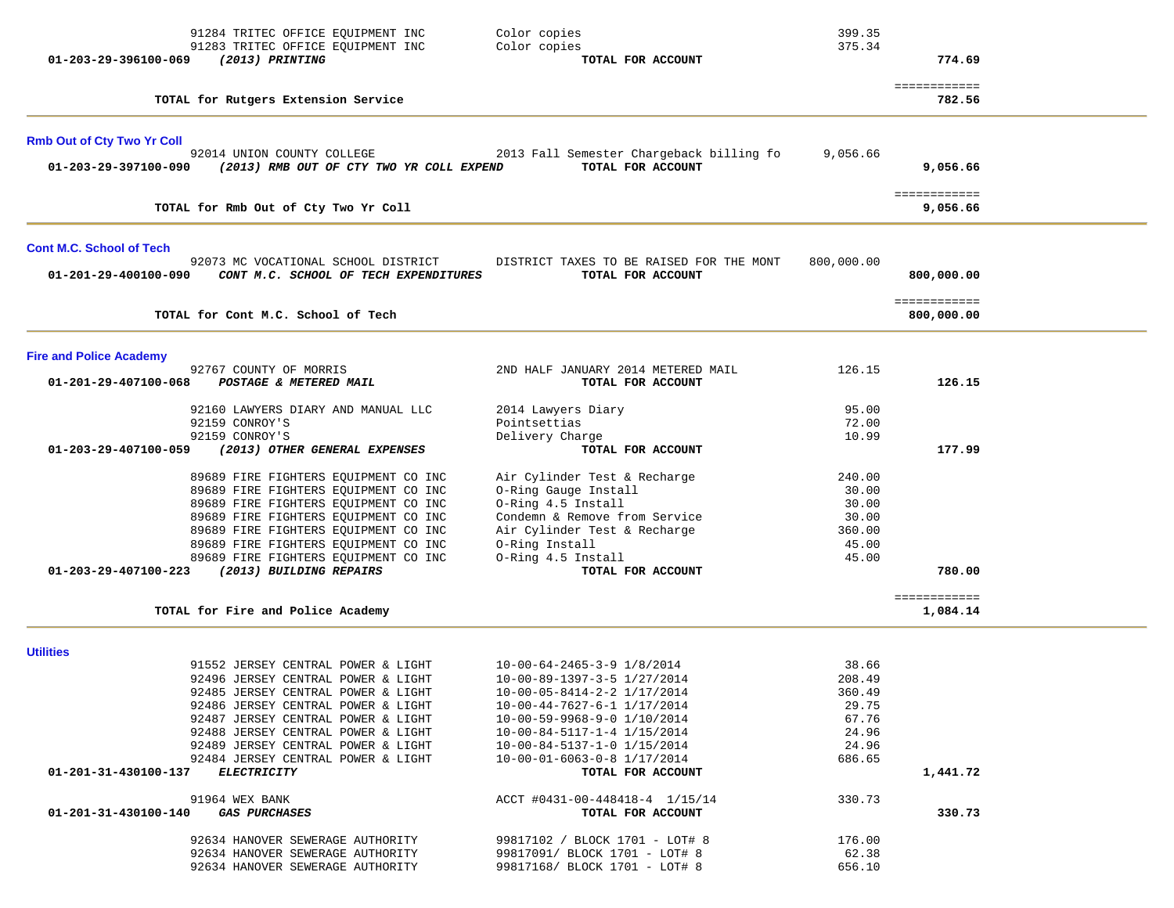| 91284 TRITEC OFFICE EQUIPMENT INC                                                                 | Color copies                                                  | 399.35     |                          |  |
|---------------------------------------------------------------------------------------------------|---------------------------------------------------------------|------------|--------------------------|--|
| 91283 TRITEC OFFICE EQUIPMENT INC                                                                 | Color copies                                                  | 375.34     |                          |  |
| (2013) PRINTING<br>01-203-29-396100-069                                                           | TOTAL FOR ACCOUNT                                             |            | 774.69                   |  |
| TOTAL for Rutgers Extension Service                                                               |                                                               |            | ============<br>782.56   |  |
| <b>Rmb Out of Cty Two Yr Coll</b>                                                                 |                                                               |            |                          |  |
| 92014 UNION COUNTY COLLEGE                                                                        | 2013 Fall Semester Chargeback billing fo                      | 9,056.66   |                          |  |
| (2013) RMB OUT OF CTY TWO YR COLL EXPEND<br>01-203-29-397100-090                                  | TOTAL FOR ACCOUNT                                             |            | 9,056.66                 |  |
| TOTAL for Rmb Out of Cty Two Yr Coll                                                              |                                                               |            | ============<br>9,056.66 |  |
|                                                                                                   |                                                               |            |                          |  |
| <b>Cont M.C. School of Tech</b>                                                                   |                                                               |            |                          |  |
| 92073 MC VOCATIONAL SCHOOL DISTRICT<br>01-201-29-400100-090 CONT M.C. SCHOOL OF TECH EXPENDITURES | DISTRICT TAXES TO BE RAISED FOR THE MONT<br>TOTAL FOR ACCOUNT | 800,000.00 | 800,000.00               |  |
|                                                                                                   |                                                               |            | ============             |  |
| TOTAL for Cont M.C. School of Tech                                                                |                                                               |            | 800,000.00               |  |
| <b>Fire and Police Academy</b>                                                                    |                                                               |            |                          |  |
| 92767 COUNTY OF MORRIS                                                                            | 2ND HALF JANUARY 2014 METERED MAIL                            | 126.15     |                          |  |
| 01-201-29-407100-068<br>POSTAGE & METERED MAIL                                                    | TOTAL FOR ACCOUNT                                             |            | 126.15                   |  |
| 92160 LAWYERS DIARY AND MANUAL LLC                                                                | 2014 Lawyers Diary                                            | 95.00      |                          |  |
| 92159 CONROY'S                                                                                    | Pointsettias                                                  | 72.00      |                          |  |
| 92159 CONROY'S                                                                                    | Delivery Charge                                               | 10.99      |                          |  |
| (2013) OTHER GENERAL EXPENSES<br>01-203-29-407100-059                                             | TOTAL FOR ACCOUNT                                             |            | 177.99                   |  |
| 89689 FIRE FIGHTERS EQUIPMENT CO INC                                                              | Air Cylinder Test & Recharge                                  | 240.00     |                          |  |
| 89689 FIRE FIGHTERS EQUIPMENT CO INC                                                              | O-Ring Gauge Install                                          | 30.00      |                          |  |
| 89689 FIRE FIGHTERS EQUIPMENT CO INC                                                              | O-Ring 4.5 Install                                            | 30.00      |                          |  |
| 89689 FIRE FIGHTERS EQUIPMENT CO INC                                                              | Condemn & Remove from Service                                 | 30.00      |                          |  |
| 89689 FIRE FIGHTERS EQUIPMENT CO INC                                                              | Air Cylinder Test & Recharge                                  | 360.00     |                          |  |
| 89689 FIRE FIGHTERS EQUIPMENT CO INC                                                              | O-Ring Install                                                | 45.00      |                          |  |
| 89689 FIRE FIGHTERS EQUIPMENT CO INC                                                              | O-Ring 4.5 Install                                            | 45.00      |                          |  |
| (2013) BUILDING REPAIRS<br>01-203-29-407100-223                                                   | TOTAL FOR ACCOUNT                                             |            | 780.00                   |  |
|                                                                                                   |                                                               |            | ============             |  |
| TOTAL for Fire and Police Academy                                                                 |                                                               |            | 1,084.14                 |  |
| <b>Utilities</b>                                                                                  |                                                               |            |                          |  |
| 91552 JERSEY CENTRAL POWER & LIGHT                                                                | $10 - 00 - 64 - 2465 - 3 - 9$ $1/8/2014$                      | 38.66      |                          |  |
| 92496 JERSEY CENTRAL POWER & LIGHT                                                                | 10-00-89-1397-3-5 1/27/2014                                   | 208.49     |                          |  |
| 92485 JERSEY CENTRAL POWER & LIGHT                                                                | 10-00-05-8414-2-2 1/17/2014                                   | 360.49     |                          |  |
| 92486 JERSEY CENTRAL POWER & LIGHT                                                                | 10-00-44-7627-6-1 1/17/2014                                   | 29.75      |                          |  |
| 92487 JERSEY CENTRAL POWER & LIGHT                                                                | 10-00-59-9968-9-0 1/10/2014                                   | 67.76      |                          |  |
| 92488 JERSEY CENTRAL POWER & LIGHT                                                                | 10-00-84-5117-1-4 1/15/2014                                   | 24.96      |                          |  |
| 92489 JERSEY CENTRAL POWER & LIGHT                                                                | 10-00-84-5137-1-0 1/15/2014                                   | 24.96      |                          |  |
| 92484 JERSEY CENTRAL POWER & LIGHT<br>01-201-31-430100-137 ELECTRICITY                            | 10-00-01-6063-0-8 1/17/2014<br>TOTAL FOR ACCOUNT              | 686.65     | 1,441.72                 |  |
| 91964 WEX BANK                                                                                    | ACCT #0431-00-448418-4 1/15/14                                | 330.73     |                          |  |
| <i><b>GAS PURCHASES</b></i><br>01-201-31-430100-140                                               | TOTAL FOR ACCOUNT                                             |            | 330.73                   |  |
| 92634 HANOVER SEWERAGE AUTHORITY                                                                  | 99817102 / BLOCK 1701 - LOT# 8                                | 176.00     |                          |  |
| 92634 HANOVER SEWERAGE AUTHORITY                                                                  | 99817091/ BLOCK 1701 - LOT# 8                                 | 62.38      |                          |  |
| 92634 HANOVER SEWERAGE AUTHORITY                                                                  | 99817168/ BLOCK 1701 - LOT# 8                                 | 656.10     |                          |  |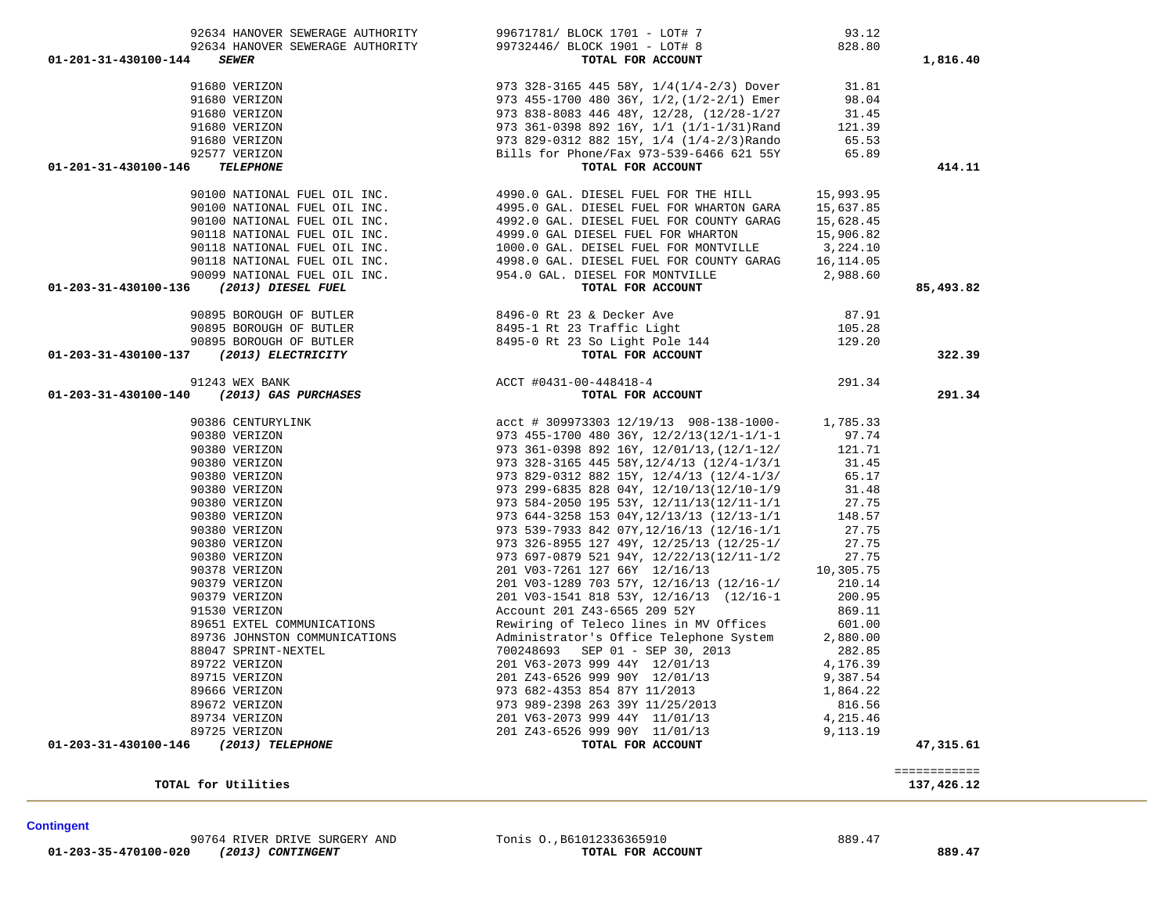414.11

### **TOTAL for Utilities 137,426.12**

|                     | ---------------<br>_____________ |
|---------------------|----------------------------------|
| TOTAL for Utilities |                                  |
|                     | 137,426.12                       |

| 01-201-31-430100-146<br><b>TELEPHONE</b>                                                                                                                                                                                                    | TOTAL FOR ACCOUNT | 414.11    |
|---------------------------------------------------------------------------------------------------------------------------------------------------------------------------------------------------------------------------------------------|-------------------|-----------|
|                                                                                                                                                                                                                                             |                   |           |
|                                                                                                                                                                                                                                             |                   |           |
|                                                                                                                                                                                                                                             |                   |           |
|                                                                                                                                                                                                                                             |                   |           |
|                                                                                                                                                                                                                                             |                   |           |
|                                                                                                                                                                                                                                             |                   |           |
|                                                                                                                                                                                                                                             |                   |           |
|                                                                                                                                                                                                                                             |                   | 85,493.82 |
|                                                                                                                                                                                                                                             |                   |           |
|                                                                                                                                                                                                                                             |                   |           |
|                                                                                                                                                                                                                                             |                   |           |
| 90100 NATIONAL FUEL OIL INC.<br>90100 NATIONAL FUEL OIL INC.<br>90100 NATIONAL FUEL OIL INC.<br>90100 NATIONAL FUEL OIL INC.<br>90100 NATIONAL FUEL OIL INC.<br>90100 NATIONAL FUEL OIL INC.<br>90108 NATIONAL FUEL OIL INC.<br>90118 NATIO |                   | 322.39    |
|                                                                                                                                                                                                                                             |                   |           |
|                                                                                                                                                                                                                                             |                   | 291.34    |
|                                                                                                                                                                                                                                             |                   |           |
|                                                                                                                                                                                                                                             |                   |           |
|                                                                                                                                                                                                                                             |                   |           |
|                                                                                                                                                                                                                                             |                   |           |
|                                                                                                                                                                                                                                             |                   |           |
|                                                                                                                                                                                                                                             |                   |           |
|                                                                                                                                                                                                                                             |                   |           |
|                                                                                                                                                                                                                                             |                   |           |
|                                                                                                                                                                                                                                             |                   |           |
|                                                                                                                                                                                                                                             |                   |           |
|                                                                                                                                                                                                                                             |                   |           |
|                                                                                                                                                                                                                                             |                   |           |
|                                                                                                                                                                                                                                             |                   |           |
|                                                                                                                                                                                                                                             |                   |           |
|                                                                                                                                                                                                                                             |                   |           |
|                                                                                                                                                                                                                                             |                   |           |
|                                                                                                                                                                                                                                             |                   |           |
|                                                                                                                                                                                                                                             |                   |           |
|                                                                                                                                                                                                                                             |                   |           |
|                                                                                                                                                                                                                                             |                   |           |
|                                                                                                                                                                                                                                             |                   |           |
|                                                                                                                                                                                                                                             |                   |           |
|                                                                                                                                                                                                                                             |                   |           |
|                                                                                                                                                                                                                                             |                   |           |
| 01-203-31-430100-146 (2013) TELEPHONE                                                                                                                                                                                                       |                   | 47,315.61 |
|                                                                                                                                                                                                                                             |                   |           |

| 91680 VERIZON | 973 328-3165 445 58Y, 1/4(1/4-2/3) Dover  | 31.81  |
|---------------|-------------------------------------------|--------|
| 91680 VERIZON | 973 455-1700 480 36Y, 1/2, (1/2-2/1) Emer | 98.04  |
| 91680 VERIZON | 973 838-8083 446 48Y, 12/28, (12/28-1/27  | 31.45  |
| 91680 VERIZON | 973 361-0398 892 16Y, 1/1 (1/1-1/31) Rand | 121.39 |
| 91680 VERIZON | 973 829-0312 882 15Y, 1/4 (1/4-2/3) Rando | 65.53  |
| 92577 VERIZON | Bills for Phone/Fax 973-539-6466 621 55Y  | 65.89  |
| TELEPHONE     | TOTAL FOR ACCOUNT                         |        |

| 01-201-31-430100-144<br>TOTAL FOR ACCOUNT<br><b>SEWER</b>         | ,816.40 |
|-------------------------------------------------------------------|---------|
| 99732446/ BLOCK 1901 - LOT# 8<br>92634 HANOVER SEWERAGE AUTHORITY | 828.80  |
| 99671781/ BLOCK 1701 - LOT# 7<br>92634 HANOVER SEWERAGE AUTHORITY |         |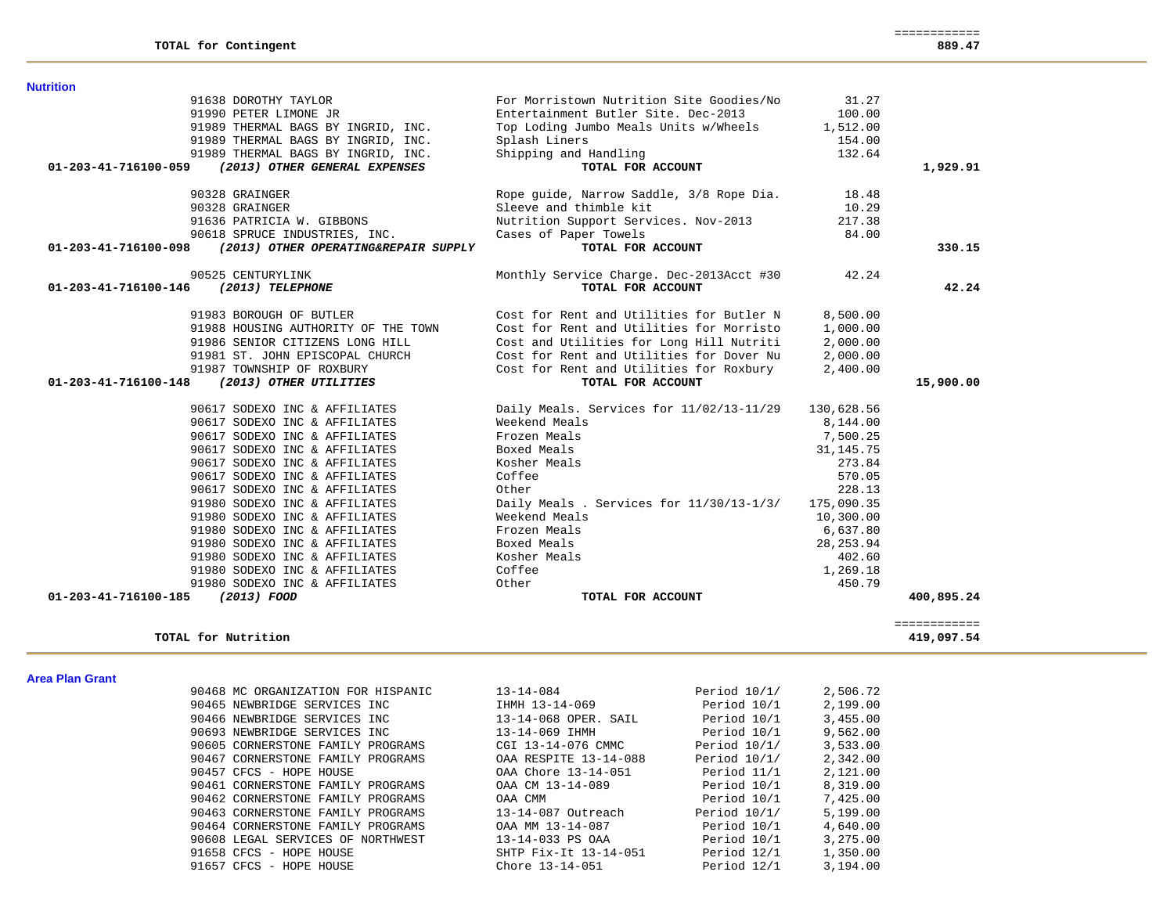| 90468 MC ORGANIZATION FOR HISPANIC | $13 - 14 - 084$       | Period 10/1/ | 2,506.72 |
|------------------------------------|-----------------------|--------------|----------|
| 90465 NEWBRIDGE SERVICES INC       | IHMH 13-14-069        | Period 10/1  | 2,199.00 |
| 90466 NEWBRIDGE SERVICES INC       | 13-14-068 OPER. SAIL  | Period 10/1  | 3,455.00 |
| 90693 NEWBRIDGE SERVICES INC       | 13-14-069 IHMH        | Period 10/1  | 9,562.00 |
| 90605 CORNERSTONE FAMILY PROGRAMS  | CGI 13-14-076 CMMC    | Period 10/1/ | 3,533.00 |
| 90467 CORNERSTONE FAMILY PROGRAMS  | OAA RESPITE 13-14-088 | Period 10/1/ | 2,342.00 |
| 90457 CFCS - HOPE HOUSE            | OAA Chore 13-14-051   | Period 11/1  | 2,121.00 |
| 90461 CORNERSTONE FAMILY PROGRAMS  | OAA CM 13-14-089      | Period 10/1  | 8,319.00 |
| 90462 CORNERSTONE FAMILY PROGRAMS  | OAA CMM               | Period 10/1  | 7,425,00 |
| 90463 CORNERSTONE FAMILY PROGRAMS  | 13-14-087 Outreach    | Period 10/1/ | 5,199.00 |
| 90464 CORNERSTONE FAMILY PROGRAMS  | OAA MM 13-14-087      | Period 10/1  | 4,640.00 |
| 90608 LEGAL SERVICES OF NORTHWEST  | 13-14-033 PS OAA      | Period 10/1  | 3.275.00 |
| 91658 CFCS - HOPE HOUSE            | SHTP Fix-It 13-14-051 | Period 12/1  | 1,350.00 |
| 91657 CFCS - HOPE HOUSE            | Chore 13-14-051       | Period 12/1  | 3,194.00 |
|                                    |                       |              |          |

### **Area Plan Grant**

|                 | TOTAL for Nutrition                |                       |                | 419,097.54 |
|-----------------|------------------------------------|-----------------------|----------------|------------|
| Area Plan Grant |                                    |                       |                |            |
|                 | 90468 MC ORGANIZATION FOR HISPANIC | $13 - 14 - 084$       | Period $10/1/$ | 2,506.72   |
|                 | 90465 NEWBRIDGE SERVICES INC       | IHMH 13-14-069        | Period 10/1    | 2.199.00   |
|                 | 90466 NEWBRIDGE SERVICES INC       | 13-14-068 OPER. SAIL  | Period 10/1    | 3,455.00   |
|                 | 90693 NEWBRIDGE SERVICES INC       | 13-14-069 IHMH        | Period 10/1    | 9.562.00   |
|                 | 90605 CORNERSTONE FAMILY PROGRAMS  | CGI 13-14-076 CMMC    | Period $10/1/$ | 3, 533, 00 |
|                 | 90467 CORNERSTONE FAMILY PROGRAMS  | OAA RESPITE 13-14-088 | Period $10/1/$ | 2,342.00   |
|                 | 90457 CFCS - HOPE HOUSE            | OAA Chore 13-14-051   | Period 11/1    | 2,121.00   |
|                 | 90461 CORNERSTONE FAMILY PROGRAMS  | OAA CM 13-14-089      | Period 10/1    | 8,319.00   |
|                 | 90462 CORNERSTONE FAMILY PROGRAMS  | OAA CMM               | Period 10/1    | 7,425.00   |
|                 | 90463 CORNERSTONE FAMILY PROGRAMS  | 13-14-087 Outreach    | Period 10/1/   | 5.199.00   |

| 91986 SENIOR CITIZENS LONG HILL                | Cost and Utilities for Long Hill Nutriti  | 2,000.00   |            |
|------------------------------------------------|-------------------------------------------|------------|------------|
| 91981 ST. JOHN EPISCOPAL CHURCH                | Cost for Rent and Utilities for Dover Nu  | 2,000.00   |            |
| 91987 TOWNSHIP OF ROXBURY                      | Cost for Rent and Utilities for Roxbury   | 2,400.00   |            |
| 01-203-41-716100-148<br>(2013) OTHER UTILITIES | TOTAL FOR ACCOUNT                         |            | 15,900.00  |
| 90617 SODEXO INC & AFFILIATES                  | Daily Meals. Services for 11/02/13-11/29  | 130,628.56 |            |
| 90617 SODEXO INC & AFFILIATES                  | Weekend Meals                             | 8,144.00   |            |
| 90617 SODEXO INC & AFFILIATES                  | Frozen Meals                              | 7,500.25   |            |
| 90617 SODEXO INC & AFFILIATES                  | Boxed Meals                               | 31,145.75  |            |
| 90617 SODEXO INC & AFFILIATES                  | Kosher Meals                              | 273.84     |            |
| 90617 SODEXO INC & AFFILIATES                  | Coffee                                    | 570.05     |            |
| 90617 SODEXO INC & AFFILIATES                  | Other                                     | 228.13     |            |
| 91980 SODEXO INC & AFFILIATES                  | Daily Meals. Services for $11/30/13-1/3/$ | 175,090.35 |            |
| 91980 SODEXO INC & AFFILIATES                  | Weekend Meals                             | 10,300.00  |            |
| 91980 SODEXO INC & AFFILIATES                  | Frozen Meals                              | 6,637.80   |            |
| 91980 SODEXO INC & AFFILIATES                  | Boxed Meals                               | 28, 253.94 |            |
| 91980 SODEXO INC & AFFILIATES                  | Kosher Meals                              | 402.60     |            |
| 91980 SODEXO INC & AFFILIATES                  | Coffee                                    | 1,269.18   |            |
| 91980 SODEXO INC & AFFILIATES                  | Other                                     | 450.79     |            |
| 01-203-41-716100-185<br>(2013) FOOD            | TOTAL FOR ACCOUNT                         |            | 400,895.24 |

|                      | 91638 DOROTHY TAYLOR                 | For Morristown Nutrition Site Goodies/No | 31.27    |          |
|----------------------|--------------------------------------|------------------------------------------|----------|----------|
|                      | 91990 PETER LIMONE JR                | Entertainment Butler Site. Dec-2013      | 100.00   |          |
|                      | 91989 THERMAL BAGS BY INGRID, INC.   | Top Loding Jumbo Meals Units w/Wheels    | 1,512.00 |          |
|                      | 91989 THERMAL BAGS BY INGRID, INC.   | Splash Liners                            | 154.00   |          |
|                      | 91989 THERMAL BAGS BY INGRID, INC.   | Shipping and Handling                    | 132.64   |          |
| 01-203-41-716100-059 | (2013) OTHER GENERAL EXPENSES        | TOTAL FOR ACCOUNT                        |          | 1,929.91 |
|                      | 90328 GRAINGER                       | Rope guide, Narrow Saddle, 3/8 Rope Dia. | 18.48    |          |
|                      | 90328 GRAINGER                       | Sleeve and thimble kit                   | 10.29    |          |
|                      | 91636 PATRICIA W. GIBBONS            | Nutrition Support Services. Nov-2013     | 217.38   |          |
|                      | 90618 SPRUCE INDUSTRIES, INC.        | Cases of Paper Towels                    | 84.00    |          |
| 01-203-41-716100-098 | (2013) OTHER OPERATING&REPAIR SUPPLY | TOTAL FOR ACCOUNT                        |          | 330.15   |
|                      | 90525 CENTURYLINK                    | Monthly Service Charge. Dec-2013Acct #30 | 42.24    |          |
| 01-203-41-716100-146 | (2013) TELEPHONE                     | TOTAL FOR ACCOUNT                        |          | 42.24    |
|                      | 91983 BOROUGH OF BUTLER              | Cost for Rent and Utilities for Butler N | 8,500.00 |          |
|                      | 91988 HOUSING AUTHORITY OF THE TOWN  | Cost for Rent and Utilities for Morristo | 1,000.00 |          |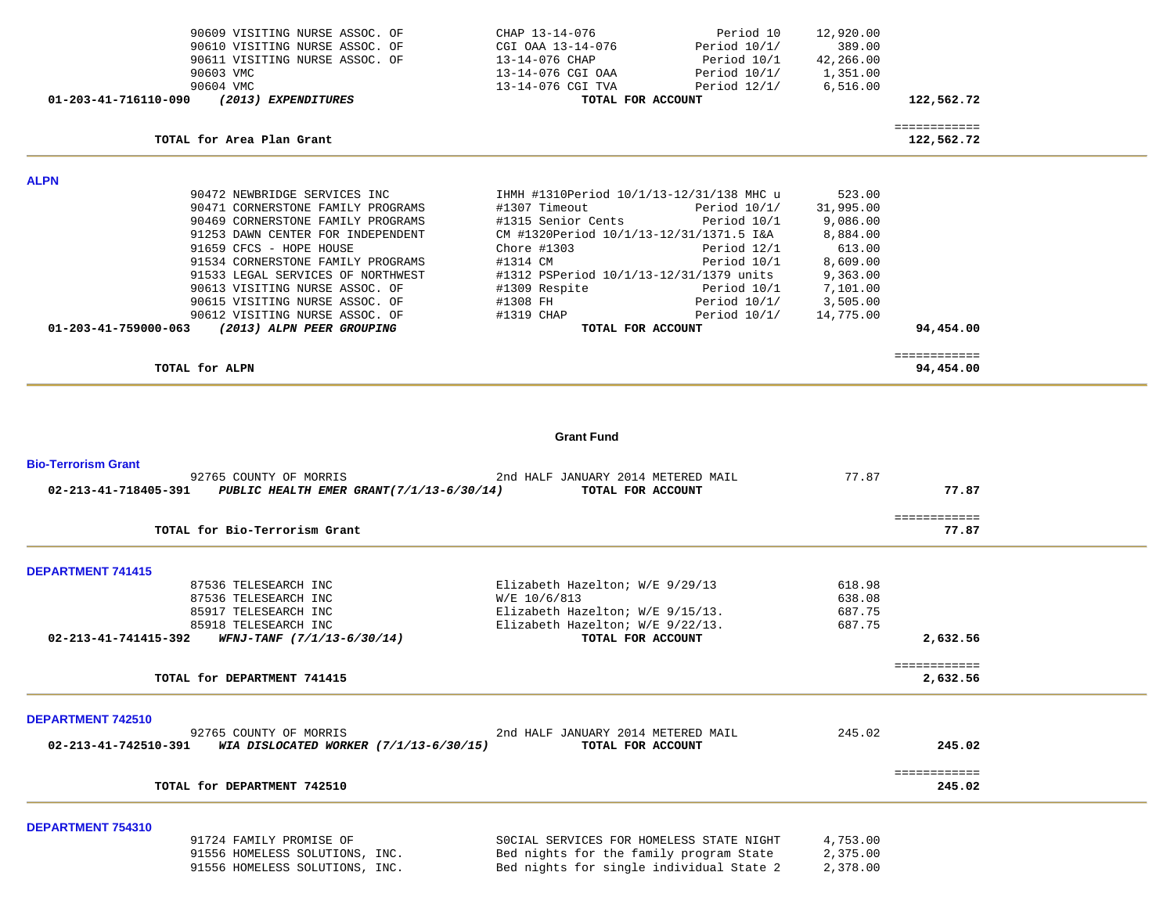| 90609 VISITING NURSE ASSOC. OF<br>90610 VISITING NURSE ASSOC. OF<br>90611 VISITING NURSE ASSOC. OF<br>90603 VMC<br>90604 VMC | CHAP 13-14-076<br>Period 10<br>Period $10/1/$<br>CGI OAA 13-14-076<br>13-14-076 CHAP<br>Period 10/1<br>13-14-076 CGI OAA<br>Period $10/1/$<br>13-14-076 CGI TVA<br>Period $12/1/$ | 12,920.00<br>389.00<br>42,266.00<br>1,351.00<br>6,516.00 |                       |  |
|------------------------------------------------------------------------------------------------------------------------------|-----------------------------------------------------------------------------------------------------------------------------------------------------------------------------------|----------------------------------------------------------|-----------------------|--|
| 01-203-41-716110-090<br>(2013) EXPENDITURES                                                                                  | TOTAL FOR ACCOUNT                                                                                                                                                                 |                                                          | 122,562.72            |  |
|                                                                                                                              |                                                                                                                                                                                   |                                                          | ============          |  |
| TOTAL for Area Plan Grant                                                                                                    |                                                                                                                                                                                   |                                                          | 122,562.72            |  |
| <b>ALPN</b>                                                                                                                  |                                                                                                                                                                                   |                                                          |                       |  |
| 90472 NEWBRIDGE SERVICES INC                                                                                                 | IHMH #1310Period 10/1/13-12/31/138 MHC u                                                                                                                                          | 523.00                                                   |                       |  |
| 90471 CORNERSTONE FAMILY PROGRAMS                                                                                            | #1307 Timeout<br>Period 10/1/                                                                                                                                                     | 31,995.00                                                |                       |  |
| 90469 CORNERSTONE FAMILY PROGRAMS                                                                                            | #1315 Senior Cents<br>Period 10/1                                                                                                                                                 | 9,086.00                                                 |                       |  |
| 91253 DAWN CENTER FOR INDEPENDENT                                                                                            | CM #1320Period 10/1/13-12/31/1371.5 I&A                                                                                                                                           | 8,884.00                                                 |                       |  |
| 91659 CFCS - HOPE HOUSE<br>91534 CORNERSTONE FAMILY PROGRAMS                                                                 | Chore #1303<br>Period 12/1<br>#1314 CM                                                                                                                                            | 613.00<br>8,609.00                                       |                       |  |
| 91533 LEGAL SERVICES OF NORTHWEST                                                                                            | Period 10/1<br>#1312 PSPeriod 10/1/13-12/31/1379 units                                                                                                                            | 9,363.00                                                 |                       |  |
| 90613 VISITING NURSE ASSOC. OF                                                                                               | #1309 Respite<br>Period 10/1                                                                                                                                                      | 7,101.00                                                 |                       |  |
| 90615 VISITING NURSE ASSOC. OF                                                                                               | #1308 FH<br>Period $10/1/$                                                                                                                                                        | 3,505.00                                                 |                       |  |
| 90612 VISITING NURSE ASSOC. OF                                                                                               | #1319 CHAP<br>Period $10/1/$                                                                                                                                                      | 14,775.00                                                |                       |  |
| (2013) ALPN PEER GROUPING<br>01-203-41-759000-063                                                                            | TOTAL FOR ACCOUNT                                                                                                                                                                 |                                                          | 94,454.00             |  |
|                                                                                                                              |                                                                                                                                                                                   |                                                          | ============          |  |
| TOTAL for ALPN                                                                                                               |                                                                                                                                                                                   |                                                          | 94,454.00             |  |
|                                                                                                                              |                                                                                                                                                                                   |                                                          |                       |  |
|                                                                                                                              | <b>Grant Fund</b>                                                                                                                                                                 |                                                          |                       |  |
| <b>Bio-Terrorism Grant</b>                                                                                                   |                                                                                                                                                                                   |                                                          |                       |  |
| 92765 COUNTY OF MORRIS<br>02-213-41-718405-391 PUBLIC HEALTH EMER GRANT(7/1/13-6/30/14)                                      | 2nd HALF JANUARY 2014 METERED MAIL<br>TOTAL FOR ACCOUNT                                                                                                                           | 77.87                                                    | 77.87                 |  |
|                                                                                                                              |                                                                                                                                                                                   |                                                          |                       |  |
| TOTAL for Bio-Terrorism Grant                                                                                                |                                                                                                                                                                                   |                                                          | ============<br>77.87 |  |
| <b>DEPARTMENT 741415</b>                                                                                                     |                                                                                                                                                                                   |                                                          |                       |  |
| 87536 TELESEARCH INC                                                                                                         | Elizabeth Hazelton; W/E 9/29/13                                                                                                                                                   | 618.98                                                   |                       |  |
| 87536 TELESEARCH INC                                                                                                         | W/E 10/6/813                                                                                                                                                                      | 638.08                                                   |                       |  |
| 85917 TELESEARCH INC                                                                                                         | Elizabeth Hazelton; W/E 9/15/13.                                                                                                                                                  | 687.75                                                   |                       |  |
| 85918 TELESEARCH INC                                                                                                         | Elizabeth Hazelton; W/E 9/22/13.                                                                                                                                                  | 687.75                                                   |                       |  |
| $02 - 213 - 41 - 741415 - 392$ WFNJ-TANF $(7/1/13 - 6/30/14)$                                                                | TOTAL FOR ACCOUNT                                                                                                                                                                 |                                                          | 2,632.56              |  |
|                                                                                                                              |                                                                                                                                                                                   |                                                          |                       |  |

--

-

÷

**DEPARTMENT 742510** 

|        | 245.02 | 2nd HALF JANUARY 2014 METERED MAIL |                                        | 92765 COUNTY OF MORRIS      |                      |
|--------|--------|------------------------------------|----------------------------------------|-----------------------------|----------------------|
| 245.02 |        | TOTAL FOR ACCOUNT                  | WIA DISLOCATED WORKER (7/1/13-6/30/15) |                             | 02-213-41-742510-391 |
|        |        |                                    |                                        |                             |                      |
|        |        |                                    |                                        |                             |                      |
| 245.02 |        |                                    |                                        | TOTAL for DEPARTMENT 742510 |                      |

**DEPARTMENT 754310** 

| 91724 FAMILY PROMISE OF        | SOCIAL SERVICES FOR HOMELESS STATE NIGHT | 4,753.00 |
|--------------------------------|------------------------------------------|----------|
| 91556 HOMELESS SOLUTIONS, INC. | Bed nights for the family program State  | 2,375.00 |
| 91556 HOMELESS SOLUTIONS, INC. | Bed nights for single individual State 2 | 2,378.00 |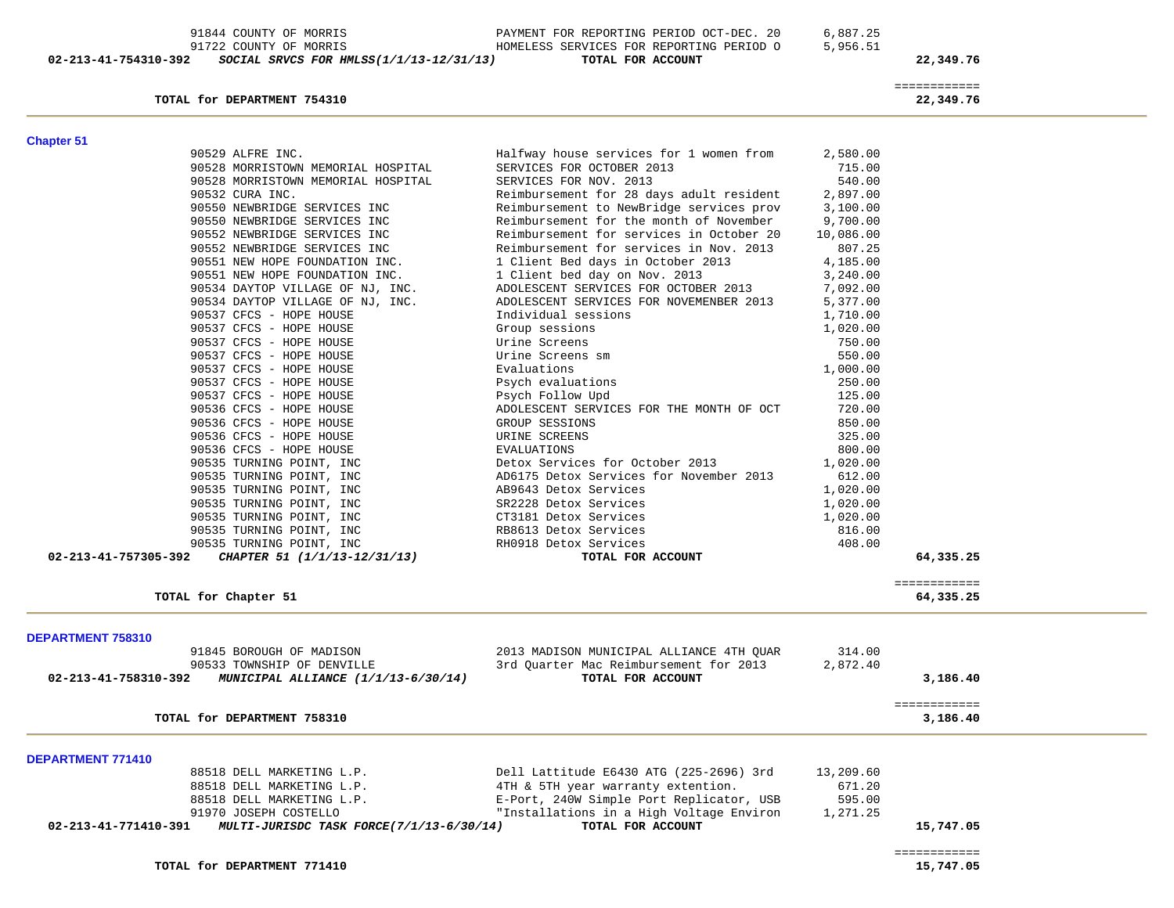| 90532 CURA INC.                                                  | Reimbursement for 28 days adult resident                                       | 2,897.00         |              |  |
|------------------------------------------------------------------|--------------------------------------------------------------------------------|------------------|--------------|--|
| 90550 NEWBRIDGE SERVICES INC                                     | Reimbursement to NewBridge services prov                                       | 3,100.00         |              |  |
| 90550 NEWBRIDGE SERVICES INC                                     | Reimbursement for the month of November                                        | 9,700.00         |              |  |
| 90552 NEWBRIDGE SERVICES INC                                     | Reimbursement for services in October 20                                       | 10,086.00        |              |  |
| 90552 NEWBRIDGE SERVICES INC                                     | Reimbursement for services in Nov. 2013                                        | 807.25           |              |  |
| 90551 NEW HOPE FOUNDATION INC.                                   | 1 Client Bed days in October 2013                                              | 4,185.00         |              |  |
| 90551 NEW HOPE FOUNDATION INC.                                   | 1 Client bed day on Nov. 2013                                                  | 3,240.00         |              |  |
| 90534 DAYTOP VILLAGE OF NJ, INC.                                 | ADOLESCENT SERVICES FOR OCTOBER 2013                                           | 7,092.00         |              |  |
| 90534 DAYTOP VILLAGE OF NJ, INC.                                 | ADOLESCENT SERVICES FOR NOVEMENBER 2013                                        | 5,377.00         |              |  |
| 90537 CFCS - HOPE HOUSE                                          | Individual sessions                                                            | 1,710.00         |              |  |
| 90537 CFCS - HOPE HOUSE                                          | Group sessions                                                                 | 1,020.00         |              |  |
| 90537 CFCS - HOPE HOUSE                                          | Urine Screens                                                                  | 750.00           |              |  |
| 90537 CFCS - HOPE HOUSE                                          | Urine Screens sm                                                               | 550.00           |              |  |
| 90537 CFCS - HOPE HOUSE                                          | Evaluations                                                                    | 1,000.00         |              |  |
| 90537 CFCS - HOPE HOUSE                                          | Psych evaluations                                                              | 250.00           |              |  |
| 90537 CFCS - HOPE HOUSE                                          | Psych Follow Upd                                                               | 125.00           |              |  |
| 90536 CFCS - HOPE HOUSE                                          | ADOLESCENT SERVICES FOR THE MONTH OF OCT                                       | 720.00           |              |  |
| 90536 CFCS - HOPE HOUSE                                          | GROUP SESSIONS                                                                 | 850.00           |              |  |
| 90536 CFCS - HOPE HOUSE                                          | URINE SCREENS                                                                  | 325.00           |              |  |
| 90536 CFCS - HOPE HOUSE                                          | <b>EVALUATIONS</b>                                                             | 800.00           |              |  |
| 90535 TURNING POINT, INC                                         | Detox Services for October 2013                                                | 1,020.00         |              |  |
| 90535 TURNING POINT, INC                                         | AD6175 Detox Services for November 2013                                        | 612.00           |              |  |
| 90535 TURNING POINT, INC                                         | AB9643 Detox Services                                                          | 1,020.00         |              |  |
| 90535 TURNING POINT, INC                                         | SR2228 Detox Services                                                          | 1,020.00         |              |  |
| 90535 TURNING POINT, INC                                         | CT3181 Detox Services                                                          | 1,020.00         |              |  |
| 90535 TURNING POINT, INC                                         | RB8613 Detox Services                                                          | 816.00           |              |  |
| 90535 TURNING POINT, INC                                         | RH0918 Detox Services                                                          | 408.00           |              |  |
| $02 - 213 - 41 - 757305 - 392$<br>CHAPTER 51 (1/1/13-12/31/13)   | TOTAL FOR ACCOUNT                                                              |                  | 64,335.25    |  |
|                                                                  |                                                                                |                  |              |  |
|                                                                  |                                                                                |                  | ============ |  |
| TOTAL for Chapter 51                                             |                                                                                |                  | 64,335.25    |  |
| DEPARTMENT 758310                                                |                                                                                |                  |              |  |
| 91845 BOROUGH OF MADISON                                         | 2013 MADISON MUNICIPAL ALLIANCE 4TH QUAR                                       | 314.00           |              |  |
| 90533 TOWNSHIP OF DENVILLE                                       | 3rd Quarter Mac Reimbursement for 2013                                         | 2,872.40         |              |  |
| 02-213-41-758310-392<br>MUNICIPAL ALLIANCE (1/1/13-6/30/14)      | TOTAL FOR ACCOUNT                                                              |                  | 3,186.40     |  |
|                                                                  |                                                                                |                  |              |  |
|                                                                  |                                                                                |                  | ============ |  |
| TOTAL for DEPARTMENT 758310                                      |                                                                                |                  | 3,186.40     |  |
| <b>DEPARTMENT 771410</b>                                         |                                                                                |                  |              |  |
| 88518 DELL MARKETING L.P.                                        | Dell Lattitude E6430 ATG (225-2696) 3rd                                        | 13,209.60        |              |  |
|                                                                  |                                                                                |                  |              |  |
| 88518 DELL MARKETING L.P.<br>88518 DELL MARKETING L.P.           | 4TH & 5TH year warranty extention.<br>E-Port, 240W Simple Port Replicator, USB | 671.20<br>595.00 |              |  |
|                                                                  |                                                                                |                  |              |  |
|                                                                  |                                                                                |                  |              |  |
| 91970 JOSEPH COSTELLO                                            | "Installations in a High Voltage Environ                                       | 1,271.25         |              |  |
| 02-213-41-771410-391<br>MULTI-JURISDC TASK FORCE(7/1/13-6/30/14) | TOTAL FOR ACCOUNT                                                              |                  | 15,747.05    |  |
|                                                                  |                                                                                |                  | ============ |  |
| TOTAL for DEPARTMENT 771410                                      |                                                                                |                  | 15,747.05    |  |

## 91844 COUNTY OF MORRIS PAYMENT FOR REPORTING PERIOD OCT-DEC. 20 6,887.25 91722 COUNTY OF MORRIS **HOMELESS SERVICES FOR REPORTING PERIOD 0** 5,956.51  **02-213-41-754310-392** *SOCIAL SRVCS FOR HMLSS(1/1/13-12/31/13)* **TOTAL FOR ACCOUNT 22,349.76**

**Chapter 51** 

============

90528 MORRISTOWN MEMORIAL HOSPITAL SERVICES FOR NOV. 2013

 90529 ALFRE INC. Halfway house services for 1 women from 2,580.00 90528 MORRISTOWN MEMORIAL HOSPITAL SERVICES FOR OCTOBER 2013 715.00

540.00

**TOTAL for DEPARTMENT 754310 22,349.76**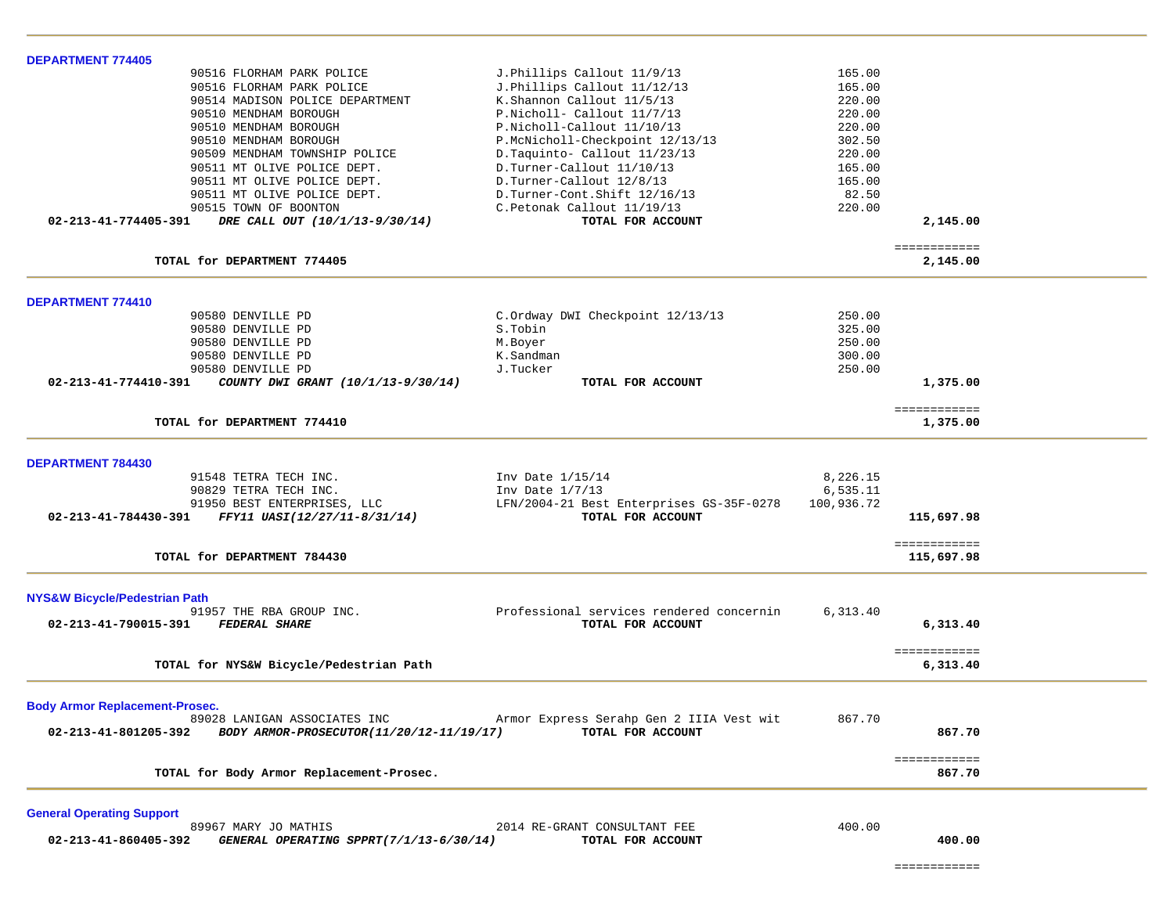| <b>DEPARTMENT 774405</b>                                         |                                          |            |                        |  |
|------------------------------------------------------------------|------------------------------------------|------------|------------------------|--|
| 90516 FLORHAM PARK POLICE                                        | J. Phillips Callout 11/9/13              | 165.00     |                        |  |
| 90516 FLORHAM PARK POLICE                                        | J.Phillips Callout 11/12/13              | 165.00     |                        |  |
| 90514 MADISON POLICE DEPARTMENT                                  | K.Shannon Callout 11/5/13                | 220.00     |                        |  |
| 90510 MENDHAM BOROUGH                                            | P.Nicholl- Callout 11/7/13               | 220.00     |                        |  |
| 90510 MENDHAM BOROUGH                                            | P.Nicholl-Callout 11/10/13               | 220.00     |                        |  |
| 90510 MENDHAM BOROUGH                                            | P.McNicholl-Checkpoint 12/13/13          | 302.50     |                        |  |
| 90509 MENDHAM TOWNSHIP POLICE                                    | D.Taquinto- Callout 11/23/13             | 220.00     |                        |  |
| 90511 MT OLIVE POLICE DEPT.                                      | D.Turner-Callout 11/10/13                | 165.00     |                        |  |
| 90511 MT OLIVE POLICE DEPT.                                      | D.Turner-Callout 12/8/13                 | 165.00     |                        |  |
| 90511 MT OLIVE POLICE DEPT.                                      | D.Turner-Cont.Shift 12/16/13             | 82.50      |                        |  |
| 90515 TOWN OF BOONTON                                            | C. Petonak Callout 11/19/13              | 220.00     |                        |  |
| 02-213-41-774405-391<br>DRE CALL OUT (10/1/13-9/30/14)           | TOTAL FOR ACCOUNT                        |            | 2,145.00               |  |
|                                                                  |                                          |            |                        |  |
|                                                                  |                                          |            | ============           |  |
| TOTAL for DEPARTMENT 774405                                      |                                          |            | 2,145.00               |  |
|                                                                  |                                          |            |                        |  |
| DEPARTMENT 774410<br>90580 DENVILLE PD                           | C.Ordway DWI Checkpoint 12/13/13         | 250.00     |                        |  |
| 90580 DENVILLE PD                                                | S.Tobin                                  | 325.00     |                        |  |
| 90580 DENVILLE PD                                                | M.Boyer                                  | 250.00     |                        |  |
|                                                                  |                                          |            |                        |  |
| 90580 DENVILLE PD                                                | K.Sandman                                | 300.00     |                        |  |
| 90580 DENVILLE PD                                                | J.Tucker                                 | 250.00     |                        |  |
| 02-213-41-774410-391<br>COUNTY DWI GRANT (10/1/13-9/30/14)       | TOTAL FOR ACCOUNT                        |            | 1,375.00               |  |
|                                                                  |                                          |            | ============           |  |
| TOTAL for DEPARTMENT 774410                                      |                                          |            | 1,375.00               |  |
| <b>DEPARTMENT 784430</b>                                         |                                          |            |                        |  |
| 91548 TETRA TECH INC.                                            | Inv Date 1/15/14                         | 8,226.15   |                        |  |
| 90829 TETRA TECH INC.                                            | Inv Date $1/7/13$                        | 6,535.11   |                        |  |
| 91950 BEST ENTERPRISES, LLC                                      | LFN/2004-21 Best Enterprises GS-35F-0278 | 100,936.72 |                        |  |
| 02-213-41-784430-391<br>FFY11 UASI(12/27/11-8/31/14)             | TOTAL FOR ACCOUNT                        |            | 115,697.98             |  |
|                                                                  |                                          |            |                        |  |
|                                                                  |                                          |            | ============           |  |
| TOTAL for DEPARTMENT 784430                                      |                                          |            | 115,697.98             |  |
| NYS&W Bicycle/Pedestrian Path                                    |                                          |            |                        |  |
| 91957 THE RBA GROUP INC.                                         | Professional services rendered concernin | 6,313.40   |                        |  |
| 02-213-41-790015-391<br><b>FEDERAL SHARE</b>                     | TOTAL FOR ACCOUNT                        |            | 6,313.40               |  |
|                                                                  |                                          |            |                        |  |
|                                                                  |                                          |            | ============           |  |
| TOTAL for NYS&W Bicycle/Pedestrian Path                          |                                          |            | 6,313.40               |  |
| <b>Body Armor Replacement-Prosec.</b>                            |                                          |            |                        |  |
| 89028 LANIGAN ASSOCIATES INC                                     | Armor Express Serahp Gen 2 IIIA Vest wit | 867.70     |                        |  |
| 02-213-41-801205-392<br>BODY ARMOR-PROSECUTOR(11/20/12-11/19/17) | TOTAL FOR ACCOUNT                        |            | 867.70                 |  |
| TOTAL for Body Armor Replacement-Prosec.                         |                                          |            | ============<br>867.70 |  |
|                                                                  |                                          |            |                        |  |
| <b>General Operating Support</b>                                 |                                          |            |                        |  |
| 89967 MARY JO MATHIS                                             | 2014 RE-GRANT CONSULTANT FEE             | 400.00     |                        |  |
| GENERAL OPERATING SPPRT(7/1/13-6/30/14)<br>02-213-41-860405-392  | TOTAL FOR ACCOUNT                        |            | 400.00                 |  |
|                                                                  |                                          |            |                        |  |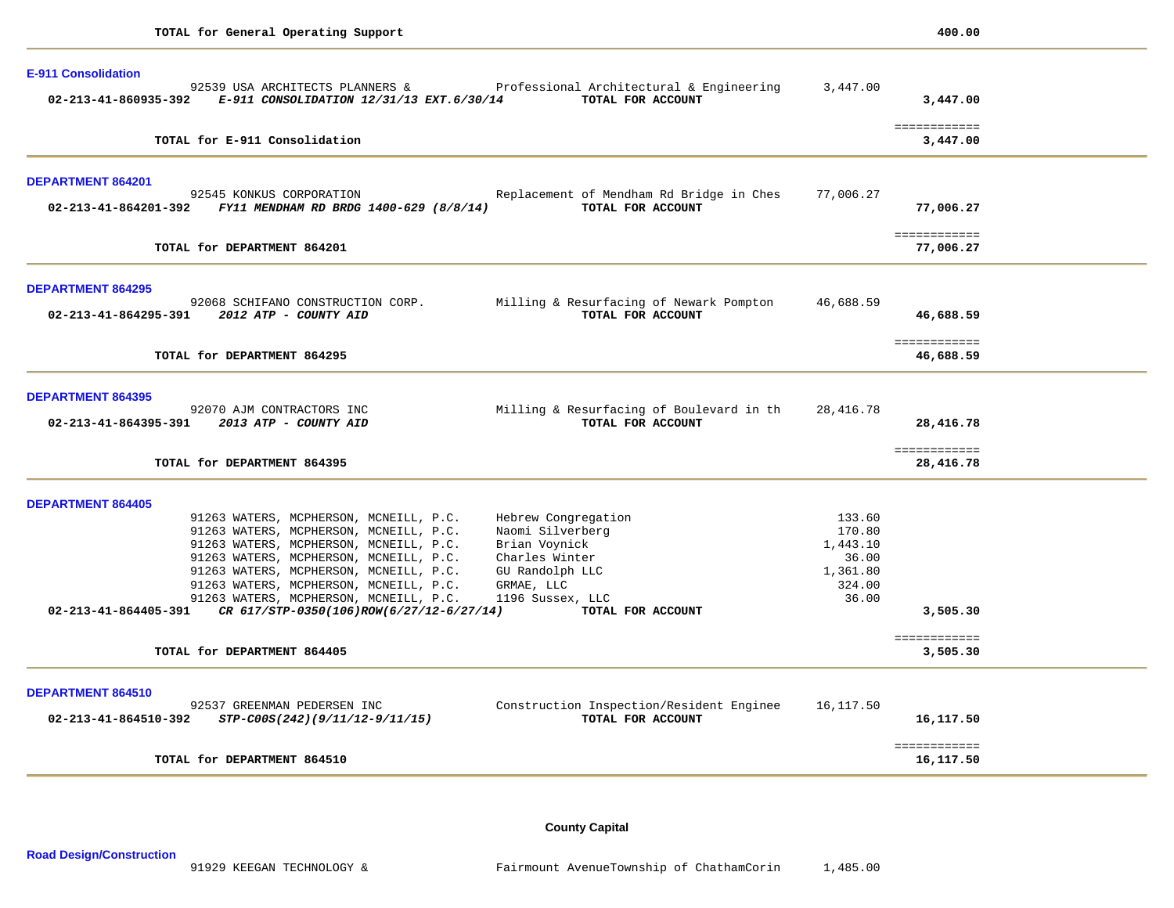| <b>E-911 Consolidation</b>                                                              |                                                                                               |                   |                            |  |
|-----------------------------------------------------------------------------------------|-----------------------------------------------------------------------------------------------|-------------------|----------------------------|--|
| 02-213-41-860935-392 E-911 CONSOLIDATION 12/31/13 EXT.6/30/14                           | 92539 USA ARCHITECTS PLANNERS & Professional Architectural & Engineering<br>TOTAL FOR ACCOUNT | 3,447.00          | 3,447.00                   |  |
| TOTAL for E-911 Consolidation                                                           |                                                                                               |                   | ============<br>3,447.00   |  |
| <b>DEPARTMENT 864201</b>                                                                |                                                                                               |                   |                            |  |
| 92545 KONKUS CORPORATION<br>02-213-41-864201-392 FY11 MENDHAM RD BRDG 1400-629 (8/8/14) | Replacement of Mendham Rd Bridge in Ches<br>TOTAL FOR ACCOUNT                                 | 77,006.27         | 77,006.27                  |  |
| TOTAL for DEPARTMENT 864201                                                             |                                                                                               |                   | ============<br>77,006.27  |  |
| <b>DEPARTMENT 864295</b>                                                                |                                                                                               |                   |                            |  |
| 92068 SCHIFANO CONSTRUCTION CORP.<br>02-213-41-864295-391 2012 ATP - COUNTY AID         | Milling & Resurfacing of Newark Pompton<br>TOTAL FOR ACCOUNT                                  | 46,688.59         | 46,688.59                  |  |
| TOTAL for DEPARTMENT 864295                                                             |                                                                                               |                   | ============<br>46,688.59  |  |
| <b>DEPARTMENT 864395</b>                                                                |                                                                                               |                   |                            |  |
| 92070 AJM CONTRACTORS INC<br>02-213-41-864395-391 2013 ATP - COUNTY AID                 | Milling & Resurfacing of Boulevard in th<br>TOTAL FOR ACCOUNT                                 | 28,416.78         | 28,416.78                  |  |
| TOTAL for DEPARTMENT 864395                                                             |                                                                                               |                   | ============<br>28,416.78  |  |
| <b>DEPARTMENT 864405</b>                                                                |                                                                                               |                   |                            |  |
| 91263 WATERS, MCPHERSON, MCNEILL, P.C.                                                  | Hebrew Congregation                                                                           | 133.60            |                            |  |
| 91263 WATERS, MCPHERSON, MCNEILL, P.C.                                                  | Naomi Silverberg                                                                              | 170.80            |                            |  |
| 91263 WATERS, MCPHERSON, MCNEILL, P.C.                                                  | Brian Voynick                                                                                 | 1,443.10          |                            |  |
| 91263 WATERS, MCPHERSON, MCNEILL, P.C.<br>91263 WATERS, MCPHERSON, MCNEILL, P.C.        | Charles Winter                                                                                | 36.00<br>1,361.80 |                            |  |
| 91263 WATERS, MCPHERSON, MCNEILL, P.C.                                                  | GU Randolph LLC<br>GRMAE, LLC                                                                 | 324.00            |                            |  |
| 91263 WATERS, MCPHERSON, MCNEILL, P.C. 1196 Sussex, LLC                                 |                                                                                               | 36.00             |                            |  |
| 02-213-41-864405-391 CR 617/STP-0350(106)ROW(6/27/12-6/27/14)                           | TOTAL FOR ACCOUNT                                                                             |                   | 3,505.30                   |  |
| TOTAL for DEPARTMENT 864405                                                             |                                                                                               |                   | ============<br>3,505.30   |  |
|                                                                                         |                                                                                               |                   |                            |  |
| DEPARTMENT 864510<br>92537 GREENMAN PEDERSEN INC                                        | Construction Inspection/Resident Enginee                                                      | 16,117.50         |                            |  |
| $02 - 213 - 41 - 864510 - 392$ $STP-C00S(242)(9/11/12 - 9/11/15)$                       | TOTAL FOR ACCOUNT                                                                             |                   | 16,117.50                  |  |
| TOTAL for DEPARTMENT 864510                                                             |                                                                                               |                   | ============<br>16, 117.50 |  |
|                                                                                         |                                                                                               |                   |                            |  |

**County Capital**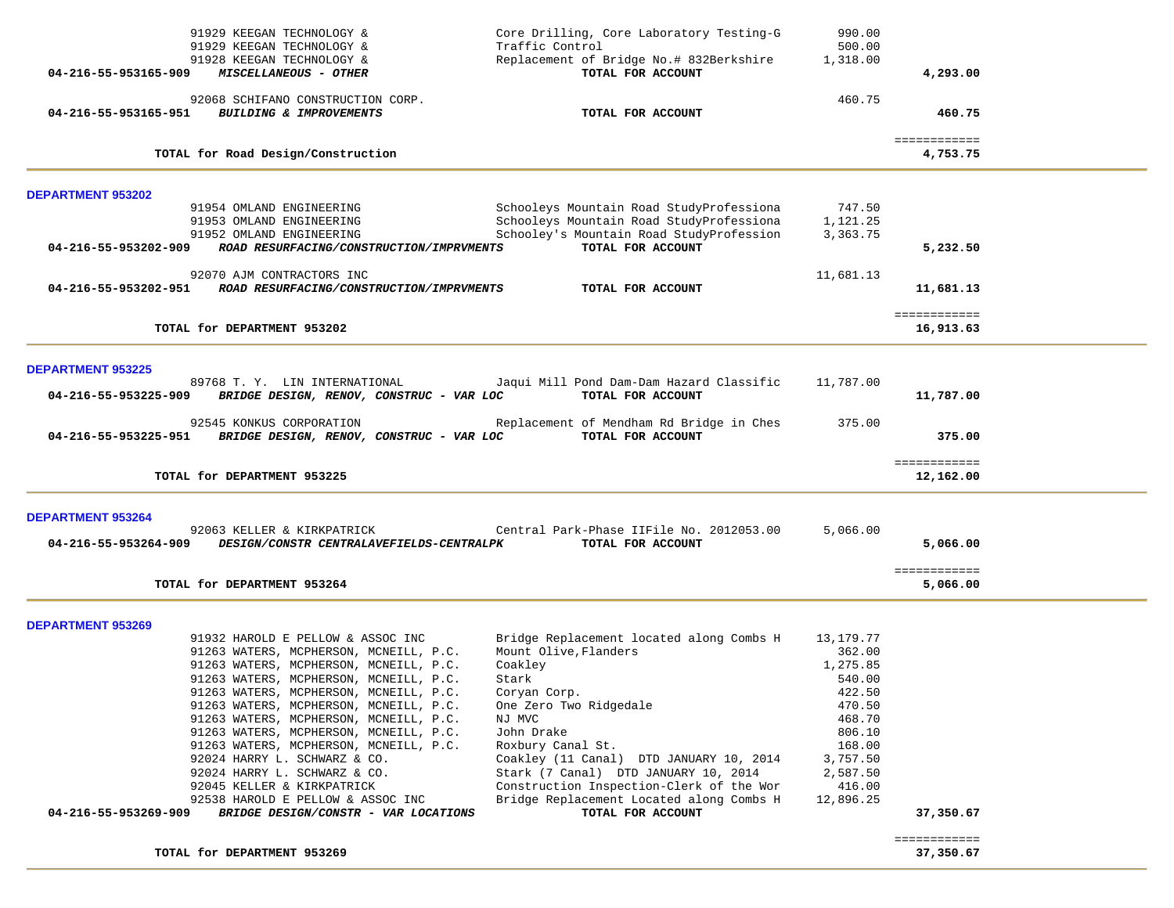| 91929 KEEGAN TECHNOLOGY &<br>91929 KEEGAN TECHNOLOGY &                                                                                                                                                                                                                                                                                                                                                                                                                                                                                                                                                                                           | Core Drilling, Core Laboratory Testing-G<br>Traffic Control                                                                                                                                                                                                                                                      | 990.00<br>500.00                                                                                                                           |                           |  |
|--------------------------------------------------------------------------------------------------------------------------------------------------------------------------------------------------------------------------------------------------------------------------------------------------------------------------------------------------------------------------------------------------------------------------------------------------------------------------------------------------------------------------------------------------------------------------------------------------------------------------------------------------|------------------------------------------------------------------------------------------------------------------------------------------------------------------------------------------------------------------------------------------------------------------------------------------------------------------|--------------------------------------------------------------------------------------------------------------------------------------------|---------------------------|--|
| 91928 KEEGAN TECHNOLOGY &<br>04-216-55-953165-909<br>MISCELLANEOUS - OTHER                                                                                                                                                                                                                                                                                                                                                                                                                                                                                                                                                                       | Replacement of Bridge No.# 832Berkshire<br>TOTAL FOR ACCOUNT                                                                                                                                                                                                                                                     | 1,318.00                                                                                                                                   | 4,293.00                  |  |
| 92068 SCHIFANO CONSTRUCTION CORP.<br><b>BUILDING &amp; IMPROVEMENTS</b><br>04-216-55-953165-951                                                                                                                                                                                                                                                                                                                                                                                                                                                                                                                                                  | TOTAL FOR ACCOUNT                                                                                                                                                                                                                                                                                                | 460.75                                                                                                                                     | 460.75                    |  |
| TOTAL for Road Design/Construction                                                                                                                                                                                                                                                                                                                                                                                                                                                                                                                                                                                                               |                                                                                                                                                                                                                                                                                                                  |                                                                                                                                            | ============<br>4,753.75  |  |
| <b>DEPARTMENT 953202</b>                                                                                                                                                                                                                                                                                                                                                                                                                                                                                                                                                                                                                         |                                                                                                                                                                                                                                                                                                                  |                                                                                                                                            |                           |  |
| 91954 OMLAND ENGINEERING<br>91953 OMLAND ENGINEERING<br>91952 OMLAND ENGINEERING                                                                                                                                                                                                                                                                                                                                                                                                                                                                                                                                                                 | Schooleys Mountain Road StudyProfessiona<br>Schooleys Mountain Road StudyProfessiona<br>Schooley's Mountain Road StudyProfession                                                                                                                                                                                 | 747.50<br>1,121.25<br>3,363.75                                                                                                             |                           |  |
| ROAD RESURFACING/CONSTRUCTION/IMPRVMENTS<br>04-216-55-953202-909                                                                                                                                                                                                                                                                                                                                                                                                                                                                                                                                                                                 | TOTAL FOR ACCOUNT                                                                                                                                                                                                                                                                                                |                                                                                                                                            | 5,232.50                  |  |
| 92070 AJM CONTRACTORS INC<br>ROAD RESURFACING/CONSTRUCTION/IMPRVMENTS<br>04-216-55-953202-951                                                                                                                                                                                                                                                                                                                                                                                                                                                                                                                                                    | TOTAL FOR ACCOUNT                                                                                                                                                                                                                                                                                                | 11,681.13                                                                                                                                  | 11,681.13                 |  |
| TOTAL for DEPARTMENT 953202                                                                                                                                                                                                                                                                                                                                                                                                                                                                                                                                                                                                                      |                                                                                                                                                                                                                                                                                                                  |                                                                                                                                            | ============<br>16,913.63 |  |
| <b>DEPARTMENT 953225</b>                                                                                                                                                                                                                                                                                                                                                                                                                                                                                                                                                                                                                         |                                                                                                                                                                                                                                                                                                                  |                                                                                                                                            |                           |  |
| 89768 T. Y. LIN INTERNATIONAL<br>BRIDGE DESIGN, RENOV, CONSTRUC - VAR LOC<br>04-216-55-953225-909                                                                                                                                                                                                                                                                                                                                                                                                                                                                                                                                                | Jaqui Mill Pond Dam-Dam Hazard Classific<br>TOTAL FOR ACCOUNT                                                                                                                                                                                                                                                    | 11,787.00                                                                                                                                  | 11,787.00                 |  |
| 92545 KONKUS CORPORATION<br>BRIDGE DESIGN, RENOV, CONSTRUC - VAR LOC<br>04-216-55-953225-951                                                                                                                                                                                                                                                                                                                                                                                                                                                                                                                                                     | Replacement of Mendham Rd Bridge in Ches<br>TOTAL FOR ACCOUNT                                                                                                                                                                                                                                                    | 375.00                                                                                                                                     | 375.00                    |  |
| TOTAL for DEPARTMENT 953225                                                                                                                                                                                                                                                                                                                                                                                                                                                                                                                                                                                                                      |                                                                                                                                                                                                                                                                                                                  |                                                                                                                                            | ============<br>12,162.00 |  |
| <b>DEPARTMENT 953264</b>                                                                                                                                                                                                                                                                                                                                                                                                                                                                                                                                                                                                                         |                                                                                                                                                                                                                                                                                                                  |                                                                                                                                            |                           |  |
| 92063 KELLER & KIRKPATRICK<br>DESIGN/CONSTR CENTRALAVEFIELDS-CENTRALPK<br>04-216-55-953264-909                                                                                                                                                                                                                                                                                                                                                                                                                                                                                                                                                   | Central Park-Phase IIFile No. 2012053.00<br>TOTAL FOR ACCOUNT                                                                                                                                                                                                                                                    | 5,066.00                                                                                                                                   | 5,066.00                  |  |
| TOTAL for DEPARTMENT 953264                                                                                                                                                                                                                                                                                                                                                                                                                                                                                                                                                                                                                      |                                                                                                                                                                                                                                                                                                                  |                                                                                                                                            | ============<br>5,066.00  |  |
| <b>DEPARTMENT 953269</b>                                                                                                                                                                                                                                                                                                                                                                                                                                                                                                                                                                                                                         |                                                                                                                                                                                                                                                                                                                  |                                                                                                                                            |                           |  |
| 91932 HAROLD E PELLOW & ASSOC INC<br>91263 WATERS, MCPHERSON, MCNEILL, P.C.<br>91263 WATERS, MCPHERSON, MCNEILL, P.C.<br>Coakley<br>91263 WATERS, MCPHERSON, MCNEILL, P.C.<br>Stark<br>91263 WATERS, MCPHERSON, MCNEILL, P.C.<br>Coryan Corp.<br>91263 WATERS, MCPHERSON, MCNEILL, P.C.<br>NJ MVC<br>91263 WATERS, MCPHERSON, MCNEILL, P.C.<br>91263 WATERS, MCPHERSON, MCNEILL, P.C.<br>John Drake<br>91263 WATERS, MCPHERSON, MCNEILL, P.C.<br>92024 HARRY L. SCHWARZ & CO.<br>92024 HARRY L. SCHWARZ & CO.<br>92045 KELLER & KIRKPATRICK<br>92538 HAROLD E PELLOW & ASSOC INC<br>04-216-55-953269-909<br>BRIDGE DESIGN/CONSTR - VAR LOCATIONS | Bridge Replacement located along Combs H<br>Mount Olive, Flanders<br>One Zero Two Ridgedale<br>Roxbury Canal St.<br>Coakley (11 Canal) DTD JANUARY 10, 2014<br>Stark (7 Canal) DTD JANUARY 10, 2014<br>Construction Inspection-Clerk of the Wor<br>Bridge Replacement Located along Combs H<br>TOTAL FOR ACCOUNT | 13,179.77<br>362.00<br>1,275.85<br>540.00<br>422.50<br>470.50<br>468.70<br>806.10<br>168.00<br>3,757.50<br>2,587.50<br>416.00<br>12,896.25 | 37,350.67                 |  |
| TOTAL for DEPARTMENT 953269                                                                                                                                                                                                                                                                                                                                                                                                                                                                                                                                                                                                                      |                                                                                                                                                                                                                                                                                                                  |                                                                                                                                            | ============<br>37,350.67 |  |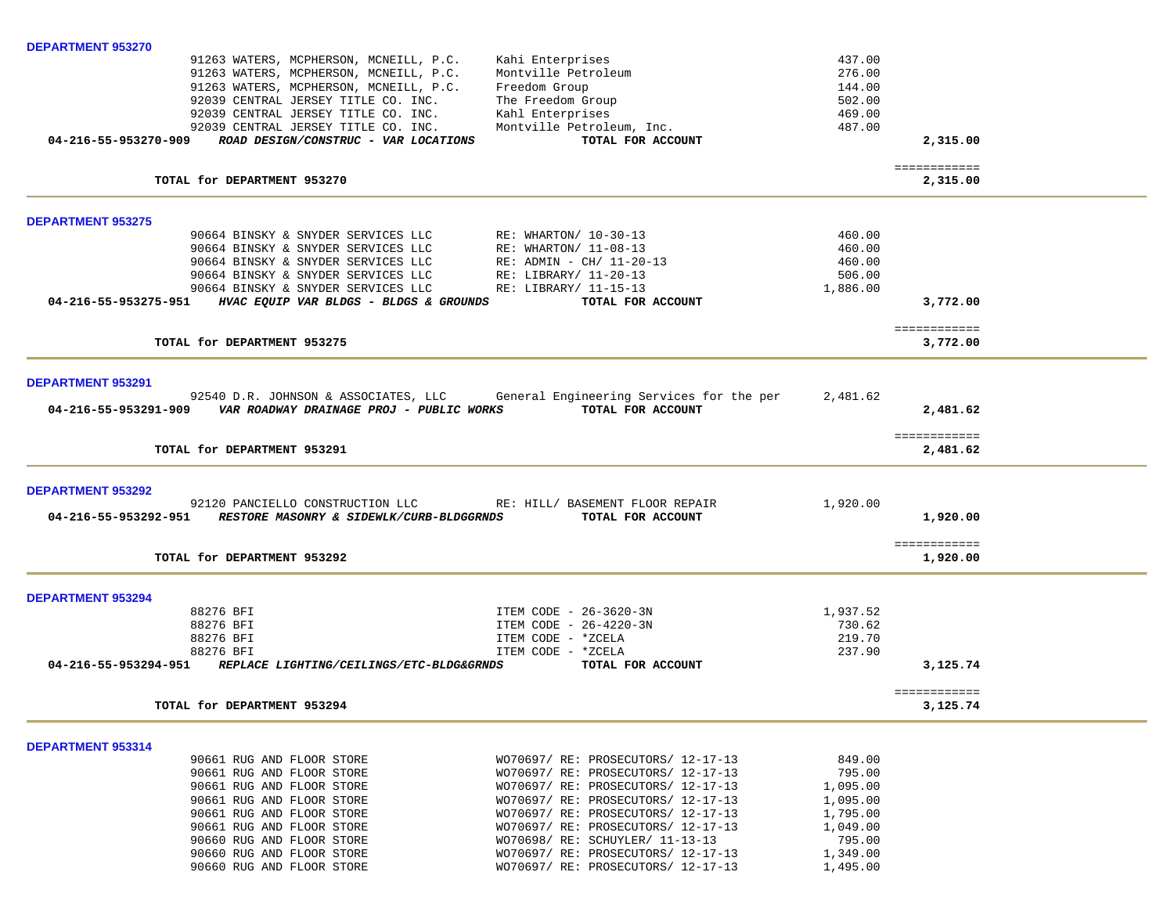| <b>DEPARTMENT 953270</b>                                                                                                   |                                                                          |                            |                          |  |
|----------------------------------------------------------------------------------------------------------------------------|--------------------------------------------------------------------------|----------------------------|--------------------------|--|
| 91263 WATERS, MCPHERSON, MCNEILL, P.C.<br>91263 WATERS, MCPHERSON, MCNEILL, P.C.<br>91263 WATERS, MCPHERSON, MCNEILL, P.C. | Kahi Enterprises<br>Montville Petroleum<br>Freedom Group                 | 437.00<br>276.00<br>144.00 |                          |  |
| 92039 CENTRAL JERSEY TITLE CO. INC.                                                                                        | The Freedom Group                                                        | 502.00                     |                          |  |
| 92039 CENTRAL JERSEY TITLE CO. INC.<br>92039 CENTRAL JERSEY TITLE CO. INC.                                                 | Kahl Enterprises                                                         | 469.00<br>487.00           |                          |  |
| 04-216-55-953270-909<br>ROAD DESIGN/CONSTRUC - VAR LOCATIONS                                                               | Montville Petroleum, Inc.<br>TOTAL FOR ACCOUNT                           |                            | 2,315.00                 |  |
| TOTAL for DEPARTMENT 953270                                                                                                |                                                                          |                            | ============<br>2,315.00 |  |
| <b>DEPARTMENT 953275</b>                                                                                                   |                                                                          |                            |                          |  |
| 90664 BINSKY & SNYDER SERVICES LLC                                                                                         | RE: WHARTON/ 10-30-13                                                    | 460.00                     |                          |  |
| 90664 BINSKY & SNYDER SERVICES LLC<br>90664 BINSKY & SNYDER SERVICES LLC                                                   | RE: WHARTON/ 11-08-13<br>$RE:$ ADMIN - CH/ 11-20-13                      | 460.00<br>460.00           |                          |  |
| 90664 BINSKY & SNYDER SERVICES LLC                                                                                         | RE: LIBRARY/ 11-20-13                                                    | 506.00                     |                          |  |
| 90664 BINSKY & SNYDER SERVICES LLC                                                                                         | RE: LIBRARY/ 11-15-13                                                    | 1,886.00                   |                          |  |
| 04-216-55-953275-951<br>HVAC EQUIP VAR BLDGS - BLDGS & GROUNDS                                                             | TOTAL FOR ACCOUNT                                                        |                            | 3,772.00                 |  |
| TOTAL for DEPARTMENT 953275                                                                                                |                                                                          |                            | ============<br>3,772.00 |  |
| <b>DEPARTMENT 953291</b>                                                                                                   |                                                                          |                            |                          |  |
| 92540 D.R. JOHNSON & ASSOCIATES, LLC                                                                                       | General Engineering Services for the per                                 | 2,481.62                   |                          |  |
| 04-216-55-953291-909    VAR ROADWAY DRAINAGE PROJ - PUBLIC WORKS                                                           | TOTAL FOR ACCOUNT                                                        |                            | 2,481.62                 |  |
| TOTAL for DEPARTMENT 953291                                                                                                |                                                                          |                            | ============<br>2,481.62 |  |
| <b>DEPARTMENT 953292</b>                                                                                                   |                                                                          |                            |                          |  |
| 92120 PANCIELLO CONSTRUCTION LLC RE: HILL/ BASEMENT FLOOR REPAIR                                                           |                                                                          | 1,920.00                   |                          |  |
| RESTORE MASONRY & SIDEWLK/CURB-BLDGGRNDS<br>04-216-55-953292-951                                                           | TOTAL FOR ACCOUNT                                                        |                            | 1,920.00                 |  |
| TOTAL for DEPARTMENT 953292                                                                                                |                                                                          |                            | ============<br>1,920.00 |  |
| <b>DEPARTMENT 953294</b>                                                                                                   |                                                                          |                            |                          |  |
| 88276 BFI                                                                                                                  | ITEM CODE - 26-3620-3N                                                   | 1,937.52                   |                          |  |
| 88276 BFI<br>88276 BFI                                                                                                     | ITEM CODE - 26-4220-3N<br>ITEM CODE - *ZCELA                             | 730.62<br>219.70           |                          |  |
| 88276 BFI                                                                                                                  | ITEM CODE - *ZCELA                                                       | 237.90                     |                          |  |
| 04-216-55-953294-951<br>REPLACE LIGHTING/CEILINGS/ETC-BLDG&GRNDS                                                           | TOTAL FOR ACCOUNT                                                        |                            | 3,125.74                 |  |
| TOTAL for DEPARTMENT 953294                                                                                                |                                                                          |                            | ============<br>3,125.74 |  |
| DEPARTMENT 953314                                                                                                          |                                                                          |                            |                          |  |
| 90661 RUG AND FLOOR STORE                                                                                                  | WO70697/ RE: PROSECUTORS/ 12-17-13                                       | 849.00                     |                          |  |
| 90661 RUG AND FLOOR STORE<br>90661 RUG AND FLOOR STORE                                                                     | WO70697/ RE: PROSECUTORS/ 12-17-13<br>WO70697/ RE: PROSECUTORS/ 12-17-13 | 795.00<br>1,095.00         |                          |  |
| 90661 RUG AND FLOOR STORE                                                                                                  | WO70697/ RE: PROSECUTORS/ 12-17-13                                       | 1,095.00                   |                          |  |
| 90661 RUG AND FLOOR STORE                                                                                                  | WO70697/ RE: PROSECUTORS/ 12-17-13                                       | 1,795.00                   |                          |  |
| 90661 RUG AND FLOOR STORE                                                                                                  | WO70697/ RE: PROSECUTORS/ 12-17-13                                       | 1,049.00                   |                          |  |
| 90660 RUG AND FLOOR STORE<br>90660 RUG AND FLOOR STORE                                                                     | WO70698/ RE: SCHUYLER/ 11-13-13<br>WO70697/ RE: PROSECUTORS/ 12-17-13    | 795.00<br>1,349.00         |                          |  |
| 90660 RUG AND FLOOR STORE                                                                                                  | WO70697/ RE: PROSECUTORS/ 12-17-13                                       | 1,495.00                   |                          |  |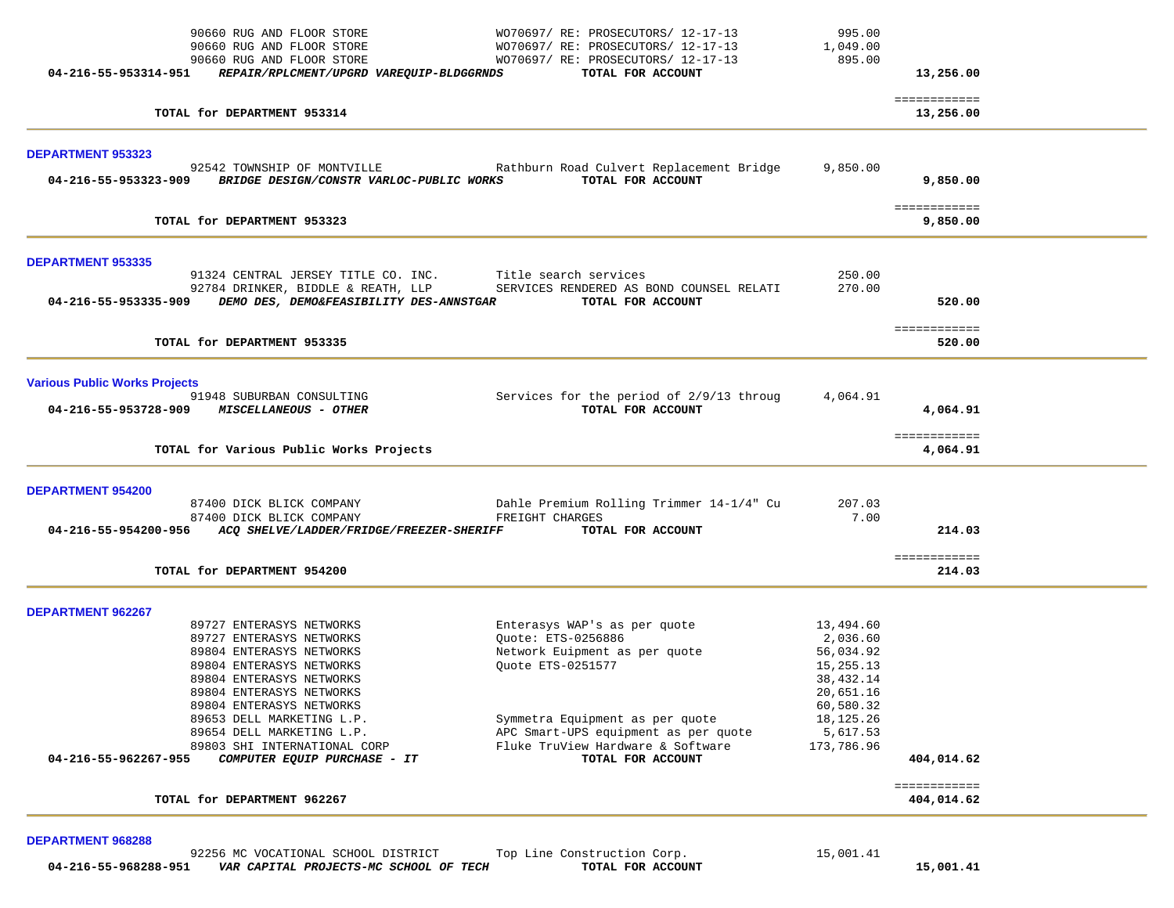| WO70697/RE: PROSECUTORS/12-17-13<br>895.00<br>TOTAL FOR ACCOUNT<br>Rathburn Road Culvert Replacement Bridge<br>9,850.00 | 13,256.00<br>============<br>13,256.00                                                                                                                                                                                                                                                                                                                                                                                                                                                                             |                                |
|-------------------------------------------------------------------------------------------------------------------------|--------------------------------------------------------------------------------------------------------------------------------------------------------------------------------------------------------------------------------------------------------------------------------------------------------------------------------------------------------------------------------------------------------------------------------------------------------------------------------------------------------------------|--------------------------------|
|                                                                                                                         |                                                                                                                                                                                                                                                                                                                                                                                                                                                                                                                    |                                |
|                                                                                                                         |                                                                                                                                                                                                                                                                                                                                                                                                                                                                                                                    |                                |
|                                                                                                                         |                                                                                                                                                                                                                                                                                                                                                                                                                                                                                                                    |                                |
| TOTAL FOR ACCOUNT                                                                                                       | 9,850.00                                                                                                                                                                                                                                                                                                                                                                                                                                                                                                           |                                |
|                                                                                                                         | ============<br>9,850.00                                                                                                                                                                                                                                                                                                                                                                                                                                                                                           |                                |
|                                                                                                                         |                                                                                                                                                                                                                                                                                                                                                                                                                                                                                                                    |                                |
| 270.00                                                                                                                  |                                                                                                                                                                                                                                                                                                                                                                                                                                                                                                                    |                                |
|                                                                                                                         | ============                                                                                                                                                                                                                                                                                                                                                                                                                                                                                                       |                                |
|                                                                                                                         | 520.00                                                                                                                                                                                                                                                                                                                                                                                                                                                                                                             |                                |
|                                                                                                                         |                                                                                                                                                                                                                                                                                                                                                                                                                                                                                                                    |                                |
|                                                                                                                         | 4,064.91                                                                                                                                                                                                                                                                                                                                                                                                                                                                                                           |                                |
|                                                                                                                         | ============<br>4,064.91                                                                                                                                                                                                                                                                                                                                                                                                                                                                                           |                                |
|                                                                                                                         |                                                                                                                                                                                                                                                                                                                                                                                                                                                                                                                    |                                |
| 207.03                                                                                                                  |                                                                                                                                                                                                                                                                                                                                                                                                                                                                                                                    |                                |
|                                                                                                                         | 214.03                                                                                                                                                                                                                                                                                                                                                                                                                                                                                                             |                                |
|                                                                                                                         | ============                                                                                                                                                                                                                                                                                                                                                                                                                                                                                                       |                                |
|                                                                                                                         |                                                                                                                                                                                                                                                                                                                                                                                                                                                                                                                    |                                |
|                                                                                                                         |                                                                                                                                                                                                                                                                                                                                                                                                                                                                                                                    |                                |
| 13,494.60                                                                                                               |                                                                                                                                                                                                                                                                                                                                                                                                                                                                                                                    |                                |
|                                                                                                                         |                                                                                                                                                                                                                                                                                                                                                                                                                                                                                                                    |                                |
|                                                                                                                         |                                                                                                                                                                                                                                                                                                                                                                                                                                                                                                                    |                                |
|                                                                                                                         |                                                                                                                                                                                                                                                                                                                                                                                                                                                                                                                    |                                |
|                                                                                                                         |                                                                                                                                                                                                                                                                                                                                                                                                                                                                                                                    |                                |
|                                                                                                                         |                                                                                                                                                                                                                                                                                                                                                                                                                                                                                                                    |                                |
| 18, 125. 26                                                                                                             |                                                                                                                                                                                                                                                                                                                                                                                                                                                                                                                    |                                |
| 5,617.53                                                                                                                |                                                                                                                                                                                                                                                                                                                                                                                                                                                                                                                    |                                |
| 173,786.96                                                                                                              |                                                                                                                                                                                                                                                                                                                                                                                                                                                                                                                    |                                |
|                                                                                                                         |                                                                                                                                                                                                                                                                                                                                                                                                                                                                                                                    |                                |
|                                                                                                                         | ============<br>404,014.62                                                                                                                                                                                                                                                                                                                                                                                                                                                                                         |                                |
|                                                                                                                         | 250.00<br>SERVICES RENDERED AS BOND COUNSEL RELATI<br>TOTAL FOR ACCOUNT<br>Services for the period of 2/9/13 throug<br>4,064.91<br>TOTAL FOR ACCOUNT<br>Dahle Premium Rolling Trimmer 14-1/4" Cu<br>7.00<br>TOTAL FOR ACCOUNT<br>Enterasys WAP's as per quote<br>2,036.60<br>Network Euipment as per quote<br>56,034.92<br>15,255.13<br>38, 432. 14<br>20,651.16<br>60,580.32<br>Symmetra Equipment as per quote<br>APC Smart-UPS equipment as per quote<br>Fluke TruView Hardware & Software<br>TOTAL FOR ACCOUNT | 520.00<br>214.03<br>404,014.62 |

**DEPARTMENT 968288**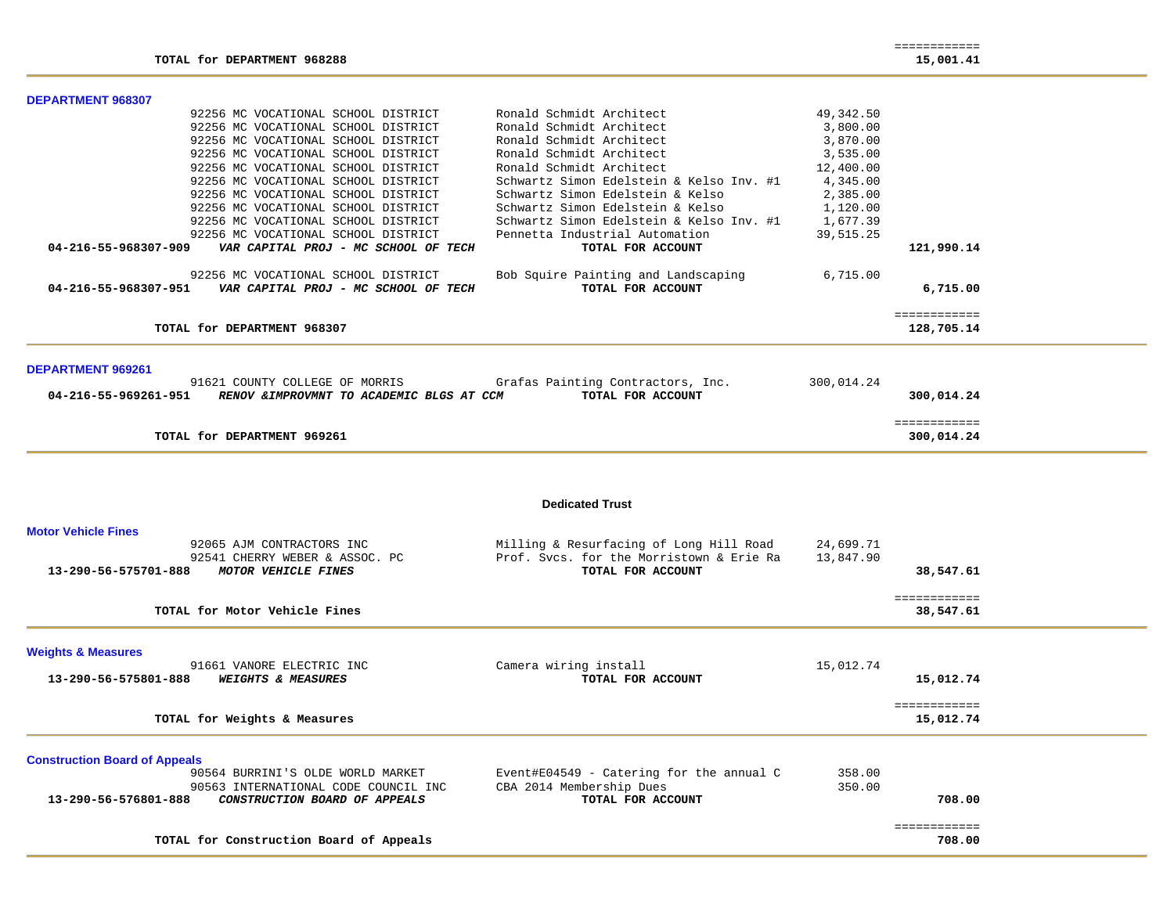| <b>DEPARTMENT 968307</b>                                                                                                        |                                                        |            |                            |
|---------------------------------------------------------------------------------------------------------------------------------|--------------------------------------------------------|------------|----------------------------|
| 92256 MC VOCATIONAL SCHOOL DISTRICT                                                                                             | Ronald Schmidt Architect                               | 49,342.50  |                            |
| 92256 MC VOCATIONAL SCHOOL DISTRICT                                                                                             | Ronald Schmidt Architect                               | 3,800.00   |                            |
| 92256 MC VOCATIONAL SCHOOL DISTRICT                                                                                             | Ronald Schmidt Architect                               | 3,870.00   |                            |
| 92256 MC VOCATIONAL SCHOOL DISTRICT                                                                                             | Ronald Schmidt Architect                               | 3,535.00   |                            |
| 92256 MC VOCATIONAL SCHOOL DISTRICT                                                                                             | Ronald Schmidt Architect                               | 12,400.00  |                            |
| 92256 MC VOCATIONAL SCHOOL DISTRICT                                                                                             | Schwartz Simon Edelstein & Kelso Inv. #1               | 4,345.00   |                            |
| 92256 MC VOCATIONAL SCHOOL DISTRICT                                                                                             | Schwartz Simon Edelstein & Kelso                       | 2,385.00   |                            |
| 92256 MC VOCATIONAL SCHOOL DISTRICT                                                                                             | Schwartz Simon Edelstein & Kelso                       | 1,120.00   |                            |
| 92256 MC VOCATIONAL SCHOOL DISTRICT                                                                                             | Schwartz Simon Edelstein & Kelso Inv. #1 1,677.39      |            |                            |
| 92256 MC VOCATIONAL SCHOOL DISTRICT                                                                                             | Pennetta Industrial Automation                         | 39,515.25  |                            |
| VAR CAPITAL PROJ - MC SCHOOL OF TECH<br>04-216-55-968307-909                                                                    | TOTAL FOR ACCOUNT                                      |            | 121,990.14                 |
| 92256 MC VOCATIONAL SCHOOL DISTRICT                                                                                             | Bob Squire Painting and Landscaping                    | 6,715.00   |                            |
| 04-216-55-968307-951    VAR CAPITAL PROJ - MC SCHOOL OF TECH                                                                    | TOTAL FOR ACCOUNT                                      |            | 6,715.00                   |
| TOTAL for DEPARTMENT 968307                                                                                                     |                                                        |            | ============<br>128,705.14 |
| <b>DEPARTMENT 969261</b><br>91621 COUNTY COLLEGE OF MORRIS<br>04-216-55-969261-951<br>RENOV & IMPROVMNT TO ACADEMIC BLGS AT CCM | Grafas Painting Contractors, Inc.<br>TOTAL FOR ACCOUNT | 300,014.24 | 300,014.24                 |
| TOTAL for DEPARTMENT 969261                                                                                                     |                                                        |            | ============<br>300,014.24 |
|                                                                                                                                 |                                                        |            |                            |

**Dedicated Trust** 

| Milling & Resurfacing of Long Hill Road    | 24,699.71                                |              |                                  |
|--------------------------------------------|------------------------------------------|--------------|----------------------------------|
| TOTAL FOR ACCOUNT                          |                                          | 38,547.61    |                                  |
|                                            |                                          | ============ |                                  |
|                                            |                                          |              |                                  |
|                                            |                                          |              |                                  |
| Camera wiring install                      | 15,012.74                                |              |                                  |
| TOTAL FOR ACCOUNT                          |                                          | 15,012.74    |                                  |
|                                            |                                          | ============ |                                  |
|                                            |                                          |              |                                  |
|                                            |                                          |              |                                  |
| Event#E04549 - Catering for the annual $C$ | 358.00                                   |              |                                  |
| CBA 2014 Membership Dues                   | 350.00                                   |              |                                  |
| TOTAL FOR ACCOUNT                          |                                          |              |                                  |
|                                            |                                          | ============ |                                  |
|                                            |                                          | 708.00       |                                  |
|                                            | Prof. Sycs. for the Morristown & Erie Ra | 13,847.90    | 38,547.61<br>15,012.74<br>708.00 |